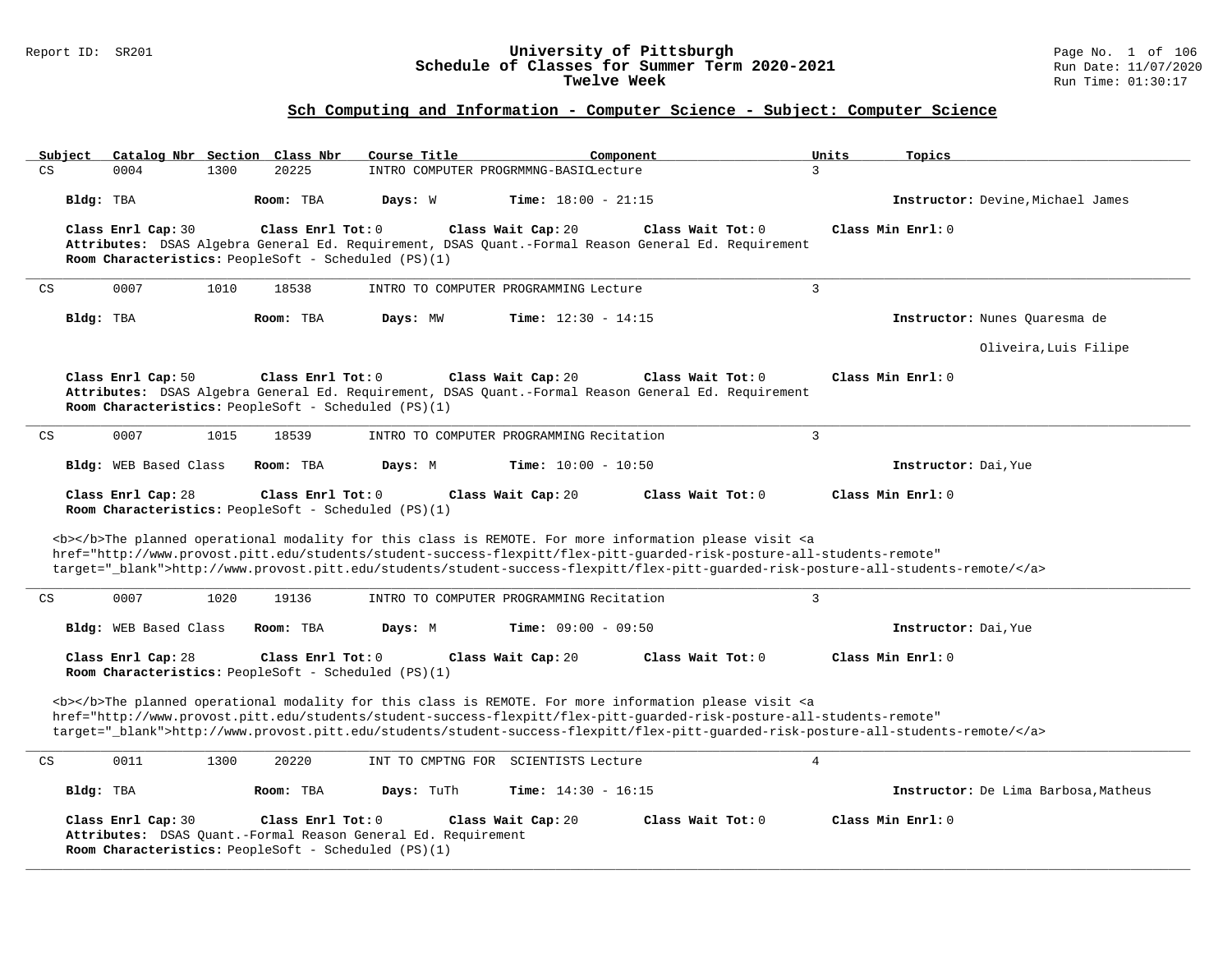### Report ID: SR201 **University of Pittsburgh** Page No. 1 of 106 **Schedule of Classes for Summer Term 2020-2021** Run Date: 11/07/2020 **Twelve Week** Run Time: 01:30:17

| Subject   |                                                                                                                                                                   | Catalog Nbr Section Class Nbr                                               | Course Title                                                  | Component                                                                                                                                                                                                                                 | Units<br>Topics                                                                                                                   |  |  |  |  |  |  |
|-----------|-------------------------------------------------------------------------------------------------------------------------------------------------------------------|-----------------------------------------------------------------------------|---------------------------------------------------------------|-------------------------------------------------------------------------------------------------------------------------------------------------------------------------------------------------------------------------------------------|-----------------------------------------------------------------------------------------------------------------------------------|--|--|--|--|--|--|
| CS        | 0004                                                                                                                                                              | 20225<br>1300                                                               |                                                               | INTRO COMPUTER PROGRMMNG-BASICLecture                                                                                                                                                                                                     | 3                                                                                                                                 |  |  |  |  |  |  |
| Bldg: TBA |                                                                                                                                                                   | Room: TBA                                                                   | Days: W                                                       | Time: $18:00 - 21:15$                                                                                                                                                                                                                     | Instructor: Devine, Michael James                                                                                                 |  |  |  |  |  |  |
|           | Class Enrl Cap: 30                                                                                                                                                | Class Enrl Tot: $0$<br>Room Characteristics: PeopleSoft - Scheduled (PS)(1) |                                                               | Class Wait Tot: 0<br>Class Wait Cap: 20<br>Attributes: DSAS Algebra General Ed. Requirement, DSAS Quant.-Formal Reason General Ed. Requirement                                                                                            | Class Min Enrl: 0                                                                                                                 |  |  |  |  |  |  |
| CS        | 0007                                                                                                                                                              | 1010<br>18538                                                               |                                                               | INTRO TO COMPUTER PROGRAMMING Lecture                                                                                                                                                                                                     | $\overline{3}$                                                                                                                    |  |  |  |  |  |  |
| Bldg: TBA |                                                                                                                                                                   | Room: TBA                                                                   | Days: MW                                                      | <b>Time:</b> $12:30 - 14:15$                                                                                                                                                                                                              | Instructor: Nunes Quaresma de                                                                                                     |  |  |  |  |  |  |
|           |                                                                                                                                                                   |                                                                             |                                                               |                                                                                                                                                                                                                                           | Oliveira, Luis Filipe                                                                                                             |  |  |  |  |  |  |
|           | Class Enrl Cap: 50                                                                                                                                                | Class Enrl Tot: 0<br>Room Characteristics: PeopleSoft - Scheduled (PS)(1)   |                                                               | Class Wait Cap: 20<br>Class Wait Tot: 0<br>Attributes: DSAS Algebra General Ed. Requirement, DSAS Quant.-Formal Reason General Ed. Requirement                                                                                            | Class Min Enrl: 0                                                                                                                 |  |  |  |  |  |  |
| CS        | 0007                                                                                                                                                              | 1015<br>18539                                                               |                                                               | INTRO TO COMPUTER PROGRAMMING Recitation                                                                                                                                                                                                  | $\overline{3}$                                                                                                                    |  |  |  |  |  |  |
|           | Bldg: WEB Based Class                                                                                                                                             | Room: TBA                                                                   | Days: M                                                       | Time: $10:00 - 10:50$                                                                                                                                                                                                                     | Instructor: Dai, Yue                                                                                                              |  |  |  |  |  |  |
|           | Class Enrl Cap: 28<br>Class Enrl Tot: $0$<br>Class Wait Cap: 20<br>Class Wait Tot: 0<br>Class Min Enrl: 0<br>Room Characteristics: PeopleSoft - Scheduled (PS)(1) |                                                                             |                                                               |                                                                                                                                                                                                                                           |                                                                                                                                   |  |  |  |  |  |  |
|           |                                                                                                                                                                   |                                                                             |                                                               | <b></b> The planned operational modality for this class is REMOTE. For more information please visit <a<br>href="http://www.provost.pitt.edu/students/student-success-flexpitt/flex-pitt-quarded-risk-posture-all-students-remote"</a<br> | target=" blank">http://www.provost.pitt.edu/students/student-success-flexpitt/flex-pitt-quarded-risk-posture-all-students-remote/ |  |  |  |  |  |  |
| CS        | 0007                                                                                                                                                              | 1020<br>19136                                                               |                                                               | INTRO TO COMPUTER PROGRAMMING Recitation                                                                                                                                                                                                  | $\overline{3}$                                                                                                                    |  |  |  |  |  |  |
|           | Bldg: WEB Based Class                                                                                                                                             | Room: TBA                                                                   | Days: M                                                       | Time: $09:00 - 09:50$                                                                                                                                                                                                                     | Instructor: Dai, Yue                                                                                                              |  |  |  |  |  |  |
|           | Class Enrl Cap: 28                                                                                                                                                | Class Enrl Tot: 0<br>Room Characteristics: PeopleSoft - Scheduled (PS)(1)   |                                                               | Class Wait Cap: 20<br>Class Wait Tot: 0                                                                                                                                                                                                   | Class Min Enrl: 0                                                                                                                 |  |  |  |  |  |  |
|           |                                                                                                                                                                   |                                                                             |                                                               | <b></b> The planned operational modality for this class is REMOTE. For more information please visit <a<br>href="http://www.provost.pitt.edu/students/student-success-flexpitt/flex-pitt-quarded-risk-posture-all-students-remote"</a<br> | target="_blank">http://www.provost.pitt.edu/students/student-success-flexpitt/flex-pitt-quarded-risk-posture-all-students-remote/ |  |  |  |  |  |  |
| CS        | 0011                                                                                                                                                              | 1300<br>20220                                                               |                                                               | INT TO CMPTNG FOR SCIENTISTS Lecture                                                                                                                                                                                                      | $\overline{4}$                                                                                                                    |  |  |  |  |  |  |
| Bldg: TBA |                                                                                                                                                                   | Room: TBA                                                                   | Days: TuTh                                                    | Time: $14:30 - 16:15$                                                                                                                                                                                                                     | Instructor: De Lima Barbosa, Matheus                                                                                              |  |  |  |  |  |  |
|           | Class Enrl Cap: 30                                                                                                                                                | Class Enrl Tot: 0<br>Room Characteristics: PeopleSoft - Scheduled (PS)(1)   | Attributes: DSAS Quant.-Formal Reason General Ed. Requirement | Class Wait Cap: 20<br>Class Wait $Tot: 0$                                                                                                                                                                                                 | Class Min Enrl: 0                                                                                                                 |  |  |  |  |  |  |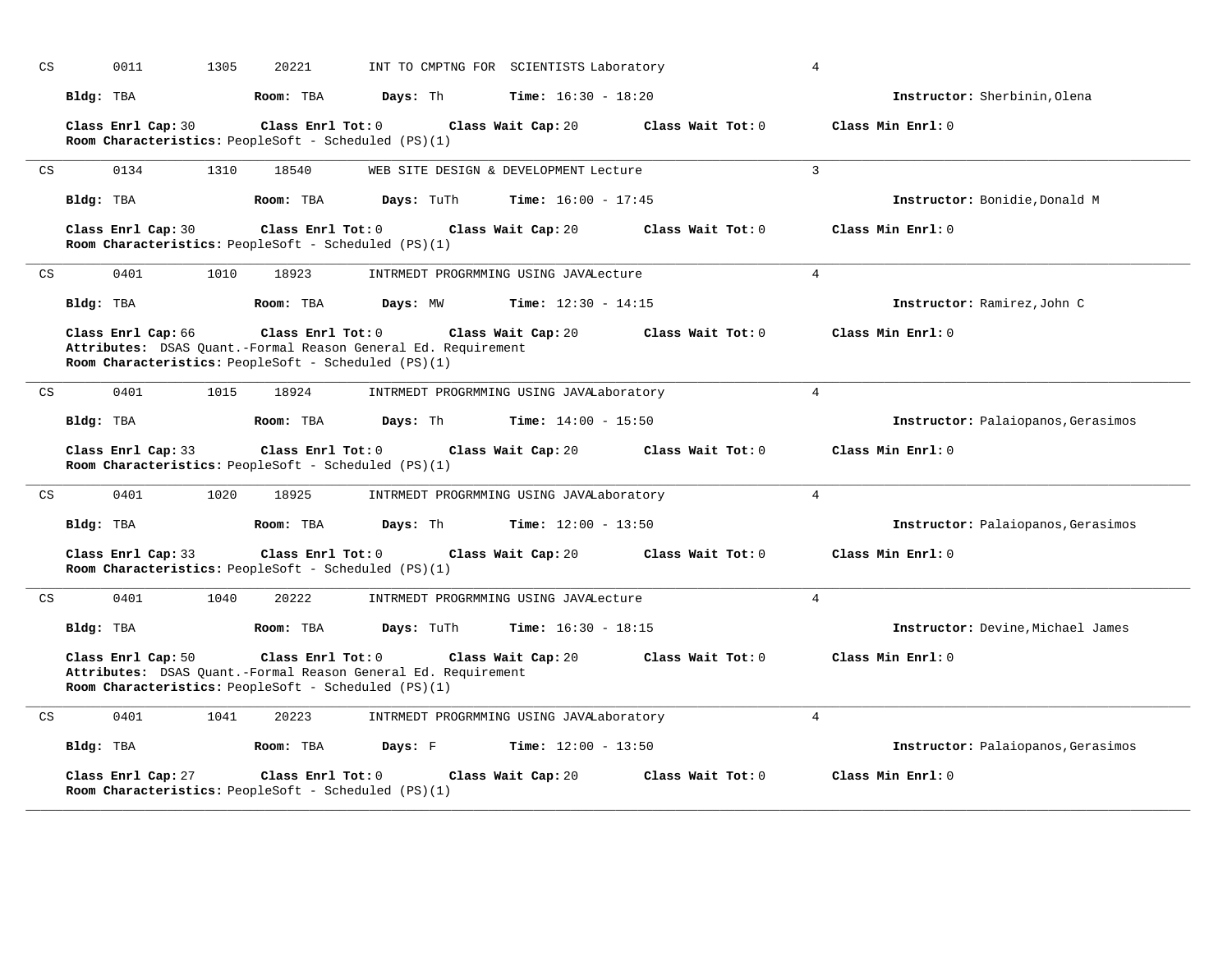| CS | 1305<br>0011                                                                                                                                | 20221             | INT TO CMPTNG FOR SCIENTISTS Laboratory    |                   | 4                                  |
|----|---------------------------------------------------------------------------------------------------------------------------------------------|-------------------|--------------------------------------------|-------------------|------------------------------------|
|    | Bldg: TBA                                                                                                                                   | Room: TBA         | Days: Th<br><b>Time:</b> $16:30 - 18:20$   |                   | Instructor: Sherbinin, Olena       |
|    | Class Enrl Cap: 30<br>Room Characteristics: PeopleSoft - Scheduled (PS)(1)                                                                  | Class Enrl Tot: 0 | Class Wait Cap: 20                         | Class Wait Tot: 0 | Class Min Enrl: 0                  |
| CS | 0134<br>1310                                                                                                                                | 18540             | WEB SITE DESIGN & DEVELOPMENT Lecture      |                   | 3                                  |
|    | Bldg: TBA                                                                                                                                   | Room: TBA         | Days: TuTh<br><b>Time:</b> $16:00 - 17:45$ |                   | Instructor: Bonidie, Donald M      |
|    | Class Enrl Cap: 30<br>Room Characteristics: PeopleSoft - Scheduled (PS)(1)                                                                  | Class Enrl Tot: 0 | Class Wait Cap: 20                         | Class Wait Tot: 0 | Class Min Enrl: 0                  |
| CS | 0401<br>1010                                                                                                                                | 18923             | INTRMEDT PROGRMMING USING JAVALecture      |                   | $\overline{4}$                     |
|    | Bldg: TBA                                                                                                                                   | Room: TBA         | Days: MW<br><b>Time:</b> $12:30 - 14:15$   |                   | Instructor: Ramirez, John C        |
|    | Class Enrl Cap: 66<br>Attributes: DSAS Quant.-Formal Reason General Ed. Requirement<br>Room Characteristics: PeopleSoft - Scheduled (PS)(1) | Class Enrl Tot: 0 | Class Wait Tot: 0                          | Class Min Enrl: 0 |                                    |
| CS | 0401<br>1015                                                                                                                                | 18924             | INTRMEDT PROGRMMING USING JAVALaboratory   |                   | $\overline{4}$                     |
|    | Bldg: TBA                                                                                                                                   | Room: TBA         | Days: Th<br><b>Time:</b> $14:00 - 15:50$   |                   | Instructor: Palaiopanos, Gerasimos |
|    | Class Enrl Cap: 33<br>Room Characteristics: PeopleSoft - Scheduled (PS)(1)                                                                  | Class Enrl Tot: 0 | Class Wait Tot: 0                          | Class Min Enrl: 0 |                                    |
| CS | 0401<br>1020                                                                                                                                | 18925             | INTRMEDT PROGRMMING USING JAVALaboratory   |                   | 4                                  |
|    | Bldg: TBA                                                                                                                                   | Room: TBA         | Days: Th<br><b>Time:</b> $12:00 - 13:50$   |                   | Instructor: Palaiopanos, Gerasimos |
|    | Class Enrl Cap: 33<br>Room Characteristics: PeopleSoft - Scheduled (PS)(1)                                                                  | Class Enrl Tot: 0 | Class Wait Cap: 20                         | Class Wait Tot: 0 | Class Min Enrl: 0                  |
| CS | 0401<br>1040                                                                                                                                | 20222             | INTRMEDT PROGRMMING USING JAVALecture      |                   | $\overline{4}$                     |
|    | Bldg: TBA                                                                                                                                   | Room: TBA         | <b>Time:</b> $16:30 - 18:15$<br>Days: TuTh |                   | Instructor: Devine, Michael James  |
|    | Class Enrl Cap: 50<br>Attributes: DSAS Quant.-Formal Reason General Ed. Requirement<br>Room Characteristics: PeopleSoft - Scheduled (PS)(1) | Class Enrl Tot: 0 | Class Wait Cap: 20                         | Class Wait Tot: 0 | Class Min Enrl: 0                  |
| CS | 0401<br>1041                                                                                                                                | 20223             | INTRMEDT PROGRMMING USING JAVALaboratory   |                   | $\overline{4}$                     |
|    | Bldg: TBA                                                                                                                                   | Room: TBA         | Days: F<br><b>Time:</b> $12:00 - 13:50$    |                   | Instructor: Palaiopanos, Gerasimos |
|    | Class Enrl Cap: 27<br>Room Characteristics: PeopleSoft - Scheduled (PS)(1)                                                                  | Class Enrl Tot: 0 | Class Wait Cap: 20                         | Class Wait Tot: 0 | Class Min Enrl: 0                  |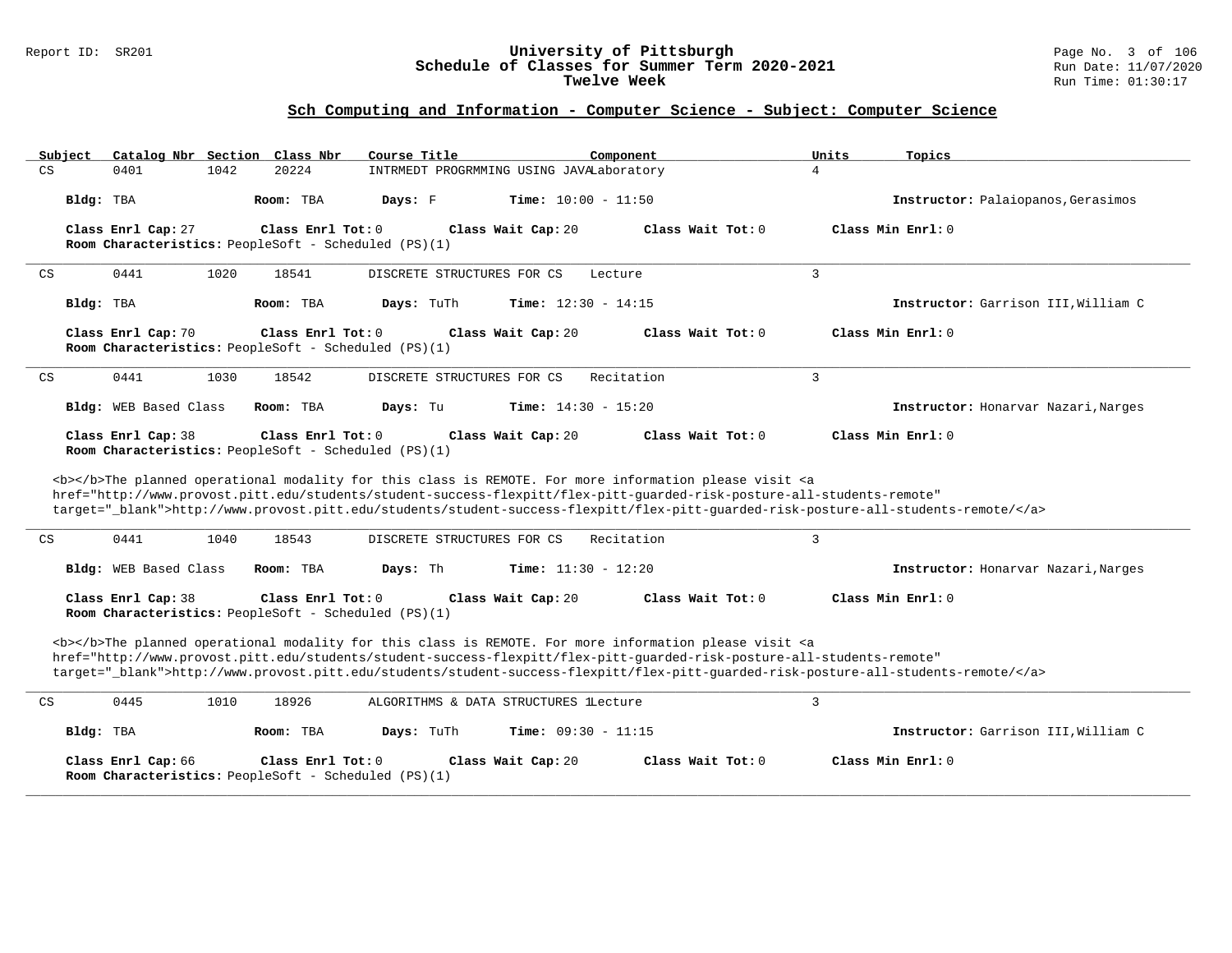### Report ID: SR201 **University of Pittsburgh** Page No. 3 of 106 **Schedule of Classes for Summer Term 2020-2021** Run Date: 11/07/2020 **Twelve Week** Run Time: 01:30:17

| Subject<br>Catalog Nbr Section Class Nbr                                                                                                                                                                                                                                                | Course Title                                                                                                                                                                                                                                                                                                                                                                       | Component<br>Units           | Topics                              |  |  |  |  |  |  |  |
|-----------------------------------------------------------------------------------------------------------------------------------------------------------------------------------------------------------------------------------------------------------------------------------------|------------------------------------------------------------------------------------------------------------------------------------------------------------------------------------------------------------------------------------------------------------------------------------------------------------------------------------------------------------------------------------|------------------------------|-------------------------------------|--|--|--|--|--|--|--|
| CS<br>0401<br>1042                                                                                                                                                                                                                                                                      | 20224<br>INTRMEDT PROGRMMING USING JAVALaboratory                                                                                                                                                                                                                                                                                                                                  | 4                            |                                     |  |  |  |  |  |  |  |
| Bldg: TBA                                                                                                                                                                                                                                                                               | Room: TBA<br>Days: F                                                                                                                                                                                                                                                                                                                                                               | <b>Time:</b> $10:00 - 11:50$ | Instructor: Palaiopanos, Gerasimos  |  |  |  |  |  |  |  |
| Class Enrl Cap: 27<br>Room Characteristics: PeopleSoft - Scheduled (PS)(1)                                                                                                                                                                                                              | Class Enrl Tot: $0$<br>Class Wait Cap: 20                                                                                                                                                                                                                                                                                                                                          | Class Wait Tot: 0            | Class Min Enrl: 0                   |  |  |  |  |  |  |  |
| 0441<br>1020<br>CS                                                                                                                                                                                                                                                                      | 18541<br>DISCRETE STRUCTURES FOR CS                                                                                                                                                                                                                                                                                                                                                | 3<br>Lecture                 |                                     |  |  |  |  |  |  |  |
| Bldg: TBA                                                                                                                                                                                                                                                                               | Room: TBA<br>Days: TuTh                                                                                                                                                                                                                                                                                                                                                            | Time: $12:30 - 14:15$        | Instructor: Garrison III, William C |  |  |  |  |  |  |  |
| Class Enrl Cap: 70<br>Room Characteristics: PeopleSoft - Scheduled (PS)(1)                                                                                                                                                                                                              | Class Enrl Tot: 0<br>Class Wait Cap: 20                                                                                                                                                                                                                                                                                                                                            | Class Wait $Tot: 0$          | Class Min Enrl: 0                   |  |  |  |  |  |  |  |
| 0441<br>1030<br>CS                                                                                                                                                                                                                                                                      | 18542<br>DISCRETE STRUCTURES FOR CS                                                                                                                                                                                                                                                                                                                                                | $\overline{3}$<br>Recitation |                                     |  |  |  |  |  |  |  |
| Bldg: WEB Based Class                                                                                                                                                                                                                                                                   | Room: TBA<br>Days: Tu                                                                                                                                                                                                                                                                                                                                                              | <b>Time:</b> $14:30 - 15:20$ | Instructor: Honarvar Nazari, Narges |  |  |  |  |  |  |  |
| Class Min Enrl: 0<br>Class Enrl Cap: 38<br>Class Enrl Tot: 0<br>Class Wait Cap: 20<br>Class Wait Tot: 0<br>Room Characteristics: PeopleSoft - Scheduled (PS)(1)<br><b></b> The planned operational modality for this class is REMOTE. For more information please visit <a< th=""></a<> |                                                                                                                                                                                                                                                                                                                                                                                    |                              |                                     |  |  |  |  |  |  |  |
|                                                                                                                                                                                                                                                                                         | href="http://www.provost.pitt.edu/students/student-success-flexpitt/flex-pitt-quarded-risk-posture-all-students-remote"<br>target="_blank">http://www.provost.pitt.edu/students/student-success-flexpitt/flex-pitt-guarded-risk-posture-all-students-remote/                                                                                                                       |                              |                                     |  |  |  |  |  |  |  |
| CS<br>0441<br>1040                                                                                                                                                                                                                                                                      | DISCRETE STRUCTURES FOR CS<br>18543                                                                                                                                                                                                                                                                                                                                                | $\overline{3}$<br>Recitation |                                     |  |  |  |  |  |  |  |
| Bldg: WEB Based Class                                                                                                                                                                                                                                                                   | Room: TBA<br>Days: Th                                                                                                                                                                                                                                                                                                                                                              | <b>Time:</b> $11:30 - 12:20$ | Instructor: Honarvar Nazari, Narges |  |  |  |  |  |  |  |
| Class Enrl Cap: 38<br>Room Characteristics: PeopleSoft - Scheduled (PS)(1)                                                                                                                                                                                                              | Class Wait Cap: 20<br>Class Enrl Tot: 0                                                                                                                                                                                                                                                                                                                                            | Class Wait Tot: 0            | Class Min Enrl: 0                   |  |  |  |  |  |  |  |
|                                                                                                                                                                                                                                                                                         | <b></b> The planned operational modality for this class is REMOTE. For more information please visit <a<br>href="http://www.provost.pitt.edu/students/student-success-flexpitt/flex-pitt-quarded-risk-posture-all-students-remote"<br/>target="_blank"&gt;http://www.provost.pitt.edu/students/student-success-flexpitt/flex-pitt-quarded-risk-posture-all-students-remote/</a<br> |                              |                                     |  |  |  |  |  |  |  |
| 0445<br>CS<br>1010                                                                                                                                                                                                                                                                      | 18926<br>ALGORITHMS & DATA STRUCTURES lLecture                                                                                                                                                                                                                                                                                                                                     | 3                            |                                     |  |  |  |  |  |  |  |
| Bldg: TBA                                                                                                                                                                                                                                                                               | Room: TBA<br>Days: TuTh                                                                                                                                                                                                                                                                                                                                                            | Time: $09:30 - 11:15$        | Instructor: Garrison III, William C |  |  |  |  |  |  |  |
| Class Enrl Cap: 66<br>Room Characteristics: PeopleSoft - Scheduled (PS)(1)                                                                                                                                                                                                              | Class Enrl Tot: $0$<br>Class Wait Cap: 20                                                                                                                                                                                                                                                                                                                                          | Class Wait Tot: 0            | Class Min Enrl: 0                   |  |  |  |  |  |  |  |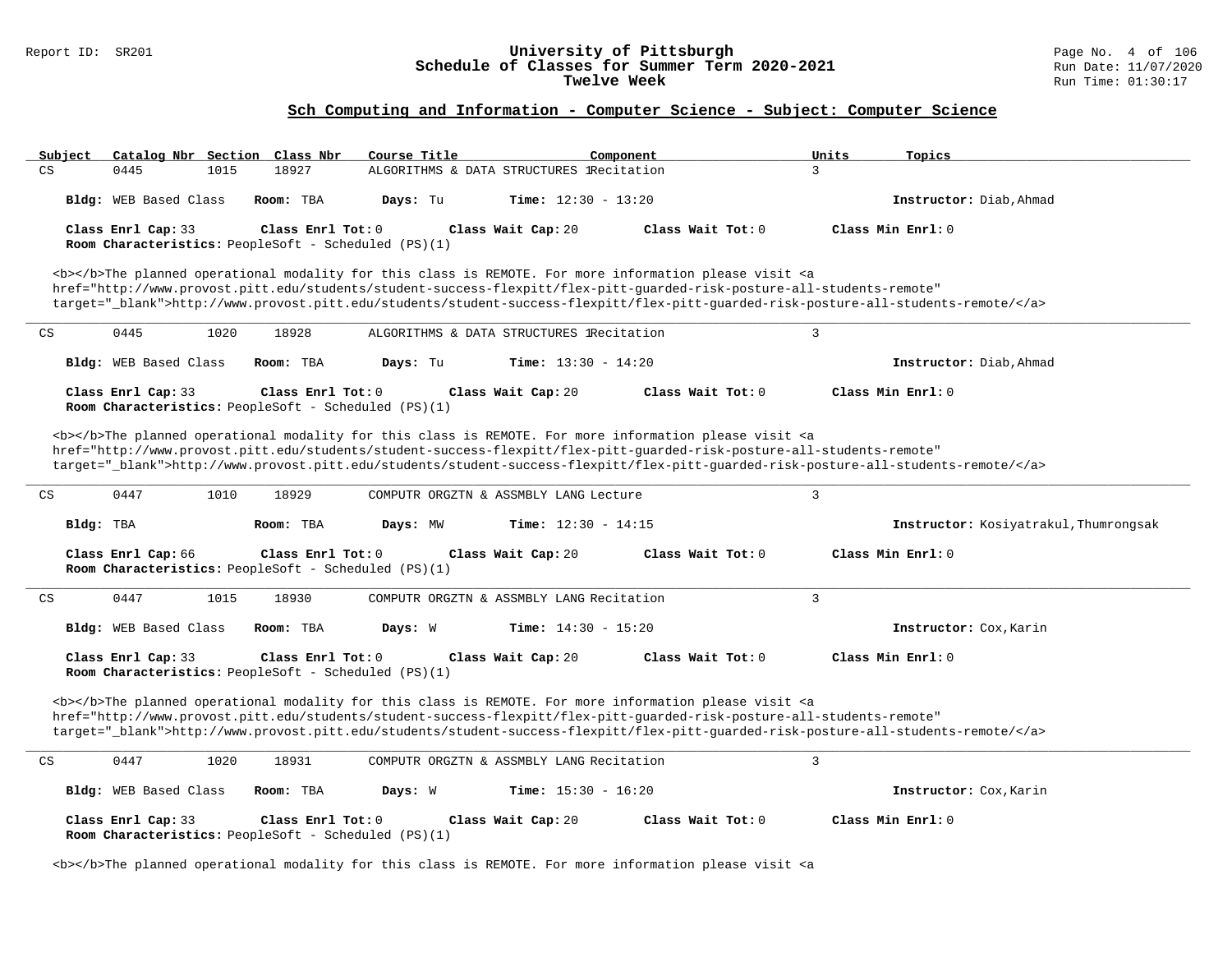#### Report ID: SR201 **University of Pittsburgh** Page No. 4 of 106 **Schedule of Classes for Summer Term 2020-2021** Run Date: 11/07/2020 **Twelve Week** Run Time: 01:30:17

# **Sch Computing and Information - Computer Science - Subject: Computer Science**

| Subject<br>Catalog Nbr Section Class Nbr                                                          | Course Title<br>Component                                                                                                                                                                                                                 | Units<br>Topics                       |
|---------------------------------------------------------------------------------------------------|-------------------------------------------------------------------------------------------------------------------------------------------------------------------------------------------------------------------------------------------|---------------------------------------|
| CS<br>0445<br>1015<br>18927                                                                       | ALGORITHMS & DATA STRUCTURES IRecitation                                                                                                                                                                                                  | $\mathbf{3}$                          |
| Bldg: WEB Based Class<br>Room: TBA                                                                | Days: Tu<br><b>Time:</b> $12:30 - 13:20$                                                                                                                                                                                                  | Instructor: Diab. Ahmad               |
| Class Enrl Cap: 33<br>Class Enrl Tot: $0$                                                         | Class Wait Cap: 20<br>Class Wait Tot: 0                                                                                                                                                                                                   | Class Min Enrl: 0                     |
| Room Characteristics: PeopleSoft - Scheduled (PS)(1)                                              |                                                                                                                                                                                                                                           |                                       |
|                                                                                                   | <b></b> The planned operational modality for this class is REMOTE. For more information please visit <a< td=""><td></td></a<>                                                                                                             |                                       |
|                                                                                                   | href="http://www.provost.pitt.edu/students/student-success-flexpitt/flex-pitt-quarded-risk-posture-all-students-remote"                                                                                                                   |                                       |
|                                                                                                   | target="_blank">http://www.provost.pitt.edu/students/student-success-flexpitt/flex-pitt-quarded-risk-posture-all-students-remote/                                                                                                         |                                       |
| 0445<br>1020<br>18928<br>CS                                                                       | ALGORITHMS & DATA STRUCTURES lRecitation                                                                                                                                                                                                  | 3                                     |
| Bldg: WEB Based Class<br>Room: TBA                                                                | Days: Tu<br><b>Time:</b> $13:30 - 14:20$                                                                                                                                                                                                  | Instructor: Diab, Ahmad               |
| Class Enrl Cap: 33<br>Class Enrl Tot: $0$<br>Room Characteristics: PeopleSoft - Scheduled (PS)(1) | Class Wait Cap: 20<br>Class Wait Tot: 0                                                                                                                                                                                                   | Class Min $Enrl: 0$                   |
|                                                                                                   |                                                                                                                                                                                                                                           |                                       |
|                                                                                                   | <b></b> The planned operational modality for this class is REMOTE. For more information please visit <a<br>href="http://www.provost.pitt.edu/students/student-success-flexpitt/flex-pitt-quarded-risk-posture-all-students-remote"</a<br> |                                       |
|                                                                                                   | target="_blank">http://www.provost.pitt.edu/students/student-success-flexpitt/flex-pitt-quarded-risk-posture-all-students-remote/                                                                                                         |                                       |
| 0447<br>1010<br>CS<br>18929                                                                       | COMPUTR ORGZTN & ASSMBLY LANG Lecture                                                                                                                                                                                                     | 3                                     |
|                                                                                                   |                                                                                                                                                                                                                                           |                                       |
| Bldg: TBA<br>Room: TBA                                                                            | <b>Time:</b> $12:30 - 14:15$<br>Days: MW                                                                                                                                                                                                  | Instructor: Kosiyatrakul, Thumrongsak |
| Class Enrl Cap: 66<br>Class Enrl Tot: 0                                                           | Class Wait Cap: 20<br>Class Wait Tot: 0                                                                                                                                                                                                   | Class Min Enrl: 0                     |
| Room Characteristics: PeopleSoft - Scheduled (PS)(1)                                              |                                                                                                                                                                                                                                           |                                       |
| CS<br>0447<br>1015<br>18930                                                                       | COMPUTR ORGZTN & ASSMBLY LANG Recitation                                                                                                                                                                                                  | 3                                     |
|                                                                                                   |                                                                                                                                                                                                                                           |                                       |
| Bldg: WEB Based Class<br>Room: TBA                                                                | Days: W<br><b>Time:</b> $14:30 - 15:20$                                                                                                                                                                                                   | Instructor: Cox, Karin                |
| Class Enrl Cap: 33<br>Class Enrl Tot: 0                                                           | Class Wait Cap: 20<br>Class Wait Tot: 0                                                                                                                                                                                                   | Class Min Enrl: 0                     |
| Room Characteristics: PeopleSoft - Scheduled (PS)(1)                                              |                                                                                                                                                                                                                                           |                                       |
|                                                                                                   | <b></b> The planned operational modality for this class is REMOTE. For more information please visit <a< td=""><td></td></a<>                                                                                                             |                                       |
|                                                                                                   | href="http://www.provost.pitt.edu/students/student-success-flexpitt/flex-pitt-guarded-risk-posture-all-students-remote"                                                                                                                   |                                       |
|                                                                                                   | target="_blank">http://www.provost.pitt.edu/students/student-success-flexpitt/flex-pitt-quarded-risk-posture-all-students-remote/                                                                                                         |                                       |
| 0447<br>1020<br>18931<br>CS                                                                       | COMPUTR ORGZTN & ASSMBLY LANG Recitation                                                                                                                                                                                                  | 3                                     |
| <b>Bldg:</b> WEB Based Class<br>Room: TBA                                                         | Days: W<br><b>Time:</b> $15:30 - 16:20$                                                                                                                                                                                                   | Instructor: Cox, Karin                |
| Class Enrl Cap: 33<br>Class Enrl Tot: 0                                                           | Class Wait Cap: 20<br>Class Wait Tot: 0                                                                                                                                                                                                   | Class Min Enrl: 0                     |
| Room Characteristics: PeopleSoft - Scheduled (PS)(1)                                              |                                                                                                                                                                                                                                           |                                       |
|                                                                                                   |                                                                                                                                                                                                                                           |                                       |

<b></b>The planned operational modality for this class is REMOTE. For more information please visit <a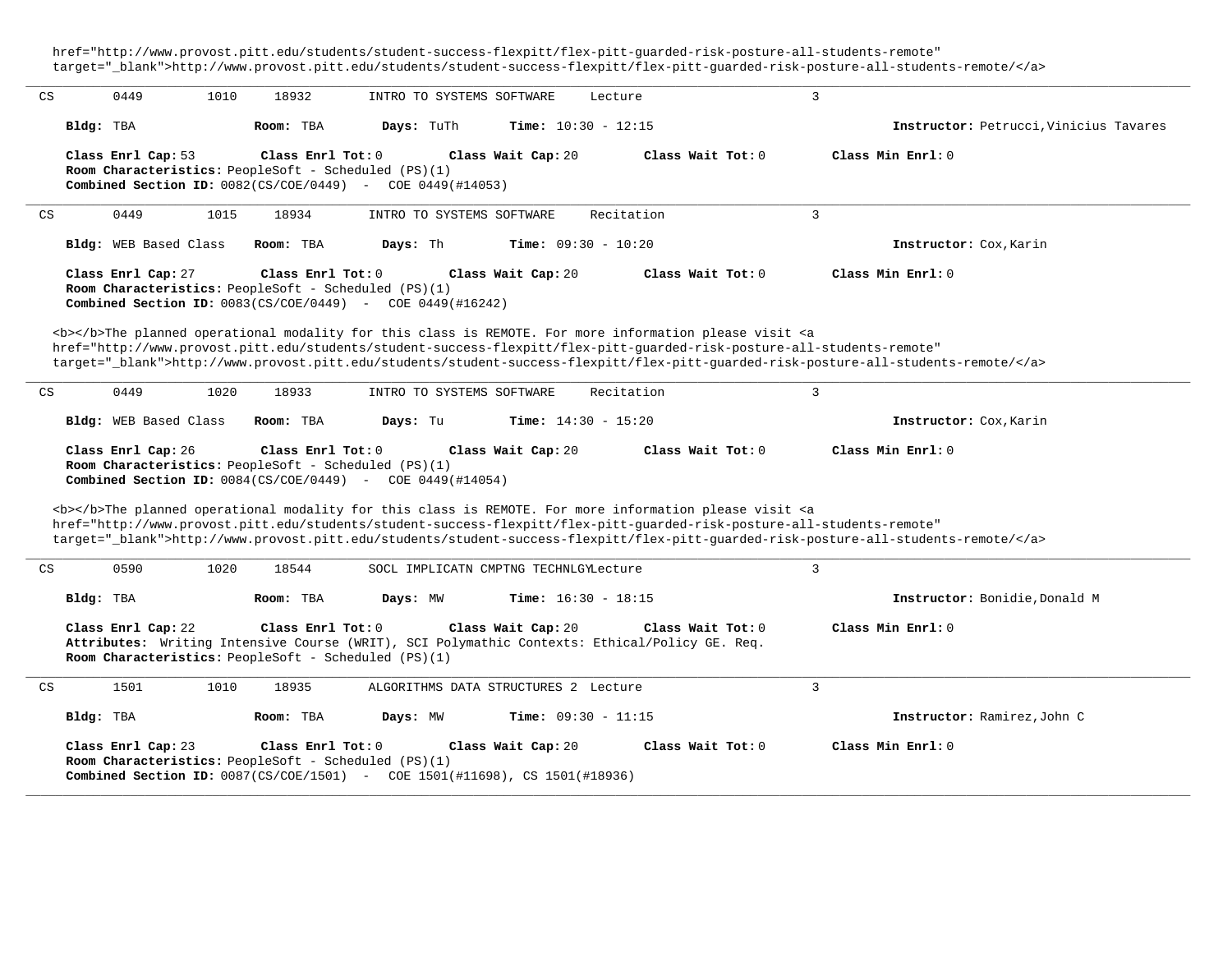href="http://www.provost.pitt.edu/students/student-success-flexpitt/flex-pitt-guarded-risk-posture-all-students-remote" target="\_blank">http://www.provost.pitt.edu/students/student-success-flexpitt/flex-pitt-guarded-risk-posture-all-students-remote/</a>

**\_\_\_\_\_\_\_\_\_\_\_\_\_\_\_\_\_\_\_\_\_\_\_\_\_\_\_\_\_\_\_\_\_\_\_\_\_\_\_\_\_\_\_\_\_\_\_\_\_\_\_\_\_\_\_\_\_\_\_\_\_\_\_\_\_\_\_\_\_\_\_\_\_\_\_\_\_\_\_\_\_\_\_\_\_\_\_\_\_\_\_\_\_\_\_\_\_\_\_\_\_\_\_\_\_\_\_\_\_\_\_\_\_\_\_\_\_\_\_\_\_\_\_\_\_\_\_\_\_\_\_\_\_\_\_\_\_\_\_\_\_\_\_\_\_\_\_\_\_\_\_\_\_\_\_\_** CS 0449 1010 18932 INTRO TO SYSTEMS SOFTWARE Lecture 3 **Bldg:** TBA **Room:** TBA **Days:** TuTh **Time:** 10:30 - 12:15 **Instructor:** Petrucci,Vinicius Tavares **Class Enrl Cap:** 53 **Class Enrl Tot:** 0 **Class Wait Cap:** 20 **Class Wait Tot:** 0 **Class Min Enrl:** 0 **Room Characteristics:** PeopleSoft - Scheduled (PS)(1) **Combined Section ID:** 0082(CS/COE/0449) - COE 0449(#14053) **\_\_\_\_\_\_\_\_\_\_\_\_\_\_\_\_\_\_\_\_\_\_\_\_\_\_\_\_\_\_\_\_\_\_\_\_\_\_\_\_\_\_\_\_\_\_\_\_\_\_\_\_\_\_\_\_\_\_\_\_\_\_\_\_\_\_\_\_\_\_\_\_\_\_\_\_\_\_\_\_\_\_\_\_\_\_\_\_\_\_\_\_\_\_\_\_\_\_\_\_\_\_\_\_\_\_\_\_\_\_\_\_\_\_\_\_\_\_\_\_\_\_\_\_\_\_\_\_\_\_\_\_\_\_\_\_\_\_\_\_\_\_\_\_\_\_\_\_\_\_\_\_\_\_\_\_** CS 0449 1015 18934 INTRO TO SYSTEMS SOFTWARE Recitation 3 **Bldg:** WEB Based Class **Room:** TBA **Days:** Th **Time:** 09:30 - 10:20 **Instructor:** Cox,Karin **Class Enrl Cap:** 27 **Class Enrl Tot:** 0 **Class Wait Cap:** 20 **Class Wait Tot:** 0 **Class Min Enrl:** 0 **Room Characteristics:** PeopleSoft - Scheduled (PS)(1) **Combined Section ID:** 0083(CS/COE/0449) - COE 0449(#16242) <b></b>The planned operational modality for this class is REMOTE. For more information please visit <a href="http://www.provost.pitt.edu/students/student-success-flexpitt/flex-pitt-guarded-risk-posture-all-students-remote" target="\_blank">http://www.provost.pitt.edu/students/student-success-flexpitt/flex-pitt-guarded-risk-posture-all-students-remote/</a> **\_\_\_\_\_\_\_\_\_\_\_\_\_\_\_\_\_\_\_\_\_\_\_\_\_\_\_\_\_\_\_\_\_\_\_\_\_\_\_\_\_\_\_\_\_\_\_\_\_\_\_\_\_\_\_\_\_\_\_\_\_\_\_\_\_\_\_\_\_\_\_\_\_\_\_\_\_\_\_\_\_\_\_\_\_\_\_\_\_\_\_\_\_\_\_\_\_\_\_\_\_\_\_\_\_\_\_\_\_\_\_\_\_\_\_\_\_\_\_\_\_\_\_\_\_\_\_\_\_\_\_\_\_\_\_\_\_\_\_\_\_\_\_\_\_\_\_\_\_\_\_\_\_\_\_\_** CS 0449 1020 18933 INTRO TO SYSTEMS SOFTWARE Recitation 3 **Bldg:** WEB Based Class **Room:** TBA **Days:** Tu **Time:** 14:30 - 15:20 **Instructor:** Cox,Karin **Class Enrl Cap:** 26 **Class Enrl Tot:** 0 **Class Wait Cap:** 20 **Class Wait Tot:** 0 **Class Min Enrl:** 0 **Room Characteristics:** PeopleSoft - Scheduled (PS)(1) **Combined Section ID:** 0084(CS/COE/0449) - COE 0449(#14054) <b></b>The planned operational modality for this class is REMOTE. For more information please visit <a href="http://www.provost.pitt.edu/students/student-success-flexpitt/flex-pitt-guarded-risk-posture-all-students-remote" target="\_blank">http://www.provost.pitt.edu/students/student-success-flexpitt/flex-pitt-guarded-risk-posture-all-students-remote/</a> **\_\_\_\_\_\_\_\_\_\_\_\_\_\_\_\_\_\_\_\_\_\_\_\_\_\_\_\_\_\_\_\_\_\_\_\_\_\_\_\_\_\_\_\_\_\_\_\_\_\_\_\_\_\_\_\_\_\_\_\_\_\_\_\_\_\_\_\_\_\_\_\_\_\_\_\_\_\_\_\_\_\_\_\_\_\_\_\_\_\_\_\_\_\_\_\_\_\_\_\_\_\_\_\_\_\_\_\_\_\_\_\_\_\_\_\_\_\_\_\_\_\_\_\_\_\_\_\_\_\_\_\_\_\_\_\_\_\_\_\_\_\_\_\_\_\_\_\_\_\_\_\_\_\_\_\_** CS 0590 1020 18544 SOCL IMPLICATN CMPTNG TECHNLGYLecture 3 **Bldg:** TBA **Room:** TBA **Days:** MW **Time:** 16:30 - 18:15 **Instructor:** Bonidie,Donald M **Class Enrl Cap:** 22 **Class Enrl Tot:** 0 **Class Wait Cap:** 20 **Class Wait Tot:** 0 **Class Min Enrl:** 0 **Attributes:** Writing Intensive Course (WRIT), SCI Polymathic Contexts: Ethical/Policy GE. Req. **Room Characteristics:** PeopleSoft - Scheduled (PS)(1) **\_\_\_\_\_\_\_\_\_\_\_\_\_\_\_\_\_\_\_\_\_\_\_\_\_\_\_\_\_\_\_\_\_\_\_\_\_\_\_\_\_\_\_\_\_\_\_\_\_\_\_\_\_\_\_\_\_\_\_\_\_\_\_\_\_\_\_\_\_\_\_\_\_\_\_\_\_\_\_\_\_\_\_\_\_\_\_\_\_\_\_\_\_\_\_\_\_\_\_\_\_\_\_\_\_\_\_\_\_\_\_\_\_\_\_\_\_\_\_\_\_\_\_\_\_\_\_\_\_\_\_\_\_\_\_\_\_\_\_\_\_\_\_\_\_\_\_\_\_\_\_\_\_\_\_\_** CS 1501 1010 18935 ALGORITHMS DATA STRUCTURES 2 Lecture 3 **Bldg:** TBA **Room:** TBA **Days:** MW **Time:** 09:30 - 11:15 **Instructor:** Ramirez,John C **Class Enrl Cap:** 23 **Class Enrl Tot:** 0 **Class Wait Cap:** 20 **Class Wait Tot:** 0 **Class Min Enrl:** 0 **Room Characteristics:** PeopleSoft - Scheduled (PS)(1) **Combined Section ID:** 0087(CS/COE/1501) - COE 1501(#11698), CS 1501(#18936) **\_\_\_\_\_\_\_\_\_\_\_\_\_\_\_\_\_\_\_\_\_\_\_\_\_\_\_\_\_\_\_\_\_\_\_\_\_\_\_\_\_\_\_\_\_\_\_\_\_\_\_\_\_\_\_\_\_\_\_\_\_\_\_\_\_\_\_\_\_\_\_\_\_\_\_\_\_\_\_\_\_\_\_\_\_\_\_\_\_\_\_\_\_\_\_\_\_\_\_\_\_\_\_\_\_\_\_\_\_\_\_\_\_\_\_\_\_\_\_\_\_\_\_\_\_\_\_\_\_\_\_\_\_\_\_\_\_\_\_\_\_\_\_\_\_\_\_\_\_\_\_\_\_\_\_\_**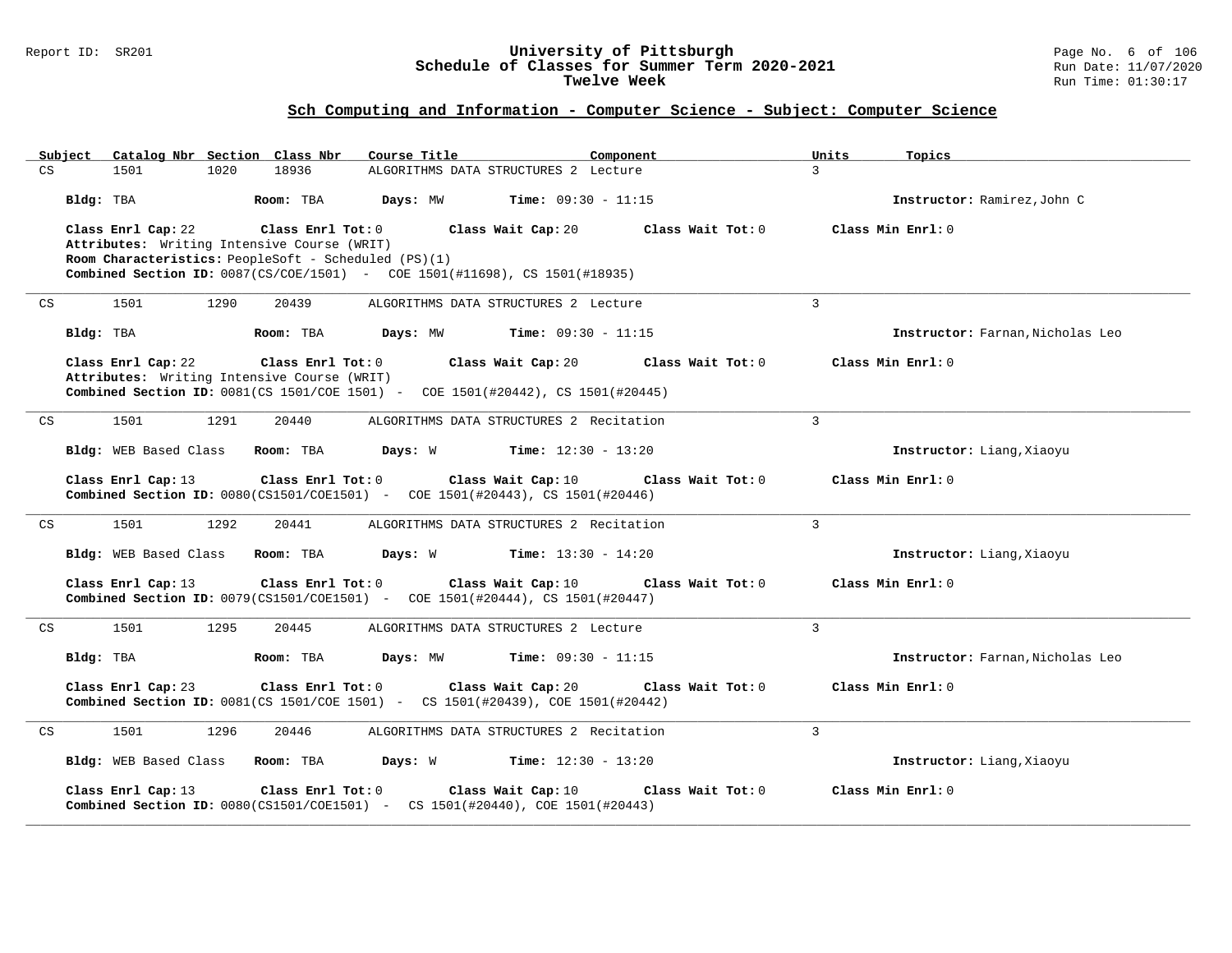### Report ID: SR201 **University of Pittsburgh** Page No. 6 of 106 **Schedule of Classes for Summer Term 2020-2021** Run Date: 11/07/2020 **Twelve Week** Run Time: 01:30:17

|    |           | Subject Catalog Nbr Section Class Nbr |      |                                                                  | Course Title                                                                                                            |                    | Component         | Units          | Topics                           |
|----|-----------|---------------------------------------|------|------------------------------------------------------------------|-------------------------------------------------------------------------------------------------------------------------|--------------------|-------------------|----------------|----------------------------------|
| CS |           | 1501                                  | 1020 | 18936                                                            | ALGORITHMS DATA STRUCTURES 2 Lecture                                                                                    |                    |                   | $\mathcal{L}$  |                                  |
|    | Bldg: TBA |                                       |      | Room: TBA                                                        | <b>Days:</b> $MW$ <b>Time:</b> $09:30 - 11:15$                                                                          |                    |                   |                | Instructor: Ramirez, John C      |
|    |           | Class Enrl Cap: 22                    |      | Class Enrl Tot: 0<br>Attributes: Writing Intensive Course (WRIT) | Room Characteristics: PeopleSoft - Scheduled (PS)(1)                                                                    | Class Wait Cap: 20 | Class Wait Tot: 0 |                | Class Min Enrl: 0                |
|    |           |                                       |      |                                                                  | <b>Combined Section ID:</b> 0087(CS/COE/1501) - COE 1501(#11698), CS 1501(#18935)                                       |                    |                   |                |                                  |
| CS |           | 1501                                  | 1290 | 20439                                                            | ALGORITHMS DATA STRUCTURES 2 Lecture                                                                                    |                    |                   | $\mathbf{3}$   |                                  |
|    | Bldg: TBA |                                       |      | Room: TBA                                                        | <b>Days:</b> MW <b>Time:</b> $09:30 - 11:15$                                                                            |                    |                   |                | Instructor: Farnan, Nicholas Leo |
|    |           | Class Enrl Cap: 22                    |      | Class Enrl Tot: 0                                                |                                                                                                                         | Class Wait Cap: 20 | Class Wait Tot: 0 |                | Class Min Enrl: 0                |
|    |           |                                       |      | Attributes: Writing Intensive Course (WRIT)                      | Combined Section ID: 0081(CS 1501/COE 1501) - COE 1501(#20442), CS 1501(#20445)                                         |                    |                   |                |                                  |
| CS |           | 1501                                  | 1291 | 20440                                                            | ALGORITHMS DATA STRUCTURES 2 Recitation                                                                                 |                    |                   | $\overline{3}$ |                                  |
|    |           | Bldg: WEB Based Class Room: TBA       |      |                                                                  | <b>Days:</b> W <b>Time:</b> $12:30 - 13:20$                                                                             |                    |                   |                | Instructor: Liang, Xiaoyu        |
|    |           | Class Enrl Cap: 13                    |      | $Class$ $Enr1$ $Tot: 0$                                          | <b>Combined Section ID:</b> 0080(CS1501/COE1501) - COE 1501(#20443), CS 1501(#20446)                                    | Class Wait Cap: 10 | Class Wait Tot: 0 |                | Class Min Enrl: 0                |
| CS |           | 1501                                  | 1292 | 20441                                                            | ALGORITHMS DATA STRUCTURES 2 Recitation                                                                                 |                    |                   | $\overline{3}$ |                                  |
|    |           | Bldg: WEB Based Class Room: TBA       |      |                                                                  | <b>Days:</b> W <b>Time:</b> $13:30 - 14:20$                                                                             |                    |                   |                | Instructor: Liang, Xiaoyu        |
|    |           | Class Enrl Cap: 13                    |      | Class Enrl Tot: 0                                                | Combined Section ID: 0079(CS1501/COE1501) - COE 1501(#20444), CS 1501(#20447)                                           | Class Wait Cap: 10 | Class Wait Tot: 0 |                | Class Min Enrl: 0                |
| CS |           | 1501                                  | 1295 | 20445                                                            | ALGORITHMS DATA STRUCTURES 2 Lecture                                                                                    |                    |                   | 3              |                                  |
|    | Bldg: TBA |                                       |      | Room: TBA                                                        | <b>Days:</b> MW <b>Time:</b> $09:30 - 11:15$                                                                            |                    |                   |                | Instructor: Farnan, Nicholas Leo |
|    |           | Class Enrl Cap: 23                    |      |                                                                  | Class Enrl Tot: 0 Class Wait Cap: 20<br>Combined Section ID: 0081(CS 1501/COE 1501) - CS 1501(#20439), COE 1501(#20442) |                    | Class Wait Tot: 0 |                | Class Min Enrl: 0                |
| CS |           | 1501                                  | 1296 | 20446                                                            | ALGORITHMS DATA STRUCTURES 2 Recitation                                                                                 |                    |                   | 3              |                                  |
|    |           | Bldg: WEB Based Class Room: TBA       |      |                                                                  | <b>Days:</b> $W$ <b>Time:</b> $12:30 - 13:20$                                                                           |                    |                   |                | Instructor: Liang, Xiaoyu        |
|    |           | Class Enrl Cap: 13                    |      | Class Enrl Tot: 0                                                | <b>Combined Section ID:</b> $0080(CS1501/C0E1501)$ - CS $1501(#20440)$ , COE $1501(#20443)$                             | Class Wait Cap: 10 | Class Wait Tot: 0 |                | Class Min Enrl: 0                |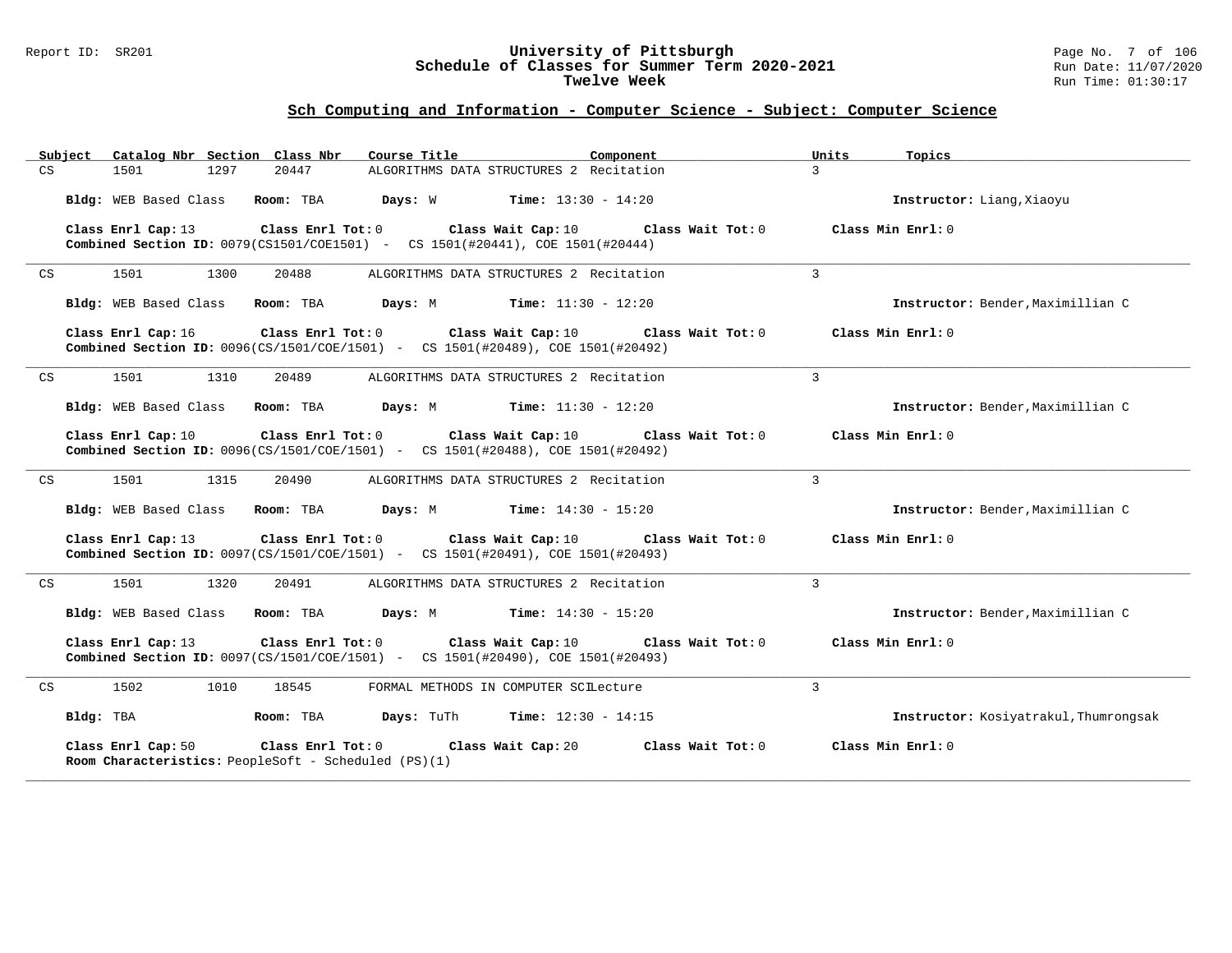#### Report ID: SR201 **University of Pittsburgh** Page No. 7 of 106 **Schedule of Classes for Summer Term 2020-2021** Run Date: 11/07/2020 **Twelve Week** Run Time: 01:30:17

| Subiect | Catalog Nbr Section Class Nbr                                                                                | Course Title                                                 | Component         | Units<br>Topics                       |
|---------|--------------------------------------------------------------------------------------------------------------|--------------------------------------------------------------|-------------------|---------------------------------------|
| CS      | 1501<br>1297<br>20447                                                                                        | ALGORITHMS DATA STRUCTURES 2 Recitation                      |                   | $\mathcal{E}$                         |
|         | Bldg: WEB Based Class Room: TBA                                                                              | <b>Days:</b> $W$ <b>Time:</b> $13:30 - 14:20$                |                   | Instructor: Liang, Xiaoyu             |
|         | Class Enrl Cap: 13<br>Combined Section ID: 0079(CS1501/COE1501) - CS 1501(#20441), COE 1501(#20444)          | Class Enrl Tot: $0$ Class Wait Cap: $10$                     | Class Wait Tot: 0 | Class Min Enrl: 0                     |
| CS      | 1501<br>1300<br>20488                                                                                        | ALGORITHMS DATA STRUCTURES 2 Recitation                      |                   | $\mathbf{3}$                          |
|         | Bldg: WEB Based Class<br>Room: TBA                                                                           | <b>Days:</b> M <b>Time:</b> $11:30 - 12:20$                  |                   | Instructor: Bender, Maximillian C     |
|         | Class Enrl Cap: 16<br>Combined Section ID: 0096(CS/1501/COE/1501) - CS 1501(#20489), COE 1501(#20492)        | Class Enrl Tot: $0$ Class Wait Cap: $10$ Class Wait Tot: $0$ |                   | Class Min Enrl: 0                     |
| CS      | 1501<br>1310<br>20489                                                                                        | ALGORITHMS DATA STRUCTURES 2 Recitation                      |                   | $\mathbf{3}$                          |
|         | Bldg: WEB Based Class Room: TBA                                                                              | <b>Days:</b> M <b>Time:</b> $11:30 - 12:20$                  |                   | Instructor: Bender, Maximillian C     |
|         | Class Enrl Cap: 10<br><b>Combined Section ID:</b> 0096(CS/1501/COE/1501) - CS 1501(#20488), COE 1501(#20492) | Class Enrl Tot: $0$ Class Wait Cap: $10$ Class Wait Tot: $0$ |                   | Class Min Enrl: 0                     |
| CS      | 1501<br>1315<br>20490                                                                                        | ALGORITHMS DATA STRUCTURES 2 Recitation                      |                   | $\overline{3}$                        |
|         | Bldg: WEB Based Class Room: TBA                                                                              | <b>Days:</b> M <b>Time:</b> $14:30 - 15:20$                  |                   | Instructor: Bender, Maximillian C     |
|         | Class Enrl Cap: 13<br>Combined Section ID: 0097(CS/1501/COE/1501) - CS 1501(#20491), COE 1501(#20493)        | Class Enrl Tot: $0$ Class Wait Cap: $10$ Class Wait Tot: $0$ |                   | Class Min Enrl: 0                     |
| CS      | 1501<br>1320<br>20491                                                                                        | ALGORITHMS DATA STRUCTURES 2 Recitation                      |                   | 3                                     |
|         | Bldg: WEB Based Class Room: TBA                                                                              | <b>Days:</b> M <b>Time:</b> $14:30 - 15:20$                  |                   | Instructor: Bender, Maximillian C     |
|         | Class Enrl Cap: 13<br>Combined Section ID: 0097(CS/1501/COE/1501) - CS 1501(#20490), COE 1501(#20493)        | Class Enrl Tot: 0 Class Wait Cap: 10                         | Class Wait Tot: 0 | Class Min Enrl: 0                     |
| CS      | 1502<br>1010<br>18545                                                                                        | FORMAL METHODS IN COMPUTER SCILecture                        |                   | 3                                     |
|         | Bldg: TBA<br>Room: TBA                                                                                       | <b>Days:</b> TuTh <b>Time:</b> $12:30 - 14:15$               |                   | Instructor: Kosiyatrakul, Thumrongsak |
|         | Class Enrl Tot: 0<br>Class Enrl Cap: 50<br>Room Characteristics: PeopleSoft - Scheduled (PS)(1)              | Class Wait Cap: 20                                           | Class Wait Tot: 0 | Class Min Enrl: 0                     |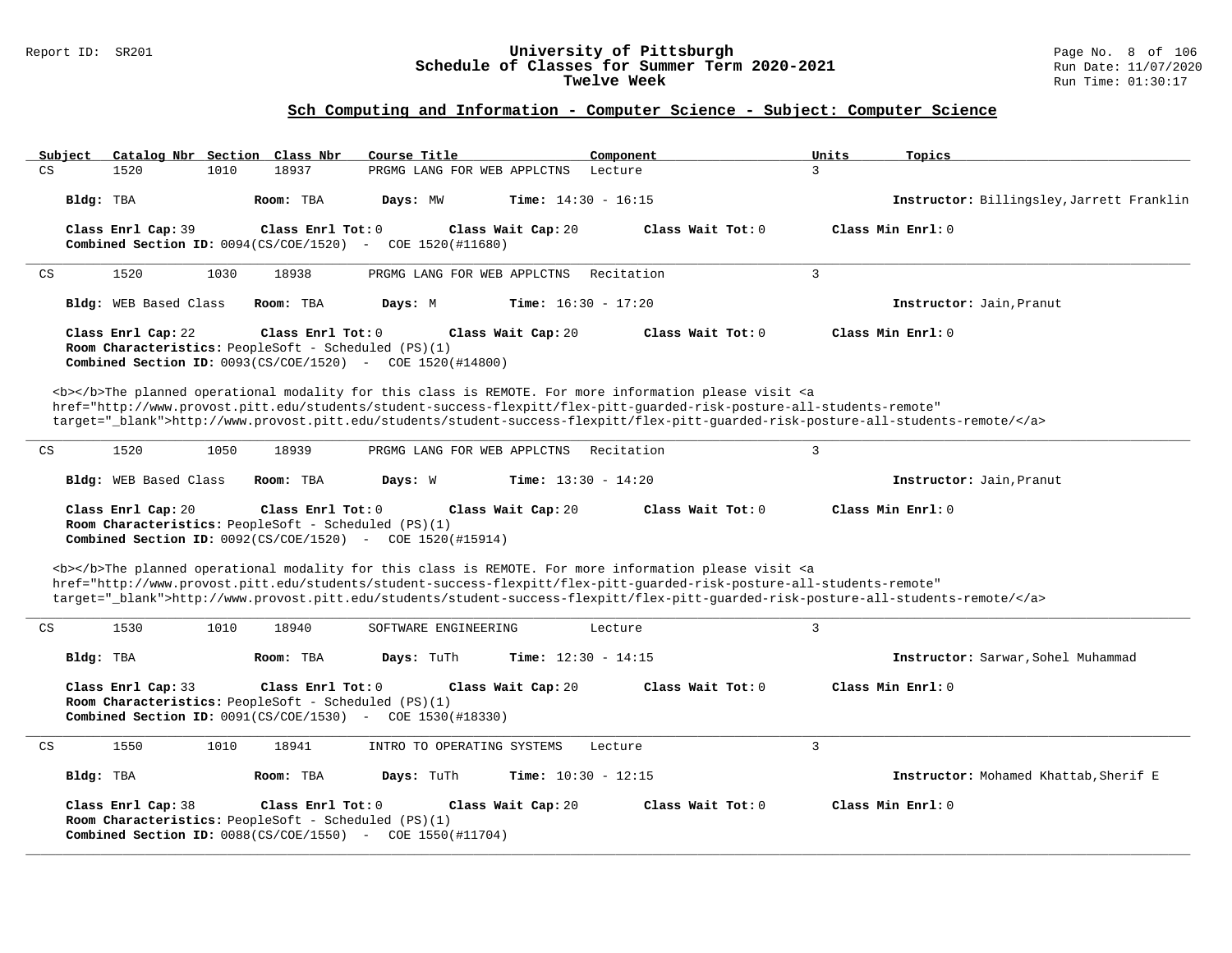### Report ID: SR201 **University of Pittsburgh** Page No. 8 of 106 **Schedule of Classes for Summer Term 2020-2021** Run Date: 11/07/2020 **Twelve Week** Run Time: 01:30:17

| Subject<br>Catalog Nbr Section Class Nbr                                   | Course Title                                                                                                                                                                                                                                                                                                                                                                       | Component                 | Units<br>Topics                           |  |  |  |  |  |  |  |  |
|----------------------------------------------------------------------------|------------------------------------------------------------------------------------------------------------------------------------------------------------------------------------------------------------------------------------------------------------------------------------------------------------------------------------------------------------------------------------|---------------------------|-------------------------------------------|--|--|--|--|--|--|--|--|
| CS<br>1520<br>1010                                                         | 18937<br>PRGMG LANG FOR WEB APPLCTNS                                                                                                                                                                                                                                                                                                                                               | Lecture                   | 3                                         |  |  |  |  |  |  |  |  |
| Bldg: TBA                                                                  | Days: MW<br><b>Time:</b> $14:30 - 16:15$<br>Room: TBA                                                                                                                                                                                                                                                                                                                              |                           | Instructor: Billingsley, Jarrett Franklin |  |  |  |  |  |  |  |  |
| Class Enrl Cap: 39<br>Combined Section ID: $0094(CS/COE/1520)$ -           | Class Enrl Tot: 0<br>Class Wait Cap: 20<br>COE 1520(#11680)                                                                                                                                                                                                                                                                                                                        | Class Wait Tot: 0         | Class Min Enrl: 0                         |  |  |  |  |  |  |  |  |
| 1520<br>1030<br>CS                                                         | 18938<br>PRGMG LANG FOR WEB APPLCTNS                                                                                                                                                                                                                                                                                                                                               | Recitation                | $\overline{3}$                            |  |  |  |  |  |  |  |  |
| Bldg: WEB Based Class                                                      | Room: TBA<br>Days: M<br><b>Time:</b> $16:30 - 17:20$                                                                                                                                                                                                                                                                                                                               |                           | Instructor: Jain, Pranut                  |  |  |  |  |  |  |  |  |
| Class Enrl Cap: 22                                                         | Class Wait Cap: 20<br>Class Enrl Tot: 0<br>Room Characteristics: PeopleSoft - Scheduled (PS)(1)<br><b>Combined Section ID:</b> $0093(CS/COE/1520)$ - COE $1520(H14800)$                                                                                                                                                                                                            | Class Wait Tot: 0         | Class Min Enrl: 0                         |  |  |  |  |  |  |  |  |
|                                                                            | <b></b> The planned operational modality for this class is REMOTE. For more information please visit <a<br>href="http://www.provost.pitt.edu/students/student-success-flexpitt/flex-pitt-guarded-risk-posture-all-students-remote"<br/>target="_blank"&gt;http://www.provost.pitt.edu/students/student-success-flexpitt/flex-pitt-quarded-risk-posture-all-students-remote/</a<br> |                           |                                           |  |  |  |  |  |  |  |  |
| 1520<br>1050<br>CS                                                         | 18939<br>PRGMG LANG FOR WEB APPLCTNS                                                                                                                                                                                                                                                                                                                                               | Recitation                | $\overline{3}$                            |  |  |  |  |  |  |  |  |
| Bldg: WEB Based Class                                                      | <b>Time:</b> $13:30 - 14:20$<br>Room: TBA<br>Days: W                                                                                                                                                                                                                                                                                                                               |                           | Instructor: Jain, Pranut                  |  |  |  |  |  |  |  |  |
| Class Enrl Cap: 20                                                         | Class Min Enrl: 0<br>Class Enrl Tot: 0<br>Class Wait Cap: 20<br>Class Wait Tot: 0<br>Room Characteristics: PeopleSoft - Scheduled (PS)(1)<br><b>Combined Section ID:</b> $0092(CS/COE/1520)$ - COE 1520(#15914)                                                                                                                                                                    |                           |                                           |  |  |  |  |  |  |  |  |
|                                                                            | <b></b> The planned operational modality for this class is REMOTE. For more information please visit <a<br>href="http://www.provost.pitt.edu/students/student-success-flexpitt/flex-pitt-quarded-risk-posture-all-students-remote"<br/>target="_blank"&gt;http://www.provost.pitt.edu/students/student-success-flexpitt/flex-pitt-guarded-risk-posture-all-students-remote/</a<br> |                           |                                           |  |  |  |  |  |  |  |  |
| 1530<br>CS<br>1010                                                         | 18940<br>SOFTWARE ENGINEERING                                                                                                                                                                                                                                                                                                                                                      | $\overline{3}$<br>Lecture |                                           |  |  |  |  |  |  |  |  |
| Bldg: TBA                                                                  | Days: TuTh<br><b>Time:</b> $12:30 - 14:15$<br>Room: TBA                                                                                                                                                                                                                                                                                                                            |                           | Instructor: Sarwar, Sohel Muhammad        |  |  |  |  |  |  |  |  |
| Class Enrl Cap: 33                                                         | Class Enrl Tot: 0<br>Class Wait Cap: 20<br>Room Characteristics: PeopleSoft - Scheduled (PS)(1)<br><b>Combined Section ID:</b> 0091(CS/COE/1530) - COE 1530(#18330)                                                                                                                                                                                                                | Class Wait Tot: 0         | Class Min Enrl: 0                         |  |  |  |  |  |  |  |  |
| 1550<br>CS<br>1010                                                         | 18941<br>INTRO TO OPERATING SYSTEMS                                                                                                                                                                                                                                                                                                                                                | Lecture                   | $\overline{3}$                            |  |  |  |  |  |  |  |  |
| Bldg: TBA                                                                  | Room: TBA<br>Days: TuTh<br>Time: $10:30 - 12:15$                                                                                                                                                                                                                                                                                                                                   |                           | Instructor: Mohamed Khattab, Sherif E     |  |  |  |  |  |  |  |  |
| Class Enrl Cap: 38<br>Room Characteristics: PeopleSoft - Scheduled (PS)(1) | Class Enrl Tot: 0<br>Class Wait Cap: 20<br><b>Combined Section ID:</b> $0088(CS/COE/1550)$ - COE 1550(#11704)                                                                                                                                                                                                                                                                      | Class Wait Tot: 0         | Class Min Enrl: 0                         |  |  |  |  |  |  |  |  |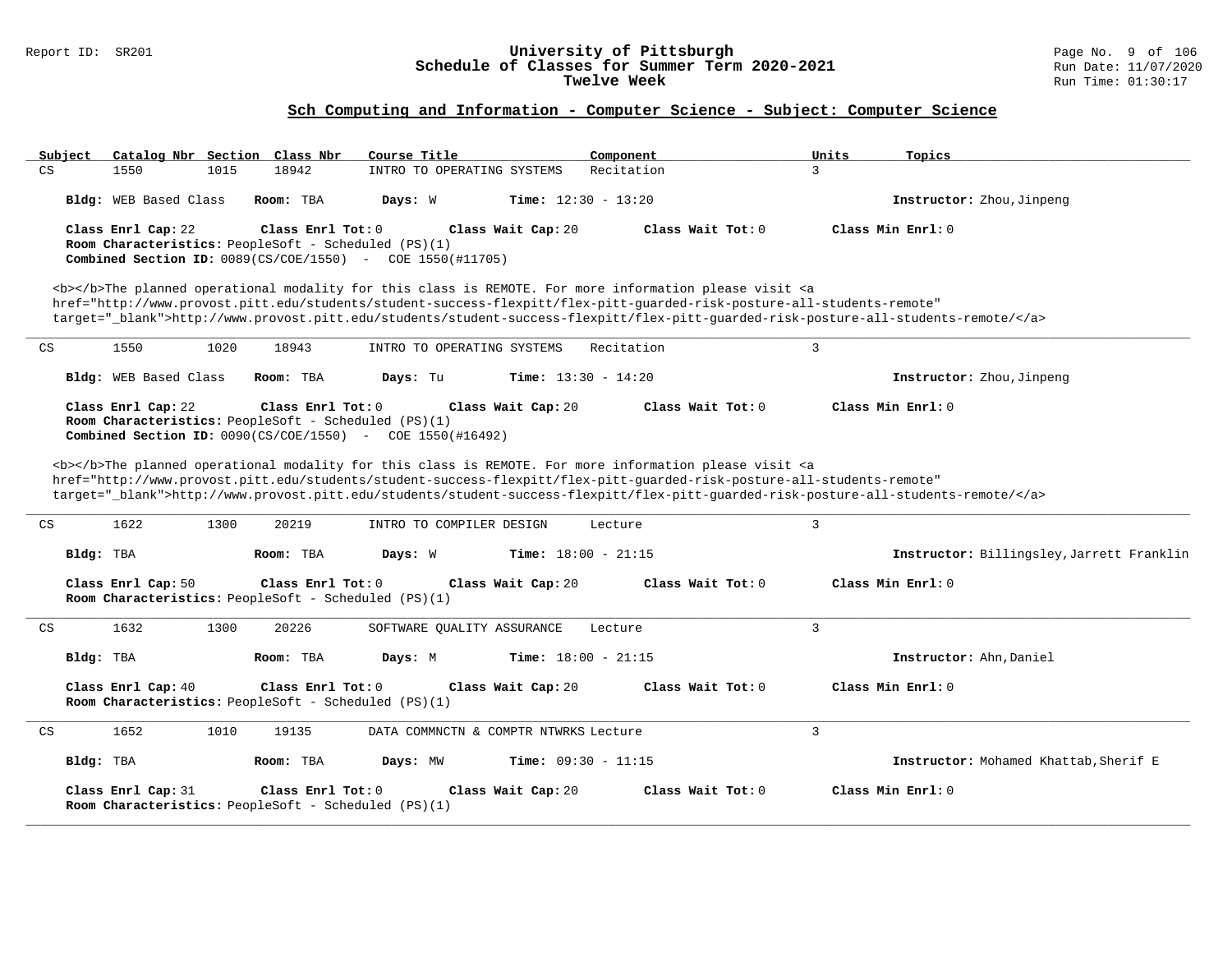### Report ID: SR201 **University of Pittsburgh** Page No. 9 of 106 **Schedule of Classes for Summer Term 2020-2021** Run Date: 11/07/2020 **Twelve Week** Run Time: 01:30:17

| Subject   |                                                                                                                                                                                                                                                                                                                                                                                                                                                                                                                                                                                                                             |      | Catalog Nbr Section Class Nbr                                             | Course Title                                                     |                    | Component                                                                                                                                                                                                                                 |              | Units | Topics                                                                                                                            |  |  |  |
|-----------|-----------------------------------------------------------------------------------------------------------------------------------------------------------------------------------------------------------------------------------------------------------------------------------------------------------------------------------------------------------------------------------------------------------------------------------------------------------------------------------------------------------------------------------------------------------------------------------------------------------------------------|------|---------------------------------------------------------------------------|------------------------------------------------------------------|--------------------|-------------------------------------------------------------------------------------------------------------------------------------------------------------------------------------------------------------------------------------------|--------------|-------|-----------------------------------------------------------------------------------------------------------------------------------|--|--|--|
| CS        | 1550                                                                                                                                                                                                                                                                                                                                                                                                                                                                                                                                                                                                                        | 1015 | 18942                                                                     | INTRO TO OPERATING SYSTEMS                                       |                    | Recitation                                                                                                                                                                                                                                | $\mathbf{R}$ |       |                                                                                                                                   |  |  |  |
|           | Bldg: WEB Based Class                                                                                                                                                                                                                                                                                                                                                                                                                                                                                                                                                                                                       |      | Room: TBA                                                                 | Days: W                                                          |                    | Time: $12:30 - 13:20$                                                                                                                                                                                                                     |              |       | Instructor: Zhou, Jinpeng                                                                                                         |  |  |  |
|           | Class Enrl Cap: 22                                                                                                                                                                                                                                                                                                                                                                                                                                                                                                                                                                                                          |      | Class Enrl Tot: 0<br>Room Characteristics: PeopleSoft - Scheduled (PS)(1) | <b>Combined Section ID:</b> 0089(CS/COE/1550) - COE 1550(#11705) | Class Wait Cap: 20 | Class Wait Tot: 0                                                                                                                                                                                                                         |              |       | Class Min Enrl: 0                                                                                                                 |  |  |  |
|           |                                                                                                                                                                                                                                                                                                                                                                                                                                                                                                                                                                                                                             |      |                                                                           |                                                                  |                    | <b></b> The planned operational modality for this class is REMOTE. For more information please visit <a<br>href="http://www.provost.pitt.edu/students/student-success-flexpitt/flex-pitt-quarded-risk-posture-all-students-remote"</a<br> |              |       | target="_blank">http://www.provost.pitt.edu/students/student-success-flexpitt/flex-pitt-quarded-risk-posture-all-students-remote/ |  |  |  |
| CS        | 1550                                                                                                                                                                                                                                                                                                                                                                                                                                                                                                                                                                                                                        | 1020 | 18943                                                                     | INTRO TO OPERATING SYSTEMS                                       |                    | Recitation                                                                                                                                                                                                                                | 3            |       |                                                                                                                                   |  |  |  |
|           | Bldg: WEB Based Class                                                                                                                                                                                                                                                                                                                                                                                                                                                                                                                                                                                                       |      | Room: TBA                                                                 | Days: Tu                                                         |                    | <b>Time:</b> $13:30 - 14:20$                                                                                                                                                                                                              |              |       | Instructor: Zhou, Jinpeng                                                                                                         |  |  |  |
|           | Class Enrl Cap: 22<br>Class Enrl Tot: 0<br>Class Wait Tot: 0<br>Class Min Enrl: 0<br>Class Wait Cap: 20<br>Room Characteristics: PeopleSoft - Scheduled (PS)(1)<br><b>Combined Section ID:</b> $0090(CS/COE/1550)$ - COE 1550(#16492)<br><b></b> The planned operational modality for this class is REMOTE. For more information please visit <a<br>href="http://www.provost.pitt.edu/students/student-success-flexpitt/flex-pitt-quarded-risk-posture-all-students-remote"<br/>target="_blank"&gt;http://www.provost.pitt.edu/students/student-success-flexpitt/flex-pitt-quarded-risk-posture-all-students-remote/</a<br> |      |                                                                           |                                                                  |                    |                                                                                                                                                                                                                                           |              |       |                                                                                                                                   |  |  |  |
|           | 1622                                                                                                                                                                                                                                                                                                                                                                                                                                                                                                                                                                                                                        | 1300 | 20219                                                                     | INTRO TO COMPILER DESIGN                                         |                    |                                                                                                                                                                                                                                           | 3            |       |                                                                                                                                   |  |  |  |
| CS        |                                                                                                                                                                                                                                                                                                                                                                                                                                                                                                                                                                                                                             |      |                                                                           |                                                                  |                    | Lecture                                                                                                                                                                                                                                   |              |       |                                                                                                                                   |  |  |  |
| Bldg: TBA |                                                                                                                                                                                                                                                                                                                                                                                                                                                                                                                                                                                                                             |      | Room: TBA                                                                 | Days: W                                                          |                    | <b>Time:</b> $18:00 - 21:15$                                                                                                                                                                                                              |              |       | Instructor: Billingsley, Jarrett Franklin                                                                                         |  |  |  |
|           | Class Enrl Cap: 50                                                                                                                                                                                                                                                                                                                                                                                                                                                                                                                                                                                                          |      | Class Enrl Tot: 0<br>Room Characteristics: PeopleSoft - Scheduled (PS)(1) |                                                                  | Class Wait Cap: 20 | Class Wait Tot: 0                                                                                                                                                                                                                         |              |       | Class Min Enrl: 0                                                                                                                 |  |  |  |
| CS        | 1632                                                                                                                                                                                                                                                                                                                                                                                                                                                                                                                                                                                                                        | 1300 | 20226                                                                     | SOFTWARE QUALITY ASSURANCE                                       |                    | Lecture                                                                                                                                                                                                                                   | 3            |       |                                                                                                                                   |  |  |  |
| Bldg: TBA |                                                                                                                                                                                                                                                                                                                                                                                                                                                                                                                                                                                                                             |      | Room: TBA                                                                 | Days: M                                                          |                    | <b>Time:</b> $18:00 - 21:15$                                                                                                                                                                                                              |              |       | Instructor: Ahn, Daniel                                                                                                           |  |  |  |
|           | Class Enrl Cap: 40                                                                                                                                                                                                                                                                                                                                                                                                                                                                                                                                                                                                          |      | Class Enrl Tot: 0<br>Room Characteristics: PeopleSoft - Scheduled (PS)(1) |                                                                  | Class Wait Cap: 20 | Class Wait Tot: 0                                                                                                                                                                                                                         |              |       | Class Min Enrl: 0                                                                                                                 |  |  |  |
| CS        | 1652                                                                                                                                                                                                                                                                                                                                                                                                                                                                                                                                                                                                                        | 1010 | 19135                                                                     | DATA COMMNCTN & COMPTR NTWRKS Lecture                            |                    |                                                                                                                                                                                                                                           | 3            |       |                                                                                                                                   |  |  |  |
| Bldg: TBA |                                                                                                                                                                                                                                                                                                                                                                                                                                                                                                                                                                                                                             |      | Room: TBA                                                                 | Days: MW                                                         |                    | Time: $09:30 - 11:15$                                                                                                                                                                                                                     |              |       | Instructor: Mohamed Khattab, Sherif E                                                                                             |  |  |  |
|           | Class Enrl Cap: 31                                                                                                                                                                                                                                                                                                                                                                                                                                                                                                                                                                                                          |      | Class Enrl Tot: 0<br>Room Characteristics: PeopleSoft - Scheduled (PS)(1) |                                                                  | Class Wait Cap: 20 | Class Wait Tot: 0                                                                                                                                                                                                                         |              |       | Class Min Enrl: 0                                                                                                                 |  |  |  |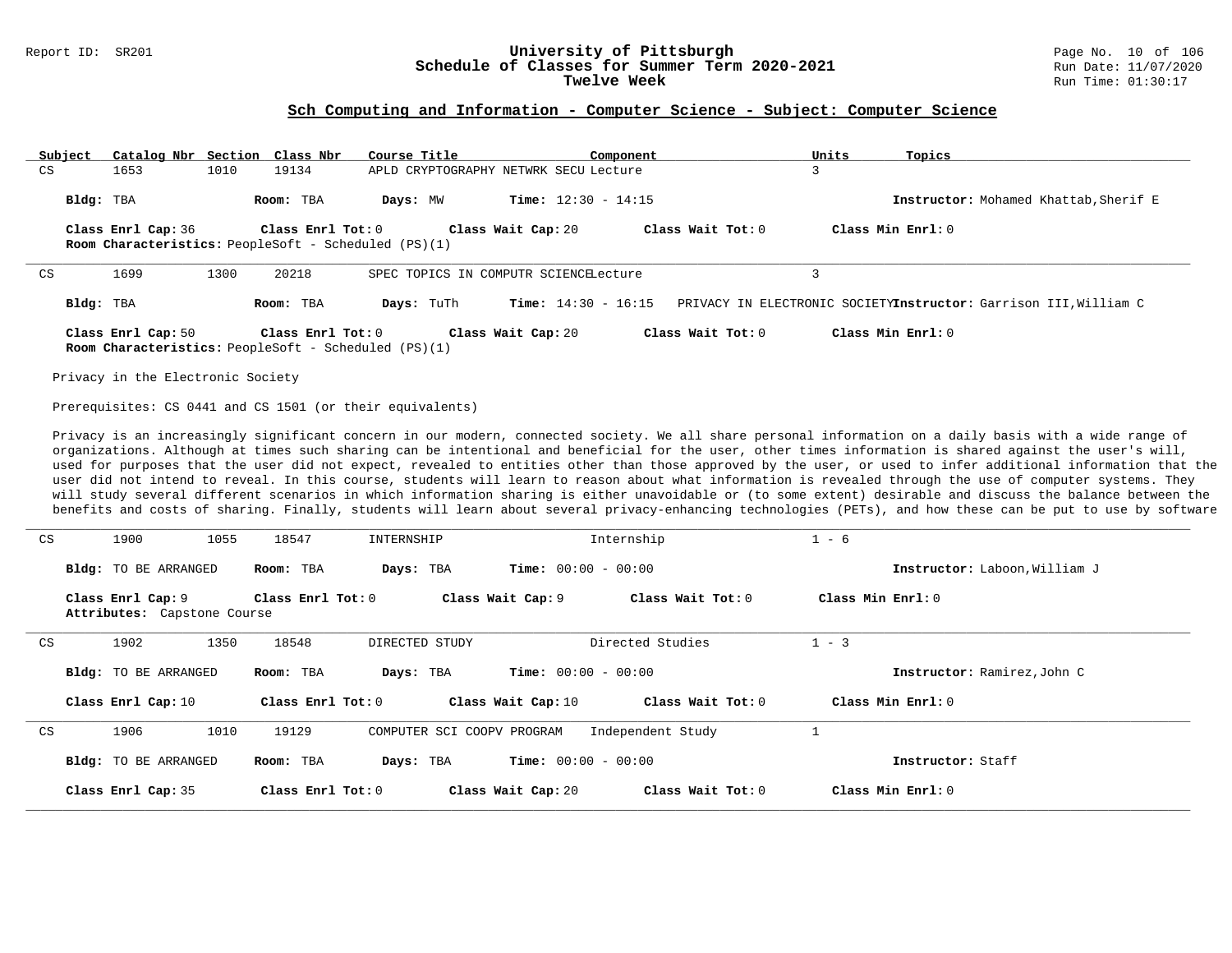# Report ID: SR201 **1988 Chedule of Classes for Summer Term 2020-2021** Page No. 10 of 106<br>**Schedule of Classes for Summer Term 2020-2021** Run Date: 11/07/2020 Schedule of Classes for Summer Term 2020-2021<br>Twelve Week

#### **Sch Computing and Information - Computer Science - Subject: Computer Science**

|    | Subject   | Catalog Nbr Section Class Nbr |      |                                                                                      | Course Title                          |                              | Component |                     | Units | Topics                                                           |
|----|-----------|-------------------------------|------|--------------------------------------------------------------------------------------|---------------------------------------|------------------------------|-----------|---------------------|-------|------------------------------------------------------------------|
| CS |           | 1653                          | 1010 | 19134                                                                                | APLD CRYPTOGRAPHY NETWRK SECU Lecture |                              |           |                     |       |                                                                  |
|    | Bldg: TBA |                               |      | Room: TBA                                                                            | Days: MW                              | <b>Time:</b> $12:30 - 14:15$ |           |                     |       | Instructor: Mohamed Khattab, Sherif E                            |
|    |           | Class Enrl Cap: 36            |      | Class Enrl Tot: 0<br><b>Room Characteristics:</b> PeopleSoft - Scheduled (PS)(1)     |                                       | Class Wait Cap: 20           |           | Class Wait Tot: $0$ |       | Class Min Enrl: 0                                                |
| CS |           | 1699                          | 1300 | 20218                                                                                | SPEC TOPICS IN COMPUTR SCIENCELecture |                              |           |                     |       |                                                                  |
|    | Bldg: TBA |                               |      | Room: TBA                                                                            | Days: TuTh                            | <b>Time:</b> $14:30 - 16:15$ |           |                     |       | PRIVACY IN ELECTRONIC SOCIETYInstructor: Garrison III, William C |
|    |           | Class Enrl Cap: 50            |      | Class Enrl Tot: $0$<br><b>Room Characteristics:</b> PeopleSoft - Scheduled $(PS)(1)$ |                                       | Class Wait Cap: 20           |           | Class Wait Tot: $0$ |       | Class Min Enrl: 0                                                |

Privacy in the Electronic Society

Prerequisites: CS 0441 and CS 1501 (or their equivalents)

Privacy is an increasingly significant concern in our modern, connected society. We all share personal information on a daily basis with a wide range of organizations. Although at times such sharing can be intentional and beneficial for the user, other times information is shared against the user's will, used for purposes that the user did not expect, revealed to entities other than those approved by the user, or used to infer additional information that the user did not intend to reveal. In this course, students will learn to reason about what information is revealed through the use of computer systems. They will study several different scenarios in which information sharing is either unavoidable or (to some extent) desirable and discuss the balance between the benefits and costs of sharing. Finally, students will learn about several privacy-enhancing technologies (PETs), and how these can be put to use by software

|    | Class Enrl Cap: 10          |      | Class Enrl Tot: 0 |                            | Class Wait Cap: 10           | Class Wait Tot: 0 | Class Min Enrl: 0             |  |
|----|-----------------------------|------|-------------------|----------------------------|------------------------------|-------------------|-------------------------------|--|
|    |                             |      |                   |                            |                              |                   |                               |  |
|    |                             |      |                   |                            |                              |                   |                               |  |
|    |                             |      |                   |                            |                              |                   |                               |  |
| CS | 1906                        | 1010 | 19129             | COMPUTER SCI COOPV PROGRAM |                              | Independent Study |                               |  |
|    |                             |      |                   |                            |                              |                   |                               |  |
|    |                             |      |                   |                            |                              |                   |                               |  |
|    |                             |      |                   |                            |                              |                   |                               |  |
|    |                             |      |                   |                            |                              |                   |                               |  |
|    |                             |      |                   |                            |                              |                   |                               |  |
|    |                             |      |                   |                            |                              |                   |                               |  |
|    | <b>Bldg:</b> TO BE ARRANGED |      | Room: TBA         | Days: TBA                  | <b>Time:</b> $00:00 - 00:00$ |                   | Instructor: Ramirez, John C   |  |
|    |                             |      |                   |                            |                              |                   |                               |  |
| CS | 1902                        | 1350 | 18548             | DIRECTED STUDY             |                              | Directed Studies  | $1 - 3$                       |  |
|    | Attributes: Capstone Course |      |                   |                            |                              |                   |                               |  |
|    | Class Enrl Cap: 9           |      | Class Enrl Tot: 0 |                            | Class Wait Cap: 9            | Class Wait Tot: 0 | Class Min Enrl: 0             |  |
|    |                             |      |                   |                            |                              |                   |                               |  |
|    | <b>Bldg:</b> TO BE ARRANGED |      | Room: TBA         | Days: TBA                  | <b>Time:</b> $00:00 - 00:00$ |                   | Instructor: Laboon, William J |  |
| CS | 1900                        | 1055 | 18547             | INTERNSHIP                 |                              | Internship        | $1 - 6$                       |  |
|    |                             |      |                   |                            |                              |                   |                               |  |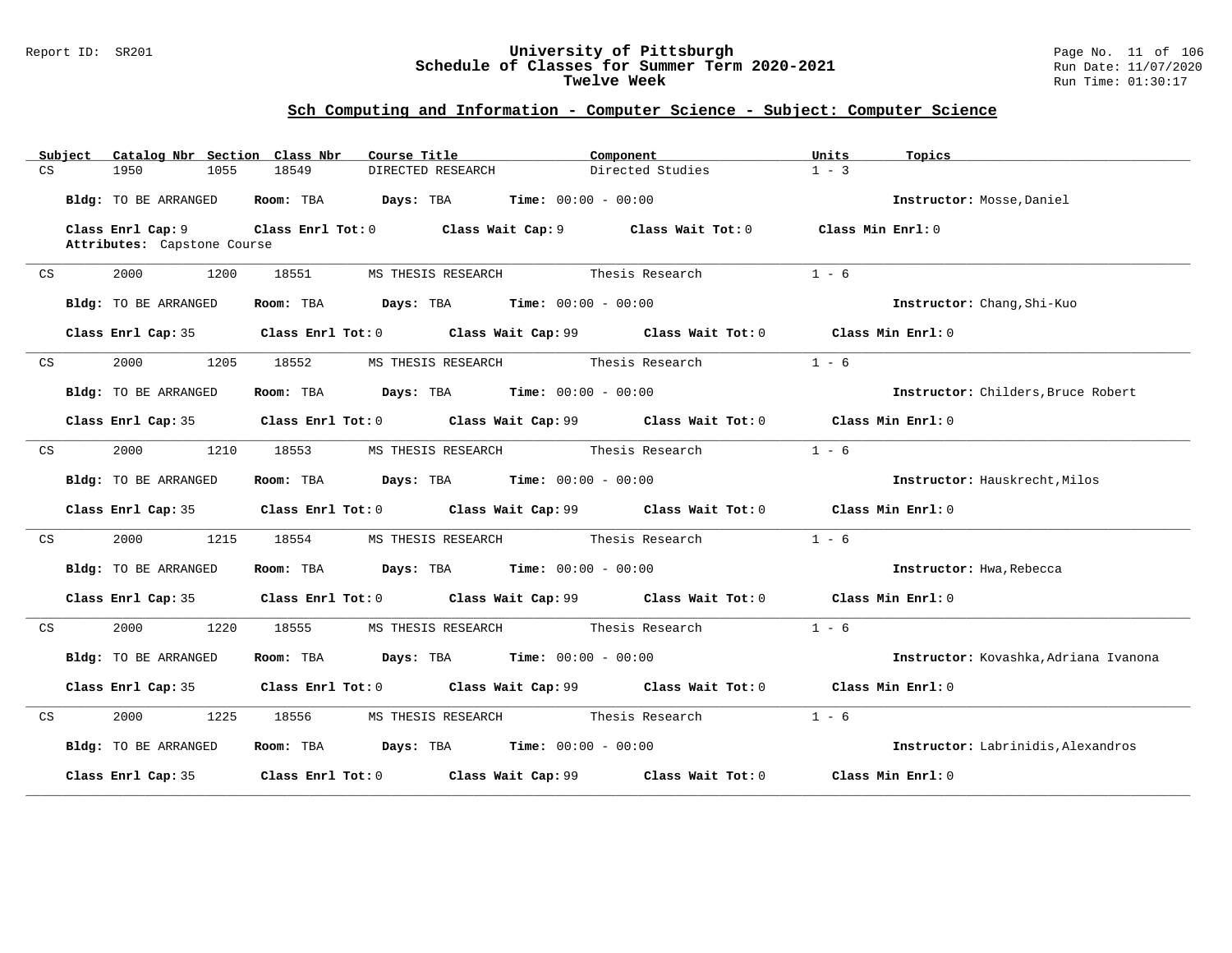#### Report ID: SR201 **University of Pittsburgh** Page No. 11 of 106 **Schedule of Classes for Summer Term 2020-2021** Run Date: 11/07/2020 **Twelve Week** Run Time: 01:30:17

|    | Subject | Catalog Nbr Section Class Nbr                    |       | Course Title                                                                                | Component        | Units<br>Topics                       |  |
|----|---------|--------------------------------------------------|-------|---------------------------------------------------------------------------------------------|------------------|---------------------------------------|--|
| CS |         | 1950<br>1055                                     | 18549 | DIRECTED RESEARCH                                                                           | Directed Studies | $1 - 3$                               |  |
|    |         | Bldg: TO BE ARRANGED                             |       | Room: TBA $Days:$ TBA Time: $00:00 - 00:00$                                                 |                  | Instructor: Mosse, Daniel             |  |
|    |         | Class Enrl Cap: 9<br>Attributes: Capstone Course |       | Class Enrl Tot: $0$ Class Wait Cap: $9$ Class Wait Tot: $0$ Class Min Enrl: $0$             |                  |                                       |  |
| CS |         | 1200<br>2000                                     | 18551 |                                                                                             |                  | $1 - 6$                               |  |
|    |         | Bldg: TO BE ARRANGED                             |       | Room: TBA $Days:$ TBA $Time: 00:00 - 00:00$                                                 |                  | Instructor: Chang, Shi-Kuo            |  |
|    |         |                                                  |       | Class Enrl Cap: 35 Class Enrl Tot: 0 Class Wait Cap: 99 Class Wait Tot: 0 Class Min Enrl: 0 |                  |                                       |  |
| CS |         | 2000<br>1205                                     | 18552 | MS THESIS RESEARCH Thesis Research                                                          |                  | $1 - 6$                               |  |
|    |         | Bldg: TO BE ARRANGED                             |       | Room: TBA $Days:$ TBA $Time: 00:00 - 00:00$                                                 |                  | Instructor: Childers, Bruce Robert    |  |
|    |         |                                                  |       | Class Enrl Cap: 35 Class Enrl Tot: 0 Class Wait Cap: 99 Class Wait Tot: 0 Class Min Enrl: 0 |                  |                                       |  |
| CS |         | 2000<br>1210                                     | 18553 | MS THESIS RESEARCH Thesis Research                                                          |                  | $1 - 6$                               |  |
|    |         | Bldg: TO BE ARRANGED                             |       | Room: TBA $Days:$ TBA $Time:$ 00:00 - 00:00                                                 |                  | Instructor: Hauskrecht, Milos         |  |
|    |         |                                                  |       | Class Enrl Cap: 35 Class Enrl Tot: 0 Class Wait Cap: 99 Class Wait Tot: 0 Class Min Enrl: 0 |                  |                                       |  |
| CS |         | 2000 1215                                        | 18554 | MS THESIS RESEARCH Thesis Research                                                          |                  | $1 - 6$                               |  |
|    |         | Bldg: TO BE ARRANGED                             |       | Room: TBA $Days:$ TBA $Time: 00:00 - 00:00$                                                 |                  | Instructor: Hwa, Rebecca              |  |
|    |         |                                                  |       | Class Enrl Cap: 35 Class Enrl Tot: 0 Class Wait Cap: 99 Class Wait Tot: 0 Class Min Enrl: 0 |                  |                                       |  |
| CS |         | 2000 1220                                        | 18555 | MS THESIS RESEARCH Thesis Research                                                          |                  | $1 - 6$                               |  |
|    |         | Bldg: TO BE ARRANGED                             |       | Room: TBA $Days:$ TBA $Time: 00:00 - 00:00$                                                 |                  | Instructor: Kovashka, Adriana Ivanona |  |
|    |         |                                                  |       | Class Enrl Cap: 35 Class Enrl Tot: 0 Class Wait Cap: 99 Class Wait Tot: 0 Class Min Enrl: 0 |                  |                                       |  |
| CS |         | 2000 - 100<br>1225                               |       | 18556 MS THESIS RESEARCH Thesis Research                                                    |                  | $1 - 6$                               |  |
|    |         | Bldg: TO BE ARRANGED                             |       | Room: TBA $Days: TBA$ Time: $00:00 - 00:00$                                                 |                  | Instructor: Labrinidis, Alexandros    |  |
|    |         |                                                  |       | Class Enrl Cap: 35 Class Enrl Tot: 0 Class Wait Cap: 99 Class Wait Tot: 0                   |                  | Class Min Enrl: 0                     |  |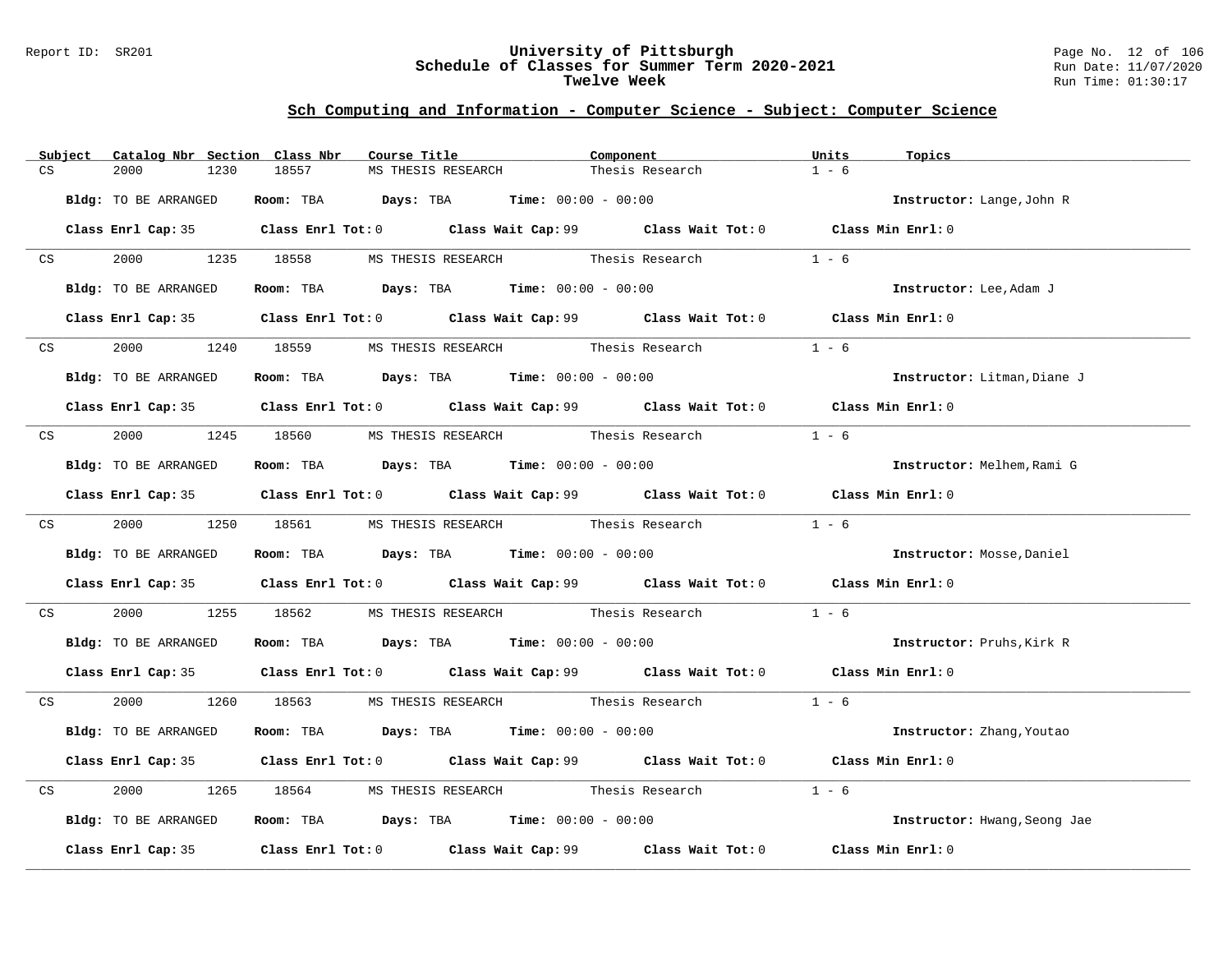#### Report ID: SR201 **University of Pittsburgh** Page No. 12 of 106 **Schedule of Classes for Summer Term 2020-2021** Run Date: 11/07/2020 **Twelve Week** Run Time: 01:30:17

|    | Subject | Catalog Nbr Section Class Nbr |            | Course Title                                                   | Component                                                                                   | Units<br>Topics              |  |
|----|---------|-------------------------------|------------|----------------------------------------------------------------|---------------------------------------------------------------------------------------------|------------------------------|--|
| CS |         | 2000<br>1230                  | 18557      | MS THESIS RESEARCH                                             | Thesis Research                                                                             | $1 - 6$                      |  |
|    |         | Bldg: TO BE ARRANGED          |            | Room: TBA $Days: TBA$ Time: $00:00 - 00:00$                    |                                                                                             | Instructor: Lange, John R    |  |
|    |         |                               |            |                                                                | Class Enrl Cap: 35 Class Enrl Tot: 0 Class Wait Cap: 99 Class Wait Tot: 0 Class Min Enrl: 0 |                              |  |
|    | CS      |                               |            |                                                                | 2000 1235 18558 MS THESIS RESEARCH Thesis Research                                          | $1 - 6$                      |  |
|    |         | Bldg: TO BE ARRANGED          |            | Room: TBA $\rule{1em}{0.15mm}$ Days: TBA Time: $00:00 - 00:00$ |                                                                                             | Instructor: Lee, Adam J      |  |
|    |         |                               |            |                                                                | Class Enrl Cap: 35 Class Enrl Tot: 0 Class Wait Cap: 99 Class Wait Tot: 0 Class Min Enrl: 0 |                              |  |
|    | CS      |                               |            | 2000 1240 18559 MS THESIS RESEARCH Thesis Research             |                                                                                             | $1 - 6$                      |  |
|    |         | Bldg: TO BE ARRANGED          |            | Room: TBA $Days:$ TBA $Time: 00:00 - 00:00$                    |                                                                                             | Instructor: Litman, Diane J  |  |
|    |         |                               |            |                                                                | Class Enrl Cap: 35 Class Enrl Tot: 0 Class Wait Cap: 99 Class Wait Tot: 0 Class Min Enrl: 0 |                              |  |
|    |         |                               |            | CS 2000 1245 18560 MS THESIS RESEARCH Thesis Research          |                                                                                             | $1 - 6$                      |  |
|    |         | Bldg: TO BE ARRANGED          |            | Room: TBA $Days: TBA$ Time: $00:00 - 00:00$                    |                                                                                             | Instructor: Melhem, Rami G   |  |
|    |         |                               |            |                                                                | Class Enrl Cap: 35 Class Enrl Tot: 0 Class Wait Cap: 99 Class Wait Tot: 0 Class Min Enrl: 0 |                              |  |
|    |         |                               |            |                                                                | CS 2000 1250 18561 MS THESIS RESEARCH Thesis Research 1 - 6                                 |                              |  |
|    |         | Bldg: TO BE ARRANGED          |            | Room: TBA $Days:$ TBA $Time: 00:00 - 00:00$                    |                                                                                             | Instructor: Mosse, Daniel    |  |
|    |         |                               |            |                                                                | Class Enrl Cap: 35 Class Enrl Tot: 0 Class Wait Cap: 99 Class Wait Tot: 0 Class Min Enrl: 0 |                              |  |
| CS |         | 2000 000                      | 1255 18562 |                                                                |                                                                                             | $1 - 6$                      |  |
|    |         | Bldg: TO BE ARRANGED          |            | Room: TBA $Days:$ TBA Time: $00:00 - 00:00$                    |                                                                                             | Instructor: Pruhs, Kirk R    |  |
|    |         |                               |            |                                                                | Class Enrl Cap: 35 Class Enrl Tot: 0 Class Wait Cap: 99 Class Wait Tot: 0 Class Min Enrl: 0 |                              |  |
|    |         |                               |            |                                                                | CS 2000 1260 18563 MS THESIS RESEARCH Thesis Research 1 - 6                                 |                              |  |
|    |         | Bldg: TO BE ARRANGED          |            | Room: TBA $Days:$ TBA $Time: 00:00 - 00:00$                    |                                                                                             | Instructor: Zhang, Youtao    |  |
|    |         |                               |            |                                                                | Class Enrl Cap: 35 Class Enrl Tot: 0 Class Wait Cap: 99 Class Wait Tot: 0 Class Min Enrl: 0 |                              |  |
| CS |         | 2000                          |            |                                                                | 1265 18564 MS THESIS RESEARCH Thesis Research                                               | $1 - 6$                      |  |
|    |         | Bldg: TO BE ARRANGED          |            | Room: TBA $\rule{1em}{0.15mm}$ Days: TBA Time: $00:00 - 00:00$ |                                                                                             | Instructor: Hwang, Seong Jae |  |
|    |         |                               |            |                                                                | Class Enrl Cap: 35 Class Enrl Tot: 0 Class Wait Cap: 99 Class Wait Tot: 0 Class Min Enrl: 0 |                              |  |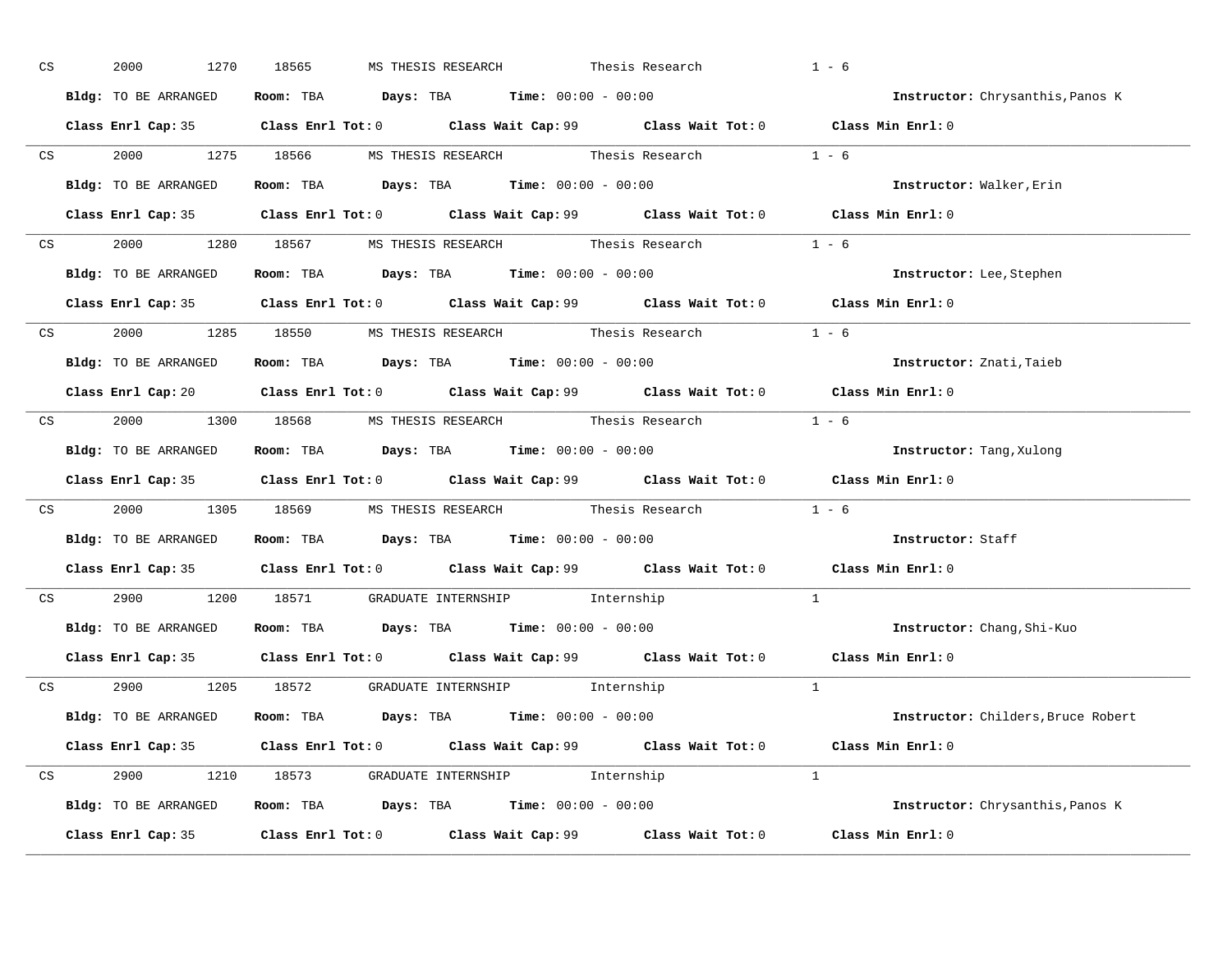| CS |    | 2000<br>1270         | MS THESIS RESEARCH Thesis Research<br>18565                                                 |          | $1 - 6$                            |
|----|----|----------------------|---------------------------------------------------------------------------------------------|----------|------------------------------------|
|    |    | Bldg: TO BE ARRANGED | Room: TBA $Days:$ TBA $Time:$ $00:00 - 00:00$                                               |          | Instructor: Chrysanthis, Panos K   |
|    |    |                      | Class Enrl Cap: 35 Class Enrl Tot: 0 Class Wait Cap: 99 Class Wait Tot: 0 Class Min Enrl: 0 |          |                                    |
|    |    |                      | CS 2000 1275 18566 MS THESIS RESEARCH Thesis Research 1 - 6                                 |          |                                    |
|    |    | Bldg: TO BE ARRANGED | Room: TBA $Days:$ TBA Time: $00:00 - 00:00$                                                 |          | Instructor: Walker, Erin           |
|    |    |                      | Class Enrl Cap: 35 Class Enrl Tot: 0 Class Wait Cap: 99 Class Wait Tot: 0 Class Min Enrl: 0 |          |                                    |
|    |    |                      | CS 2000 1280 18567 MS THESIS RESEARCH Thesis Research 1 - 6                                 |          |                                    |
|    |    |                      | <b>Bldg:</b> TO BE ARRANGED <b>Room:</b> TBA <b>Days:</b> TBA <b>Time:</b> $00:00 - 00:00$  |          | Instructor: Lee, Stephen           |
|    |    |                      | Class Enrl Cap: 35 Class Enrl Tot: 0 Class Wait Cap: 99 Class Wait Tot: 0 Class Min Enrl: 0 |          |                                    |
|    |    |                      | CS 2000 1285 18550 MS THESIS RESEARCH Thesis Research 1 - 6                                 |          |                                    |
|    |    | Bldg: TO BE ARRANGED | Room: TBA $Days:$ TBA $Time: 00:00 - 00:00$                                                 |          | Instructor: Znati, Taieb           |
|    |    |                      | Class Enrl Cap: 20 Class Enrl Tot: 0 Class Wait Cap: 99 Class Wait Tot: 0 Class Min Enrl: 0 |          |                                    |
|    |    |                      | CS 2000 1300 18568 MS THESIS RESEARCH Thesis Research 1 - 6                                 |          |                                    |
|    |    | Bldg: TO BE ARRANGED | Room: TBA $Days$ : TBA Time: $00:00 - 00:00$                                                |          | <b>Instructor:</b> Tang, Xulong    |
|    |    |                      | Class Enrl Cap: 35 Class Enrl Tot: 0 Class Wait Cap: 99 Class Wait Tot: 0 Class Min Enrl: 0 |          |                                    |
|    | CS |                      | 2000 1305 18569 MS THESIS RESEARCH Thesis Research 1 - 6                                    |          |                                    |
|    |    |                      | Bldg: TO BE ARRANGED Room: TBA Days: TBA Time: 00:00 - 00:00                                |          | Instructor: Staff                  |
|    |    |                      | Class Enrl Cap: 35 Class Enrl Tot: 0 Class Wait Cap: 99 Class Wait Tot: 0 Class Min Enrl: 0 |          |                                    |
|    | CS |                      | 2900 1200 18571 GRADUATE INTERNSHIP Internship                                              |          | $\mathbf{1}$                       |
|    |    |                      | Bldg: TO BE ARRANGED Room: TBA Days: TBA Time: 00:00 - 00:00                                |          | Instructor: Chang, Shi-Kuo         |
|    |    |                      | Class Enrl Cap: 35 Class Enrl Tot: 0 Class Wait Cap: 99 Class Wait Tot: 0 Class Min Enrl: 0 |          |                                    |
|    |    |                      | CS 2900 1205 18572 GRADUATE INTERNSHIP Internship                                           |          |                                    |
|    |    | Bldg: TO BE ARRANGED | Room: TBA $Days:$ TBA Time: $00:00 - 00:00$                                                 |          | Instructor: Childers, Bruce Robert |
|    |    |                      | Class Enrl Cap: 35 Class Enrl Tot: 0 Class Wait Cap: 99 Class Wait Tot: 0                   |          | Class Min Enrl: 0                  |
|    |    |                      | CS 2900 1210 18573 GRADUATE INTERNSHIP Internship                                           | $\sim$ 1 |                                    |
|    |    |                      | <b>Bldg:</b> TO BE ARRANGED <b>ROOM:</b> TBA <b>Days:</b> TBA <b>Time:</b> $00:00 - 00:00$  |          | Instructor: Chrysanthis, Panos K   |
|    |    |                      | Class Enrl Cap: 35 Class Enrl Tot: 0 Class Wait Cap: 99 Class Wait Tot: 0                   |          | Class Min Enrl: 0                  |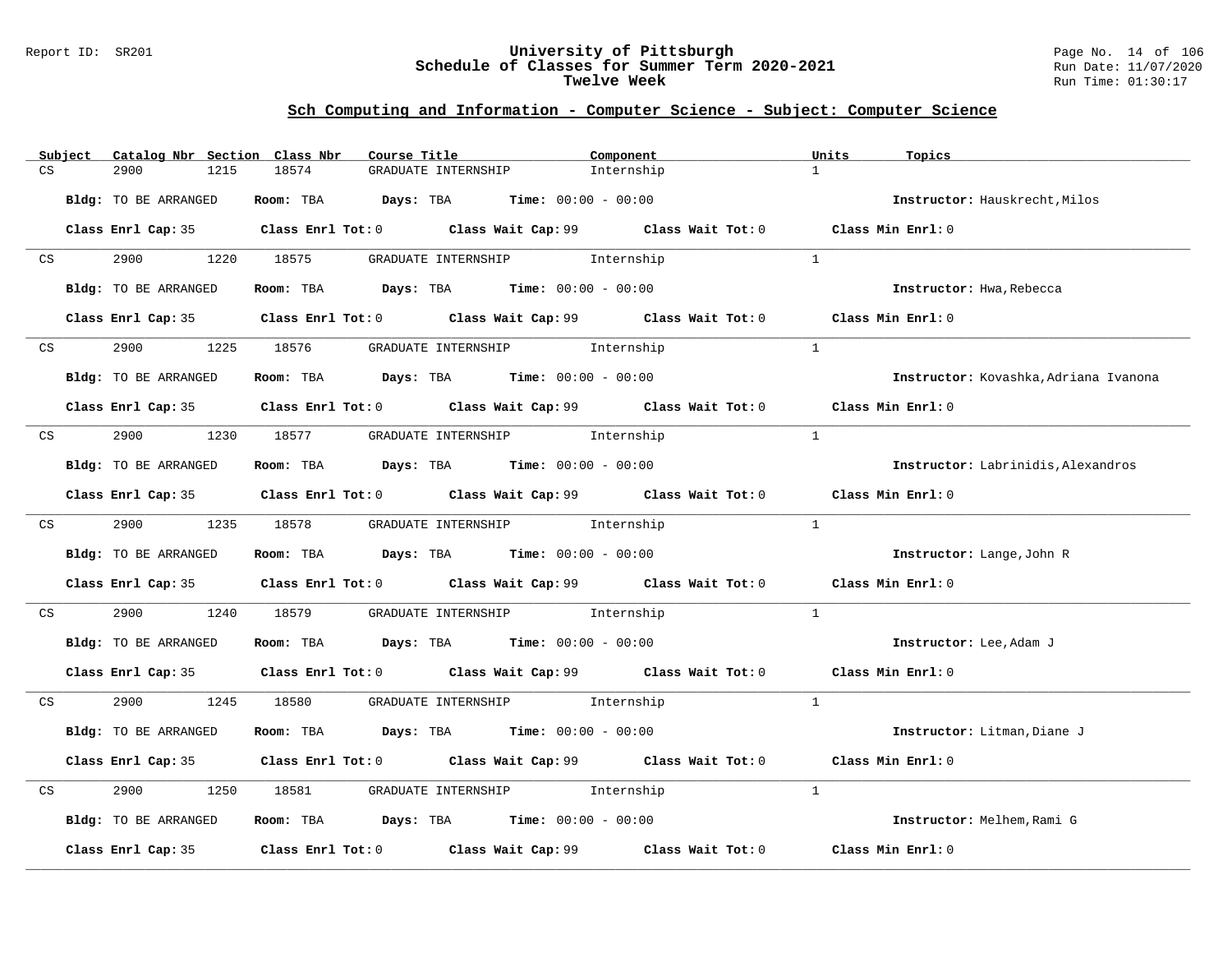#### Report ID: SR201 **University of Pittsburgh** Page No. 14 of 106 **Schedule of Classes for Summer Term 2020-2021** Run Date: 11/07/2020 **Twelve Week** Run Time: 01:30:17

|    | Subject | Catalog Nbr Section Class Nbr | Course Title                                                   |                                  | Component                                                                                            | Units          | Topics                                    |
|----|---------|-------------------------------|----------------------------------------------------------------|----------------------------------|------------------------------------------------------------------------------------------------------|----------------|-------------------------------------------|
| CS |         | 2900<br>1215                  | 18574                                                          | GRADUATE INTERNSHIP              | Internship                                                                                           | $\mathbf{1}$   |                                           |
|    |         | Bldg: TO BE ARRANGED          | Room: TBA $Days:$ TBA $Time: 00:00 - 00:00$                    |                                  |                                                                                                      |                | Instructor: Hauskrecht, Milos             |
|    |         |                               |                                                                |                                  | Class Enrl Cap: 35 Class Enrl Tot: 0 Class Wait Cap: 99 Class Wait Tot: 0 Class Min Enrl: 0          |                |                                           |
| CS |         | 2900 000                      | 1220 18575                                                     | GRADUATE INTERNSHIP 1nternship   |                                                                                                      | $\overline{1}$ |                                           |
|    |         | Bldg: TO BE ARRANGED          | Room: TBA $Days:$ TBA $Time: 00:00 - 00:00$                    |                                  |                                                                                                      |                | Instructor: Hwa, Rebecca                  |
|    |         |                               |                                                                |                                  | Class Enrl Cap: 35 Class Enrl Tot: 0 Class Wait Cap: 99 Class Wait Tot: 0 Class Min Enrl: 0          |                |                                           |
|    | CS      | 2900<br>1225                  | 18576                                                          | GRADUATE INTERNSHIP 5 Internship |                                                                                                      | $\overline{1}$ |                                           |
|    |         | Bldg: TO BE ARRANGED          | Room: TBA $Days:$ TBA $Time: 00:00 - 00:00$                    |                                  |                                                                                                      |                | Instructor: Kovashka, Adriana Ivanona     |
|    |         |                               |                                                                |                                  | Class Enrl Cap: 35 Class Enrl Tot: 0 Class Wait Cap: 99 Class Wait Tot: 0 Class Min Enrl: 0          |                |                                           |
| CS |         |                               | 2900 1230 18577 GRADUATE INTERNSHIP Internship                 |                                  |                                                                                                      | $\overline{1}$ |                                           |
|    |         | Bldg: TO BE ARRANGED          | Room: TBA $\rule{1em}{0.15mm}$ Days: TBA Time: $00:00 - 00:00$ |                                  |                                                                                                      |                | <b>Instructor:</b> Labrinidis, Alexandros |
|    |         |                               |                                                                |                                  | Class Enrl Cap: 35 Class Enrl Tot: 0 Class Wait Cap: 99 Class Wait Tot: 0 Class Min Enrl: 0          |                |                                           |
|    |         | CS 2900 1235 18578            |                                                                | GRADUATE INTERNSHIP 1nternship   |                                                                                                      | $\overline{1}$ |                                           |
|    |         | Bldg: TO BE ARRANGED          | Room: TBA $Days:$ TBA $Time: 00:00 - 00:00$                    |                                  |                                                                                                      |                | Instructor: Lange, John R                 |
|    |         |                               |                                                                |                                  | Class Enrl Cap: 35 $\qquad$ Class Enrl Tot: 0 $\qquad$ Class Wait Cap: 99 $\qquad$ Class Wait Tot: 0 |                | Class Min Enrl: 0                         |
| CS |         | 2900<br>1240                  | 18579                                                          | GRADUATE INTERNSHIP 1nternship   |                                                                                                      | $\mathbf{1}$   |                                           |
|    |         | Bldg: TO BE ARRANGED          | Room: TBA $\rule{1em}{0.15mm}$ Days: TBA Time: $00:00 - 00:00$ |                                  |                                                                                                      |                | Instructor: Lee, Adam J                   |
|    |         |                               |                                                                |                                  | Class Enrl Cap: 35 Class Enrl Tot: 0 Class Wait Cap: 99 Class Wait Tot: 0 Class Min Enrl: 0          |                |                                           |
| CS |         | 2900 1245 18580               |                                                                | GRADUATE INTERNSHIP 1nternship   |                                                                                                      | $\mathbf{1}$   |                                           |
|    |         | Bldg: TO BE ARRANGED          | Room: TBA $Days: TBA$ Time: $00:00 - 00:00$                    |                                  |                                                                                                      |                | Instructor: Litman, Diane J               |
|    |         |                               |                                                                |                                  | Class Enrl Cap: 35 Class Enrl Tot: 0 Class Wait Cap: 99 Class Wait Tot: 0                            |                | Class Min Enrl: 0                         |
| CS |         | 2900<br>1250                  | 18581 - 1858                                                   | GRADUATE INTERNSHIP 1nternship   |                                                                                                      | 1              |                                           |
|    |         | Bldg: TO BE ARRANGED          | Room: TBA $Days: TBA$ Time: $00:00 - 00:00$                    |                                  |                                                                                                      |                | Instructor: Melhem, Rami G                |
|    |         |                               |                                                                |                                  | Class Enrl Cap: 35 $\qquad$ Class Enrl Tot: 0 $\qquad$ Class Wait Cap: 99 $\qquad$ Class Wait Tot: 0 |                | Class Min Enrl: 0                         |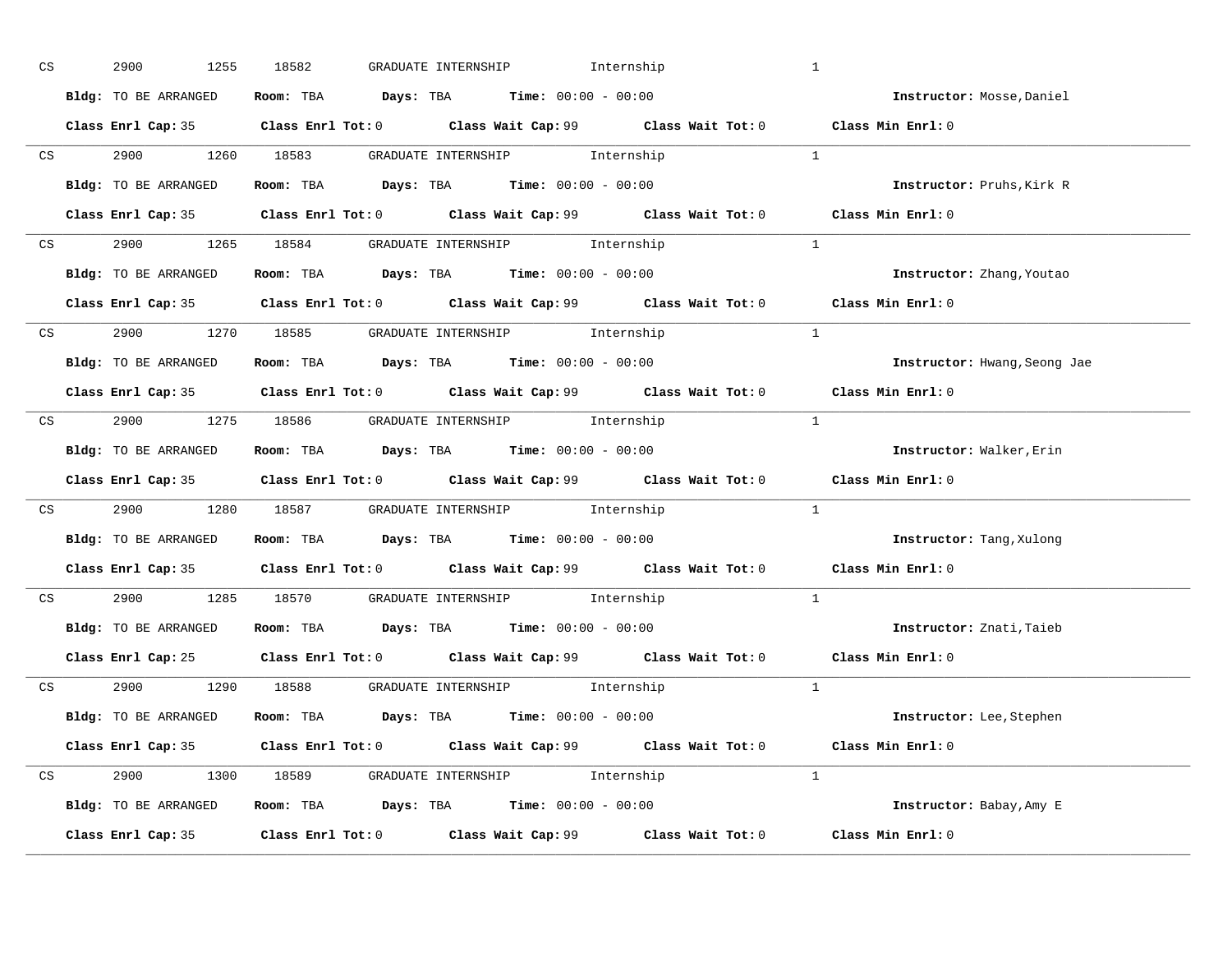| CS <sub>2</sub> | 2900<br>1255         | GRADUATE INTERNSHIP 1nternship<br>18582                                                     |                | $\mathbf{1}$                     |
|-----------------|----------------------|---------------------------------------------------------------------------------------------|----------------|----------------------------------|
|                 | Bldg: TO BE ARRANGED | Room: TBA $\rule{1em}{0.15mm}$ Days: TBA $\rule{1.5mm}{0.15mm}$ Time: $00:00 - 00:00$       |                | Instructor: Mosse, Daniel        |
|                 |                      | Class Enrl Cap: 35 Class Enrl Tot: 0 Class Wait Cap: 99 Class Wait Tot: 0 Class Min Enrl: 0 |                |                                  |
|                 |                      | CS 2900 1260 18583 GRADUATE INTERNSHIP Internship 1                                         |                |                                  |
|                 | Bldg: TO BE ARRANGED | Room: TBA $Days: TBA$ Time: $00:00 - 00:00$                                                 |                | Instructor: Pruhs, Kirk R        |
|                 |                      | Class Enrl Cap: 35 Class Enrl Tot: 0 Class Wait Cap: 99 Class Wait Tot: 0 Class Min Enrl: 0 |                |                                  |
|                 |                      | CS 2900 1265 18584 GRADUATE INTERNSHIP Internship                                           |                |                                  |
|                 |                      | Bldg: TO BE ARRANGED Room: TBA Days: TBA Time: 00:00 - 00:00                                |                | <b>Instructor:</b> Zhang, Youtao |
|                 |                      | Class Enrl Cap: 35 Class Enrl Tot: 0 Class Wait Cap: 99 Class Wait Tot: 0 Class Min Enrl: 0 |                |                                  |
|                 |                      | CS 2900 1270 18585 GRADUATE INTERNSHIP Internship                                           | $\overline{1}$ |                                  |
|                 | Bldg: TO BE ARRANGED | Room: TBA $\rule{1em}{0.15mm}$ Days: TBA Time: $00:00 - 00:00$                              |                | Instructor: Hwang, Seong Jae     |
|                 |                      | Class Enrl Cap: 35 Class Enrl Tot: 0 Class Wait Cap: 99 Class Wait Tot: 0 Class Min Enrl: 0 |                |                                  |
|                 |                      | CS 2900 1275 18586 GRADUATE INTERNSHIP Internship                                           |                |                                  |
|                 |                      | Bldg: TO BE ARRANGED Room: TBA Days: TBA Time: 00:00 - 00:00                                |                | Instructor: Walker, Erin         |
|                 |                      | Class Enrl Cap: 35 Class Enrl Tot: 0 Class Wait Cap: 99 Class Wait Tot: 0                   |                | Class Min Enrl: 0                |
|                 |                      | CS 2900 1280 18587 GRADUATE INTERNSHIP Internship                                           |                | 1                                |
|                 |                      | Bldg: TO BE ARRANGED Room: TBA Days: TBA Time: 00:00 - 00:00                                |                | Instructor: Tang, Xulong         |
|                 |                      | Class Enrl Cap: 35 Class Enrl Tot: 0 Class Wait Cap: 99 Class Wait Tot: 0 Class Min Enrl: 0 |                |                                  |
|                 |                      | CS 2900 1285 18570 GRADUATE INTERNSHIP Internship                                           |                | $\mathbf{1}$                     |
|                 |                      | Bldg: TO BE ARRANGED Room: TBA Days: TBA Time: 00:00 - 00:00                                |                | Instructor: Znati, Taieb         |
|                 |                      | Class Enrl Cap: 25 Class Enrl Tot: 0 Class Wait Cap: 99 Class Wait Tot: 0 Class Min Enrl: 0 |                |                                  |
|                 |                      | CS 2900 1290 18588 GRADUATE INTERNSHIP Internship                                           |                |                                  |
|                 |                      | Bldg: TO BE ARRANGED Room: TBA Days: TBA Time: 00:00 - 00:00                                |                | Instructor: Lee, Stephen         |
|                 |                      | Class Enrl Cap: 35 Class Enrl Tot: 0 Class Wait Cap: 99 Class Wait Tot: 0                   |                | Class Min Enrl: 0                |
|                 |                      | CS 2900 1300 18589 GRADUATE INTERNSHIP Internship                                           | $\sim$ 1       |                                  |
|                 |                      | Bldg: TO BE ARRANGED ROOM: TBA Days: TBA Time: 00:00 - 00:00                                |                | Instructor: Babay, Amy E         |
|                 |                      | Class Enrl Cap: 35 Class Enrl Tot: 0 Class Wait Cap: 99 Class Wait Tot: 0                   |                | Class Min Enrl: 0                |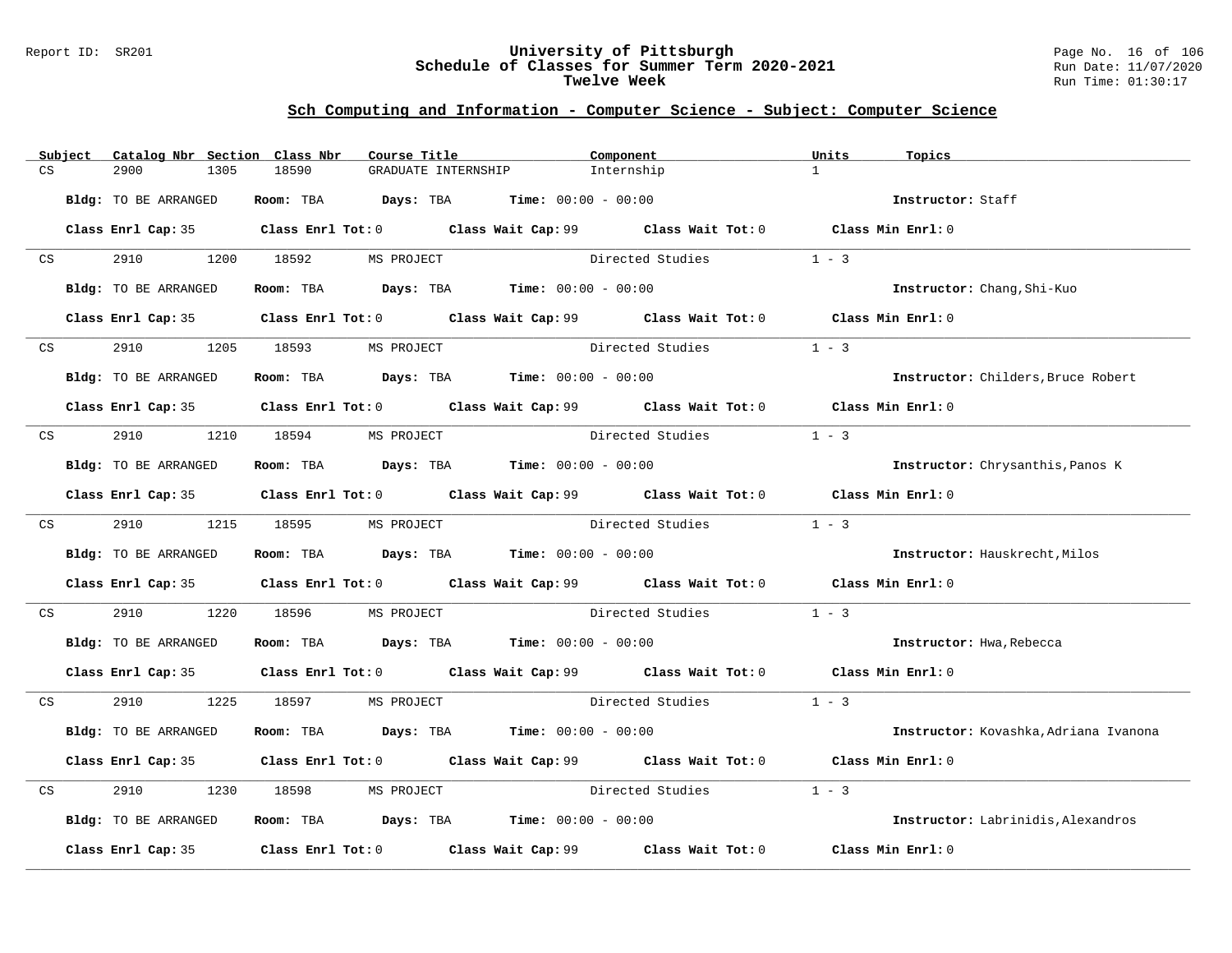#### Report ID: SR201 **University of Pittsburgh** Page No. 16 of 106 **Schedule of Classes for Summer Term 2020-2021** Run Date: 11/07/2020 **Twelve Week** Run Time: 01:30:17

|                         | Subject | Catalog Nbr Section Class Nbr | Course Title                                                                          |                     | Component                                                                                   | Units             | Topics                                |
|-------------------------|---------|-------------------------------|---------------------------------------------------------------------------------------|---------------------|---------------------------------------------------------------------------------------------|-------------------|---------------------------------------|
| CS                      |         | 2900<br>1305                  | 18590                                                                                 | GRADUATE INTERNSHIP | Internship                                                                                  | $\mathbf{1}$      |                                       |
|                         |         | Bldg: TO BE ARRANGED          | Room: TBA $Days:$ TBA $Time: 00:00 - 00:00$                                           |                     |                                                                                             |                   | Instructor: Staff                     |
|                         |         |                               |                                                                                       |                     | Class Enrl Cap: 35 Class Enrl Tot: 0 Class Wait Cap: 99 Class Wait Tot: 0 Class Min Enrl: 0 |                   |                                       |
| CS                      |         | 2910 2910                     | 1200 18592 MS PROJECT                                                                 |                     | Directed Studies                                                                            | $1 - 3$           |                                       |
|                         |         | Bldg: TO BE ARRANGED          | <b>Room:</b> TBA <b>Days:</b> TBA <b>Time:</b> 00:00 - 00:00                          |                     |                                                                                             |                   | Instructor: Chang, Shi-Kuo            |
|                         |         |                               |                                                                                       |                     | Class Enrl Cap: 35 Class Enrl Tot: 0 Class Wait Cap: 99 Class Wait Tot: 0 Class Min Enrl: 0 |                   |                                       |
| CS                      |         | 2910                          | 1205 18593<br>MS PROJECT                                                              |                     | Directed Studies                                                                            | $1 - 3$           |                                       |
|                         |         | Bldg: TO BE ARRANGED          | Room: TBA $Days:$ TBA $Time: 00:00 - 00:00$                                           |                     |                                                                                             |                   | Instructor: Childers, Bruce Robert    |
|                         |         |                               |                                                                                       |                     | Class Enrl Cap: 35 Class Enrl Tot: 0 Class Wait Cap: 99 Class Wait Tot: 0 Class Min Enrl: 0 |                   |                                       |
| $\mathbb{C} \mathbf{S}$ |         | 2910 1210 18594               | MS PROJECT                                                                            |                     | Directed Studies                                                                            | $1 - 3$           |                                       |
|                         |         | Bldg: TO BE ARRANGED          | Room: TBA $\rule{1em}{0.15mm}$ Days: TBA $\rule{1.5mm}{0.15mm}$ Time: $00:00 - 00:00$ |                     |                                                                                             |                   | Instructor: Chrysanthis, Panos K      |
|                         |         |                               |                                                                                       |                     | Class Enrl Cap: 35 Class Enrl Tot: 0 Class Wait Cap: 99 Class Wait Tot: 0 Class Min Enrl: 0 |                   |                                       |
|                         |         | CS 2910 1215 18595            | MS PROJECT                                                                            |                     | Directed Studies                                                                            | $1 - 3$           |                                       |
|                         |         | Bldg: TO BE ARRANGED          | Room: TBA $\rule{1em}{0.15mm}$ Days: TBA Time: $00:00 - 00:00$                        |                     |                                                                                             |                   | Instructor: Hauskrecht, Milos         |
|                         |         |                               |                                                                                       |                     | Class Enrl Cap: 35 Class Enrl Tot: 0 Class Wait Cap: 99 Class Wait Tot: 0 Class Min Enrl: 0 |                   |                                       |
| CS                      |         | 2910<br>1220                  | 18596<br>MS PROJECT                                                                   |                     | Directed Studies                                                                            | $1 - 3$           |                                       |
|                         |         | Bldg: TO BE ARRANGED          | <b>Room:</b> TBA $Days: TBA$ <b>Time:</b> $00:00 - 00:00$                             |                     |                                                                                             |                   | Instructor: Hwa, Rebecca              |
|                         |         |                               |                                                                                       |                     | Class Enrl Cap: 35 Class Enrl Tot: 0 Class Wait Cap: 99 Class Wait Tot: 0 Class Min Enrl: 0 |                   |                                       |
| CS                      |         |                               | 2910 1225 18597 MS PROJECT                                                            |                     | Directed Studies                                                                            | $1 - 3$           |                                       |
|                         |         | Bldg: TO BE ARRANGED          | Room: TBA $Days: TBA$ Time: $00:00 - 00:00$                                           |                     |                                                                                             |                   | Instructor: Kovashka, Adriana Ivanona |
|                         |         |                               |                                                                                       |                     | Class Enrl Cap: 35 Class Enrl Tot: 0 Class Wait Cap: 99 Class Wait Tot: 0                   | Class Min Enrl: 0 |                                       |
| CS                      |         | 2910<br>1230                  | 18598<br>MS PROJECT                                                                   |                     | Directed Studies                                                                            | $1 - 3$           |                                       |
|                         |         | Bldg: TO BE ARRANGED          | Room: TBA $Days:$ TBA $Time: 00:00 - 00:00$                                           |                     |                                                                                             |                   | Instructor: Labrinidis, Alexandros    |
|                         |         | Class Enrl Cap: 35            |                                                                                       |                     | Class Enrl Tot: $0$ Class Wait Cap: $99$ Class Wait Tot: $0$                                | Class Min Enrl: 0 |                                       |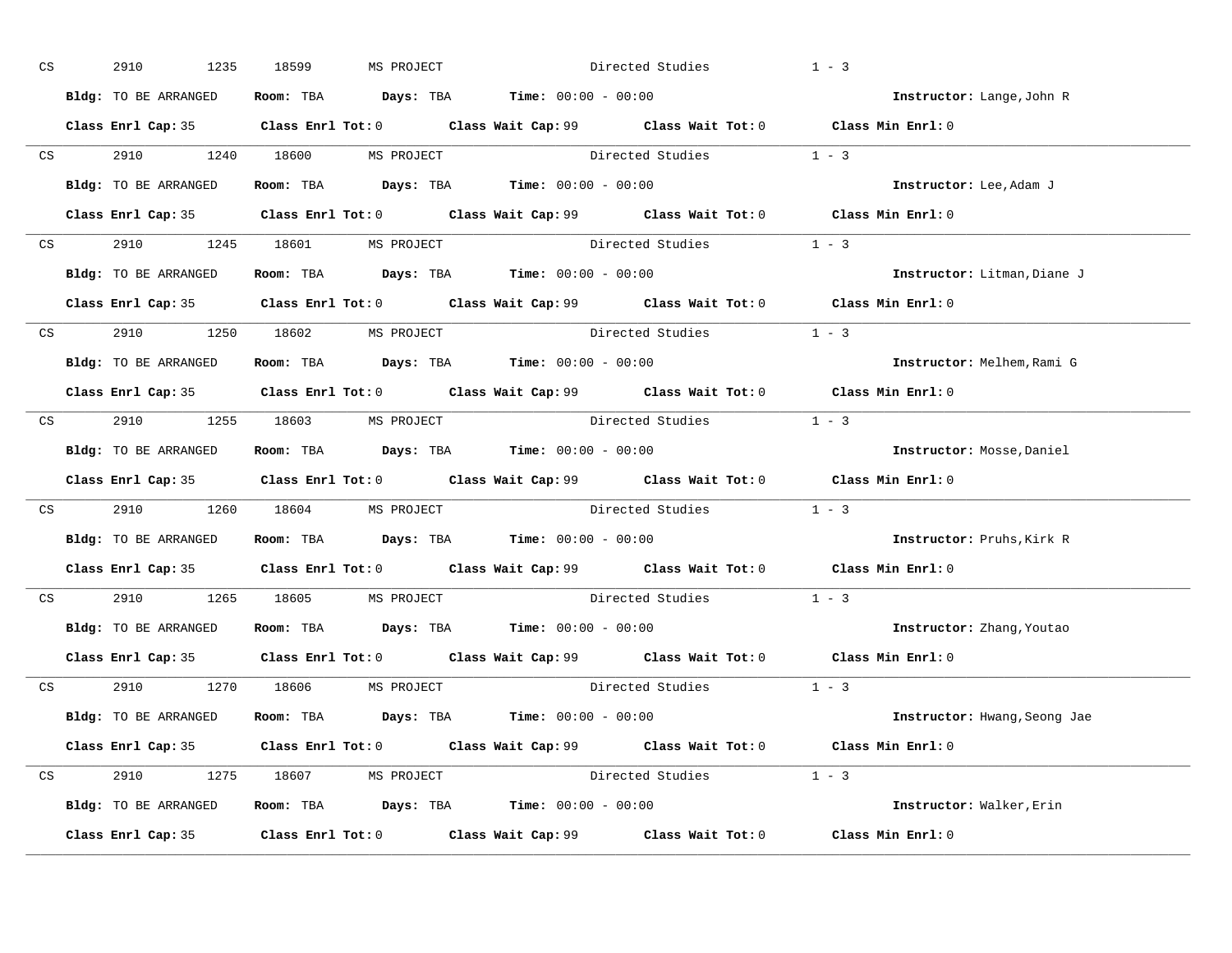| CS | 2910<br>1235                                                 | 18599 | MS PROJECT                                                                            | Directed Studies                                                                            | $1 - 3$                                                                                     |
|----|--------------------------------------------------------------|-------|---------------------------------------------------------------------------------------|---------------------------------------------------------------------------------------------|---------------------------------------------------------------------------------------------|
|    | Bldg: TO BE ARRANGED                                         |       | Room: TBA $\rule{1em}{0.15mm}$ Days: TBA $\rule{1.5mm}{0.15mm}$ Time: $00:00 - 00:00$ |                                                                                             | Instructor: Lange, John R                                                                   |
|    |                                                              |       |                                                                                       | Class Enrl Cap: 35 Class Enrl Tot: 0 Class Wait Cap: 99 Class Wait Tot: 0 Class Min Enrl: 0 |                                                                                             |
|    |                                                              |       |                                                                                       | CS 2910 1240 18600 MS PROJECT Directed Studies 1 - 3                                        |                                                                                             |
|    | Bldg: TO BE ARRANGED                                         |       | Room: TBA $\rule{1em}{0.15mm}$ Days: TBA $\rule{1.5mm}{0.15mm}$ Time: $00:00 - 00:00$ |                                                                                             | Instructor: Lee, Adam J                                                                     |
|    |                                                              |       |                                                                                       | Class Enrl Cap: 35 Class Enrl Tot: 0 Class Wait Cap: 99 Class Wait Tot: 0 Class Min Enrl: 0 |                                                                                             |
|    | CS 2910 1245 18601 MS PROJECT                                |       |                                                                                       | Directed Studies 1 - 3                                                                      |                                                                                             |
|    | Bldg: TO BE ARRANGED Room: TBA Days: TBA Time: 00:00 - 00:00 |       |                                                                                       |                                                                                             | Instructor: Litman, Diane J                                                                 |
|    |                                                              |       |                                                                                       | Class Enrl Cap: 35 Class Enrl Tot: 0 Class Wait Cap: 99 Class Wait Tot: 0 Class Min Enrl: 0 |                                                                                             |
|    | CS 2910 1250 18602 MS PROJECT                                |       |                                                                                       | Directed Studies 1 - 3                                                                      |                                                                                             |
|    | Bldg: TO BE ARRANGED                                         |       | Room: TBA $Days:$ TBA Time: $00:00 - 00:00$                                           |                                                                                             | Instructor: Melhem, Rami G                                                                  |
|    |                                                              |       |                                                                                       | Class Enrl Cap: 35 Class Enrl Tot: 0 Class Wait Cap: 99 Class Wait Tot: 0 Class Min Enrl: 0 |                                                                                             |
|    | CS 2910 1255 18603 MS PROJECT                                |       |                                                                                       | Directed Studies 1 - 3                                                                      |                                                                                             |
|    | Bldg: TO BE ARRANGED                                         |       | Room: TBA $\rule{1em}{0.15mm}$ Days: TBA Time: $00:00 - 00:00$                        |                                                                                             | Instructor: Mosse, Daniel                                                                   |
|    |                                                              |       |                                                                                       | Class Enrl Cap: 35 Class Enrl Tot: 0 Class Wait Cap: 99 Class Wait Tot: 0 Class Min Enrl: 0 |                                                                                             |
|    |                                                              |       |                                                                                       | CS 2910 1260 18604 MS PROJECT Directed Studies 1 - 3                                        |                                                                                             |
|    | Bldg: TO BE ARRANGED Room: TBA Days: TBA Time: 00:00 - 00:00 |       |                                                                                       |                                                                                             | Instructor: Pruhs, Kirk R                                                                   |
|    |                                                              |       |                                                                                       |                                                                                             | Class Enrl Cap: 35 Class Enrl Tot: 0 Class Wait Cap: 99 Class Wait Tot: 0 Class Min Enrl: 0 |
|    | CS 2910 1265 18605 MS PROJECT                                |       |                                                                                       | Directed Studies                                                                            | $1 - 3$                                                                                     |
|    | Bldg: TO BE ARRANGED Room: TBA Days: TBA Time: 00:00 - 00:00 |       |                                                                                       |                                                                                             | Instructor: Zhang, Youtao                                                                   |
|    |                                                              |       |                                                                                       | Class Enrl Cap: 35 Class Enrl Tot: 0 Class Wait Cap: 99 Class Wait Tot: 0 Class Min Enrl: 0 |                                                                                             |
|    | CS 2910 1270 18606 MS PROJECT                                |       |                                                                                       | Directed Studies 1 - 3                                                                      |                                                                                             |
|    | Bldg: TO BE ARRANGED                                         |       | Room: TBA $Days:$ TBA $Time: 00:00 - 00:00$                                           |                                                                                             | Instructor: Hwang, Seong Jae                                                                |
|    |                                                              |       |                                                                                       | Class Enrl Cap: 35 Class Enrl Tot: 0 Class Wait Cap: 99 Class Wait Tot: 0 Class Min Enrl: 0 |                                                                                             |
|    | CS 2910 1275 18607 MS PROJECT                                |       |                                                                                       | Directed Studies 1 - 3                                                                      |                                                                                             |
|    | Bldg: TO BE ARRANGED ROOM: TBA Days: TBA Time: 00:00 - 00:00 |       |                                                                                       |                                                                                             | Instructor: Walker, Erin                                                                    |
|    |                                                              |       |                                                                                       | Class Enrl Cap: 35 Class Enrl Tot: 0 Class Wait Cap: 99 Class Wait Tot: 0                   | Class Min Enrl: 0                                                                           |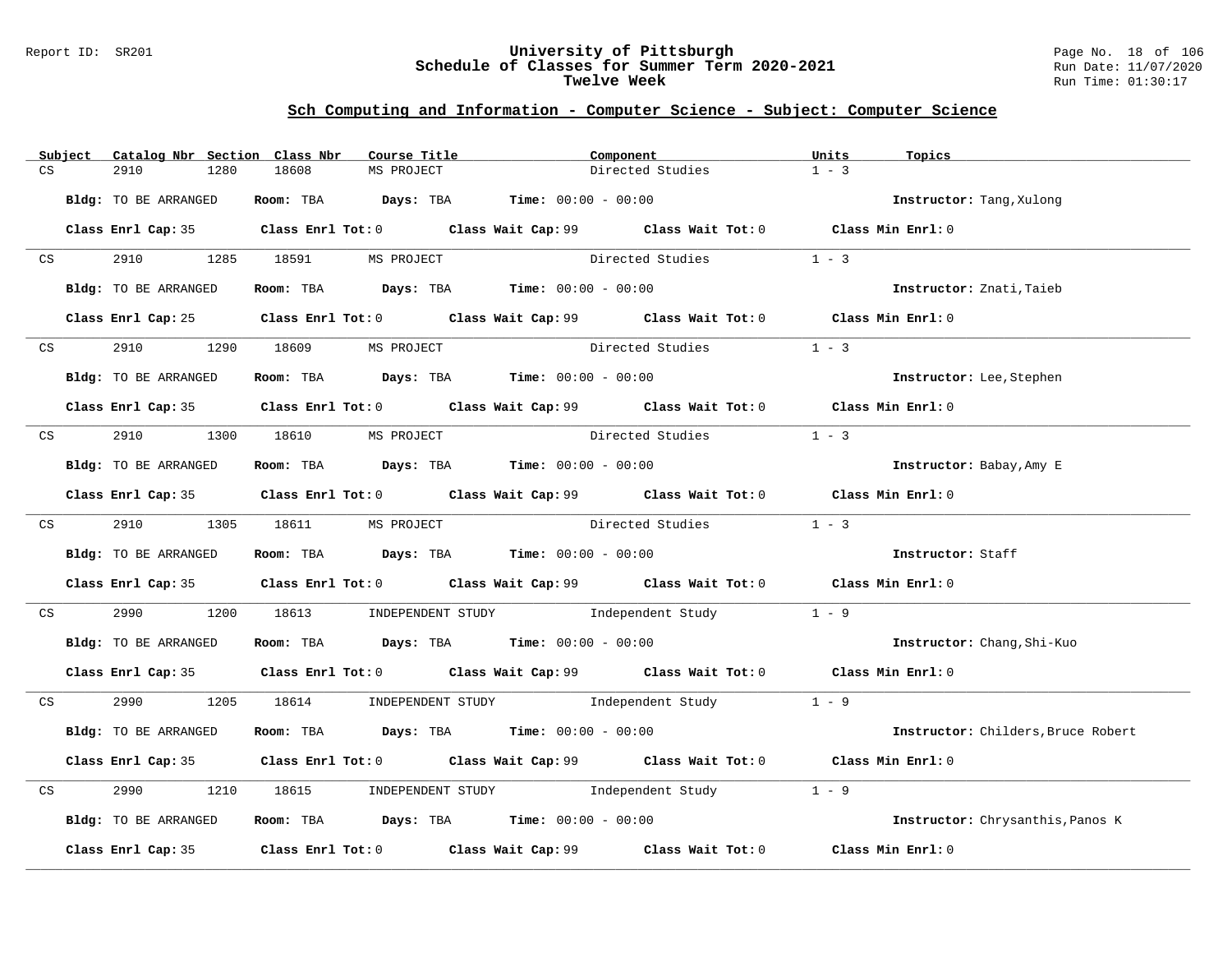#### Report ID: SR201 **University of Pittsburgh** Page No. 18 of 106 **Schedule of Classes for Summer Term 2020-2021** Run Date: 11/07/2020 **Twelve Week** Run Time: 01:30:17

|    | Subject | Catalog Nbr Section Class Nbr | Course Title                  |                                                                                             | Component              | Units<br>Topics                    |  |
|----|---------|-------------------------------|-------------------------------|---------------------------------------------------------------------------------------------|------------------------|------------------------------------|--|
| CS |         | 2910<br>1280                  | 18608<br>MS PROJECT           |                                                                                             | Directed Studies       | $1 - 3$                            |  |
|    |         | Bldg: TO BE ARRANGED          |                               | Room: TBA $Days:$ TBA $Time: 00:00 - 00:00$                                                 |                        | Instructor: Tang, Xulong           |  |
|    |         |                               |                               | Class Enrl Cap: 35 Class Enrl Tot: 0 Class Wait Cap: 99 Class Wait Tot: 0 Class Min Enrl: 0 |                        |                                    |  |
|    | CS      |                               | 2910 1285 18591 MS PROJECT    |                                                                                             | Directed Studies       | $1 - 3$                            |  |
|    |         | Bldg: TO BE ARRANGED          |                               | Room: TBA $\rule{1em}{0.15mm}$ Days: TBA Time: $00:00 - 00:00$                              |                        | Instructor: Znati, Taieb           |  |
|    |         |                               |                               | Class Enrl Cap: 25 Class Enrl Tot: 0 Class Wait Cap: 99 Class Wait Tot: 0 Class Min Enrl: 0 |                        |                                    |  |
|    | CS      | 2910 1290 18609               | MS PROJECT                    | Directed Studies                                                                            |                        | $1 - 3$                            |  |
|    |         | Bldg: TO BE ARRANGED          |                               | Room: TBA $\rule{1em}{0.15mm}$ Days: TBA Time: $00:00 - 00:00$                              |                        | Instructor: Lee, Stephen           |  |
|    |         |                               |                               | Class Enrl Cap: 35 Class Enrl Tot: 0 Class Wait Cap: 99 Class Wait Tot: 0 Class Min Enrl: 0 |                        |                                    |  |
|    |         |                               | CS 2910 1300 18610 MS PROJECT | Directed Studies                                                                            |                        | $1 - 3$                            |  |
|    |         | Bldg: TO BE ARRANGED          |                               | Room: TBA Days: TBA Time: $00:00 - 00:00$                                                   |                        | Instructor: Babay, Amy E           |  |
|    |         |                               |                               | Class Enrl Cap: 35 Class Enrl Tot: 0 Class Wait Cap: 99 Class Wait Tot: 0 Class Min Enrl: 0 |                        |                                    |  |
|    |         |                               | CS 2910 1305 18611 MS PROJECT |                                                                                             | Directed Studies 1 - 3 |                                    |  |
|    |         | Bldg: TO BE ARRANGED          |                               | Room: TBA $Days: TBA$ Time: $00:00 - 00:00$                                                 |                        | Instructor: Staff                  |  |
|    |         |                               |                               | Class Enrl Cap: 35 Class Enrl Tot: 0 Class Wait Cap: 99 Class Wait Tot: 0 Class Min Enrl: 0 |                        |                                    |  |
| CS |         | 2990 — 100                    |                               | 1200 18613 INDEPENDENT STUDY Independent Study                                              |                        | $1 - 9$                            |  |
|    |         | Bldg: TO BE ARRANGED          |                               | Room: TBA Days: TBA Time: $00:00 - 00:00$                                                   |                        | Instructor: Chang, Shi-Kuo         |  |
|    |         |                               |                               | Class Enrl Cap: 35 Class Enrl Tot: 0 Class Wait Cap: 99 Class Wait Tot: 0 Class Min Enrl: 0 |                        |                                    |  |
|    |         |                               |                               | CS 2990 1205 18614 INDEPENDENT STUDY Independent Study 1 - 9                                |                        |                                    |  |
|    |         | Bldg: TO BE ARRANGED          |                               | Room: TBA $Days:$ TBA Time: $00:00 - 00:00$                                                 |                        | Instructor: Childers, Bruce Robert |  |
|    |         |                               |                               | Class Enrl Cap: 35 Class Enrl Tot: 0 Class Wait Cap: 99 Class Wait Tot: 0 Class Min Enrl: 0 |                        |                                    |  |
| CS |         | 2990                          |                               | 1210 18615 INDEPENDENT STUDY Independent Study                                              |                        | $1 - 9$                            |  |
|    |         | Bldg: TO BE ARRANGED          |                               | Room: TBA $Days:$ TBA $Time:$ $00:00 - 00:00$                                               |                        | Instructor: Chrysanthis, Panos K   |  |
|    |         |                               |                               | Class Enrl Cap: 35 Class Enrl Tot: 0 Class Wait Cap: 99 Class Wait Tot: 0 Class Min Enrl: 0 |                        |                                    |  |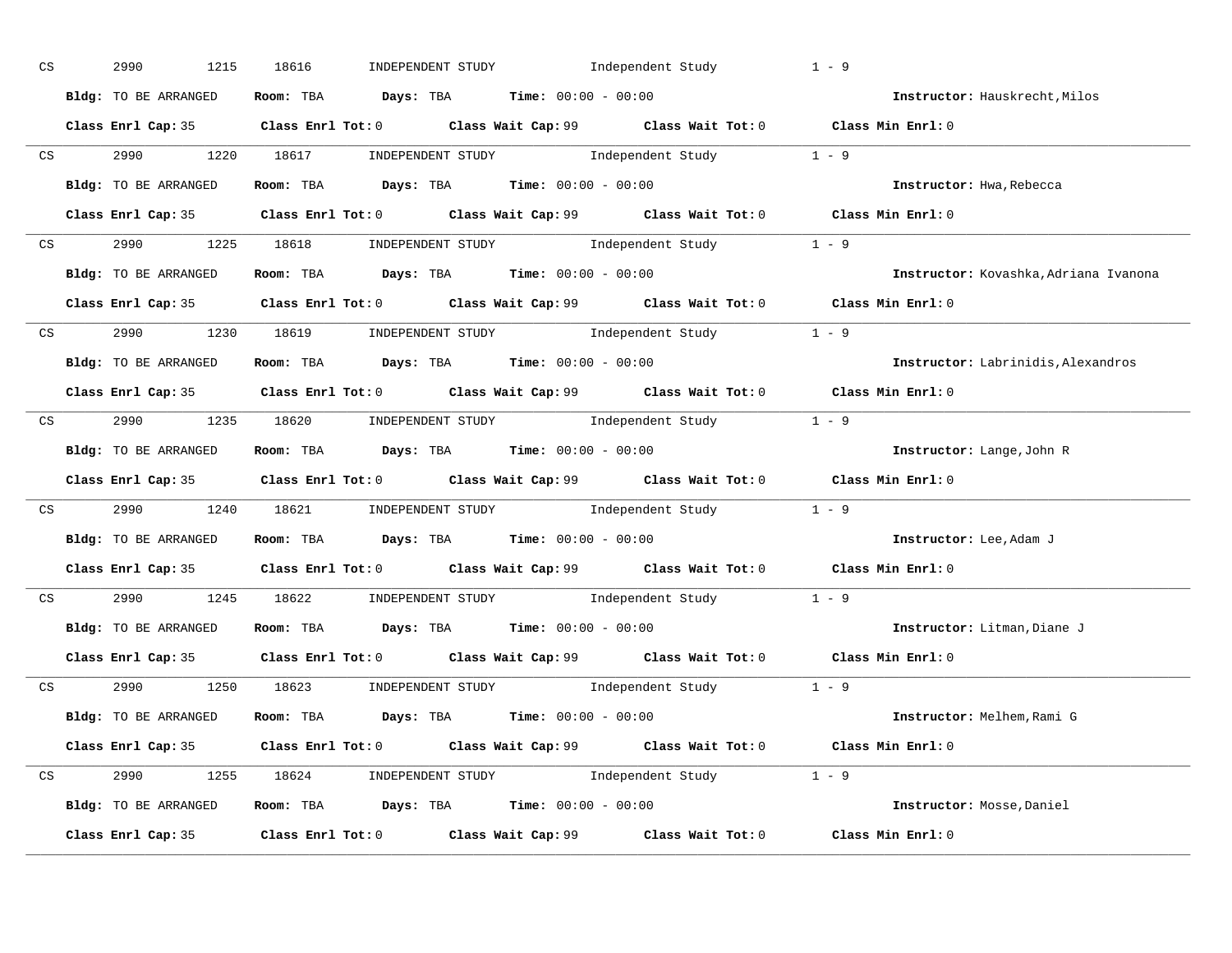| CS | 2990<br>1215         | 18616                                                                                 | INDEPENDENT STUDY 1ndependent Study                                                                 | $1 - 9$                               |
|----|----------------------|---------------------------------------------------------------------------------------|-----------------------------------------------------------------------------------------------------|---------------------------------------|
|    | Bldg: TO BE ARRANGED | Room: TBA $\rule{1em}{0.15mm}$ Days: TBA $\rule{1.5mm}{0.15mm}$ Time: $00:00 - 00:00$ |                                                                                                     | Instructor: Hauskrecht, Milos         |
|    |                      |                                                                                       | Class Enrl Cap: 35 Class Enrl Tot: 0 Class Wait Cap: 99 Class Wait Tot: 0 Class Min Enrl: 0         |                                       |
|    |                      |                                                                                       | CS 2990 1220 18617 INDEPENDENT STUDY Independent Study 1 - 9                                        |                                       |
|    | Bldg: TO BE ARRANGED | Room: TBA $Days: TBA$ Time: $00:00 - 00:00$                                           |                                                                                                     | Instructor: Hwa, Rebecca              |
|    |                      |                                                                                       | Class Enrl Cap: 35 Class Enrl Tot: 0 Class Wait Cap: 99 Class Wait Tot: 0 Class Min Enrl: 0         |                                       |
|    |                      |                                                                                       | CS 2990 1225 18618 INDEPENDENT STUDY Independent Study 1 - 9                                        |                                       |
|    |                      | Bldg: TO BE ARRANGED Room: TBA Days: TBA Time: 00:00 - 00:00                          |                                                                                                     | Instructor: Kovashka, Adriana Ivanona |
|    |                      |                                                                                       | Class Enrl Cap: 35 Class Enrl Tot: 0 Class Wait Cap: 99 Class Wait Tot: 0 Class Min Enrl: 0         |                                       |
|    |                      |                                                                                       | CS 2990 1230 18619 INDEPENDENT STUDY Independent Study 1 - 9                                        |                                       |
|    | Bldg: TO BE ARRANGED | Room: TBA $Days:$ TBA $Time: 00:00 - 00:00$                                           |                                                                                                     | Instructor: Labrinidis, Alexandros    |
|    |                      |                                                                                       | Class Enrl Cap: 35 Class Enrl Tot: 0 Class Wait Cap: 99 Class Wait Tot: 0 Class Min Enrl: 0         |                                       |
|    |                      |                                                                                       | CS 2990 1235 18620 INDEPENDENT STUDY Independent Study 1 - 9                                        |                                       |
|    |                      | Bldg: TO BE ARRANGED Room: TBA Days: TBA Time: 00:00 - 00:00                          |                                                                                                     | Instructor: Lange, John R             |
|    |                      |                                                                                       | Class Enrl Cap: 35 Class Enrl Tot: 0 Class Wait Cap: 99 Class Wait Tot: 0 Class Min Enrl: 0         |                                       |
|    |                      |                                                                                       | CS 2990 1240 18621 INDEPENDENT STUDY Independent Study 1 - 9                                        |                                       |
|    |                      | Bldg: TO BE ARRANGED ROOM: TBA Days: TBA Time: 00:00 - 00:00                          |                                                                                                     | Instructor: Lee, Adam J               |
|    |                      |                                                                                       | Class Enrl Cap: 35 Class Enrl Tot: 0 Class Wait Cap: 99 Class Wait Tot: 0 Class Min Enrl: 0         |                                       |
|    |                      |                                                                                       | CS 2990 1245 18622 INDEPENDENT STUDY Independent Study 1 - 9                                        |                                       |
|    |                      | Bldg: TO BE ARRANGED Room: TBA Days: TBA Time: 00:00 - 00:00                          |                                                                                                     | Instructor: Litman, Diane J           |
|    | Class Enrl Cap: 35   |                                                                                       | Class Enrl Tot: 0 $\qquad$ Class Wait Cap: 99 $\qquad$ Class Wait Tot: 0 $\qquad$ Class Min Enrl: 0 |                                       |
|    |                      |                                                                                       | CS 2990 1250 18623 INDEPENDENT STUDY Independent Study 1 - 9                                        |                                       |
|    |                      |                                                                                       | Bldg: TO BE ARRANGED Room: TBA Days: TBA Time: 00:00 - 00:00                                        | Instructor: Melhem, Rami G            |
|    |                      |                                                                                       | Class Enrl Cap: 35 Class Enrl Tot: 0 Class Wait Cap: 99 Class Wait Tot: 0 Class Min Enrl: 0         |                                       |
|    |                      |                                                                                       | CS 2990 1255 18624 INDEPENDENT STUDY Independent Study 1 - 9                                        |                                       |
|    |                      |                                                                                       | Bldg: TO BE ARRANGED Room: TBA Days: TBA Time: 00:00 - 00:00                                        | Instructor: Mosse, Daniel             |
|    |                      |                                                                                       | Class Enrl Cap: 35 Class Enrl Tot: 0 Class Wait Cap: 99 Class Wait Tot: 0                           | Class Min Enrl: 0                     |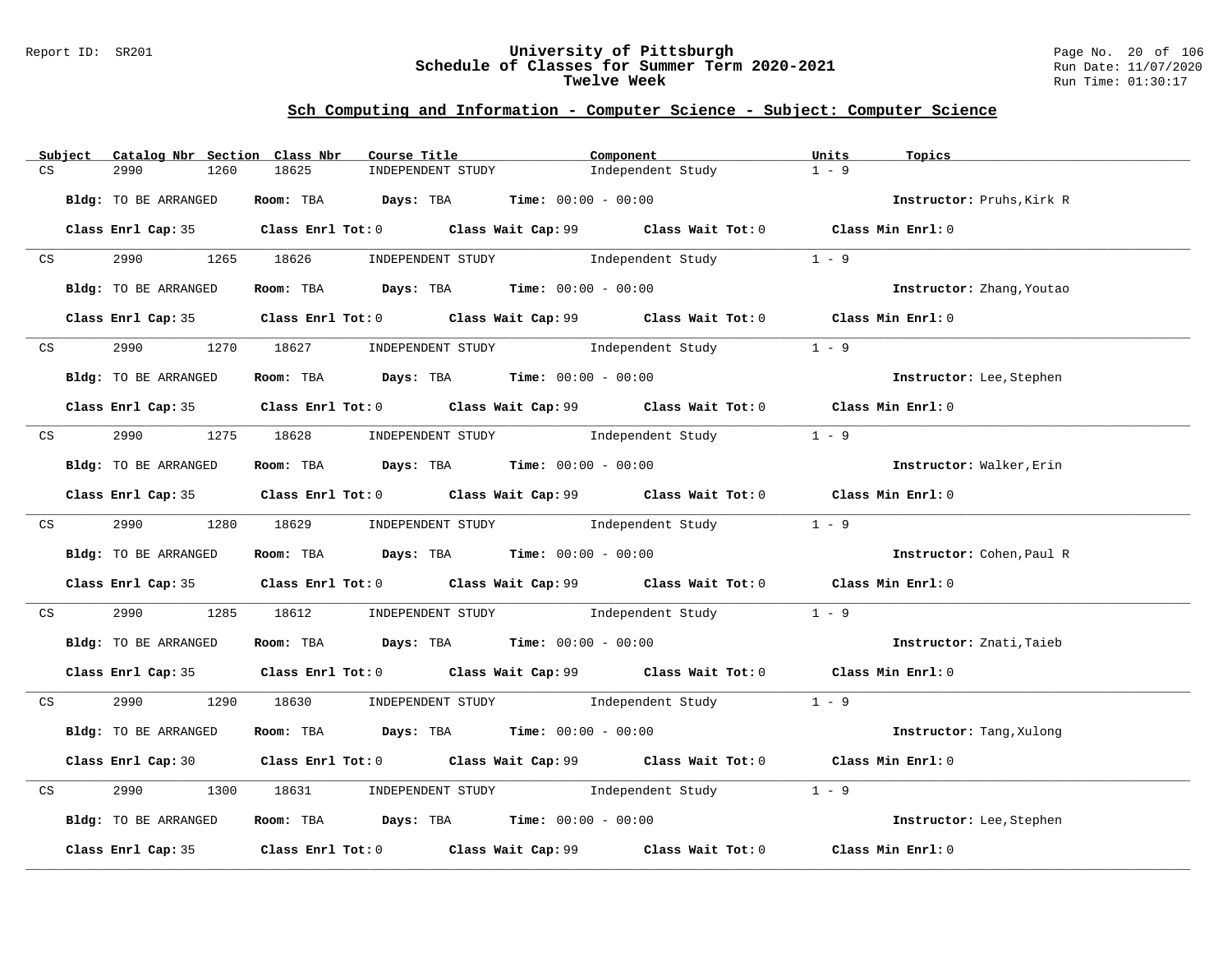#### Report ID: SR201 **University of Pittsburgh** Page No. 20 of 106 **Schedule of Classes for Summer Term 2020-2021** Run Date: 11/07/2020 **Twelve Week** Run Time: 01:30:17

|    | Subject         | Catalog Nbr Section Class Nbr | Course Title                                                                                |                   | Component         | Units<br>Topics           |  |
|----|-----------------|-------------------------------|---------------------------------------------------------------------------------------------|-------------------|-------------------|---------------------------|--|
| CS |                 | 2990<br>1260                  | 18625                                                                                       | INDEPENDENT STUDY | Independent Study | $1 - 9$                   |  |
|    |                 | Bldg: TO BE ARRANGED          | Room: TBA $Days:$ TBA $Time: 00:00 - 00:00$                                                 |                   |                   | Instructor: Pruhs, Kirk R |  |
|    |                 |                               | Class Enrl Cap: 35 Class Enrl Tot: 0 Class Wait Cap: 99 Class Wait Tot: 0 Class Min Enrl: 0 |                   |                   |                           |  |
|    | CS <sub>2</sub> |                               | 2990 1265 18626 INDEPENDENT STUDY Independent Study 1 - 9                                   |                   |                   |                           |  |
|    |                 | Bldg: TO BE ARRANGED          | Room: TBA $Days: TBA$ Time: $00:00 - 00:00$                                                 |                   |                   | Instructor: Zhang, Youtao |  |
|    |                 |                               | Class Enrl Cap: 35 Class Enrl Tot: 0 Class Wait Cap: 99 Class Wait Tot: 0 Class Min Enrl: 0 |                   |                   |                           |  |
|    | CS              | 2990 70                       | 1270 18627 INDEPENDENT STUDY Independent Study                                              |                   |                   | $1 - 9$                   |  |
|    |                 | Bldg: TO BE ARRANGED          | Room: TBA $Days:$ TBA Time: $00:00 - 00:00$                                                 |                   |                   | Instructor: Lee, Stephen  |  |
|    |                 |                               | Class Enrl Cap: 35 Class Enrl Tot: 0 Class Wait Cap: 99 Class Wait Tot: 0 Class Min Enrl: 0 |                   |                   |                           |  |
|    |                 |                               | CS 2990 1275 18628 INDEPENDENT STUDY Independent Study                                      |                   |                   | $1 - 9$                   |  |
|    |                 | Bldg: TO BE ARRANGED          | Room: TBA $Days:$ TBA Time: $00:00 - 00:00$                                                 |                   |                   | Instructor: Walker, Erin  |  |
|    |                 |                               | Class Enrl Cap: 35 Class Enrl Tot: 0 Class Wait Cap: 99 Class Wait Tot: 0 Class Min Enrl: 0 |                   |                   |                           |  |
|    |                 |                               | CS 2990 1280 18629 INDEPENDENT STUDY Independent Study 1 - 9                                |                   |                   |                           |  |
|    |                 | Bldg: TO BE ARRANGED          | Room: TBA $\rule{1em}{0.15mm}$ Days: TBA Time: $00:00 - 00:00$                              |                   |                   | Instructor: Cohen, Paul R |  |
|    |                 |                               | Class Enrl Cap: 35 Class Enrl Tot: 0 Class Wait Cap: 99 Class Wait Tot: 0 Class Min Enrl: 0 |                   |                   |                           |  |
|    | CS              | 2990 720                      | 1285 18612 INDEPENDENT STUDY Independent Study 1 - 9                                        |                   |                   |                           |  |
|    |                 | Bldg: TO BE ARRANGED          | Room: TBA $Days:$ TBA $Time: 00:00 - 00:00$                                                 |                   |                   | Instructor: Znati, Taieb  |  |
|    |                 |                               | Class Enrl Cap: 35 Class Enrl Tot: 0 Class Wait Cap: 99 Class Wait Tot: 0 Class Min Enrl: 0 |                   |                   |                           |  |
|    |                 |                               | CS 2990 1290 18630 INDEPENDENT STUDY Independent Study 1 - 9                                |                   |                   |                           |  |
|    |                 | Bldg: TO BE ARRANGED          | Room: TBA $Days:$ TBA $Time: 00:00 - 00:00$                                                 |                   |                   | Instructor: Tang, Xulong  |  |
|    |                 |                               | Class Enrl Cap: 30 Class Enrl Tot: 0 Class Wait Cap: 99 Class Wait Tot: 0 Class Min Enrl: 0 |                   |                   |                           |  |
| CS |                 | 2990<br>1300                  | 18631 INDEPENDENT STUDY Independent Study                                                   |                   |                   | $1 - 9$                   |  |
|    |                 | Bldg: TO BE ARRANGED          | Room: TBA $Days:$ TBA $Time:$ $00:00 - 00:00$                                               |                   |                   | Instructor: Lee, Stephen  |  |
|    |                 |                               | Class Enrl Cap: 35 Class Enrl Tot: 0 Class Wait Cap: 99 Class Wait Tot: 0 Class Min Enrl: 0 |                   |                   |                           |  |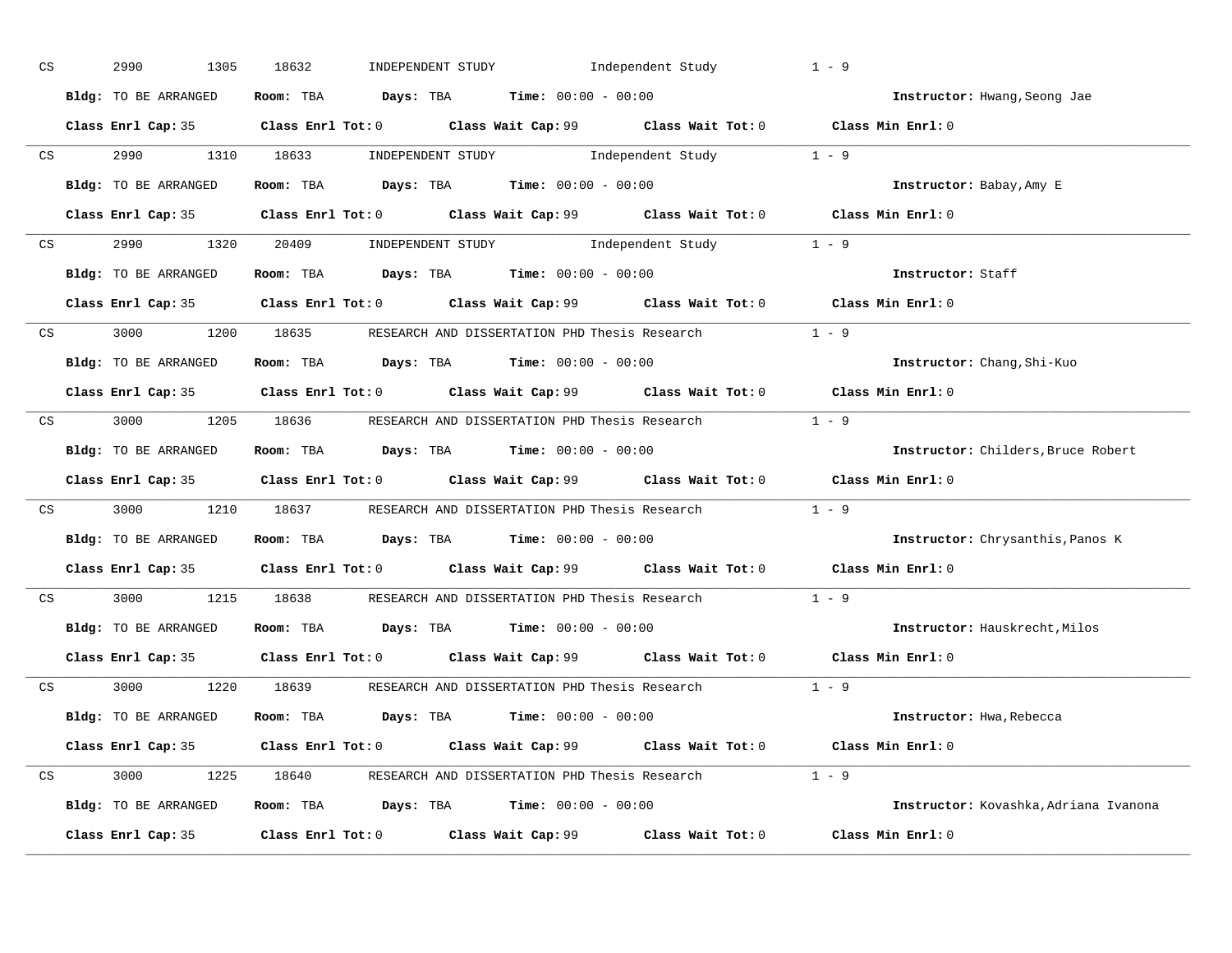| CS |                 | 2990<br>1305         | 18632                                                                                       | INDEPENDENT STUDY 1ndependent Study |                         | $1 - 9$                               |
|----|-----------------|----------------------|---------------------------------------------------------------------------------------------|-------------------------------------|-------------------------|---------------------------------------|
|    |                 | Bldg: TO BE ARRANGED | Room: TBA $Days:$ TBA $Time: 00:00 - 00:00$                                                 |                                     |                         | Instructor: Hwang, Seong Jae          |
|    |                 |                      | Class Enrl Cap: 35 Class Enrl Tot: 0 Class Wait Cap: 99 Class Wait Tot: 0 Class Min Enrl: 0 |                                     |                         |                                       |
|    | CS              | 2990 1310 18633      |                                                                                             |                                     | INDEPENDENT STUDY 1 - 9 |                                       |
|    |                 | Bldg: TO BE ARRANGED | Room: TBA $Days: TBA$ Time: $00:00 - 00:00$                                                 |                                     |                         | Instructor: Babay, Amy E              |
|    |                 |                      | Class Enrl Cap: 35 Class Enrl Tot: 0 Class Wait Cap: 99 Class Wait Tot: 0 Class Min Enrl: 0 |                                     |                         |                                       |
|    |                 |                      | CS 2990 1320 20409 INDEPENDENT STUDY Independent Study 1 - 9                                |                                     |                         |                                       |
|    |                 | Bldg: TO BE ARRANGED | Room: TBA $Days:$ TBA $Time: 00:00 - 00:00$                                                 |                                     |                         | Instructor: Staff                     |
|    |                 |                      | Class Enrl Cap: 35 Class Enrl Tot: 0 Class Wait Cap: 99 Class Wait Tot: 0 Class Min Enrl: 0 |                                     |                         |                                       |
|    |                 |                      | $\text{CS}$ 3000 1200 18635 RESEARCH AND DISSERTATION PHD Thesis Research 1 - 9             |                                     |                         |                                       |
|    |                 | Bldg: TO BE ARRANGED | Room: TBA $Days:$ TBA $Time: 00:00 - 00:00$                                                 |                                     |                         | Instructor: Chang, Shi-Kuo            |
|    |                 |                      | Class Enrl Cap: 35 Class Enrl Tot: 0 Class Wait Cap: 99 Class Wait Tot: 0 Class Min Enrl: 0 |                                     |                         |                                       |
|    |                 |                      | CS 3000 1205 18636 RESEARCH AND DISSERTATION PHD Thesis Research 1 - 9                      |                                     |                         |                                       |
|    |                 | Bldg: TO BE ARRANGED | Room: TBA $Days:$ TBA $Time: 00:00 - 00:00$                                                 |                                     |                         | Instructor: Childers, Bruce Robert    |
|    |                 |                      | Class Enrl Cap: 35 Class Enrl Tot: 0 Class Wait Cap: 99 Class Wait Tot: 0 Class Min Enrl: 0 |                                     |                         |                                       |
|    | CS <sub>2</sub> |                      | 3000 1210 18637 RESEARCH AND DISSERTATION PHD Thesis Research 1 - 9                         |                                     |                         |                                       |
|    |                 | Bldg: TO BE ARRANGED | Room: TBA $Days$ : TBA Time: $00:00 - 00:00$                                                |                                     |                         | Instructor: Chrysanthis, Panos K      |
|    |                 |                      | Class Enrl Cap: 35 Class Enrl Tot: 0 Class Wait Cap: 99 Class Wait Tot: 0 Class Min Enrl: 0 |                                     |                         |                                       |
|    | CS              | 3000                 | 1215 18638 RESEARCH AND DISSERTATION PHD Thesis Research                                    |                                     |                         | $1 - 9$                               |
|    |                 | Bldg: TO BE ARRANGED | Room: TBA $Days:$ TBA $Time: 00:00 - 00:00$                                                 |                                     |                         | Instructor: Hauskrecht, Milos         |
|    |                 |                      | Class Enrl Cap: 35 Class Enrl Tot: 0 Class Wait Cap: 99 Class Wait Tot: 0 Class Min Enrl: 0 |                                     |                         |                                       |
|    |                 |                      | CS 3000 1220 18639 RESEARCH AND DISSERTATION PHD Thesis Research 1 - 9                      |                                     |                         |                                       |
|    |                 | Bldg: TO BE ARRANGED | Room: TBA $\rule{1em}{0.15mm}$ Days: TBA Time: $00:00 - 00:00$                              |                                     |                         | Instructor: Hwa, Rebecca              |
|    |                 |                      | Class Enrl Cap: 35 Class Enrl Tot: 0 Class Wait Cap: 99 Class Wait Tot: 0 Class Min Enrl: 0 |                                     |                         |                                       |
|    |                 |                      | CS 3000 1225 18640 RESEARCH AND DISSERTATION PHD Thesis Research 1 - 9                      |                                     |                         |                                       |
|    |                 | Bldg: TO BE ARRANGED | Room: TBA $Days:$ TBA $Time: 00:00 - 00:00$                                                 |                                     |                         | Instructor: Kovashka, Adriana Ivanona |
|    |                 |                      | Class Enrl Cap: 35 Class Enrl Tot: 0 Class Wait Cap: 99 Class Wait Tot: 0                   |                                     |                         | Class Min Enrl: 0                     |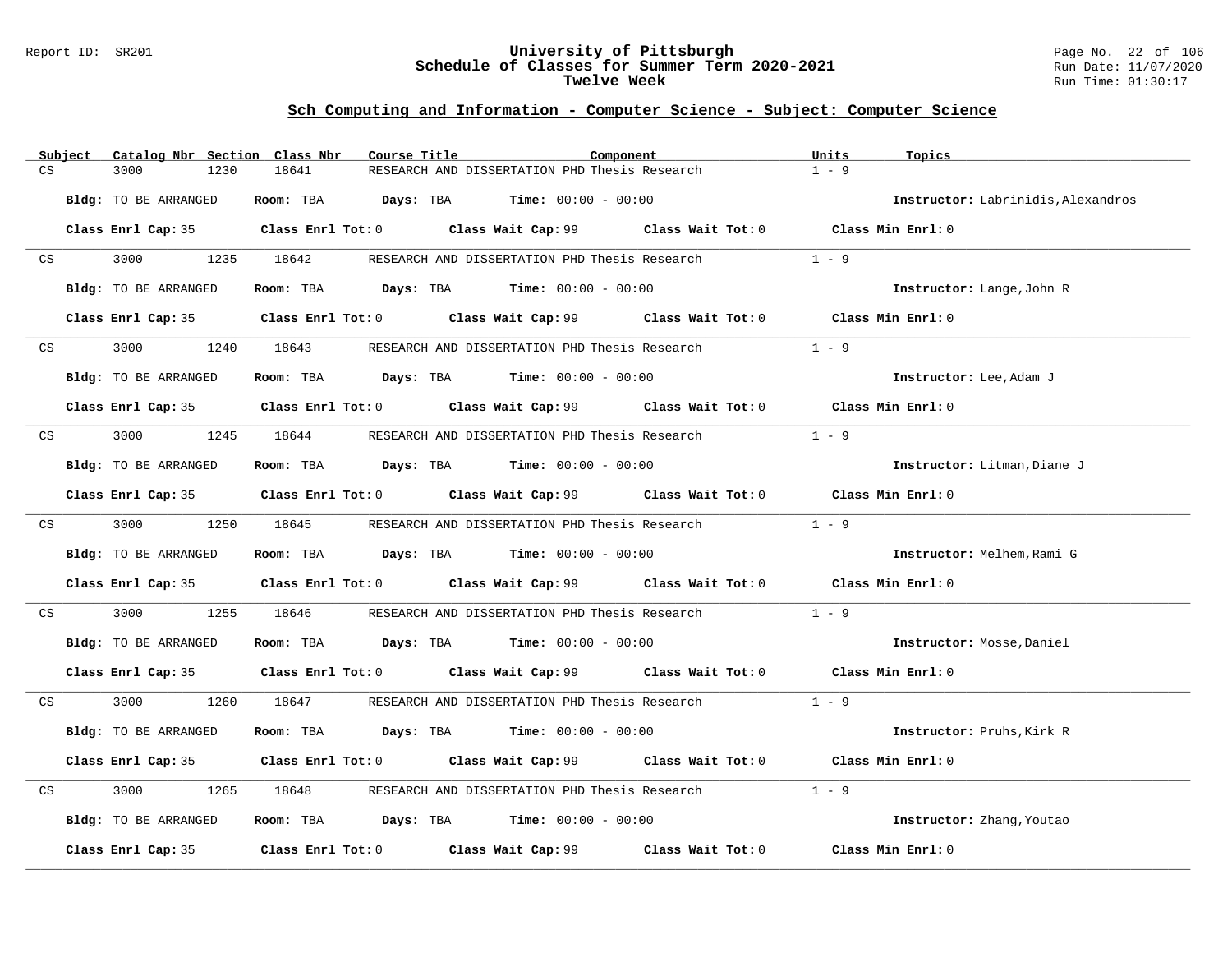#### Report ID: SR201 **University of Pittsburgh** Page No. 22 of 106 **Schedule of Classes for Summer Term 2020-2021** Run Date: 11/07/2020 **Twelve Week** Run Time: 01:30:17

|                         | Subject | Catalog Nbr Section Class Nbr | Course Title                         |                                                                                             | Component         | Units<br>Topics                    |  |
|-------------------------|---------|-------------------------------|--------------------------------------|---------------------------------------------------------------------------------------------|-------------------|------------------------------------|--|
| CS                      |         | 3000<br>1230                  | 18641                                | RESEARCH AND DISSERTATION PHD Thesis Research                                               |                   | $1 - 9$                            |  |
|                         |         | Bldg: TO BE ARRANGED          | Room: TBA                            | <b>Days:</b> TBA <b>Time:</b> $00:00 - 00:00$                                               |                   | Instructor: Labrinidis, Alexandros |  |
|                         |         |                               |                                      | Class Enrl Cap: 35 Class Enrl Tot: 0 Class Wait Cap: 99 Class Wait Tot: 0 Class Min Enrl: 0 |                   |                                    |  |
| $\mathbb{C} \mathbf{S}$ |         | 3000                          | 1235 18642                           | RESEARCH AND DISSERTATION PHD Thesis Research                                               |                   | $1 - 9$                            |  |
|                         |         | Bldg: TO BE ARRANGED          |                                      | Room: TBA $Days:$ TBA $Time: 00:00 - 00:00$                                                 |                   | Instructor: Lange, John R          |  |
|                         |         |                               |                                      | Class Enrl Cap: 35 Class Enrl Tot: 0 Class Wait Cap: 99 Class Wait Tot: 0 Class Min Enrl: 0 |                   |                                    |  |
| CS                      |         | 3000<br>1240                  | 18643                                | RESEARCH AND DISSERTATION PHD Thesis Research                                               |                   | $1 - 9$                            |  |
|                         |         | Bldg: TO BE ARRANGED          |                                      | Room: TBA $Days:$ TBA $Time: 00:00 - 00:00$                                                 |                   | Instructor: Lee, Adam J            |  |
|                         |         |                               |                                      | Class Enrl Cap: 35 Class Enrl Tot: 0 Class Wait Cap: 99 Class Wait Tot: 0 Class Min Enrl: 0 |                   |                                    |  |
| CS                      |         | 3000<br>1245                  | 18644                                | RESEARCH AND DISSERTATION PHD Thesis Research                                               |                   | $1 - 9$                            |  |
|                         |         | Bldg: TO BE ARRANGED          |                                      | Room: TBA $\rule{1em}{0.15mm}$ Days: TBA $\rule{1.5mm}{0.15mm}$ Time: $00:00 - 00:00$       |                   | Instructor: Litman, Diane J        |  |
|                         |         |                               |                                      | Class Enrl Cap: 35 Class Enrl Tot: 0 Class Wait Cap: 99 Class Wait Tot: 0 Class Min Enrl: 0 |                   |                                    |  |
| CS                      |         | 3000<br>1250                  | 18645                                | RESEARCH AND DISSERTATION PHD Thesis Research                                               |                   | $1 - 9$                            |  |
|                         |         | Bldg: TO BE ARRANGED          |                                      | Room: TBA $Days:$ TBA $Time: 00:00 - 00:00$                                                 |                   | Instructor: Melhem, Rami G         |  |
|                         |         |                               |                                      | Class Enrl Cap: 35 Class Enrl Tot: 0 Class Wait Cap: 99 Class Wait Tot: 0                   |                   | Class Min Enrl: 0                  |  |
| CS                      |         | 3000<br>1255                  | 18646                                | RESEARCH AND DISSERTATION PHD Thesis Research                                               |                   | $1 - 9$                            |  |
|                         |         | Bldg: TO BE ARRANGED          |                                      | Room: TBA $Days:$ TBA $Time: 00:00 - 00:00$                                                 |                   | Instructor: Mosse, Daniel          |  |
|                         |         |                               |                                      | Class Enrl Cap: 35 Class Enrl Tot: 0 Class Wait Cap: 99 Class Wait Tot: 0 Class Min Enrl: 0 |                   |                                    |  |
| CS                      |         | 3000 000<br>1260              | 18647                                | RESEARCH AND DISSERTATION PHD Thesis Research 1 - 9                                         |                   |                                    |  |
|                         |         | Bldg: TO BE ARRANGED          |                                      | Room: TBA $Days:$ TBA $Time: 00:00 - 00:00$                                                 |                   | Instructor: Pruhs, Kirk R          |  |
|                         |         |                               |                                      | Class Enrl Cap: 35 Class Enrl Tot: 0 Class Wait Cap: 99 Class Wait Tot: 0                   |                   | Class Min Enrl: 0                  |  |
| CS                      |         | 3000<br>1265                  | 18648                                | RESEARCH AND DISSERTATION PHD Thesis Research                                               |                   | $1 - 9$                            |  |
|                         |         | Bldg: TO BE ARRANGED          |                                      | Room: TBA $Days: TBA$ Time: $00:00 - 00:00$                                                 |                   | Instructor: Zhang, Youtao          |  |
|                         |         | Class Enrl Cap: 35            | Class Enrl Tot: 0 Class Wait Cap: 99 |                                                                                             | Class Wait Tot: 0 | Class Min Enrl: 0                  |  |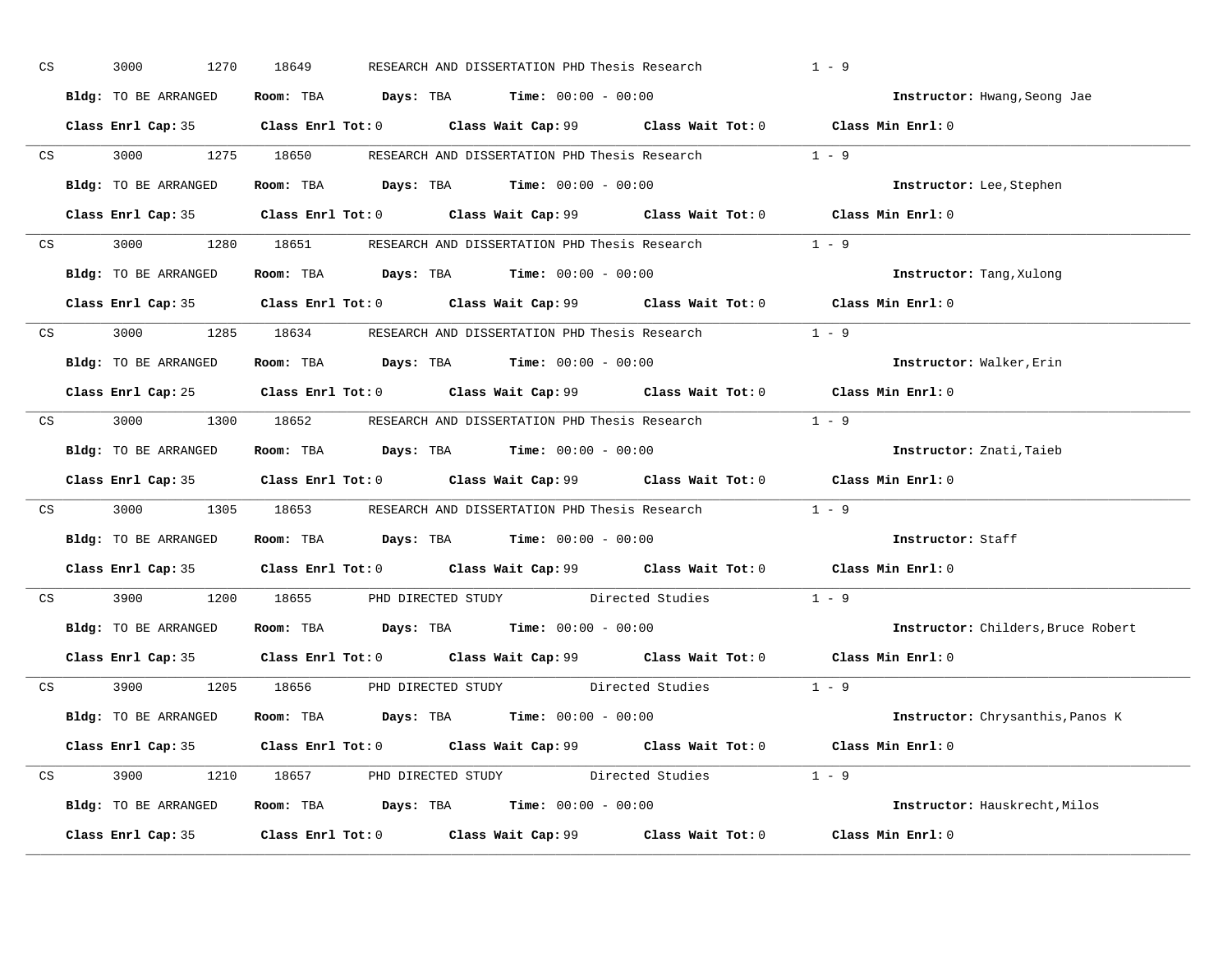| CS |    | 3000<br>1270         | 18649                                                                                       | RESEARCH AND DISSERTATION PHD Thesis Research | $1 - 9$                            |
|----|----|----------------------|---------------------------------------------------------------------------------------------|-----------------------------------------------|------------------------------------|
|    |    | Bldg: TO BE ARRANGED | Room: TBA $Days:$ TBA Time: $00:00 - 00:00$                                                 |                                               | Instructor: Hwang, Seong Jae       |
|    |    |                      | Class Enrl Cap: 35 Class Enrl Tot: 0 Class Wait Cap: 99 Class Wait Tot: 0 Class Min Enrl: 0 |                                               |                                    |
|    |    |                      | CS 3000 1275 18650 RESEARCH AND DISSERTATION PHD Thesis Research 1 - 9                      |                                               |                                    |
|    |    | Bldg: TO BE ARRANGED | Room: TBA $Days:$ TBA $Time: 00:00 - 00:00$                                                 |                                               | Instructor: Lee, Stephen           |
|    |    |                      | Class Enrl Cap: 35 Class Enrl Tot: 0 Class Wait Cap: 99 Class Wait Tot: 0 Class Min Enrl: 0 |                                               |                                    |
|    |    |                      | CS 3000 1280 18651 RESEARCH AND DISSERTATION PHD Thesis Research 1 - 9                      |                                               |                                    |
|    |    |                      | Bldg: TO BE ARRANGED ROOM: TBA Days: TBA Time: 00:00 - 00:00                                |                                               | Instructor: Tang, Xulong           |
|    |    |                      | Class Enrl Cap: 35 Class Enrl Tot: 0 Class Wait Cap: 99 Class Wait Tot: 0 Class Min Enrl: 0 |                                               |                                    |
|    |    |                      | CS $3000$ 1285 $18634$ RESEARCH AND DISSERTATION PHD Thesis Research $1 - 9$                |                                               |                                    |
|    |    | Bldg: TO BE ARRANGED | Room: TBA $Days:$ TBA Time: $00:00 - 00:00$                                                 |                                               | Instructor: Walker, Erin           |
|    |    |                      | Class Enrl Cap: 25 Class Enrl Tot: 0 Class Wait Cap: 99 Class Wait Tot: 0 Class Min Enrl: 0 |                                               |                                    |
|    |    |                      | CS 3000 1300 18652 RESEARCH AND DISSERTATION PHD Thesis Research 1 - 9                      |                                               |                                    |
|    |    | Bldg: TO BE ARRANGED | Room: TBA $\rule{1em}{0.15mm}$ Days: TBA $\rule{1.15mm}{0.15mm}$ Time: $00:00 - 00:00$      |                                               | Instructor: Znati, Taieb           |
|    |    |                      |                                                                                             |                                               |                                    |
|    |    |                      | Class Enrl Cap: 35 Class Enrl Tot: 0 Class Wait Cap: 99 Class Wait Tot: 0 Class Min Enrl: 0 |                                               |                                    |
|    |    |                      | CS 3000 1305 18653 RESEARCH AND DISSERTATION PHD Thesis Research 1 - 9                      |                                               |                                    |
|    |    | Bldg: TO BE ARRANGED | Room: TBA $Days$ : TBA Time: $00:00 - 00:00$                                                |                                               | Instructor: Staff                  |
|    |    |                      | Class Enrl Cap: 35 Class Enrl Tot: 0 Class Wait Cap: 99 Class Wait Tot: 0 Class Min Enrl: 0 |                                               |                                    |
|    | CS |                      | 3900 1200 18655 PHD DIRECTED STUDY Directed Studies                                         |                                               | $1 - 9$                            |
|    |    |                      | Bldg: TO BE ARRANGED Room: TBA Days: TBA Time: 00:00 - 00:00                                |                                               | Instructor: Childers, Bruce Robert |
|    |    |                      | Class Enrl Cap: 35 Class Enrl Tot: 0 Class Wait Cap: 99 Class Wait Tot: 0 Class Min Enrl: 0 |                                               |                                    |
|    |    |                      | CS 3900 1205 18656 PHD DIRECTED STUDY Directed Studies 1 - 9                                |                                               |                                    |
|    |    | Bldg: TO BE ARRANGED | Room: TBA $Days:$ TBA Time: $00:00 - 00:00$                                                 |                                               | Instructor: Chrysanthis, Panos K   |
|    |    |                      | Class Enrl Cap: 35 Class Enrl Tot: 0 Class Wait Cap: 99 Class Wait Tot: 0 Class Min Enrl: 0 |                                               |                                    |
|    |    |                      | CS 3900 1210 18657 PHD DIRECTED STUDY Directed Studies 1 - 9                                |                                               |                                    |
|    |    |                      | Bldg: TO BE ARRANGED Room: TBA Days: TBA Time: 00:00 - 00:00                                |                                               | Instructor: Hauskrecht, Milos      |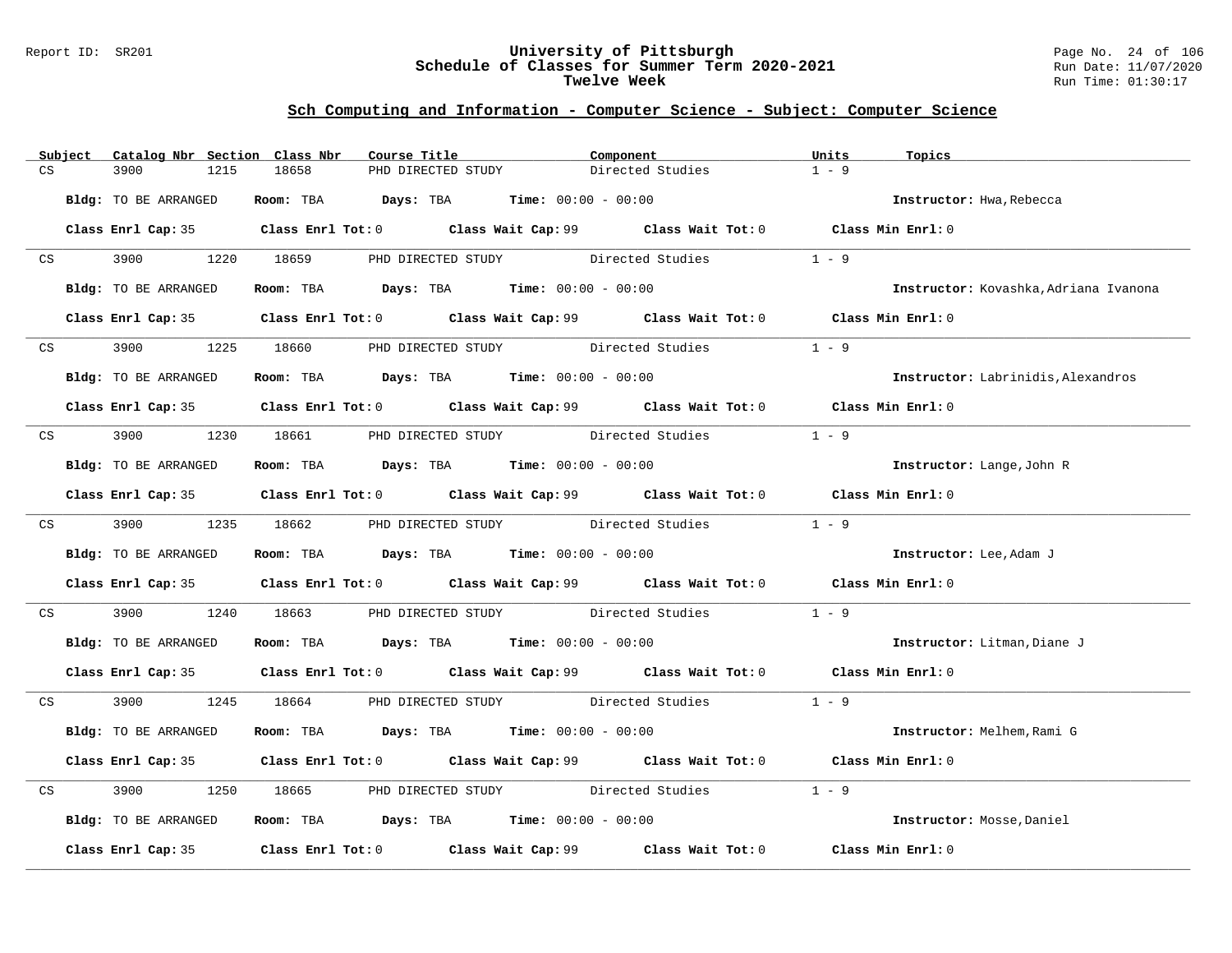#### Report ID: SR201 **University of Pittsburgh** Page No. 24 of 106 **Schedule of Classes for Summer Term 2020-2021** Run Date: 11/07/2020 **Twelve Week** Run Time: 01:30:17

|    | Subject | Catalog Nbr Section Class Nbr |            | Course Title                                                   | Component                                                                                   | Units<br>Topics                           |  |
|----|---------|-------------------------------|------------|----------------------------------------------------------------|---------------------------------------------------------------------------------------------|-------------------------------------------|--|
| CS |         | 3900<br>1215                  | 18658      | PHD DIRECTED STUDY                                             | Directed Studies                                                                            | $1 - 9$                                   |  |
|    |         | Bldg: TO BE ARRANGED          |            | Room: TBA $Days: TBA$ Time: $00:00 - 00:00$                    |                                                                                             | Instructor: Hwa, Rebecca                  |  |
|    |         |                               |            |                                                                | Class Enrl Cap: 35 Class Enrl Tot: 0 Class Wait Cap: 99 Class Wait Tot: 0 Class Min Enrl: 0 |                                           |  |
|    | CS      |                               |            |                                                                | 3900 1220 18659 PHD DIRECTED STUDY Directed Studies                                         | $1 - 9$                                   |  |
|    |         | Bldg: TO BE ARRANGED          |            | Room: TBA $\rule{1em}{0.15mm}$ Days: TBA Time: $00:00 - 00:00$ |                                                                                             | Instructor: Kovashka, Adriana Ivanona     |  |
|    |         |                               |            |                                                                | Class Enrl Cap: 35 Class Enrl Tot: 0 Class Wait Cap: 99 Class Wait Tot: 0 Class Min Enrl: 0 |                                           |  |
|    | CS      | 3900 000                      | 1225 18660 | PHD DIRECTED STUDY Directed Studies                            |                                                                                             | $1 - 9$                                   |  |
|    |         | Bldg: TO BE ARRANGED          |            | Room: TBA $Days:$ TBA $Time: 00:00 - 00:00$                    |                                                                                             | <b>Instructor:</b> Labrinidis, Alexandros |  |
|    |         |                               |            |                                                                | Class Enrl Cap: 35 Class Enrl Tot: 0 Class Wait Cap: 99 Class Wait Tot: 0 Class Min Enrl: 0 |                                           |  |
|    |         |                               |            | CS 3900 1230 18661 PHD DIRECTED STUDY Directed Studies         |                                                                                             | $1 - 9$                                   |  |
|    |         | Bldg: TO BE ARRANGED          |            | Room: TBA $Days:$ TBA Time: $00:00 - 00:00$                    |                                                                                             | Instructor: Lange, John R                 |  |
|    |         |                               |            |                                                                | Class Enrl Cap: 35 Class Enrl Tot: 0 Class Wait Cap: 99 Class Wait Tot: 0 Class Min Enrl: 0 |                                           |  |
|    |         |                               |            |                                                                | CS 3900 1235 18662 PHD DIRECTED STUDY Directed Studies 1 - 9                                |                                           |  |
|    |         | Bldg: TO BE ARRANGED          |            | Room: TBA $Days:$ TBA $Time: 00:00 - 00:00$                    |                                                                                             | Instructor: Lee, Adam J                   |  |
|    |         |                               |            |                                                                | Class Enrl Cap: 35 Class Enrl Tot: 0 Class Wait Cap: 99 Class Wait Tot: 0 Class Min Enrl: 0 |                                           |  |
| CS |         | 3900 000                      | 1240 18663 |                                                                | PHD DIRECTED STUDY Directed Studies                                                         | $1 - 9$                                   |  |
|    |         | Bldg: TO BE ARRANGED          |            | Room: TBA $Days: TBA$ Time: $00:00 - 00:00$                    |                                                                                             | Instructor: Litman, Diane J               |  |
|    |         |                               |            |                                                                | Class Enrl Cap: 35 Class Enrl Tot: 0 Class Wait Cap: 99 Class Wait Tot: 0 Class Min Enrl: 0 |                                           |  |
|    |         |                               |            |                                                                | CS 3900 1245 18664 PHD DIRECTED STUDY Directed Studies 1 - 9                                |                                           |  |
|    |         | Bldg: TO BE ARRANGED          |            | Room: TBA $Days:$ TBA $Time: 00:00 - 00:00$                    |                                                                                             | Instructor: Melhem, Rami G                |  |
|    |         |                               |            |                                                                | Class Enrl Cap: 35 Class Enrl Tot: 0 Class Wait Cap: 99 Class Wait Tot: 0 Class Min Enrl: 0 |                                           |  |
| CS |         | 3900<br>1250                  |            |                                                                | 18665 PHD DIRECTED STUDY Directed Studies                                                   | $1 - 9$                                   |  |
|    |         | Bldg: TO BE ARRANGED          |            | Room: TBA $\rule{1em}{0.15mm}$ Days: TBA Time: $00:00 - 00:00$ |                                                                                             | Instructor: Mosse, Daniel                 |  |
|    |         |                               |            |                                                                | Class Enrl Cap: 35 Class Enrl Tot: 0 Class Wait Cap: 99 Class Wait Tot: 0 Class Min Enrl: 0 |                                           |  |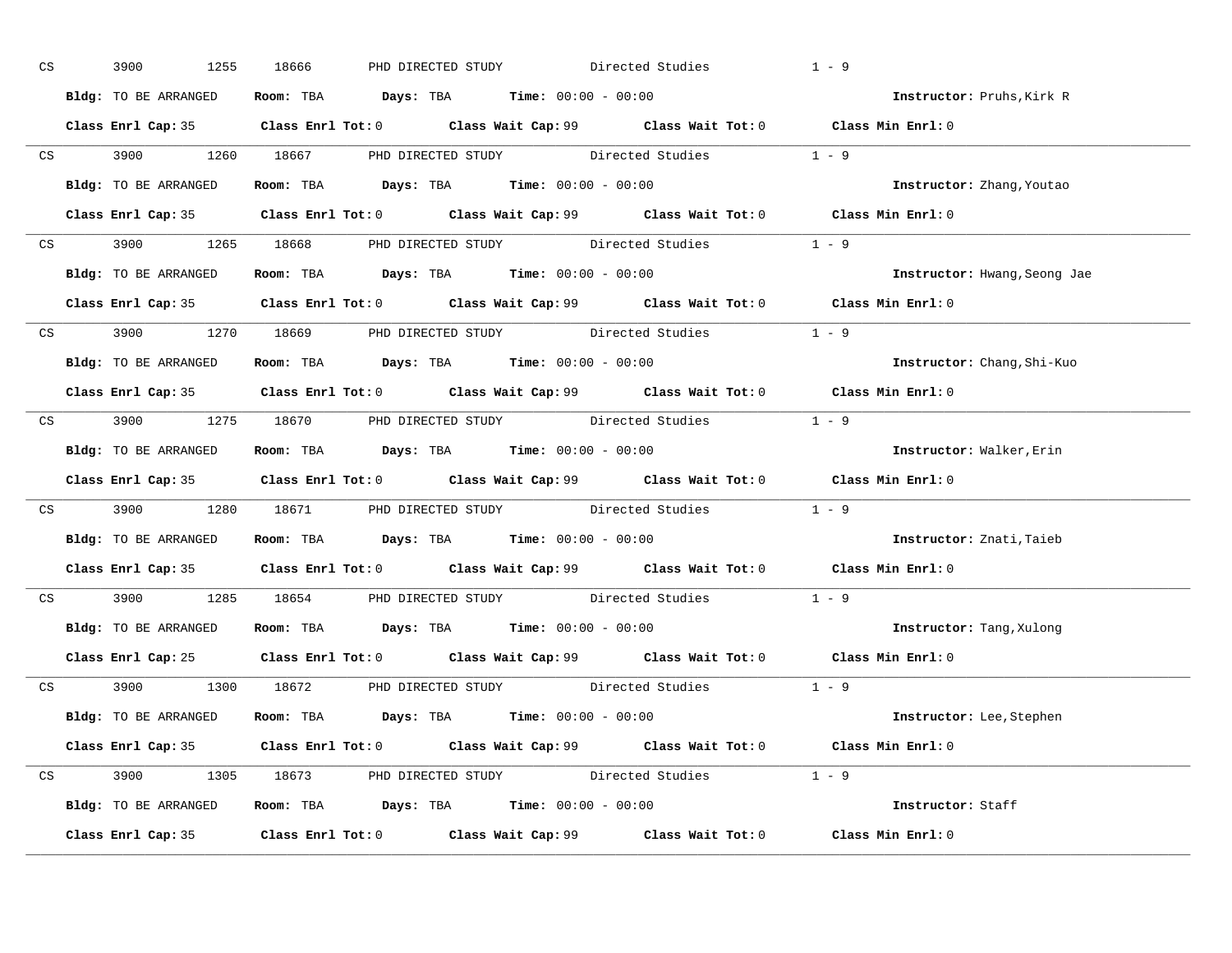| CS | 3900 000<br>1255     | PHD DIRECTED STUDY Directed Studies<br>18666                                                | $1 - 9$                          |
|----|----------------------|---------------------------------------------------------------------------------------------|----------------------------------|
|    | Bldg: TO BE ARRANGED | Room: TBA $Days$ : TBA Time: $00:00 - 00:00$                                                | Instructor: Pruhs, Kirk R        |
|    |                      | Class Enrl Cap: 35 Class Enrl Tot: 0 Class Wait Cap: 99 Class Wait Tot: 0 Class Min Enrl: 0 |                                  |
|    |                      | CS 3900 1260 18667 PHD DIRECTED STUDY Directed Studies 1 - 9                                |                                  |
|    | Bldg: TO BE ARRANGED | Room: TBA $Days:$ TBA $Time: 00:00 - 00:00$                                                 | <b>Instructor:</b> Zhang, Youtao |
|    |                      | Class Enrl Cap: 35 Class Enrl Tot: 0 Class Wait Cap: 99 Class Wait Tot: 0 Class Min Enrl: 0 |                                  |
|    |                      | CS 3900 1265 18668 PHD DIRECTED STUDY Directed Studies 1 - 9                                |                                  |
|    |                      | Bldg: TO BE ARRANGED Room: TBA Days: TBA Time: 00:00 - 00:00                                | Instructor: Hwang, Seong Jae     |
|    |                      | Class Enrl Cap: 35 Class Enrl Tot: 0 Class Wait Cap: 99 Class Wait Tot: 0 Class Min Enrl: 0 |                                  |
|    |                      | CS 3900 1270 18669 PHD DIRECTED STUDY Directed Studies 1 - 9                                |                                  |
|    | Bldg: TO BE ARRANGED | Room: TBA $\rule{1em}{0.15mm}$ Days: TBA $\rule{1.15mm}]{0.15mm}$ Time: $00:00 - 00:00$     | Instructor: Chang, Shi-Kuo       |
|    |                      | Class Enrl Cap: 35 Class Enrl Tot: 0 Class Wait Cap: 99 Class Wait Tot: 0 Class Min Enrl: 0 |                                  |
|    |                      | CS 3900 1275 18670 PHD DIRECTED STUDY Directed Studies 1 - 9                                |                                  |
|    |                      | Bldg: TO BE ARRANGED Room: TBA Days: TBA Time: 00:00 - 00:00                                | Instructor: Walker, Erin         |
|    |                      | Class Enrl Cap: 35 Class Enrl Tot: 0 Class Wait Cap: 99 Class Wait Tot: 0 Class Min Enrl: 0 |                                  |
|    |                      | CS 3900 1280 18671 PHD DIRECTED STUDY Directed Studies 1 - 9                                |                                  |
|    |                      | Bldg: TO BE ARRANGED Room: TBA Days: TBA Time: 00:00 - 00:00                                | Instructor: Znati, Taieb         |
|    |                      | Class Enrl Cap: 35 Class Enrl Tot: 0 Class Wait Cap: 99 Class Wait Tot: 0 Class Min Enrl: 0 |                                  |
|    |                      | CS 3900 1285 18654 PHD DIRECTED STUDY Directed Studies 1 - 9                                |                                  |
|    |                      | Bldg: TO BE ARRANGED ROOM: TBA Days: TBA Time: 00:00 - 00:00                                | Instructor: Tang, Xulong         |
|    |                      | Class Enrl Cap: 25 Class Enrl Tot: 0 Class Wait Cap: 99 Class Wait Tot: 0 Class Min Enrl: 0 |                                  |
|    |                      | CS 3900 1300 18672 PHD DIRECTED STUDY Directed Studies 1 - 9                                |                                  |
|    |                      | Bldg: TO BE ARRANGED Room: TBA Days: TBA Time: 00:00 - 00:00                                | Instructor: Lee, Stephen         |
|    |                      | Class Enrl Cap: 35 Class Enrl Tot: 0 Class Wait Cap: 99 Class Wait Tot: 0 Class Min Enrl: 0 |                                  |
|    |                      | CS 3900 1305 18673 PHD DIRECTED STUDY Directed Studies 1 - 9                                |                                  |
|    |                      | Bldg: TO BE ARRANGED Room: TBA Days: TBA Time: 00:00 - 00:00                                | Instructor: Staff                |
|    |                      | Class Enrl Cap: 35 Class Enrl Tot: 0 Class Wait Cap: 99 Class Wait Tot: 0 Class Min Enrl: 0 |                                  |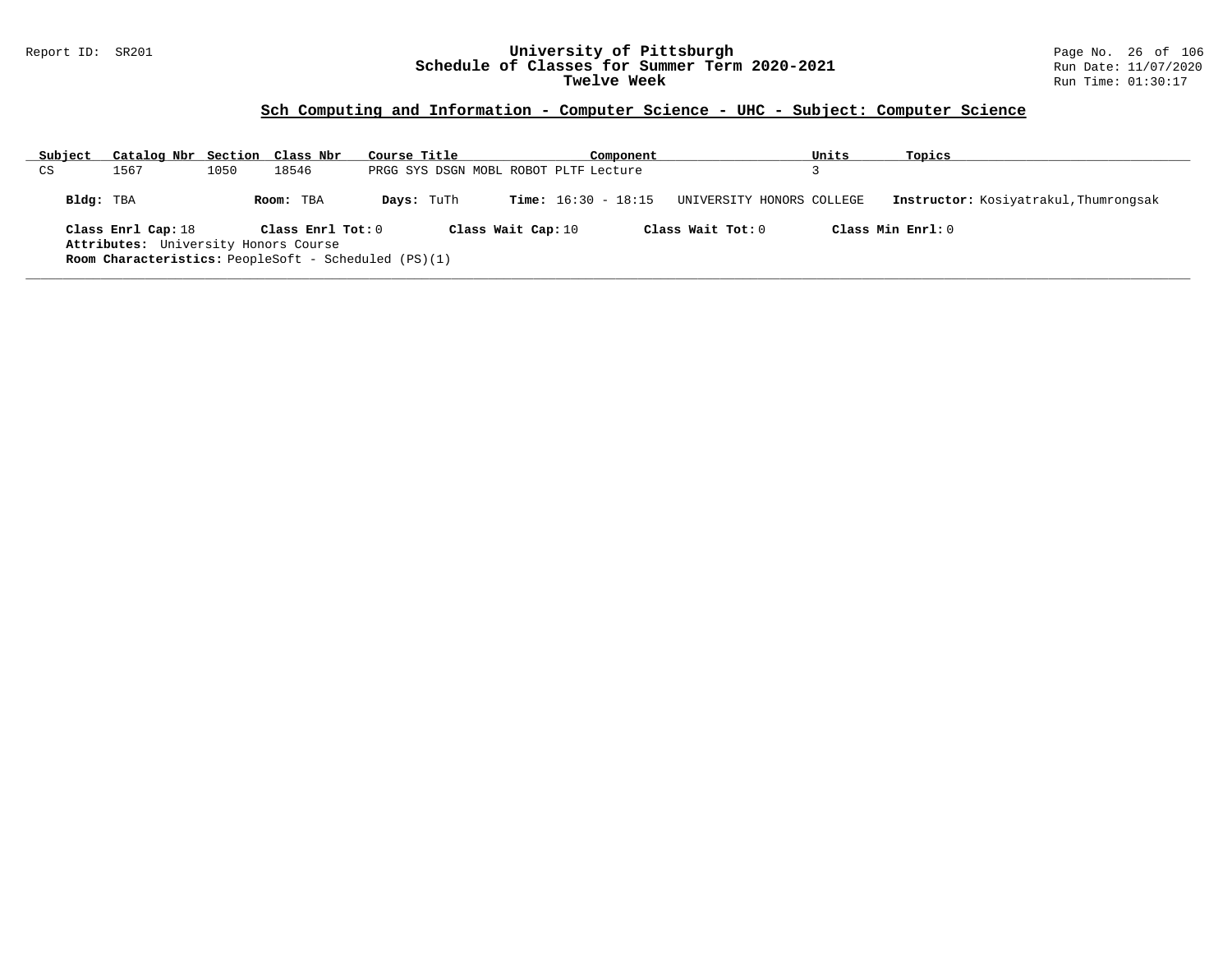### Report ID: SR201 **University of Pittsburgh** Page No. 26 of 106 **Schedule of Classes for Summer Term 2020-2021** Run Date: 11/07/2020 **Twelve Week** Run Time: 01:30:17

| Subject   | Catalog Nbr Section Class Nbr                               |      |                   | Course Title |                                       |  | Component                    |                           | Units | Topics                                |
|-----------|-------------------------------------------------------------|------|-------------------|--------------|---------------------------------------|--|------------------------------|---------------------------|-------|---------------------------------------|
| CS        | 1567                                                        | 1050 | 18546             |              | PRGG SYS DSGN MOBL ROBOT PLTF Lecture |  |                              |                           |       |                                       |
| Bldg: TBA |                                                             |      | Room: TBA         | Days: TuTh   |                                       |  | <b>Time:</b> $16:30 - 18:15$ | UNIVERSITY HONORS COLLEGE |       | Instructor: Kosiyatrakul, Thumrongsak |
|           | Class Enrl Cap: 18                                          |      | Class Enrl Tot: 0 |              | Class Wait Cap: 10                    |  |                              | Class Wait Tot: $0$       |       | Class Min Enrl: 0                     |
|           | Attributes: University Honors Course                        |      |                   |              |                                       |  |                              |                           |       |                                       |
|           | <b>Room Characteristics:</b> PeopleSoft - Scheduled (PS)(1) |      |                   |              |                                       |  |                              |                           |       |                                       |
|           |                                                             |      |                   |              |                                       |  |                              |                           |       |                                       |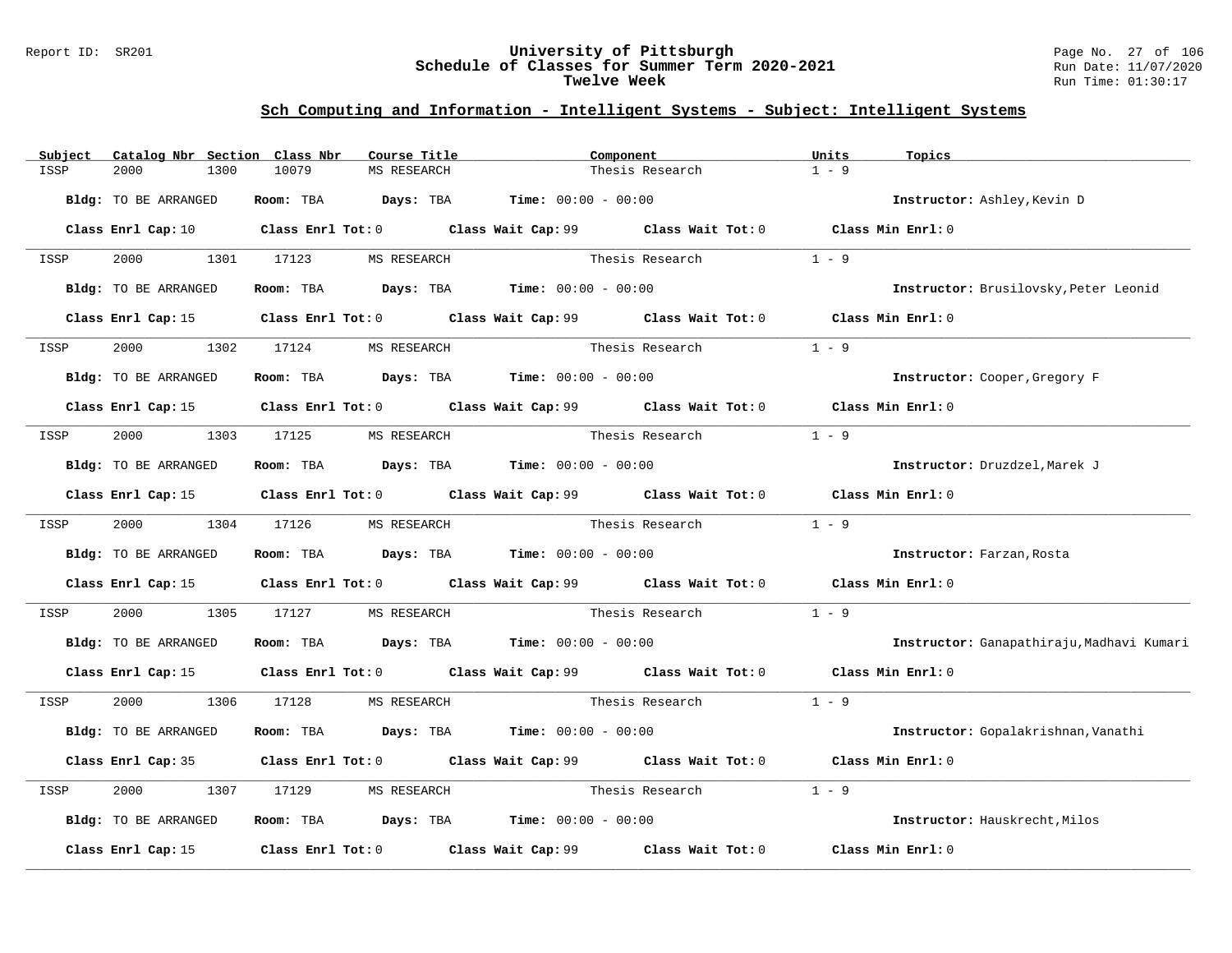#### Report ID: SR201 **University of Pittsburgh** Page No. 27 of 106 **Schedule of Classes for Summer Term 2020-2021** Run Date: 11/07/2020 **Twelve Week** Run Time: 01:30:17

| Subject | Catalog Nbr Section Class Nbr | Course Title                         |                                                                                                      | Component             | Units<br>Topics   |                                           |
|---------|-------------------------------|--------------------------------------|------------------------------------------------------------------------------------------------------|-----------------------|-------------------|-------------------------------------------|
| ISSP    | 2000<br>1300                  | 10079<br>MS RESEARCH                 |                                                                                                      | Thesis Research       | $1 - 9$           |                                           |
|         | Bldg: TO BE ARRANGED          |                                      | Room: TBA $Days:$ TBA $Time: 00:00 - 00:00$                                                          |                       |                   | Instructor: Ashley, Kevin D               |
|         |                               |                                      | Class Enrl Cap: 10 Class Enrl Tot: 0 Class Wait Cap: 99 Class Wait Tot: 0 Class Min Enrl: 0          |                       |                   |                                           |
| ISSP    |                               | 2000 1301 17123 MS RESEARCH          |                                                                                                      | Thesis Research       | $1 - 9$           |                                           |
|         | Bldg: TO BE ARRANGED          |                                      | Room: TBA $Days:$ TBA $Time: 00:00 - 00:00$                                                          |                       |                   | Instructor: Brusilovsky, Peter Leonid     |
|         | Class Enrl Cap: 15            |                                      | Class Enrl Tot: 0 Class Wait Cap: 99 Class Wait Tot: 0 Class Min Enrl: 0                             |                       |                   |                                           |
| ISSP    | 1302<br>2000                  | 17124 MS RESEARCH                    |                                                                                                      | Thesis Research       | $1 - 9$           |                                           |
|         | Bldg: TO BE ARRANGED          |                                      | Room: TBA $Days:$ TBA $Time: 00:00 - 00:00$                                                          |                       |                   | Instructor: Cooper, Gregory F             |
|         |                               |                                      | Class Enrl Cap: 15 Class Enrl Tot: 0 Class Wait Cap: 99 Class Wait Tot: 0 Class Min Enrl: 0          |                       |                   |                                           |
| ISSP    | 2000<br>1303 17125            | MS RESEARCH                          |                                                                                                      | Thesis Research       | $1 - 9$           |                                           |
|         | Bldg: TO BE ARRANGED          |                                      | Room: TBA $\rule{1em}{0.15mm}$ Days: TBA Time: $00:00 - 00:00$                                       |                       |                   | Instructor: Druzdzel, Marek J             |
|         |                               |                                      | Class Enrl Cap: 15 Class Enrl Tot: 0 Class Wait Cap: 99 Class Wait Tot: 0 Class Min Enrl: 0          |                       |                   |                                           |
| ISSP    | 2000 1304 17126               | MS RESEARCH                          |                                                                                                      | Thesis Research       | $1 - 9$           |                                           |
|         | Bldg: TO BE ARRANGED          |                                      | Room: TBA $Days:$ TBA $Time: 00:00 - 00:00$                                                          |                       |                   | Instructor: Farzan, Rosta                 |
|         |                               |                                      | Class Enrl Cap: 15 $\qquad$ Class Enrl Tot: 0 $\qquad$ Class Wait Cap: 99 $\qquad$ Class Wait Tot: 0 |                       | Class Min Enrl: 0 |                                           |
| ISSP    | 2000<br>1305                  | 17127                                | MS RESEARCH Thesis Research                                                                          |                       | $1 - 9$           |                                           |
|         | Bldg: TO BE ARRANGED          |                                      | <b>Room:</b> TBA <b>Days:</b> TBA <b>Time:</b> 00:00 - 00:00                                         |                       |                   | Instructor: Ganapathiraju, Madhavi Kumari |
|         |                               |                                      | Class Enrl Cap: 15 Class Enrl Tot: 0 Class Wait Cap: 99 Class Wait Tot: 0 Class Min Enrl: 0          |                       |                   |                                           |
| ISSP    |                               | 2000 1306 17128 MS RESEARCH          |                                                                                                      | Thesis Research 1 - 9 |                   |                                           |
|         | Bldg: TO BE ARRANGED          |                                      | Room: TBA $Days: TBA$ Time: $00:00 - 00:00$                                                          |                       |                   | Instructor: Gopalakrishnan, Vanathi       |
|         |                               |                                      | Class Enrl Cap: 35 Class Enrl Tot: 0 Class Wait Cap: 99 Class Wait Tot: 0                            |                       | Class Min Enrl: 0 |                                           |
| ISSP    | 2000<br>1307                  | 17129<br>MS RESEARCH                 | Thesis Research                                                                                      |                       | $1 - 9$           |                                           |
|         | Bldg: TO BE ARRANGED          |                                      | Room: TBA $\rule{1em}{0.15mm}$ Days: TBA Time: $00:00 - 00:00$                                       |                       |                   | Instructor: Hauskrecht, Milos             |
|         | Class Enrl Cap: 15            | Class Enrl Tot: 0 Class Wait Cap: 99 |                                                                                                      | Class Wait Tot: 0     | Class Min Enrl: 0 |                                           |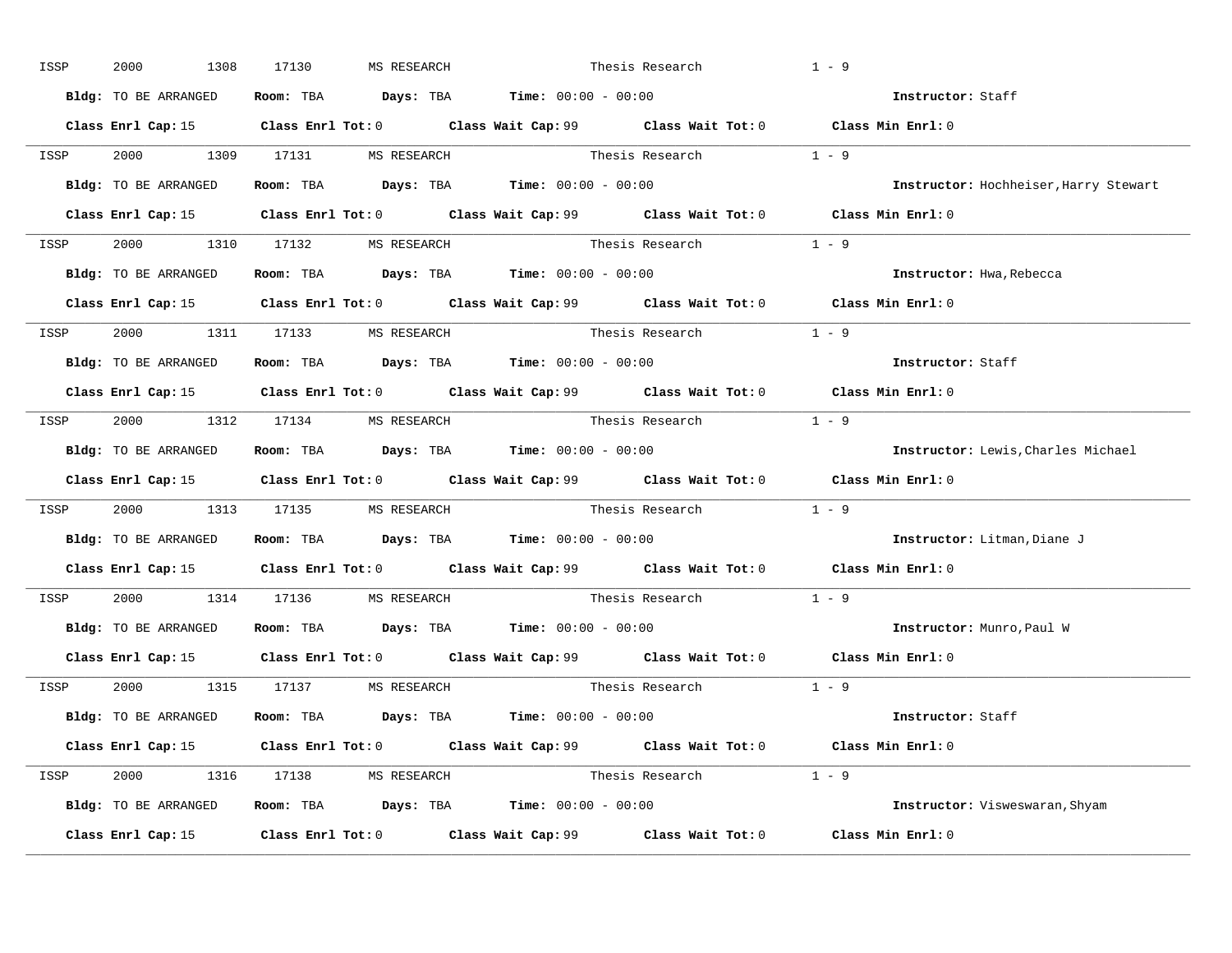| ISSP | 2000<br>1308         | 17130<br>MS RESEARCH                                                                  |  | Thesis Research         | $1 - 9$                                                                                             |
|------|----------------------|---------------------------------------------------------------------------------------|--|-------------------------|-----------------------------------------------------------------------------------------------------|
|      | Bldg: TO BE ARRANGED | Room: TBA $\rule{1em}{0.15mm}$ Days: TBA $\rule{1.5mm}{0.15mm}$ Time: $00:00 - 00:00$ |  |                         | Instructor: Staff                                                                                   |
|      |                      |                                                                                       |  |                         | Class Enrl Cap: 15 Class Enrl Tot: 0 Class Wait Cap: 99 Class Wait Tot: 0 Class Min Enrl: 0         |
|      |                      | ISSP 2000 1309 17131 MSRESEARCH Thesis Research 1 - 9                                 |  |                         |                                                                                                     |
|      | Bldg: TO BE ARRANGED | Room: TBA $\rule{1em}{0.15mm}$ Days: TBA Time: $00:00 - 00:00$                        |  |                         | Instructor: Hochheiser, Harry Stewart                                                               |
|      |                      |                                                                                       |  |                         | Class Enrl Cap: 15 Class Enrl Tot: 0 Class Wait Cap: 99 Class Wait Tot: 0 Class Min Enrl: 0         |
|      |                      | ISSP 2000 1310 17132 MS RESEARCH                                                      |  | Thesis Research $1 - 9$ |                                                                                                     |
|      |                      | Bldg: TO BE ARRANGED Room: TBA Days: TBA Time: 00:00 - 00:00                          |  |                         | Instructor: Hwa, Rebecca                                                                            |
|      |                      |                                                                                       |  |                         | Class Enrl Cap: 15 Class Enrl Tot: 0 Class Wait Cap: 99 Class Wait Tot: 0 Class Min Enrl: 0         |
|      |                      | ISSP 2000 1311 17133 MS RESEARCH                                                      |  | Thesis Research 1 - 9   |                                                                                                     |
|      | Bldg: TO BE ARRANGED | Room: TBA $\rule{1em}{0.15mm}$ Days: TBA Time: $00:00 - 00:00$                        |  |                         | Instructor: Staff                                                                                   |
|      |                      |                                                                                       |  |                         | Class Enrl Cap: 15 Class Enrl Tot: 0 Class Wait Cap: 99 Class Wait Tot: 0 Class Min Enrl: 0         |
|      |                      | ISSP 2000 1312 17134 MS RESEARCH                                                      |  | Thesis Research $1 - 9$ |                                                                                                     |
|      |                      | Bldg: TO BE ARRANGED Room: TBA Days: TBA Time: 00:00 - 00:00                          |  |                         | Instructor: Lewis, Charles Michael                                                                  |
|      |                      |                                                                                       |  |                         | Class Enrl Cap: 15 Class Enrl Tot: 0 Class Wait Cap: 99 Class Wait Tot: 0 Class Min Enrl: 0         |
| ISSP |                      | 2000 1313 17135 MS RESEARCH Thesis Research 1 - 9                                     |  |                         |                                                                                                     |
|      |                      | Bldg: TO BE ARRANGED Room: TBA Days: TBA Time: 00:00 - 00:00                          |  |                         | Instructor: Litman, Diane J                                                                         |
|      |                      |                                                                                       |  |                         | Class Enrl Cap: 15 Class Enrl Tot: 0 Class Wait Cap: 99 Class Wait Tot: 0 Class Min Enrl: 0         |
| ISSP |                      | 2000 1314 17136 MS RESEARCH                                                           |  | Thesis Research         | $1 - 9$                                                                                             |
|      |                      | Bldg: TO BE ARRANGED Room: TBA Days: TBA Time: 00:00 - 00:00                          |  |                         | Instructor: Munro, Paul W                                                                           |
|      | Class Enrl Cap: 15   |                                                                                       |  |                         | Class Enrl Tot: 0 $\qquad$ Class Wait Cap: 99 $\qquad$ Class Wait Tot: 0 $\qquad$ Class Min Enrl: 0 |
|      |                      | ISSP 2000 1315 17137 MS RESEARCH                                                      |  | Thesis Research         | $1 - 9$                                                                                             |
|      |                      | Bldg: TO BE ARRANGED Room: TBA Days: TBA Time: 00:00 - 00:00                          |  |                         | Instructor: Staff                                                                                   |
|      |                      |                                                                                       |  |                         | Class Enrl Cap: 15 Class Enrl Tot: 0 Class Wait Cap: 99 Class Wait Tot: 0 Class Min Enrl: 0         |
|      |                      | ISSP 2000 1316 17138 MS RESEARCH                                                      |  | Thesis Research $1 - 9$ |                                                                                                     |
|      |                      | Bldg: TO BE ARRANGED Room: TBA Days: TBA Time: 00:00 - 00:00                          |  |                         | Instructor: Visweswaran, Shyam                                                                      |
|      |                      | Class Enrl Cap: 15 Class Enrl Tot: 0 Class Wait Cap: 99 Class Wait Tot: 0             |  |                         | Class Min Enrl: 0                                                                                   |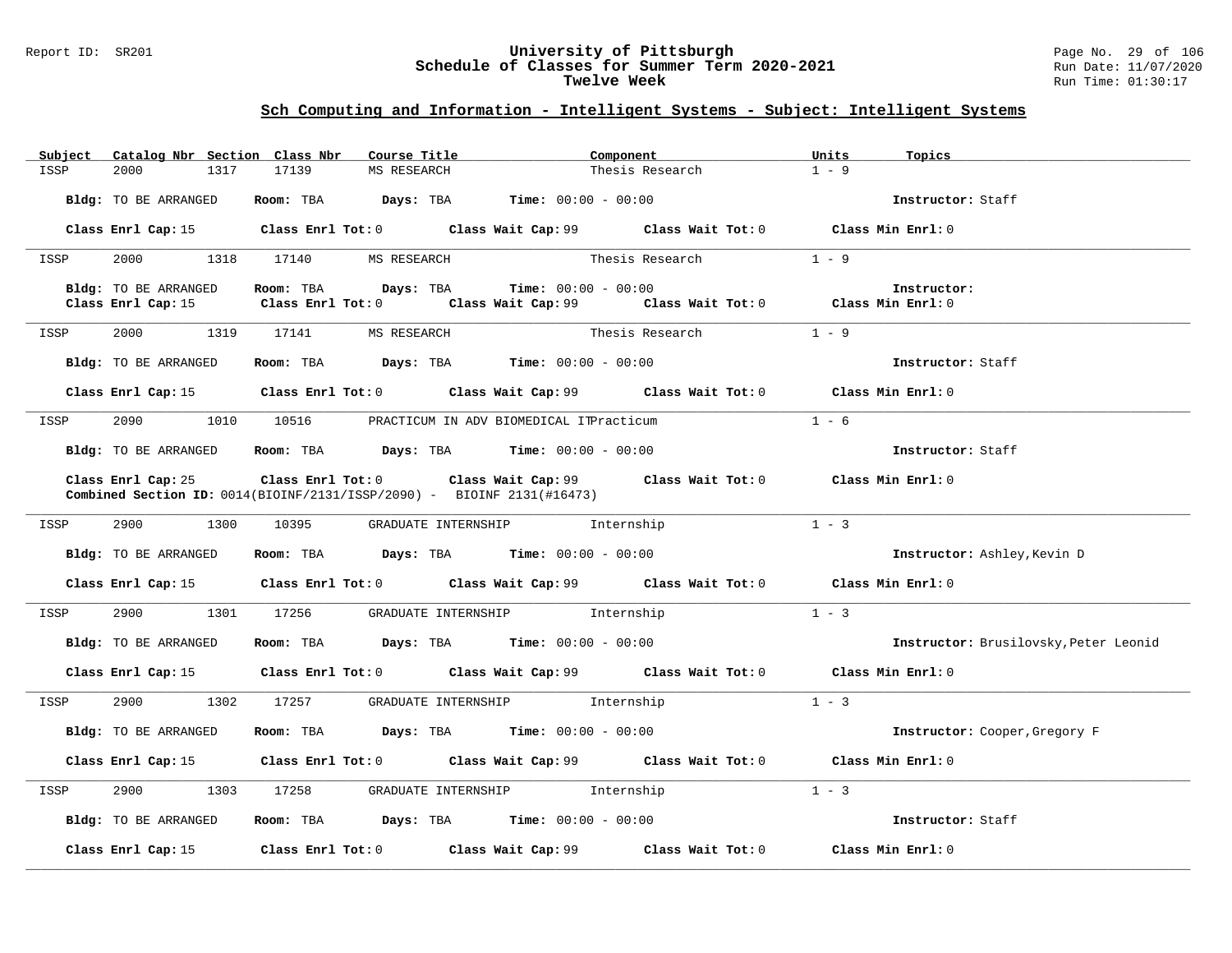#### Report ID: SR201 **University of Pittsburgh** Page No. 29 of 106 **Schedule of Classes for Summer Term 2020-2021** Run Date: 11/07/2020 **Twelve Week** Run Time: 01:30:17

| Subject | Catalog Nbr Section Class Nbr | Course Title                |                                                                                                                                             | Component       | Units<br>Topics                       |
|---------|-------------------------------|-----------------------------|---------------------------------------------------------------------------------------------------------------------------------------------|-----------------|---------------------------------------|
| ISSP    | 2000<br>1317                  | 17139<br>MS RESEARCH        |                                                                                                                                             | Thesis Research | $1 - 9$                               |
|         | Bldg: TO BE ARRANGED          |                             | Room: TBA $Days:$ TBA $Time: 00:00 - 00:00$                                                                                                 |                 | Instructor: Staff                     |
|         |                               |                             | Class Enrl Cap: 15 Class Enrl Tot: 0 Class Wait Cap: 99 Class Wait Tot: 0 Class Min Enrl: 0                                                 |                 |                                       |
| ISSP    |                               | 2000 1318 17140 MS RESEARCH |                                                                                                                                             | Thesis Research | $1 - 9$                               |
|         | Bldg: TO BE ARRANGED          | Room: TBA Days: TBA         | $Time: 00:00 - 00:00$                                                                                                                       |                 | Instructor:                           |
|         | Class Enrl Cap: 15            | $Class$ $Enrl$ $Tot: 0$     | Class Wait Cap: $99$ Class Wait Tot: 0 Class Min Enrl: 0                                                                                    |                 |                                       |
| ISSP    | 2000 1319 17141               | MS RESEARCH                 | Thesis Research                                                                                                                             |                 | $1 - 9$                               |
|         | Bldg: TO BE ARRANGED          |                             | Room: TBA $\rule{1em}{0.15mm}$ Days: TBA Time: $00:00 - 00:00$                                                                              |                 | Instructor: Staff                     |
|         | Class Enrl Cap: 15            |                             | Class Enrl Tot: 0 Class Wait Cap: 99 Class Wait Tot: 0                                                                                      |                 | Class Min Enrl: 0                     |
| ISSP    | 2090<br>1010                  |                             | 10516 PRACTICUM IN ADV BIOMEDICAL ITPracticum                                                                                               |                 | $1 - 6$                               |
|         | Bldg: TO BE ARRANGED          |                             | <b>Room:</b> TBA $Days: TBA$ <b>Time:</b> $00:00 - 00:00$                                                                                   |                 | Instructor: Staff                     |
|         | Class Enrl Cap: 25            |                             | Class Enrl Tot: 0 Class Wait Cap: 99 Class Wait Tot: 0<br><b>Combined Section ID:</b> $0014(BIOINF/2131/ISSP/2090)$ - BIOINF $2131(#16473)$ |                 | Class Min Enrl: 0                     |
| ISSP    | 2900 1300                     | 10395                       | GRADUATE INTERNSHIP 1nternship                                                                                                              |                 | $1 - 3$                               |
|         | Bldg: TO BE ARRANGED          |                             | Room: TBA $\rule{1em}{0.15mm}$ Days: TBA $\rule{1.5mm}{0.15mm}$ Time: $00:00 - 00:00$                                                       |                 | Instructor: Ashley, Kevin D           |
|         |                               |                             | Class Enrl Cap: 15 Class Enrl Tot: 0 Class Wait Cap: 99 Class Wait Tot: 0                                                                   |                 | Class Min Enrl: 0                     |
| ISSP    | 2900<br>1301                  | 17256                       | GRADUATE INTERNSHIP 1nternship                                                                                                              |                 | $1 - 3$                               |
|         | Bldg: TO BE ARRANGED          |                             | Room: TBA $Days:$ TBA $Time: 00:00 - 00:00$                                                                                                 |                 | Instructor: Brusilovsky, Peter Leonid |
|         |                               |                             | Class Enrl Cap: 15 Class Enrl Tot: 0 Class Wait Cap: 99 Class Wait Tot: 0 Class Min Enrl: 0                                                 |                 |                                       |
| ISSP    | 2900<br>1302                  | 17257                       | GRADUATE INTERNSHIP 1nternship                                                                                                              |                 | $1 - 3$                               |
|         | Bldg: TO BE ARRANGED          |                             | Room: TBA $Days:$ TBA $Time: 00:00 - 00:00$                                                                                                 |                 | Instructor: Cooper, Gregory F         |
|         |                               |                             | Class Enrl Cap: 15 Class Enrl Tot: 0 Class Wait Cap: 99 Class Wait Tot: 0                                                                   |                 | Class Min Enrl: 0                     |
| ISSP    | 2900<br>1303                  | 17258                       | GRADUATE INTERNSHIP 1nternship                                                                                                              |                 | $1 - 3$                               |
|         | Bldg: TO BE ARRANGED          |                             | Room: TBA $Days:$ TBA $Time: 00:00 - 00:00$                                                                                                 |                 | Instructor: Staff                     |
|         | Class Enrl Cap: 15            |                             | Class Enrl Tot: $0$ Class Wait Cap: $99$ Class Wait Tot: $0$                                                                                |                 | Class Min Enrl: 0                     |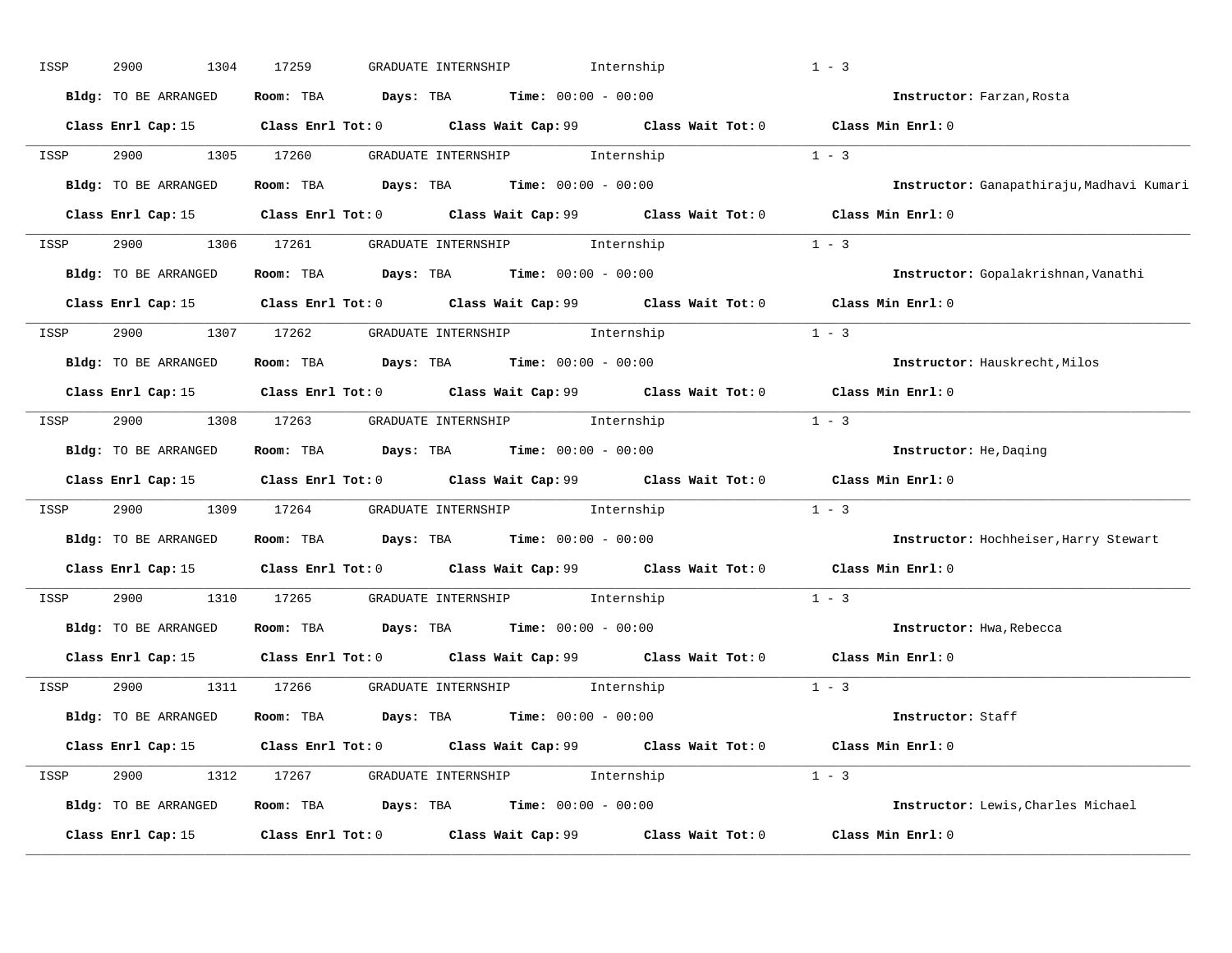| ISSP | 2900<br>1304         | 17259 | Internship<br>GRADUATE INTERNSHIP                                                           |         | $1 - 3$                                   |
|------|----------------------|-------|---------------------------------------------------------------------------------------------|---------|-------------------------------------------|
|      | Bldg: TO BE ARRANGED |       | Room: TBA $Days:$ TBA $Time: 00:00 - 00:00$                                                 |         | Instructor: Farzan, Rosta                 |
|      |                      |       | Class Enrl Cap: 15 Class Enrl Tot: 0 Class Wait Cap: 99 Class Wait Tot: 0 Class Min Enrl: 0 |         |                                           |
| ISSP | 2900 1305 17260      |       | GRADUATE INTERNSHIP 1nternship                                                              |         | $1 - 3$                                   |
|      | Bldg: TO BE ARRANGED |       | Room: TBA $Days:$ TBA $Time: 00:00 - 00:00$                                                 |         | Instructor: Ganapathiraju, Madhavi Kumari |
|      |                      |       | Class Enrl Cap: 15 Class Enrl Tot: 0 Class Wait Cap: 99 Class Wait Tot: 0 Class Min Enrl: 0 |         |                                           |
|      |                      |       | ISSP 2900 1306 17261 GRADUATE INTERNSHIP Internship                                         | $1 - 3$ |                                           |
|      |                      |       | Bldg: TO BE ARRANGED Room: TBA Days: TBA Time: 00:00 - 00:00                                |         | Instructor: Gopalakrishnan, Vanathi       |
|      |                      |       | Class Enrl Cap: 15 Class Enrl Tot: 0 Class Wait Cap: 99 Class Wait Tot: 0 Class Min Enrl: 0 |         |                                           |
| ISSP |                      |       | 2900 1307 17262 GRADUATE INTERNSHIP Internship                                              |         | $1 - 3$                                   |
|      | Bldg: TO BE ARRANGED |       | Room: TBA $Days:$ TBA $Time: 00:00 - 00:00$                                                 |         | Instructor: Hauskrecht, Milos             |
|      |                      |       | Class Enrl Cap: 15 Class Enrl Tot: 0 Class Wait Cap: 99 Class Wait Tot: 0 Class Min Enrl: 0 |         |                                           |
|      |                      |       | ISSP 2900 1308 17263 GRADUATE INTERNSHIP Internship                                         |         | $1 - 3$                                   |
|      | Bldg: TO BE ARRANGED |       | Room: TBA $Days:$ TBA $Time: 00:00 - 00:00$                                                 |         | Instructor: He, Daging                    |
|      |                      |       | Class Enrl Cap: 15 Class Enrl Tot: 0 Class Wait Cap: 99 Class Wait Tot: 0 Class Min Enrl: 0 |         |                                           |
|      |                      |       | ISSP 2900 1309 17264 GRADUATE INTERNSHIP Internship                                         |         | $1 - 3$                                   |
|      |                      |       | Bldg: TO BE ARRANGED Room: TBA Days: TBA Time: 00:00 - 00:00                                |         | Instructor: Hochheiser, Harry Stewart     |
|      |                      |       | Class Enrl Cap: 15 Class Enrl Tot: 0 Class Wait Cap: 99 Class Wait Tot: 0                   |         | Class Min $Enrl: 0$                       |
| ISSP | 2900 1310 17265      |       | GRADUATE INTERNSHIP 1nternship                                                              |         | $1 - 3$                                   |
|      | Bldg: TO BE ARRANGED |       | Room: TBA $Days: TBA$ Time: $00:00 - 00:00$                                                 |         | Instructor: Hwa, Rebecca                  |
|      |                      |       | Class Enrl Cap: 15 Class Enrl Tot: 0 Class Wait Cap: 99 Class Wait Tot: 0 Class Min Enrl: 0 |         |                                           |
|      |                      |       | ISSP 2900 1311 17266 GRADUATE INTERNSHIP Internship                                         |         | $1 - 3$                                   |
|      | Bldg: TO BE ARRANGED |       | <b>Room:</b> TBA $Days:$ TBA $Time: 00:00 - 00:00$                                          |         | Instructor: Staff                         |
|      |                      |       | Class Enrl Cap: 15 Class Enrl Tot: 0 Class Wait Cap: 99 Class Wait Tot: 0 Class Min Enrl: 0 |         |                                           |
|      |                      |       | ISSP 2900 1312 17267 GRADUATE INTERNSHIP Internship                                         | $1 - 3$ |                                           |
|      | Bldg: TO BE ARRANGED |       | Room: TBA $Days:$ TBA $Time: 00:00 - 00:00$                                                 |         | Instructor: Lewis, Charles Michael        |
|      |                      |       |                                                                                             |         |                                           |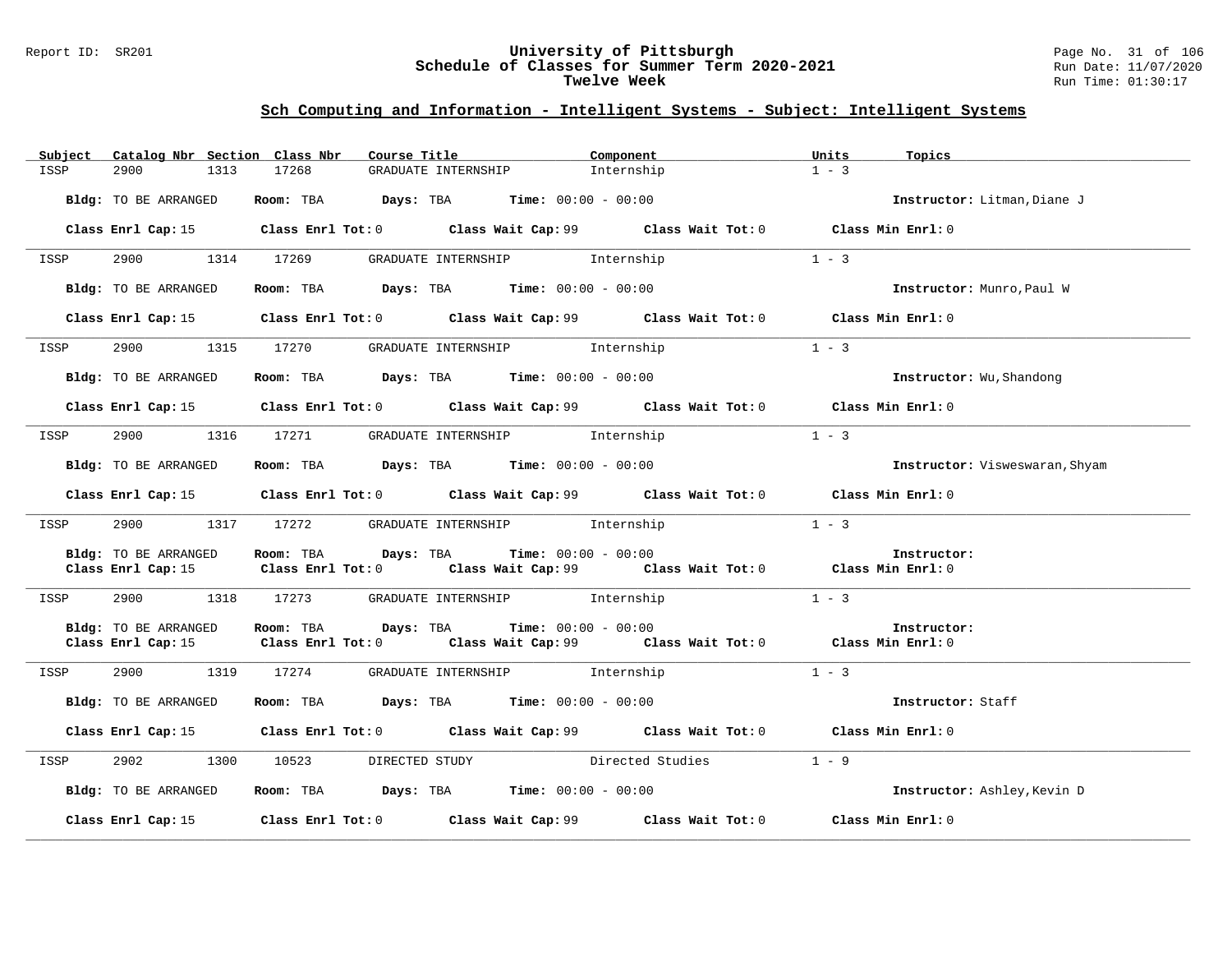#### Report ID: SR201 **University of Pittsburgh** Page No. 31 of 106 **Schedule of Classes for Summer Term 2020-2021** Run Date: 11/07/2020 **Twelve Week** Run Time: 01:30:17

| Catalog Nbr Section Class Nbr<br>Subject   | Course Title                                                                                                                    | Component  | Units<br>Topics                |
|--------------------------------------------|---------------------------------------------------------------------------------------------------------------------------------|------------|--------------------------------|
| 2900<br>1313<br>ISSP                       | 17268<br>GRADUATE INTERNSHIP                                                                                                    | Internship | $1 - 3$                        |
| Bldg: TO BE ARRANGED                       | Room: TBA $Days:$ TBA Time: $00:00 - 00:00$                                                                                     |            | Instructor: Litman, Diane J    |
|                                            | Class Enrl Cap: 15 		 Class Enrl Tot: 0 		 Class Wait Cap: 99 		 Class Wait Tot: 0                                              |            | Class Min Enrl: 0              |
| 2900<br>ISSP                               | 1314 17269<br>GRADUATE INTERNSHIP 1nternship                                                                                    |            | $1 - 3$                        |
| Bldg: TO BE ARRANGED                       | Room: TBA $\rule{1em}{0.15mm}$ Days: TBA Time: $00:00 - 00:00$                                                                  |            | Instructor: Munro, Paul W      |
|                                            | Class Enrl Cap: 15 Class Enrl Tot: 0 Class Wait Cap: 99 Class Wait Tot: 0 Class Min Enrl: 0                                     |            |                                |
| ISSP                                       | 2900 1315 17270 GRADUATE INTERNSHIP Internship                                                                                  |            | $1 - 3$                        |
| Bldg: TO BE ARRANGED                       | Room: TBA $Days:$ TBA $Time: 00:00 - 00:00$                                                                                     |            | Instructor: Wu, Shandong       |
|                                            | Class Enrl Cap: 15 Class Enrl Tot: 0 Class Wait Cap: 99 Class Wait Tot: 0 Class Min Enrl: 0                                     |            |                                |
| 2900 1316 17271<br>ISSP                    | GRADUATE INTERNSHIP 1nternship                                                                                                  |            | $1 - 3$                        |
| Bldg: TO BE ARRANGED                       | Room: TBA $\rule{1em}{0.15mm}$ Days: TBA $\rule{1.5mm}{0.15mm}$ Time: $00:00 - 00:00$                                           |            | Instructor: Visweswaran, Shyam |
|                                            | Class Enrl Cap: 15 Class Enrl Tot: 0 Class Wait Cap: 99 Class Wait Tot: 0 Class Min Enrl: 0                                     |            |                                |
| 2900<br>ISSP                               | 1317 17272 GRADUATE INTERNSHIP Internship                                                                                       |            | $1 - 3$                        |
| Bldg: TO BE ARRANGED<br>Class Enrl Cap: 15 | Room: TBA $Days:$ TBA $Time: 00:00 - 00:00$<br>Class Enrl Tot: $0$ Class Wait Cap: $99$ Class Wait Tot: $0$ Class Min Enrl: $0$ |            | Instructor:                    |
| 2900<br>1318<br>ISSP                       | GRADUATE INTERNSHIP 1nternship<br>17273                                                                                         |            | $1 - 3$                        |
| Bldg: TO BE ARRANGED<br>Class Enrl Cap: 15 | Room: TBA $Days:$ TBA $Time: 00:00 - 00:00$<br>Class Enrl Tot: $0$ Class Wait Cap: $99$ Class Wait Tot: $0$ Class Min Enrl: $0$ |            | Instructor:                    |
| 2900<br>1319<br>ISSP                       | GRADUATE INTERNSHIP 1nternship<br>17274                                                                                         |            | $1 - 3$                        |
| Bldg: TO BE ARRANGED                       | Room: TBA $Days:$ TBA $Time: 00:00 - 00:00$                                                                                     |            | Instructor: Staff              |
|                                            | Class Enrl Cap: 15 Class Enrl Tot: 0 Class Wait Cap: 99 Class Wait Tot: 0 Class Min Enrl: 0                                     |            |                                |
| 2902<br>ISSP                               | DIRECTED STUDY Directed Studies<br>1300 10523                                                                                   |            | $1 - 9$                        |
| Bldg: TO BE ARRANGED                       | Room: TBA $Days:$ TBA $Time:$ 00:00 - 00:00                                                                                     |            | Instructor: Ashley, Kevin D    |
|                                            | Class Enrl Cap: 15 Class Enrl Tot: 0 Class Wait Cap: 99 Class Wait Tot: 0 Class Min Enrl: 0                                     |            |                                |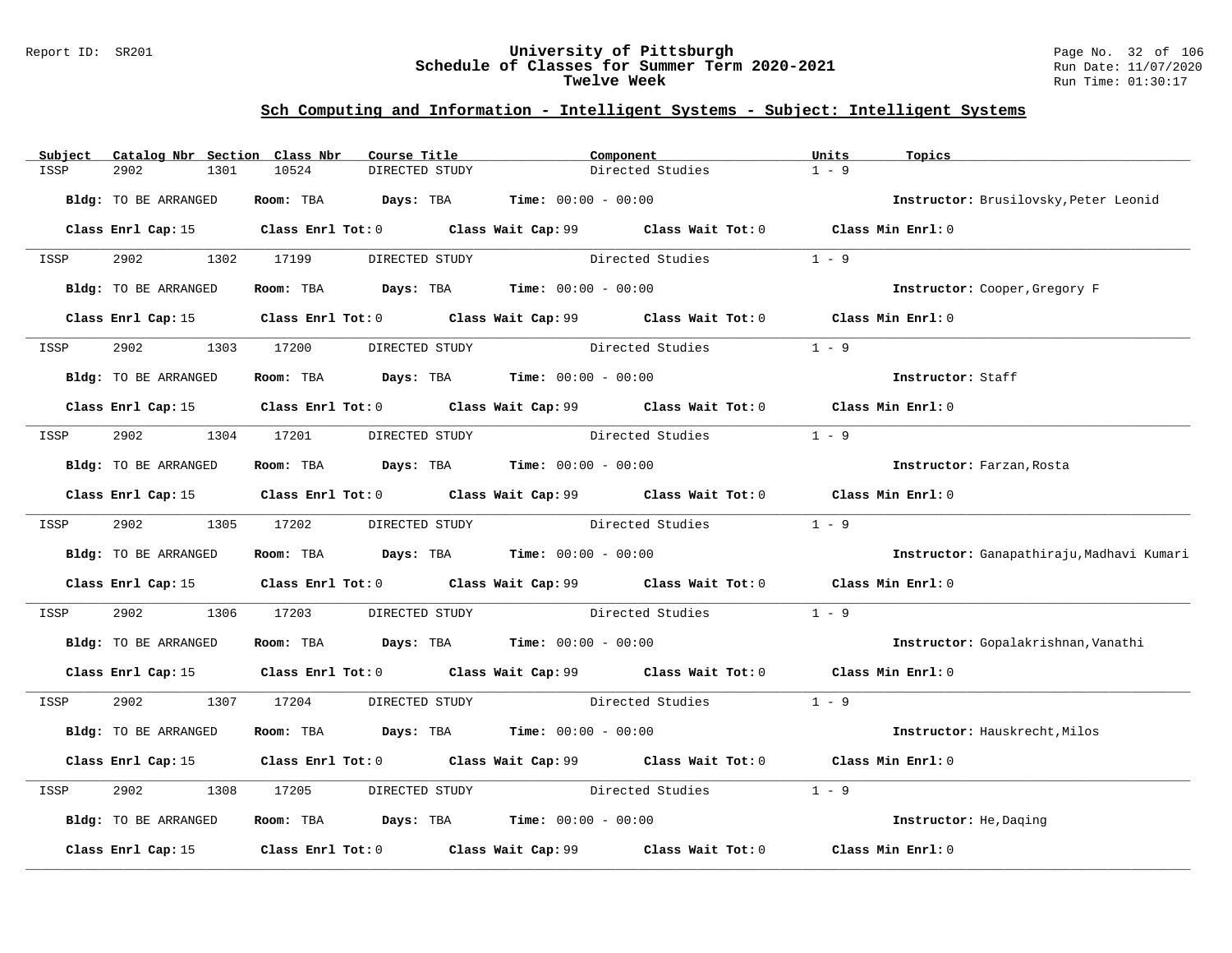#### Report ID: SR201 **University of Pittsburgh** Page No. 32 of 106 **Schedule of Classes for Summer Term 2020-2021** Run Date: 11/07/2020 **Twelve Week** Run Time: 01:30:17

| Subject | Catalog Nbr Section Class Nbr | Course Title                                                   |                | Component                                                                                   | Units<br>Topics           |                                           |
|---------|-------------------------------|----------------------------------------------------------------|----------------|---------------------------------------------------------------------------------------------|---------------------------|-------------------------------------------|
| ISSP    | 2902<br>1301                  | 10524                                                          | DIRECTED STUDY | Directed Studies                                                                            | $1 - 9$                   |                                           |
|         | Bldg: TO BE ARRANGED          | Room: TBA $Days:$ TBA $Time: 00:00 - 00:00$                    |                |                                                                                             |                           | Instructor: Brusilovsky, Peter Leonid     |
|         |                               |                                                                |                | Class Enrl Cap: 15 Class Enrl Tot: 0 Class Wait Cap: 99 Class Wait Tot: 0 Class Min Enrl: 0 |                           |                                           |
| ISSP    | 2902 1302 17199               |                                                                | DIRECTED STUDY | Directed Studies                                                                            | $1 - 9$                   |                                           |
|         | Bldg: TO BE ARRANGED          | Room: TBA $\rule{1em}{0.15mm}$ Days: TBA Time: $00:00 - 00:00$ |                |                                                                                             |                           | Instructor: Cooper, Gregory F             |
|         |                               |                                                                |                | Class Enrl Cap: 15 Class Enrl Tot: 0 Class Wait Cap: 99 Class Wait Tot: 0 Class Min Enrl: 0 |                           |                                           |
| ISSP    | 2902                          | 1303 17200 DIRECTED STUDY                                      |                | Directed Studies                                                                            | $1 - 9$                   |                                           |
|         | Bldg: TO BE ARRANGED          | Room: TBA $Days:$ TBA $Time: 00:00 - 00:00$                    |                |                                                                                             | Instructor: Staff         |                                           |
|         |                               |                                                                |                | Class Enrl Cap: 15 Class Enrl Tot: 0 Class Wait Cap: 99 Class Wait Tot: 0 Class Min Enrl: 0 |                           |                                           |
| ISSP    | 2902 1304 17201               |                                                                | DIRECTED STUDY | Directed Studies                                                                            | $1 - 9$                   |                                           |
|         | Bldg: TO BE ARRANGED          | Room: TBA $Days:$ TBA $Time: 00:00 - 00:00$                    |                |                                                                                             | Instructor: Farzan, Rosta |                                           |
|         |                               |                                                                |                | Class Enrl Cap: 15 Class Enrl Tot: 0 Class Wait Cap: 99 Class Wait Tot: 0 Class Min Enrl: 0 |                           |                                           |
| ISSP    | 2902 1305 17202               |                                                                | DIRECTED STUDY | Directed Studies                                                                            | $1 - 9$                   |                                           |
|         | Bldg: TO BE ARRANGED          | Room: TBA $Days:$ TBA $Time: 00:00 - 00:00$                    |                |                                                                                             |                           | Instructor: Ganapathiraju, Madhavi Kumari |
|         |                               |                                                                |                | Class Enrl Cap: 15 Class Enrl Tot: 0 Class Wait Cap: 99 Class Wait Tot: 0 Class Min Enrl: 0 |                           |                                           |
| ISSP    | 2902<br>1306                  | 17203                                                          |                | DIRECTED STUDY Directed Studies                                                             | $1 - 9$                   |                                           |
|         | Bldg: TO BE ARRANGED          | Room: TBA $Days: TBA$ Time: $00:00 - 00:00$                    |                |                                                                                             |                           | Instructor: Gopalakrishnan, Vanathi       |
|         |                               |                                                                |                | Class Enrl Cap: 15 Class Enrl Tot: 0 Class Wait Cap: 99 Class Wait Tot: 0 Class Min Enrl: 0 |                           |                                           |
| ISSP    |                               |                                                                |                | 2902 1307 17204 DIRECTED STUDY Directed Studies 1 - 9                                       |                           |                                           |
|         | Bldg: TO BE ARRANGED          | Room: TBA $Days:$ TBA $Time: 00:00 - 00:00$                    |                |                                                                                             |                           | Instructor: Hauskrecht, Milos             |
|         |                               |                                                                |                | Class Enrl Cap: 15 Class Enrl Tot: 0 Class Wait Cap: 99 Class Wait Tot: 0 Class Min Enrl: 0 |                           |                                           |
| ISSP    | 2902<br>1308                  | 17205                                                          |                | DIRECTED STUDY Directed Studies                                                             | $1 - 9$                   |                                           |
|         | Bldg: TO BE ARRANGED          | Room: TBA $\rule{1em}{0.15mm}$ Days: TBA Time: $00:00 - 00:00$ |                |                                                                                             | Instructor: He, Daging    |                                           |
|         | Class Enrl Cap: 15            |                                                                |                | Class Enrl Tot: 0 Class Wait Cap: 99 Class Wait Tot: 0 Class Min Enrl: 0                    |                           |                                           |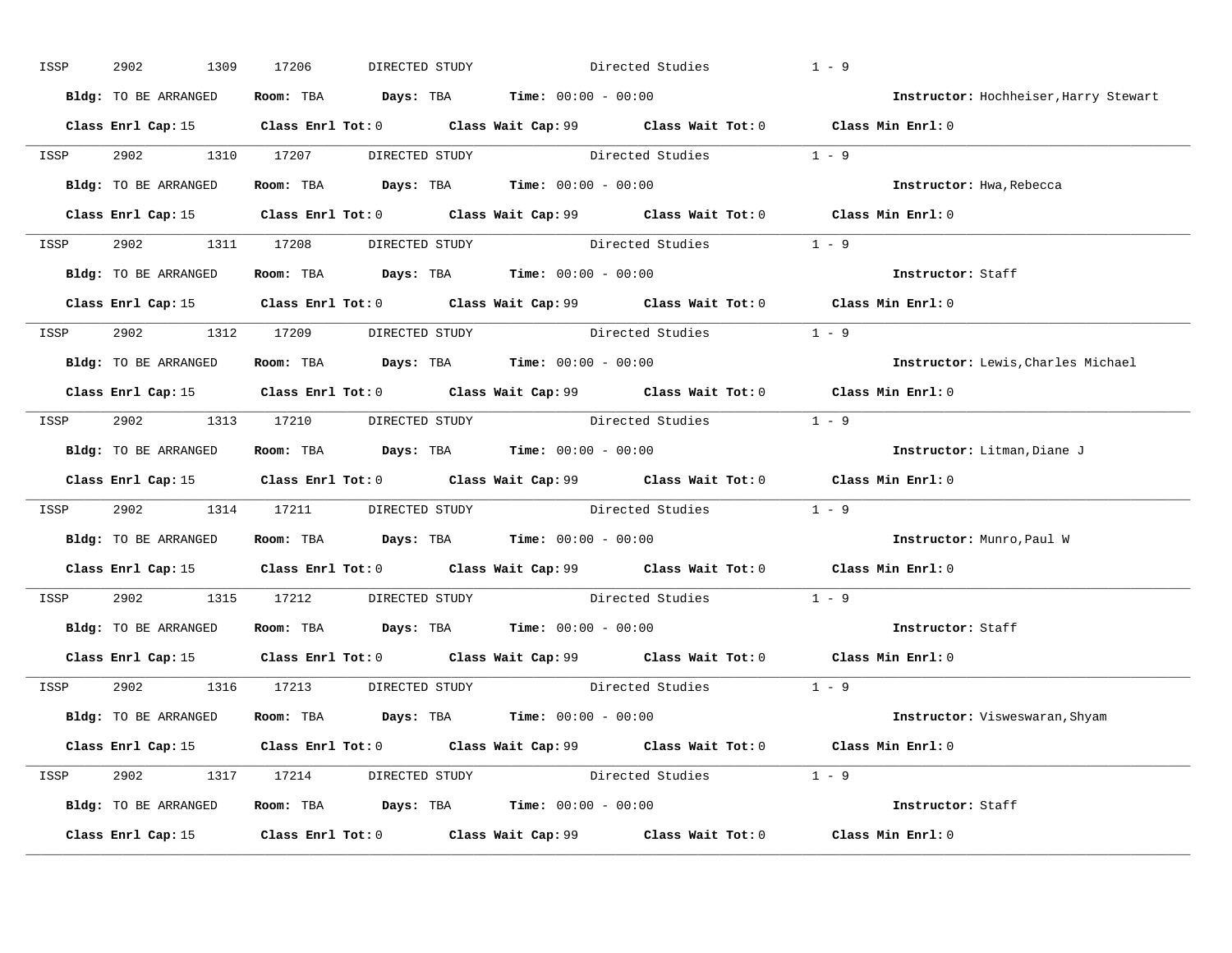| ISSP | 2902<br>1309         | 17206<br>DIRECTED STUDY                                                               | Directed Studies                                                                            | $1 - 9$                               |
|------|----------------------|---------------------------------------------------------------------------------------|---------------------------------------------------------------------------------------------|---------------------------------------|
|      | Bldg: TO BE ARRANGED | Room: TBA $\rule{1em}{0.15mm}$ Days: TBA $\rule{1.5mm}{0.15mm}$ Time: $00:00 - 00:00$ |                                                                                             | Instructor: Hochheiser, Harry Stewart |
|      |                      |                                                                                       | Class Enrl Cap: 15 Class Enrl Tot: 0 Class Wait Cap: 99 Class Wait Tot: 0 Class Min Enrl: 0 |                                       |
|      |                      |                                                                                       | ISSP 2902 1310 17207 DIRECTED STUDY Directed Studies 1 - 9                                  |                                       |
|      | Bldg: TO BE ARRANGED | Room: TBA $\rule{1em}{0.15mm}$ Days: TBA Time: $00:00 - 00:00$                        |                                                                                             | Instructor: Hwa, Rebecca              |
|      |                      |                                                                                       | Class Enrl Cap: 15 Class Enrl Tot: 0 Class Wait Cap: 99 Class Wait Tot: 0 Class Min Enrl: 0 |                                       |
|      |                      |                                                                                       | ISSP 2902 1311 17208 DIRECTED STUDY Directed Studies 1 - 9                                  |                                       |
|      |                      | Bldg: TO BE ARRANGED Room: TBA Days: TBA Time: 00:00 - 00:00                          |                                                                                             | Instructor: Staff                     |
|      |                      |                                                                                       | Class Enrl Cap: 15 Class Enrl Tot: 0 Class Wait Cap: 99 Class Wait Tot: 0 Class Min Enrl: 0 |                                       |
|      |                      |                                                                                       | ISSP 2902 1312 17209 DIRECTED STUDY Directed Studies 1 - 9                                  |                                       |
|      | Bldg: TO BE ARRANGED | Room: TBA $Days:$ TBA Time: $00:00 - 00:00$                                           |                                                                                             | Instructor: Lewis, Charles Michael    |
|      |                      |                                                                                       | Class Enrl Cap: 15 Class Enrl Tot: 0 Class Wait Cap: 99 Class Wait Tot: 0 Class Min Enrl: 0 |                                       |
|      |                      | ISSP 2902 1313 17210 DIRECTED STUDY                                                   | Directed Studies 1 - 9                                                                      |                                       |
|      |                      | Bldg: TO BE ARRANGED Room: TBA Days: TBA Time: 00:00 - 00:00                          |                                                                                             | Instructor: Litman, Diane J           |
|      |                      |                                                                                       | Class Enrl Cap: 15 Class Enrl Tot: 0 Class Wait Cap: 99 Class Wait Tot: 0 Class Min Enrl: 0 |                                       |
| ISSP |                      |                                                                                       | 2902 1314 17211 DIRECTED STUDY Directed Studies 1 - 9                                       |                                       |
|      |                      | Bldg: TO BE ARRANGED Room: TBA Days: TBA Time: 00:00 - 00:00                          |                                                                                             | Instructor: Munro,Paul W              |
|      |                      |                                                                                       | Class Enrl Cap: 15 Class Enrl Tot: 0 Class Wait Cap: 99 Class Wait Tot: 0 Class Min Enrl: 0 |                                       |
| ISSP |                      |                                                                                       | 2902 1315 17212 DIRECTED STUDY Directed Studies 1 - 9                                       |                                       |
|      |                      | Bldg: TO BE ARRANGED Room: TBA Days: TBA Time: 00:00 - 00:00                          |                                                                                             | Instructor: Staff                     |
|      |                      |                                                                                       | Class Enrl Cap: 15 Class Enrl Tot: 0 Class Wait Cap: 99 Class Wait Tot: 0 Class Min Enrl: 0 |                                       |
|      |                      | ISSP 2902 1316 17213 DIRECTED STUDY                                                   | Directed Studies 1 - 9                                                                      |                                       |
|      |                      | Bldg: TO BE ARRANGED Room: TBA Days: TBA Time: 00:00 - 00:00                          |                                                                                             | Instructor: Visweswaran, Shyam        |
|      |                      |                                                                                       | Class Enrl Cap: 15 Class Enrl Tot: 0 Class Wait Cap: 99 Class Wait Tot: 0 Class Min Enrl: 0 |                                       |
|      |                      |                                                                                       | ISSP 2902 1317 17214 DIRECTED STUDY Directed Studies 1 - 9                                  |                                       |
|      |                      | Bldg: TO BE ARRANGED Room: TBA Days: TBA Time: 00:00 - 00:00                          |                                                                                             | Instructor: Staff                     |
|      |                      |                                                                                       | Class Enrl Cap: 15 Class Enrl Tot: 0 Class Wait Cap: 99 Class Wait Tot: 0                   | Class Min Enrl: 0                     |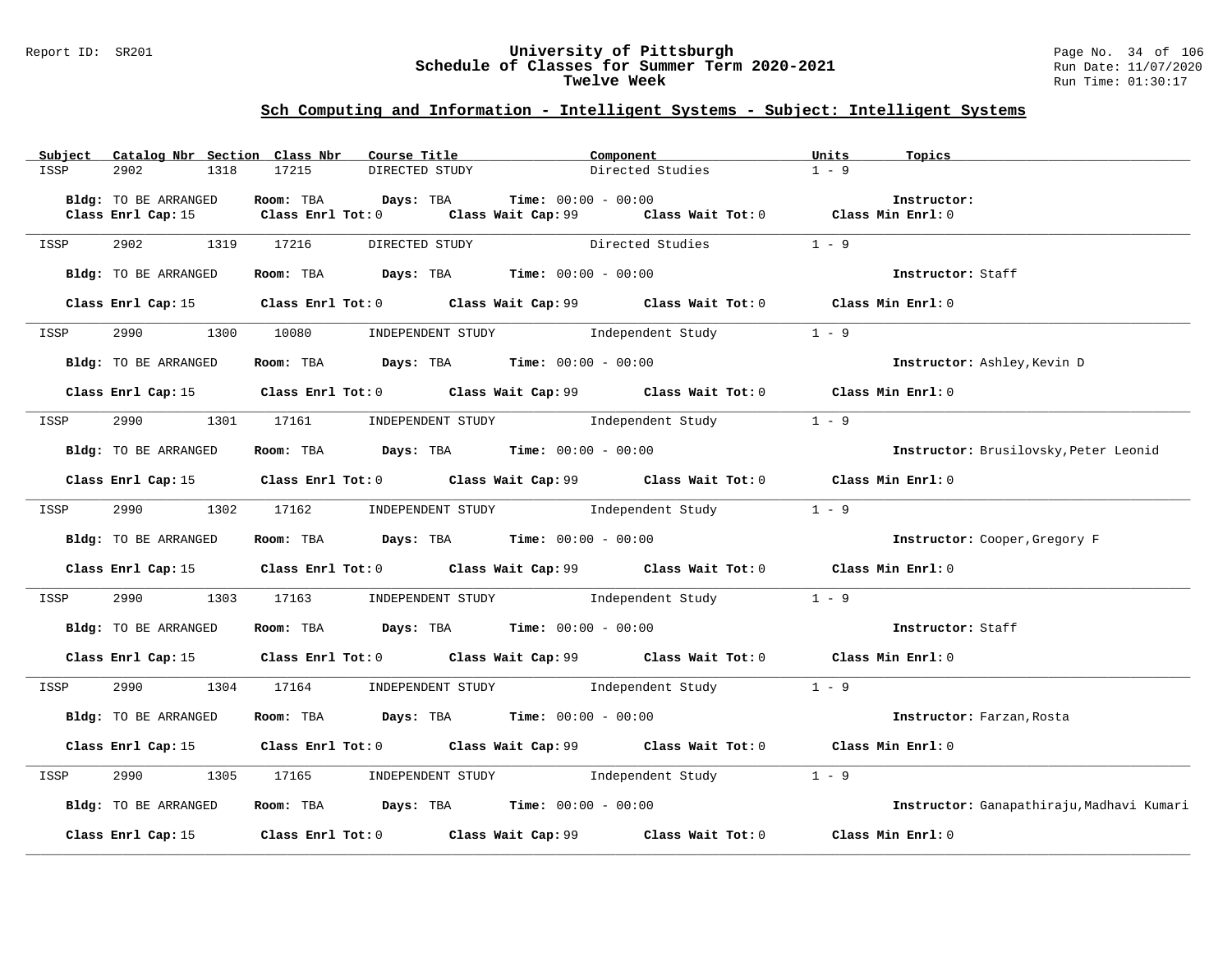#### Report ID: SR201 **University of Pittsburgh** Page No. 34 of 106 **Schedule of Classes for Summer Term 2020-2021** Run Date: 11/07/2020 **Twelve Week** Run Time: 01:30:17

| Subject | Catalog Nbr Section Class Nbr | Course Title                                                   | Component                                                                                   | Units<br>Topics                           |
|---------|-------------------------------|----------------------------------------------------------------|---------------------------------------------------------------------------------------------|-------------------------------------------|
| ISSP    | 2902<br>1318                  | 17215<br>DIRECTED STUDY                                        | Directed Studies                                                                            | $1 - 9$                                   |
|         |                               |                                                                |                                                                                             |                                           |
|         | Bldg: TO BE ARRANGED          | Room: TBA<br>Days: TBA                                         | <b>Time:</b> $00:00 - 00:00$                                                                | Instructor:                               |
|         |                               | Class Enrl Cap: 15 Class Enrl Tot: 0                           | Class Wait Cap: 99 Class Wait Tot: 0 Class Min Enrl: 0                                      |                                           |
| ISSP    | 2902                          | 1319 17216                                                     | DIRECTED STUDY Directed Studies 1 - 9                                                       |                                           |
|         |                               |                                                                |                                                                                             |                                           |
|         | Bldg: TO BE ARRANGED          | Room: TBA $\rule{1em}{0.15mm}$ Days: TBA Time: $00:00 - 00:00$ |                                                                                             | Instructor: Staff                         |
|         |                               |                                                                |                                                                                             |                                           |
|         |                               |                                                                | Class Enrl Cap: 15 Class Enrl Tot: 0 Class Wait Cap: 99 Class Wait Tot: 0 Class Min Enrl: 0 |                                           |
| ISSP    |                               |                                                                | 2990 1300 10080 INDEPENDENT STUDY Independent Study 1 - 9                                   |                                           |
|         |                               |                                                                |                                                                                             |                                           |
|         | Bldg: TO BE ARRANGED          | Room: TBA $Days:$ TBA $Time: 00:00 - 00:00$                    |                                                                                             | Instructor: Ashley, Kevin D               |
|         |                               |                                                                |                                                                                             |                                           |
|         |                               |                                                                | Class Enrl Cap: 15 Class Enrl Tot: 0 Class Wait Cap: 99 Class Wait Tot: 0 Class Min Enrl: 0 |                                           |
| ISSP    |                               |                                                                | 2990 1301 17161 INDEPENDENT STUDY Independent Study 1 - 9                                   |                                           |
|         |                               |                                                                |                                                                                             |                                           |
|         | Bldg: TO BE ARRANGED          | Room: TBA $\rule{1em}{0.15mm}$ Days: TBA Time: $00:00 - 00:00$ |                                                                                             | Instructor: Brusilovsky, Peter Leonid     |
|         |                               |                                                                |                                                                                             |                                           |
|         |                               |                                                                | Class Enrl Cap: 15 Class Enrl Tot: 0 Class Wait Cap: 99 Class Wait Tot: 0 Class Min Enrl: 0 |                                           |
| ISSP    | 2990 700                      |                                                                | 1302 17162 INDEPENDENT STUDY Independent Study 1 - 9                                        |                                           |
|         |                               |                                                                |                                                                                             |                                           |
|         | Bldg: TO BE ARRANGED          |                                                                | Room: TBA $Days:$ TBA $Time:$ $00:00 - 00:00$                                               | Instructor: Cooper, Gregory F             |
|         |                               |                                                                |                                                                                             |                                           |
|         |                               |                                                                | Class Enrl Cap: 15 Class Enrl Tot: 0 Class Wait Cap: 99 Class Wait Tot: 0 Class Min Enrl: 0 |                                           |
| ISSP    |                               |                                                                | 2990 1303 17163 INDEPENDENT STUDY Independent Study 1 - 9                                   |                                           |
|         |                               |                                                                |                                                                                             |                                           |
|         | Bldg: TO BE ARRANGED          | Room: TBA $Days:$ TBA $Time: 00:00 - 00:00$                    |                                                                                             | Instructor: Staff                         |
|         |                               |                                                                |                                                                                             |                                           |
|         |                               |                                                                | Class Enrl Cap: 15 Class Enrl Tot: 0 Class Wait Cap: 99 Class Wait Tot: 0 Class Min Enrl: 0 |                                           |
|         |                               |                                                                |                                                                                             |                                           |
| ISSP    |                               |                                                                | 2990 1304 17164 INDEPENDENT STUDY Independent Study                                         | $1 - 9$                                   |
|         | Bldg: TO BE ARRANGED          |                                                                | Room: TBA $Days$ : TBA $Time: 00:00 - 00:00$                                                | Instructor: Farzan, Rosta                 |
|         |                               |                                                                |                                                                                             |                                           |
|         |                               |                                                                | Class Enrl Cap: 15 Class Enrl Tot: 0 Class Wait Cap: 99 Class Wait Tot: 0 Class Min Enrl: 0 |                                           |
|         |                               |                                                                |                                                                                             |                                           |
| ISSP    |                               |                                                                | 1305 17165 INDEPENDENT STUDY Independent Study 1 - 9                                        |                                           |
|         | Bldg: TO BE ARRANGED          | Room: TBA $\rule{1em}{0.15mm}$ Days: TBA Time: $00:00 - 00:00$ |                                                                                             | Instructor: Ganapathiraju, Madhavi Kumari |
|         |                               |                                                                |                                                                                             |                                           |
|         |                               |                                                                | Class Enrl Cap: 15 (class Enrl Tot: 0 (class Wait Cap: 99 (class Wait Tot: 0                | Class Min Enrl: 0                         |
|         |                               |                                                                |                                                                                             |                                           |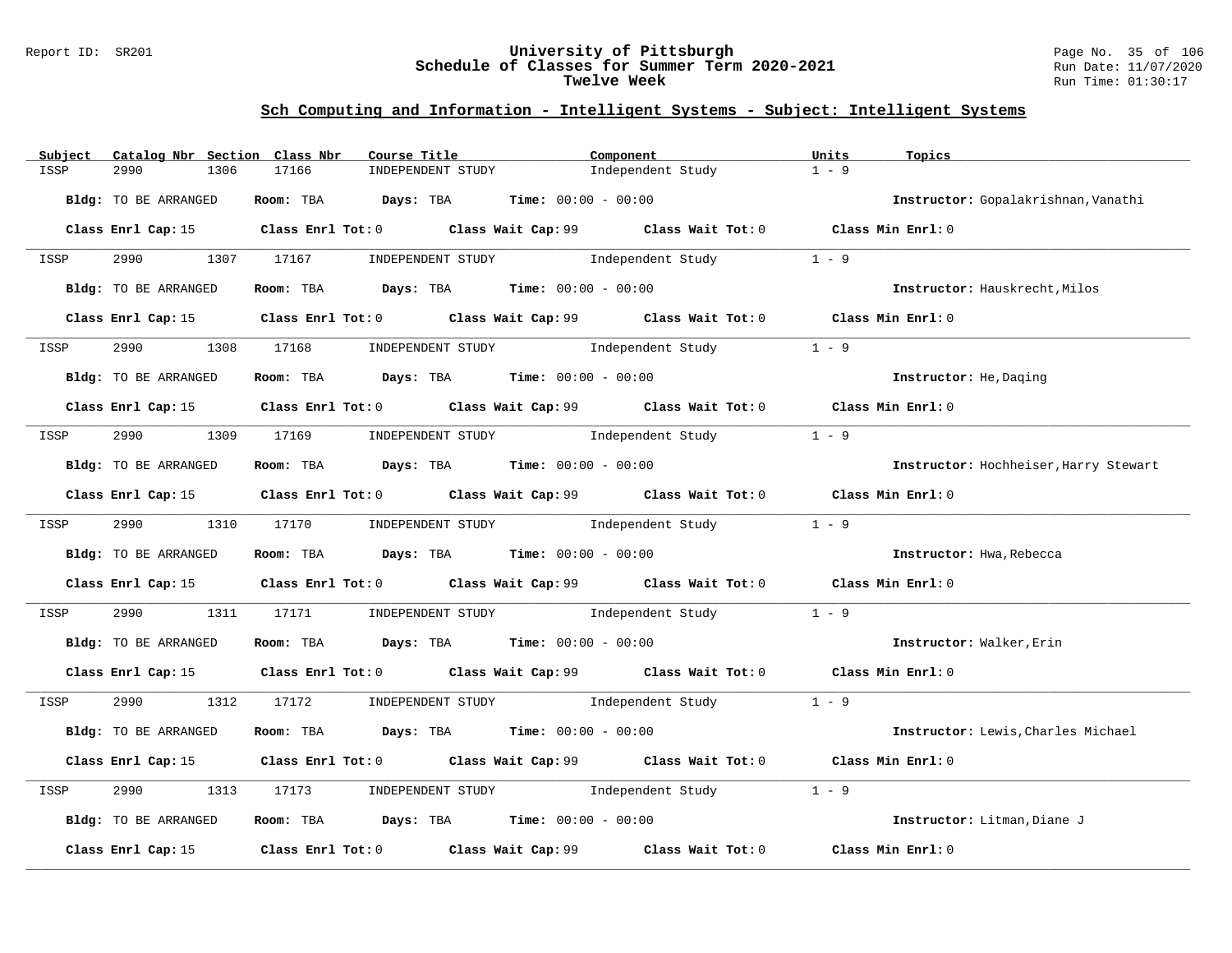#### Report ID: SR201 **University of Pittsburgh** Page No. 35 of 106 **Schedule of Classes for Summer Term 2020-2021** Run Date: 11/07/2020 **Twelve Week** Run Time: 01:30:17

| Subject | Catalog Nbr Section Class Nbr | Course Title                                                                                | Component                           | Units<br>Topics                       |
|---------|-------------------------------|---------------------------------------------------------------------------------------------|-------------------------------------|---------------------------------------|
| ISSP    | 2990<br>1306                  | 17166<br>INDEPENDENT STUDY                                                                  | Independent Study                   | $1 - 9$                               |
|         | Bldg: TO BE ARRANGED          | Room: TBA $Days:$ TBA $Time: 00:00 - 00:00$                                                 |                                     | Instructor: Gopalakrishnan, Vanathi   |
|         |                               | Class Enrl Cap: 15 Class Enrl Tot: 0 Class Wait Cap: 99 Class Wait Tot: 0 Class Min Enrl: 0 |                                     |                                       |
| ISSP    |                               | 2990 1307 17167 INDEPENDENT STUDY Independent Study                                         |                                     | $1 - 9$                               |
|         | Bldg: TO BE ARRANGED          | Room: TBA $Days:$ TBA $Time: 00:00 - 00:00$                                                 |                                     | Instructor: Hauskrecht, Milos         |
|         |                               | Class Enrl Cap: 15 Class Enrl Tot: 0 Class Wait Cap: 99 Class Wait Tot: 0 Class Min Enrl: 0 |                                     |                                       |
| ISSP    | 2990                          | 1308 17168 INDEPENDENT STUDY Independent Study                                              |                                     | $1 - 9$                               |
|         | Bldg: TO BE ARRANGED          | Room: TBA $Days:$ TBA $Time: 00:00 - 00:00$                                                 |                                     | Instructor: He, Daging                |
|         |                               | Class Enrl Cap: 15 Class Enrl Tot: 0 Class Wait Cap: 99 Class Wait Tot: 0 Class Min Enrl: 0 |                                     |                                       |
| ISSP    |                               | 2990 1309 17169 INDEPENDENT STUDY Independent Study                                         |                                     | $1 - 9$                               |
|         | Bldg: TO BE ARRANGED          | Room: TBA $Days:$ TBA $Time: 00:00 - 00:00$                                                 |                                     | Instructor: Hochheiser, Harry Stewart |
|         |                               | Class Enrl Cap: 15 Class Enrl Tot: 0 Class Wait Cap: 99 Class Wait Tot: 0 Class Min Enrl: 0 |                                     |                                       |
| ISSP    |                               | 2990 1310 17170 INDEPENDENT STUDY Independent Study 1 - 9                                   |                                     |                                       |
|         | Bldg: TO BE ARRANGED          | Room: TBA $\rule{1em}{0.15mm}$ Days: TBA $\rule{1.5mm}{0.15mm}$ Time: $00:00 - 00:00$       |                                     | Instructor: Hwa, Rebecca              |
|         |                               | Class Enrl Cap: 15 Class Enrl Tot: 0 Class Wait Cap: 99 Class Wait Tot: 0 Class Min Enrl: 0 |                                     |                                       |
| ISSP    | 2990                          | 1311 17171                                                                                  | INDEPENDENT STUDY 1 - 9             |                                       |
|         | Bldg: TO BE ARRANGED          | Room: TBA $Days:$ TBA Time: $00:00 - 00:00$                                                 |                                     | Instructor: Walker, Erin              |
|         |                               | Class Enrl Cap: 15 Class Enrl Tot: 0 Class Wait Cap: 99 Class Wait Tot: 0 Class Min Enrl: 0 |                                     |                                       |
| ISSP    |                               | 2990 1312 17172 INDEPENDENT STUDY Independent Study 1 - 9                                   |                                     |                                       |
|         | Bldg: TO BE ARRANGED          | Room: TBA $Days:$ TBA $Time: 00:00 - 00:00$                                                 |                                     | Instructor: Lewis, Charles Michael    |
|         |                               | Class Enrl Cap: 15 Class Enrl Tot: 0 Class Wait Cap: 99 Class Wait Tot: 0 Class Min Enrl: 0 |                                     |                                       |
| ISSP    | 2990<br>1313                  | 17173                                                                                       | INDEPENDENT STUDY 1ndependent Study | $1 - 9$                               |
|         | Bldg: TO BE ARRANGED          | Room: TBA $Days:$ TBA $Time: 00:00 - 00:00$                                                 |                                     | Instructor: Litman, Diane J           |
|         | Class Enrl Cap: 15            | Class Enrl Tot: 0 Class Wait Cap: 99                                                        | Class Wait Tot: 0                   | Class Min Enrl: 0                     |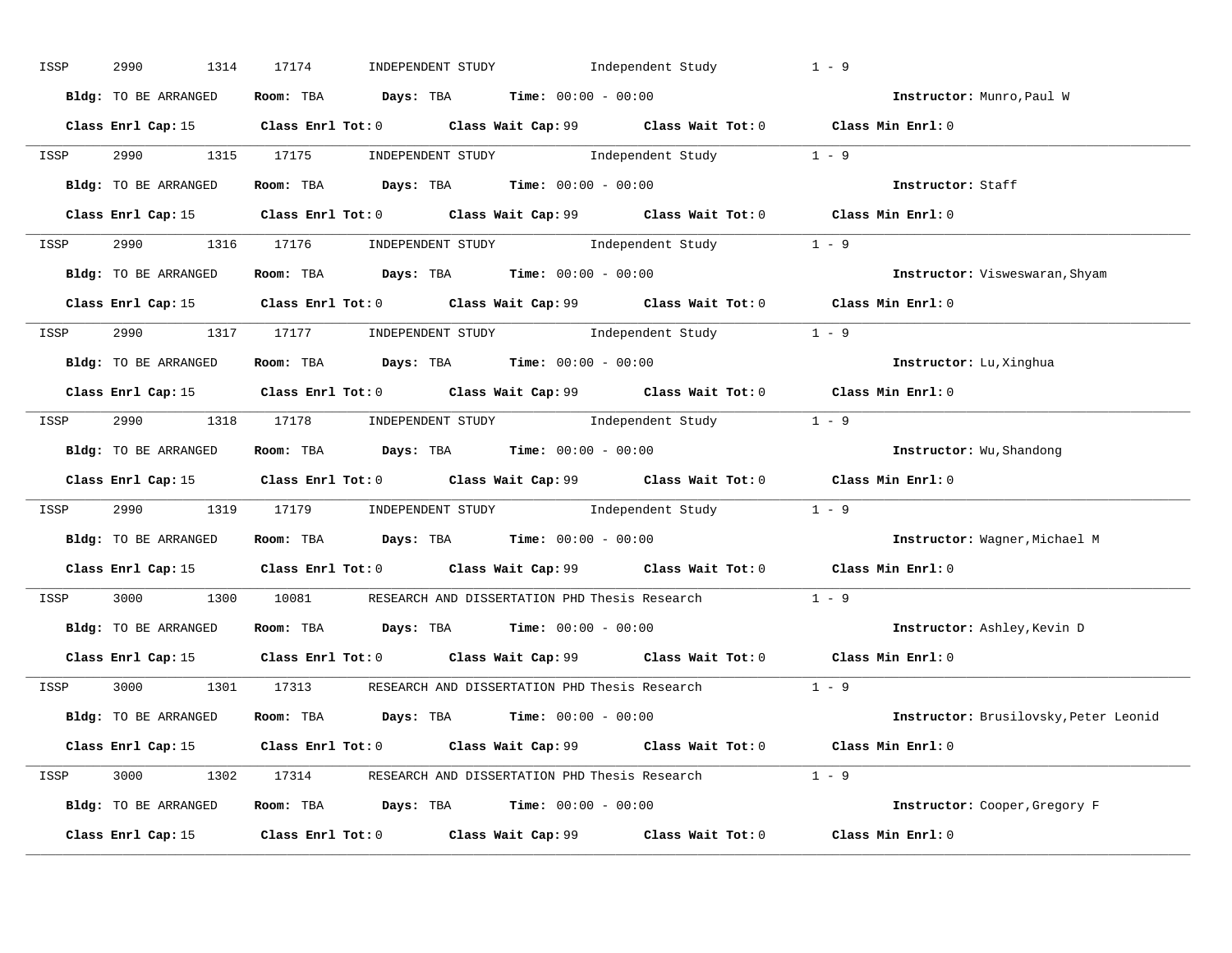| ISSP | 2990<br>1314         | INDEPENDENT STUDY 1ndependent Study<br>17174                                                | $1 - 9$                               |
|------|----------------------|---------------------------------------------------------------------------------------------|---------------------------------------|
|      | Bldg: TO BE ARRANGED | Room: TBA $Days:$ TBA $Time: 00:00 - 00:00$                                                 | Instructor: Munro, Paul W             |
|      |                      | Class Enrl Cap: 15 Class Enrl Tot: 0 Class Wait Cap: 99 Class Wait Tot: 0 Class Min Enrl: 0 |                                       |
| ISSP |                      | 2990 1315 17175 INDEPENDENT STUDY Independent Study 1 - 9                                   |                                       |
|      | Bldg: TO BE ARRANGED | Room: TBA $Days:$ TBA $Time: 00:00 - 00:00$                                                 | Instructor: Staff                     |
|      |                      | Class Enrl Cap: 15 Class Enrl Tot: 0 Class Wait Cap: 99 Class Wait Tot: 0 Class Min Enrl: 0 |                                       |
|      |                      | ISSP 2990 1316 17176 INDEPENDENT STUDY Independent Study 1 - 9                              |                                       |
|      |                      | Bldg: TO BE ARRANGED Room: TBA Days: TBA Time: 00:00 - 00:00                                | Instructor: Visweswaran, Shyam        |
|      |                      | Class Enrl Cap: 15 Class Enrl Tot: 0 Class Wait Cap: 99 Class Wait Tot: 0 Class Min Enrl: 0 |                                       |
| ISSP |                      | 2990 1317 17177 INDEPENDENT STUDY Independent Study 1 - 9                                   |                                       |
|      | Bldg: TO BE ARRANGED | Room: TBA Days: TBA Time: $00:00 - 00:00$                                                   | Instructor: Lu, Xinghua               |
|      |                      | Class Enrl Cap: 15 Class Enrl Tot: 0 Class Wait Cap: 99 Class Wait Tot: 0 Class Min Enrl: 0 |                                       |
|      |                      | ISSP 2990 1318 17178 INDEPENDENT STUDY Independent Study 1 - 9                              |                                       |
|      | Bldg: TO BE ARRANGED | Room: TBA Days: TBA Time: $00:00 - 00:00$                                                   | Instructor: Wu, Shandong              |
|      |                      | Class Enrl Cap: 15 Class Enrl Tot: 0 Class Wait Cap: 99 Class Wait Tot: 0 Class Min Enrl: 0 |                                       |
| ISSP |                      | 2990 1319 17179 INDEPENDENT STUDY Independent Study 1 - 9                                   |                                       |
|      | Bldg: TO BE ARRANGED | Room: TBA $Days:$ TBA Time: $00:00 - 00:00$                                                 | Instructor: Wagner, Michael M         |
|      |                      | Class Enrl Cap: 15 Class Enrl Tot: 0 Class Wait Cap: 99 Class Wait Tot: 0 Class Min Enrl: 0 |                                       |
| ISSP |                      | 3000 1300 10081 RESEARCH AND DISSERTATION PHD Thesis Research                               | $1 - 9$                               |
|      | Bldg: TO BE ARRANGED | Room: TBA $Days:$ TBA $Time: 00:00 - 00:00$                                                 | Instructor: Ashley, Kevin D           |
|      |                      | Class Enrl Cap: 15 Class Enrl Tot: 0 Class Wait Cap: 99 Class Wait Tot: 0 Class Min Enrl: 0 |                                       |
|      |                      | ISSP 3000 1301 17313 RESEARCH AND DISSERTATION PHD Thesis Research 1 - 9                    |                                       |
|      | Bldg: TO BE ARRANGED | Room: TBA $Days:$ TBA $Time: 00:00 - 00:00$                                                 | Instructor: Brusilovsky, Peter Leonid |
|      |                      | Class Enrl Cap: 15 Class Enrl Tot: 0 Class Wait Cap: 99 Class Wait Tot: 0 Class Min Enrl: 0 |                                       |
|      |                      | ISSP 3000 1302 17314 RESEARCH AND DISSERTATION PHD Thesis Research 1 - 9                    |                                       |
|      |                      | Bldg: TO BE ARRANGED Room: TBA Days: TBA Time: 00:00 - 00:00                                | Instructor: Cooper, Gregory F         |
|      |                      | Class Enrl Cap: 15 Class Enrl Tot: 0 Class Wait Cap: 99 Class Wait Tot: 0                   | Class Min Enrl: 0                     |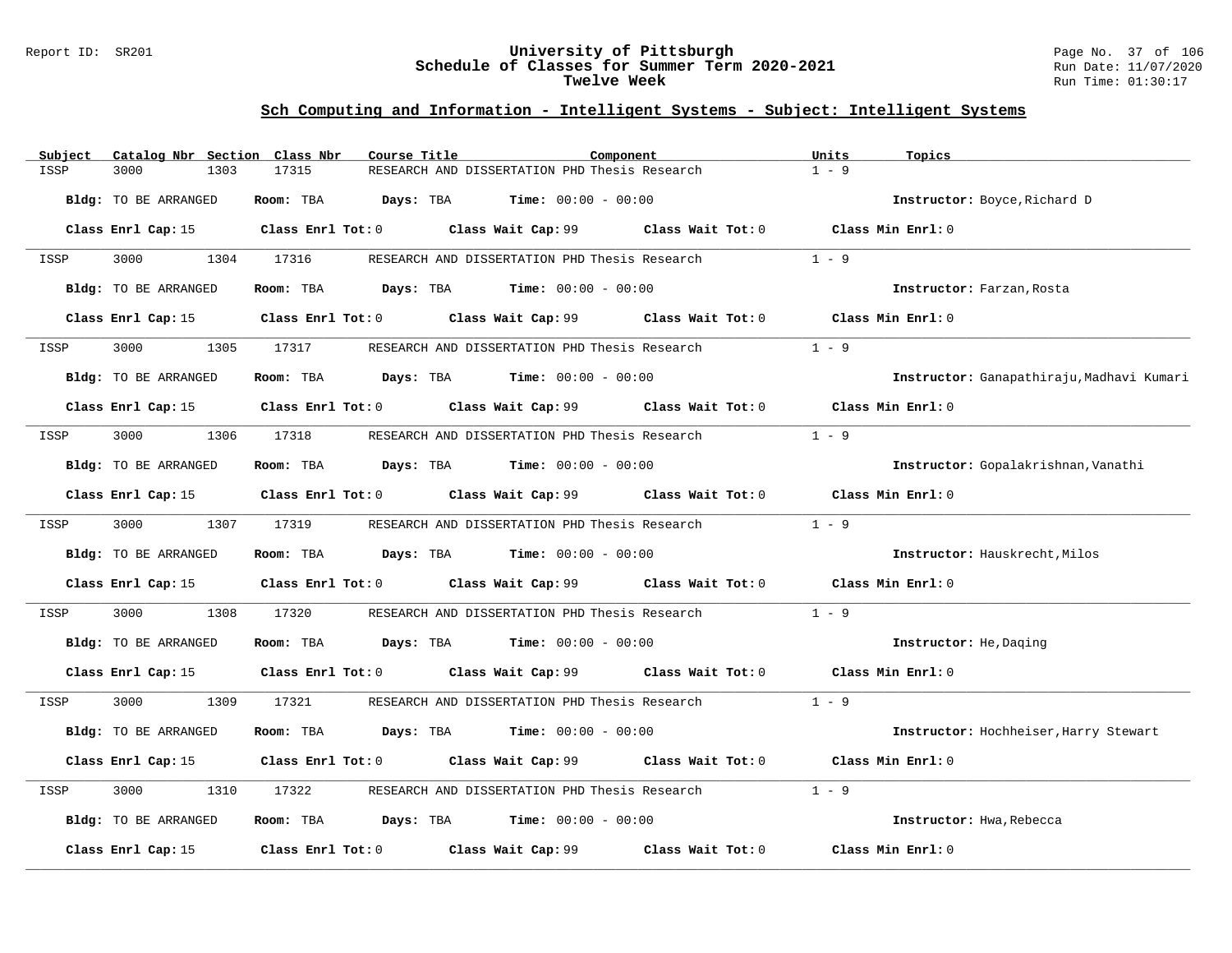### Report ID: SR201 **University of Pittsburgh** Page No. 37 of 106 **Schedule of Classes for Summer Term 2020-2021** Run Date: 11/07/2020 **Twelve Week** Run Time: 01:30:17

# **Sch Computing and Information - Intelligent Systems - Subject: Intelligent Systems**

| Subject | Catalog Nbr Section Class Nbr | Course Title                         |                                                                                          | Component                                                                                   | Units<br>Topics                           |
|---------|-------------------------------|--------------------------------------|------------------------------------------------------------------------------------------|---------------------------------------------------------------------------------------------|-------------------------------------------|
| ISSP    | 3000<br>1303                  | 17315                                | RESEARCH AND DISSERTATION PHD Thesis Research                                            |                                                                                             | $1 - 9$                                   |
|         | Bldg: TO BE ARRANGED          | Days: TBA<br>Room: TBA               | $Time: 00:00 - 00:00$                                                                    |                                                                                             | Instructor: Boyce, Richard D              |
|         |                               |                                      |                                                                                          | Class Enrl Cap: 15 Class Enrl Tot: 0 Class Wait Cap: 99 Class Wait Tot: 0 Class Min Enrl: 0 |                                           |
| ISSP    | 3000                          | 1304 17316                           | RESEARCH AND DISSERTATION PHD Thesis Research                                            |                                                                                             | $1 - 9$                                   |
|         | Bldg: TO BE ARRANGED          |                                      | Room: TBA $Days:$ TBA $Time: 00:00 - 00:00$                                              |                                                                                             | Instructor: Farzan, Rosta                 |
|         |                               |                                      |                                                                                          | Class Enrl Cap: 15 Class Enrl Tot: 0 Class Wait Cap: 99 Class Wait Tot: 0 Class Min Enrl: 0 |                                           |
| ISSP    | 3000<br>1305                  | 17317                                | RESEARCH AND DISSERTATION PHD Thesis Research                                            |                                                                                             | $1 - 9$                                   |
|         | Bldg: TO BE ARRANGED          |                                      | Room: TBA $Days:$ TBA $Time: 00:00 - 00:00$                                              |                                                                                             | Instructor: Ganapathiraju, Madhavi Kumari |
|         |                               |                                      |                                                                                          | Class Enrl Cap: 15 Class Enrl Tot: 0 Class Wait Cap: 99 Class Wait Tot: 0                   | Class Min Enrl: 0                         |
| ISSP    | 3000                          | 1306 17318                           | RESEARCH AND DISSERTATION PHD Thesis Research                                            |                                                                                             | $1 - 9$                                   |
|         | Bldg: TO BE ARRANGED          |                                      | Room: TBA $Days:$ TBA $Time: 00:00 - 00:00$                                              |                                                                                             | Instructor: Gopalakrishnan, Vanathi       |
|         |                               |                                      |                                                                                          | Class Enrl Cap: 15 		 Class Enrl Tot: 0 		 Class Wait Cap: 99 		 Class Wait Tot: 0          | Class Min Enrl: 0                         |
| ISSP    | 3000 000                      | 1307 17319                           |                                                                                          | RESEARCH AND DISSERTATION PHD Thesis Research                                               | $1 - 9$                                   |
|         | Bldg: TO BE ARRANGED          |                                      | Room: TBA $Days: TBA$ Time: $00:00 - 00:00$                                              |                                                                                             | Instructor: Hauskrecht, Milos             |
|         |                               |                                      |                                                                                          | Class Enrl Cap: 15 Class Enrl Tot: 0 Class Wait Cap: 99 Class Wait Tot: 0 Class Min Enrl: 0 |                                           |
| ISSP    | 3000<br>1308                  | 17320                                |                                                                                          | RESEARCH AND DISSERTATION PHD Thesis Research                                               | $1 - 9$                                   |
|         | Bldg: TO BE ARRANGED          |                                      | Room: TBA $Days:$ TBA $Time: 00:00 - 00:00$                                              |                                                                                             | Instructor: He, Daging                    |
|         |                               |                                      |                                                                                          | Class Enrl Cap: 15 Class Enrl Tot: 0 Class Wait Cap: 99 Class Wait Tot: 0 Class Min Enrl: 0 |                                           |
| ISSP    | 3000<br>1309                  | 17321                                |                                                                                          | RESEARCH AND DISSERTATION PHD Thesis Research                                               | $1 - 9$                                   |
|         | Bldg: TO BE ARRANGED          |                                      | Room: TBA $Days:$ TBA $Time: 00:00 - 00:00$                                              |                                                                                             | Instructor: Hochheiser, Harry Stewart     |
|         |                               |                                      | Class Enrl Cap: 15 Class Enrl Tot: 0 Class Wait Cap: 99 Class Wait Tot: 0                |                                                                                             | Class Min Enrl: 0                         |
| ISSP    | 3000<br>1310                  | 17322                                | RESEARCH AND DISSERTATION PHD Thesis Research                                            |                                                                                             | $1 - 9$                                   |
|         | Bldg: TO BE ARRANGED          |                                      | Room: TBA $\rule{1em}{0.15mm}$ Days: TBA $\rule{1.15mm}]{0.15mm}$ Time: $0.000 - 0.0000$ |                                                                                             | Instructor: Hwa, Rebecca                  |
|         | Class Enrl Cap: 15            | Class Enrl Tot: 0 Class Wait Cap: 99 |                                                                                          | Class Wait Tot: 0                                                                           | Class Min Enrl: 0                         |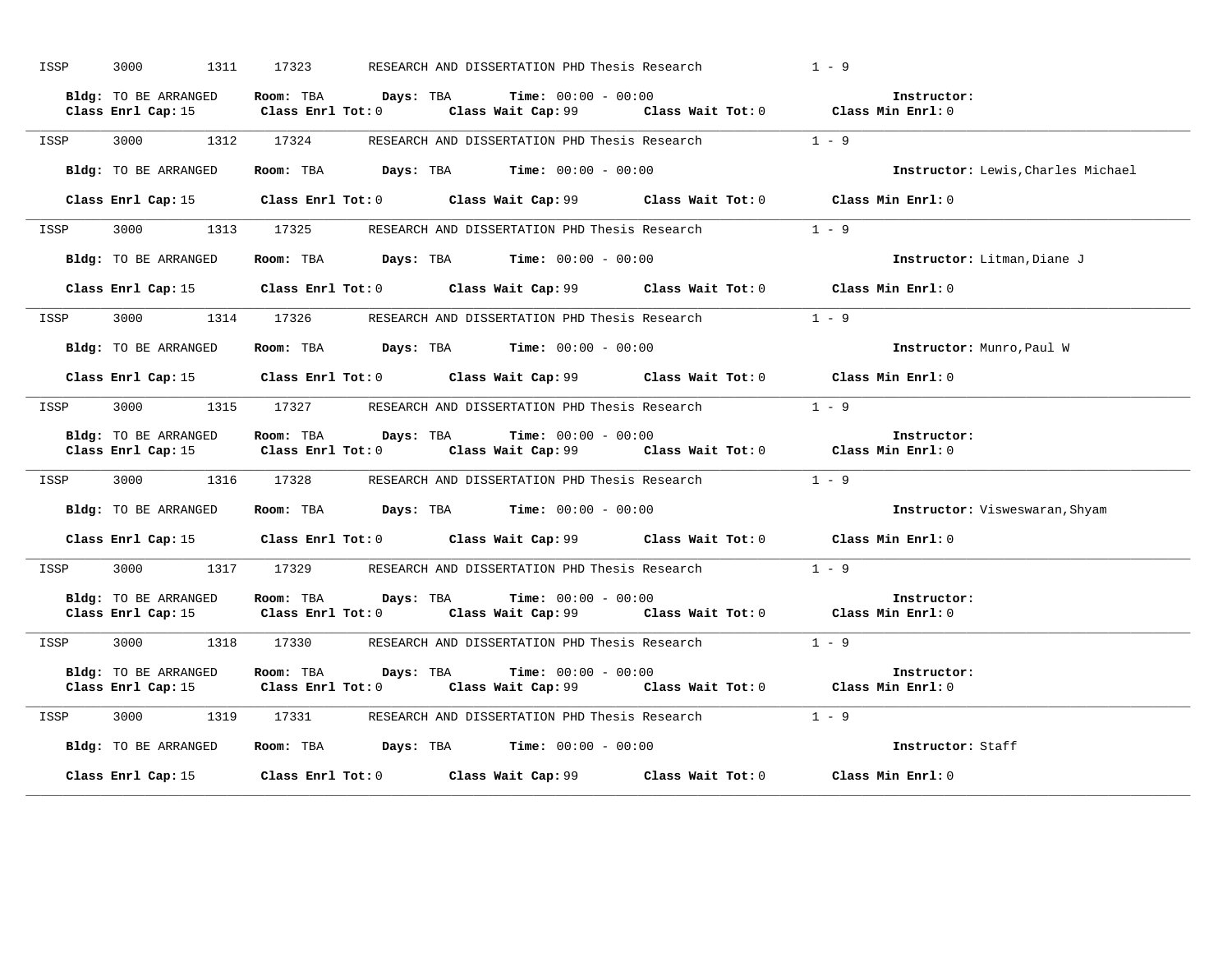| ISSP<br>3000 1311 17323 | RESEARCH AND DISSERTATION PHD Thesis Research                                                                                                                                           | $1 - 9$ |                                    |
|-------------------------|-----------------------------------------------------------------------------------------------------------------------------------------------------------------------------------------|---------|------------------------------------|
| Bldg: TO BE ARRANGED    | Room: TBA $Days:$ TBA $Time: 00:00 - 00:00$<br>Class Enrl Cap: 15 Class Enrl Tot: 0 Class Wait Cap: 99 Class Wait Tot: 0 Class Enrl Cap: 15 Class Enrl Tot: 0                           |         | Instructor:                        |
|                         | ISSP 3000 1312 17324 RESEARCH AND DISSERTATION PHD Thesis Research                                                                                                                      |         | $1 - 9$                            |
| Bldg: TO BE ARRANGED    | Room: TBA $Days:$ TBA $Time: 00:00 - 00:00$                                                                                                                                             |         | Instructor: Lewis, Charles Michael |
|                         | Class Enrl Cap: 15 Class Enrl Tot: 0 Class Wait Cap: 99 Class Wait Tot: 0 Class Min Enrl: 0                                                                                             |         |                                    |
|                         | ISSP 3000 1313 17325 RESEARCH AND DISSERTATION PHD Thesis Research                                                                                                                      |         | $1 - 9$                            |
| Bldg: TO BE ARRANGED    | Room: TBA $Days:$ TBA $Time: 00:00 - 00:00$                                                                                                                                             |         | Instructor: Litman, Diane J        |
|                         | Class Enrl Cap: 15 Class Enrl Tot: 0 Class Wait Cap: 99 Class Wait Tot: 0 Class Min Enrl: 0                                                                                             |         |                                    |
|                         | ISSP 3000 1314 17326 RESEARCH AND DISSERTATION PHD Thesis Research                                                                                                                      |         | $1 - 9$                            |
| Bldg: TO BE ARRANGED    | Room: TBA $\rule{1em}{0.15mm}$ Days: TBA Time: $00:00 - 00:00$                                                                                                                          |         | Instructor: Munro, Paul W          |
|                         | Class Enrl Cap: 15 Class Enrl Tot: 0 Class Wait Cap: 99 Class Wait Tot: 0 Class Min Enrl: 0                                                                                             |         |                                    |
|                         | ISSP 3000 1315 17327 RESEARCH AND DISSERTATION PHD Thesis Research                                                                                                                      |         | $1 - 9$                            |
| Bldg: TO BE ARRANGED    | Room: TBA $Days:$ TBA $Time: 00:00 - 00:00$<br>Class Enrl Cap: 15 Class Enrl Tot: 0 Class Wait Cap: 99 Class Wait Tot: 0 Class Min Enrl: 0                                              |         | Instructor:                        |
| ISSP                    | 3000 1316 17328 RESEARCH AND DISSERTATION PHD Thesis Research                                                                                                                           |         | $1 - 9$                            |
| Bldg: TO BE ARRANGED    | Room: TBA $\rule{1em}{0.15mm}$ Days: TBA $\rule{1.5mm}{0.15mm}$ Time: $00:00 - 00:00$                                                                                                   |         | Instructor: Visweswaran, Shyam     |
|                         | Class Enrl Cap: 15 Class Enrl Tot: 0 Class Wait Cap: 99 Class Wait Tot: 0 Class Min Enrl: 0                                                                                             |         |                                    |
|                         | ISSP 3000 1317 17329 RESEARCH AND DISSERTATION PHD Thesis Research 1 - 9                                                                                                                |         |                                    |
| Bldg: TO BE ARRANGED    | Room: TBA $\rule{1em}{0.15mm}$ Days: TBA $\rule{1.15mm}]{0.15mm}$ Time: $0.000 - 0.0000$<br>Class Enrl Cap: 15 Class Enrl Tot: 0 Class Wait Cap: 99 Class Wait Tot: 0 Class Min Enrl: 0 |         | Instructor:                        |
|                         | ISSP 3000 1318 17330 RESEARCH AND DISSERTATION PHD Thesis Research                                                                                                                      | $1 - 9$ |                                    |
| Bldg: TO BE ARRANGED    | Room: TBA $Days:$ TBA $Time: 00:00 - 00:00$<br>Class Enrl Cap: 15 Class Enrl Tot: 0 Class Wait Cap: 99 Class Wait Tot: 0 Class Min Enrl: 0                                              |         | Instructor:                        |
| ISSP                    | 3000 1319 17331 RESEARCH AND DISSERTATION PHD Thesis Research 1 - 9                                                                                                                     |         |                                    |
| Bldg: TO BE ARRANGED    | Room: TBA $Days:$ TBA $Time: 00:00 - 00:00$                                                                                                                                             |         | Instructor: Staff                  |
|                         | Class Enrl Cap: 15 Class Enrl Tot: 0 Class Wait Cap: 99 Class Wait Tot: 0                                                                                                               |         | Class Min Enrl: 0                  |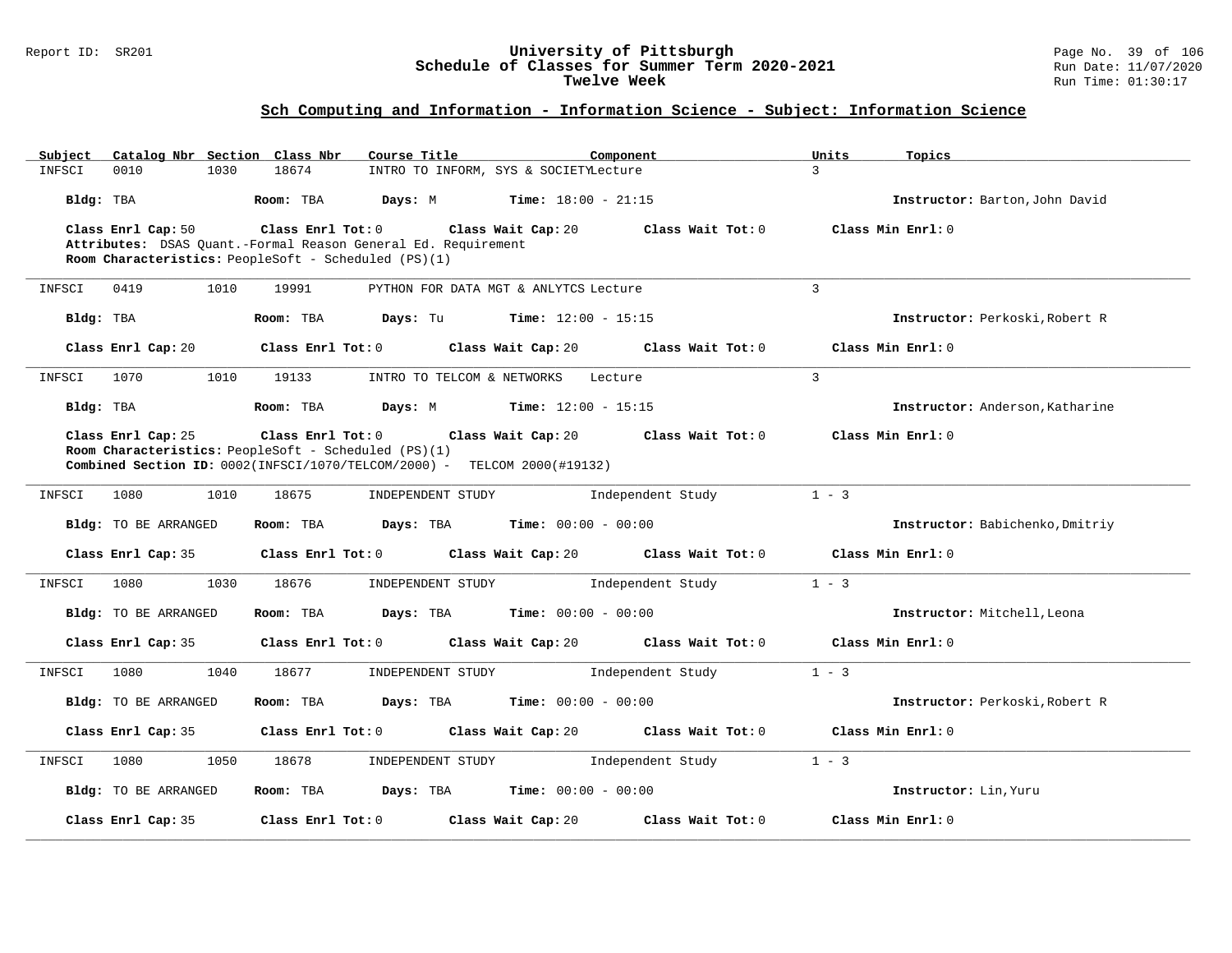#### Report ID: SR201 **University of Pittsburgh** Page No. 39 of 106 **Schedule of Classes for Summer Term 2020-2021** Run Date: 11/07/2020 **Twelve Week** Run Time: 01:30:17

| Catalog Nbr Section Class Nbr<br>Subject | Course Title<br>Component                                                                                                        | Units<br>Topics<br>3                   |
|------------------------------------------|----------------------------------------------------------------------------------------------------------------------------------|----------------------------------------|
| 0010<br>INFSCI<br>1030                   | 18674<br>INTRO TO INFORM, SYS & SOCIETYLecture                                                                                   |                                        |
| Bldg: TBA                                | Room: TBA<br>Days: M<br><b>Time:</b> $18:00 - 21:15$                                                                             | Instructor: Barton, John David         |
| Class Enrl Cap: 50                       | Class Enrl Tot: 0<br>Class Wait Cap: 20                                                                                          | Class Wait Tot: 0<br>Class Min Enrl: 0 |
|                                          | Attributes: DSAS Quant.-Formal Reason General Ed. Requirement<br>Room Characteristics: PeopleSoft - Scheduled (PS)(1)            |                                        |
| INFSCI<br>0419<br>1010                   | 19991<br>PYTHON FOR DATA MGT & ANLYTCS Lecture                                                                                   | 3                                      |
|                                          |                                                                                                                                  |                                        |
| Bldg: TBA                                | Room: TBA<br>Days: Tu<br><b>Time:</b> $12:00 - 15:15$                                                                            | Instructor: Perkoski, Robert R         |
| Class Enrl Cap: 20                       | Class Enrl Tot: 0<br>Class Wait Cap: 20                                                                                          | Class Wait Tot: 0<br>Class Min Enrl: 0 |
| 1070<br>1010<br>INFSCI                   | 19133<br>INTRO TO TELCOM & NETWORKS<br>Lecture                                                                                   | $\overline{3}$                         |
| Bldg: TBA                                | Room: TBA<br>Days: M<br><b>Time:</b> $12:00 - 15:15$                                                                             | Instructor: Anderson, Katharine        |
| Class Enrl Cap: 25                       | Class Enrl Tot: 0<br>Class Wait Cap: 20                                                                                          | Class Wait Tot: 0<br>Class Min Enrl: 0 |
|                                          | Room Characteristics: PeopleSoft - Scheduled (PS)(1)<br>Combined Section ID: 0002(INFSCI/1070/TELCOM/2000) - TELCOM 2000(#19132) |                                        |
|                                          |                                                                                                                                  |                                        |
| 1080<br>1010<br>INFSCI                   | 18675<br>INDEPENDENT STUDY<br>Independent Study                                                                                  | $1 - 3$                                |
| Bldg: TO BE ARRANGED                     | Room: TBA<br>Days: TBA<br><b>Time:</b> $00:00 - 00:00$                                                                           | Instructor: Babichenko, Dmitriy        |
| Class Enrl Cap: 35                       | Class Enrl Tot: 0<br>Class Wait Cap: 20                                                                                          | Class Wait Tot: 0<br>Class Min Enrl: 0 |
| 1080<br>1030<br>INFSCI                   | 18676<br>Independent Study<br>INDEPENDENT STUDY                                                                                  | $1 - 3$                                |
| Bldg: TO BE ARRANGED                     | Room: TBA<br>Days: TBA<br><b>Time:</b> $00:00 - 00:00$                                                                           | Instructor: Mitchell, Leona            |
| Class Enrl Cap: 35                       | Class Enrl Tot: 0<br>Class Wait Cap: 20                                                                                          | Class Wait Tot: 0<br>Class Min Enrl: 0 |
| 1080<br>1040<br>INFSCI                   | 18677<br>INDEPENDENT STUDY<br>Independent Study                                                                                  | $1 - 3$                                |
| Bldg: TO BE ARRANGED                     | Room: TBA<br>Days: TBA<br><b>Time:</b> $00:00 - 00:00$                                                                           | Instructor: Perkoski, Robert R         |
| Class Enrl Cap: 35                       | Class Enrl Tot: 0<br>Class Wait Cap: 20                                                                                          | Class Wait Tot: 0<br>Class Min Enrl: 0 |
| 1080<br>1050<br>INFSCI                   | 18678<br>Independent Study<br>INDEPENDENT STUDY                                                                                  | $1 - 3$                                |
| <b>Bldg:</b> TO BE ARRANGED              | Room: TBA<br>Days: TBA<br><b>Time:</b> $00:00 - 00:00$                                                                           | Instructor: Lin, Yuru                  |
| Class Enrl Cap: 35                       | Class Enrl Tot: 0<br>Class Wait Cap: 20                                                                                          | Class Wait Tot: 0<br>Class Min Enrl: 0 |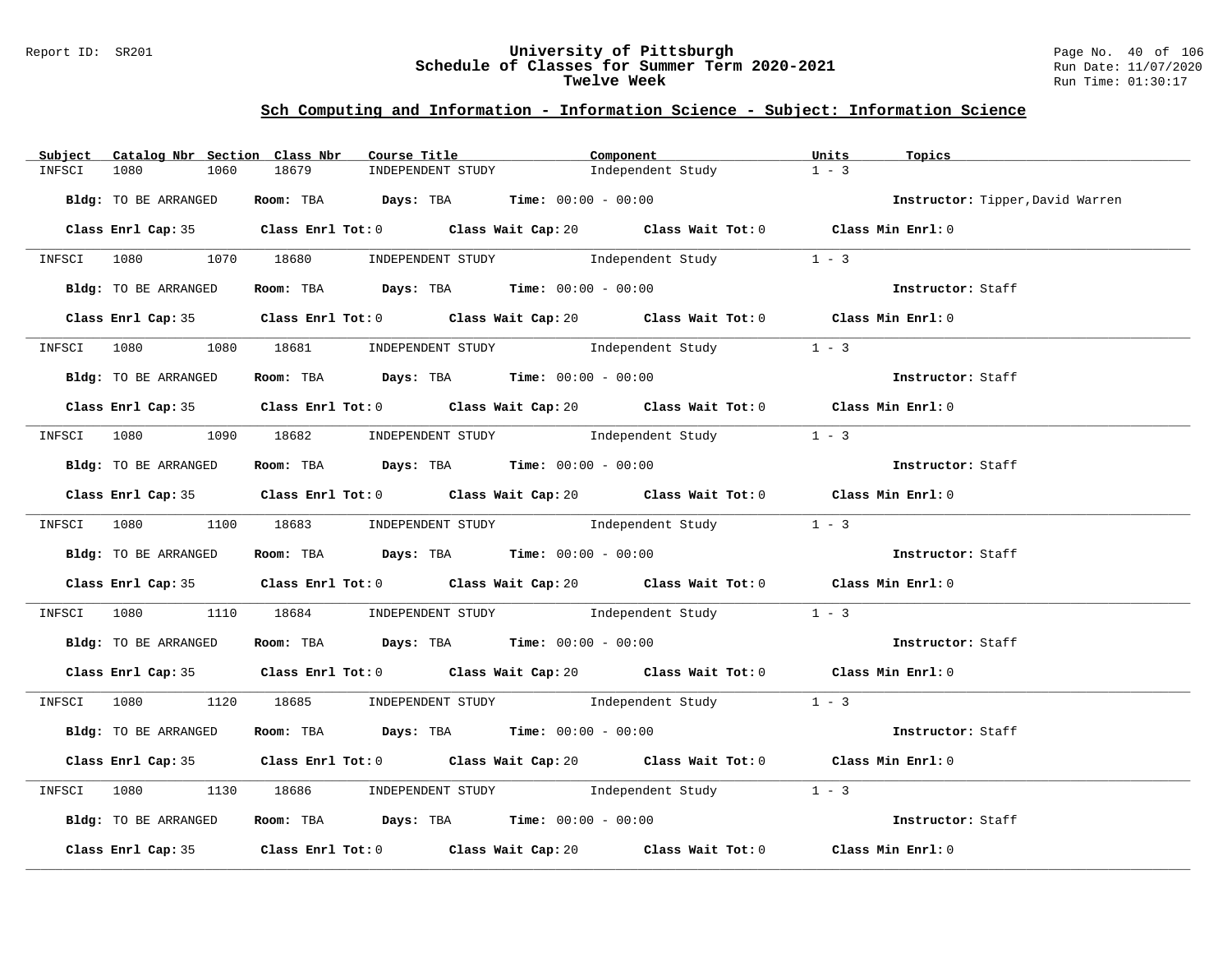#### Report ID: SR201 **University of Pittsburgh** Page No. 40 of 106 **Schedule of Classes for Summer Term 2020-2021** Run Date: 11/07/2020 **Twelve Week** Run Time: 01:30:17

| Subject Catalog Nbr Section Class Nbr | Course Title <b>Source Search</b>                                                           | Component         | Units<br>Topics                  |
|---------------------------------------|---------------------------------------------------------------------------------------------|-------------------|----------------------------------|
| 1080<br>1060<br>INFSCI                | 18679<br>INDEPENDENT STUDY                                                                  | Independent Study | $1 - 3$                          |
| Bldg: TO BE ARRANGED                  | Room: TBA $Days:$ TBA $Time: 00:00 - 00:00$                                                 |                   | Instructor: Tipper, David Warren |
|                                       | Class Enrl Cap: 35 Class Enrl Tot: 0 Class Wait Cap: 20 Class Wait Tot: 0 Class Min Enrl: 0 |                   |                                  |
|                                       | INFSCI 1080 1070 18680 INDEPENDENT STUDY Independent Study 1 - 3                            |                   |                                  |
| Bldg: TO BE ARRANGED                  | Room: TBA Days: TBA Time: $00:00 - 00:00$                                                   |                   |                                  |
|                                       | Class Enrl Cap: 35 Class Enrl Tot: 0 Class Wait Cap: 20 Class Wait Tot: 0 Class Min Enrl: 0 |                   |                                  |
|                                       | INFSCI 1080 1080 18681 INDEPENDENT STUDY Independent Study 1 - 3                            |                   |                                  |
| Bldg: TO BE ARRANGED                  | Room: TBA $\rule{1em}{0.15mm}$ Days: TBA $\rule{1.15mm}{0.15mm}$ Time: $00:00 - 00:00$      |                   | Instructor: Staff                |
|                                       | Class Enrl Cap: 35 Class Enrl Tot: 0 Class Wait Cap: 20 Class Wait Tot: 0 Class Min Enrl: 0 |                   |                                  |
|                                       | INFSCI 1080 1090 18682 INDEPENDENT STUDY Independent Study 1 - 3                            |                   |                                  |
| Bldg: TO BE ARRANGED                  | Room: TBA $Days:$ TBA Time: $00:00 - 00:00$                                                 |                   | Instructor: Staff                |
|                                       | Class Enrl Cap: 35 Class Enrl Tot: 0 Class Wait Cap: 20 Class Wait Tot: 0 Class Min Enrl: 0 |                   |                                  |
|                                       | INFSCI 1080 1100 18683 INDEPENDENT STUDY Independent Study 1 - 3                            |                   |                                  |
| Bldg: TO BE ARRANGED                  | Room: TBA $Days$ : TBA $Time: 00:00 - 00:00$                                                |                   | Instructor: Staff                |
|                                       | Class Enrl Cap: 35 Class Enrl Tot: 0 Class Wait Cap: 20 Class Wait Tot: 0 Class Min Enrl: 0 |                   |                                  |
|                                       | INFSCI 1080 1110 18684 INDEPENDENT STUDY Independent Study 1 - 3                            |                   |                                  |
|                                       | Bldg: TO BE ARRANGED ROOM: TBA Days: TBA Time: 00:00 - 00:00                                |                   | Instructor: Staff                |
|                                       | Class Enrl Cap: 35 Class Enrl Tot: 0 Class Wait Cap: 20 Class Wait Tot: 0 Class Min Enrl: 0 |                   |                                  |
|                                       | INFSCI 1080 1120 18685 INDEPENDENT STUDY Independent Study 1 - 3                            |                   |                                  |
| Bldg: TO BE ARRANGED                  | Room: TBA $Days$ : TBA $Time: 00:00 - 00:00$                                                |                   | Instructor: Staff                |
|                                       | Class Enrl Cap: 35 Class Enrl Tot: 0 Class Wait Cap: 20 Class Wait Tot: 0 Class Min Enrl: 0 |                   |                                  |
|                                       | INFSCI 1080 1130 18686 INDEPENDENT STUDY Independent Study 1 - 3                            |                   |                                  |
| Bldg: TO BE ARRANGED                  | Room: TBA $Days:$ TBA Time: $00:00 - 00:00$                                                 |                   | Instructor: Staff                |
|                                       | Class Enrl Cap: 35 Class Enrl Tot: 0 Class Wait Cap: 20 Class Wait Tot: 0                   |                   | Class Min Enrl: 0                |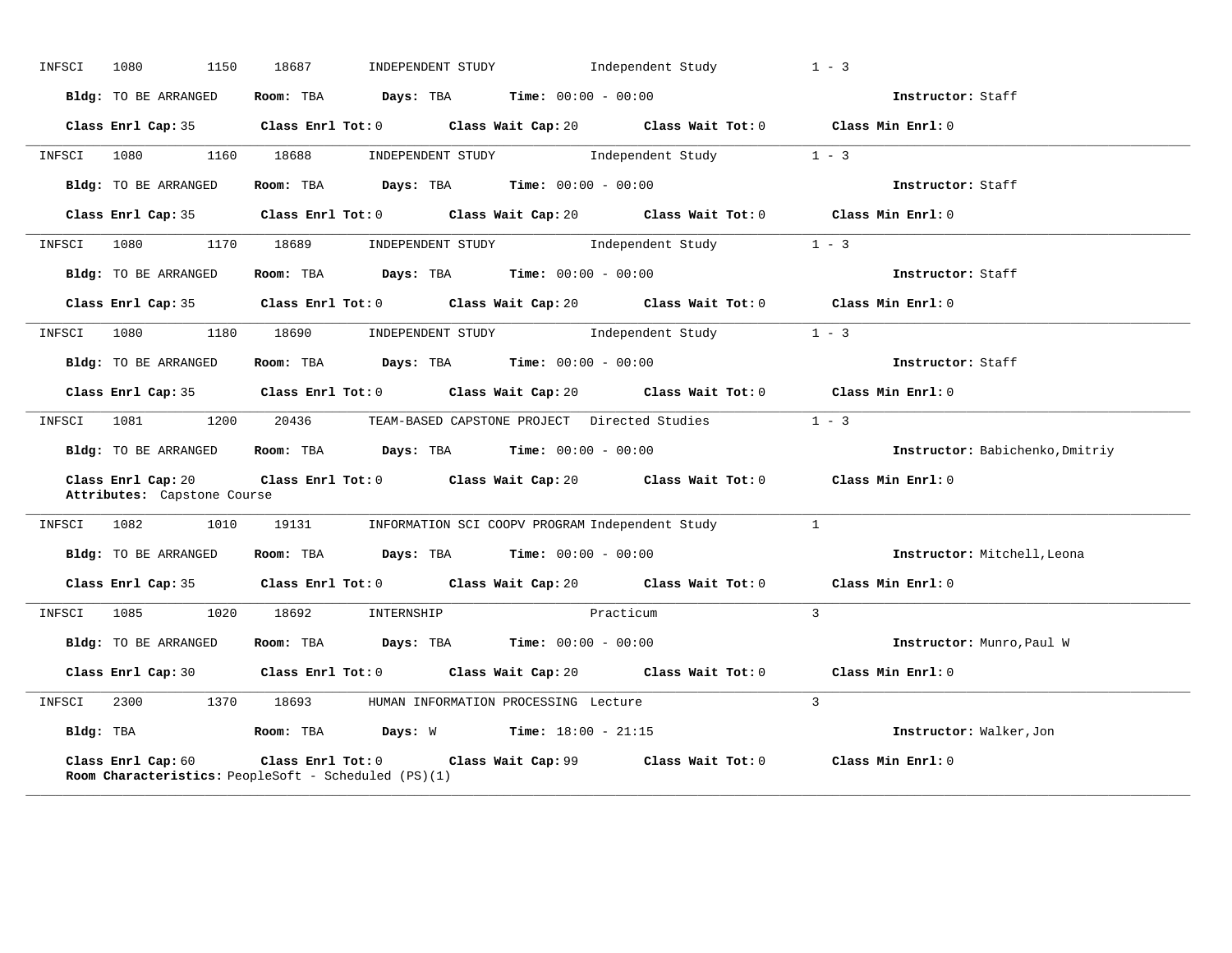| INFSCI | 1080<br>1150                                      | 18687                                                                         | INDEPENDENT STUDY 1ndependent Study                                                         | $1 - 3$                         |
|--------|---------------------------------------------------|-------------------------------------------------------------------------------|---------------------------------------------------------------------------------------------|---------------------------------|
|        | Bldg: TO BE ARRANGED                              | Room: TBA $Days:$ TBA $Time: 00:00 - 00:00$                                   |                                                                                             | Instructor: Staff               |
|        | Class Enrl Cap: 35                                |                                                                               | Class Enrl Tot: $0$ Class Wait Cap: $20$ Class Wait Tot: $0$ Class Min Enrl: $0$            |                                 |
|        | INFSCI 1080 1160 18688                            |                                                                               | INDEPENDENT STUDY 1 - 3                                                                     |                                 |
|        | Bldg: TO BE ARRANGED                              |                                                                               | Room: TBA $Days:$ TBA $Time: 00:00 - 00:00$                                                 | Instructor: Staff               |
|        |                                                   |                                                                               | Class Enrl Cap: 35 Class Enrl Tot: 0 Class Wait Cap: 20 Class Wait Tot: 0 Class Min Enrl: 0 |                                 |
| INFSCI | 1080                                              | 1170 18689                                                                    | INDEPENDENT STUDY 1 - 3                                                                     |                                 |
|        | Bldg: TO BE ARRANGED                              | Room: TBA $Days:$ TBA $Time:$ $00:00 - 00:00$                                 |                                                                                             | Instructor: Staff               |
|        |                                                   |                                                                               | Class Enrl Cap: 35 Class Enrl Tot: 0 Class Wait Cap: 20 Class Wait Tot: 0 Class Min Enrl: 0 |                                 |
|        | INFSCI 1080 1180 18690                            |                                                                               | INDEPENDENT STUDY 1 - 3                                                                     |                                 |
|        | Bldg: TO BE ARRANGED                              |                                                                               | Room: TBA $Days:$ TBA $Time: 00:00 - 00:00$                                                 | Instructor: Staff               |
|        |                                                   |                                                                               | Class Enrl Cap: 35 Class Enrl Tot: 0 Class Wait Cap: 20 Class Wait Tot: 0 Class Min Enrl: 0 |                                 |
| INFSCI | 1081<br>1200                                      | 20436                                                                         | TEAM-BASED CAPSTONE PROJECT Directed Studies 1 - 3                                          |                                 |
|        |                                                   | Bldg: TO BE ARRANGED Room: TBA Days: TBA Time: 00:00 - 00:00                  |                                                                                             | Instructor: Babichenko, Dmitriy |
|        | Class Enrl Cap: 20<br>Attributes: Capstone Course |                                                                               | Class Enrl Tot: $0$ Class Wait Cap: $20$ Class Wait Tot: $0$ Class Min Enrl: $0$            |                                 |
|        |                                                   |                                                                               | INFSCI 1082 1010 19131 INFORMATION SCI COOPV PROGRAM Independent Study 1                    |                                 |
|        | Bldg: TO BE ARRANGED                              | Room: TBA $Days:$ TBA $Time: 00:00 - 00:00$                                   |                                                                                             | Instructor: Mitchell, Leona     |
|        |                                                   | Class Enrl Cap: 35 Class Enrl Tot: 0 Class Wait Cap: 20 Class Wait Tot: 0     |                                                                                             | Class Min Enrl: 0               |
|        | INFSCI 1085 1020 18692                            |                                                                               | INTERNSHIP Practicum                                                                        | $\overline{3}$                  |
|        | Bldg: TO BE ARRANGED                              | Room: TBA $\rule{1em}{0.15mm}$ Days: TBA Time: $00:00 - 00:00$                |                                                                                             | Instructor: Munro, Paul W       |
|        |                                                   |                                                                               | Class Enrl Cap: 30 Class Enrl Tot: 0 Class Wait Cap: 20 Class Wait Tot: 0 Class Min Enrl: 0 |                                 |
| INFSCI | 2300                                              | 1370 18693<br>HUMAN INFORMATION PROCESSING Lecture                            |                                                                                             | $\overline{3}$                  |
|        |                                                   | <b>Bldg:</b> TBA <b>Room:</b> TBA <b>Days:</b> W <b>Time:</b> $18:00 - 21:15$ |                                                                                             | Instructor: Walker,Jon          |
|        | Class Enrl Cap: 60                                | Room Characteristics: PeopleSoft - Scheduled (PS)(1)                          | Class Enrl Tot: 0 Class Wait Cap: 99 Class Wait Tot: 0 Class Min Enrl: 0                    |                                 |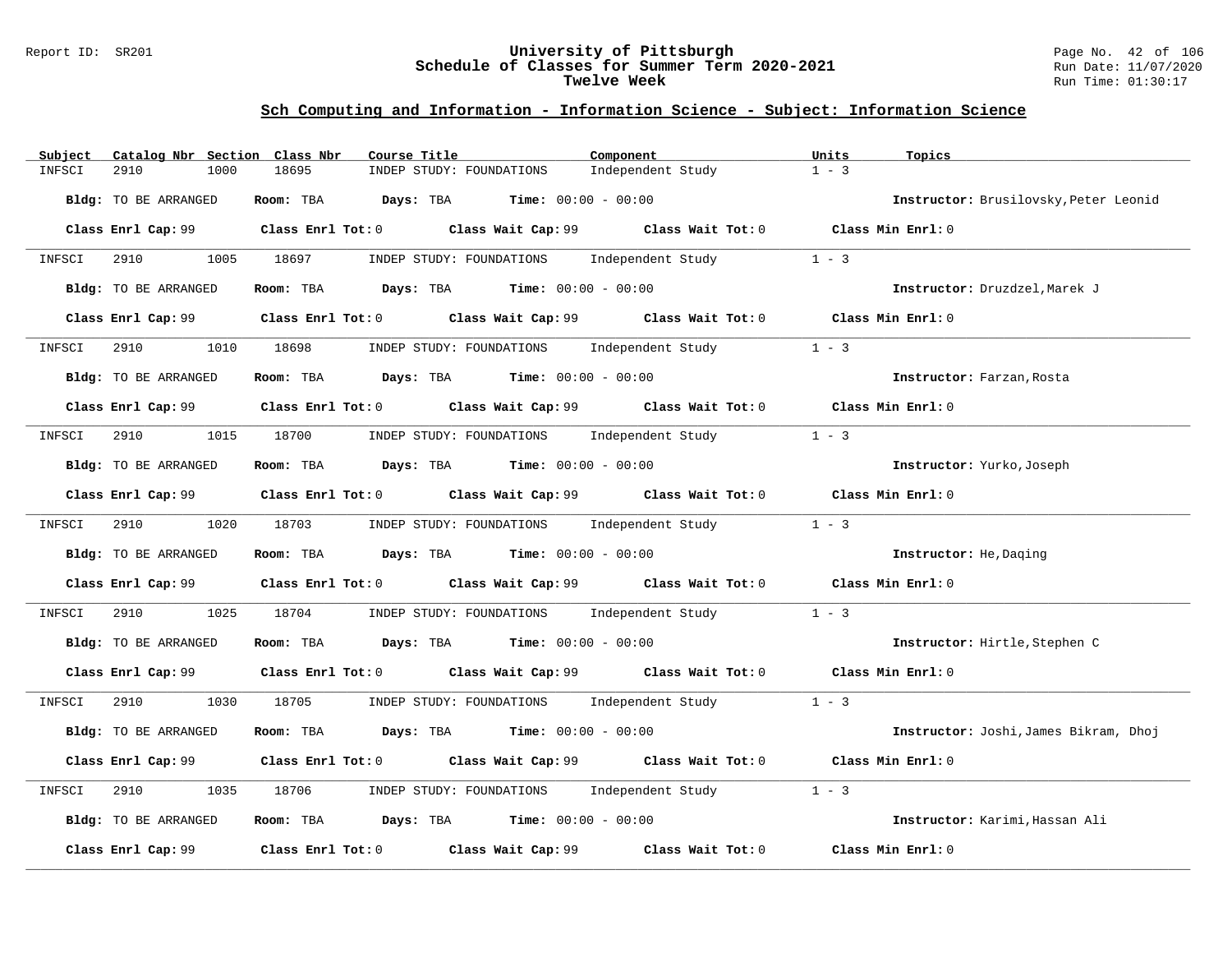#### Report ID: SR201 **University of Pittsburgh** Page No. 42 of 106 **Schedule of Classes for Summer Term 2020-2021** Run Date: 11/07/2020 **Twelve Week** Run Time: 01:30:17

| Catalog Nbr Section Class Nbr<br>Subject | Component<br>Course Title                                                                   | Units<br>Topics                       |
|------------------------------------------|---------------------------------------------------------------------------------------------|---------------------------------------|
| 2910<br>1000<br>INFSCI                   | Independent Study<br>18695<br>INDEP STUDY: FOUNDATIONS                                      | $1 - 3$                               |
| Bldg: TO BE ARRANGED                     | <b>Room:</b> TBA <b>Days:</b> TBA <b>Time:</b> 00:00 - 00:00                                | Instructor: Brusilovsky, Peter Leonid |
|                                          | Class Enrl Cap: 99 Class Enrl Tot: 0 Class Wait Cap: 99 Class Wait Tot: 0 Class Min Enrl: 0 |                                       |
| INFSCI 2910                              | 1005 18697<br>Independent Study<br>INDEP STUDY: FOUNDATIONS                                 | $1 - 3$                               |
| <b>Bldg:</b> TO BE ARRANGED              | Room: TBA $Days:$ TBA $Time: 00:00 - 00:00$                                                 | Instructor: Druzdzel, Marek J         |
|                                          | Class Enrl Cap: 99 Class Enrl Tot: 0 Class Wait Cap: 99 Class Wait Tot: 0 Class Min Enrl: 0 |                                       |
| 2910<br>INFSCI                           | 1010 18698 INDEP STUDY: FOUNDATIONS Independent Study                                       | $1 - 3$                               |
| Bldg: TO BE ARRANGED                     | Room: TBA $Days:$ TBA $Time: 00:00 - 00:00$                                                 | Instructor: Farzan, Rosta             |
|                                          | Class Enrl Cap: 99 Class Enrl Tot: 0 Class Wait Cap: 99 Class Wait Tot: 0 Class Min Enrl: 0 |                                       |
| 2910<br>INFSCI                           | 1015 18700 INDEP STUDY: FOUNDATIONS Independent Study                                       | $1 - 3$                               |
| Bldg: TO BE ARRANGED                     | Room: TBA $\rule{1em}{0.15mm}$ Days: TBA Time: $00:00 - 00:00$                              | Instructor: Yurko, Joseph             |
|                                          | Class Enrl Cap: 99 Class Enrl Tot: 0 Class Wait Cap: 99 Class Wait Tot: 0 Class Min Enrl: 0 |                                       |
| INFSCI 2910 1020 18703                   | INDEP STUDY: FOUNDATIONS Independent Study 1 - 3                                            |                                       |
| Bldg: TO BE ARRANGED                     | Room: TBA $\rule{1em}{0.15mm}$ Days: TBA $\rule{1.5mm}{0.15mm}$ Time: $00:00 - 00:00$       | Instructor: He, Daging                |
|                                          | Class Enrl Cap: 99 Class Enrl Tot: 0 Class Wait Cap: 99 Class Wait Tot: 0 Class Min Enrl: 0 |                                       |
| 2910<br>1025<br>INFSCI                   | 18704 INDEP STUDY: FOUNDATIONS Independent Study                                            | $1 - 3$                               |
| Bldg: TO BE ARRANGED                     | Room: TBA $Days:$ TBA $Time: 00:00 - 00:00$                                                 | Instructor: Hirtle, Stephen C         |
|                                          | Class Enrl Cap: 99 Class Enrl Tot: 0 Class Wait Cap: 99 Class Wait Tot: 0 Class Min Enrl: 0 |                                       |
| INFSCI                                   | 2910 1030 18705 INDEP STUDY: FOUNDATIONS Independent Study 1 - 3                            |                                       |
| Bldg: TO BE ARRANGED                     | Room: TBA $Days: TBA$ Time: $00:00 - 00:00$                                                 | Instructor: Joshi, James Bikram, Dhoj |
|                                          | Class Enrl Cap: 99 Class Enrl Tot: 0 Class Wait Cap: 99 Class Wait Tot: 0 Class Min Enrl: 0 |                                       |
| 1035<br>INFSCI<br>2910                   | INDEP STUDY: FOUNDATIONS Independent Study<br>18706                                         | $1 - 3$                               |
| Bldg: TO BE ARRANGED                     | Room: TBA $Days: TBA$ Time: $00:00 - 00:00$                                                 | Instructor: Karimi, Hassan Ali        |
| Class Enrl Cap: 99                       | Class Enrl Tot: 0 Class Wait Cap: 99<br>Class Wait Tot: 0                                   | Class Min Enrl: 0                     |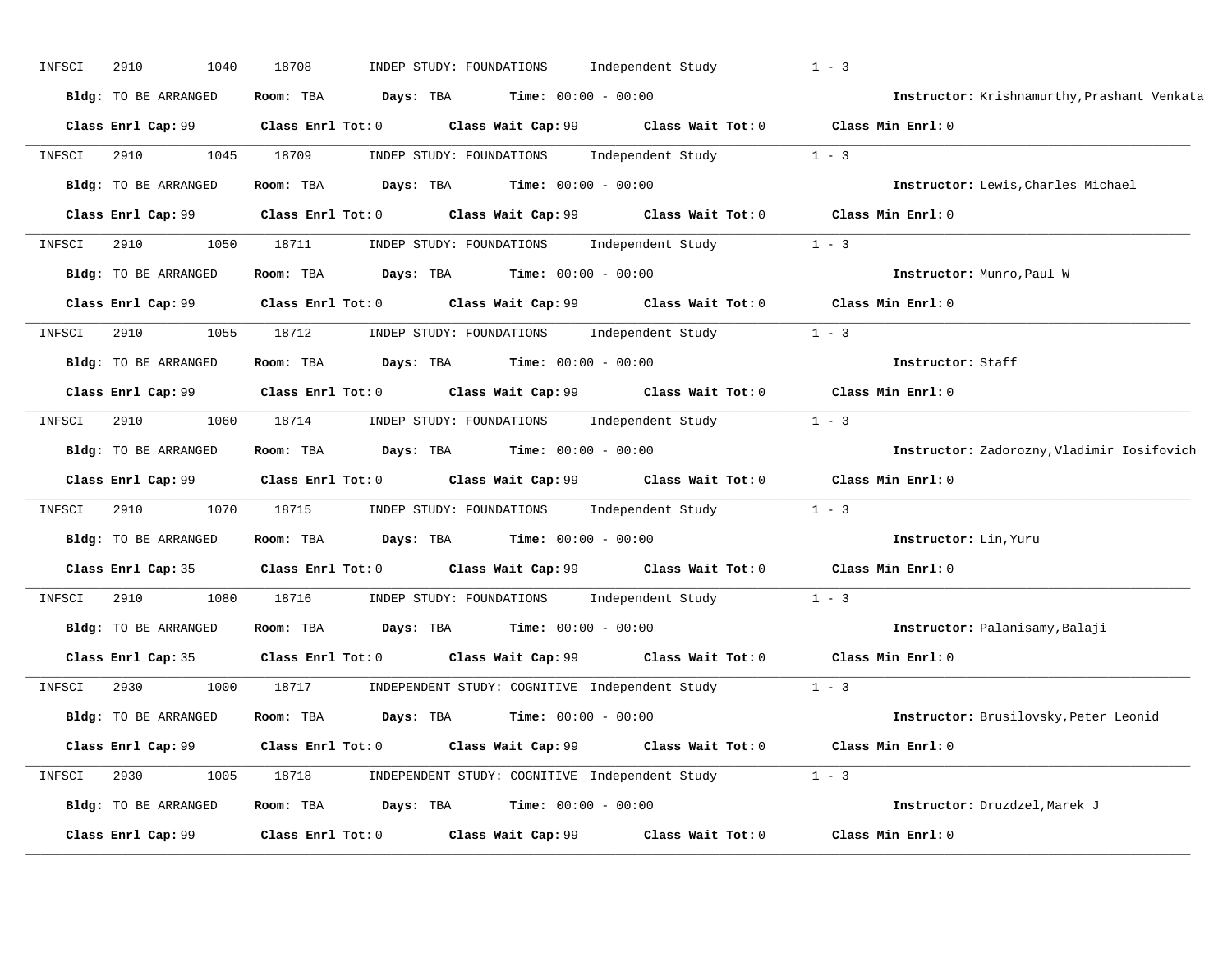| INFSCI | 2910<br>1040         | 18708                                                                                       | INDEP STUDY: FOUNDATIONS                            | Independent Study                                                                | $1 - 3$                                     |
|--------|----------------------|---------------------------------------------------------------------------------------------|-----------------------------------------------------|----------------------------------------------------------------------------------|---------------------------------------------|
|        | Bldg: TO BE ARRANGED | Room: TBA<br>Days: TBA                                                                      | <b>Time:</b> $00:00 - 00:00$                        |                                                                                  | Instructor: Krishnamurthy, Prashant Venkata |
|        | Class Enrl Cap: 99   |                                                                                             |                                                     | Class Enrl Tot: 0 Class Wait Cap: 99 Class Wait Tot: 0 Class Min Enrl: 0         |                                             |
| INFSCI | 2910<br>1045         | 18709                                                                                       |                                                     | INDEP STUDY: FOUNDATIONS Independent Study 1 - 3                                 |                                             |
|        | Bldg: TO BE ARRANGED | Room: TBA Days: TBA                                                                         | <b>Time:</b> $00:00 - 00:00$                        |                                                                                  | Instructor: Lewis, Charles Michael          |
|        | Class Enrl Cap: 99   | Class Enrl Tot: 0                                                                           |                                                     | Class Wait Cap: 99 Class Wait Tot: 0 Class Min Enrl: 0                           |                                             |
| INFSCI | 1050<br>2910         | 18711                                                                                       |                                                     | INDEP STUDY: FOUNDATIONS Independent Study 1 - 3                                 |                                             |
|        | Bldg: TO BE ARRANGED | <b>Room:</b> TBA <b>Days:</b> TBA <b>Time:</b> 00:00 - 00:00                                |                                                     |                                                                                  | Instructor: Munro, Paul W                   |
|        | Class Enrl Cap: 99   | $Class$ $Enrl$ $Tot: 0$                                                                     |                                                     | Class Wait Cap: 99 Class Wait Tot: 0 Class Min Enrl: 0                           |                                             |
| INFSCI | 2910<br>1055         | 18712                                                                                       |                                                     | INDEP STUDY: FOUNDATIONS Independent Study 1 - 3                                 |                                             |
|        | Bldg: TO BE ARRANGED | Room: TBA $Days: TBA$ Time: $00:00 - 00:00$                                                 |                                                     |                                                                                  | Instructor: Staff                           |
|        | Class Enrl Cap: 99   |                                                                                             |                                                     | Class Enrl Tot: $0$ Class Wait Cap: $99$ Class Wait Tot: $0$ Class Min Enrl: $0$ |                                             |
| INFSCI | 2910<br>1060         |                                                                                             |                                                     | 18714 INDEP STUDY: FOUNDATIONS Independent Study 1 - 3                           |                                             |
|        | Bldg: TO BE ARRANGED | Room: TBA                                                                                   | <b>Days:</b> TBA <b>Time:</b> $00:00 - 00:00$       |                                                                                  | Instructor: Zadorozny, Vladimir Iosifovich  |
|        | Class Enrl Cap: 99   |                                                                                             |                                                     | Class Enrl Tot: $0$ Class Wait Cap: $99$ Class Wait Tot: $0$ Class Min Enrl: $0$ |                                             |
| INFSCI | 2910<br>1070         |                                                                                             |                                                     | 18715       INDEP STUDY: FOUNDATIONS      Independent Study                      | $1 - 3$                                     |
|        | Bldg: TO BE ARRANGED | Room: TBA                                                                                   | $\texttt{Days:}$ TBA $\texttt{Time:}$ 00:00 - 00:00 |                                                                                  | Instructor: Lin, Yuru                       |
|        |                      | Class Enrl Cap: 35 Class Enrl Tot: 0 Class Wait Cap: 99 Class Wait Tot: 0 Class Min Enrl: 0 |                                                     |                                                                                  |                                             |
| INFSCI | 2910<br>1080         | 18716                                                                                       | INDEP STUDY: FOUNDATIONS                            | Independent Study                                                                | $1 - 3$                                     |
|        | Bldg: TO BE ARRANGED | Room: TBA $Days:$ TBA $Time: 00:00 - 00:00$                                                 |                                                     |                                                                                  | Instructor: Palanisamy, Balaji              |
|        | Class Enrl Cap: 35   |                                                                                             |                                                     | Class Enrl Tot: 0 Class Wait Cap: 99 Class Wait Tot: 0                           | Class Min Enrl: 0                           |
| INFSCI | 2930<br>1000         | 18717                                                                                       |                                                     | INDEPENDENT STUDY: COGNITIVE Independent Study 1 - 3                             |                                             |
|        | Bldg: TO BE ARRANGED | Room: TBA $Days:$ TBA $Time: 00:00 - 00:00$                                                 |                                                     |                                                                                  | Instructor: Brusilovsky, Peter Leonid       |
|        | Class Enrl Cap: 99   |                                                                                             |                                                     | Class Enrl Tot: 0 $\qquad$ Class Wait Cap: 99 $\qquad$ Class Wait Tot: 0         | Class Min Enrl: 0                           |
| INFSCI | 2930<br>1005         | 18718                                                                                       |                                                     | INDEPENDENT STUDY: COGNITIVE Independent Study 1 - 3                             |                                             |
|        | Bldg: TO BE ARRANGED | Room: TBA $Days: TBA$ Time: $00:00 - 00:00$                                                 |                                                     |                                                                                  | Instructor: Druzdzel, Marek J               |
|        | Class Enrl Cap: 99   | Class Enrl Tot: 0                                                                           | Class Wait Cap: 99                                  | Class Wait Tot: 0                                                                | Class Min Enrl: 0                           |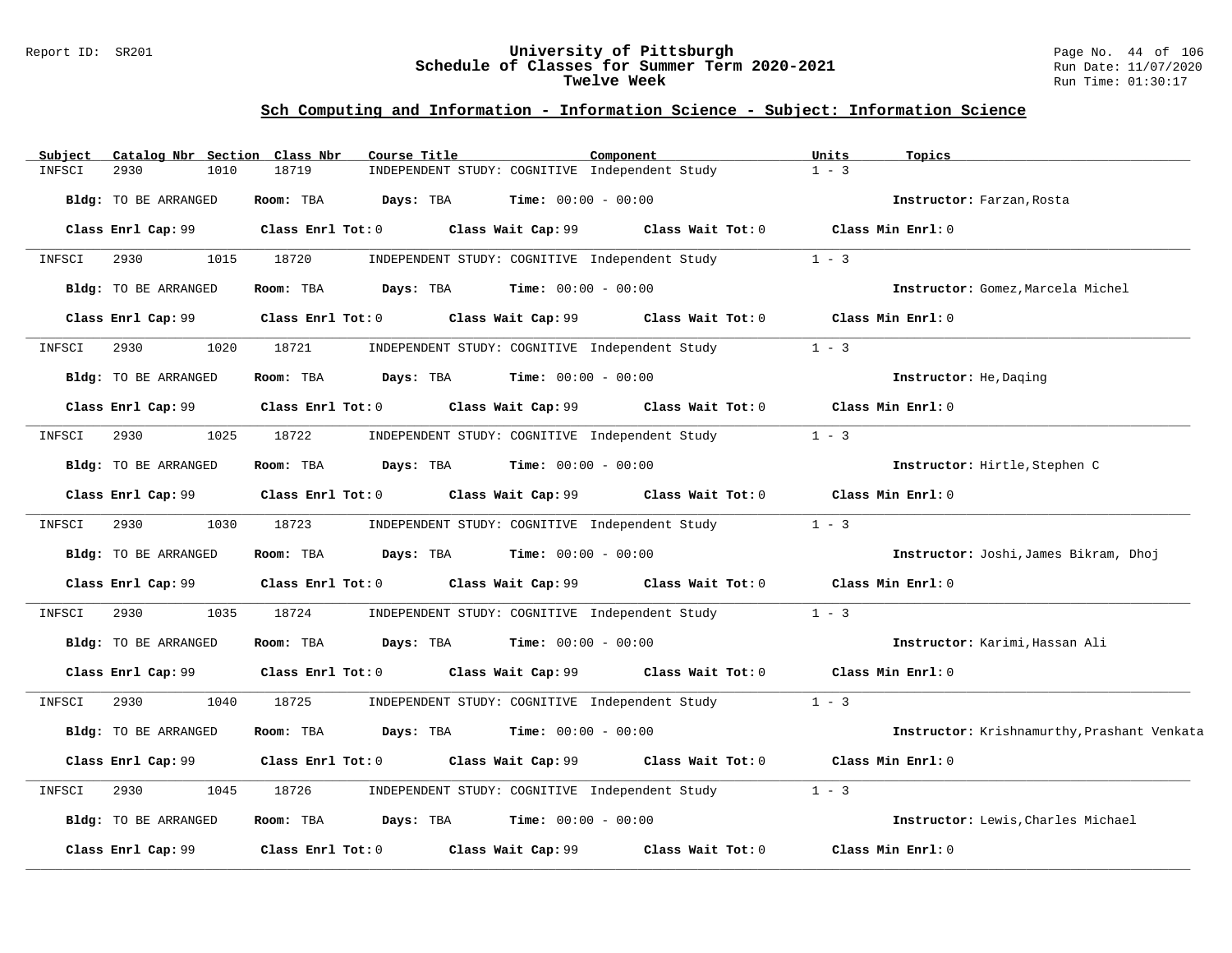#### Report ID: SR201 **University of Pittsburgh** Page No. 44 of 106 **Schedule of Classes for Summer Term 2020-2021** Run Date: 11/07/2020 **Twelve Week** Run Time: 01:30:17

| Subject | Catalog Nbr Section Class Nbr | Course Title           | Component                                      | Units<br>Topics                             |
|---------|-------------------------------|------------------------|------------------------------------------------|---------------------------------------------|
| INFSCI  | 2930<br>1010                  | 18719                  | INDEPENDENT STUDY: COGNITIVE Independent Study | $1 - 3$                                     |
|         | Bldg: TO BE ARRANGED          | Room: TBA<br>Days: TBA | <b>Time:</b> $00:00 - 00:00$                   | Instructor: Farzan, Rosta                   |
|         | Class Enrl Cap: 99            | Class Enrl Tot: 0      | Class Wait Cap: 99<br>Class Wait Tot: 0        | Class Min Enrl: 0                           |
| INFSCI  | 2930<br>1015                  | 18720                  | INDEPENDENT STUDY: COGNITIVE Independent Study | $1 - 3$                                     |
|         | Bldg: TO BE ARRANGED          | Room: TBA<br>Days: TBA | $Time: 00:00 - 00:00$                          | Instructor: Gomez, Marcela Michel           |
|         | Class Enrl Cap: 99            | Class Enrl Tot: 0      | Class Wait Cap: 99<br>Class Wait Tot: 0        | Class Min Enrl: 0                           |
| INFSCI  | 2930<br>1020                  | 18721                  | INDEPENDENT STUDY: COGNITIVE Independent Study | $1 - 3$                                     |
|         | Bldg: TO BE ARRANGED          | Room: TBA<br>Days: TBA | <b>Time:</b> $00:00 - 00:00$                   | Instructor: He, Daging                      |
|         | Class Enrl Cap: 99            | Class Enrl Tot: 0      | Class Wait Cap: 99<br>Class Wait Tot: 0        | Class Min Enrl: 0                           |
| INFSCI  | 2930<br>1025                  | 18722                  | INDEPENDENT STUDY: COGNITIVE Independent Study | $1 - 3$                                     |
|         | Bldg: TO BE ARRANGED          | Room: TBA<br>Days: TBA | $Time: 00:00 - 00:00$                          | Instructor: Hirtle, Stephen C               |
|         | Class Enrl Cap: 99            | Class Enrl Tot: 0      | Class Wait Cap: 99<br>Class Wait Tot: 0        | Class Min Enrl: 0                           |
| INFSCI  | 2930<br>1030                  | 18723                  | INDEPENDENT STUDY: COGNITIVE Independent Study | $1 - 3$                                     |
|         | Bldg: TO BE ARRANGED          | Room: TBA<br>Days: TBA | $Time: 00:00 - 00:00$                          | Instructor: Joshi, James Bikram, Dhoj       |
|         | Class Enrl Cap: 99            | Class Enrl Tot: 0      | Class Wait Cap: 99 Class Wait Tot: 0           | Class Min Enrl: 0                           |
| INFSCI  | 2930<br>1035                  | 18724                  | INDEPENDENT STUDY: COGNITIVE Independent Study | $1 - 3$                                     |
|         | Bldg: TO BE ARRANGED          | Room: TBA              | <b>Days:</b> TBA <b>Time:</b> $00:00 - 00:00$  | Instructor: Karimi, Hassan Ali              |
|         | Class Enrl Cap: 99            | Class Enrl Tot: 0      | Class Wait Cap: 99<br>Class Wait Tot: 0        | Class Min Enrl: 0                           |
| INFSCI  | 2930<br>1040                  | 18725                  | INDEPENDENT STUDY: COGNITIVE Independent Study | $1 - 3$                                     |
|         | Bldg: TO BE ARRANGED          | Days: TBA<br>Room: TBA | <b>Time:</b> $00:00 - 00:00$                   | Instructor: Krishnamurthy, Prashant Venkata |
|         | Class Enrl Cap: 99            | Class Enrl Tot: 0      | Class Wait Cap: 99<br>Class Wait Tot: 0        | Class Min Enrl: 0                           |
| INFSCI  | 1045<br>2930                  | 18726                  | INDEPENDENT STUDY: COGNITIVE Independent Study | $1 - 3$                                     |
|         | Bldg: TO BE ARRANGED          | Room: TBA<br>Days: TBA | $Time: 00:00 - 00:00$                          | Instructor: Lewis, Charles Michael          |
|         | Class Enrl Cap: 99            | Class Enrl Tot: 0      | Class Wait Cap: 99<br>Class Wait Tot: 0        | Class Min Enrl: 0                           |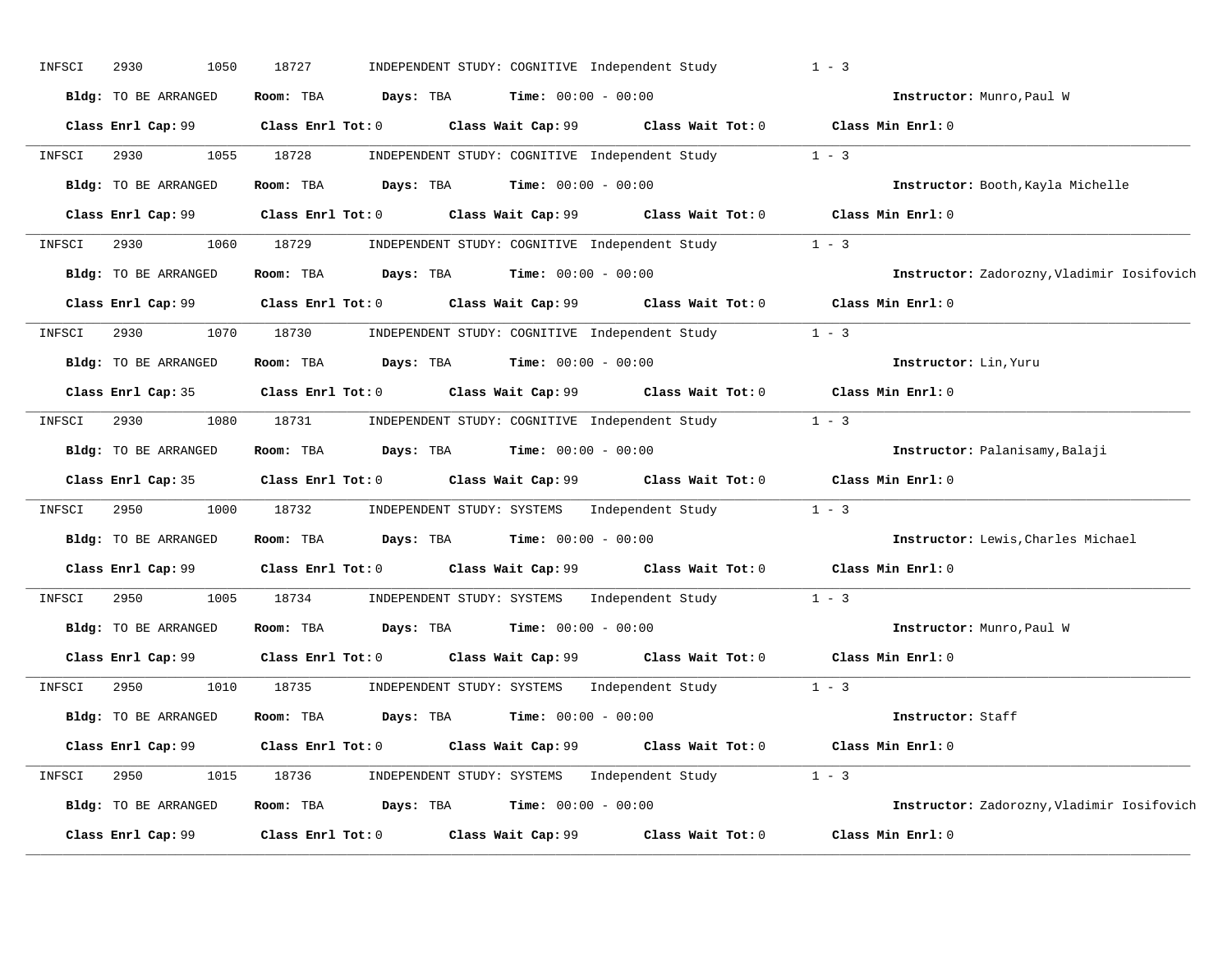| INFSCI | 2930<br>1050         | 18727                                                                                               | INDEPENDENT STUDY: COGNITIVE Independent Study |                                                        | $1 - 3$                                    |
|--------|----------------------|-----------------------------------------------------------------------------------------------------|------------------------------------------------|--------------------------------------------------------|--------------------------------------------|
|        | Bldg: TO BE ARRANGED | Room: TBA Days: TBA                                                                                 | <b>Time:</b> $00:00 - 00:00$                   |                                                        | Instructor: Munro, Paul W                  |
|        |                      | Class Enrl Cap: 99 Class Enrl Tot: 0 Class Wait Cap: 99 Class Wait Tot: 0 Class Min Enrl: 0         |                                                |                                                        |                                            |
| INFSCI | 2930                 | 1055 18728                                                                                          |                                                | INDEPENDENT STUDY: COGNITIVE Independent Study $1 - 3$ |                                            |
|        | Bldg: TO BE ARRANGED | Room: TBA $\rule{1em}{0.15mm}$ Days: TBA Time: $00:00 - 00:00$                                      |                                                |                                                        | Instructor: Booth, Kayla Michelle          |
|        | Class Enrl Cap: 99   | Class Enrl Tot: $0$ Class Wait Cap: $99$ Class Wait Tot: $0$ Class Min Enrl: $0$                    |                                                |                                                        |                                            |
| INFSCI | 2930 and $\sim$      | 1060 18729                                                                                          |                                                | INDEPENDENT STUDY: COGNITIVE Independent Study 1 - 3   |                                            |
|        | Bldg: TO BE ARRANGED | Room: TBA $Days:$ TBA $Time: 00:00 - 00:00$                                                         |                                                |                                                        | Instructor: Zadorozny, Vladimir Iosifovich |
|        | Class Enrl Cap: 99   | Class Enrl Tot: 0 Class Wait Cap: 99 Class Wait Tot: 0 Class Min Enrl: 0                            |                                                |                                                        |                                            |
| INFSCI | 2930                 | 1070 18730                                                                                          |                                                | INDEPENDENT STUDY: COGNITIVE Independent Study 1 - 3   |                                            |
|        | Bldg: TO BE ARRANGED | Room: TBA $Days:$ TBA $Time: 00:00 - 00:00$                                                         |                                                |                                                        | Instructor: Lin, Yuru                      |
|        | Class Enrl Cap: 35   | Class Enrl Tot: $0$ Class Wait Cap: $99$ Class Wait Tot: $0$ Class Min Enrl: $0$                    |                                                |                                                        |                                            |
| INFSCI | 2930                 | 1080 18731 INDEPENDENT STUDY: COGNITIVE Independent Study 1 - 3                                     |                                                |                                                        |                                            |
|        | Bldg: TO BE ARRANGED | Room: TBA $\rule{1em}{0.15mm}$ Days: TBA Time: $00:00 - 00:00$                                      |                                                |                                                        | Instructor: Palanisamy, Balaji             |
|        |                      | Class Enrl Cap: 35 Class Enrl Tot: 0 Class Wait Cap: 99 Class Wait Tot: 0 Class Min Enrl: 0         |                                                |                                                        |                                            |
| INFSCI | 2950<br>1000         | 18732 INDEPENDENT STUDY: SYSTEMS Independent Study 1 - 3                                            |                                                |                                                        |                                            |
|        | Bldg: TO BE ARRANGED | Room: TBA $Days:$ TBA $Time: 00:00 - 00:00$                                                         |                                                |                                                        | Instructor: Lewis, Charles Michael         |
|        |                      | Class Enrl Cap: 99 Class Enrl Tot: 0 Class Wait Cap: 99 Class Wait Tot: 0 Class Min Enrl: 0         |                                                |                                                        |                                            |
| INFSCI | 2950<br>1005         | 18734                                                                                               |                                                | INDEPENDENT STUDY: SYSTEMS Independent Study 1 - 3     |                                            |
|        | Bldg: TO BE ARRANGED | Room: TBA $\rule{1em}{0.15mm}$ Days: TBA $\rule{1.5mm}{0.15mm}$ Time: $00:00 - 00:00$               |                                                |                                                        | Instructor: Munro, Paul W                  |
|        |                      | Class Enrl Cap: 99 Class Enrl Tot: 0 Class Wait Cap: 99 Class Wait Tot: 0 Class Min Enrl: 0         |                                                |                                                        |                                            |
| INFSCI | 2950                 | 1010 18735                                                                                          |                                                | INDEPENDENT STUDY: SYSTEMS Independent Study 1 - 3     |                                            |
|        | Bldg: TO BE ARRANGED | Room: TBA $\rule{1em}{0.15mm}$ Days: TBA $\qquad$ Time: $00:00 - 00:00$                             |                                                |                                                        | Instructor: Staff                          |
|        | Class Enrl Cap: 99   | Class Enrl Tot: 0 $\qquad$ Class Wait Cap: 99 $\qquad$ Class Wait Tot: 0 $\qquad$ Class Min Enrl: 0 |                                                |                                                        |                                            |
| INFSCI | 2950                 | 1015 18736 INDEPENDENT STUDY: SYSTEMS Independent Study 1 - 3                                       |                                                |                                                        |                                            |
|        |                      |                                                                                                     |                                                |                                                        |                                            |
|        | Bldg: TO BE ARRANGED | Room: TBA $Days:$ TBA $Time: 00:00 - 00:00$                                                         |                                                |                                                        | Instructor: Zadorozny, Vladimir Iosifovich |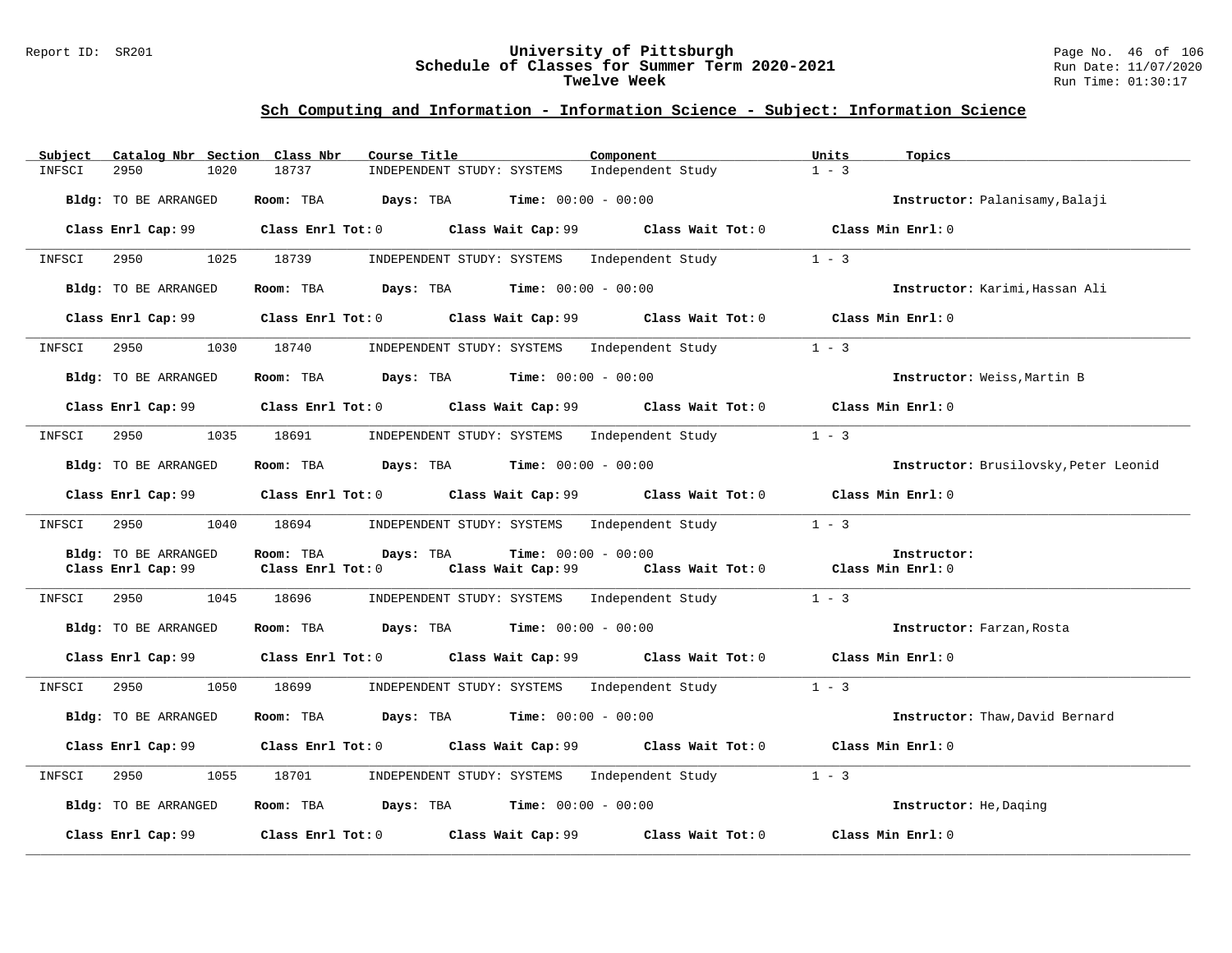#### Report ID: SR201 **University of Pittsburgh** Page No. 46 of 106 **Schedule of Classes for Summer Term 2020-2021** Run Date: 11/07/2020 **Twelve Week** Run Time: 01:30:17

| Catalog Nbr Section Class Nbr<br>Subject | Course Title                                                                                        | Component                                              | Units<br>Topics                       |
|------------------------------------------|-----------------------------------------------------------------------------------------------------|--------------------------------------------------------|---------------------------------------|
| INFSCI<br>2950<br>1020                   | 18737<br>INDEPENDENT STUDY: SYSTEMS                                                                 | Independent Study                                      | $1 - 3$                               |
| Bldg: TO BE ARRANGED                     | <b>Room:</b> TBA <b>Days:</b> TBA <b>Time:</b> 00:00 - 00:00                                        |                                                        | Instructor: Palanisamy, Balaji        |
|                                          | Class Enrl Cap: 99 Class Enrl Tot: 0 Class Wait Cap: 99 Class Wait Tot: 0 Class Min Enrl: 0         |                                                        |                                       |
| 2950<br>INFSCI                           | 1025 18739<br>INDEPENDENT STUDY: SYSTEMS Independent Study                                          |                                                        | $1 - 3$                               |
| Bldg: TO BE ARRANGED                     | Room: TBA $Days:$ TBA $Time: 00:00 - 00:00$                                                         |                                                        | Instructor: Karimi, Hassan Ali        |
| Class Enrl Cap: 99                       | Class Enrl Tot: 0 $\qquad$ Class Wait Cap: 99 $\qquad$ Class Wait Tot: 0 $\qquad$ Class Min Enrl: 0 |                                                        |                                       |
| 2950 000<br>1030<br>INFSCI               | 18740<br>INDEPENDENT STUDY: SYSTEMS Independent Study                                               |                                                        | $1 - 3$                               |
| Bldg: TO BE ARRANGED                     | Room: TBA $\rule{1em}{0.15mm}$ Days: TBA $\rule{1em}{0.15mm}$ Time: $00:00 - 00:00$                 |                                                        | Instructor: Weiss, Martin B           |
| Class Enrl Cap: 99                       | Class Enrl Tot: $0$ Class Wait Cap: $99$ Class Wait Tot: $0$ Class Min Enrl: $0$                    |                                                        |                                       |
| 1035<br>INFSCI<br>2950                   | INDEPENDENT STUDY: SYSTEMS Independent Study<br>18691                                               |                                                        | $1 - 3$                               |
| Bldg: TO BE ARRANGED                     | <b>Room:</b> TBA <b>Days:</b> TBA <b>Time:</b> 00:00 - 00:00                                        |                                                        | Instructor: Brusilovsky, Peter Leonid |
| Class Enrl Cap: 99                       | Class Enrl Tot: 0 Class Wait Cap: 99 Class Wait Tot: 0 Class Min Enrl: 0                            |                                                        |                                       |
| 2950<br>INFSCI                           | 1040 18694 INDEPENDENT STUDY: SYSTEMS Independent Study                                             |                                                        | $1 - 3$                               |
| Bldg: TO BE ARRANGED                     | Room: TBA<br>Days: TBA<br><b>Time:</b> $00:00 - 00:00$                                              |                                                        | Instructor:                           |
| Class Enrl Cap: 99                       | Class Enrl Tot: 0                                                                                   | Class Wait Cap: 99 Class Wait Tot: 0 Class Min Enrl: 0 |                                       |
| INFSCI 2950<br>1045                      | INDEPENDENT STUDY: SYSTEMS Independent Study<br>18696                                               |                                                        | $1 - 3$                               |
| Bldg: TO BE ARRANGED                     | Room: TBA $Days:$ TBA $Time: 00:00 - 00:00$                                                         |                                                        | Instructor: Farzan, Rosta             |
| Class Enrl Cap: 99                       | Class Enrl Tot: 0 Class Wait Cap: 99 Class Wait Tot: 0 Class Min Enrl: 0                            |                                                        |                                       |
| 2950<br>1050<br>INFSCI                   | 18699<br>INDEPENDENT STUDY: SYSTEMS Independent Study                                               |                                                        | $1 - 3$                               |
| Bldg: TO BE ARRANGED                     | Room: TBA $Days: TBA$ Time: $00:00 - 00:00$                                                         |                                                        | Instructor: Thaw, David Bernard       |
| Class Enrl Cap: 99                       | Class Enrl Tot: $0$ Class Wait Cap: $99$ Class Wait Tot: $0$ Class Min Enrl: $0$                    |                                                        |                                       |
| 2950<br>1055<br>INFSCI                   | 18701<br>INDEPENDENT STUDY: SYSTEMS Independent Study                                               |                                                        | $1 - 3$                               |
| Bldg: TO BE ARRANGED                     | Room: TBA $Days:$ TBA $Time: 00:00 - 00:00$                                                         |                                                        | Instructor: He, Daging                |
| Class Enrl Cap: 99                       | Class Enrl Tot: 0 Class Wait Cap: 99                                                                | Class Wait Tot: 0                                      | Class Min Enrl: 0                     |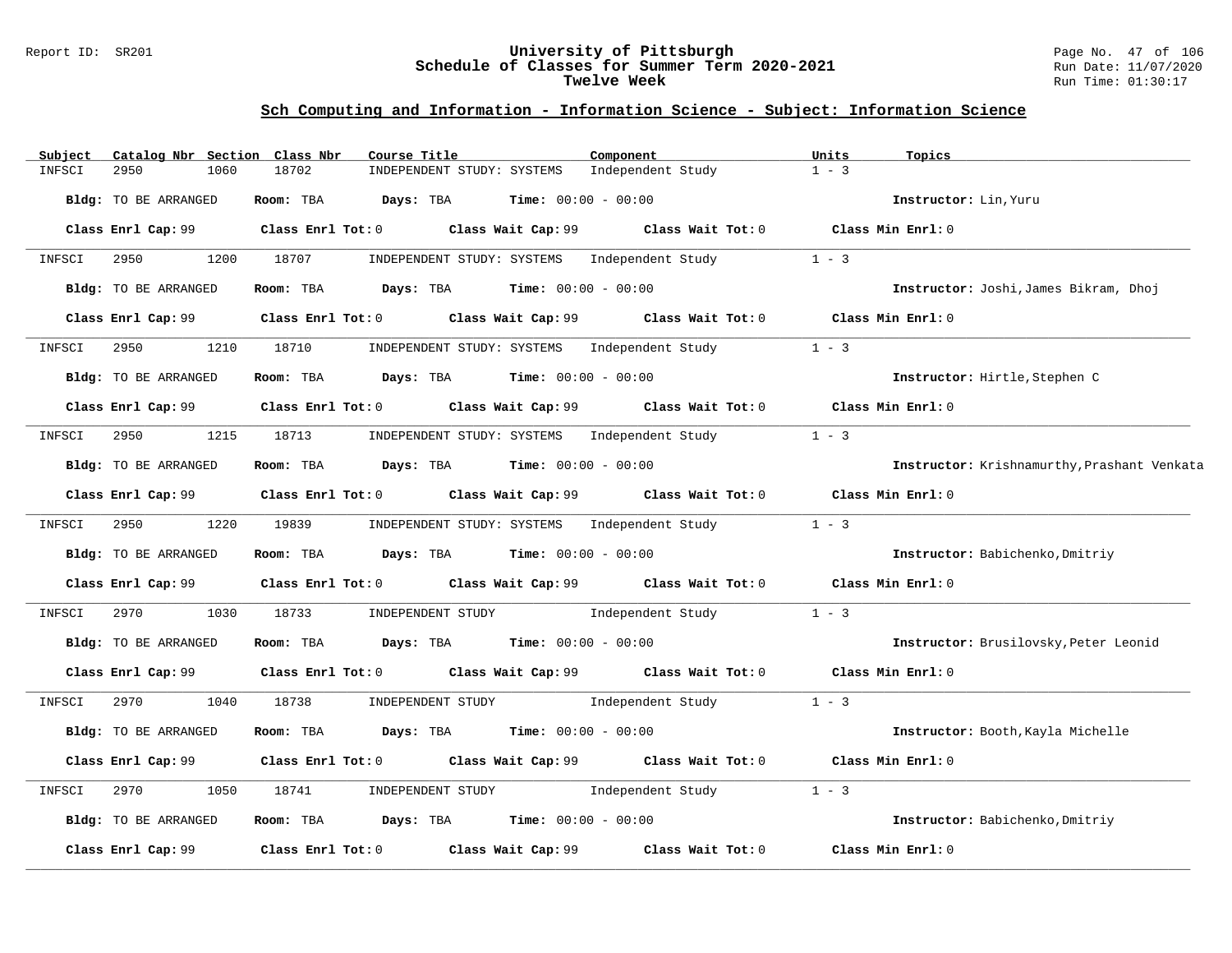### Report ID: SR201 **University of Pittsburgh** Page No. 47 of 106 **Schedule of Classes for Summer Term 2020-2021** Run Date: 11/07/2020 **Twelve Week** Run Time: 01:30:17

| Subject | Catalog Nbr Section Class Nbr | Course Title                                                                                |                                                      | Component                                    | Units<br>Topics                             |
|---------|-------------------------------|---------------------------------------------------------------------------------------------|------------------------------------------------------|----------------------------------------------|---------------------------------------------|
| INFSCI  | 2950<br>1060                  | 18702                                                                                       | INDEPENDENT STUDY: SYSTEMS                           | Independent Study                            | $1 - 3$                                     |
|         | Bldg: TO BE ARRANGED          | Room: TBA<br>Days: TBA                                                                      | <b>Time:</b> $00:00 - 00:00$                         |                                              | Instructor: Lin, Yuru                       |
|         | Class Enrl Cap: 99            | Class Enrl Tot: $0$ Class Wait Cap: $99$ Class Wait Tot: $0$ Class Min Enrl: $0$            |                                                      |                                              |                                             |
| INFSCI  | 2950<br>1200                  | 18707                                                                                       | INDEPENDENT STUDY: SYSTEMS Independent Study         |                                              | $1 - 3$                                     |
|         | Bldg: TO BE ARRANGED          | Room: TBA $Days:$ TBA $Time: 00:00 - 00:00$                                                 |                                                      |                                              | Instructor: Joshi, James Bikram, Dhoj       |
|         |                               | Class Enrl Cap: 99 Class Enrl Tot: 0 Class Wait Cap: 99 Class Wait Tot: 0 Class Min Enrl: 0 |                                                      |                                              |                                             |
| INFSCI  | 2950<br>1210                  | 18710                                                                                       | INDEPENDENT STUDY: SYSTEMS Independent Study         |                                              | $1 - 3$                                     |
|         | Bldg: TO BE ARRANGED          | Room: TBA $\rule{1em}{0.15mm}$ Days: TBA Time: $00:00 - 00:00$                              |                                                      |                                              | Instructor: Hirtle, Stephen C               |
|         |                               | Class Enrl Cap: 99 Class Enrl Tot: 0 Class Wait Cap: 99 Class Wait Tot: 0 Class Min Enrl: 0 |                                                      |                                              |                                             |
| INFSCI  | 1215<br>2950                  | 18713 INDEPENDENT STUDY: SYSTEMS Independent Study                                          |                                                      |                                              | $1 - 3$                                     |
|         | Bldg: TO BE ARRANGED          | Room: TBA $\rule{1em}{0.15mm}$ Days: TBA Time: $00:00 - 00:00$                              |                                                      |                                              | Instructor: Krishnamurthy, Prashant Venkata |
|         |                               | Class Enrl Cap: 99 Class Enrl Tot: 0 Class Wait Cap: 99 Class Wait Tot: 0                   |                                                      |                                              | Class Min Enrl: 0                           |
| INFSCI  | 1220<br>2950 700              | 19839                                                                                       |                                                      | INDEPENDENT STUDY: SYSTEMS Independent Study | $1 - 3$                                     |
|         | Bldg: TO BE ARRANGED          | Room: TBA                                                                                   | $\texttt{Davis:}$ TBA $\texttt{Time:}$ 00:00 - 00:00 |                                              | Instructor: Babichenko, Dmitriy             |
|         |                               | Class Enrl Cap: 99 Class Enrl Tot: 0 Class Wait Cap: 99 Class Wait Tot: 0 Class Min Enrl: 0 |                                                      |                                              |                                             |
| INFSCI  | 2970<br>1030                  | 18733                                                                                       | INDEPENDENT STUDY 1ndependent Study                  |                                              | $1 - 3$                                     |
|         | Bldg: TO BE ARRANGED          | Room: TBA $Days:$ TBA $Time: 00:00 - 00:00$                                                 |                                                      |                                              | Instructor: Brusilovsky, Peter Leonid       |
|         |                               | Class Enrl Cap: 99 Class Enrl Tot: 0 Class Wait Cap: 99 Class Wait Tot: 0 Class Min Enrl: 0 |                                                      |                                              |                                             |
| INFSCI  | 2970 200<br>1040              | 18738                                                                                       |                                                      | INDEPENDENT STUDY 1 - 3                      |                                             |
|         | Bldg: TO BE ARRANGED          | Room: TBA                                                                                   | <b>Days:</b> TBA <b>Time:</b> $00:00 - 00:00$        |                                              | Instructor: Booth, Kayla Michelle           |
|         | Class Enrl Cap: 99            | Class Enrl Tot: $0$ Class Wait Cap: $99$ Class Wait Tot: $0$                                |                                                      |                                              | Class Min Enrl: 0                           |
| INFSCI  | 1050<br>2970                  | 18741<br>INDEPENDENT STUDY                                                                  |                                                      | Independent Study                            | $1 - 3$                                     |
|         | Bldg: TO BE ARRANGED          | Room: TBA $Days: TBA$ Time: $00:00 - 00:00$                                                 |                                                      |                                              | Instructor: Babichenko, Dmitriy             |
|         | Class Enrl Cap: 99            | $Class$ $Enrl$ $Tot: 0$ $Class$ $Wait$ $Cap: 99$                                            |                                                      | Class Wait Tot: 0                            | Class Min Enrl: 0                           |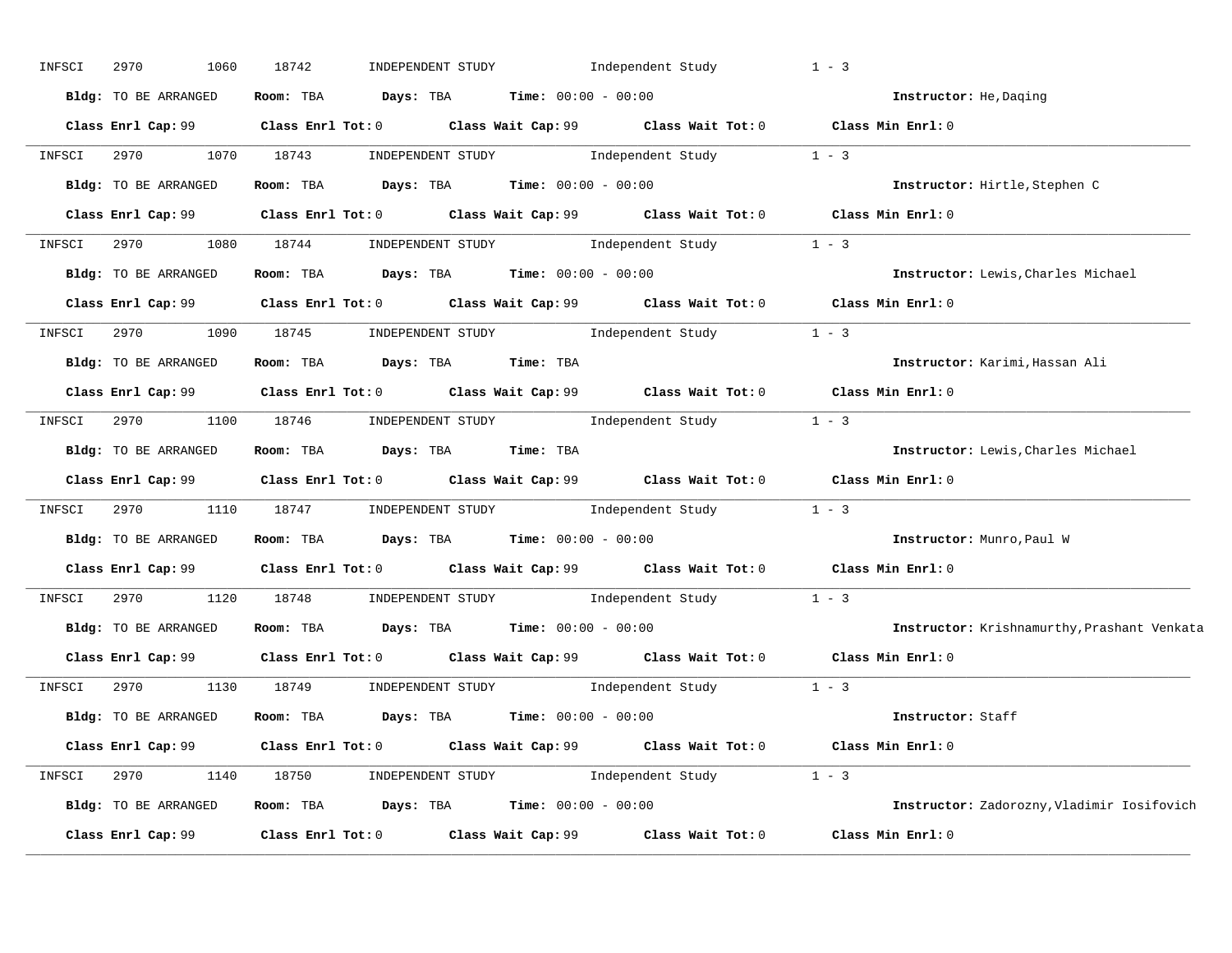| INFSCI | 2970<br>1060           | 18742<br>INDEPENDENT STUDY                                                                                                   | Independent Study | $1 - 3$                                     |
|--------|------------------------|------------------------------------------------------------------------------------------------------------------------------|-------------------|---------------------------------------------|
|        | Bldg: TO BE ARRANGED   | Room: TBA $Days: TBA$ Time: $00:00 - 00:00$                                                                                  |                   | Instructor: He, Daging                      |
|        |                        | Class Enrl Cap: 99 Class Enrl Tot: 0 Class Wait Cap: 99 Class Wait Tot: 0 Class Min Enrl: 0                                  |                   |                                             |
|        | INFSCI 2970 1070 18743 | $\begin{minipage}[c]{0.9\linewidth} \textbf{INDEX} & \textbf{STUDY} \\ \textbf{Independent Study} & 1 - 3 \\ \end{minipage}$ |                   |                                             |
|        |                        | Bldg: TO BE ARRANGED Room: TBA Days: TBA Time: 00:00 - 00:00                                                                 |                   | Instructor: Hirtle, Stephen C               |
|        |                        | Class Enrl Cap: 99 Class Enrl Tot: 0 Class Wait Cap: 99 Class Wait Tot: 0 Class Min Enrl: 0                                  |                   |                                             |
|        |                        | INFSCI 2970 1080 18744 INDEPENDENT STUDY Independent Study 1 - 3                                                             |                   |                                             |
|        |                        | Bldg: TO BE ARRANGED Room: TBA Days: TBA Time: 00:00 - 00:00                                                                 |                   | Instructor: Lewis, Charles Michael          |
|        |                        | Class Enrl Cap: 99 Class Enrl Tot: 0 Class Wait Cap: 99 Class Wait Tot: 0 Class Min Enrl: 0                                  |                   |                                             |
|        |                        | INFSCI 2970 1090 18745 INDEPENDENT STUDY Independent Study 1 - 3                                                             |                   |                                             |
|        | Bldg: TO BE ARRANGED   | Room: TBA Days: TBA Time: TBA                                                                                                |                   | Instructor: Karimi, Hassan Ali              |
|        |                        | Class Enrl Cap: 99 Class Enrl Tot: 0 Class Wait Cap: 99 Class Wait Tot: 0 Class Min Enrl: 0                                  |                   |                                             |
| INFSCI |                        | 2970 1100 18746 INDEPENDENT STUDY Independent Study 1 - 3                                                                    |                   |                                             |
|        |                        | Bldg: TO BE ARRANGED Room: TBA Days: TBA Time: TBA                                                                           |                   | Instructor: Lewis, Charles Michael          |
|        |                        | Class Enrl Cap: 99 Class Enrl Tot: 0 Class Wait Cap: 99 Class Wait Tot: 0 Class Min Enrl: 0                                  |                   |                                             |
| INFSCI |                        | 2970 1110 18747 INDEPENDENT STUDY Independent Study                                                                          |                   | $1 - 3$                                     |
|        |                        | Bldg: TO BE ARRANGED Room: TBA Days: TBA Time: 00:00 - 00:00                                                                 |                   | Instructor: Munro, Paul W                   |
|        |                        | Class Enrl Cap: 99 Class Enrl Tot: 0 Class Wait Cap: 99 Class Wait Tot: 0 Class Min Enrl: 0                                  |                   |                                             |
| INFSCI |                        | 2970 1120 18748 INDEPENDENT STUDY Independent Study                                                                          |                   | $1 - 3$                                     |
|        |                        | Bldg: TO BE ARRANGED ROOM: TBA Days: TBA Time: 00:00 - 00:00                                                                 |                   | Instructor: Krishnamurthy, Prashant Venkata |
|        |                        | Class Enrl Cap: 99 Class Enrl Tot: 0 Class Wait Cap: 99 Class Wait Tot: 0 Class Min Enrl: 0                                  |                   |                                             |
| INFSCI |                        | 2970 1130 18749 INDEPENDENT STUDY Independent Study 1 - 3                                                                    |                   |                                             |
|        |                        | Bldg: TO BE ARRANGED Room: TBA Days: TBA Time: 00:00 - 00:00                                                                 |                   | Instructor: Staff                           |
|        |                        | Class Enrl Cap: 99 Class Enrl Tot: 0 Class Wait Cap: 99 Class Wait Tot: 0 Class Min Enrl: 0                                  |                   |                                             |
|        |                        | INFSCI 2970 1140 18750 INDEPENDENT STUDY Independent Study 1 - 3                                                             |                   |                                             |
|        |                        | Bldg: TO BE ARRANGED Room: TBA Days: TBA Time: 00:00 - 00:00                                                                 |                   | Instructor: Zadorozny, Vladimir Iosifovich  |
|        |                        | Class Enrl Cap: 99 Class Enrl Tot: 0 Class Wait Cap: 99 Class Wait Tot: 0 Class Min Enrl: 0                                  |                   |                                             |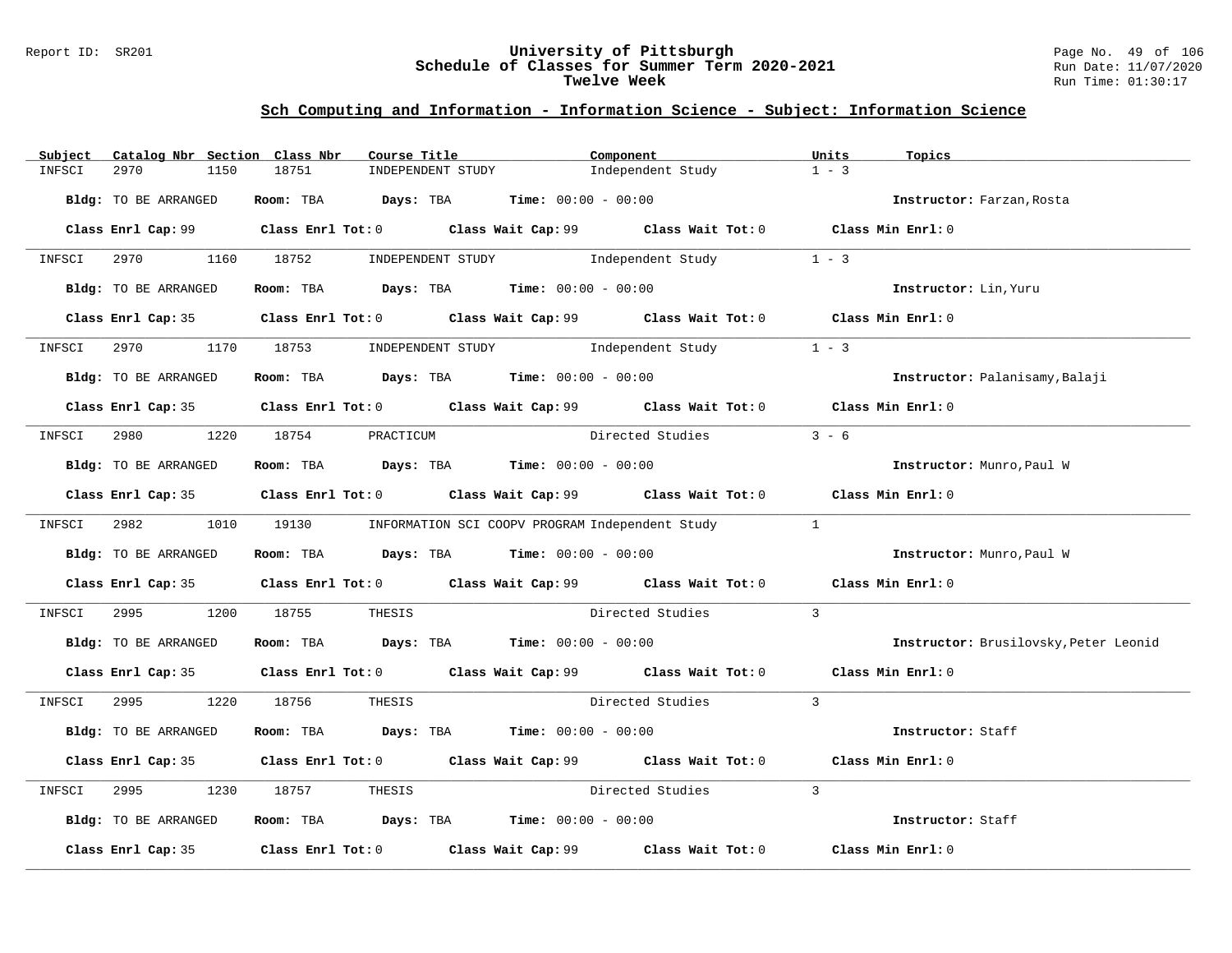#### Report ID: SR201 **University of Pittsburgh** Page No. 49 of 106 **Schedule of Classes for Summer Term 2020-2021** Run Date: 11/07/2020 **Twelve Week** Run Time: 01:30:17

| Subject<br>Catalog Nbr Section Class Nbr | Course Title                                                                          | Component                                                                                     | Units<br>Topics                       |
|------------------------------------------|---------------------------------------------------------------------------------------|-----------------------------------------------------------------------------------------------|---------------------------------------|
| 2970<br>INFSCI<br>1150                   | 18751<br>INDEPENDENT STUDY                                                            | Independent Study                                                                             | $1 - 3$                               |
| Bldg: TO BE ARRANGED                     | Room: TBA $Days:$ TBA $Time: 00:00 - 00:00$                                           |                                                                                               | Instructor: Farzan, Rosta             |
|                                          |                                                                                       | Class Enrl Cap: 99 Class Enrl Tot: 0 Class Wait Cap: 99 Class Wait Tot: 0 Class Min Enrl: 0   |                                       |
|                                          |                                                                                       | INFSCI 2970 1160 18752 INDEPENDENT STUDY Independent Study 1 - 3                              |                                       |
| Bldg: TO BE ARRANGED                     |                                                                                       | Room: TBA $Days:$ TBA $Time: 00:00 - 00:00$                                                   | Instructor: Lin, Yuru                 |
|                                          |                                                                                       | Class Enrl Cap: 35 Class Enrl Tot: 0 Class Wait Cap: 99 Class Wait Tot: 0 Class Min Enrl: 0   |                                       |
| 2970<br>INFSCI                           |                                                                                       | 1170 18753 INDEPENDENT STUDY Independent Study                                                | $1 - 3$                               |
| Bldg: TO BE ARRANGED                     | Room: TBA $Days:$ TBA $Time: 00:00 - 00:00$                                           |                                                                                               | Instructor: Palanisamy, Balaji        |
|                                          |                                                                                       | Class Enrl Cap: 35 Class Enrl Tot: 0 Class Wait Cap: 99 Class Wait Tot: 0 Class Min Enrl: 0   |                                       |
|                                          | INFSCI 2980 1220 18754 PRACTICUM                                                      | Directed Studies                                                                              | $3 - 6$                               |
| Bldg: TO BE ARRANGED                     | Room: TBA $Days:$ TBA $Time: 00:00 - 00:00$                                           |                                                                                               | Instructor: Munro, Paul W             |
|                                          |                                                                                       | Class Enrl Cap: 35 Class Enrl Tot: 0 Class Wait Cap: 99 Class Wait Tot: 0 Class Min Enrl: 0   |                                       |
|                                          |                                                                                       | INFSCI 2982 1010 19130 INFORMATION SCI COOPV PROGRAM Independent Study 1                      |                                       |
| Bldg: TO BE ARRANGED                     | Room: TBA $\rule{1em}{0.15mm}$ Days: TBA Time: $00:00 - 00:00$                        |                                                                                               | Instructor: Munro, Paul W             |
|                                          |                                                                                       | Class Enrl Cap: 35 Class Enrl Tot: 0 Class Wait Cap: 99 Class Wait Tot: 0 Class Min Enrl: 0   |                                       |
| 2995 — 100<br>INFSCI                     | 1200 18755                                                                            | THESIS Directed Studies                                                                       | $\overline{3}$                        |
| Bldg: TO BE ARRANGED                     | Room: TBA $Days: TBA$ Time: $00:00 - 00:00$                                           |                                                                                               | Instructor: Brusilovsky, Peter Leonid |
|                                          |                                                                                       | Class Enrl Cap: 35 Class Enrl Tot: 0 Class Wait Cap: 99 Class Wait Tot: 0 Class Min Enrl: 0   |                                       |
| INFSCI 2995 1220 18756                   | THESIS                                                                                | Directed Studies 3                                                                            |                                       |
| Bldg: TO BE ARRANGED                     | Room: TBA $Days:$ TBA $Time: 00:00 - 00:00$                                           |                                                                                               | Instructor: Staff                     |
|                                          |                                                                                       | Class Enrl Cap: 35 Class Enrl Tot: 0 Class Wait Cap: 99 Class Wait Tot: 0                     | Class Min Enrl: 0                     |
| 2995<br>1230<br>INFSCI                   | 18757<br>THESIS                                                                       | Directed Studies                                                                              | $\mathbf{3}$                          |
| Bldg: TO BE ARRANGED                     | Room: TBA $\rule{1em}{0.15mm}$ Days: TBA $\rule{1.5mm}{0.15mm}$ Time: $00:00 - 00:00$ |                                                                                               | Instructor: Staff                     |
|                                          |                                                                                       | Class Enrl Cap: 35 $\,$ Class Enrl Tot: 0 $\,$ Class Wait Cap: 99 $\,$ Class Wait Tot: 0 $\,$ | Class Min Enrl: 0                     |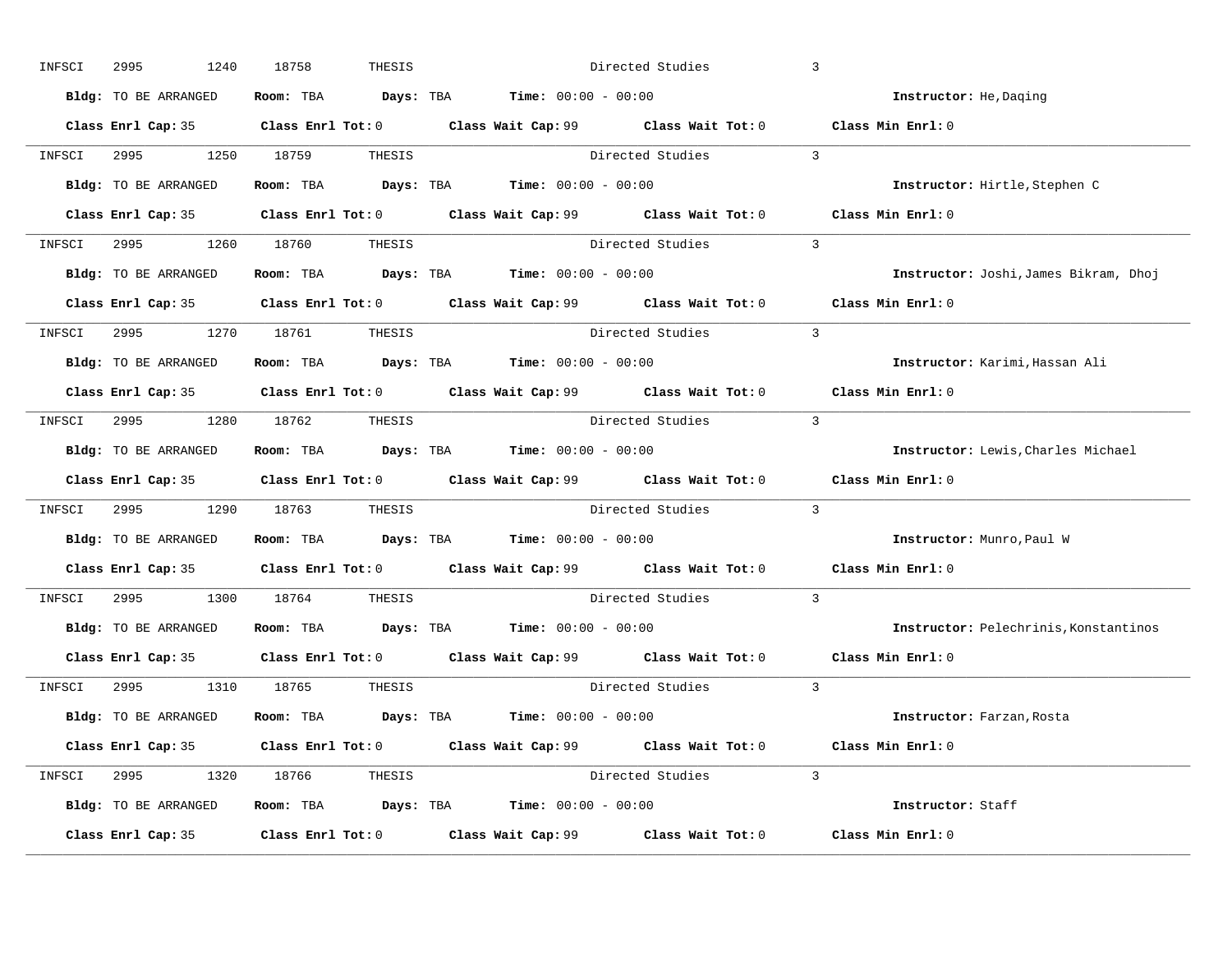| INFSCI | 2995<br>1240         | 18758<br>THESIS               |                                                                                                     | Directed Studies   | $\overline{3}$                        |
|--------|----------------------|-------------------------------|-----------------------------------------------------------------------------------------------------|--------------------|---------------------------------------|
|        | Bldg: TO BE ARRANGED |                               | Room: TBA $\rule{1em}{0.15mm}$ Days: TBA $\rule{1.5mm}{0.15mm}$ Time: $00:00 - 00:00$               |                    | Instructor: He, Daqing                |
|        |                      |                               | Class Enrl Cap: 35 Class Enrl Tot: 0 Class Wait Cap: 99 Class Wait Tot: 0                           |                    | Class Min Enrl: 0                     |
| INFSCI |                      |                               | 2995 1250 18759 THESIS Directed Studies 3                                                           |                    |                                       |
|        | Bldg: TO BE ARRANGED |                               | Room: TBA $\rule{1em}{0.15mm}$ Days: TBA Time: $00:00 - 00:00$                                      |                    | Instructor: Hirtle, Stephen C         |
|        |                      |                               | Class Enrl Cap: 35 Class Enrl Tot: 0 Class Wait Cap: 99 Class Wait Tot: 0                           |                    | Class Min Enrl: 0                     |
|        |                      | INFSCI 2995 1260 18760 THESIS |                                                                                                     | Directed Studies 3 |                                       |
|        |                      |                               | <b>Bldg:</b> TO BE ARRANGED <b>ROOM:</b> TBA <b>Days:</b> TBA <b>Time:</b> $00:00 - 00:00$          |                    | Instructor: Joshi, James Bikram, Dhoj |
|        |                      |                               | Class Enrl Cap: 35 Class Enrl Tot: 0 Class Wait Cap: 99 Class Wait Tot: 0 Class Min Enrl: 0         |                    |                                       |
|        |                      | INFSCI 2995 1270 18761 THESIS |                                                                                                     | Directed Studies 3 |                                       |
|        | Bldg: TO BE ARRANGED |                               | Room: TBA $\rule{1em}{0.15mm}$ Days: TBA Time: $00:00 - 00:00$                                      |                    | Instructor: Karimi, Hassan Ali        |
|        |                      |                               | Class Enrl Cap: 35 Class Enrl Tot: 0 Class Wait Cap: 99 Class Wait Tot: 0 Class Min Enrl: 0         |                    |                                       |
|        |                      | INFSCI 2995 1280 18762 THESIS |                                                                                                     | Directed Studies 3 |                                       |
|        | Bldg: TO BE ARRANGED |                               | Room: TBA $\rule{1em}{0.15mm}$ Days: TBA Time: $00:00 - 00:00$                                      |                    | Instructor: Lewis, Charles Michael    |
|        |                      |                               | Class Enrl Cap: 35 Class Enrl Tot: 0 Class Wait Cap: 99 Class Wait Tot: 0                           |                    | Class Min Enrl: 0                     |
| INFSCI |                      | 2995 1290 18763 THESIS        |                                                                                                     | Directed Studies 3 |                                       |
|        | Bldg: TO BE ARRANGED |                               | Room: TBA $\rule{1em}{0.15mm}$ Days: TBA Time: $00:00 - 00:00$                                      |                    | Instructor: Munro, Paul W             |
|        |                      |                               | Class Enrl Cap: 35 Class Enrl Tot: 0 Class Wait Cap: 99 Class Wait Tot: 0 Class Min Enrl: 0         |                    |                                       |
| INFSCI |                      | 2995 1300 18764 THESIS        |                                                                                                     | Directed Studies   | $\overline{3}$                        |
|        |                      |                               | <b>Bldg:</b> TO BE ARRANGED <b>ROOM:</b> TBA <b>Days:</b> TBA <b>Time:</b> $00:00 - 00:00$          |                    | Instructor: Pelechrinis, Konstantinos |
|        | Class Enrl Cap: 35   |                               | Class Enrl Tot: 0 $\qquad$ Class Wait Cap: 99 $\qquad$ Class Wait Tot: 0 $\qquad$ Class Min Enrl: 0 |                    |                                       |
|        |                      | INFSCI 2995 1310 18765 THESIS |                                                                                                     | Directed Studies 3 |                                       |
|        | Bldg: TO BE ARRANGED |                               | Room: TBA $Days:$ TBA $Time: 00:00 - 00:00$                                                         |                    | Instructor: Farzan, Rosta             |
|        |                      |                               | Class Enrl Cap: 35 Class Enrl Tot: 0 Class Wait Cap: 99 Class Wait Tot: 0                           |                    | Class Min Enrl: 0                     |
|        |                      | INFSCI 2995 1320 18766 THESIS |                                                                                                     | Directed Studies 3 |                                       |
|        | Bldg: TO BE ARRANGED |                               | Room: TBA $Days:$ TBA $Time: 00:00 - 00:00$                                                         |                    | Instructor: Staff                     |
|        | Class Enrl Cap: 35   |                               | Class Enrl Tot: $0$ Class Wait Cap: $99$ Class Wait Tot: $0$                                        |                    | Class Min Enrl: 0                     |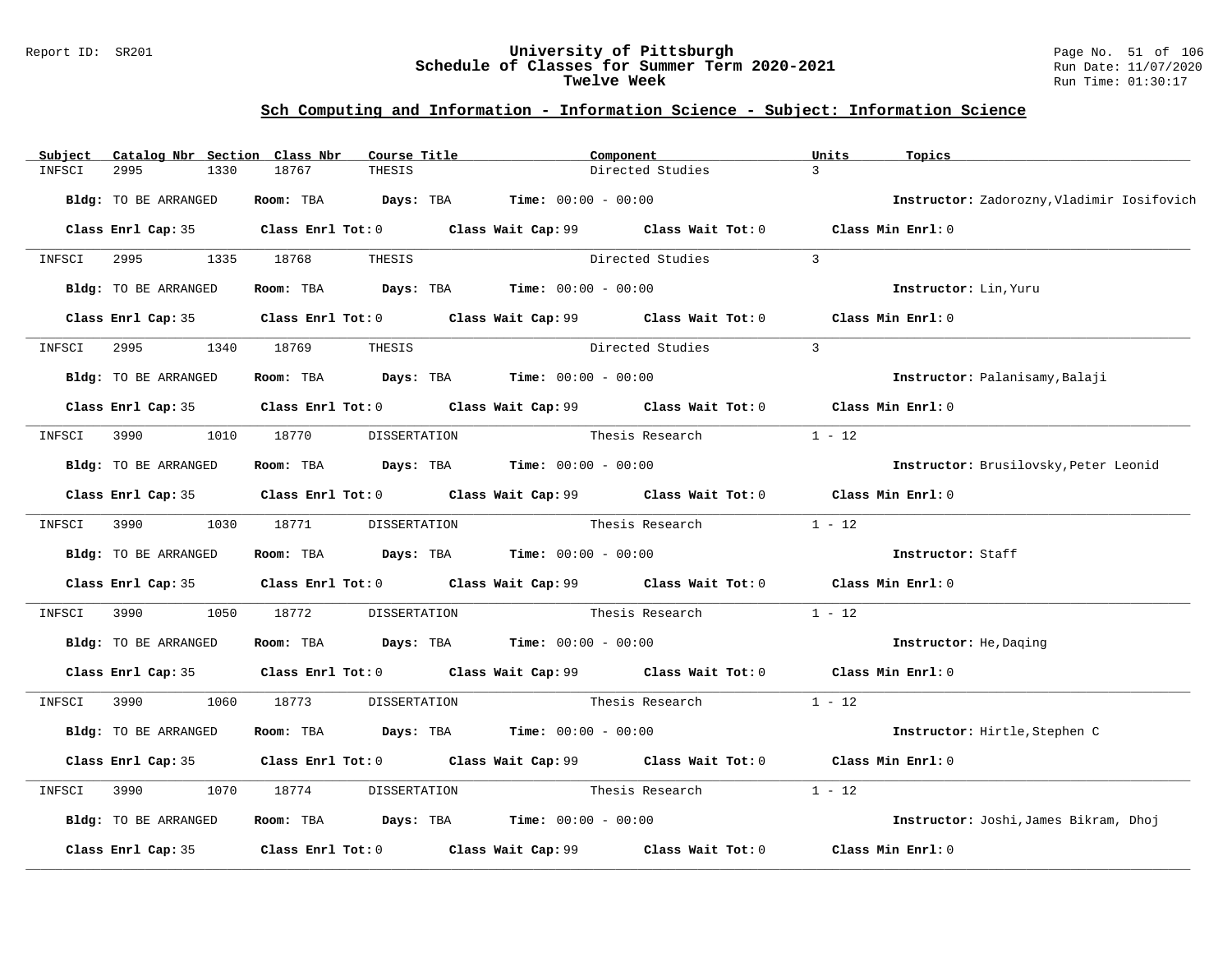#### Report ID: SR201 **University of Pittsburgh** Page No. 51 of 106 **Schedule of Classes for Summer Term 2020-2021** Run Date: 11/07/2020 **Twelve Week** Run Time: 01:30:17

| $\overline{3}$<br>18767<br>Directed Studies<br>INFSCI<br>2995<br>1330<br>THESIS<br>Bldg: TO BE ARRANGED<br>Room: TBA $Days:$ TBA $Time: 00:00 - 00:00$ |                                            |
|--------------------------------------------------------------------------------------------------------------------------------------------------------|--------------------------------------------|
|                                                                                                                                                        |                                            |
|                                                                                                                                                        | Instructor: Zadorozny, Vladimir Iosifovich |
| Class Enrl Cap: 35 Class Enrl Tot: 0 Class Wait Cap: 99 Class Wait Tot: 0 Class Min Enrl: 0                                                            |                                            |
| Directed Studies<br>INFSCI 2995 1335 18768<br>$\overline{3}$<br>THESIS                                                                                 |                                            |
| Room: TBA $Days:$ TBA $Time: 00:00 - 00:00$<br>Bldg: TO BE ARRANGED<br>Instructor: Lin, Yuru                                                           |                                            |
| Class Enrl Cap: 35 Class Enrl Tot: 0 Class Wait Cap: 99 Class Wait Tot: 0 Class Min Enrl: 0                                                            |                                            |
| $\overline{3}$<br>Directed Studies<br>2995<br>1340<br>18769<br>THESIS<br>INFSCI                                                                        |                                            |
| Bldg: TO BE ARRANGED<br>Room: TBA $Days:$ TBA $Time: 00:00 - 00:00$<br>Instructor: Palanisamy, Balaji                                                  |                                            |
| Class Enrl Cap: 35 Class Enrl Tot: 0 Class Wait Cap: 99 Class Wait Tot: 0 Class Min Enrl: 0                                                            |                                            |
| $1 - 12$<br>INFSCI 3990 1010 18770<br>DISSERTATION<br>Thesis Research                                                                                  |                                            |
| Room: TBA $Days:$ TBA $Time: 00:00 - 00:00$<br>Bldg: TO BE ARRANGED<br>Instructor: Brusilovsky, Peter Leonid                                           |                                            |
| Class Enrl Cap: 35 Class Enrl Tot: 0 Class Wait Cap: 99 Class Wait Tot: 0 Class Min Enrl: 0                                                            |                                            |
| $1 - 12$<br>INFSCI 3990 1030 18771 DISSERTATION<br>Thesis Research                                                                                     |                                            |
| Room: TBA $Days:$ TBA $Time: 00:00 - 00:00$<br>Bldg: TO BE ARRANGED<br>Instructor: Staff                                                               |                                            |
| Class Enrl Cap: 35 Class Enrl Tot: 0 Class Wait Cap: 99 Class Wait Tot: 0 Class Min Enrl: 0                                                            |                                            |
| $1 - 12$<br>18772<br>3990<br>1050<br>DISSERTATION Thesis Research<br>INFSCI                                                                            |                                            |
| Room: TBA $Days:$ TBA $Time: 00:00 - 00:00$<br>Bldg: TO BE ARRANGED<br>Instructor: He, Daging                                                          |                                            |
| Class Enrl Cap: 35 Class Enrl Tot: 0 Class Wait Cap: 99 Class Wait Tot: 0 Class Min Enrl: 0                                                            |                                            |
| 3990 88<br>1060 18773<br>Thesis Research<br>$1 - 12$<br>INFSCI<br>DISSERTATION                                                                         |                                            |
| Bldg: TO BE ARRANGED<br>Room: TBA $Days: TBA$ Time: $00:00 - 00:00$<br>Instructor: Hirtle, Stephen C                                                   |                                            |
| Class Enrl Tot: $0$ Class Wait Cap: $99$ Class Wait Tot: $0$<br>Class Min Enrl: 0<br>Class Enrl Cap: 35                                                |                                            |
| $1 - 12$<br>1070<br>18774<br>Thesis Research<br>INFSCI<br>3990<br>DISSERTATION                                                                         |                                            |
| Room: TBA $Days: TBA$ Time: $00:00 - 00:00$<br>Bldg: TO BE ARRANGED                                                                                    | Instructor: Joshi, James Bikram, Dhoj      |
| Class Enrl Tot: 0 Class Wait Cap: 99<br>Class Wait Tot: 0<br>Class Min Enrl: 0<br>Class Enrl Cap: 35                                                   |                                            |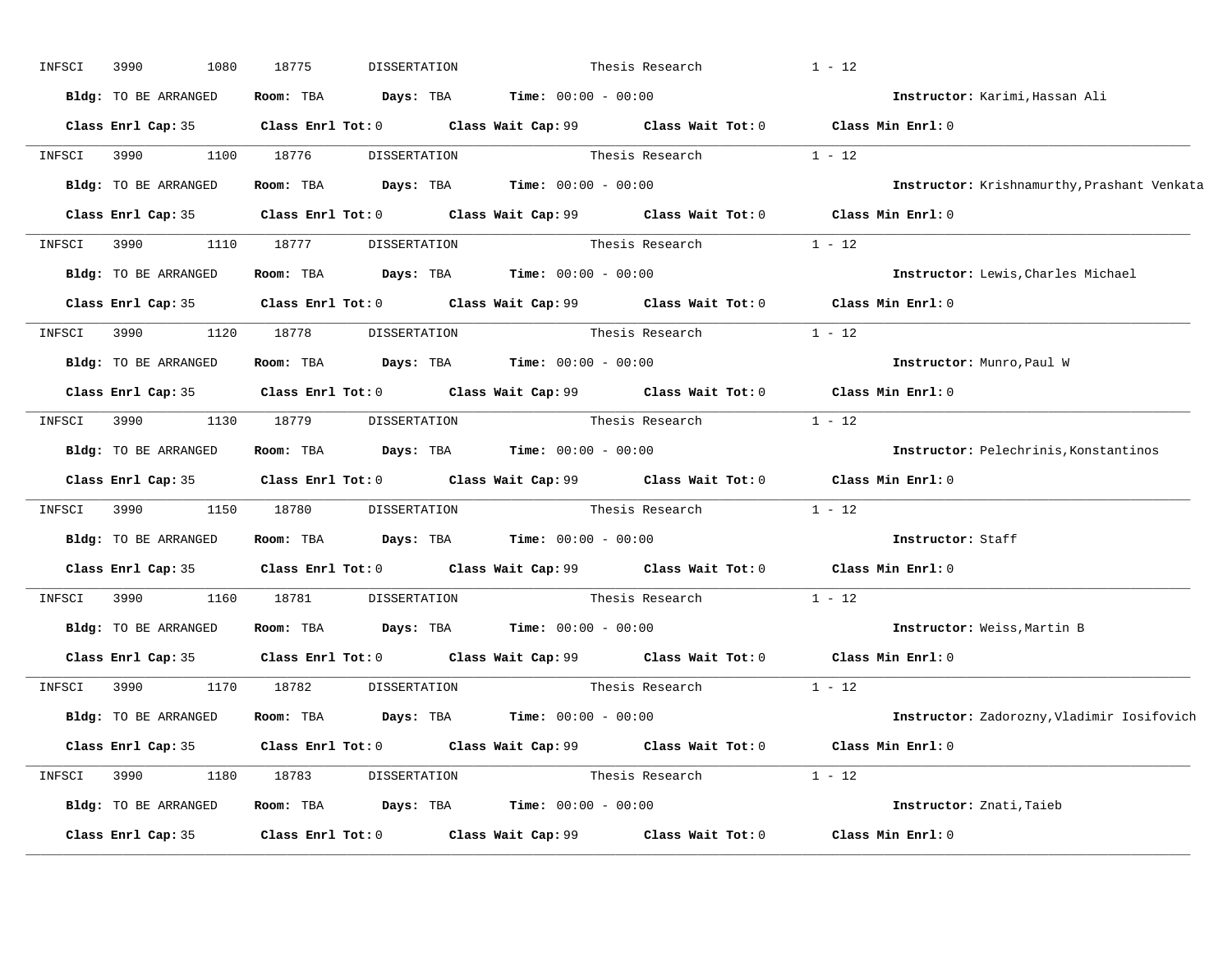| INFSCI | 3990<br>1080                 | 18775      | DISSERTATION |                                                                                        | Thesis Research                                                                             | $1 - 12$                                                                                    |
|--------|------------------------------|------------|--------------|----------------------------------------------------------------------------------------|---------------------------------------------------------------------------------------------|---------------------------------------------------------------------------------------------|
|        | Bldg: TO BE ARRANGED         |            |              | <b>Room:</b> TBA <b>Days:</b> TBA <b>Time:</b> 00:00 - 00:00                           |                                                                                             | Instructor: Karimi, Hassan Ali                                                              |
|        |                              |            |              |                                                                                        | Class Enrl Cap: 35 Class Enrl Tot: 0 Class Wait Cap: 99 Class Wait Tot: 0 Class Min Enrl: 0 |                                                                                             |
| INFSCI | 3990 000                     | 1100 18776 |              |                                                                                        | DISSERTATION Thesis Research 1 - 12                                                         |                                                                                             |
|        | Bldg: TO BE ARRANGED         |            |              | Room: TBA $\rule{1em}{0.15mm}$ Days: TBA Time: $00:00 - 00:00$                         |                                                                                             | Instructor: Krishnamurthy, Prashant Venkata                                                 |
|        |                              |            |              |                                                                                        | Class Enrl Cap: 35 Class Enrl Tot: 0 Class Wait Cap: 99 Class Wait Tot: 0 Class Min Enrl: 0 |                                                                                             |
|        |                              |            |              |                                                                                        | INFSCI 3990 1110 18777 DISSERTATION Thesis Research 1 - 12                                  |                                                                                             |
|        | Bldg: TO BE ARRANGED         |            |              | Room: TBA $\rule{1em}{0.15mm}$ Days: TBA $\rule{1.5mm}{0.15mm}$ Time: $00:00 - 00:00$  |                                                                                             | Instructor: Lewis, Charles Michael                                                          |
|        |                              |            |              |                                                                                        | Class Enrl Cap: 35 Class Enrl Tot: 0 Class Wait Cap: 99 Class Wait Tot: 0 Class Min Enrl: 0 |                                                                                             |
| INFSCI | 3990 1120 18778 DISSERTATION |            |              |                                                                                        | Thesis Research 1 - 12                                                                      |                                                                                             |
|        | Bldg: TO BE ARRANGED         |            |              | Room: TBA $Days:$ TBA $Time: 00:00 - 00:00$                                            |                                                                                             | Instructor: Munro, Paul W                                                                   |
|        |                              |            |              |                                                                                        | Class Enrl Cap: 35 Class Enrl Tot: 0 Class Wait Cap: 99 Class Wait Tot: 0 Class Min Enrl: 0 |                                                                                             |
|        |                              |            |              |                                                                                        | INFSCI 3990 1130 18779 DISSERTATION Thesis Research 1 - 12                                  |                                                                                             |
|        | Bldg: TO BE ARRANGED         |            |              | Room: TBA $Days:$ TBA $Time: 00:00 - 00:00$                                            |                                                                                             | <b>Instructor:</b> Pelechrinis, Konstantinos                                                |
|        |                              |            |              |                                                                                        | Class Enrl Cap: 35 Class Enrl Tot: 0 Class Wait Cap: 99 Class Wait Tot: 0 Class Min Enrl: 0 |                                                                                             |
|        |                              |            |              |                                                                                        | INFSCI 3990 1150 18780 DISSERTATION Thesis Research                                         | $1 - 12$                                                                                    |
|        | Bldg: TO BE ARRANGED         |            |              | Room: TBA $\rule{1em}{0.15mm}$ Days: TBA Time: $00:00 - 00:00$                         |                                                                                             | Instructor: Staff                                                                           |
|        |                              |            |              |                                                                                        |                                                                                             | Class Enrl Cap: 35 Class Enrl Tot: 0 Class Wait Cap: 99 Class Wait Tot: 0 Class Min Enrl: 0 |
| INFSCI |                              | 1160 18781 | DISSERTATION |                                                                                        | Thesis Research                                                                             | $1 - 12$                                                                                    |
|        | Bldg: TO BE ARRANGED         |            |              | Room: TBA $Days:$ TBA $Time: 00:00 - 00:00$                                            |                                                                                             | Instructor: Weiss, Martin B                                                                 |
|        |                              |            |              |                                                                                        | Class Enrl Cap: 35 Class Enrl Tot: 0 Class Wait Cap: 99 Class Wait Tot: 0 Class Min Enrl: 0 |                                                                                             |
| INFSCI | 3990                         | 1170 18782 | DISSERTATION |                                                                                        | Thesis Research $1 - 12$                                                                    |                                                                                             |
|        | Bldg: TO BE ARRANGED         |            |              | Room: TBA $\rule{1em}{0.15mm}$ Days: TBA $\rule{1.15mm}{0.15mm}$ Time: $00:00 - 00:00$ |                                                                                             | Instructor: Zadorozny, Vladimir Iosifovich                                                  |
|        |                              |            |              |                                                                                        | Class Enrl Cap: 35 Class Enrl Tot: 0 Class Wait Cap: 99 Class Wait Tot: 0 Class Min Enrl: 0 |                                                                                             |
|        |                              |            |              |                                                                                        | INFSCI 3990 1180 18783 DISSERTATION Thesis Research 1 - 12                                  |                                                                                             |
|        | Bldg: TO BE ARRANGED         |            |              | Room: TBA $Days:$ TBA $Time:$ $00:00 - 00:00$                                          |                                                                                             | Instructor: Znati, Taieb                                                                    |
|        | Class Enrl Cap: 35           |            |              |                                                                                        | Class Enrl Tot: 0 Class Wait Cap: 99 Class Wait Tot: 0                                      | Class Min Enrl: 0                                                                           |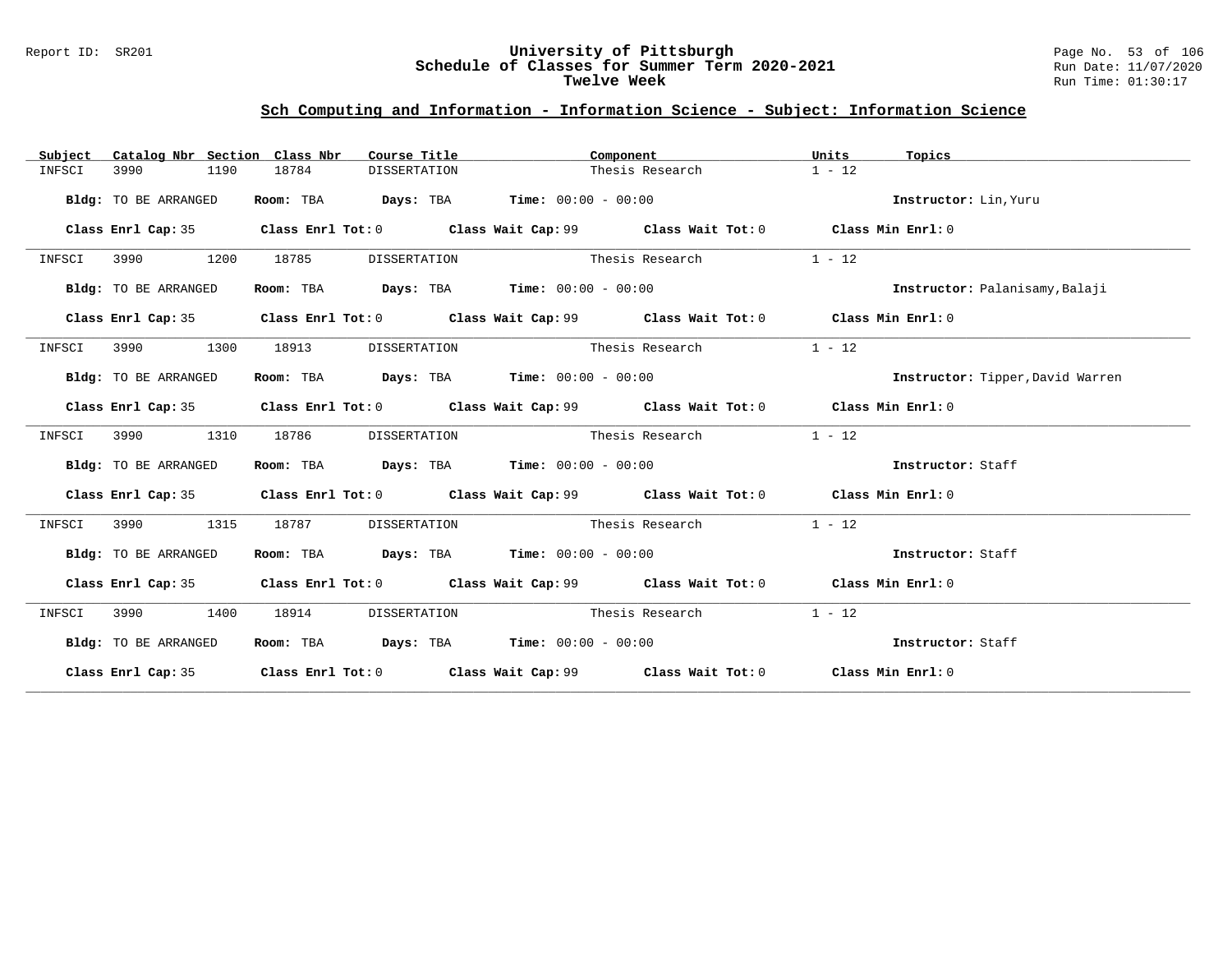#### Report ID: SR201 **University of Pittsburgh** Page No. 53 of 106 **Schedule of Classes for Summer Term 2020-2021** Run Date: 11/07/2020 **Twelve Week** Run Time: 01:30:17

| Subject | Catalog Nbr Section Class Nbr |      |       | Course Title | Component                                                      |                                                                                              | Units    | Topics                           |
|---------|-------------------------------|------|-------|--------------|----------------------------------------------------------------|----------------------------------------------------------------------------------------------|----------|----------------------------------|
| INFSCI  | 3990                          | 1190 | 18784 | DISSERTATION |                                                                | Thesis Research                                                                              | $1 - 12$ |                                  |
|         | Bldg: TO BE ARRANGED          |      |       |              | Room: TBA $Days:$ TBA $Time: 00:00 - 00:00$                    |                                                                                              |          | Instructor: Lin, Yuru            |
|         | Class Enrl Cap: 35            |      |       |              |                                                                | Class Enrl Tot: 0 $\,$ Class Wait Cap: 99 $\,$ Class Wait Tot: 0 $\,$ Class Min Enrl: 0 $\,$ |          |                                  |
| INFSCI  | 3990<br>1200                  |      | 18785 | DISSERTATION | Thesis Research                                                |                                                                                              | $1 - 12$ |                                  |
|         | Bldg: TO BE ARRANGED          |      |       |              | Room: TBA $Days:$ TBA $Time: 00:00 - 00:00$                    |                                                                                              |          | Instructor: Palanisamy, Balaji   |
|         | Class Enrl Cap: 35            |      |       |              |                                                                | Class Enrl Tot: $0$ Class Wait Cap: $99$ Class Wait Tot: $0$ Class Min Enrl: $0$             |          |                                  |
| INFSCI  | 3990                          | 1300 | 18913 | DISSERTATION | Thesis Research                                                |                                                                                              | $1 - 12$ |                                  |
|         | Bldg: TO BE ARRANGED          |      |       |              | Room: TBA $Days:$ TBA $Time: 00:00 - 00:00$                    |                                                                                              |          | Instructor: Tipper, David Warren |
|         | Class Enrl Cap: 35            |      |       |              |                                                                | Class Enrl Tot: $0$ Class Wait Cap: $99$ Class Wait Tot: $0$ Class Min Enrl: $0$             |          |                                  |
| INFSCI  | 3990                          | 1310 | 18786 | DISSERTATION | Thesis Research                                                |                                                                                              | $1 - 12$ |                                  |
|         | Bldg: TO BE ARRANGED          |      |       |              | Room: TBA $Days:$ TBA $Time: 00:00 - 00:00$                    |                                                                                              |          | Instructor: Staff                |
|         |                               |      |       |              |                                                                | Class Enrl Cap: 35 Class Enrl Tot: 0 Class Wait Cap: 99 Class Wait Tot: 0 Class Min Enrl: 0  |          |                                  |
| INFSCI  | 3990                          | 1315 | 18787 | DISSERTATION |                                                                | Thesis Research                                                                              | $1 - 12$ |                                  |
|         | Bldg: TO BE ARRANGED          |      |       |              | Room: TBA $\rule{1em}{0.15mm}$ Days: TBA Time: $00:00 - 00:00$ |                                                                                              |          | Instructor: Staff                |
|         |                               |      |       |              |                                                                | Class Enrl Cap: 35 Class Enrl Tot: 0 Class Wait Cap: 99 Class Wait Tot: 0 Class Min Enrl: 0  |          |                                  |
| INFSCI  | 3990                          | 1400 | 18914 |              |                                                                | DISSERTATION Thesis Research                                                                 | $1 - 12$ |                                  |
|         | Bldg: TO BE ARRANGED          |      |       |              | Room: TBA $Days:$ TBA $Time: 00:00 - 00:00$                    |                                                                                              |          | Instructor: Staff                |
|         |                               |      |       |              |                                                                | Class Enrl Cap: 35 Class Enrl Tot: 0 Class Wait Cap: 99 Class Wait Tot: 0 Class Min Enrl: 0  |          |                                  |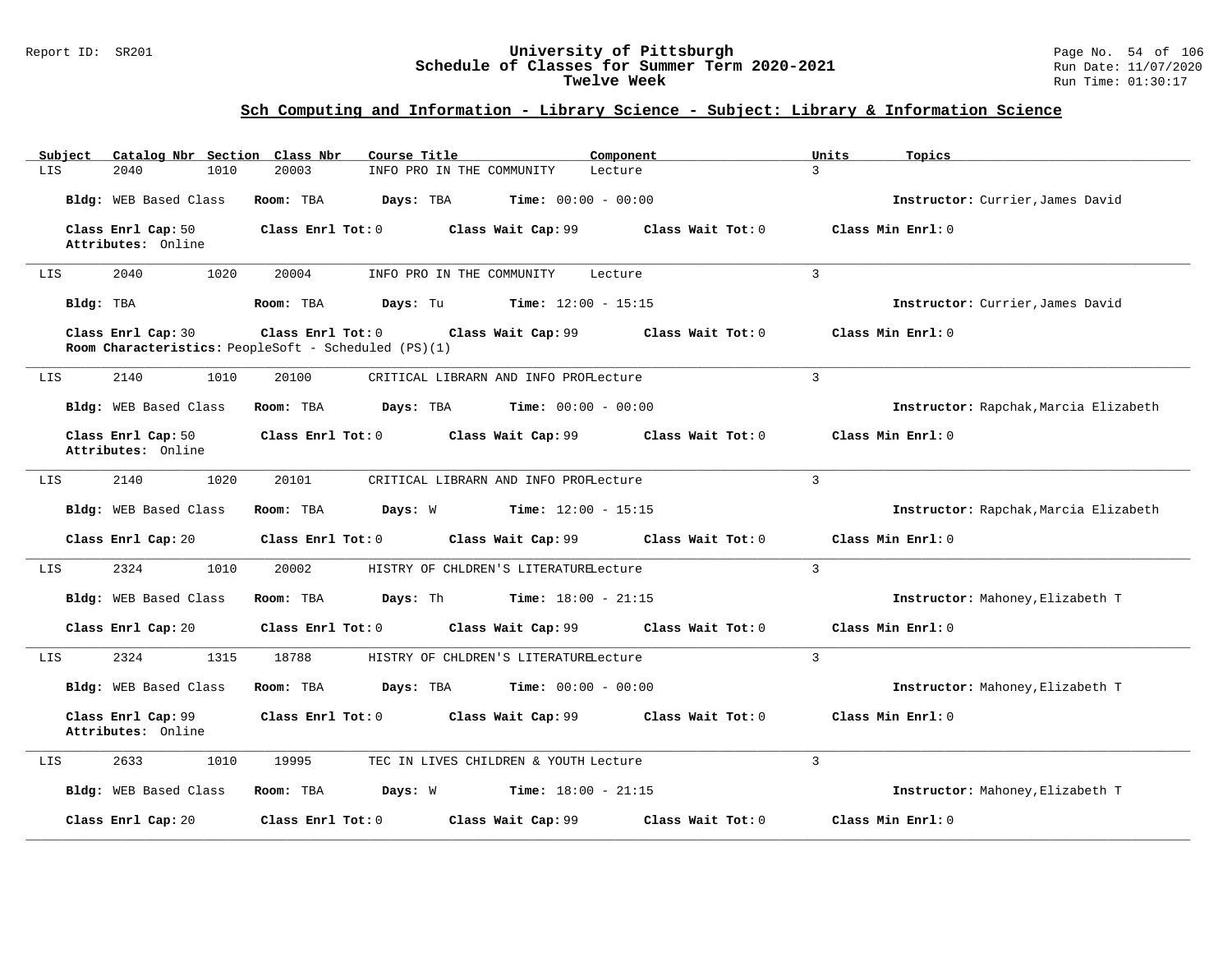#### Report ID: SR201 **University of Pittsburgh** Page No. 54 of 106 **Schedule of Classes for Summer Term 2020-2021** Run Date: 11/07/2020 **Twelve Week** Run Time: 01:30:17

| Catalog Nbr Section Class Nbr<br>Subject | Course Title                                                                                    | Component                    | Units<br>Topics                       |
|------------------------------------------|-------------------------------------------------------------------------------------------------|------------------------------|---------------------------------------|
| 2040<br>1010<br>LIS                      | 20003<br>INFO PRO IN THE COMMUNITY                                                              | Lecture                      | 3                                     |
| Bldg: WEB Based Class                    | Room: TBA<br>Days: TBA                                                                          | <b>Time:</b> $00:00 - 00:00$ | Instructor: Currier, James David      |
| Class Enrl Cap: 50<br>Attributes: Online | Class Enrl Tot: 0<br>Class Wait Cap: 99                                                         | Class Wait Tot: 0            | Class Min Enrl: 0                     |
| 1020<br>2040<br>LIS                      | 20004<br>INFO PRO IN THE COMMUNITY                                                              | Lecture                      | 3                                     |
| Bldg: TBA                                | Room: TBA<br>Days: Tu                                                                           | Time: $12:00 - 15:15$        | Instructor: Currier, James David      |
| Class Enrl Cap: 30                       | Class Enrl Tot: 0<br>Class Wait Cap: 99<br>Room Characteristics: PeopleSoft - Scheduled (PS)(1) | Class Wait Tot: 0            | Class Min Enrl: 0                     |
| 2140<br>1010<br>LIS                      | 20100<br>CRITICAL LIBRARN AND INFO PROFLecture                                                  |                              | 3                                     |
| Bldg: WEB Based Class                    | Room: TBA<br>Days: TBA                                                                          | <b>Time:</b> $00:00 - 00:00$ | Instructor: Rapchak, Marcia Elizabeth |
| Class Enrl Cap: 50<br>Attributes: Online | Class Enrl Tot: 0<br>Class Wait Cap: 99                                                         | Class Wait Tot: 0            | Class Min Enrl: 0                     |
| 2140<br>1020<br>LIS                      | 20101<br>CRITICAL LIBRARN AND INFO PROFLecture                                                  |                              | $\overline{3}$                        |
| Bldg: WEB Based Class                    | Days: W<br>Room: TBA                                                                            | <b>Time:</b> $12:00 - 15:15$ | Instructor: Rapchak, Marcia Elizabeth |
| Class Enrl Cap: 20                       | Class Wait Cap: 99<br>Class Enrl Tot: 0                                                         | Class Wait Tot: 0            | Class Min Enrl: 0                     |
| 2324<br>1010<br>LIS                      | 20002<br>HISTRY OF CHLDREN'S LITERATURELecture                                                  |                              | $\overline{3}$                        |
| Bldg: WEB Based Class                    | Room: TBA<br>Days: Th                                                                           | <b>Time:</b> $18:00 - 21:15$ | Instructor: Mahoney, Elizabeth T      |
| Class Enrl Cap: 20                       | Class Enrl Tot: 0<br>Class Wait Cap: 99                                                         | Class Wait Tot: 0            | Class Min Enrl: 0                     |
| 1315<br>2324<br>LIS                      | 18788<br>HISTRY OF CHLDREN'S LITERATURELecture                                                  |                              | $\overline{3}$                        |
| Bldg: WEB Based Class                    | Room: TBA<br>Days: TBA                                                                          | <b>Time:</b> $00:00 - 00:00$ | Instructor: Mahoney, Elizabeth T      |
| Class Enrl Cap: 99<br>Attributes: Online | Class Enrl Tot: 0<br>Class Wait Cap: 99                                                         | Class Wait Tot: 0            | Class Min Enrl: 0                     |
| 2633<br>1010<br>LIS                      | 19995<br>TEC IN LIVES CHILDREN & YOUTH Lecture                                                  |                              | 3                                     |
| Bldg: WEB Based Class                    | Room: TBA<br>Days: W                                                                            | <b>Time:</b> $18:00 - 21:15$ | Instructor: Mahoney, Elizabeth T      |
| Class Enrl Cap: 20                       | Class Enrl Tot: $0$<br>Class Wait Cap: 99                                                       | Class Wait Tot: 0            | Class Min Enrl: 0                     |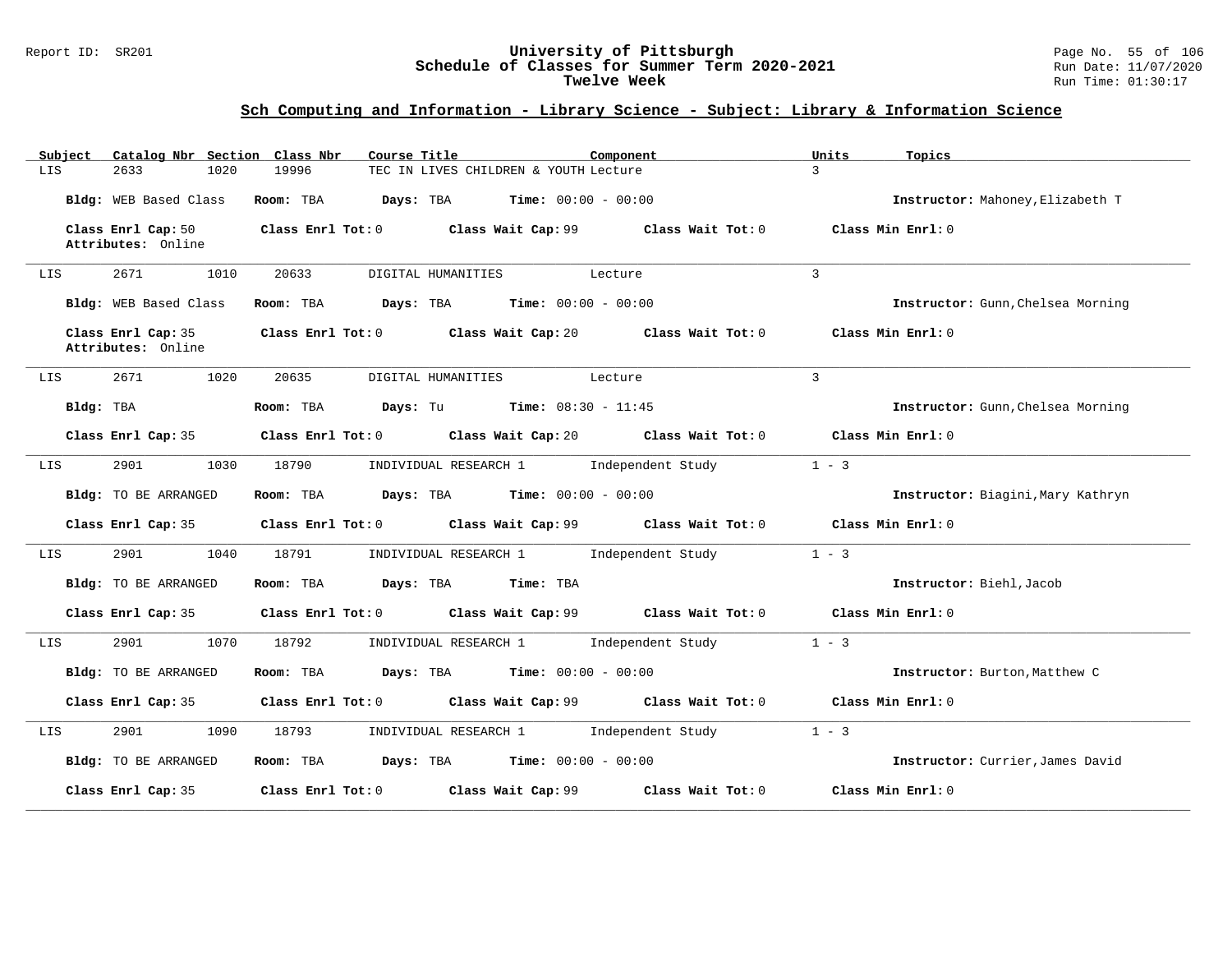#### Report ID: SR201 **University of Pittsburgh** Page No. 55 of 106 **Schedule of Classes for Summer Term 2020-2021** Run Date: 11/07/2020 **Twelve Week** Run Time: 01:30:17

| Catalog Nbr Section Class Nbr<br>Subject | Course Title                                                     | Component         | Units<br>Topics                   |
|------------------------------------------|------------------------------------------------------------------|-------------------|-----------------------------------|
| 2633<br>1020<br>LIS                      | 19996<br>TEC IN LIVES CHILDREN & YOUTH Lecture                   |                   | $\mathbf{R}$                      |
| Bldg: WEB Based Class                    | $Time: 00:00 - 00:00$<br>Room: TBA<br>Days: TBA                  |                   | Instructor: Mahoney, Elizabeth T  |
| Class Enrl Cap: 50<br>Attributes: Online | Class Enrl Tot: 0 Class Wait Cap: 99 Class Wait Tot: 0           |                   | Class Min Enrl: 0                 |
| 2671<br>1010<br>LIS                      | 20633<br>DIGITAL HUMANITIES                                      | Lecture           | $\overline{3}$                    |
| Bldg: WEB Based Class                    | Room: TBA<br>$\texttt{Days:}$ TBA $\texttt{Time:}$ 00:00 - 00:00 |                   | Instructor: Gunn, Chelsea Morning |
| Class Enrl Cap: 35<br>Attributes: Online | Class Enrl Tot: 0 Class Wait Cap: 20 Class Wait Tot: 0           |                   | Class Min Enrl: 0                 |
| 2671<br>1020<br>LIS                      | 20635<br>DIGITAL HUMANITIES                                      | Lecture           | 3                                 |
| Bldg: TBA                                | Room: TBA<br><b>Days:</b> Tu <b>Time:</b> $08:30 - 11:45$        |                   | Instructor: Gunn, Chelsea Morning |
| Class Enrl Cap: 35                       | Class Enrl Tot: $0$ Class Wait Cap: $20$ Class Wait Tot: $0$     |                   | Class Min Enrl: 0                 |
| 2901<br>1030<br>LIS                      | INDIVIDUAL RESEARCH 1 1 Independent Study<br>18790               |                   | $1 - 3$                           |
| Bldg: TO BE ARRANGED                     | Room: TBA<br><b>Days:</b> TBA <b>Time:</b> $00:00 - 00:00$       |                   | Instructor: Biagini, Mary Kathryn |
| Class Enrl Cap: 35                       | Class Enrl Tot: $0$ Class Wait Cap: $99$ Class Wait Tot: $0$     |                   | Class Min Enrl: 0                 |
| 2901<br>1040<br>LIS                      | INDIVIDUAL RESEARCH 1 1 Independent Study<br>18791               |                   | $1 - 3$                           |
| Bldg: TO BE ARRANGED                     | Room: TBA<br>Days: TBA Time: TBA                                 |                   | Instructor: Biehl, Jacob          |
| Class Enrl Cap: 35                       | Class Enrl Tot: 0 Class Wait Cap: 99                             | Class Wait Tot: 0 | Class Min Enrl: 0                 |
| 2901<br>1070<br>LIS                      | 18792<br>INDIVIDUAL RESEARCH 1 1 Independent Study               |                   | $1 - 3$                           |
| Bldg: TO BE ARRANGED                     | <b>Days:</b> TBA <b>Time:</b> $00:00 - 00:00$<br>Room: TBA       |                   | Instructor: Burton, Matthew C     |
| Class Enrl Cap: 35                       | Class Enrl Tot: 0 Class Wait Cap: 99                             | Class Wait Tot: 0 | Class Min Enrl: 0                 |
| 2901<br>1090<br>LIS                      | 18793<br>INDIVIDUAL RESEARCH 1 1 Independent Study               |                   | $1 - 3$                           |
| Bldg: TO BE ARRANGED                     | <b>Days:</b> TBA <b>Time:</b> $00:00 - 00:00$<br>Room: TBA       |                   | Instructor: Currier, James David  |
| Class Enrl Cap: 35                       | $Class$ $Enr1$ $Tot: 0$<br>Class Wait Cap: 99                    | Class Wait Tot: 0 | Class Min Enrl: 0                 |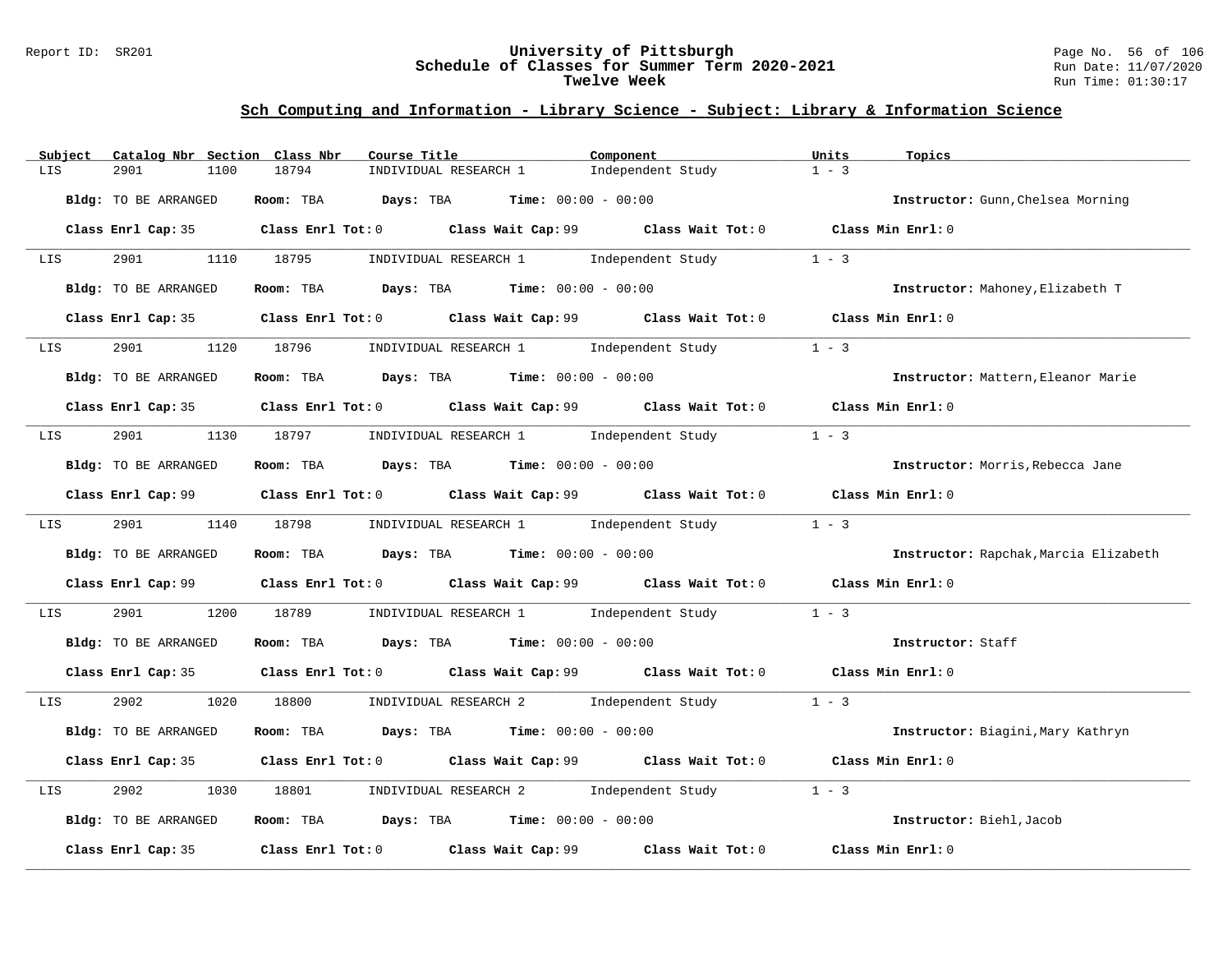#### Report ID: SR201 **University of Pittsburgh** Page No. 56 of 106 **Schedule of Classes for Summer Term 2020-2021** Run Date: 11/07/2020 **Twelve Week** Run Time: 01:30:17

| Catalog Nbr Section Class Nbr<br>Subject | Course Title                                                                                | Component         | Units<br>Topics                       |
|------------------------------------------|---------------------------------------------------------------------------------------------|-------------------|---------------------------------------|
| LIS<br>2901<br>1100                      | 18794<br>INDIVIDUAL RESEARCH 1                                                              | Independent Study | $1 - 3$                               |
| Bldg: TO BE ARRANGED                     | Room: TBA $Days:$ TBA $Time: 00:00 - 00:00$                                                 |                   | Instructor: Gunn, Chelsea Morning     |
|                                          | Class Enrl Cap: 35 Class Enrl Tot: 0 Class Wait Cap: 99 Class Wait Tot: 0 Class Min Enrl: 0 |                   |                                       |
| 2901 2002<br>LIS                         | 1110 18795<br>INDIVIDUAL RESEARCH 1 1 Independent Study                                     |                   | $1 - 3$                               |
| Bldg: TO BE ARRANGED                     | Room: TBA $\rule{1em}{0.15mm}$ Days: TBA Time: $00:00 - 00:00$                              |                   | Instructor: Mahoney, Elizabeth T      |
|                                          | Class Enrl Cap: 35 Class Enrl Tot: 0 Class Wait Cap: 99 Class Wait Tot: 0 Class Min Enrl: 0 |                   |                                       |
| 2901 2002<br>LIS                         | 1120 18796 INDIVIDUAL RESEARCH 1 Independent Study                                          |                   | $1 - 3$                               |
| Bldg: TO BE ARRANGED                     | Room: TBA $Days:$ TBA $Time: 00:00 - 00:00$                                                 |                   | Instructor: Mattern, Eleanor Marie    |
|                                          | Class Enrl Cap: 35 Class Enrl Tot: 0 Class Wait Cap: 99 Class Wait Tot: 0 Class Min Enrl: 0 |                   |                                       |
| 2901 2002<br>LIS                         | 1130 18797 INDIVIDUAL RESEARCH 1 Independent Study                                          |                   | $1 - 3$                               |
| Bldg: TO BE ARRANGED                     | Room: TBA $\rule{1em}{0.15mm}$ Days: TBA Time: $00:00 - 00:00$                              |                   | Instructor: Morris, Rebecca Jane      |
|                                          | Class Enrl Cap: 99 Class Enrl Tot: 0 Class Wait Cap: 99 Class Wait Tot: 0 Class Min Enrl: 0 |                   |                                       |
| 2901 1140 18798<br>LIS                   | INDIVIDUAL RESEARCH 1 1 Independent Study 1 - 3                                             |                   |                                       |
| Bldg: TO BE ARRANGED                     | Room: TBA $Days:$ TBA $Time: 00:00 - 00:00$                                                 |                   | Instructor: Rapchak, Marcia Elizabeth |
|                                          | Class Enrl Cap: 99 Class Enrl Tot: 0 Class Wait Cap: 99 Class Wait Tot: 0 Class Min Enrl: 0 |                   |                                       |
| 2901<br>1200<br>LIS                      | INDIVIDUAL RESEARCH 1 1 Independent Study 1 - 3<br>18789                                    |                   |                                       |
| Bldg: TO BE ARRANGED                     | Room: TBA $Days:$ TBA $Time: 00:00 - 00:00$                                                 |                   | Instructor: Staff                     |
|                                          | Class Enrl Cap: 35 Class Enrl Tot: 0 Class Wait Cap: 99 Class Wait Tot: 0 Class Min Enrl: 0 |                   |                                       |
| 2902<br>LIS                              | 1020 18800 INDIVIDUAL RESEARCH 2 Independent Study 1 - 3                                    |                   |                                       |
| Bldg: TO BE ARRANGED                     | Room: TBA $Days:$ TBA $Time:$ 00:00 - 00:00                                                 |                   | Instructor: Biagini, Mary Kathryn     |
|                                          | Class Enrl Cap: 35 Class Enrl Tot: 0 Class Wait Cap: 99 Class Wait Tot: 0 Class Min Enrl: 0 |                   |                                       |
| 2902<br>1030<br>LIS                      | 18801       INDIVIDUAL RESEARCH 2        Independent Study                                  |                   | $1 - 3$                               |
| Bldg: TO BE ARRANGED                     | Room: TBA $Days:$ TBA $Time: 00:00 - 00:00$                                                 |                   | Instructor: Biehl, Jacob              |
| Class Enrl Cap: 35                       | Class Enrl Tot: $0$ Class Wait Cap: $99$ Class Wait Tot: $0$ Class Min Enrl: $0$            |                   |                                       |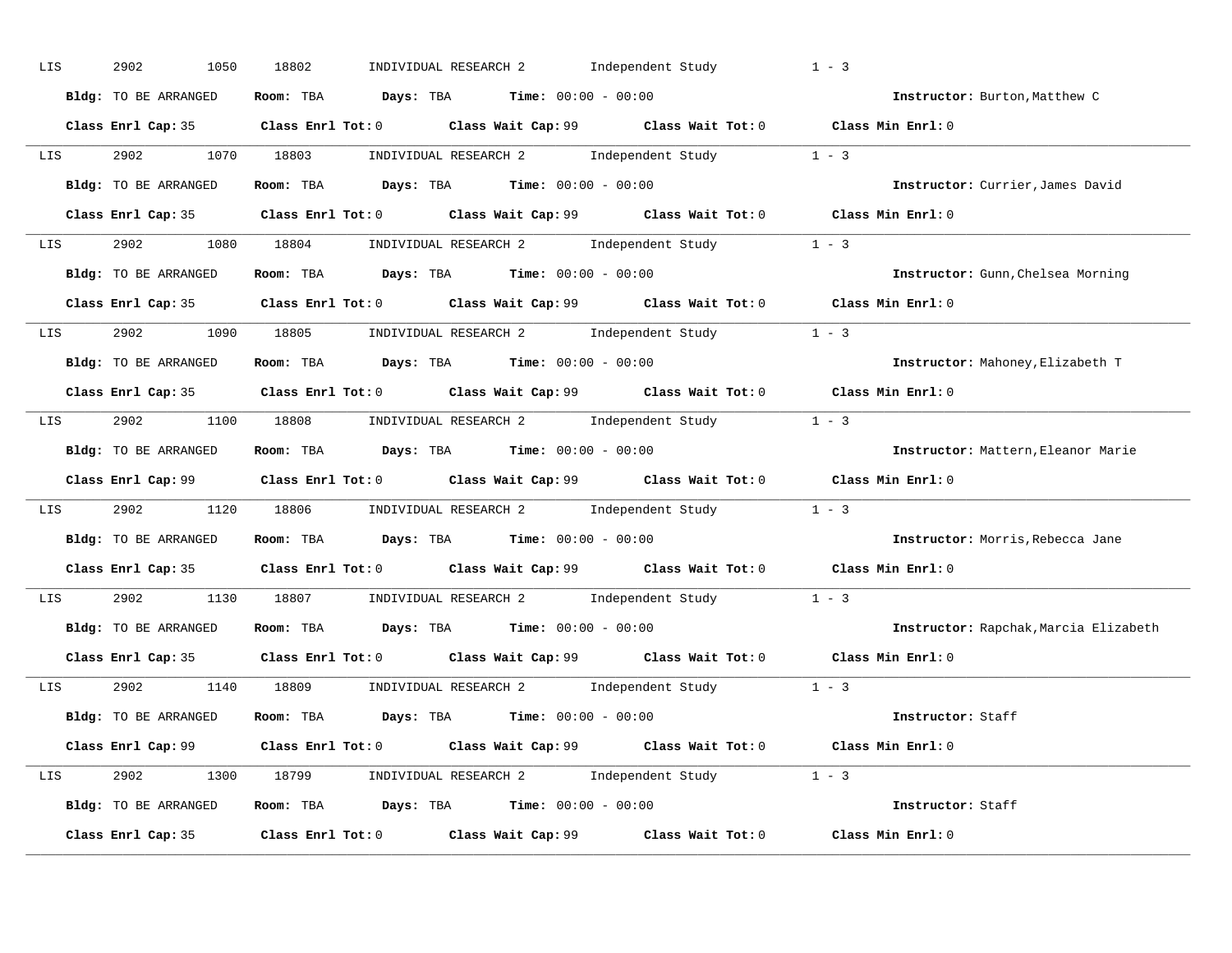| LIS | 2902<br>1050         | INDIVIDUAL RESEARCH 2 Independent Study<br>18802                                            | $1 - 3$                               |
|-----|----------------------|---------------------------------------------------------------------------------------------|---------------------------------------|
|     | Bldg: TO BE ARRANGED | Room: TBA $Days:$ TBA $Time: 00:00 - 00:00$                                                 | Instructor: Burton, Matthew C         |
|     |                      | Class Enrl Cap: 35 Class Enrl Tot: 0 Class Wait Cap: 99 Class Wait Tot: 0 Class Min Enrl: 0 |                                       |
|     |                      | LIS 2902 1070 18803 INDIVIDUAL RESEARCH 2 Independent Study 1 - 3                           |                                       |
|     | Bldg: TO BE ARRANGED | Room: TBA $\rule{1em}{0.15mm}$ Days: TBA $\rule{1.5mm}{0.15mm}$ Time: $00:00 - 00:00$       | Instructor: Currier, James David      |
|     |                      | Class Enrl Cap: 35 Class Enrl Tot: 0 Class Wait Cap: 99 Class Wait Tot: 0 Class Min Enrl: 0 |                                       |
|     |                      | LIS 2902 1080 18804 INDIVIDUAL RESEARCH 2 Independent Study 1 - 3                           |                                       |
|     |                      | Bldg: TO BE ARRANGED Room: TBA Days: TBA Time: 00:00 - 00:00                                | Instructor: Gunn, Chelsea Morning     |
|     |                      | Class Enrl Cap: 35 Class Enrl Tot: 0 Class Wait Cap: 99 Class Wait Tot: 0 Class Min Enrl: 0 |                                       |
|     |                      | LIS 2902 1090 18805 INDIVIDUAL RESEARCH 2 Independent Study 1 - 3                           |                                       |
|     | Bldg: TO BE ARRANGED | Room: TBA Days: TBA Time: $00:00 - 00:00$                                                   | Instructor: Mahoney, Elizabeth T      |
|     |                      | Class Enrl Cap: 35 Class Enrl Tot: 0 Class Wait Cap: 99 Class Wait Tot: 0 Class Min Enrl: 0 |                                       |
|     |                      | LIS 2902 1100 18808 INDIVIDUAL RESEARCH 2 Independent Study 1 - 3                           |                                       |
|     | Bldg: TO BE ARRANGED | Room: TBA $\rule{1em}{0.15mm}$ Days: TBA $\rule{1.15mm}]{0.15mm}$ Time: $00:00 - 00:00$     | Instructor: Mattern, Eleanor Marie    |
|     |                      | Class Enrl Cap: 99 Class Enrl Tot: 0 Class Wait Cap: 99 Class Wait Tot: 0 Class Min Enrl: 0 |                                       |
|     |                      | LIS 2902 1120 18806 INDIVIDUAL RESEARCH 2 Independent Study 1 - 3                           |                                       |
|     |                      | Bldg: TO BE ARRANGED Room: TBA Days: TBA Time: 00:00 - 00:00                                | Instructor: Morris, Rebecca Jane      |
|     |                      | Class Enrl Cap: 35 Class Enrl Tot: 0 Class Wait Cap: 99 Class Wait Tot: 0 Class Min Enrl: 0 |                                       |
| LIS |                      | 2902 1130 18807 INDIVIDUAL RESEARCH 2 Independent Study 1 - 3                               |                                       |
|     | Bldg: TO BE ARRANGED | Room: TBA $\rule{1em}{0.15mm}$ Days: TBA $\rule{1.5mm}{0.15mm}$ Time: $00:00 - 00:00$       | Instructor: Rapchak, Marcia Elizabeth |
|     |                      | Class Enrl Cap: 35 Class Enrl Tot: 0 Class Wait Cap: 99 Class Wait Tot: 0 Class Min Enrl: 0 |                                       |
|     |                      | LIS 2902 1140 18809 INDIVIDUAL RESEARCH 2 Independent Study 1 - 3                           |                                       |
|     | Bldg: TO BE ARRANGED | Room: TBA $Days:$ TBA $Time:$ $00:00 - 00:00$                                               | Instructor: Staff                     |
|     |                      | Class Enrl Cap: 99 Class Enrl Tot: 0 Class Wait Cap: 99 Class Wait Tot: 0 Class Min Enrl: 0 |                                       |
|     |                      | LIS 2902 1300 18799 INDIVIDUAL RESEARCH 2 Independent Study 1 - 3                           |                                       |
|     |                      | Bldg: TO BE ARRANGED Room: TBA Days: TBA Time: 00:00 - 00:00                                | Instructor: Staff                     |
|     |                      |                                                                                             |                                       |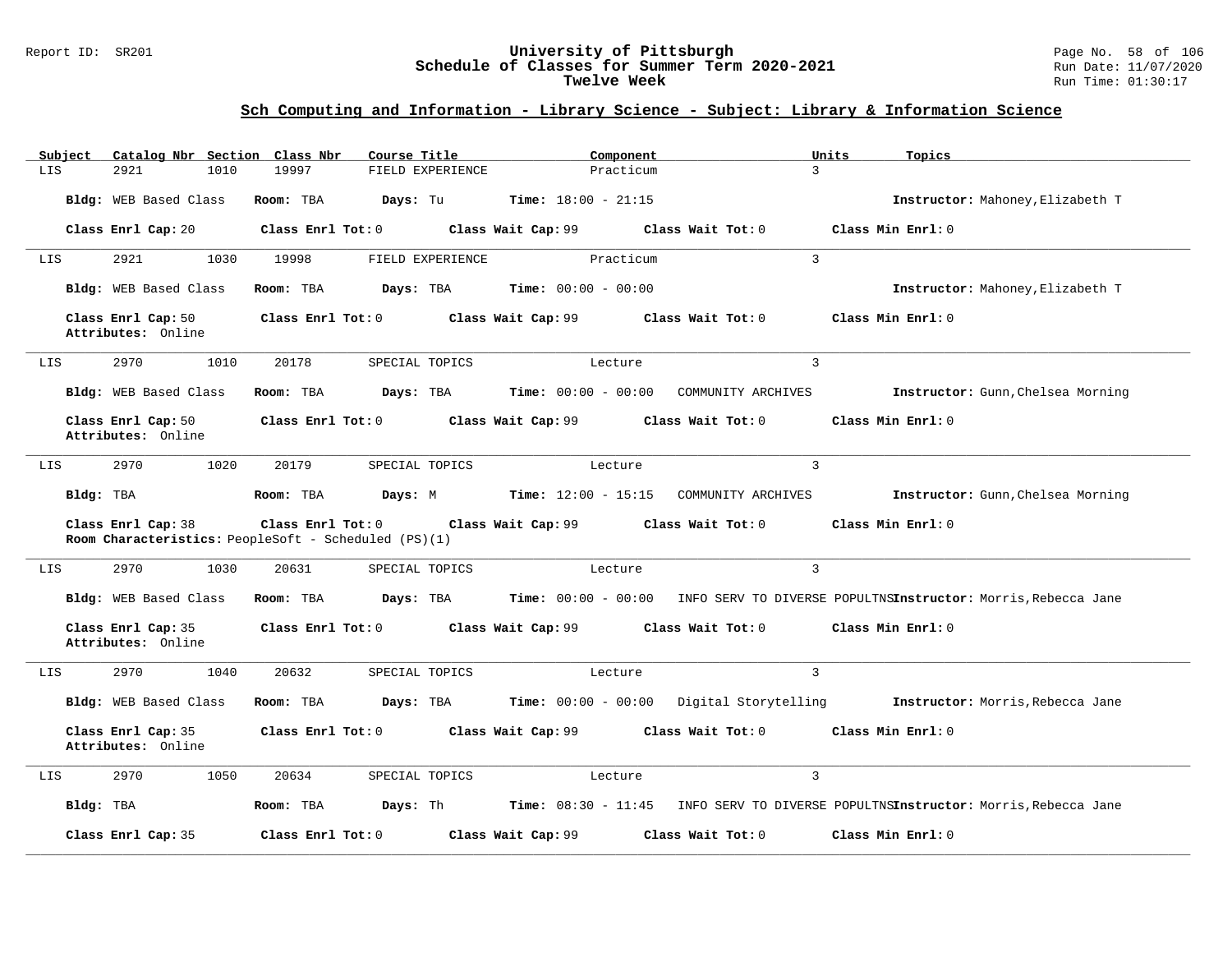#### Report ID: SR201 **University of Pittsburgh** Page No. 58 of 106 **Schedule of Classes for Summer Term 2020-2021** Run Date: 11/07/2020 **Twelve Week** Run Time: 01:30:17

| Subject | Catalog Nbr Section Class Nbr            | Course Title                                                              |                    | Component                                     |                                                         | Topics<br>Units                                                                  |
|---------|------------------------------------------|---------------------------------------------------------------------------|--------------------|-----------------------------------------------|---------------------------------------------------------|----------------------------------------------------------------------------------|
| LIS     | 1010<br>2921                             | 19997                                                                     | FIELD EXPERIENCE   | Practicum                                     | $\mathbf{R}$                                            |                                                                                  |
|         | Bldg: WEB Based Class                    | Room: TBA<br>Days: Tu                                                     |                    | <b>Time:</b> $18:00 - 21:15$                  |                                                         | Instructor: Mahoney, Elizabeth T                                                 |
|         | Class Enrl Cap: 20                       | Class Enrl Tot: 0                                                         |                    |                                               | Class Wait Cap: 99 Class Wait Tot: 0                    | Class Min Enrl: 0                                                                |
| LIS     | 2921<br>1030                             | 19998                                                                     | FIELD EXPERIENCE   | Practicum                                     | $\mathbf{R}$                                            |                                                                                  |
|         | Bldg: WEB Based Class                    | Room: TBA                                                                 |                    | <b>Days:</b> TBA <b>Time:</b> $00:00 - 00:00$ |                                                         | Instructor: Mahoney, Elizabeth T                                                 |
|         | Class Enrl Cap: 50<br>Attributes: Online | Class Enrl Tot: 0 Class Wait Cap: 99 Class Wait Tot: 0                    |                    |                                               |                                                         | Class Min Enrl: 0                                                                |
| LIS     | 2970<br>1010                             | 20178                                                                     | SPECIAL TOPICS     | Lecture                                       | 3                                                       |                                                                                  |
|         | Bldg: WEB Based Class                    | Room: TBA                                                                 |                    |                                               | <b>Days: TBA Time: 00:00 - 00:00 COMMUNITY ARCHIVES</b> | Instructor: Gunn, Chelsea Morning                                                |
|         | Class Enrl Cap: 50<br>Attributes: Online | Class Enrl Tot: 0 Class Wait Cap: 99                                      |                    |                                               | $Class$ Wait Tot: $0$                                   | Class Min Enrl: 0                                                                |
| LIS     | 2970<br>1020                             | 20179                                                                     | SPECIAL TOPICS     | Lecture                                       | 3                                                       |                                                                                  |
|         | Bldg: TBA                                | Room: TBA                                                                 |                    |                                               | Days: M Time: 12:00 - 15:15 COMMUNITY ARCHIVES          | Instructor: Gunn, Chelsea Morning                                                |
|         | Class Enrl Cap: 38                       | Class Enrl Tot: 0<br>Room Characteristics: PeopleSoft - Scheduled (PS)(1) |                    | Class Wait Cap: 99 Class Wait Tot: 0          |                                                         | Class Min Enrl: 0                                                                |
| LIS     | 2970<br>1030                             | 20631                                                                     | SPECIAL TOPICS     | Lecture                                       | 3                                                       |                                                                                  |
|         | Bldg: WEB Based Class                    | Room: TBA<br>Days: TBA                                                    |                    |                                               |                                                         | Time: 00:00 - 00:00 INFO SERV TO DIVERSE POPULTNSInstructor: Morris,Rebecca Jane |
|         | Class Enrl Cap: 35<br>Attributes: Online | Class Enrl Tot: 0                                                         | Class Wait Cap: 99 |                                               | Class Wait Tot: 0                                       | Class Min Enrl: 0                                                                |
| LIS     | 2970<br>1040                             | 20632                                                                     | SPECIAL TOPICS     | Lecture                                       | 3                                                       |                                                                                  |
|         | Bldg: WEB Based Class                    | Room: TBA                                                                 | Days: TBA          |                                               | Time: 00:00 - 00:00 Digital Storytelling                | Instructor: Morris, Rebecca Jane                                                 |
|         | Class Enrl Cap: 35<br>Attributes: Online | Class Enrl Tot: 0                                                         | Class Wait Cap: 99 |                                               | Class Wait Tot: 0                                       | Class Min Enrl: 0                                                                |
| LIS     | 2970<br>1050                             | 20634                                                                     | SPECIAL TOPICS     | Lecture                                       | 3                                                       |                                                                                  |
|         | Bldg: TBA                                | Room: TBA                                                                 |                    | <b>Days:</b> Th <b>Time:</b> $08:30 - 11:45$  |                                                         | INFO SERV TO DIVERSE POPULTNSInstructor: Morris, Rebecca Jane                    |
|         | Class Enrl Cap: 35                       | Class Enrl Tot: 0                                                         | Class Wait Cap: 99 |                                               | Class Wait Tot: 0                                       | Class Min Enrl: 0                                                                |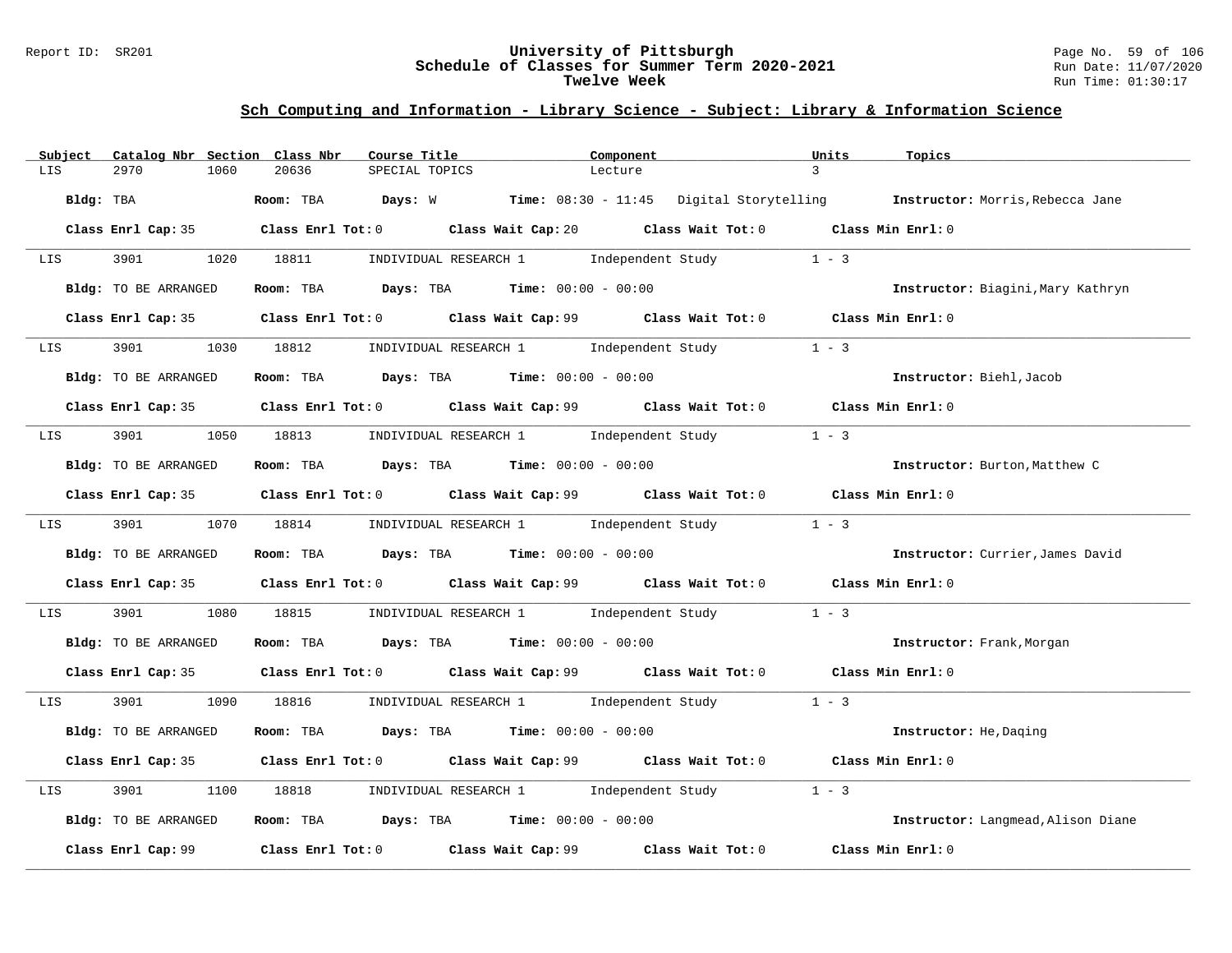#### Report ID: SR201 **University of Pittsburgh** Page No. 59 of 106 **Schedule of Classes for Summer Term 2020-2021** Run Date: 11/07/2020 **Twelve Week** Run Time: 01:30:17

| Catalog Nbr Section Class Nbr<br>Subject | Course Title                                                                          | Component                                                                                   | Units<br>Topics                                                                             |
|------------------------------------------|---------------------------------------------------------------------------------------|---------------------------------------------------------------------------------------------|---------------------------------------------------------------------------------------------|
| 2970<br>1060<br>LIS                      | 20636<br>SPECIAL TOPICS                                                               | Lecture                                                                                     | $\mathcal{L}$                                                                               |
| Bldg: TBA                                |                                                                                       |                                                                                             | Room: TBA Days: W Time: 08:30 - 11:45 Digital Storytelling Instructor: Morris, Rebecca Jane |
|                                          |                                                                                       | Class Enrl Cap: 35 Class Enrl Tot: 0 Class Wait Cap: 20 Class Wait Tot: 0 Class Min Enrl: 0 |                                                                                             |
| 3901 200<br>LIS                          | 1020 18811                                                                            | INDIVIDUAL RESEARCH 1 1 Independent Study                                                   | $1 - 3$                                                                                     |
| <b>Bldg:</b> TO BE ARRANGED              | Room: TBA $\rule{1em}{0.15mm}$ Days: TBA $\rule{1.5mm}{0.15mm}$ Time: $00:00 - 00:00$ |                                                                                             | Instructor: Biagini, Mary Kathryn                                                           |
|                                          |                                                                                       | Class Enrl Cap: 35 Class Enrl Tot: 0 Class Wait Cap: 99 Class Wait Tot: 0 Class Min Enrl: 0 |                                                                                             |
|                                          |                                                                                       | LIS 3901 1030 18812 INDIVIDUAL RESEARCH 1 Independent Study                                 | $1 - 3$                                                                                     |
| Bldg: TO BE ARRANGED                     | Room: TBA $Days:$ TBA $Time: 00:00 - 00:00$                                           |                                                                                             | Instructor: Biehl, Jacob                                                                    |
|                                          |                                                                                       | Class Enrl Cap: 35 Class Enrl Tot: 0 Class Wait Cap: 99 Class Wait Tot: 0 Class Min Enrl: 0 |                                                                                             |
| LIS                                      |                                                                                       | 3901 1050 18813 INDIVIDUAL RESEARCH 1 Independent Study                                     | $1 - 3$                                                                                     |
| Bldg: TO BE ARRANGED                     | Room: TBA $Days:$ TBA $Time: 00:00 - 00:00$                                           |                                                                                             | Instructor: Burton, Matthew C                                                               |
|                                          |                                                                                       | Class Enrl Cap: 35 Class Enrl Tot: 0 Class Wait Cap: 99 Class Wait Tot: 0 Class Min Enrl: 0 |                                                                                             |
| 3901<br>LIS <b>Extending Structure</b>   |                                                                                       | 1070 18814 INDIVIDUAL RESEARCH 1 Independent Study 1 - 3                                    |                                                                                             |
| Bldg: TO BE ARRANGED                     | Room: TBA $Days:$ TBA $Time: 00:00 - 00:00$                                           |                                                                                             | Instructor: Currier, James David                                                            |
|                                          |                                                                                       | Class Enrl Cap: 35 Class Enrl Tot: 0 Class Wait Cap: 99 Class Wait Tot: 0 Class Min Enrl: 0 |                                                                                             |
| 3901<br>1080<br>LIS                      |                                                                                       | 18815 INDIVIDUAL RESEARCH 1 Independent Study                                               | $1 - 3$                                                                                     |
| Bldg: TO BE ARRANGED                     | Room: TBA $Days: TBA$ Time: $00:00 - 00:00$                                           |                                                                                             | Instructor: Frank, Morgan                                                                   |
|                                          |                                                                                       | Class Enrl Cap: 35 Class Enrl Tot: 0 Class Wait Cap: 99 Class Wait Tot: 0 Class Min Enrl: 0 |                                                                                             |
| LIS <b>Extending Structure</b>           |                                                                                       | 3901 1090 18816 INDIVIDUAL RESEARCH 1 Independent Study 1 - 3                               |                                                                                             |
| Bldg: TO BE ARRANGED                     | Room: TBA $Days: TBA$ Time: $00:00 - 00:00$                                           |                                                                                             | Instructor: He, Daqing                                                                      |
|                                          |                                                                                       | Class Enrl Cap: 35 Class Enrl Tot: 0 Class Wait Cap: 99 Class Wait Tot: 0 Class Min Enrl: 0 |                                                                                             |
| 3901<br>1100<br>LIS                      |                                                                                       | 18818       INDIVIDUAL RESEARCH 1         Independent Study                                 | $1 - 3$                                                                                     |
| Bldg: TO BE ARRANGED                     | Room: TBA Days: TBA Time: $00:00 - 00:00$                                             |                                                                                             | Instructor: Langmead, Alison Diane                                                          |
|                                          |                                                                                       |                                                                                             | Class Min Enrl: 0                                                                           |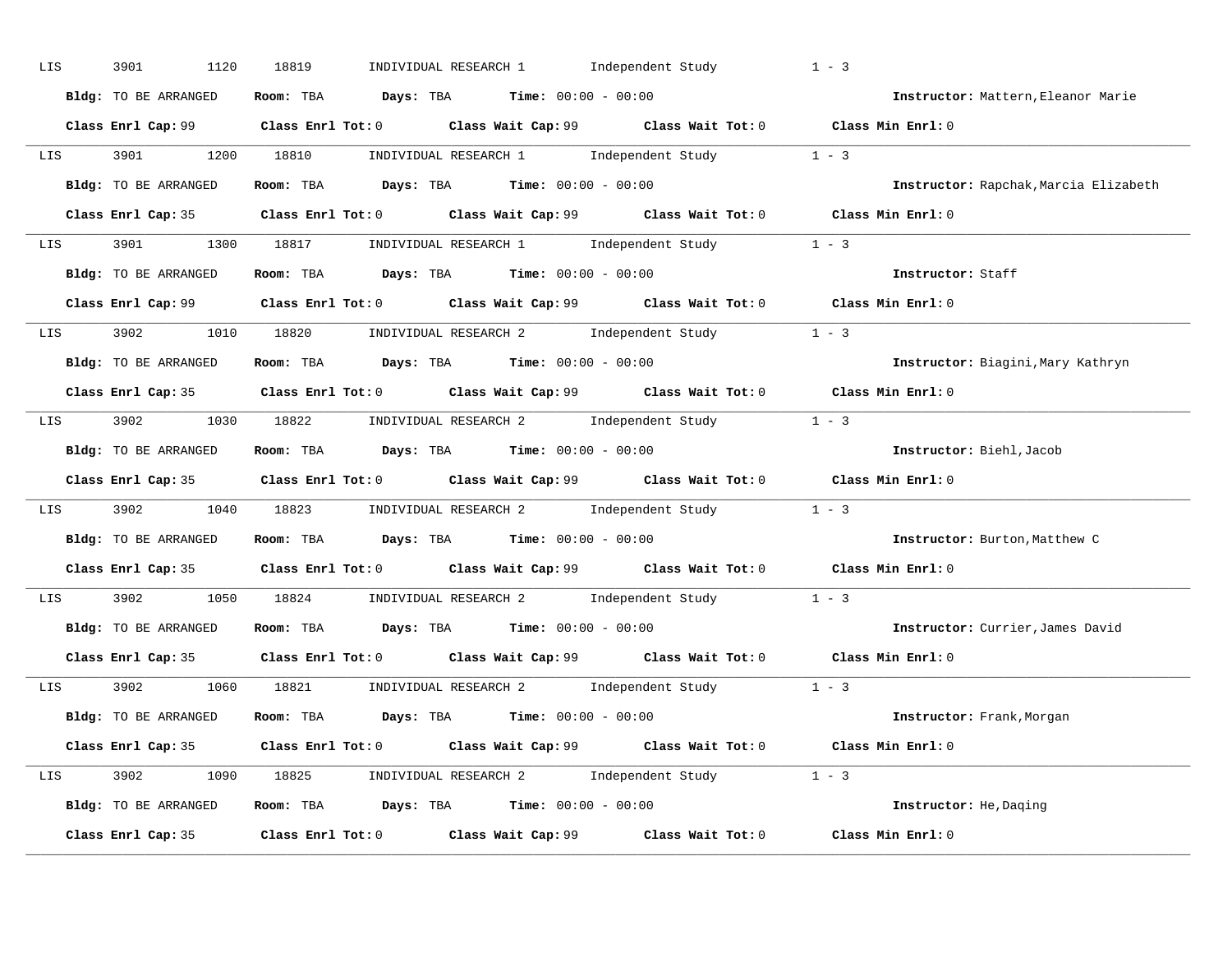| LIS | 3901<br>1120         | INDIVIDUAL RESEARCH 1 Independent Study<br>18819                                            | $1 - 3$                               |
|-----|----------------------|---------------------------------------------------------------------------------------------|---------------------------------------|
|     | Bldg: TO BE ARRANGED | Room: TBA $Days:$ TBA $Time: 00:00 - 00:00$                                                 | Instructor: Mattern, Eleanor Marie    |
|     |                      | Class Enrl Cap: 99 Class Enrl Tot: 0 Class Wait Cap: 99 Class Wait Tot: 0 Class Min Enrl: 0 |                                       |
|     |                      | LIS 3901 1200 18810 INDIVIDUAL RESEARCH 1 Independent Study 1 - 3                           |                                       |
|     | Bldg: TO BE ARRANGED | Room: TBA $Days:$ TBA $Time: 00:00 - 00:00$                                                 | Instructor: Rapchak, Marcia Elizabeth |
|     |                      | Class Enrl Cap: 35 Class Enrl Tot: 0 Class Wait Cap: 99 Class Wait Tot: 0 Class Min Enrl: 0 |                                       |
|     |                      | LIS 3901 1300 18817 INDIVIDUAL RESEARCH 1 Independent Study 1 - 3                           |                                       |
|     |                      | Bldg: TO BE ARRANGED Room: TBA Days: TBA Time: 00:00 - 00:00                                | Instructor: Staff                     |
|     |                      | Class Enrl Cap: 99 Class Enrl Tot: 0 Class Wait Cap: 99 Class Wait Tot: 0 Class Min Enrl: 0 |                                       |
|     |                      | LIS 3902 1010 18820 INDIVIDUAL RESEARCH 2 Independent Study 1 - 3                           |                                       |
|     | Bldg: TO BE ARRANGED | Room: TBA $Days:$ TBA $Time:$ $00:00 - 00:00$                                               | Instructor: Biagini, Mary Kathryn     |
|     |                      | Class Enrl Cap: 35 Class Enrl Tot: 0 Class Wait Cap: 99 Class Wait Tot: 0 Class Min Enrl: 0 |                                       |
|     |                      | LIS 3902 1030 18822 INDIVIDUAL RESEARCH 2 Independent Study 1 - 3                           |                                       |
|     | Bldg: TO BE ARRANGED | Room: TBA $Days:$ TBA $Time:$ $00:00 - 00:00$                                               | Instructor: Biehl, Jacob              |
|     |                      | Class Enrl Cap: 35 Class Enrl Tot: 0 Class Wait Cap: 99 Class Wait Tot: 0 Class Min Enrl: 0 |                                       |
|     |                      | LIS 3902 1040 18823 INDIVIDUAL RESEARCH 2 Independent Study 1 - 3                           |                                       |
|     | Bldg: TO BE ARRANGED | Room: TBA $Days:$ TBA Time: $00:00 - 00:00$                                                 | Instructor: Burton, Matthew C         |
|     |                      | Class Enrl Cap: 35 Class Enrl Tot: 0 Class Wait Cap: 99 Class Wait Tot: 0 Class Min Enrl: 0 |                                       |
| LIS |                      | 3902 1050 18824 INDIVIDUAL RESEARCH 2 Independent Study 1 - 3                               |                                       |
|     |                      | Bldg: TO BE ARRANGED ROOM: TBA Days: TBA Time: 00:00 - 00:00                                | Instructor: Currier, James David      |
|     |                      | Class Enrl Cap: 35 Class Enrl Tot: 0 Class Wait Cap: 99 Class Wait Tot: 0 Class Min Enrl: 0 |                                       |
|     |                      | LIS 3902 1060 18821 INDIVIDUAL RESEARCH 2 Independent Study 1 - 3                           |                                       |
|     | Bldg: TO BE ARRANGED | Room: TBA $Days:$ TBA $Time: 00:00 - 00:00$                                                 | <b>Instructor:</b> Frank, Morgan      |
|     |                      | Class Enrl Cap: 35 Class Enrl Tot: 0 Class Wait Cap: 99 Class Wait Tot: 0 Class Min Enrl: 0 |                                       |
|     |                      | LIS 3902 1090 18825 INDIVIDUAL RESEARCH 2 Independent Study 1 - 3                           |                                       |
|     |                      | Bldg: TO BE ARRANGED Room: TBA Days: TBA Time: 00:00 - 00:00                                | Instructor: He, Daging                |
|     |                      | Class Enrl Cap: 35 Class Enrl Tot: 0 Class Wait Cap: 99 Class Wait Tot: 0                   | Class Min Enrl: 0                     |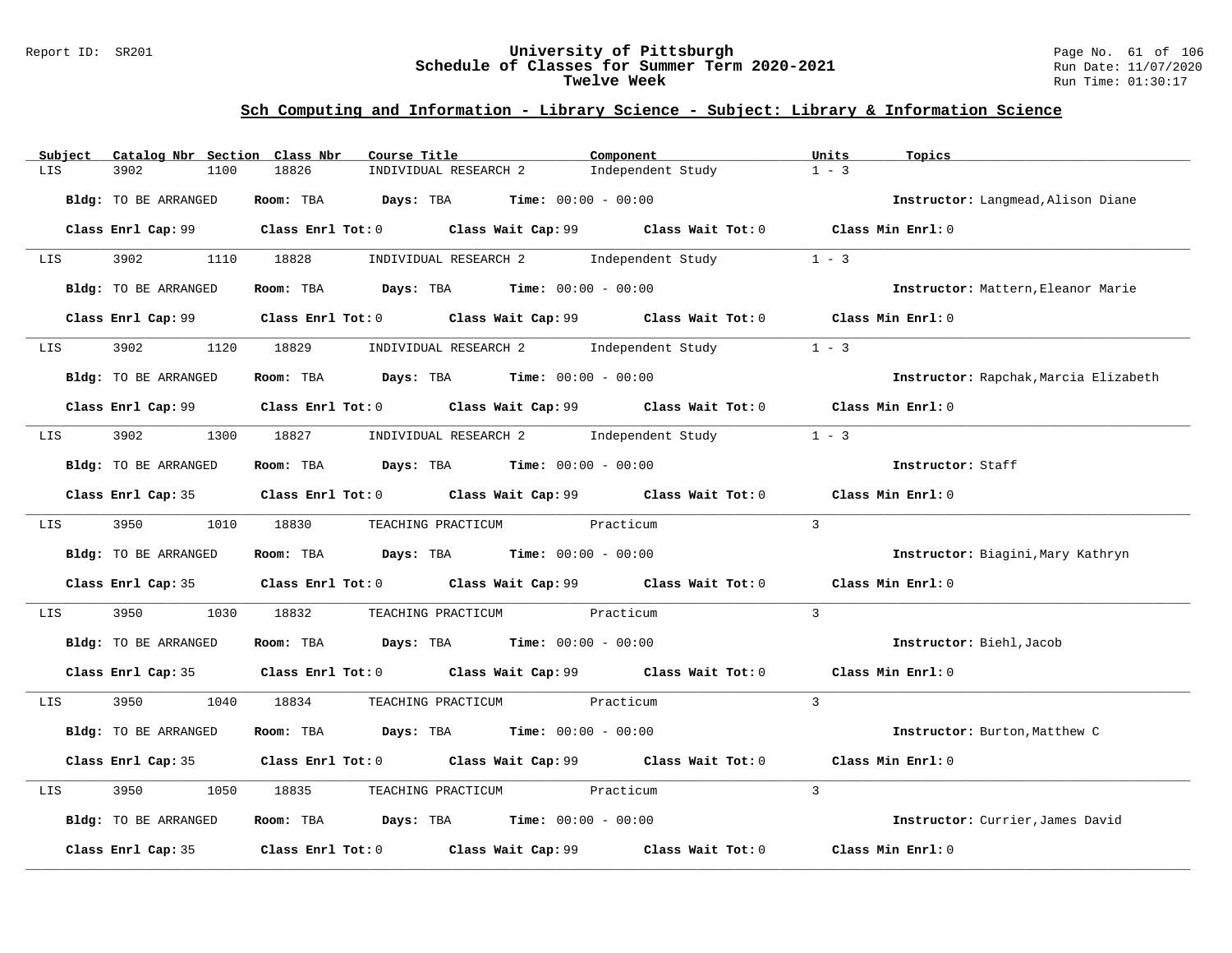#### Report ID: SR201 **University of Pittsburgh** Page No. 61 of 106 **Schedule of Classes for Summer Term 2020-2021** Run Date: 11/07/2020 **Twelve Week** Run Time: 01:30:17

| Subject                     | Catalog Nbr Section Class Nbr | Course Title                                                                                | Component                               | Units<br>Topics                       |
|-----------------------------|-------------------------------|---------------------------------------------------------------------------------------------|-----------------------------------------|---------------------------------------|
| LIS                         | 3902<br>1100                  | 18826<br>INDIVIDUAL RESEARCH 2                                                              | Independent Study                       | $1 - 3$                               |
|                             | Bldg: TO BE ARRANGED          | Room: TBA $Days:$ TBA $Time: 00:00 - 00:00$                                                 |                                         | Instructor: Langmead, Alison Diane    |
|                             |                               | Class Enrl Cap: 99 Class Enrl Tot: 0 Class Wait Cap: 99 Class Wait Tot: 0 Class Min Enrl: 0 |                                         |                                       |
| LIS <b>Extending Strute</b> | 3902 390                      | 1110 18828                                                                                  | INDIVIDUAL RESEARCH 2 Independent Study | $1 - 3$                               |
|                             | Bldg: TO BE ARRANGED          | <b>Room:</b> TBA <b>Days:</b> TBA <b>Time:</b> 00:00 - 00:00                                |                                         | Instructor: Mattern, Eleanor Marie    |
|                             |                               | Class Enrl Cap: 99 Class Enrl Tot: 0 Class Wait Cap: 99 Class Wait Tot: 0 Class Min Enrl: 0 |                                         |                                       |
| LIS 3902                    |                               | 1120 18829 INDIVIDUAL RESEARCH 2 Independent Study                                          |                                         | $1 - 3$                               |
|                             | Bldg: TO BE ARRANGED          | Room: TBA $Days:$ TBA $Time: 00:00 - 00:00$                                                 |                                         | Instructor: Rapchak, Marcia Elizabeth |
|                             |                               | Class Enrl Cap: 99 Class Enrl Tot: 0 Class Wait Cap: 99 Class Wait Tot: 0 Class Min Enrl: 0 |                                         |                                       |
|                             |                               | LIS 3902 1300 18827 INDIVIDUAL RESEARCH 2 Independent Study                                 |                                         | $1 - 3$                               |
|                             | Bldg: TO BE ARRANGED          | <b>Room:</b> TBA <b>Days:</b> TBA <b>Time:</b> 00:00 - 00:00                                |                                         | Instructor: Staff                     |
|                             |                               | Class Enrl Cap: 35 Class Enrl Tot: 0 Class Wait Cap: 99 Class Wait Tot: 0 Class Min Enrl: 0 |                                         |                                       |
|                             | LIS 3950 1010 18830           | TEACHING PRACTICUM Practicum                                                                |                                         | $\overline{3}$                        |
|                             | Bldg: TO BE ARRANGED          | Room: TBA $\rule{1em}{0.15mm}$ Days: TBA Time: $00:00 - 00:00$                              |                                         | Instructor: Biagini, Mary Kathryn     |
|                             |                               | Class Enrl Cap: 35 Class Enrl Tot: 0 Class Wait Cap: 99 Class Wait Tot: 0                   |                                         | Class Min Enrl: 0                     |
| LIS                         | 3950<br>1030                  | 18832<br>TEACHING PRACTICUM Practicum                                                       |                                         | $\overline{3}$                        |
|                             | Bldg: TO BE ARRANGED          | Room: TBA $Days: TBA$ Time: $00:00 - 00:00$                                                 |                                         | Instructor: Biehl, Jacob              |
|                             |                               | Class Enrl Cap: 35 Class Enrl Tot: 0 Class Wait Cap: 99 Class Wait Tot: 0 Class Min Enrl: 0 |                                         |                                       |
| LIS <b>Extending Strute</b> |                               | 3950 1040 18834 TEACHING PRACTICUM Practicum                                                |                                         | $\overline{3}$                        |
|                             | Bldg: TO BE ARRANGED          | Room: TBA $Days:$ TBA $Time: 00:00 - 00:00$                                                 |                                         | Instructor: Burton, Matthew C         |
|                             |                               | Class Enrl Cap: 35 Class Enrl Tot: 0 Class Wait Cap: 99 Class Wait Tot: 0                   |                                         | Class Min Enrl: 0                     |
| LIS                         | 3950<br>1050                  | TEACHING PRACTICUM Practicum<br>18835                                                       |                                         | 3                                     |
|                             | Bldg: TO BE ARRANGED          | Room: TBA $Days:$ TBA $Time: 00:00 - 00:00$                                                 |                                         | Instructor: Currier, James David      |
|                             | Class Enrl Cap: 35            | Class Enrl Tot: $0$ Class Wait Cap: $99$ Class Wait Tot: $0$                                |                                         | Class Min Enrl: 0                     |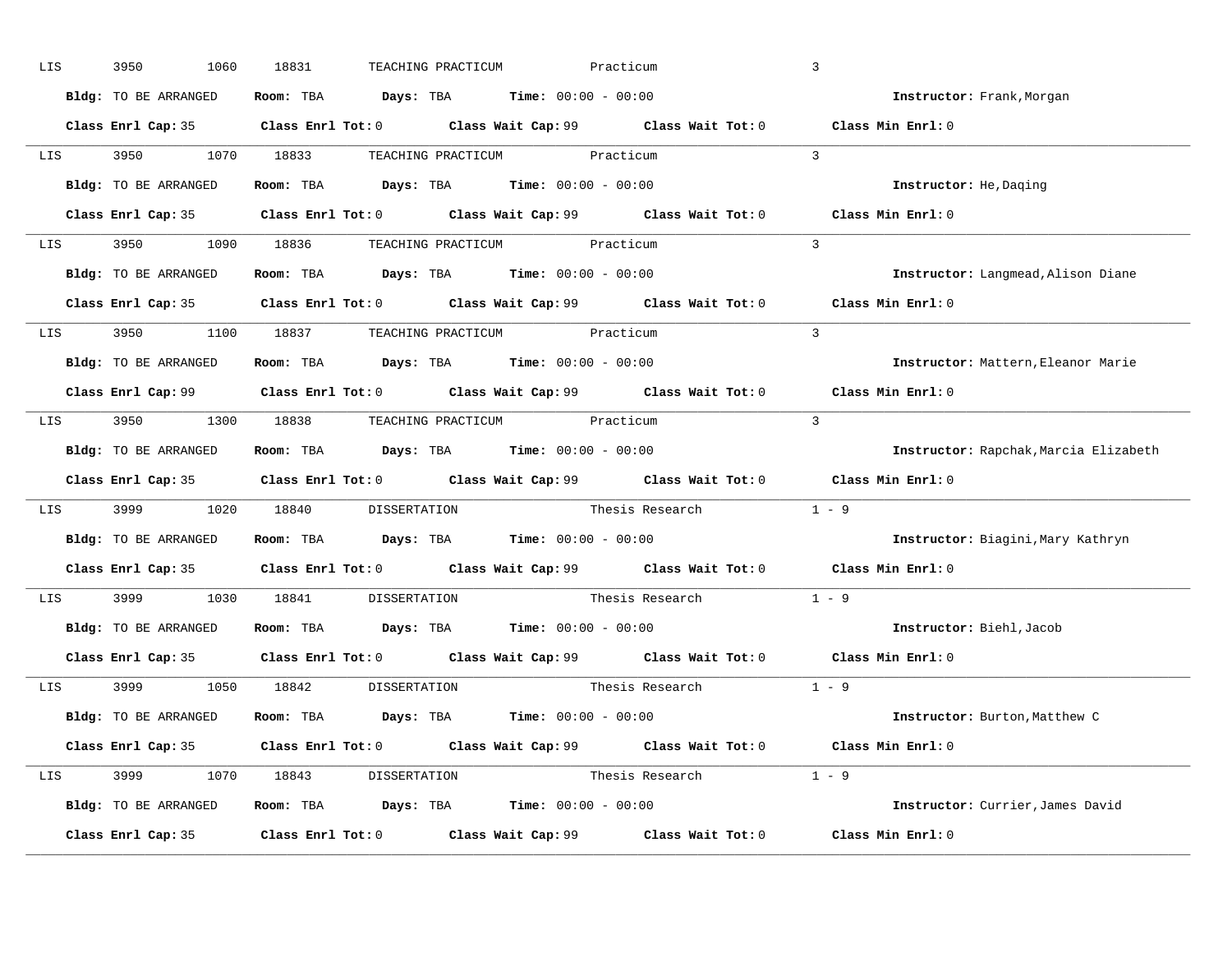| LIS | 3950<br>1060         | 18831<br>TEACHING PRACTICUM                                                                | Practicum                                                                                           | $\overline{3}$                        |
|-----|----------------------|--------------------------------------------------------------------------------------------|-----------------------------------------------------------------------------------------------------|---------------------------------------|
|     | Bldg: TO BE ARRANGED | Room: TBA $\rule{1em}{0.15mm}$ Days: TBA $\rule{1.15mm}]{0.15mm}$ Time: $0.000 - 0.0000$   |                                                                                                     | Instructor: Frank, Morgan             |
|     |                      |                                                                                            | Class Enrl Cap: 35 Class Enrl Tot: 0 Class Wait Cap: 99 Class Wait Tot: 0                           | Class Min Enrl: 0                     |
|     |                      | LIS 3950 1070 18833 TEACHING PRACTICUM Practicum                                           |                                                                                                     | $\overline{\mathbf{3}}$               |
|     | Bldg: TO BE ARRANGED | Room: TBA $\rule{1em}{0.15mm}$ Days: TBA Time: $00:00 - 00:00$                             |                                                                                                     | Instructor: He, Daging                |
|     |                      |                                                                                            | Class Enrl Cap: 35 Class Enrl Tot: 0 Class Wait Cap: 99 Class Wait Tot: 0                           | Class Min Enrl: 0                     |
|     |                      | LIS 3950 1090 18836 TEACHING PRACTICUM Practicum                                           |                                                                                                     | $\overline{3}$                        |
|     |                      | <b>Bldg:</b> TO BE ARRANGED <b>Room:</b> TBA <b>Days:</b> TBA <b>Time:</b> $00:00 - 00:00$ |                                                                                                     | Instructor: Langmead, Alison Diane    |
|     |                      |                                                                                            | Class Enrl Cap: 35 Class Enrl Tot: 0 Class Wait Cap: 99 Class Wait Tot: 0 Class Min Enrl: 0         |                                       |
|     |                      | LIS 3950 1100 18837 TEACHING PRACTICUM Practicum                                           |                                                                                                     | $\mathbf{3}$                          |
|     | Bldg: TO BE ARRANGED | Room: TBA $\rule{1em}{0.15mm}$ Days: TBA $\rule{1.15mm}]{0.15mm}$ Time: $0.000 - 0.0000$   |                                                                                                     | Instructor: Mattern, Eleanor Marie    |
|     |                      |                                                                                            | Class Enrl Cap: 99 Class Enrl Tot: 0 Class Wait Cap: 99 Class Wait Tot: 0 Class Min Enrl: 0         |                                       |
|     |                      | LIS 3950 1300 18838 TEACHING PRACTICUM Practicum                                           |                                                                                                     | $\overline{\mathbf{3}}$               |
|     | Bldg: TO BE ARRANGED | Room: TBA $Days:$ TBA $Time: 00:00 - 00:00$                                                |                                                                                                     | Instructor: Rapchak, Marcia Elizabeth |
|     |                      |                                                                                            | Class Enrl Cap: 35 Class Enrl Tot: 0 Class Wait Cap: 99 Class Wait Tot: 0 Class Min Enrl: 0         |                                       |
| LIS |                      |                                                                                            | 3999 1020 18840 DISSERTATION Thesis Research 1 - 9                                                  |                                       |
|     | Bldg: TO BE ARRANGED | Room: TBA $\rule{1em}{0.15mm}$ Days: TBA $\rule{1.5mm}{0.15mm}$ Time: $00:00 - 00:00$      |                                                                                                     | Instructor: Biagini, Mary Kathryn     |
|     |                      |                                                                                            | Class Enrl Cap: 35 Class Enrl Tot: 0 Class Wait Cap: 99 Class Wait Tot: 0 Class Min Enrl: 0         |                                       |
| LIS |                      | 3999 1030 18841 DISSERTATION                                                               | Thesis Research                                                                                     | $1 - 9$                               |
|     |                      | Bldg: TO BE ARRANGED ROOM: TBA Days: TBA Time: 00:00 - 00:00                               |                                                                                                     | Instructor: Biehl, Jacob              |
|     | Class Enrl Cap: 35   |                                                                                            | Class Enrl Tot: 0 $\qquad$ Class Wait Cap: 99 $\qquad$ Class Wait Tot: 0 $\qquad$ Class Min Enrl: 0 |                                       |
|     |                      | LIS 3999 1050 18842 DISSERTATION                                                           | Thesis Research                                                                                     | $1 - 9$                               |
|     | Bldg: TO BE ARRANGED | Room: TBA $Days:$ TBA $Time: 00:00 - 00:00$                                                |                                                                                                     | Instructor: Burton, Matthew C         |
|     |                      |                                                                                            | Class Enrl Cap: 35 Class Enrl Tot: 0 Class Wait Cap: 99 Class Wait Tot: 0 Class Min Enrl: 0         |                                       |
|     |                      | LIS 3999 1070 18843 DISSERTATION                                                           | Thesis Research $1 - 9$                                                                             |                                       |
|     |                      |                                                                                            |                                                                                                     |                                       |
|     | Bldg: TO BE ARRANGED | Room: TBA $Days:$ TBA $Time: 00:00 - 00:00$                                                |                                                                                                     | Instructor: Currier, James David      |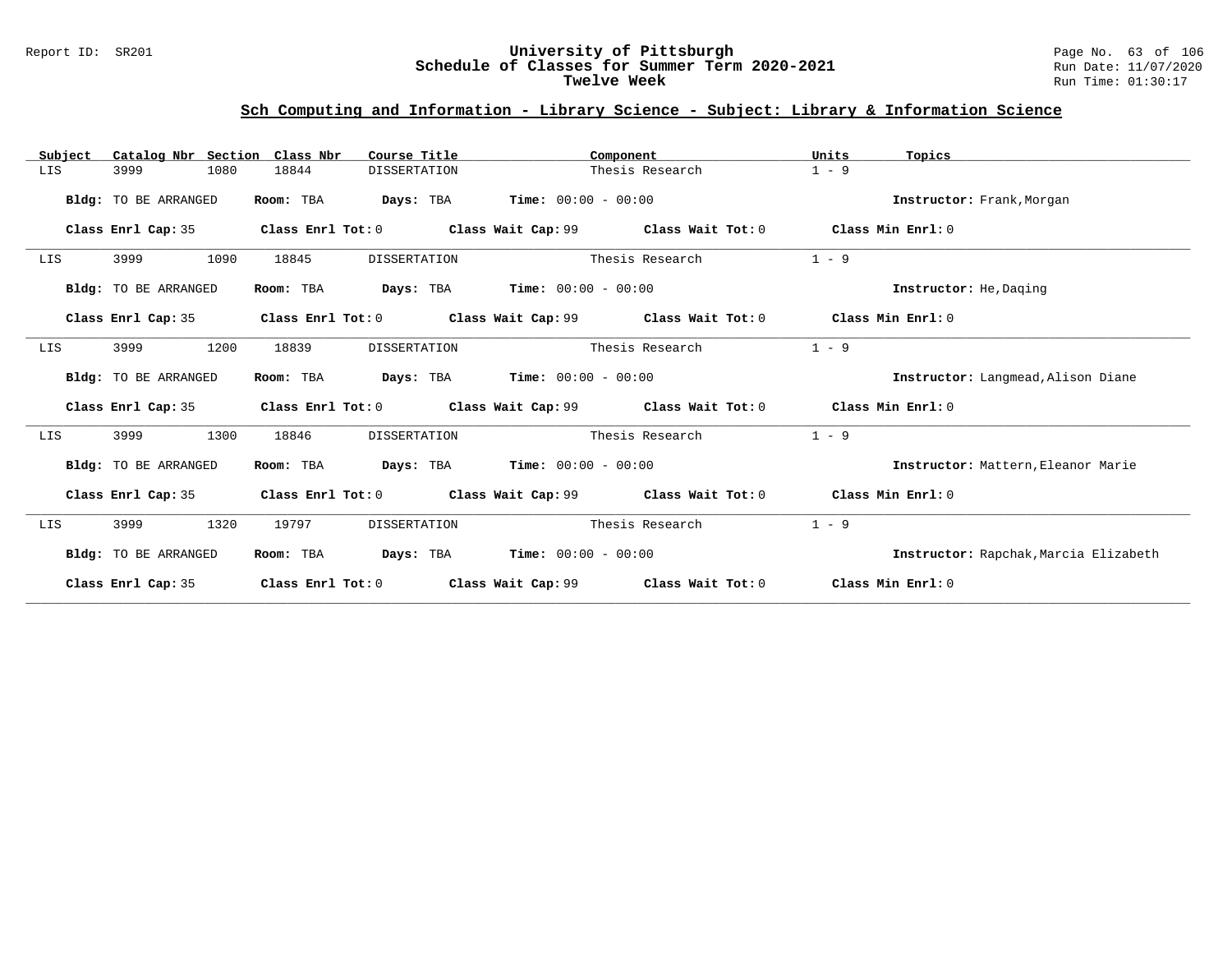#### Report ID: SR201 **University of Pittsburgh** Page No. 63 of 106 **Schedule of Classes for Summer Term 2020-2021** Run Date: 11/07/2020 **Twelve Week** Run Time: 01:30:17

| Subject | Catalog Nbr Section Class Nbr |                   | Course Title        | Component                                              |                                                                                  | Units             | Topics                                |
|---------|-------------------------------|-------------------|---------------------|--------------------------------------------------------|----------------------------------------------------------------------------------|-------------------|---------------------------------------|
| LIS     | 1080<br>3999                  | 18844             | DISSERTATION        | Thesis Research                                        |                                                                                  | $1 - 9$           |                                       |
|         | Bldg: TO BE ARRANGED          | Room: TBA         |                     | <b>Days:</b> TBA <b>Time:</b> $00:00 - 00:00$          |                                                                                  |                   | Instructor: Frank, Morgan             |
|         | Class Enrl Cap: 35            |                   |                     | Class Enrl Tot: 0 Class Wait Cap: 99 Class Wait Tot: 0 |                                                                                  | Class Min Enrl: 0 |                                       |
| LIS     | 3999<br>1090                  | 18845             | DISSERTATION        |                                                        | Thesis Research                                                                  | $1 - 9$           |                                       |
|         | Bldg: TO BE ARRANGED          | Room: TBA         |                     | <b>Days:</b> TBA <b>Time:</b> $00:00 - 00:00$          |                                                                                  |                   | Instructor: He, Daging                |
|         | Class Enrl Cap: 35            |                   |                     |                                                        | Class Enrl Tot: $0$ Class Wait Cap: $99$ Class Wait Tot: $0$ Class Min Enrl: $0$ |                   |                                       |
| LIS     | 1200<br>3999                  | 18839             | <b>DISSERTATION</b> |                                                        | Thesis Research                                                                  | $1 - 9$           |                                       |
|         | Bldg: TO BE ARRANGED          | Room: TBA         |                     | <b>Days:</b> TBA <b>Time:</b> $00:00 - 00:00$          |                                                                                  |                   | Instructor: Langmead, Alison Diane    |
|         | Class Enrl Cap: 35            |                   |                     |                                                        | Class Enrl Tot: $0$ Class Wait Cap: $99$ Class Wait Tot: $0$ Class Min Enrl: $0$ |                   |                                       |
| LIS     | 1300<br>3999                  | 18846             | <b>DISSERTATION</b> |                                                        | Thesis Research                                                                  | $1 - 9$           |                                       |
|         | Bldg: TO BE ARRANGED          | Room: TBA         |                     | <b>Days:</b> TBA <b>Time:</b> $00:00 - 00:00$          |                                                                                  |                   | Instructor: Mattern, Eleanor Marie    |
|         | Class Enrl Cap: 35            | Class Enrl Tot: 0 |                     | Class Wait Cap: 99 Class Wait Tot: 0                   |                                                                                  | Class Min Enrl: 0 |                                       |
| LIS     | 3999<br>1320                  | 19797             | DISSERTATION        |                                                        | Thesis Research                                                                  | $1 - 9$           |                                       |
|         | Bldg: TO BE ARRANGED          | Room: TBA         |                     | <b>Days:</b> TBA <b>Time:</b> $00:00 - 00:00$          |                                                                                  |                   | Instructor: Rapchak, Marcia Elizabeth |
|         | Class Enrl Cap: 35            | Class Enrl Tot: 0 |                     | Class Wait Cap: 99           Class Wait Tot: 0         |                                                                                  | Class Min Enrl: 0 |                                       |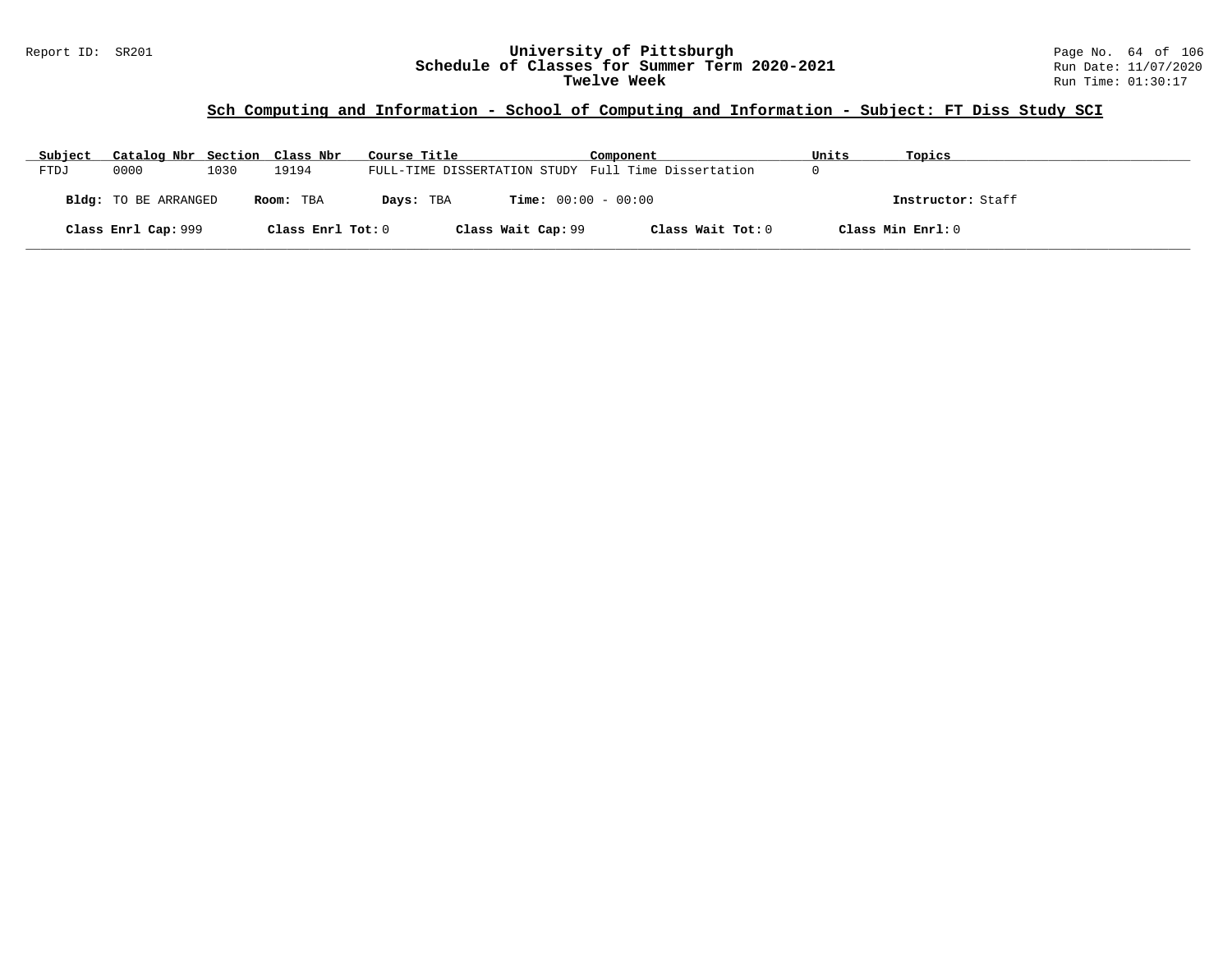#### Report ID: SR201 **University of Pittsburgh** Page No. 64 of 106 **Schedule of Classes for Summer Term 2020-2021** Run Date: 11/07/2020 **Twelve Week** Run Time: 01:30:17

# **Sch Computing and Information - School of Computing and Information - Subject: FT Diss Study SCI**

| Subject | Catalog Nbr Section Class Nbr |      |                   | Course Title                                        | Component         | Units | Topics            |
|---------|-------------------------------|------|-------------------|-----------------------------------------------------|-------------------|-------|-------------------|
| FTDJ    | 0000                          | 1030 | 19194             | FULL-TIME DISSERTATION STUDY Full Time Dissertation |                   |       |                   |
|         | <b>Bldg:</b> TO BE ARRANGED   |      | Room: TBA         | <b>Time:</b> $00:00 - 00:00$<br>Days: TBA           |                   |       | Instructor: Staff |
|         | Class Enrl Cap: 999           |      | Class Enrl Tot: 0 | Class Wait Cap: 99                                  | Class Wait Tot: 0 |       | Class Min Enrl: 0 |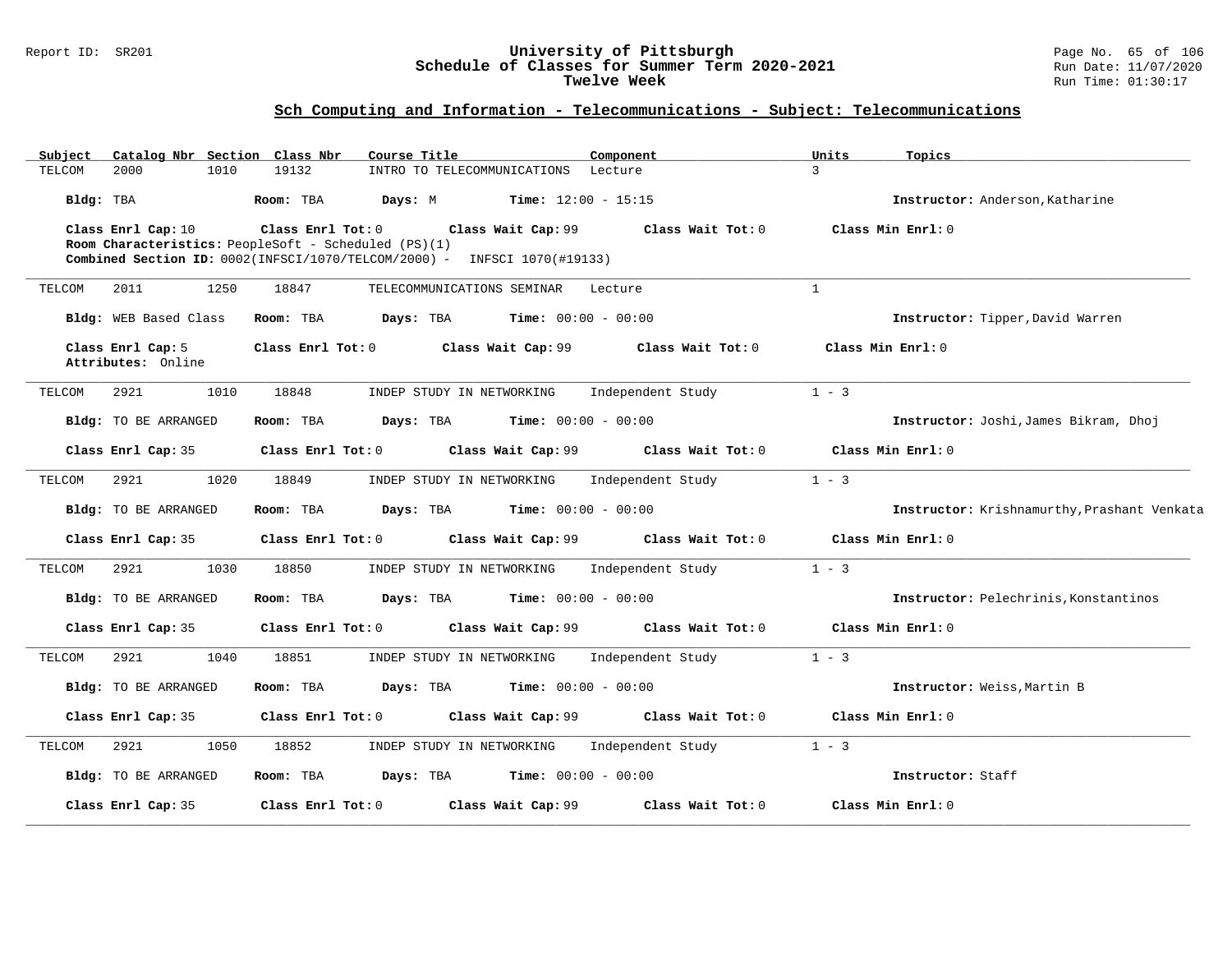#### Report ID: SR201 **University of Pittsburgh** Page No. 65 of 106 **Schedule of Classes for Summer Term 2020-2021** Run Date: 11/07/2020 **Twelve Week** Run Time: 01:30:17

| Subject   |                                         |      | Catalog Nbr Section Class Nbr | Course Title                                                                                                                     |                              | Component         | Units         | Topics                                      |
|-----------|-----------------------------------------|------|-------------------------------|----------------------------------------------------------------------------------------------------------------------------------|------------------------------|-------------------|---------------|---------------------------------------------|
| TELCOM    | 2000                                    | 1010 | 19132                         | INTRO TO TELECOMMUNICATIONS                                                                                                      |                              | Lecture           | $\mathcal{L}$ |                                             |
| Bldg: TBA |                                         |      | Room: TBA                     | Days: M                                                                                                                          | <b>Time:</b> $12:00 - 15:15$ |                   |               | Instructor: Anderson, Katharine             |
|           | Class Enrl Cap: 10                      |      | Class Enrl Tot: 0             | Room Characteristics: PeopleSoft - Scheduled (PS)(1)<br>Combined Section ID: 0002(INFSCI/1070/TELCOM/2000) - INFSCI 1070(#19133) | Class Wait Cap: 99           | Class Wait Tot: 0 |               | Class Min Enrl: 0                           |
| TELCOM    | 2011                                    | 1250 | 18847                         | TELECOMMUNICATIONS SEMINAR                                                                                                       |                              | Lecture           | $\mathbf{1}$  |                                             |
|           | Bldg: WEB Based Class                   |      | Room: TBA                     | Days: TBA                                                                                                                        | <b>Time:</b> $00:00 - 00:00$ |                   |               | Instructor: Tipper, David Warren            |
|           | Class Enrl Cap: 5<br>Attributes: Online |      | Class Enrl Tot: 0             |                                                                                                                                  | Class Wait Cap: 99           | Class Wait Tot: 0 |               | Class Min Enrl: 0                           |
| TELCOM    | 2921                                    | 1010 | 18848                         | INDEP STUDY IN NETWORKING                                                                                                        |                              | Independent Study | $1 - 3$       |                                             |
|           | Bldg: TO BE ARRANGED                    |      | Room: TBA                     | Days: TBA                                                                                                                        | <b>Time:</b> $00:00 - 00:00$ |                   |               | Instructor: Joshi, James Bikram, Dhoj       |
|           | Class Enrl Cap: 35                      |      | Class Enrl Tot: 0             |                                                                                                                                  | Class Wait Cap: 99           | Class Wait Tot: 0 |               | Class Min Enrl: 0                           |
| TELCOM    | 2921                                    | 1020 | 18849                         | INDEP STUDY IN NETWORKING                                                                                                        |                              | Independent Study | $1 - 3$       |                                             |
|           | Bldg: TO BE ARRANGED                    |      | Room: TBA                     | Days: TBA                                                                                                                        | <b>Time:</b> $00:00 - 00:00$ |                   |               | Instructor: Krishnamurthy, Prashant Venkata |
|           | Class Enrl Cap: 35                      |      | Class Enrl Tot: 0             |                                                                                                                                  | Class Wait Cap: 99           | Class Wait Tot: 0 |               | Class Min Enrl: 0                           |
| TELCOM    | 2921                                    | 1030 | 18850                         | INDEP STUDY IN NETWORKING                                                                                                        |                              | Independent Study | $1 - 3$       |                                             |
|           | Bldg: TO BE ARRANGED                    |      | Room: TBA                     | Days: TBA                                                                                                                        | <b>Time:</b> $00:00 - 00:00$ |                   |               | Instructor: Pelechrinis, Konstantinos       |
|           | Class Enrl Cap: 35                      |      | Class Enrl Tot: 0             |                                                                                                                                  | Class Wait Cap: 99           | Class Wait Tot: 0 |               | Class Min Enrl: 0                           |
| TELCOM    | 2921                                    | 1040 | 18851                         | INDEP STUDY IN NETWORKING                                                                                                        |                              | Independent Study | $1 - 3$       |                                             |
|           | Bldg: TO BE ARRANGED                    |      | Room: TBA                     | Days: TBA                                                                                                                        | <b>Time:</b> $00:00 - 00:00$ |                   |               | Instructor: Weiss, Martin B                 |
|           | Class Enrl Cap: 35                      |      | Class Enrl Tot: 0             |                                                                                                                                  | Class Wait Cap: 99           | Class Wait Tot: 0 |               | Class Min Enrl: 0                           |
| TELCOM    | 2921                                    | 1050 | 18852                         | INDEP STUDY IN NETWORKING                                                                                                        |                              | Independent Study | $1 - 3$       |                                             |
|           | Bldg: TO BE ARRANGED                    |      | Room: TBA                     | Days: TBA                                                                                                                        | <b>Time:</b> $00:00 - 00:00$ |                   |               | Instructor: Staff                           |
|           | Class Enrl Cap: 35                      |      | Class Enrl Tot: 0             |                                                                                                                                  | Class Wait Cap: 99           | Class Wait Tot: 0 |               | Class Min Enrl: 0                           |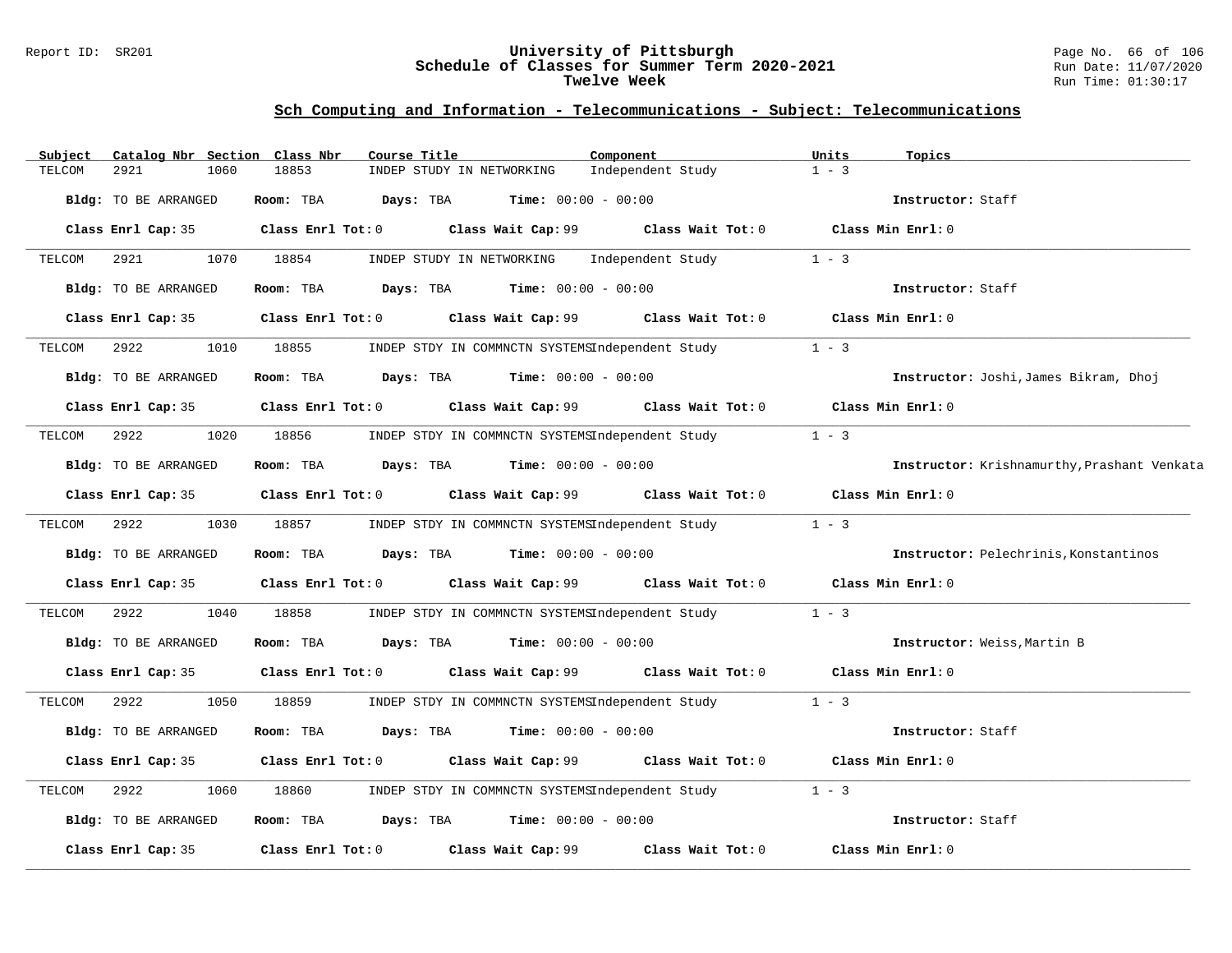### Report ID: SR201 **University of Pittsburgh** Page No. 66 of 106 **Schedule of Classes for Summer Term 2020-2021** Run Date: 11/07/2020 **Twelve Week** Run Time: 01:30:17

| Subject | Catalog Nbr Section         | Class Nbr<br>Course Title                   |                                                      | Component                                                                        | Units<br>Topics                             |
|---------|-----------------------------|---------------------------------------------|------------------------------------------------------|----------------------------------------------------------------------------------|---------------------------------------------|
| TELCOM  | 2921<br>1060                | 18853                                       | INDEP STUDY IN NETWORKING                            | Independent Study                                                                | $1 - 3$                                     |
|         | Bldg: TO BE ARRANGED        | Room: TBA                                   | <b>Days:</b> TBA <b>Time:</b> $00:00 - 00:00$        |                                                                                  | Instructor: Staff                           |
|         | Class Enrl Cap: 35          |                                             |                                                      | Class Enrl Tot: $0$ Class Wait Cap: $99$ Class Wait Tot: $0$ Class Min Enrl: $0$ |                                             |
| TELCOM  | 2921<br>1070                | 18854                                       | INDEP STUDY IN NETWORKING                            | Independent Study                                                                | $1 - 3$                                     |
|         | Bldg: TO BE ARRANGED        | Room: TBA                                   | <b>Days:</b> TBA <b>Time:</b> $00:00 - 00:00$        |                                                                                  | Instructor: Staff                           |
|         | Class Enrl Cap: 35          |                                             |                                                      | Class Enrl Tot: $0$ Class Wait Cap: $99$ Class Wait Tot: $0$ Class Min Enrl: $0$ |                                             |
| TELCOM  | 2922<br>1010                | 18855                                       | INDEP STDY IN COMMNCTN SYSTEMSIndependent Study      |                                                                                  | $1 - 3$                                     |
|         | Bldg: TO BE ARRANGED        | Room: TBA $Days:$ TBA $Time: 00:00 - 00:00$ |                                                      |                                                                                  | Instructor: Joshi, James Bikram, Dhoj       |
|         | Class Enrl Cap: 35          |                                             |                                                      | Class Enrl Tot: $0$ Class Wait Cap: $99$ Class Wait Tot: $0$ Class Min Enrl: $0$ |                                             |
| TELCOM  | 2922<br>1020                | 18856                                       | INDEP STDY IN COMMNCTN SYSTEMSIndependent Study      |                                                                                  | $1 - 3$                                     |
|         | <b>Bldg:</b> TO BE ARRANGED | Room: TBA $Days: TBA$ Time: $00:00 - 00:00$ |                                                      |                                                                                  | Instructor: Krishnamurthy, Prashant Venkata |
|         | Class Enrl Cap: 35          |                                             | Class Enrl Tot: 0 Class Wait Cap: 99                 | Class Wait Tot: 0                                                                | Class Min Enrl: 0                           |
| TELCOM  | 2922<br>1030                | 18857                                       |                                                      | INDEP STDY IN COMMNCTN SYSTEMSIndependent Study                                  | $1 - 3$                                     |
|         | Bldg: TO BE ARRANGED        | Room: TBA $Days:$ TBA $Time: 00:00 - 00:00$ |                                                      |                                                                                  | Instructor: Pelechrinis, Konstantinos       |
|         | Class Enrl Cap: 35          |                                             |                                                      | Class Enrl Tot: $0$ Class Wait Cap: $99$ Class Wait Tot: $0$ Class Min Enrl: $0$ |                                             |
| TELCOM  | 2922<br>1040                | 18858                                       |                                                      | INDEP STDY IN COMMNCTN SYSTEMSIndependent Study                                  | $1 - 3$                                     |
|         | Bldg: TO BE ARRANGED        | Room: TBA                                   | $\texttt{DayS:}$ TBA $\texttt{Time:}$ 00:00 - 00:00  |                                                                                  | Instructor: Weiss, Martin B                 |
|         | Class Enrl Cap: 35          |                                             | Class Enrl Tot: 0 Class Wait Cap: 99                 |                                                                                  | Class Wait Tot: 0 Class Min Enrl: 0         |
| TELCOM  | 2922<br>1050                | 18859                                       |                                                      | INDEP STDY IN COMMNCTN SYSTEMSIndependent Study 1 - 3                            |                                             |
|         | Bldg: TO BE ARRANGED        | Room: TBA                                   | <b>Days:</b> TBA <b>Time:</b> $00:00 - 00:00$        |                                                                                  | Instructor: Staff                           |
|         | Class Enrl Cap: 35          |                                             |                                                      | Class Enrl Tot: 0 Class Wait Cap: 99 Class Wait Tot: 0                           | Class Min Enrl: 0                           |
| TELCOM  | 2922<br>1060                | 18860                                       | INDEP STDY IN COMMNCTN SYSTEMSIndependent Study      |                                                                                  | $1 - 3$                                     |
|         | Bldg: TO BE ARRANGED        | Room: TBA                                   | $\texttt{Davis:}$ TBA $\texttt{Time:}$ 00:00 - 00:00 |                                                                                  | Instructor: Staff                           |
|         | Class Enrl Cap: 35          |                                             | Class Enrl Tot: 0 Class Wait Cap: 99                 | Class Wait Tot: 0                                                                | Class Min Enrl: 0                           |
|         |                             |                                             |                                                      |                                                                                  |                                             |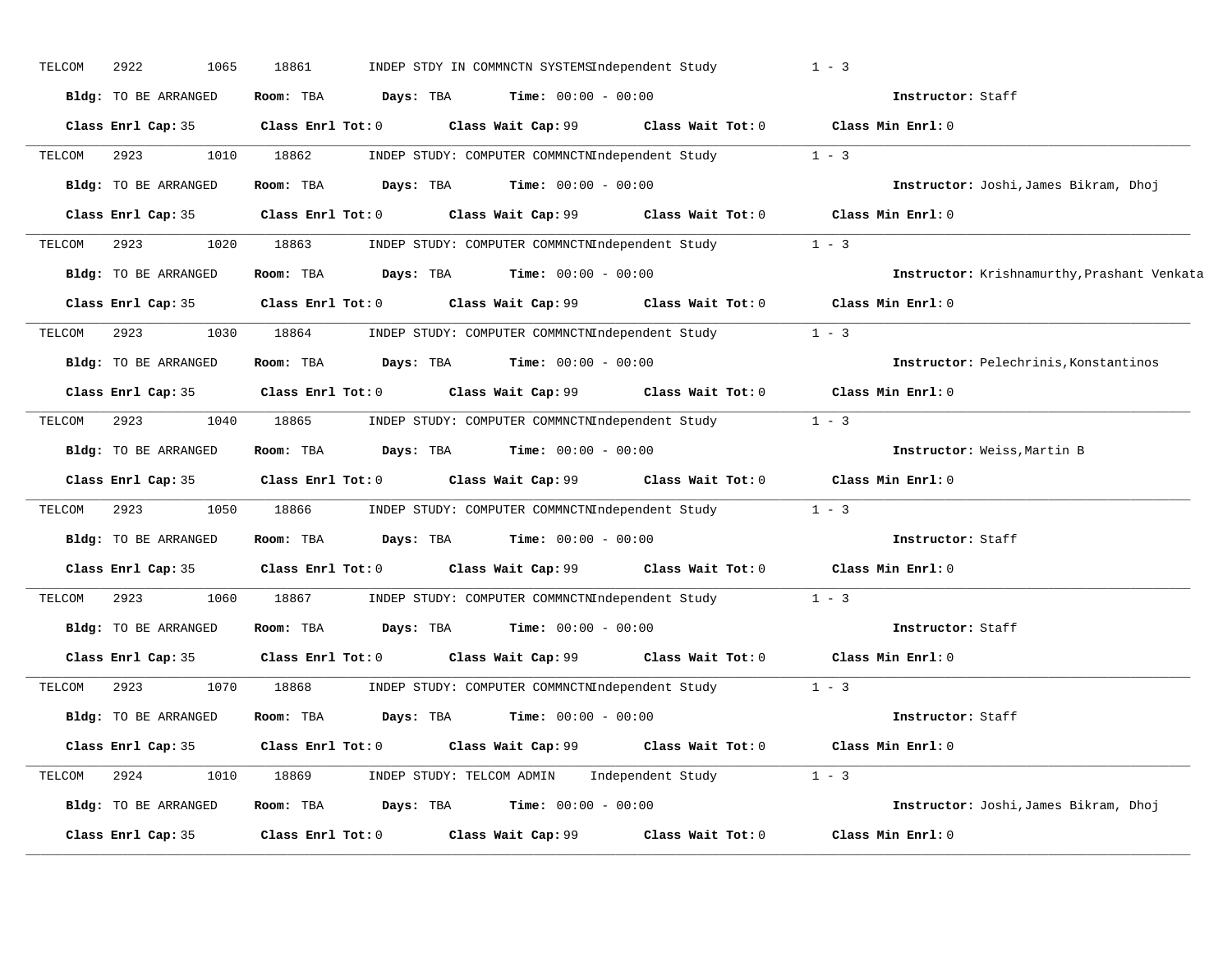| TELCOM | 2922<br>1065         | 18861             |                         | INDEP STDY IN COMMNCTN SYSTEMSIndependent Study                         |                                                             | $1 - 3$                                     |
|--------|----------------------|-------------------|-------------------------|-------------------------------------------------------------------------|-------------------------------------------------------------|---------------------------------------------|
|        | Bldg: TO BE ARRANGED | Room: TBA         | Days: TBA               | <b>Time:</b> $00:00 - 00:00$                                            |                                                             | Instructor: Staff                           |
|        | Class Enrl Cap: 35   |                   | $Class$ $Enr1$ $Tot: 0$ |                                                                         | Class Wait Cap: 99 Class Wait Tot: 0 Class Min Enrl: 0      |                                             |
| TELCOM | 2923                 | 1010 18862        |                         |                                                                         | INDEP STUDY: COMPUTER COMMNCTNIndependent Study             | $1 - 3$                                     |
|        | Bldg: TO BE ARRANGED |                   | Room: TBA Days: TBA     | <b>Time:</b> $00:00 - 00:00$                                            |                                                             | Instructor: Joshi, James Bikram, Dhoj       |
|        | Class Enrl Cap: 35   |                   | Class Enrl Tot: 0       |                                                                         | Class Wait Cap: 99 Class Wait Tot: 0                        | Class Min Enrl: 0                           |
| TELCOM | 1020<br>2923         | 18863             |                         |                                                                         | INDEP STUDY: COMPUTER COMMNCTNIndependent Study 1 - 3       |                                             |
|        | Bldg: TO BE ARRANGED |                   |                         | Room: TBA $Days:$ TBA $Time: 00:00 - 00:00$                             |                                                             | Instructor: Krishnamurthy, Prashant Venkata |
|        | Class Enrl Cap: 35   |                   | $Class$ $Enrl$ $Tot: 0$ |                                                                         | Class Wait Cap: 99 Class Wait Tot: 0 Class Min Enrl: 0      |                                             |
| TELCOM | 2923<br>1030         | 18864             |                         |                                                                         | INDEP STUDY: COMPUTER COMMNCTNIndependent Study 1 - 3       |                                             |
|        | Bldg: TO BE ARRANGED | Room: TBA         |                         | <b>Days:</b> TBA <b>Time:</b> $00:00 - 00:00$                           |                                                             | Instructor: Pelechrinis, Konstantinos       |
|        | Class Enrl Cap: 35   |                   | $Class$ $Enrl$ $Tot: 0$ |                                                                         | Class Wait Cap: 99 Class Wait Tot: 0                        | Class Min Enrl: 0                           |
| TELCOM | 2923<br>1040         |                   |                         |                                                                         | 18865 INDEP STUDY: COMPUTER COMMNCTNIndependent Study 1 - 3 |                                             |
|        | Bldg: TO BE ARRANGED | Room: TBA         |                         | <b>Days:</b> TBA <b>Time:</b> $00:00 - 00:00$                           |                                                             | Instructor: Weiss, Martin B                 |
|        | Class Enrl Cap: 35   |                   | $Class$ $Enrl$ $Tot: 0$ |                                                                         | Class Wait Cap: 99 Class Wait Tot: 0 Class Min Enrl: 0      |                                             |
| TELCOM | 2923<br>1050         | 18866 1880        |                         |                                                                         | INDEP STUDY: COMPUTER COMMNCTNIndependent Study             | $1 - 3$                                     |
|        | Bldg: TO BE ARRANGED | Room: TBA         | Days: TBA               | <b>Time:</b> $00:00 - 00:00$                                            |                                                             | Instructor: Staff                           |
|        | Class Enrl Cap: 35   |                   | Class Enrl Tot: 0       |                                                                         | Class Wait Cap: 99 Class Wait Tot: 0                        | Class Min Enrl: 0                           |
| TELCOM | 2923<br>1060         | 18867             |                         |                                                                         | INDEP STUDY: COMPUTER COMMNCTNIndependent Study             | $1 - 3$                                     |
|        | Bldg: TO BE ARRANGED |                   |                         | Room: TBA $\rule{1em}{0.15mm}$ Days: TBA $\qquad$ Time: $00:00 - 00:00$ |                                                             | Instructor: Staff                           |
|        | Class Enrl Cap: 35   |                   |                         |                                                                         | Class Enrl Tot: 0 Class Wait Cap: 99 Class Wait Tot: 0      | Class Min Enrl: 0                           |
| TELCOM | 2923<br>1070         | 18868             |                         |                                                                         | INDEP STUDY: COMPUTER COMMNCTNIndependent Study             | $1 - 3$                                     |
|        | Bldg: TO BE ARRANGED |                   |                         | Room: TBA $Days:$ TBA $Time: 00:00 - 00:00$                             |                                                             | Instructor: Staff                           |
|        | Class Enrl Cap: 35   |                   | Class Enrl Tot: 0       |                                                                         | Class Wait Cap: 99 Class Wait Tot: 0                        | Class Min Enrl: 0                           |
| TELCOM | 2924<br>1010         |                   |                         |                                                                         | 18869 INDEP STUDY: TELCOM ADMIN Independent Study 1 - 3     |                                             |
|        | Bldg: TO BE ARRANGED |                   |                         | Room: TBA $Days:$ TBA $Time: 00:00 - 00:00$                             |                                                             | Instructor: Joshi, James Bikram, Dhoj       |
|        | Class Enrl Cap: 35   | Class Enrl Tot: 0 |                         | Class Wait Cap: 99                                                      | Class Wait Tot: 0                                           | Class Min Enrl: 0                           |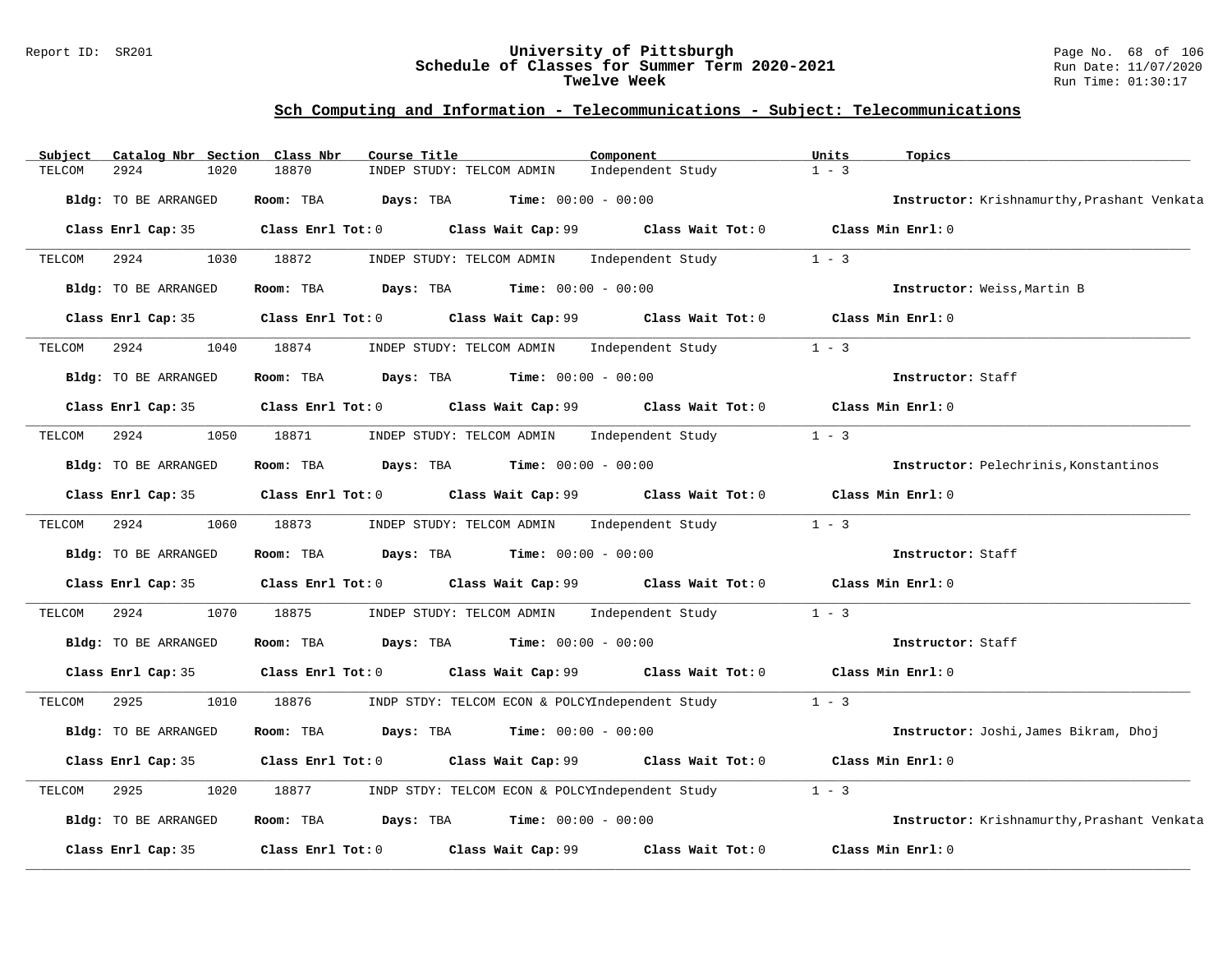### Report ID: SR201 **University of Pittsburgh** Page No. 68 of 106 **Schedule of Classes for Summer Term 2020-2021** Run Date: 11/07/2020 **Twelve Week** Run Time: 01:30:17

| Subject | Catalog Nbr Section Class Nbr | Course Title                                |                                                      | Component                                                                                   | Units<br>Topics                             |
|---------|-------------------------------|---------------------------------------------|------------------------------------------------------|---------------------------------------------------------------------------------------------|---------------------------------------------|
| TELCOM  | 2924<br>1020                  | 18870                                       | INDEP STUDY: TELCOM ADMIN                            | Independent Study                                                                           | $1 - 3$                                     |
|         | Bldg: TO BE ARRANGED          | Room: TBA                                   | $\texttt{Davis:}$ TBA $\texttt{Time:}$ 00:00 - 00:00 |                                                                                             | Instructor: Krishnamurthy, Prashant Venkata |
|         | Class Enrl Cap: 35            |                                             |                                                      | Class Enrl Tot: 0 Class Wait Cap: 99 Class Wait Tot: 0 Class Min Enrl: 0                    |                                             |
| TELCOM  | 2924<br>1030                  | 18872                                       |                                                      | INDEP STUDY: TELCOM ADMIN Independent Study                                                 | $1 - 3$                                     |
|         | Bldg: TO BE ARRANGED          | Room: TBA $Days: TBA$ Time: $00:00 - 00:00$ |                                                      |                                                                                             | Instructor: Weiss, Martin B                 |
|         | Class Enrl Cap: 35            |                                             |                                                      | Class Enrl Tot: 0 Class Wait Cap: 99 Class Wait Tot: 0 Class Min Enrl: 0                    |                                             |
| TELCOM  | 2924<br>1040                  | 18874                                       |                                                      | INDEP STUDY: TELCOM ADMIN Independent Study                                                 | $1 - 3$                                     |
|         | <b>Bldg:</b> TO BE ARRANGED   | Room: TBA $Days:$ TBA $Time: 00:00 - 00:00$ |                                                      |                                                                                             | Instructor: Staff                           |
|         |                               |                                             |                                                      | Class Enrl Cap: 35 Class Enrl Tot: 0 Class Wait Cap: 99 Class Wait Tot: 0 Class Min Enrl: 0 |                                             |
| TELCOM  | 1050<br>2924                  | 18871                                       |                                                      | INDEP STUDY: TELCOM ADMIN Independent Study                                                 | $1 - 3$                                     |
|         | Bldg: TO BE ARRANGED          | Room: TBA $Days:$ TBA $Time: 00:00 - 00:00$ |                                                      |                                                                                             | Instructor: Pelechrinis, Konstantinos       |
|         |                               |                                             |                                                      | Class Enrl Cap: 35 Class Enrl Tot: 0 Class Wait Cap: 99 Class Wait Tot: 0 Class Min Enrl: 0 |                                             |
| TELCOM  | 2924<br>1060                  | 18873                                       |                                                      | INDEP STUDY: TELCOM ADMIN Independent Study                                                 | $1 - 3$                                     |
|         | Bldg: TO BE ARRANGED          | Room: TBA $Days:$ TBA $Time: 00:00 - 00:00$ |                                                      |                                                                                             | Instructor: Staff                           |
|         | Class Enrl Cap: 35            |                                             |                                                      | Class Enrl Tot: 0 Class Wait Cap: 99 Class Wait Tot: 0 Class Min Enrl: 0                    |                                             |
| TELCOM  | 2924<br>1070                  | 18875                                       |                                                      | INDEP STUDY: TELCOM ADMIN Independent Study                                                 | $1 - 3$                                     |
|         | Bldg: TO BE ARRANGED          | Room: TBA $Days:$ TBA $Time: 00:00 - 00:00$ |                                                      |                                                                                             | Instructor: Staff                           |
|         |                               |                                             |                                                      | Class Enrl Cap: 35 Class Enrl Tot: 0 Class Wait Cap: 99 Class Wait Tot: 0 Class Min Enrl: 0 |                                             |
| TELCOM  | 2925<br>1010                  | 18876                                       |                                                      | INDP STDY: TELCOM ECON & POLCYIndependent Study 1 - 3                                       |                                             |
|         | Bldg: TO BE ARRANGED          | Room: TBA                                   | <b>Days:</b> TBA <b>Time:</b> $00:00 - 00:00$        |                                                                                             | Instructor: Joshi, James Bikram, Dhoj       |
|         | Class Enrl Cap: 35            |                                             |                                                      | Class Enrl Tot: $0$ Class Wait Cap: $99$ Class Wait Tot: $0$                                | Class Min Enrl: 0                           |
| TELCOM  | 2925<br>1020                  | 18877                                       |                                                      | INDP STDY: TELCOM ECON & POLCYIndependent Study                                             | $1 - 3$                                     |
|         | Bldg: TO BE ARRANGED          | Room: TBA $Days:$ TBA $Time: 00:00 - 00:00$ |                                                      |                                                                                             | Instructor: Krishnamurthy, Prashant Venkata |
|         | Class Enrl Cap: 35            | Class Enrl Tot: 0 Class Wait Cap: 99        |                                                      | Class Wait Tot: 0                                                                           | Class Min Enrl: 0                           |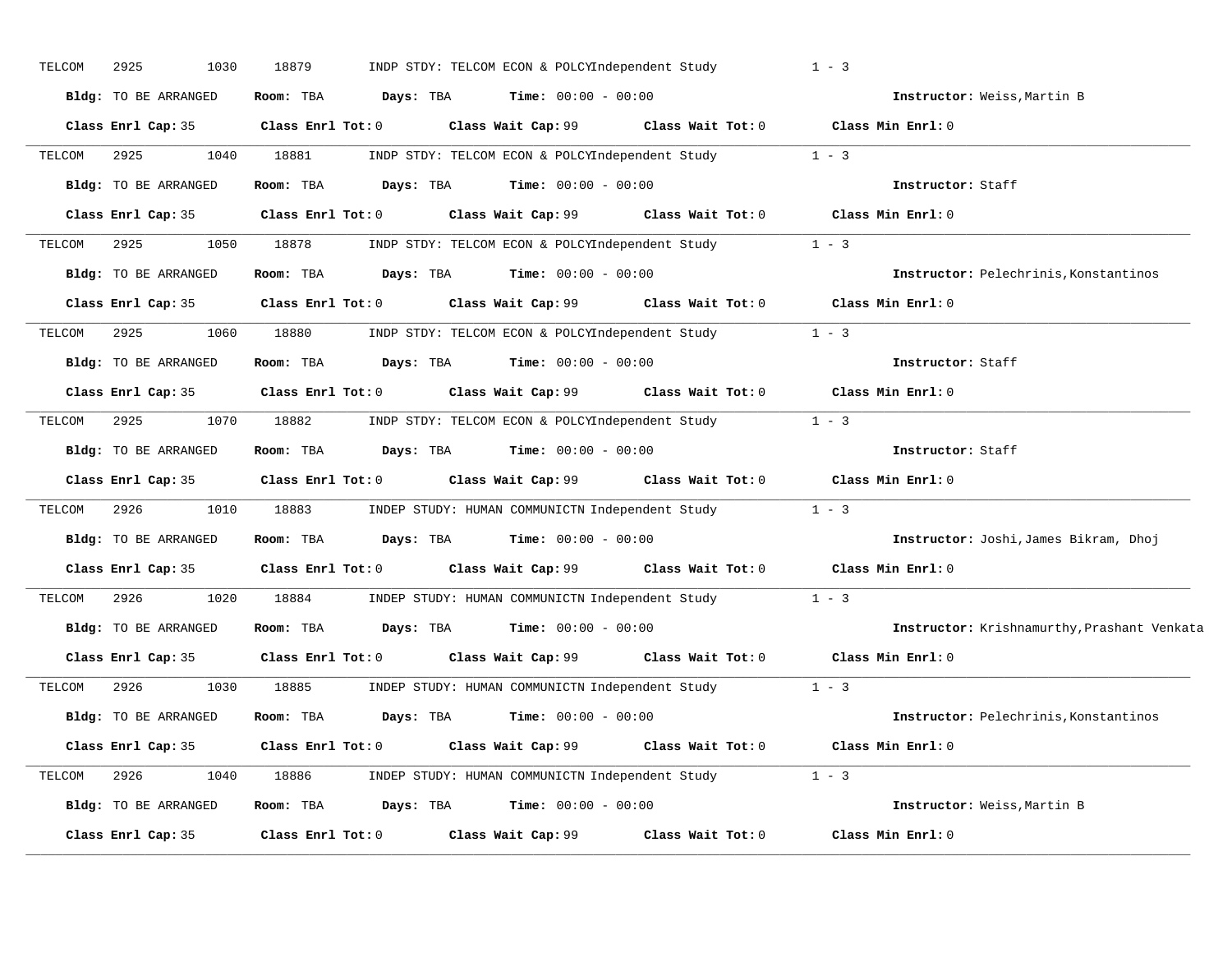| TELCOM | 1030<br>2925         | 18879                   | INDP STDY: TELCOM ECON & POLCYIndependent Study               |                   | $1 - 3$                                     |
|--------|----------------------|-------------------------|---------------------------------------------------------------|-------------------|---------------------------------------------|
|        | Bldg: TO BE ARRANGED | Room: TBA<br>Days: TBA  | <b>Time:</b> $00:00 - 00:00$                                  |                   | Instructor: Weiss, Martin B                 |
|        | Class Enrl Cap: 35   | Class Enrl Tot: 0       | Class Wait Cap: 99                                            |                   | Class Wait Tot: 0 Class Min Enrl: 0         |
| TELCOM | 2925<br>1040         | 18881                   | INDP STDY: TELCOM ECON & POLCYIndependent Study               |                   | $1 - 3$                                     |
|        | Bldg: TO BE ARRANGED | Room: TBA<br>Days: TBA  | <b>Time:</b> $00:00 - 00:00$                                  |                   | Instructor: Staff                           |
|        | Class Enrl Cap: 35   | $Class$ $Enr1$ $Tot: 0$ | Class Wait Cap: 99 Class Wait Tot: 0 Class Min Enrl: 0        |                   |                                             |
| TELCOM | 2925<br>1050         | 18878                   | INDP STDY: TELCOM ECON & POLCYIndependent Study 1 - 3         |                   |                                             |
|        | Bldg: TO BE ARRANGED | Room: TBA<br>Days: TBA  | $Time: 00:00 - 00:00$                                         |                   | Instructor: Pelechrinis, Konstantinos       |
|        | Class Enrl Cap: 35   | Class Enrl Tot: 0       | Class Wait Cap: 99 Class Wait Tot: 0 Class Min Enrl: 0        |                   |                                             |
| TELCOM | 2925<br>1060         | 18880                   | INDP STDY: TELCOM ECON & POLCYIndependent Study               |                   | $1 - 3$                                     |
|        | Bldg: TO BE ARRANGED | Room: TBA               | <b>Days:</b> TBA <b>Time:</b> $00:00 - 00:00$                 |                   | Instructor: Staff                           |
|        | Class Enrl Cap: 35   | Class Enrl Tot: 0       | Class Wait Cap: 99 Class Wait Tot: 0                          |                   | Class Min Enrl: 0                           |
| TELCOM | 2925<br>1070         | 18882                   | INDP STDY: TELCOM ECON & POLCYIndependent Study               |                   | $1 - 3$                                     |
|        | Bldg: TO BE ARRANGED | Room: TBA               | <b>Days:</b> TBA <b>Time:</b> $00:00 - 00:00$                 |                   | Instructor: Staff                           |
|        | Class Enrl Cap: 35   |                         | Class Enrl Tot: 0 Class Wait Cap: 99 Class Wait Tot: 0        |                   | Class Min Enrl: 0                           |
| TELCOM | 2926<br>1010         | 18883                   | INDEP STUDY: HUMAN COMMUNICTN Independent Study               |                   | $1 - 3$                                     |
|        | Bldg: TO BE ARRANGED | Room: TBA               | <b>Days:</b> TBA <b>Time:</b> $00:00 - 00:00$                 |                   | Instructor: Joshi, James Bikram, Dhoj       |
|        | Class Enrl Cap: 35   |                         | Class Enrl Tot: 0 Class Wait Cap: 99 Class Wait Tot: 0        |                   | Class Min Enrl: 0                           |
| TELCOM | 2926<br>1020         | 18884                   | INDEP STUDY: HUMAN COMMUNICTN Independent Study               |                   | $1 - 3$                                     |
|        | Bldg: TO BE ARRANGED | Room: TBA               | <b>Days:</b> TBA <b>Time:</b> $00:00 - 00:00$                 |                   | Instructor: Krishnamurthy, Prashant Venkata |
|        | Class Enrl Cap: 35   | Class Enrl Tot: 0       | Class Wait Cap: 99 Class Wait Tot: 0                          |                   | Class Min Enrl: 0                           |
| TELCOM | 2926<br>1030         | 18885                   | INDEP STUDY: HUMAN COMMUNICTN Independent Study               |                   | $1 - 3$                                     |
|        | Bldg: TO BE ARRANGED | Room: TBA<br>Days: TBA  | <b>Time:</b> $00:00 - 00:00$                                  |                   | Instructor: Pelechrinis, Konstantinos       |
|        | Class Enrl Cap: 35   |                         | Class Enrl Tot: 0 Class Wait Cap: 99                          |                   | Class Wait Tot: 0 Class Min Enrl: 0         |
| TELCOM | 2926<br>1040         |                         | 18886         INDEP STUDY: HUMAN COMMUNICTN Independent Study |                   | $1 - 3$                                     |
|        | Bldg: TO BE ARRANGED | Room: TBA<br>Days: TBA  | <b>Time:</b> $00:00 - 00:00$                                  |                   | Instructor: Weiss, Martin B                 |
|        | Class Enrl Cap: 35   | Class Enrl Tot: 0       | Class Wait Cap: 99                                            | Class Wait Tot: 0 | Class Min Enrl: 0                           |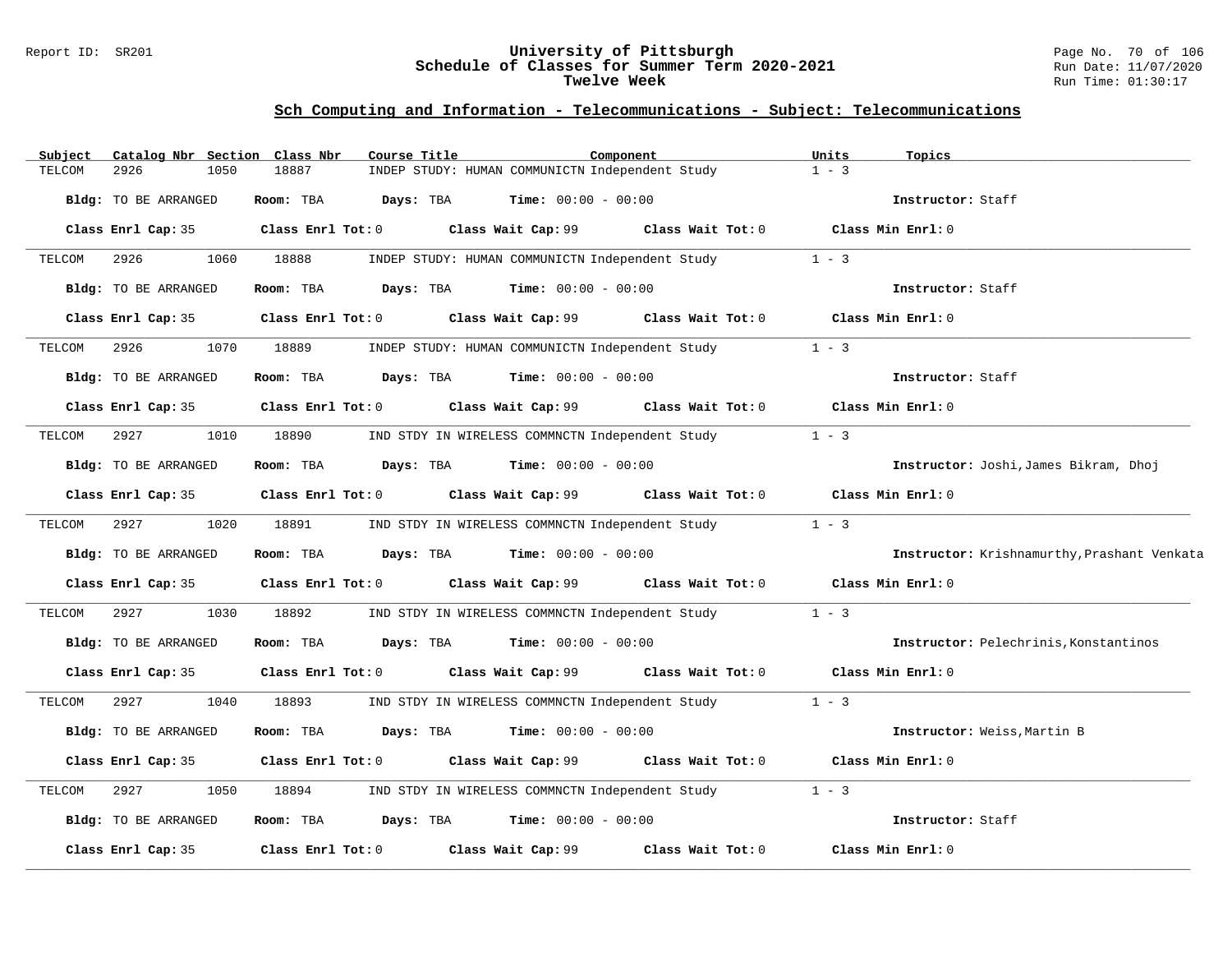#### Report ID: SR201 **University of Pittsburgh** Page No. 70 of 106 **Schedule of Classes for Summer Term 2020-2021** Run Date: 11/07/2020 **Twelve Week** Run Time: 01:30:17

| Catalog Nbr Section Class Nbr<br>Subject | Course Title           |                                                                                  | Component         | Units<br>Topics                             |
|------------------------------------------|------------------------|----------------------------------------------------------------------------------|-------------------|---------------------------------------------|
| 2926<br>TELCOM<br>1050                   | 18887                  | INDEP STUDY: HUMAN COMMUNICTN Independent Study                                  |                   | $1 - 3$                                     |
| Bldg: TO BE ARRANGED                     | Days: TBA<br>Room: TBA | <b>Time:</b> $00:00 - 00:00$                                                     |                   | Instructor: Staff                           |
| Class Enrl Cap: 35                       |                        | Class Enrl Tot: $0$ Class Wait Cap: $99$ Class Wait Tot: $0$ Class Min Enrl: $0$ |                   |                                             |
| 2926<br>TELCOM<br>1060                   | 18888                  | INDEP STUDY: HUMAN COMMUNICTN Independent Study                                  |                   | $1 - 3$                                     |
| Bldg: TO BE ARRANGED                     | Room: TBA              | <b>Days:</b> TBA <b>Time:</b> $00:00 - 00:00$                                    |                   | Instructor: Staff                           |
| Class Enrl Cap: 35                       | Class Enrl Tot: 0      | Class Wait Cap: 99                                                               | Class Wait Tot: 0 | Class Min Enrl: 0                           |
| 2926<br>1070<br>TELCOM                   | 18889                  | INDEP STUDY: HUMAN COMMUNICTN Independent Study                                  |                   | $1 - 3$                                     |
| Bldg: TO BE ARRANGED                     | Room: TBA              | <b>Days:</b> TBA <b>Time:</b> $00:00 - 00:00$                                    |                   | Instructor: Staff                           |
| Class Enrl Cap: 35                       |                        | Class Enrl Tot: 0 Class Wait Cap: 99                                             | Class Wait Tot: 0 | Class Min Enrl: 0                           |
| 2927<br>1010<br>TELCOM                   | 18890                  | IND STDY IN WIRELESS COMMNCTN Independent Study                                  |                   | $1 - 3$                                     |
| Bldg: TO BE ARRANGED                     | Room: TBA              | $\texttt{Davis:}$ TBA $\texttt{Time:}$ 00:00 - 00:00                             |                   | Instructor: Joshi, James Bikram, Dhoj       |
| Class Enrl Cap: 35                       | Class Enrl Tot: 0      | Class Wait Cap: 99                                                               | Class Wait Tot: 0 | Class Min Enrl: 0                           |
| 1020<br>2927<br>TELCOM                   | 18891                  | IND STDY IN WIRELESS COMMNCTN Independent Study                                  |                   | $1 - 3$                                     |
| Bldg: TO BE ARRANGED                     | Room: TBA<br>Days: TBA | $Time: 00:00 - 00:00$                                                            |                   | Instructor: Krishnamurthy, Prashant Venkata |
| Class Enrl Cap: 35                       |                        | Class Enrl Tot: 0 Class Wait Cap: 99 Class Wait Tot: 0                           |                   | Class Min Enrl: 0                           |
| TELCOM<br>2927<br>1030                   | 18892                  | IND STDY IN WIRELESS COMMNCTN Independent Study                                  |                   | $1 - 3$                                     |
| Bldg: TO BE ARRANGED                     | Room: TBA              | $\texttt{Days:}$ TBA $\texttt{Time:}$ 00:00 - 00:00                              |                   | Instructor: Pelechrinis, Konstantinos       |
| Class Enrl Cap: 35                       | Class Enrl Tot: 0      | Class Wait Cap: 99                                                               | Class Wait Tot: 0 | Class Min Enrl: 0                           |
| 2927<br>1040<br>TELCOM                   | 18893                  | IND STDY IN WIRELESS COMMNCTN Independent Study                                  |                   | $1 - 3$                                     |
| Bldg: TO BE ARRANGED                     | Room: TBA<br>Days: TBA | $Time: 00:00 - 00:00$                                                            |                   | Instructor: Weiss, Martin B                 |
| Class Enrl Cap: 35                       | Class Enrl Tot: 0      | Class Wait Cap: $99$ Class Wait Tot: 0                                           |                   | Class Min Enrl: 0                           |
| TELCOM<br>2927<br>1050                   | 18894                  | IND STDY IN WIRELESS COMMNCTN Independent Study                                  |                   | $1 - 3$                                     |
| Bldg: TO BE ARRANGED                     | Room: TBA<br>Days: TBA | $Time: 00:00 - 00:00$                                                            |                   | Instructor: Staff                           |
| Class Enrl Cap: 35                       | Class Enrl Tot: 0      | Class Wait Cap: 99                                                               | Class Wait Tot: 0 | Class Min Enrl: 0                           |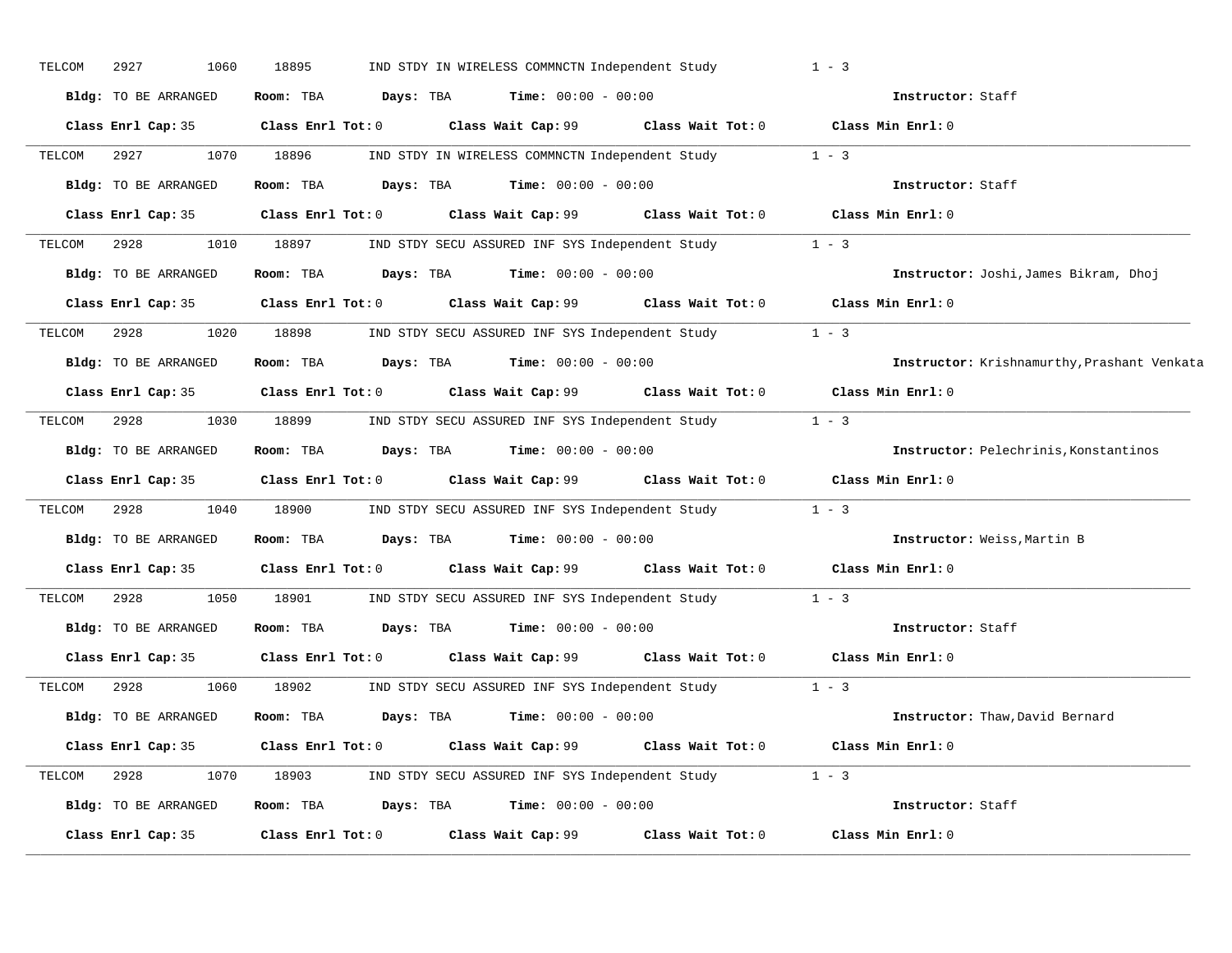| TELCOM | 2927<br>1060         | 18895                   | IND STDY IN WIRELESS COMMNCTN Independent Study                          |                   | $1 - 3$                                     |
|--------|----------------------|-------------------------|--------------------------------------------------------------------------|-------------------|---------------------------------------------|
|        | Bldg: TO BE ARRANGED | Room: TBA<br>Days: TBA  | $Time: 00:00 - 00:00$                                                    |                   | Instructor: Staff                           |
|        | Class Enrl Cap: 35   | Class Enrl Tot: 0       | Class Wait Cap: 99                                                       |                   | Class Wait Tot: 0 Class Min Enrl: 0         |
| TELCOM | 2927<br>1070         | 18896                   | IND STDY IN WIRELESS COMMNCTN Independent Study                          |                   | $1 - 3$                                     |
|        | Bldg: TO BE ARRANGED | Room: TBA<br>Days: TBA  | <b>Time:</b> $00:00 - 00:00$                                             |                   | Instructor: Staff                           |
|        | Class Enrl Cap: 35   | Class Enrl Tot: 0       | Class Wait Cap: 99 Class Wait Tot: 0 Class Min Enrl: 0                   |                   |                                             |
| TELCOM | 2928<br>1010         | 18897                   | IND STDY SECU ASSURED INF SYS Independent Study                          |                   | $1 - 3$                                     |
|        | Bldg: TO BE ARRANGED |                         | Room: TBA $Days:$ TBA $Time: 00:00 - 00:00$                              |                   | Instructor: Joshi, James Bikram, Dhoj       |
|        | Class Enrl Cap: 35   |                         | Class Enrl Tot: 0 Class Wait Cap: 99 Class Wait Tot: 0 Class Min Enrl: 0 |                   |                                             |
| TELCOM | 2928<br>1020         | 18898                   | IND STDY SECU ASSURED INF SYS Independent Study                          |                   | $1 - 3$                                     |
|        | Bldg: TO BE ARRANGED | Room: TBA               | $Days: TBA$ $Time: 00:00 - 00:00$                                        |                   | Instructor: Krishnamurthy, Prashant Venkata |
|        | Class Enrl Cap: 35   | Class Enrl Tot: 0       | Class Wait Cap: 99 Class Wait Tot: 0                                     |                   | Class Min Enrl: 0                           |
| TELCOM | 2928<br>1030         | 18899                   | IND STDY SECU ASSURED INF SYS Independent Study                          |                   | $1 - 3$                                     |
|        | Bldg: TO BE ARRANGED | Room: TBA               | <b>Days:</b> TBA <b>Time:</b> $00:00 - 00:00$                            |                   | Instructor: Pelechrinis, Konstantinos       |
|        | Class Enrl Cap: 35   |                         | Class Enrl Tot: 0 Class Wait Cap: 99 Class Wait Tot: 0                   |                   | Class Min Enrl: 0                           |
| TELCOM | 2928<br>1040         | 18900                   | IND STDY SECU ASSURED INF SYS Independent Study                          |                   | $1 - 3$                                     |
|        | Bldg: TO BE ARRANGED | Room: TBA               | $Days: TBA$ Time: $00:00 - 00:00$                                        |                   | Instructor: Weiss, Martin B                 |
|        | Class Enrl Cap: 35   | $Class$ $Enr1$ $Tot: 0$ | Class Wait Cap: 99 Class Wait Tot: 0                                     |                   | Class Min Enrl: 0                           |
| TELCOM | 1050<br>2928         | 18901                   | IND STDY SECU ASSURED INF SYS Independent Study                          |                   | $1 - 3$                                     |
|        | Bldg: TO BE ARRANGED | Room: TBA               | <b>Days:</b> TBA <b>Time:</b> $00:00 - 00:00$                            |                   | Instructor: Staff                           |
|        | Class Enrl Cap: 35   |                         | Class Enrl Tot: 0 Class Wait Cap: 99                                     | Class Wait Tot: 0 | Class Min Enrl: 0                           |
| TELCOM | 2928<br>1060         | 18902                   | IND STDY SECU ASSURED INF SYS Independent Study                          |                   | $1 - 3$                                     |
|        | Bldg: TO BE ARRANGED | Room: TBA<br>Days: TBA  | $Time: 00:00 - 00:00$                                                    |                   | Instructor: Thaw, David Bernard             |
|        | Class Enrl Cap: 35   |                         | Class Enrl Tot: 0 Class Wait Cap: 99                                     |                   | Class Wait Tot: 0 Class Min Enrl: 0         |
| TELCOM | 2928<br>1070         |                         | 18903 IND STDY SECU ASSURED INF SYS Independent Study 1 - 3              |                   |                                             |
|        | Bldg: TO BE ARRANGED | Room: TBA               | <b>Days:</b> TBA <b>Time:</b> $00:00 - 00:00$                            |                   | Instructor: Staff                           |
|        | Class Enrl Cap: 35   | Class Enrl Tot: 0       | Class Wait Cap: 99                                                       | Class Wait Tot: 0 | Class Min Enrl: 0                           |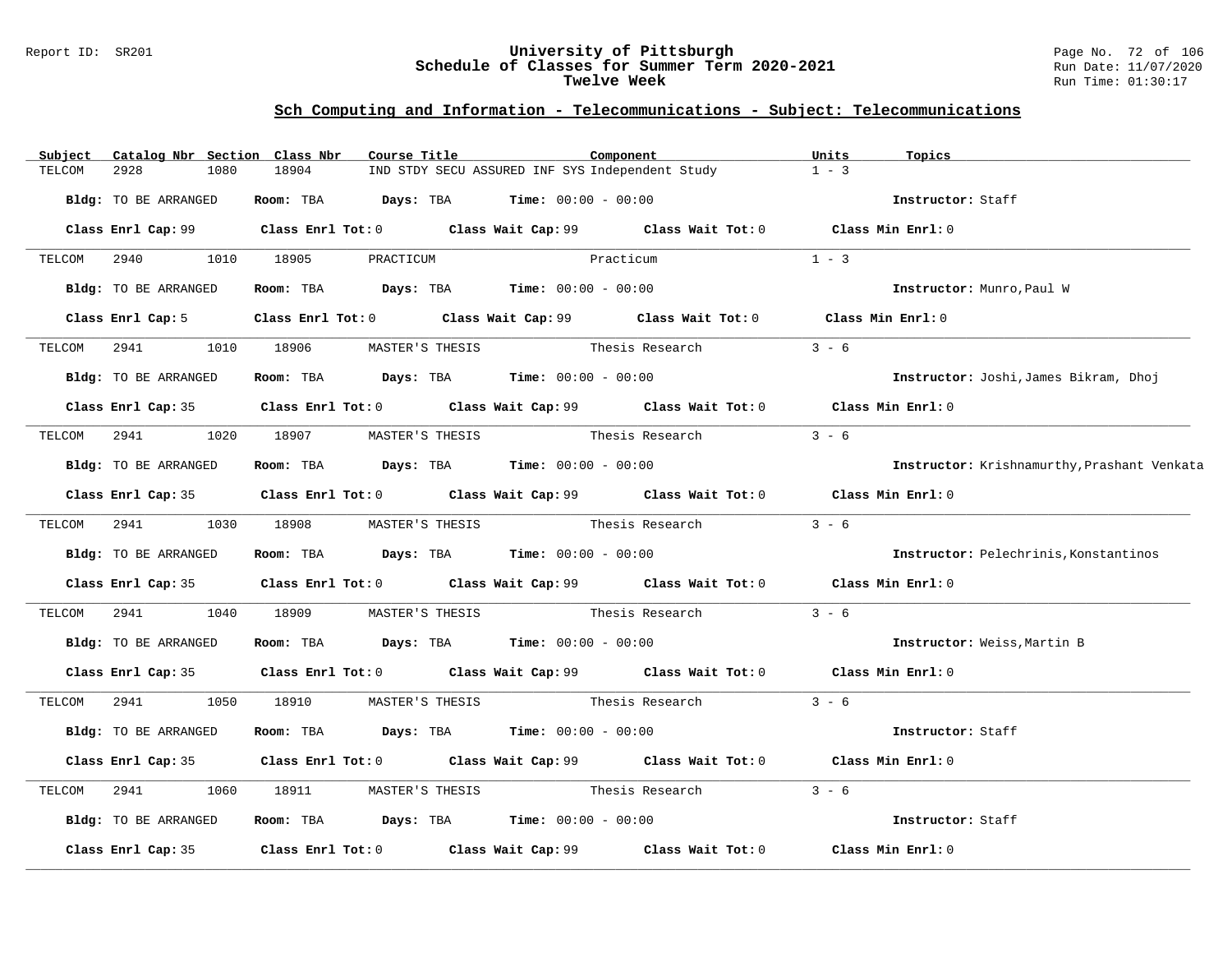### Report ID: SR201 **University of Pittsburgh** Page No. 72 of 106 **Schedule of Classes for Summer Term 2020-2021** Run Date: 11/07/2020 **Twelve Week** Run Time: 01:30:17

| Subject | Catalog Nbr Section Class Nbr |                                                                                             | Course Title                                    | Component       |                                 | Units   | Topics                                      |
|---------|-------------------------------|---------------------------------------------------------------------------------------------|-------------------------------------------------|-----------------|---------------------------------|---------|---------------------------------------------|
| TELCOM  | 2928<br>1080                  | 18904                                                                                       | IND STDY SECU ASSURED INF SYS Independent Study |                 |                                 | $1 - 3$ |                                             |
|         | Bldg: TO BE ARRANGED          | Room: TBA $Days:$ TBA $Time: 00:00 - 00:00$                                                 |                                                 |                 |                                 |         | Instructor: Staff                           |
|         |                               | Class Enrl Cap: 99 Class Enrl Tot: 0 Class Wait Cap: 99 Class Wait Tot: 0 Class Min Enrl: 0 |                                                 |                 |                                 |         |                                             |
|         |                               | TELCOM 2940 1010 18905 PRACTICUM                                                            |                                                 | Practicum       |                                 | $1 - 3$ |                                             |
|         | Bldg: TO BE ARRANGED          | Room: TBA $Days:$ TBA $Time: 00:00 - 00:00$                                                 |                                                 |                 |                                 |         | Instructor: Munro, Paul W                   |
|         | Class Enrl Cap: 5             | Class Enrl Tot: 0 Class Wait Cap: 99 Class Wait Tot: 0 Class Min Enrl: 0                    |                                                 |                 |                                 |         |                                             |
| TELCOM  | 2941                          | 1010 18906                                                                                  | MASTER'S THESIS                                 | Thesis Research |                                 | $3 - 6$ |                                             |
|         | Bldg: TO BE ARRANGED          | Room: TBA $Days:$ TBA $Time: 00:00 - 00:00$                                                 |                                                 |                 |                                 |         | Instructor: Joshi, James Bikram, Dhoj       |
|         |                               | Class Enrl Cap: 35 Class Enrl Tot: 0 Class Wait Cap: 99 Class Wait Tot: 0 Class Min Enrl: 0 |                                                 |                 |                                 |         |                                             |
|         |                               | TELCOM 2941 1020 18907 MASTER'S THESIS                                                      |                                                 | Thesis Research |                                 | $3 - 6$ |                                             |
|         | Bldg: TO BE ARRANGED          | Room: TBA $Days:$ TBA $Time: 00:00 - 00:00$                                                 |                                                 |                 |                                 |         | Instructor: Krishnamurthy, Prashant Venkata |
|         |                               | Class Enrl Cap: 35 Class Enrl Tot: 0 Class Wait Cap: 99 Class Wait Tot: 0 Class Min Enrl: 0 |                                                 |                 |                                 |         |                                             |
|         | TELCOM 2941 1030 18908        |                                                                                             |                                                 |                 | MASTER'S THESIS Thesis Research | $3 - 6$ |                                             |
|         | Bldg: TO BE ARRANGED          | Room: TBA $Days:$ TBA $Time: 00:00 - 00:00$                                                 |                                                 |                 |                                 |         | Instructor: Pelechrinis, Konstantinos       |
|         |                               | Class Enrl Cap: 35 Class Enrl Tot: 0 Class Wait Cap: 99 Class Wait Tot: 0 Class Min Enrl: 0 |                                                 |                 |                                 |         |                                             |
| TELCOM  | 2941 200                      | 1040 18909                                                                                  |                                                 |                 |                                 | $3 - 6$ |                                             |
|         | Bldg: TO BE ARRANGED          | Room: TBA $Days:$ TBA $Time: 00:00 - 00:00$                                                 |                                                 |                 |                                 |         | Instructor: Weiss, Martin B                 |
|         |                               | Class Enrl Cap: 35 Class Enrl Tot: 0 Class Wait Cap: 99 Class Wait Tot: 0 Class Min Enrl: 0 |                                                 |                 |                                 |         |                                             |
|         |                               |                                                                                             |                                                 |                 |                                 | $3 - 6$ |                                             |
|         | Bldg: TO BE ARRANGED          | Room: TBA $Days:$ TBA $Time: 00:00 - 00:00$                                                 |                                                 |                 |                                 |         | Instructor: Staff                           |
|         |                               | Class Enrl Cap: 35 Class Enrl Tot: 0 Class Wait Cap: 99 Class Wait Tot: 0 Class Min Enrl: 0 |                                                 |                 |                                 |         |                                             |
| TELCOM  | 2941<br>1060                  | 18911                                                                                       |                                                 |                 | MASTER'S THESIS Thesis Research | $3 - 6$ |                                             |
|         | Bldg: TO BE ARRANGED          | Room: TBA $Days: TBA$ Time: $00:00 - 00:00$                                                 |                                                 |                 |                                 |         | Instructor: Staff                           |
|         | Class Enrl Cap: 35            | Class Enrl Tot: $0$ Class Wait Cap: $99$ Class Wait Tot: $0$                                |                                                 |                 |                                 |         | Class Min Enrl: 0                           |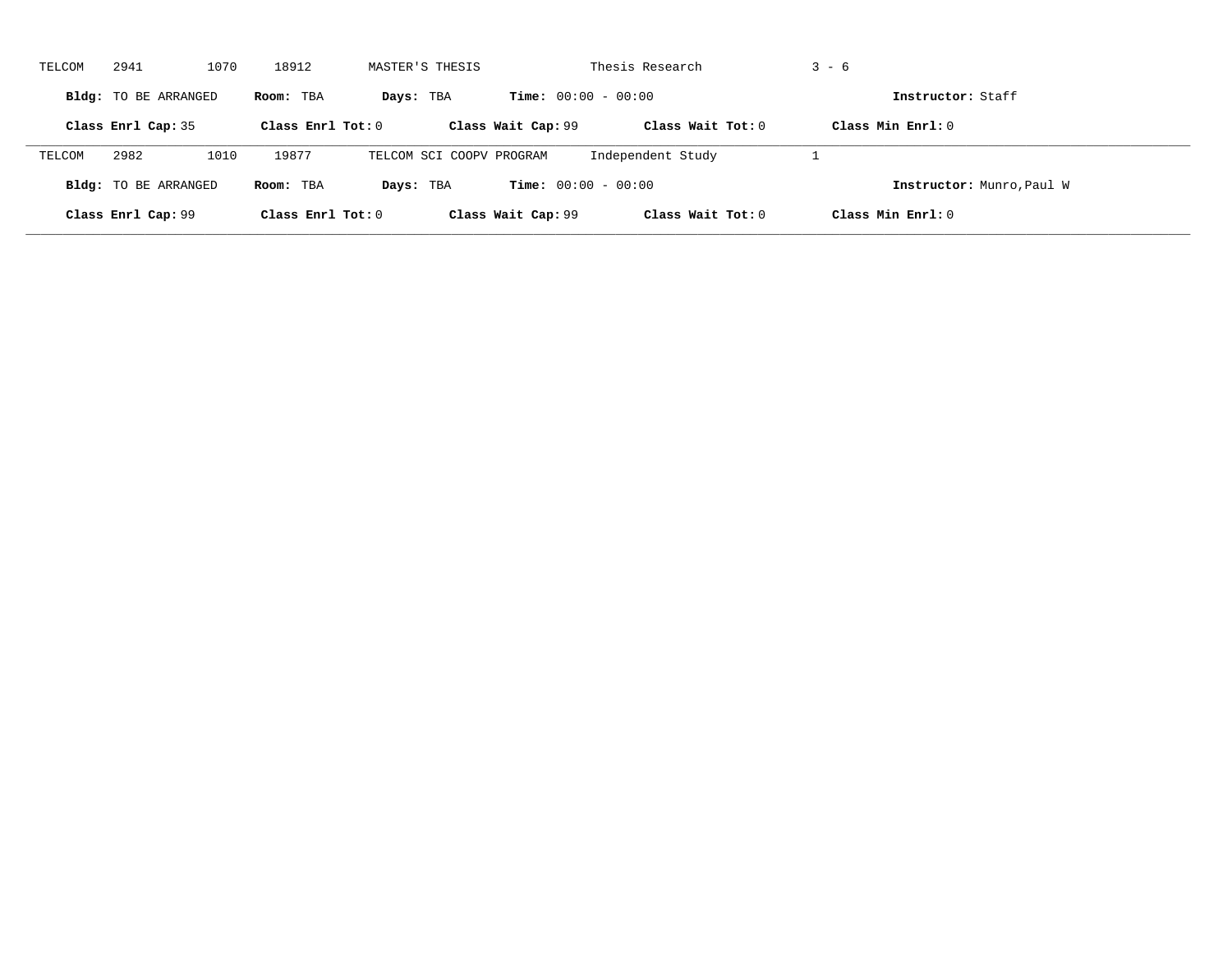| TELCOM | 2941                        | 1070 | 18912               | MASTER'S THESIS          |                              | Thesis Research     | $3 - 6$                   |  |
|--------|-----------------------------|------|---------------------|--------------------------|------------------------------|---------------------|---------------------------|--|
|        | <b>Bldg:</b> TO BE ARRANGED |      | Room: TBA           | Days: TBA                | <b>Time:</b> $00:00 - 00:00$ |                     | Instructor: Staff         |  |
|        | Class Enrl Cap: 35          |      | Class Enrl Tot: $0$ |                          | Class Wait Cap: 99           | Class Wait Tot: $0$ | Class Min $Enrl: 0$       |  |
| TELCOM | 2982                        | 1010 | 19877               | TELCOM SCI COOPV PROGRAM |                              | Independent Study   |                           |  |
|        | <b>Bldg:</b> TO BE ARRANGED |      | Room: TBA           | Days: TBA                | <b>Time:</b> $00:00 - 00:00$ |                     | Instructor: Munro, Paul W |  |
|        | Class Enrl Cap: 99          |      | Class Enrl Tot: $0$ |                          | Class Wait Cap: 99           | Class Wait Tot: $0$ | Class Min Enrl: 0         |  |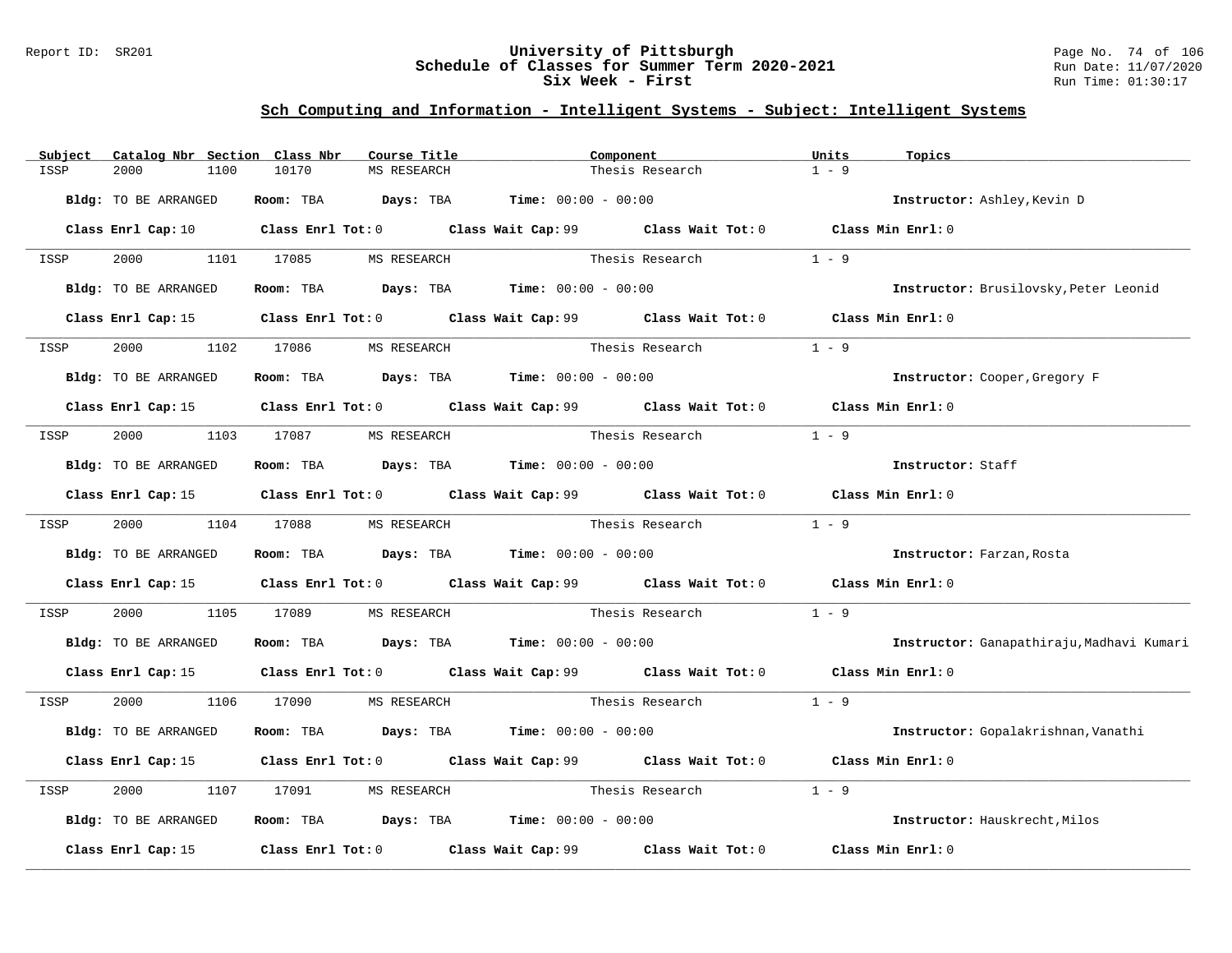### Report ID: SR201 **University of Pittsburgh** Page No. 74 of 106 **Schedule of Classes for Summer Term 2020-2021** Run Date: 11/07/2020 **Six Week - First Run Time: 01:30:17**

| Subject | Catalog Nbr Section Class Nbr |                                                                                       | Course Title | Component       |                                                                                             | Units             | Topics                                    |
|---------|-------------------------------|---------------------------------------------------------------------------------------|--------------|-----------------|---------------------------------------------------------------------------------------------|-------------------|-------------------------------------------|
| ISSP    | 2000<br>1100                  | 10170                                                                                 | MS RESEARCH  |                 | Thesis Research                                                                             | $1 - 9$           |                                           |
|         | Bldg: TO BE ARRANGED          | Room: TBA $Days:$ TBA $Time: 00:00 - 00:00$                                           |              |                 |                                                                                             |                   | Instructor: Ashley, Kevin D               |
|         | Class Enrl Cap: 10            |                                                                                       |              |                 | Class Enrl Tot: 0 Class Wait Cap: 99 Class Wait Tot: 0 Class Min Enrl: 0                    |                   |                                           |
| ISSP    |                               | 2000 1101 17085 MS RESEARCH                                                           |              |                 | Thesis Research                                                                             | $1 - 9$           |                                           |
|         | Bldg: TO BE ARRANGED          | Room: TBA $Days:$ TBA $Time: 00:00 - 00:00$                                           |              |                 |                                                                                             |                   | Instructor: Brusilovsky, Peter Leonid     |
|         | Class Enrl Cap: 15            |                                                                                       |              |                 | Class Enrl Tot: 0 Class Wait Cap: 99 Class Wait Tot: 0 Class Min Enrl: 0                    |                   |                                           |
| ISSP    | 1102<br>2000                  | 17086                                                                                 | MS RESEARCH  |                 | Thesis Research                                                                             | $1 - 9$           |                                           |
|         | Bldg: TO BE ARRANGED          | Room: TBA $Days:$ TBA $Time: 00:00 - 00:00$                                           |              |                 |                                                                                             |                   | Instructor: Cooper, Gregory F             |
|         |                               |                                                                                       |              |                 | Class Enrl Cap: 15 Class Enrl Tot: 0 Class Wait Cap: 99 Class Wait Tot: 0 Class Min Enrl: 0 |                   |                                           |
| ISSP    |                               | 2000 1103 17087 MS RESEARCH                                                           |              |                 | Thesis Research                                                                             | $1 - 9$           |                                           |
|         | Bldg: TO BE ARRANGED          | Room: TBA Days: TBA Time: $00:00 - 00:00$                                             |              |                 |                                                                                             |                   | Instructor: Staff                         |
|         |                               |                                                                                       |              |                 | Class Enrl Cap: 15 Class Enrl Tot: 0 Class Wait Cap: 99 Class Wait Tot: 0 Class Min Enrl: 0 |                   |                                           |
| ISSP    |                               | 2000 1104 17088 MS RESEARCH                                                           |              | Thesis Research |                                                                                             | $1 - 9$           |                                           |
|         | Bldg: TO BE ARRANGED          | Room: TBA $\rule{1em}{0.15mm}$ Days: TBA Time: $00:00 - 00:00$                        |              |                 |                                                                                             |                   | Instructor: Farzan, Rosta                 |
|         |                               | Class Enrl Cap: 15 Class Enrl Tot: 0 Class Wait Cap: 99 Class Wait Tot: 0             |              |                 |                                                                                             | Class Min Enrl: 0 |                                           |
| ISSP    | 2000<br>1105                  | 17089                                                                                 |              |                 |                                                                                             | $1 - 9$           |                                           |
|         | Bldg: TO BE ARRANGED          | Room: TBA $\rule{1em}{0.15mm}$ Days: TBA $\rule{1.5mm}{0.15mm}$ Time: $00:00 - 00:00$ |              |                 |                                                                                             |                   | Instructor: Ganapathiraju, Madhavi Kumari |
|         |                               |                                                                                       |              |                 | Class Enrl Cap: 15 Class Enrl Tot: 0 Class Wait Cap: 99 Class Wait Tot: 0 Class Min Enrl: 0 |                   |                                           |
| ISSP    | 2000 1106 17090               | MS RESEARCH                                                                           |              |                 | Thesis Research                                                                             | $1 - 9$           |                                           |
|         | Bldg: TO BE ARRANGED          | Room: TBA $Days:$ TBA $Time: 00:00 - 00:00$                                           |              |                 |                                                                                             |                   | Instructor: Gopalakrishnan, Vanathi       |
|         |                               | Class Enrl Cap: 15 Class Enrl Tot: 0 Class Wait Cap: 99 Class Wait Tot: 0             |              |                 |                                                                                             | Class Min Enrl: 0 |                                           |
| ISSP    | 2000<br>1107                  | 17091                                                                                 | MS RESEARCH  | Thesis Research |                                                                                             | $1 - 9$           |                                           |
|         | Bldg: TO BE ARRANGED          | Room: TBA $Days:$ TBA $Time: 00:00 - 00:00$                                           |              |                 |                                                                                             |                   | Instructor: Hauskrecht, Milos             |
|         | Class Enrl Cap: 15            |                                                                                       |              |                 | Class Enrl Tot: 0 Class Wait Cap: 99 Class Wait Tot: 0                                      | Class Min Enrl: 0 |                                           |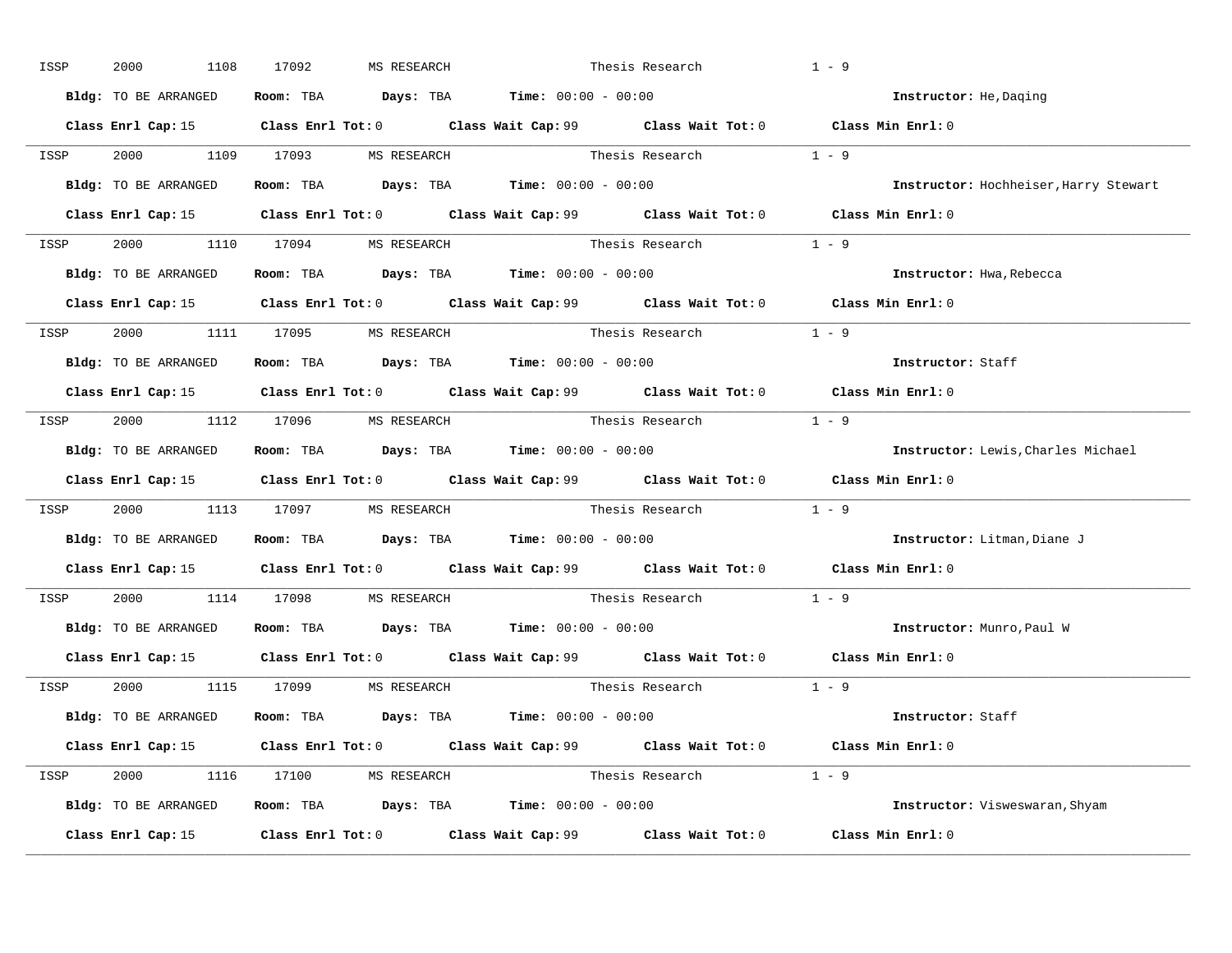| ISSP | 2000<br>1108         | 17092<br>MS RESEARCH                                         |                                                                                       | Thesis Research                                                                                     | $1 - 9$                               |
|------|----------------------|--------------------------------------------------------------|---------------------------------------------------------------------------------------|-----------------------------------------------------------------------------------------------------|---------------------------------------|
|      | Bldg: TO BE ARRANGED |                                                              | Room: TBA $\rule{1em}{0.15mm}$ Days: TBA $\rule{1.5mm}{0.15mm}$ Time: $00:00 - 00:00$ |                                                                                                     | Instructor: He, Daqing                |
|      |                      |                                                              |                                                                                       | Class Enrl Cap: 15 Class Enrl Tot: 0 Class Wait Cap: 99 Class Wait Tot: 0 Class Min Enrl: 0         |                                       |
|      |                      |                                                              |                                                                                       | ISSP 2000 1109 17093 MSRESEARCH Thesis Research 1 - 9                                               |                                       |
|      | Bldg: TO BE ARRANGED |                                                              | Room: TBA $\rule{1em}{0.15mm}$ Days: TBA Time: $00:00 - 00:00$                        |                                                                                                     | Instructor: Hochheiser, Harry Stewart |
|      |                      |                                                              |                                                                                       | Class Enrl Cap: 15 Class Enrl Tot: 0 Class Wait Cap: 99 Class Wait Tot: 0 Class Min Enrl: 0         |                                       |
|      |                      | ISSP 2000 1110 17094 MS RESEARCH                             |                                                                                       | Thesis Research $1 - 9$                                                                             |                                       |
|      |                      | Bldg: TO BE ARRANGED Room: TBA Days: TBA Time: 00:00 - 00:00 |                                                                                       |                                                                                                     | Instructor: Hwa, Rebecca              |
|      |                      |                                                              |                                                                                       | Class Enrl Cap: 15 Class Enrl Tot: 0 Class Wait Cap: 99 Class Wait Tot: 0 Class Min Enrl: 0         |                                       |
|      |                      | ISSP 2000 1111 17095 MS RESEARCH                             |                                                                                       | Thesis Research 1 - 9                                                                               |                                       |
|      | Bldg: TO BE ARRANGED |                                                              | Room: TBA $\rule{1em}{0.15mm}$ Days: TBA Time: $00:00 - 00:00$                        |                                                                                                     | Instructor: Staff                     |
|      |                      |                                                              |                                                                                       | Class Enrl Cap: 15 Class Enrl Tot: 0 Class Wait Cap: 99 Class Wait Tot: 0 Class Min Enrl: 0         |                                       |
|      |                      | ISSP 2000 1112 17096 MS RESEARCH                             |                                                                                       | Thesis Research $1 - 9$                                                                             |                                       |
|      | Bldg: TO BE ARRANGED |                                                              | Room: TBA $\rule{1em}{0.15mm}$ Days: TBA $\rule{1.5mm}{0.15mm}$ Time: $00:00 - 00:00$ |                                                                                                     | Instructor: Lewis, Charles Michael    |
|      |                      |                                                              |                                                                                       | Class Enrl Cap: 15 Class Enrl Tot: 0 Class Wait Cap: 99 Class Wait Tot: 0 Class Min Enrl: 0         |                                       |
| ISSP |                      |                                                              |                                                                                       | 2000 1113 17097 MS RESEARCH Thesis Research 1 - 9                                                   |                                       |
|      |                      | Bldg: TO BE ARRANGED ROOM: TBA Days: TBA Time: 00:00 - 00:00 |                                                                                       |                                                                                                     | Instructor: Litman, Diane J           |
|      |                      |                                                              |                                                                                       | Class Enrl Cap: 15 Class Enrl Tot: 0 Class Wait Cap: 99 Class Wait Tot: 0 Class Min Enrl: 0         |                                       |
| ISSP |                      | 2000 1114 17098 MS RESEARCH                                  |                                                                                       | Thesis Research                                                                                     | $1 - 9$                               |
|      |                      | Bldg: TO BE ARRANGED Room: TBA Days: TBA Time: 00:00 - 00:00 |                                                                                       |                                                                                                     | Instructor: Munro, Paul W             |
|      | Class Enrl Cap: 15   |                                                              |                                                                                       | Class Enrl Tot: 0 $\qquad$ Class Wait Cap: 99 $\qquad$ Class Wait Tot: 0 $\qquad$ Class Min Enrl: 0 |                                       |
|      |                      | ISSP 2000 1115 17099 MS RESEARCH                             |                                                                                       | Thesis Research                                                                                     | $1 - 9$                               |
|      | Bldg: TO BE ARRANGED |                                                              | Room: TBA $\rule{1em}{0.15mm}$ Days: TBA Time: $00:00 - 00:00$                        |                                                                                                     | Instructor: Staff                     |
|      |                      |                                                              |                                                                                       | Class Enrl Cap: 15 Class Enrl Tot: 0 Class Wait Cap: 99 Class Wait Tot: 0 Class Min Enrl: 0         |                                       |
|      |                      | ISSP 2000 1116 17100 MS RESEARCH                             |                                                                                       | Thesis Research $1 - 9$                                                                             |                                       |
|      |                      | Bldg: TO BE ARRANGED Room: TBA Days: TBA Time: 00:00 - 00:00 |                                                                                       |                                                                                                     | Instructor: Visweswaran, Shyam        |
|      |                      |                                                              |                                                                                       | Class Enrl Cap: 15 Class Enrl Tot: 0 Class Wait Cap: 99 Class Wait Tot: 0                           | Class Min Enrl: 0                     |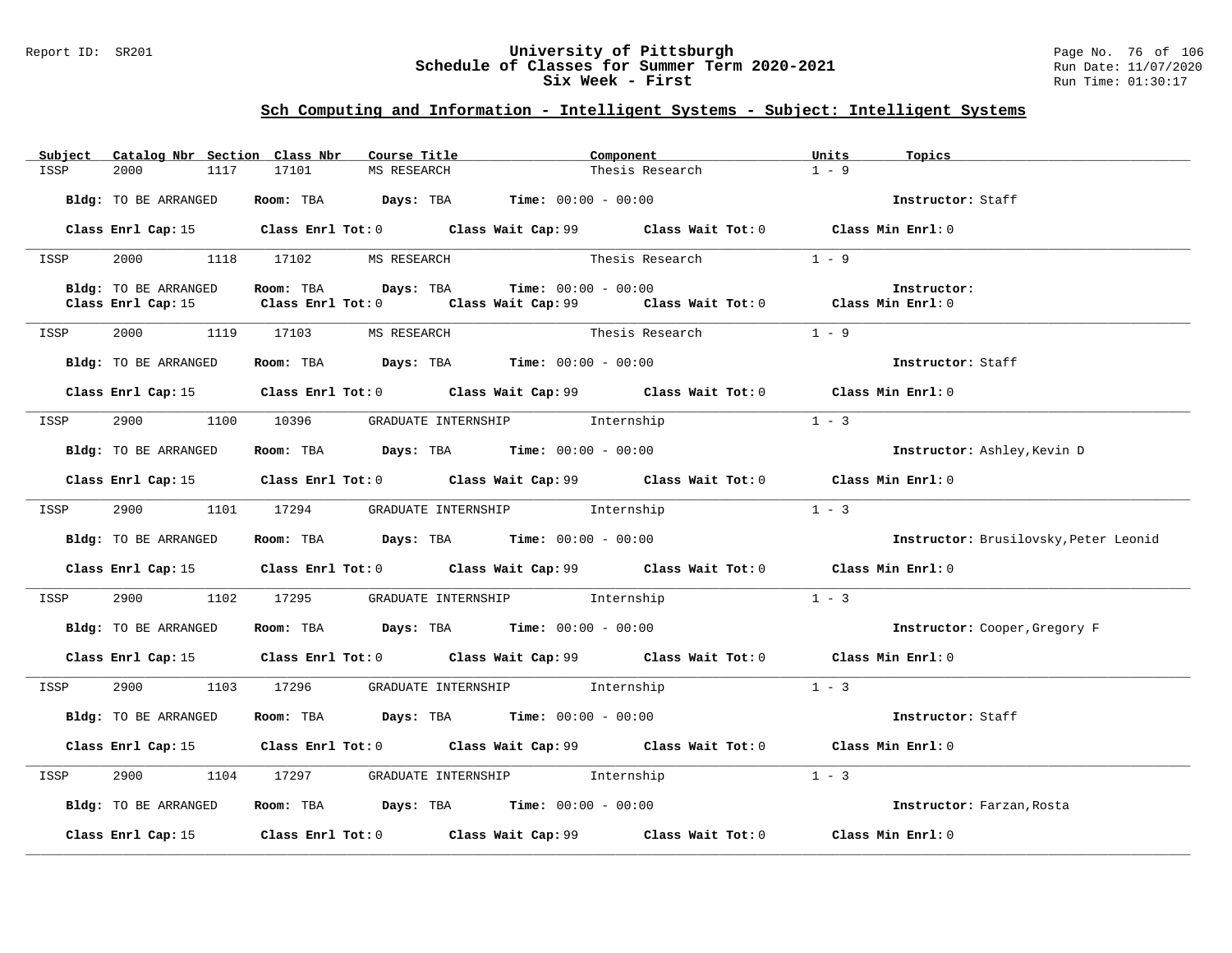### Report ID: SR201 **University of Pittsburgh** Page No. 76 of 106 **Schedule of Classes for Summer Term 2020-2021** Run Date: 11/07/2020 **Six Week - First Run Time: 01:30:17**

| Subject | Catalog Nbr Section Class Nbr |               | Course Title        | Component                                                                             |                                                                                             | Units   | Topics                                |
|---------|-------------------------------|---------------|---------------------|---------------------------------------------------------------------------------------|---------------------------------------------------------------------------------------------|---------|---------------------------------------|
| ISSP    | 2000                          | 17101<br>1117 | MS RESEARCH         |                                                                                       | Thesis Research                                                                             | $1 - 9$ |                                       |
|         |                               |               |                     |                                                                                       |                                                                                             |         |                                       |
|         | Bldg: TO BE ARRANGED          |               |                     | Room: TBA $Days:$ TBA $Time: 00:00 - 00:00$                                           |                                                                                             |         | Instructor: Staff                     |
|         |                               |               |                     |                                                                                       |                                                                                             |         |                                       |
|         |                               |               |                     |                                                                                       | Class Enrl Cap: 15 Class Enrl Tot: 0 Class Wait Cap: 99 Class Wait Tot: 0 Class Min Enrl: 0 |         |                                       |
|         |                               |               |                     |                                                                                       |                                                                                             |         |                                       |
| ISSP    | 2000 1118 17102 MS RESEARCH   |               |                     |                                                                                       | Thesis Research                                                                             | $1 - 9$ |                                       |
|         |                               |               |                     |                                                                                       |                                                                                             |         |                                       |
|         | Bldg: TO BE ARRANGED          |               | Room: TBA Days: TBA | $Time: 00:00 - 00:00$                                                                 |                                                                                             |         | Instructor:                           |
|         |                               |               |                     |                                                                                       | Class Enrl Cap: 15 Class Enrl Tot: 0 Class Wait Cap: 99 Class Wait Tot: 0 Class Min Enrl: 0 |         |                                       |
|         |                               |               |                     |                                                                                       |                                                                                             |         |                                       |
| ISSP    | 2000 1119 17103 MS RESEARCH   |               |                     |                                                                                       | Thesis Research $1 - 9$                                                                     |         |                                       |
|         |                               |               |                     |                                                                                       |                                                                                             |         |                                       |
|         | Bldg: TO BE ARRANGED          |               |                     | Room: TBA $Days: TBA$ Time: $00:00 - 00:00$                                           |                                                                                             |         | Instructor: Staff                     |
|         |                               |               |                     |                                                                                       |                                                                                             |         |                                       |
|         |                               |               |                     |                                                                                       | Class Enrl Cap: 15 Class Enrl Tot: 0 Class Wait Cap: 99 Class Wait Tot: 0 Class Min Enrl: 0 |         |                                       |
|         |                               |               |                     |                                                                                       |                                                                                             |         |                                       |
| ISSP    |                               |               |                     | 2900 1100 10396 GRADUATE INTERNSHIP Internship                                        |                                                                                             | $1 - 3$ |                                       |
|         |                               |               |                     |                                                                                       |                                                                                             |         |                                       |
|         | Bldg: TO BE ARRANGED          |               |                     | Room: TBA $Days:$ TBA $Time:$ 00:00 - 00:00                                           |                                                                                             |         | Instructor: Ashley, Kevin D           |
|         |                               |               |                     |                                                                                       |                                                                                             |         |                                       |
|         |                               |               |                     |                                                                                       | Class Enrl Cap: 15 Class Enrl Tot: 0 Class Wait Cap: 99 Class Wait Tot: 0 Class Min Enrl: 0 |         |                                       |
|         |                               |               |                     |                                                                                       |                                                                                             |         |                                       |
| ISSP    | 2900                          |               |                     | 1101 17294 GRADUATE INTERNSHIP Internship                                             |                                                                                             | $1 - 3$ |                                       |
|         |                               |               |                     |                                                                                       |                                                                                             |         |                                       |
|         |                               |               |                     |                                                                                       |                                                                                             |         |                                       |
|         | Bldg: TO BE ARRANGED          |               |                     | Room: TBA $\rule{1em}{0.15mm}$ Days: TBA $\rule{1.5mm}{0.15mm}$ Time: $00:00 - 00:00$ |                                                                                             |         | Instructor: Brusilovsky, Peter Leonid |
|         |                               |               |                     |                                                                                       |                                                                                             |         |                                       |
|         |                               |               |                     |                                                                                       | Class Enrl Cap: 15 Class Enrl Tot: 0 Class Wait Cap: 99 Class Wait Tot: 0 Class Min Enrl: 0 |         |                                       |
|         |                               |               |                     |                                                                                       |                                                                                             |         |                                       |
| ISSP    |                               |               |                     | 2900 1102 17295 GRADUATE INTERNSHIP Internship                                        |                                                                                             | $1 - 3$ |                                       |
|         |                               |               |                     |                                                                                       |                                                                                             |         |                                       |
|         | Bldg: TO BE ARRANGED          |               |                     | Room: TBA $Days:$ TBA $Time: 00:00 - 00:00$                                           |                                                                                             |         | Instructor: Cooper, Gregory F         |
|         |                               |               |                     |                                                                                       |                                                                                             |         |                                       |
|         |                               |               |                     |                                                                                       | Class Enrl Cap: 15 Class Enrl Tot: 0 Class Wait Cap: 99 Class Wait Tot: 0 Class Min Enrl: 0 |         |                                       |
|         |                               |               |                     |                                                                                       |                                                                                             |         |                                       |
| ISSP    |                               |               |                     | 2900 1103 17296 GRADUATE INTERNSHIP Internship                                        |                                                                                             | $1 - 3$ |                                       |
|         |                               |               |                     |                                                                                       |                                                                                             |         |                                       |
|         | Bldg: TO BE ARRANGED          |               |                     | Room: TBA $Days:$ TBA $Time: 00:00 - 00:00$                                           |                                                                                             |         | Instructor: Staff                     |
|         |                               |               |                     |                                                                                       |                                                                                             |         |                                       |
|         |                               |               |                     |                                                                                       | Class Enrl Cap: 15 Class Enrl Tot: 0 Class Wait Cap: 99 Class Wait Tot: 0 Class Min Enrl: 0 |         |                                       |
|         |                               |               |                     |                                                                                       |                                                                                             |         |                                       |
| ISSP    | 2900 7                        |               |                     | 1104 17297 GRADUATE INTERNSHIP Internship                                             |                                                                                             | $1 - 3$ |                                       |
|         |                               |               |                     |                                                                                       |                                                                                             |         |                                       |
|         | Bldg: TO BE ARRANGED          |               |                     | Room: TBA $\rule{1em}{0.15mm}$ Days: TBA $\rule{1.5mm}{0.15mm}$ Time: $00:00 - 00:00$ |                                                                                             |         | Instructor: Farzan, Rosta             |
|         |                               |               |                     |                                                                                       |                                                                                             |         |                                       |
|         |                               |               |                     |                                                                                       | Class Enrl Cap: 15 (Class Enrl Tot: 0 (Class Wait Cap: 99 (Class Wait Tot: 0                |         | Class Min Enrl: 0                     |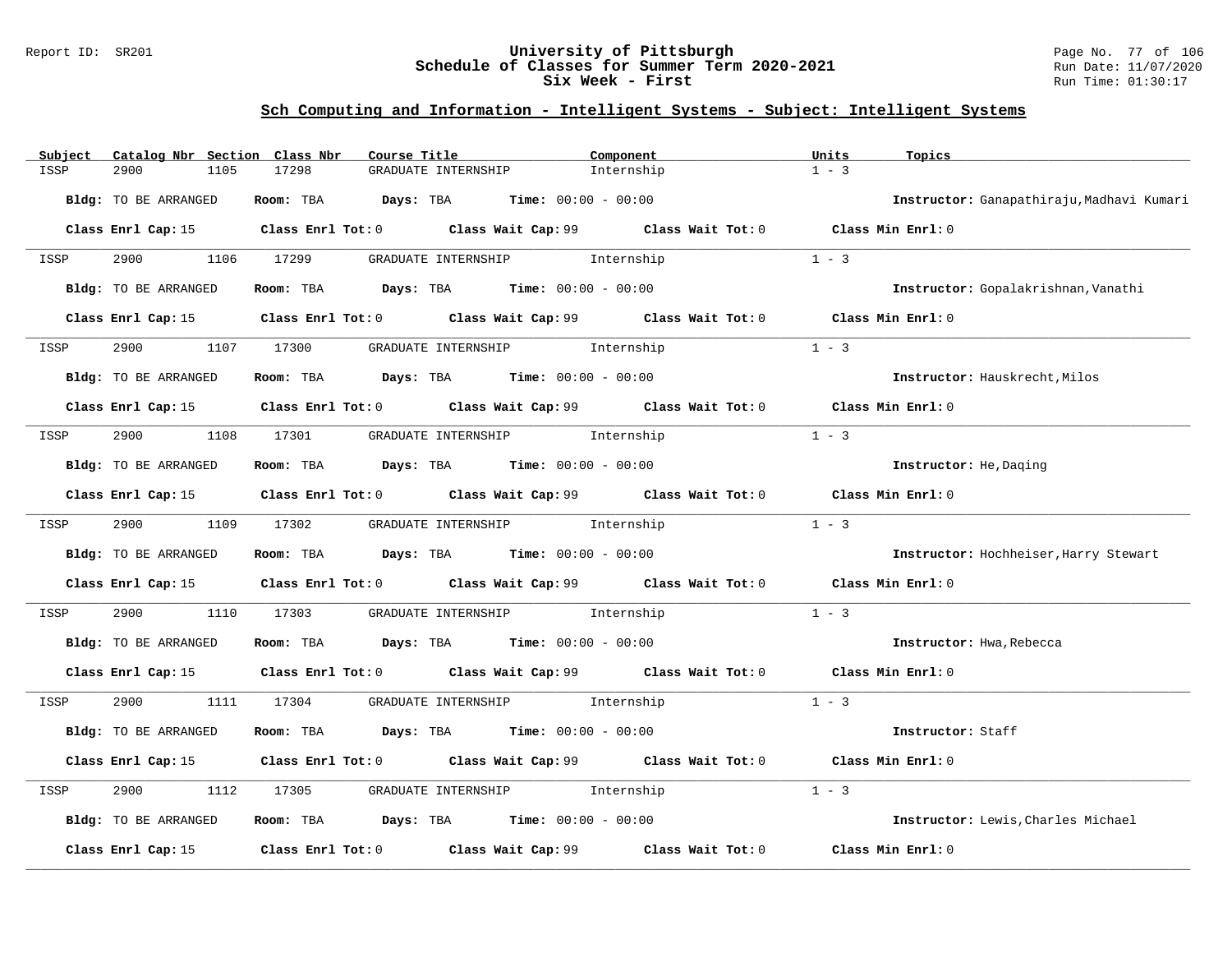### Report ID: SR201 **University of Pittsburgh** Page No. 77 of 106 **Schedule of Classes for Summer Term 2020-2021** Run Date: 11/07/2020 **Six Week - First Run Time: 01:30:17**

| Subject<br>Catalog Nbr Section Class Nbr | Course Title                                                                                | Component  | Units<br>Topics                           |
|------------------------------------------|---------------------------------------------------------------------------------------------|------------|-------------------------------------------|
| ISSP<br>2900<br>1105                     | 17298<br>GRADUATE INTERNSHIP                                                                | Internship | $1 - 3$                                   |
| Bldg: TO BE ARRANGED                     | Room: TBA $\rule{1em}{0.15mm}$ Days: TBA $\rule{1em}{0.15mm}$ Time: $00:00 - 00:00$         |            | Instructor: Ganapathiraju, Madhavi Kumari |
|                                          | Class Enrl Cap: 15 Class Enrl Tot: 0 Class Wait Cap: 99 Class Wait Tot: 0 Class Min Enrl: 0 |            |                                           |
| 2900 1106 17299<br>ISSP                  | GRADUATE INTERNSHIP 1nternship                                                              |            | $1 - 3$                                   |
| Bldg: TO BE ARRANGED                     | Room: TBA $Days:$ TBA $Time: 00:00 - 00:00$                                                 |            | Instructor: Gopalakrishnan, Vanathi       |
| Class Enrl Cap: 15                       | Class Enrl Tot: 0 Class Wait Cap: 99 Class Wait Tot: 0                                      |            | Class Min Enrl: 0                         |
| 2900<br>1107<br>ISSP                     | GRADUATE INTERNSHIP 1nternship<br>17300                                                     |            | $1 - 3$                                   |
| Bldg: TO BE ARRANGED                     | Room: TBA $Days:$ TBA $Time: 00:00 - 00:00$                                                 |            | Instructor: Hauskrecht, Milos             |
|                                          | Class Enrl Cap: 15 Class Enrl Tot: 0 Class Wait Cap: 99 Class Wait Tot: 0 Class Min Enrl: 0 |            |                                           |
| ISSP                                     | 2900 1108 17301 GRADUATE INTERNSHIP Internship                                              |            | $1 - 3$                                   |
| Bldg: TO BE ARRANGED                     | Room: TBA Days: TBA Time: $00:00 - 00:00$                                                   |            | Instructor: He, Daging                    |
|                                          | Class Enrl Cap: 15 Class Enrl Tot: 0 Class Wait Cap: 99 Class Wait Tot: 0 Class Min Enrl: 0 |            |                                           |
| ISSP                                     | GRADUATE INTERNSHIP 1nternship<br>1109 17302                                                |            | $1 - 3$                                   |
| Bldg: TO BE ARRANGED                     | Room: TBA $Days:$ TBA $Time: 00:00 - 00:00$                                                 |            | Instructor: Hochheiser, Harry Stewart     |
|                                          | Class Enrl Cap: 15 Class Enrl Tot: 0 Class Wait Cap: 99 Class Wait Tot: 0                   |            | Class Min Enrl: 0                         |
| 2900<br>ISSP                             | 1110 17303<br>GRADUATE INTERNSHIP 1nternship                                                |            | $1 - 3$                                   |
| Bldg: TO BE ARRANGED                     | Room: TBA $Days:$ TBA Time: $00:00 - 00:00$                                                 |            | Instructor: Hwa, Rebecca                  |
|                                          | Class Enrl Cap: 15 Class Enrl Tot: 0 Class Wait Cap: 99 Class Wait Tot: 0 Class Min Enrl: 0 |            |                                           |
| 2900 1111 17304<br>ISSP                  | GRADUATE INTERNSHIP 1nternship                                                              |            | $1 - 3$                                   |
| Bldg: TO BE ARRANGED                     | Room: TBA $Days:$ TBA $Time: 00:00 - 00:00$                                                 |            | Instructor: Staff                         |
|                                          | Class Enrl Cap: 15 Class Enrl Tot: 0 Class Wait Cap: 99 Class Wait Tot: 0 Class Min Enrl: 0 |            |                                           |
| 2900<br>1112<br>ISSP                     | GRADUATE INTERNSHIP 1nternship<br>17305                                                     |            | $1 - 3$                                   |
| Bldg: TO BE ARRANGED                     | Room: TBA $Days:$ TBA $Time: 00:00 - 00:00$                                                 |            | Instructor: Lewis, Charles Michael        |
| Class Enrl Cap: 15                       | Class Enrl Tot: $0$ Class Wait Cap: $99$ Class Wait Tot: $0$                                |            | Class Min Enrl: 0                         |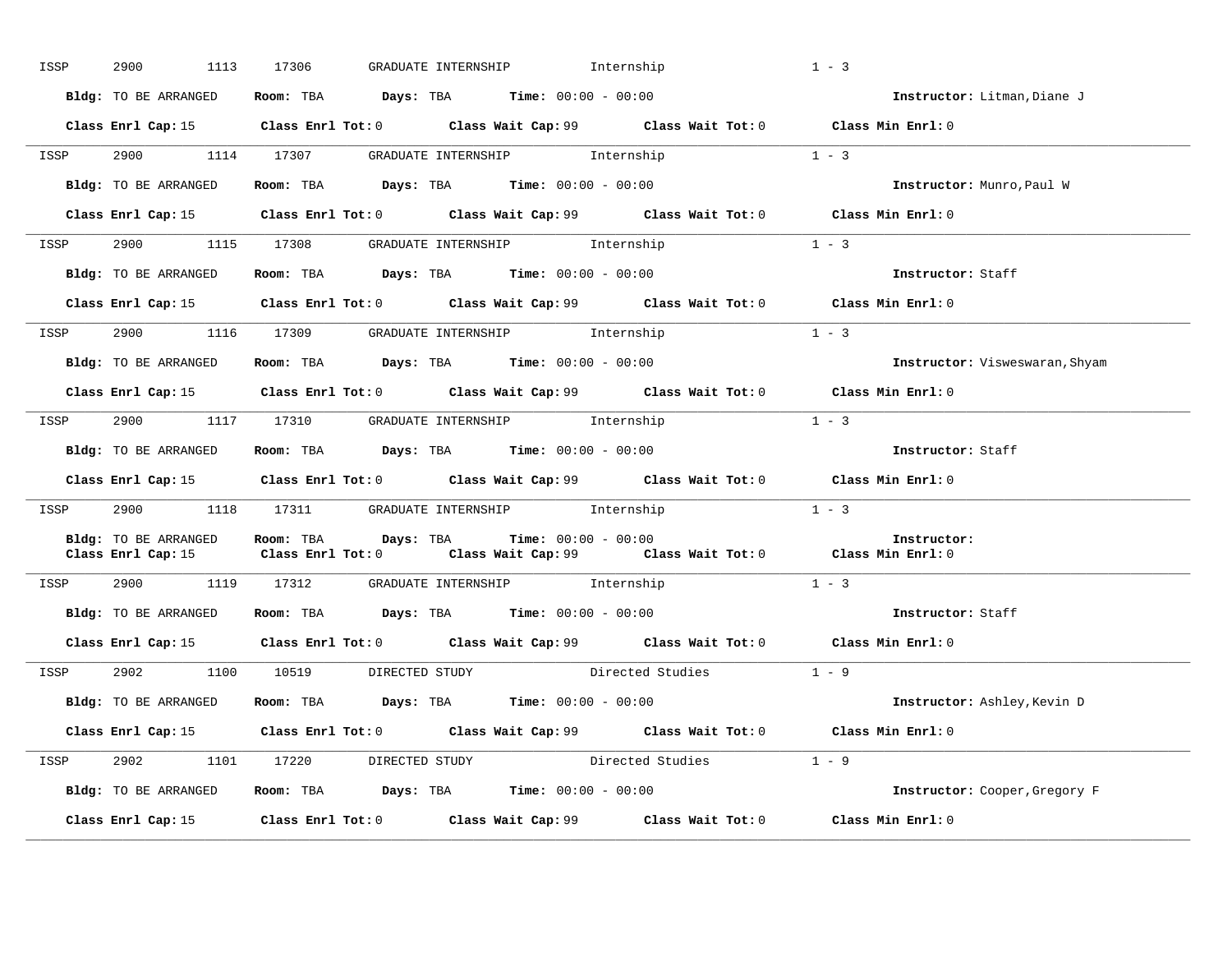| ISSP | 2900<br>1113         | GRADUATE INTERNSHIP 1nternship<br>17306                                                                                                     |                        | $1 - 3$                        |
|------|----------------------|---------------------------------------------------------------------------------------------------------------------------------------------|------------------------|--------------------------------|
|      | Bldg: TO BE ARRANGED | Room: TBA $Days:$ TBA $Time: 00:00 - 00:00$                                                                                                 |                        | Instructor: Litman, Diane J    |
|      |                      | Class Enrl Cap: 15 Class Enrl Tot: 0 Class Wait Cap: 99 Class Wait Tot: 0 Class Min Enrl: 0                                                 |                        |                                |
|      |                      | ISSP 2900 1114 17307 GRADUATE INTERNSHIP Internship                                                                                         | $1 - 3$                |                                |
|      |                      | Bldg: TO BE ARRANGED Room: TBA Days: TBA Time: 00:00 - 00:00                                                                                |                        | Instructor: Munro, Paul W      |
|      |                      | Class Enrl Cap: 15 Class Enrl Tot: 0 Class Wait Cap: 99 Class Wait Tot: 0 Class Min Enrl: 0                                                 |                        |                                |
|      |                      | ISSP 2900 1115 17308 GRADUATE INTERNSHIP Internship                                                                                         |                        | $1 - 3$                        |
|      | Bldg: TO BE ARRANGED | Room: TBA $Days:$ TBA $Time: 00:00 - 00:00$                                                                                                 |                        | Instructor: Staff              |
|      |                      | Class Enrl Cap: 15 Class Enrl Tot: 0 Class Wait Cap: 99 Class Wait Tot: 0 Class Min Enrl: 0                                                 |                        |                                |
| ISSP |                      | 2900 1116 17309 GRADUATE INTERNSHIP Internship                                                                                              |                        | $1 - 3$                        |
|      |                      | Bldg: TO BE ARRANGED ROOM: TBA Days: TBA Time: 00:00 - 00:00                                                                                |                        | Instructor: Visweswaran, Shyam |
|      |                      | Class Enrl Cap: 15 Class Enrl Tot: 0 Class Wait Cap: 99 Class Wait Tot: 0 Class Min Enrl: 0                                                 |                        |                                |
| ISSP |                      | 2900 1117 17310 GRADUATE INTERNSHIP Internship                                                                                              |                        | $1 - 3$                        |
|      | Bldg: TO BE ARRANGED | Room: TBA $\rule{1em}{0.15mm}$ Days: TBA $\rule{1.5mm}{0.15mm}$ Time: $00:00 - 00:00$                                                       |                        | Instructor: Staff              |
|      |                      | Class Enrl Cap: 15 Class Enrl Tot: 0 Class Wait Cap: 99 Class Wait Tot: 0 Class Min Enrl: 0                                                 |                        |                                |
|      |                      | ISSP 2900 1118 17311 GRADUATE INTERNSHIP Internship                                                                                         |                        | $1 - 3$                        |
|      | Bldg: TO BE ARRANGED | Room: TBA Days: TBA<br>$Time: 00:00 - 00:00$<br>Class Enrl Cap: 15 Class Enrl Tot: 0 Class Wait Cap: 99 Class Wait Tot: 0 Class Min Enrl: 0 |                        | Instructor:                    |
| ISSP |                      | 2900 1119 17312 GRADUATE INTERNSHIP Internship                                                                                              |                        | $1 - 3$                        |
|      |                      | Bldg: TO BE ARRANGED Room: TBA Days: TBA Time: 00:00 - 00:00                                                                                |                        | Instructor: Staff              |
|      |                      | Class Enrl Cap: 15 Class Enrl Tot: 0 Class Wait Cap: 99 Class Wait Tot: 0 Class Min Enrl: 0                                                 |                        |                                |
| ISSP |                      | 2902 1100 10519 DIRECTED STUDY Directed Studies 1 - 9                                                                                       |                        |                                |
|      |                      | Bldg: TO BE ARRANGED Room: TBA Days: TBA Time: 00:00 - 00:00                                                                                |                        | Instructor: Ashley, Kevin D    |
|      |                      | Class Enrl Cap: 15 Class Enrl Tot: 0 Class Wait Cap: 99 Class Wait Tot: 0 Class Min Enrl: 0                                                 |                        |                                |
|      |                      | ISSP 2902 1101 17220 DIRECTED STUDY                                                                                                         | Directed Studies 1 - 9 |                                |
|      | Bldg: TO BE ARRANGED | Room: TBA $Days:$ TBA $Time: 00:00 - 00:00$                                                                                                 |                        | Instructor: Cooper, Gregory F  |
|      |                      | Class Enrl Cap: 15 (class Enrl Tot: 0 ) (class Wait Cap: 99 (class Wait Tot: 0                                                              |                        | Class Min Enrl: 0              |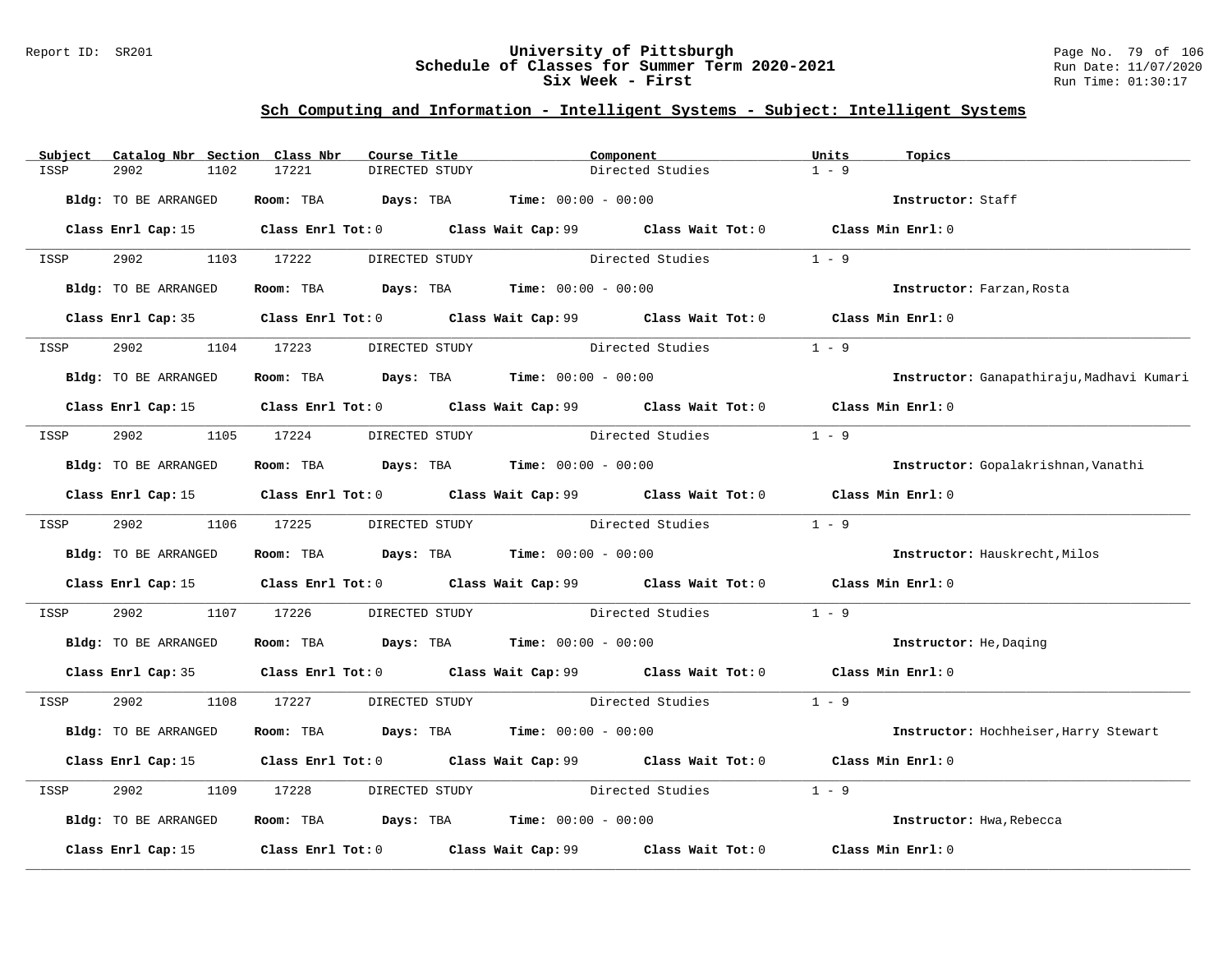### Report ID: SR201 **University of Pittsburgh** Page No. 79 of 106 **Schedule of Classes for Summer Term 2020-2021** Run Date: 11/07/2020 **Six Week - First Run Time: 01:30:17**

| Subject | Catalog Nbr Section Class Nbr | Course Title                                                   |                | Component                                                                                   | Units<br>Topics                           |  |
|---------|-------------------------------|----------------------------------------------------------------|----------------|---------------------------------------------------------------------------------------------|-------------------------------------------|--|
| ISSP    | 2902<br>1102                  | 17221<br>DIRECTED STUDY                                        |                | Directed Studies                                                                            | $1 - 9$                                   |  |
|         | Bldg: TO BE ARRANGED          | Room: TBA $Days:$ TBA $Time: 00:00 - 00:00$                    |                |                                                                                             | Instructor: Staff                         |  |
|         |                               |                                                                |                | Class Enrl Cap: 15 Class Enrl Tot: 0 Class Wait Cap: 99 Class Wait Tot: 0 Class Min Enrl: 0 |                                           |  |
| ISSP    |                               | 2902 1103 17222 DIRECTED STUDY                                 |                | Directed Studies                                                                            | $1 - 9$                                   |  |
|         | Bldg: TO BE ARRANGED          | Room: TBA $Days:$ TBA $Time: 00:00 - 00:00$                    |                |                                                                                             | Instructor: Farzan, Rosta                 |  |
|         |                               |                                                                |                | Class Enrl Cap: 35 Class Enrl Tot: 0 Class Wait Cap: 99 Class Wait Tot: 0 Class Min Enrl: 0 |                                           |  |
| ISSP    | 2902                          | 1104 17223                                                     | DIRECTED STUDY | Directed Studies                                                                            | $1 - 9$                                   |  |
|         | Bldg: TO BE ARRANGED          | Room: TBA $Days: TBA$ Time: $00:00 - 00:00$                    |                |                                                                                             | Instructor: Ganapathiraju, Madhavi Kumari |  |
|         |                               |                                                                |                | Class Enrl Cap: 15 Class Enrl Tot: 0 Class Wait Cap: 99 Class Wait Tot: 0 Class Min Enrl: 0 |                                           |  |
| ISSP    | 2902 200                      | 1105 17224                                                     | DIRECTED STUDY | Directed Studies                                                                            | $1 - 9$                                   |  |
|         | Bldg: TO BE ARRANGED          | Room: TBA $Days:$ TBA $Time: 00:00 - 00:00$                    |                |                                                                                             | Instructor: Gopalakrishnan, Vanathi       |  |
|         |                               |                                                                |                | Class Enrl Cap: 15 Class Enrl Tot: 0 Class Wait Cap: 99 Class Wait Tot: 0 Class Min Enrl: 0 |                                           |  |
| ISSP    | 2902 1106 17225               |                                                                |                | DIRECTED STUDY Directed Studies 1 - 9                                                       |                                           |  |
|         | Bldg: TO BE ARRANGED          | Room: TBA $\rule{1em}{0.15mm}$ Days: TBA Time: $00:00 - 00:00$ |                |                                                                                             | Instructor: Hauskrecht, Milos             |  |
|         |                               |                                                                |                | Class Enrl Cap: 15 Class Enrl Tot: 0 Class Wait Cap: 99 Class Wait Tot: 0 Class Min Enrl: 0 |                                           |  |
| ISSP    | 2902<br>1107                  | 17226                                                          |                | DIRECTED STUDY Directed Studies                                                             | $1 - 9$                                   |  |
|         | Bldg: TO BE ARRANGED          | Room: TBA $Days:$ TBA $Time:$ $00:00 - 00:00$                  |                |                                                                                             | Instructor: He, Daging                    |  |
|         |                               |                                                                |                | Class Enrl Cap: 35 Class Enrl Tot: 0 Class Wait Cap: 99 Class Wait Tot: 0 Class Min Enrl: 0 |                                           |  |
| ISSP    |                               |                                                                |                | 2902 1108 17227 DIRECTED STUDY Directed Studies 1 - 9                                       |                                           |  |
|         | Bldg: TO BE ARRANGED          | Room: TBA $Days: TBA$ Time: $00:00 - 00:00$                    |                |                                                                                             | Instructor: Hochheiser, Harry Stewart     |  |
|         |                               |                                                                |                | Class Enrl Cap: 15 Class Enrl Tot: 0 Class Wait Cap: 99 Class Wait Tot: 0 Class Min Enrl: 0 |                                           |  |
| ISSP    | 2902<br>1109                  | 17228                                                          |                | DIRECTED STUDY Directed Studies                                                             | $1 - 9$                                   |  |
|         | Bldg: TO BE ARRANGED          | Room: TBA $Days: TBA$ Time: $00:00 - 00:00$                    |                |                                                                                             | Instructor: Hwa, Rebecca                  |  |
|         | Class Enrl Cap: 15            |                                                                |                | Class Enrl Tot: $0$ Class Wait Cap: $99$ Class Wait Tot: $0$                                | Class Min Enrl: 0                         |  |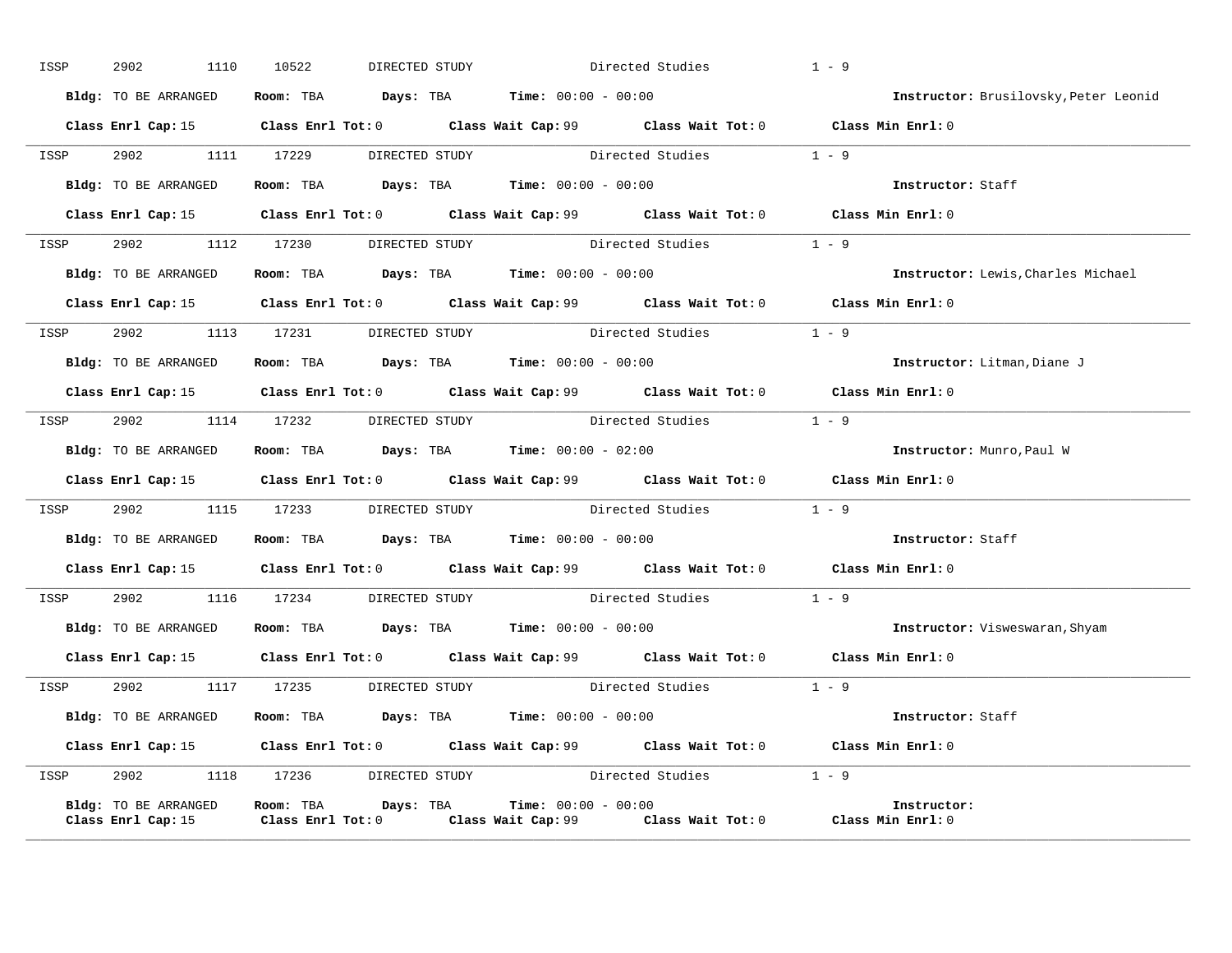| ISSP | 2902<br>1110         | 10522                                                                   | DIRECTED STUDY Directed Studies                                                             | $1 - 9$                                                                                                 |
|------|----------------------|-------------------------------------------------------------------------|---------------------------------------------------------------------------------------------|---------------------------------------------------------------------------------------------------------|
|      | Bldg: TO BE ARRANGED | Room: TBA $\rule{1em}{0.15mm}$ Days: TBA $\qquad$ Time: $00:00 - 00:00$ |                                                                                             | Instructor: Brusilovsky, Peter Leonid                                                                   |
|      |                      |                                                                         | Class Enrl Cap: 15 Class Enrl Tot: 0 Class Wait Cap: 99 Class Wait Tot: 0 Class Min Enrl: 0 |                                                                                                         |
|      |                      |                                                                         | ISSP 2902 1111 17229 DIRECTED STUDY Directed Studies 1 - 9                                  |                                                                                                         |
|      |                      | Bldg: TO BE ARRANGED Room: TBA Days: TBA Time: 00:00 - 00:00            |                                                                                             | Instructor: Staff                                                                                       |
|      |                      |                                                                         | Class Enrl Cap: 15 Class Enrl Tot: 0 Class Wait Cap: 99 Class Wait Tot: 0 Class Min Enrl: 0 |                                                                                                         |
|      |                      |                                                                         | ISSP 2902 1112 17230 DIRECTED STUDY Directed Studies 1 - 9                                  |                                                                                                         |
|      | Bldg: TO BE ARRANGED | Room: TBA $Days:$ TBA $Time: 00:00 - 00:00$                             |                                                                                             | Instructor: Lewis, Charles Michael                                                                      |
|      |                      |                                                                         | Class Enrl Cap: 15 Class Enrl Tot: 0 Class Wait Cap: 99 Class Wait Tot: 0 Class Min Enrl: 0 |                                                                                                         |
|      |                      |                                                                         | ISSP 2902 1113 17231 DIRECTED STUDY Directed Studies 1 - 9                                  |                                                                                                         |
|      |                      | Bldg: TO BE ARRANGED Room: TBA Days: TBA Time: 00:00 - 00:00            |                                                                                             | Instructor: Litman, Diane J                                                                             |
|      |                      |                                                                         | Class Enrl Cap: 15 Class Enrl Tot: 0 Class Wait Cap: 99 Class Wait Tot: 0 Class Min Enrl: 0 |                                                                                                         |
| ISSP |                      |                                                                         | 2902 1114 17232 DIRECTED STUDY Directed Studies 1 - 9                                       |                                                                                                         |
|      |                      | Bldg: TO BE ARRANGED Room: TBA Days: TBA Time: 00:00 - 02:00            |                                                                                             | Instructor: Munro, Paul W                                                                               |
|      |                      |                                                                         | Class Enrl Cap: 15 Class Enrl Tot: 0 Class Wait Cap: 99 Class Wait Tot: 0 Class Min Enrl: 0 |                                                                                                         |
|      |                      |                                                                         | ISSP 2902 1115 17233 DIRECTED STUDY Directed Studies 1 - 9                                  |                                                                                                         |
|      |                      | Bldg: TO BE ARRANGED Room: TBA Days: TBA Time: 00:00 - 00:00            |                                                                                             | <b>Instructor:</b> Staff                                                                                |
|      |                      |                                                                         | Class Enrl Cap: 15 Class Enrl Tot: 0 Class Wait Cap: 99 Class Wait Tot: 0 Class Min Enrl: 0 |                                                                                                         |
|      |                      |                                                                         | ISSP 2902 1116 17234 DIRECTED STUDY Directed Studies 1 - 9                                  |                                                                                                         |
|      |                      |                                                                         |                                                                                             | Bldg: TO BE ARRANGED Room: TBA Days: TBA Time: 00:00 - 00:00 000 100 100 Instructor: Visweswaran, Shyam |
|      |                      |                                                                         | Class Enrl Cap: 15 Class Enrl Tot: 0 Class Wait Cap: 99 Class Wait Tot: 0 Class Min Enrl: 0 |                                                                                                         |
|      |                      |                                                                         | ISSP 2902 1117 17235 DIRECTED STUDY Directed Studies 1 - 9                                  |                                                                                                         |
|      |                      | Bldg: TO BE ARRANGED Room: TBA Days: TBA Time: 00:00 - 00:00            |                                                                                             | Instructor: Staff                                                                                       |
|      |                      |                                                                         | Class Enrl Cap: 15 Class Enrl Tot: 0 Class Wait Cap: 99 Class Wait Tot: 0 Class Min Enrl: 0 |                                                                                                         |
| ISSP |                      |                                                                         | 2902 1118 17236 DIRECTED STUDY Directed Studies 1 - 9                                       |                                                                                                         |
|      | Bldg: TO BE ARRANGED | <b>Room:</b> TBA $Days: TBA$ <b>Time:</b> $00:00 - 00:00$               | Class Enrl Cap: 15 Class Enrl Tot: 0 Class Wait Cap: 99 Class Wait Tot: 0 Class Min Enrl: 0 | Instructor:                                                                                             |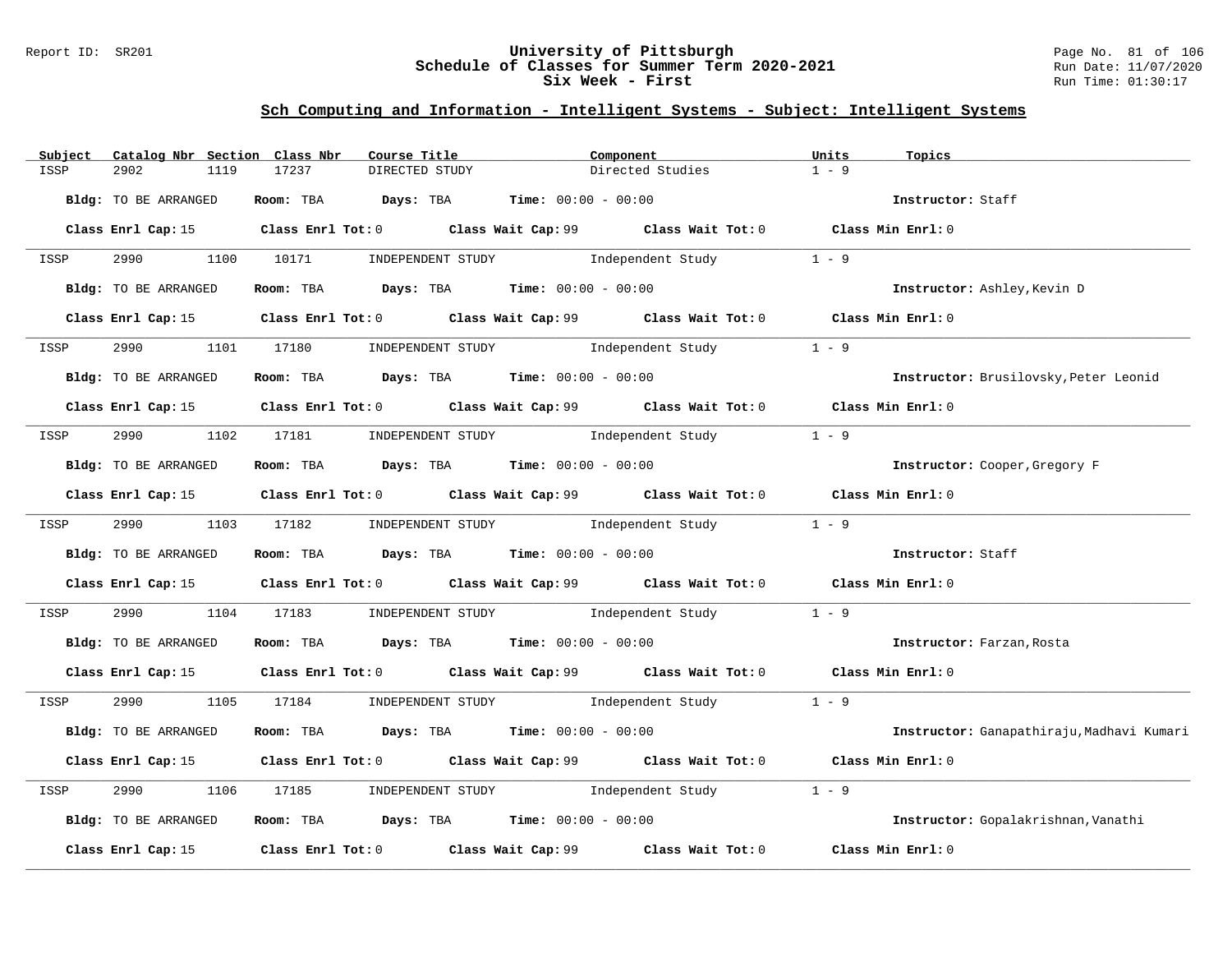### Report ID: SR201 **University of Pittsburgh** Page No. 81 of 106 **Schedule of Classes for Summer Term 2020-2021** Run Date: 11/07/2020 **Six Week - First Run Time: 01:30:17**

| Catalog Nbr Section Class Nbr<br>Subject | Course Title                                                                                | Component        | Units<br>Topics                           |
|------------------------------------------|---------------------------------------------------------------------------------------------|------------------|-------------------------------------------|
| 2902<br>1119<br>ISSP                     | 17237<br>DIRECTED STUDY                                                                     | Directed Studies | $1 - 9$                                   |
| Bldg: TO BE ARRANGED                     | Room: TBA $Days:$ TBA $Time: 00:00 - 00:00$                                                 |                  | Instructor: Staff                         |
|                                          | Class Enrl Cap: 15 Class Enrl Tot: 0 Class Wait Cap: 99 Class Wait Tot: 0 Class Min Enrl: 0 |                  |                                           |
| ISSP                                     | 2990 1100 10171 INDEPENDENT STUDY Independent Study 1 - 9                                   |                  |                                           |
| Bldg: TO BE ARRANGED                     | Room: TBA $Days: TBA$ Time: $00:00 - 00:00$                                                 |                  | Instructor: Ashley, Kevin D               |
|                                          | Class Enrl Cap: 15 Class Enrl Tot: 0 Class Wait Cap: 99 Class Wait Tot: 0 Class Min Enrl: 0 |                  |                                           |
| 2990<br>ISSP                             | 1101 17180 INDEPENDENT STUDY Independent Study                                              |                  | $1 - 9$                                   |
| Bldg: TO BE ARRANGED                     | Room: TBA $Days:$ TBA $Time: 00:00 - 00:00$                                                 |                  | Instructor: Brusilovsky, Peter Leonid     |
|                                          | Class Enrl Cap: 15 Class Enrl Tot: 0 Class Wait Cap: 99 Class Wait Tot: 0 Class Min Enrl: 0 |                  |                                           |
| ISSP                                     | 2990 1102 17181 INDEPENDENT STUDY Independent Study                                         |                  | $1 - 9$                                   |
| Bldg: TO BE ARRANGED                     | Room: TBA $Days:$ TBA $Time: 00:00 - 00:00$                                                 |                  | Instructor: Cooper, Gregory F             |
|                                          | Class Enrl Cap: 15 Class Enrl Tot: 0 Class Wait Cap: 99 Class Wait Tot: 0 Class Min Enrl: 0 |                  |                                           |
| ISSP                                     | 2990 1103 17182 INDEPENDENT STUDY Independent Study 1 - 9                                   |                  |                                           |
| Bldg: TO BE ARRANGED                     | Room: TBA $\rule{1em}{0.15mm}$ Days: TBA Time: $00:00 - 00:00$                              |                  | Instructor: Staff                         |
|                                          | Class Enrl Cap: 15 Class Enrl Tot: 0 Class Wait Cap: 99 Class Wait Tot: 0 Class Min Enrl: 0 |                  |                                           |
| 2990<br>ISSP                             | 1104 17183 INDEPENDENT STUDY Independent Study 1 - 9                                        |                  |                                           |
| Bldg: TO BE ARRANGED                     | Room: TBA $Days$ : TBA Time: $00:00 - 00:00$                                                |                  | Instructor: Farzan, Rosta                 |
|                                          | Class Enrl Cap: 15 Class Enrl Tot: 0 Class Wait Cap: 99 Class Wait Tot: 0 Class Min Enrl: 0 |                  |                                           |
| ISSP                                     | 2990 1105 17184 INDEPENDENT STUDY Independent Study 1 - 9                                   |                  |                                           |
| Bldg: TO BE ARRANGED                     | Room: TBA $Days:$ TBA $Time: 00:00 - 00:00$                                                 |                  | Instructor: Ganapathiraju, Madhavi Kumari |
|                                          | Class Enrl Cap: 15 Class Enrl Tot: 0 Class Wait Cap: 99 Class Wait Tot: 0 Class Min Enrl: 0 |                  |                                           |
| 2990<br>1106<br>ISSP                     | 17185 INDEPENDENT STUDY 1ndependent Study                                                   |                  | $1 - 9$                                   |
| Bldg: TO BE ARRANGED                     | Room: TBA $Days:$ TBA $Time: 00:00 - 00:00$                                                 |                  | Instructor: Gopalakrishnan, Vanathi       |
|                                          | Class Enrl Cap: 15 (class Enrl Tot: 0 (class Wait Cap: 99 (class Wait Tot: 0                |                  | Class Min Enrl: 0                         |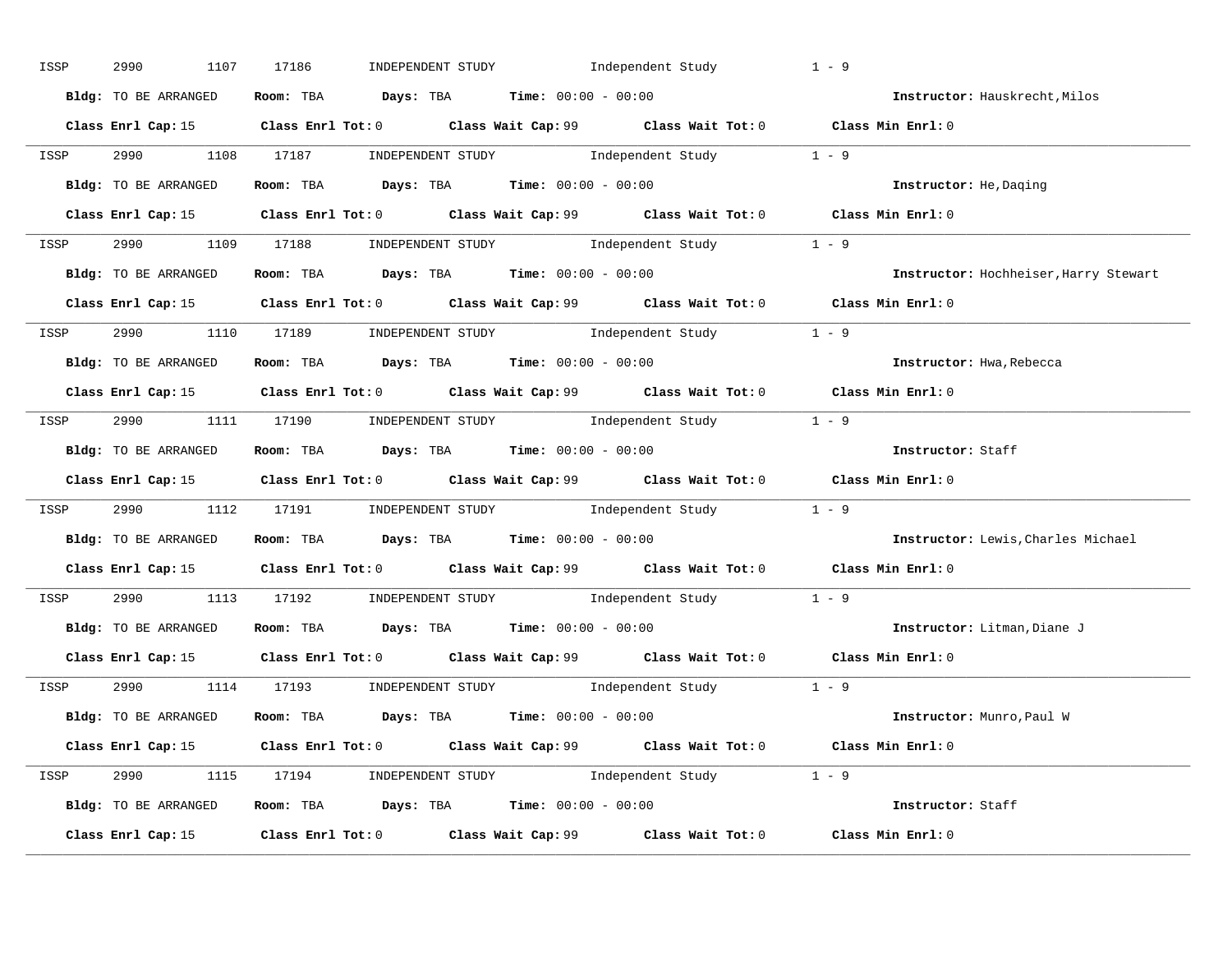| ISSP | 2990<br>1107         | INDEPENDENT STUDY 1ndependent Study<br>17186                                                | $1 - 9$                               |
|------|----------------------|---------------------------------------------------------------------------------------------|---------------------------------------|
|      | Bldg: TO BE ARRANGED | Room: TBA $Days:$ TBA $Time:$ $00:00 - 00:00$                                               | Instructor: Hauskrecht, Milos         |
|      |                      | Class Enrl Cap: 15 Class Enrl Tot: 0 Class Wait Cap: 99 Class Wait Tot: 0 Class Min Enrl: 0 |                                       |
|      |                      | ISSP 2990 1108 17187 INDEPENDENT STUDY Independent Study 1 - 9                              |                                       |
|      | Bldg: TO BE ARRANGED | Room: TBA $Days:$ TBA Time: $00:00 - 00:00$                                                 | Instructor: He, Daging                |
|      |                      | Class Enrl Cap: 15 Class Enrl Tot: 0 Class Wait Cap: 99 Class Wait Tot: 0 Class Min Enrl: 0 |                                       |
|      |                      | ISSP 2990 1109 17188 INDEPENDENT STUDY Independent Study 1 - 9                              |                                       |
|      |                      | Bldg: TO BE ARRANGED ROOM: TBA Days: TBA Time: 00:00 - 00:00                                | Instructor: Hochheiser, Harry Stewart |
|      |                      | Class Enrl Cap: 15 Class Enrl Tot: 0 Class Wait Cap: 99 Class Wait Tot: 0 Class Min Enrl: 0 |                                       |
|      |                      | ISSP 2990 1110 17189 INDEPENDENT STUDY Independent Study 1 - 9                              |                                       |
|      | Bldg: TO BE ARRANGED | Room: TBA $Days:$ TBA $Time:$ $00:00 - 00:00$                                               | Instructor: Hwa, Rebecca              |
|      |                      | Class Enrl Cap: 15 Class Enrl Tot: 0 Class Wait Cap: 99 Class Wait Tot: 0 Class Min Enrl: 0 |                                       |
|      |                      | ISSP 2990 1111 17190 INDEPENDENT STUDY Independent Study 1 - 9                              |                                       |
|      |                      | <b>Bldg:</b> TO BE ARRANGED <b>ROOM:</b> TBA <b>Days:</b> TBA <b>Time:</b> $00:00 - 00:00$  | Instructor: Staff                     |
|      |                      | Class Enrl Cap: 15 Class Enrl Tot: 0 Class Wait Cap: 99 Class Wait Tot: 0 Class Min Enrl: 0 |                                       |
| ISSP |                      | 2990 1112 17191 INDEPENDENT STUDY Independent Study 1 - 9                                   |                                       |
|      |                      | Bldg: TO BE ARRANGED Room: TBA Days: TBA Time: 00:00 - 00:00                                | Instructor: Lewis, Charles Michael    |
|      |                      | Class Enrl Cap: 15 Class Enrl Tot: 0 Class Wait Cap: 99 Class Wait Tot: 0 Class Min Enrl: 0 |                                       |
| ISSP |                      | 2990 1113 17192 INDEPENDENT STUDY Independent Study 1 - 9                                   |                                       |
|      |                      | Bldg: TO BE ARRANGED Room: TBA Days: TBA Time: 00:00 - 00:00                                | Instructor: Litman, Diane J           |
|      |                      | Class Enrl Cap: 15 Class Enrl Tot: 0 Class Wait Cap: 99 Class Wait Tot: 0 Class Min Enrl: 0 |                                       |
|      |                      | ISSP 2990 1114 17193 INDEPENDENT STUDY Independent Study 1 - 9                              |                                       |
|      |                      | Bldg: TO BE ARRANGED Room: TBA Days: TBA Time: 00:00 - 00:00                                | Instructor: Munro, Paul W             |
|      |                      | Class Enrl Cap: 15 Class Enrl Tot: 0 Class Wait Cap: 99 Class Wait Tot: 0 Class Min Enrl: 0 |                                       |
|      |                      | ISSP 2990 1115 17194 INDEPENDENT STUDY Independent Study 1 - 9                              |                                       |
|      |                      | Bldg: TO BE ARRANGED Room: TBA Days: TBA Time: 00:00 - 00:00                                |                                       |
|      |                      |                                                                                             | Instructor: Staff                     |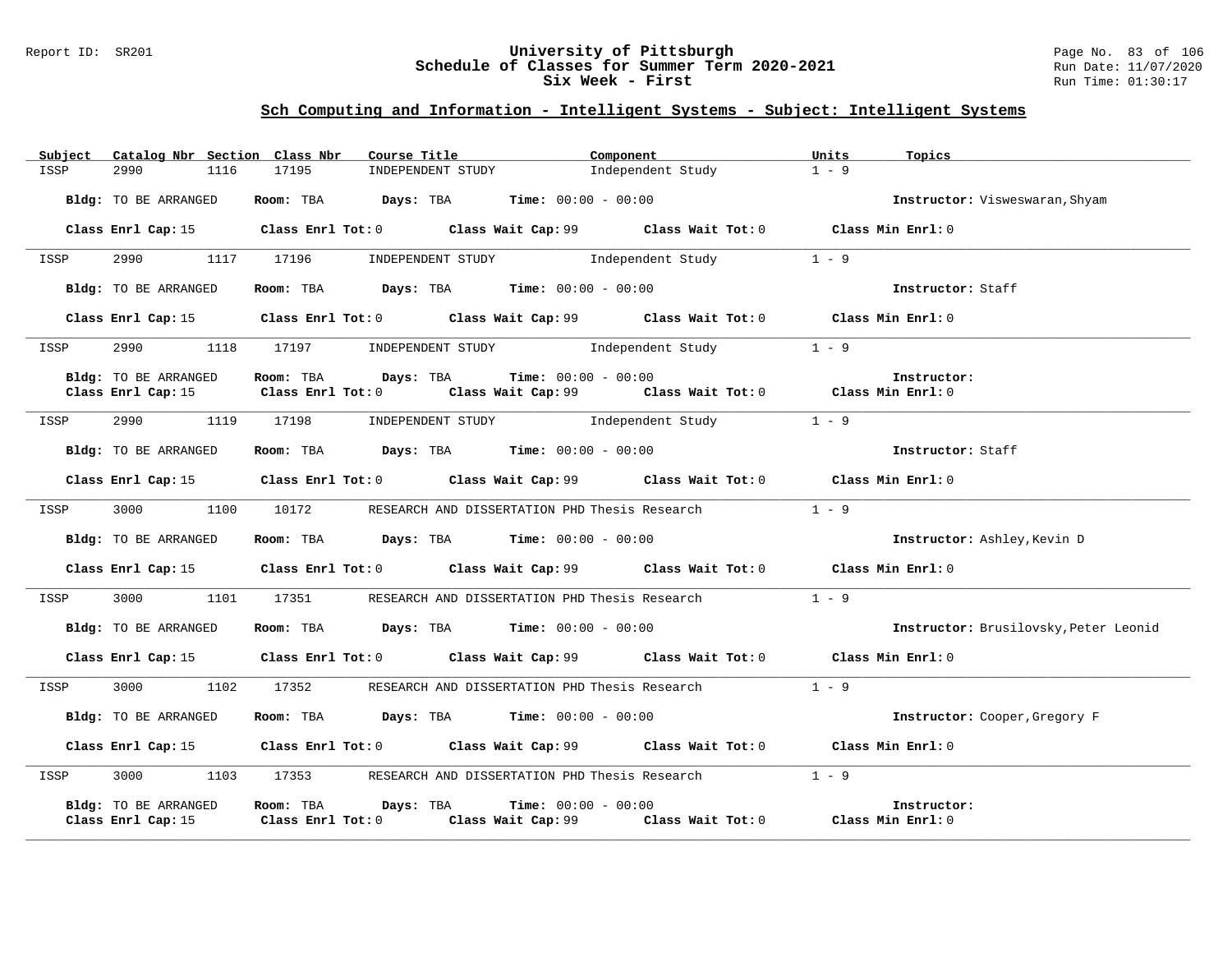### Report ID: SR201 **University of Pittsburgh** Page No. 83 of 106 **Schedule of Classes for Summer Term 2020-2021** Run Date: 11/07/2020 **Six Week - First Run Time: 01:30:17**

| Subject | Catalog Nbr Section Class Nbr              |                                                | Course Title                                           | Component                    |                                                                                                  | Units             | Topics                                |
|---------|--------------------------------------------|------------------------------------------------|--------------------------------------------------------|------------------------------|--------------------------------------------------------------------------------------------------|-------------------|---------------------------------------|
| ISSP    | 2990<br>1116                               | 17195                                          | INDEPENDENT STUDY                                      |                              | Independent Study                                                                                | $1 - 9$           |                                       |
|         | Bldg: TO BE ARRANGED                       |                                                | Room: TBA $Days:$ TBA $Time: 00:00 - 00:00$            |                              |                                                                                                  |                   | Instructor: Visweswaran, Shyam        |
|         |                                            |                                                |                                                        |                              | Class Enrl Cap: 15 Class Enrl Tot: 0 Class Wait Cap: 99 Class Wait Tot: 0 Class Min Enrl: 0      |                   |                                       |
| ISSP    | 2990                                       |                                                | 1117 17196 INDEPENDENT STUDY Independent Study         |                              |                                                                                                  | $1 - 9$           |                                       |
|         | Bldg: TO BE ARRANGED                       |                                                | Room: TBA $Days: TBA$ Time: $00:00 - 00:00$            |                              |                                                                                                  |                   | Instructor: Staff                     |
|         |                                            |                                                |                                                        |                              | Class Enrl Cap: 15 (class Enrl Tot: 0 (class Wait Cap: 99 (class Wait Tot: 0 (class Min Enrl: 0) |                   |                                       |
| ISSP    |                                            |                                                |                                                        |                              | 2990 1118 17197 INDEPENDENT STUDY Independent Study                                              | $1 - 9$           |                                       |
|         | Bldg: TO BE ARRANGED                       | Room: TBA Days: TBA                            |                                                        | <b>Time:</b> $00:00 - 00:00$ |                                                                                                  |                   | Instructor:                           |
|         | Class Enrl Cap: 15                         | $Class$ $Enr1$ $Tot: 0$                        |                                                        |                              | Class Wait Cap: 99 Class Wait Tot: 0 Class Min Enrl: 0                                           |                   |                                       |
| ISSP    | 2990 1119 17198                            |                                                | INDEPENDENT STUDY 1ndependent Study                    |                              | $1 - 9$                                                                                          |                   |                                       |
|         | Bldg: TO BE ARRANGED                       |                                                | Room: TBA $Days:$ TBA $Time: 00:00 - 00:00$            |                              |                                                                                                  |                   | Instructor: Staff                     |
|         |                                            |                                                |                                                        |                              | Class Enrl Cap: 15 Class Enrl Tot: 0 Class Wait Cap: 99 Class Wait Tot: 0 Class Min Enrl: 0      |                   |                                       |
| ISSP    | 3000 1100 10172                            |                                                | RESEARCH AND DISSERTATION PHD Thesis Research          |                              |                                                                                                  | $1 - 9$           |                                       |
|         | Bldg: TO BE ARRANGED                       |                                                | Room: TBA $Days:$ TBA $Time: 00:00 - 00:00$            |                              |                                                                                                  |                   | Instructor: Ashley, Kevin D           |
|         | Class Enrl Cap: 15                         |                                                | Class Enrl Tot: 0 Class Wait Cap: 99 Class Wait Tot: 0 |                              |                                                                                                  | Class Min Enrl: 0 |                                       |
| ISSP    | 3000<br>1101                               | 17351                                          | RESEARCH AND DISSERTATION PHD Thesis Research          |                              |                                                                                                  | $1 - 9$           |                                       |
|         | Bldg: TO BE ARRANGED                       |                                                | Room: TBA $Days:$ TBA $Time: 00:00 - 00:00$            |                              |                                                                                                  |                   | Instructor: Brusilovsky, Peter Leonid |
|         | Class Enrl Cap: 15                         |                                                |                                                        |                              | Class Enrl Tot: 0 Class Wait Cap: 99 Class Wait Tot: 0                                           | Class Min Enrl: 0 |                                       |
| ISSP    | 3000 000<br>1102                           |                                                | 17352 RESEARCH AND DISSERTATION PHD Thesis Research    |                              |                                                                                                  | $1 - 9$           |                                       |
|         | Bldg: TO BE ARRANGED                       |                                                | Room: TBA $Days:$ TBA $Time: 00:00 - 00:00$            |                              |                                                                                                  |                   | Instructor: Cooper, Gregory F         |
|         | Class Enrl Cap: 15                         |                                                |                                                        |                              | Class Enrl Tot: 0 Class Wait Cap: 99 Class Wait Tot: 0 Class Min Enrl: 0                         |                   |                                       |
| ISSP    | 3000 1103                                  |                                                |                                                        |                              | 17353 RESEARCH AND DISSERTATION PHD Thesis Research                                              | $1 - 9$           |                                       |
|         | Bldg: TO BE ARRANGED<br>Class Enrl Cap: 15 | Room: TBA Days: TBA<br>$Class$ $Enr1$ $Tot: 0$ |                                                        | <b>Time:</b> $00:00 - 00:00$ | Class Wait Cap: $99$ Class Wait Tot: 0 Class Min Enrl: 0                                         |                   | Instructor:                           |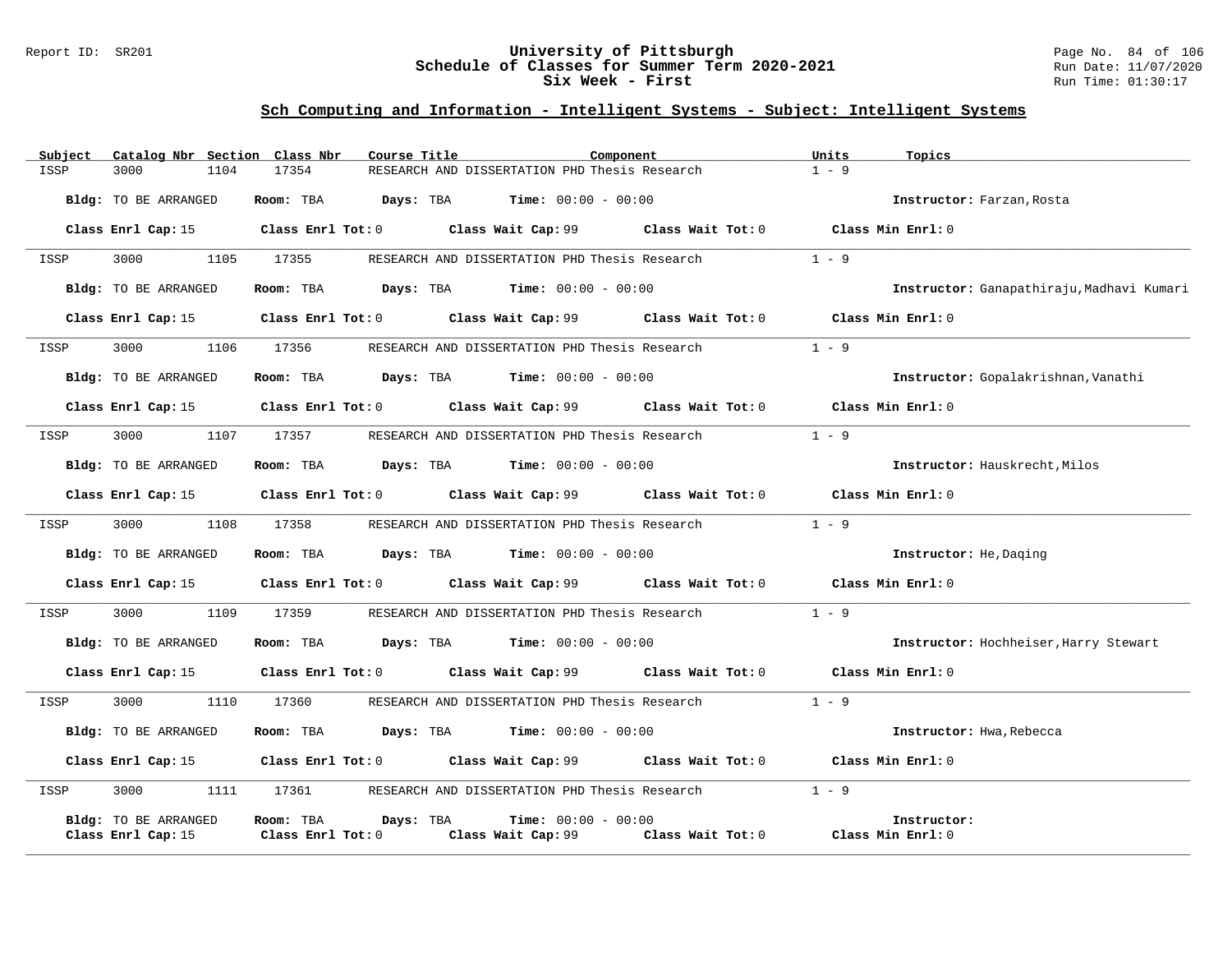### Report ID: SR201 **University of Pittsburgh** Page No. 84 of 106 **Schedule of Classes for Summer Term 2020-2021** Run Date: 11/07/2020 **Six Week - First Run Time: 01:30:17**

| Subject | Catalog Nbr Section Class Nbr | Course Title           | Component                                                                                        |                                     | Units<br>Topics                           |
|---------|-------------------------------|------------------------|--------------------------------------------------------------------------------------------------|-------------------------------------|-------------------------------------------|
| ISSP    | 3000<br>1104                  | 17354                  | RESEARCH AND DISSERTATION PHD Thesis Research                                                    |                                     | $1 - 9$                                   |
|         | Bldg: TO BE ARRANGED          | Room: TBA              | $Days: TBA$ $Time: 00:00 - 00:00$                                                                |                                     | Instructor: Farzan, Rosta                 |
|         |                               |                        | Class Enrl Cap: 15 (class Enrl Tot: 0 (class Wait Cap: 99 (class Wait Tot: 0 (class Min Enrl: 0) |                                     |                                           |
| ISSP    | 1105<br>3000                  | 17355                  | RESEARCH AND DISSERTATION PHD Thesis Research                                                    |                                     | $1 - 9$                                   |
|         | Bldg: TO BE ARRANGED          |                        | <b>Room:</b> TBA <b>Days:</b> TBA <b>Time:</b> 00:00 - 00:00                                     |                                     | Instructor: Ganapathiraju, Madhavi Kumari |
|         | Class Enrl Cap: 15            |                        | Class Enrl Tot: 0 Class Wait Cap: 99                                                             | Class Wait Tot: 0 Class Min Enrl: 0 |                                           |
| ISSP    | 3000                          | 1106 17356             | RESEARCH AND DISSERTATION PHD Thesis Research                                                    |                                     | $1 - 9$                                   |
|         | Bldg: TO BE ARRANGED          |                        | Room: TBA $Days:$ TBA $Time: 00:00 - 00:00$                                                      |                                     | Instructor: Gopalakrishnan, Vanathi       |
|         | Class Enrl Cap: 15            |                        | Class Enrl Tot: 0 Class Wait Cap: 99 Class Wait Tot: 0                                           |                                     | Class Min Enrl: 0                         |
| ISSP    | 3000<br>1107                  | 17357                  | RESEARCH AND DISSERTATION PHD Thesis Research                                                    |                                     | $1 - 9$                                   |
|         | Bldg: TO BE ARRANGED          |                        | <b>Room:</b> TBA <b>Days:</b> TBA <b>Time:</b> 00:00 - 00:00                                     |                                     | Instructor: Hauskrecht, Milos             |
|         |                               |                        | Class Enrl Cap: 15 Class Enrl Tot: 0 Class Wait Cap: 99 Class Wait Tot: 0 Class Min Enrl: 0      |                                     |                                           |
| ISSP    | 3000<br>1108                  | 17358                  | RESEARCH AND DISSERTATION PHD Thesis Research                                                    |                                     | $1 - 9$                                   |
|         | Bldg: TO BE ARRANGED          |                        | Room: TBA $Days:$ TBA $Time: 00:00 - 00:00$                                                      |                                     | Instructor: He, Daging                    |
|         | Class Enrl Cap: 15            |                        | Class Enrl Tot: 0 Class Wait Cap: 99 Class Wait Tot: 0 Class Min Enrl: 0                         |                                     |                                           |
| ISSP    | 3000<br>1109                  | 17359                  | RESEARCH AND DISSERTATION PHD Thesis Research                                                    |                                     | $1 - 9$                                   |
|         | Bldg: TO BE ARRANGED          |                        | Room: TBA $Days:$ TBA $Time: 00:00 - 00:00$                                                      |                                     | Instructor: Hochheiser, Harry Stewart     |
|         | Class Enrl Cap: 15            |                        | Class Enrl Tot: 0 Class Wait Cap: 99 Class Wait Tot: 0                                           |                                     | Class Min Enrl: 0                         |
| ISSP    | 3000<br>1110                  | 17360                  | RESEARCH AND DISSERTATION PHD Thesis Research                                                    |                                     | $1 - 9$                                   |
|         | Bldg: TO BE ARRANGED          |                        | Room: TBA $Days:$ TBA $Time: 00:00 - 00:00$                                                      |                                     | Instructor: Hwa, Rebecca                  |
|         | Class Enrl Cap: 15            |                        | Class Enrl Tot: $0$ Class Wait Cap: $99$ Class Wait Tot: $0$ Class Min Enrl: $0$                 |                                     |                                           |
| ISSP    | 3000<br>1111                  | 17361                  | RESEARCH AND DISSERTATION PHD Thesis Research                                                    |                                     | $1 - 9$                                   |
|         | Bldg: TO BE ARRANGED          | Room: TBA<br>Days: TBA | <b>Time:</b> $00:00 - 00:00$                                                                     |                                     | Instructor:                               |
|         | Class Enrl Cap: 15            | Class Enrl Tot: 0      | Class Wait Cap: 99                                                                               | Class Wait Tot: 0                   | Class Min Enrl: 0                         |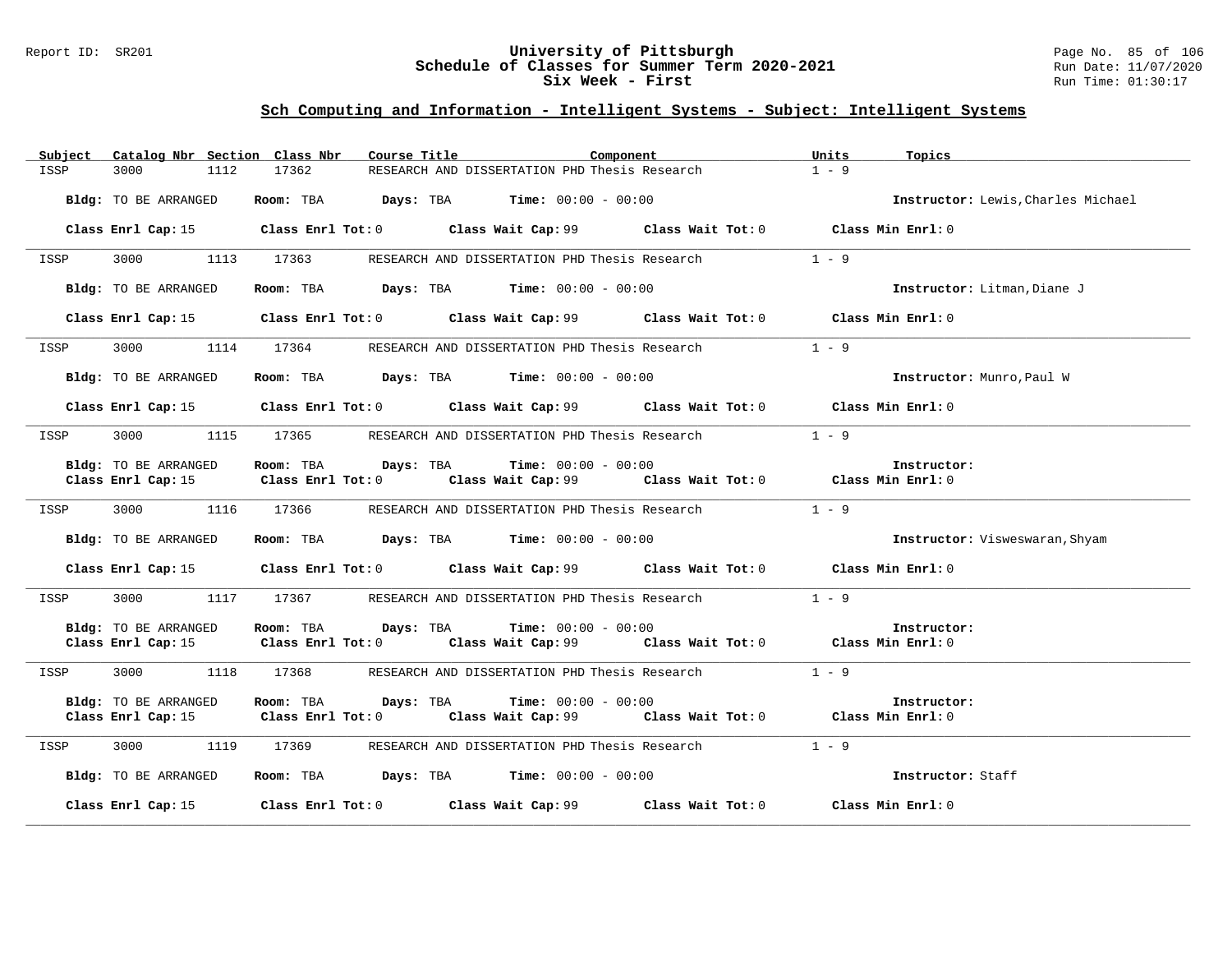### Report ID: SR201 **University of Pittsburgh** Page No. 85 of 106 **Schedule of Classes for Summer Term 2020-2021** Run Date: 11/07/2020 **Six Week - First Run Time: 01:30:17**

| Subject<br>Catalog Nbr Section Class Nbr | Course Title                                                                                | Component         | Units<br>Topics                    |
|------------------------------------------|---------------------------------------------------------------------------------------------|-------------------|------------------------------------|
| 3000<br>1112<br>ISSP                     | 17362<br>RESEARCH AND DISSERTATION PHD Thesis Research                                      |                   | $1 - 9$                            |
| Bldg: TO BE ARRANGED                     | Room: TBA $Days:$ TBA $Time: 00:00 - 00:00$                                                 |                   | Instructor: Lewis, Charles Michael |
| Class Enrl Cap: 15                       | Class Enrl Tot: $0$ Class Wait Cap: $99$ Class Wait Tot: $0$                                |                   | Class Min Enrl: 0                  |
| 3000<br>1113<br>ISSP                     | 17363<br>RESEARCH AND DISSERTATION PHD Thesis Research                                      |                   | $1 - 9$                            |
| Bldg: TO BE ARRANGED                     | Room: TBA $Days:$ TBA $Time: 00:00 - 00:00$                                                 |                   | Instructor: Litman, Diane J        |
|                                          | Class Enrl Cap: 15 		 Class Enrl Tot: 0 		 Class Wait Cap: 99 		 Class Wait Tot: 0          |                   | Class Min Enrl: 0                  |
| 3000<br>1114<br>ISSP                     | 17364<br>RESEARCH AND DISSERTATION PHD Thesis Research                                      |                   | $1 - 9$                            |
| Bldg: TO BE ARRANGED                     | Room: TBA $Days:$ TBA $Time: 00:00 - 00:00$                                                 |                   | Instructor: Munro, Paul W          |
|                                          | Class Enrl Cap: 15 Class Enrl Tot: 0 Class Wait Cap: 99 Class Wait Tot: 0 Class Min Enrl: 0 |                   |                                    |
| 3000<br>ISSP                             | 1115 17365<br>RESEARCH AND DISSERTATION PHD Thesis Research                                 |                   | $1 - 9$                            |
| Bldg: TO BE ARRANGED                     | Room: TBA $Days:$ TBA $Time: 00:00 - 00:00$                                                 |                   | Instructor:                        |
|                                          | Class Enrl Cap: 15 Class Enrl Tot: 0 Class Wait Cap: 99 Class Wait Tot: 0 Class Min Enrl: 0 |                   |                                    |
| 3000<br>ISSP                             | 1116 17366 RESEARCH AND DISSERTATION PHD Thesis Research                                    |                   | $1 - 9$                            |
| Bldg: TO BE ARRANGED                     | Room: TBA $Days: TBA$ Time: $00:00 - 00:00$                                                 |                   | Instructor: Visweswaran, Shyam     |
|                                          | Class Enrl Cap: 15 Class Enrl Tot: 0 Class Wait Cap: 99 Class Wait Tot: 0 Class Min Enrl: 0 |                   |                                    |
| 3000<br>ISSP                             | 1117 17367 RESEARCH AND DISSERTATION PHD Thesis Research                                    |                   | $1 - 9$                            |
| Bldg: TO BE ARRANGED                     | $\texttt{DayS:}$ TBA $\texttt{Time:}$ 00:00 - 00:00<br>Room: TBA                            |                   | Instructor:                        |
| Class Enrl Cap: 15                       | Class Enrl Tot: $0$ Class Wait Cap: $99$ Class Wait Tot: $0$ Class Min Enrl: $0$            |                   |                                    |
| 3000 000<br>1118<br>ISSP                 | 17368 RESEARCH AND DISSERTATION PHD Thesis Research                                         |                   | $1 - 9$                            |
| Bldg: TO BE ARRANGED                     | Room: TBA<br>Days: TBA<br>$Time: 00:00 - 00:00$                                             |                   | Instructor:                        |
| Class Enrl Cap: 15                       | Class Enrl Tot: $0$ Class Wait Cap: $99$ Class Wait Tot: $0$ Class Min Enrl: $0$            |                   |                                    |
| 3000<br>1119<br>ISSP                     | RESEARCH AND DISSERTATION PHD Thesis Research<br>17369                                      |                   | $1 - 9$                            |
| Bldg: TO BE ARRANGED                     | Room: TBA $\rule{1em}{0.15mm}$ Days: TBA Time: $00:00 - 00:00$                              |                   | Instructor: Staff                  |
| Class Enrl Cap: 15                       | Class Enrl Tot: 0 Class Wait Cap: 99                                                        | Class Wait Tot: 0 | Class Min Enrl: 0                  |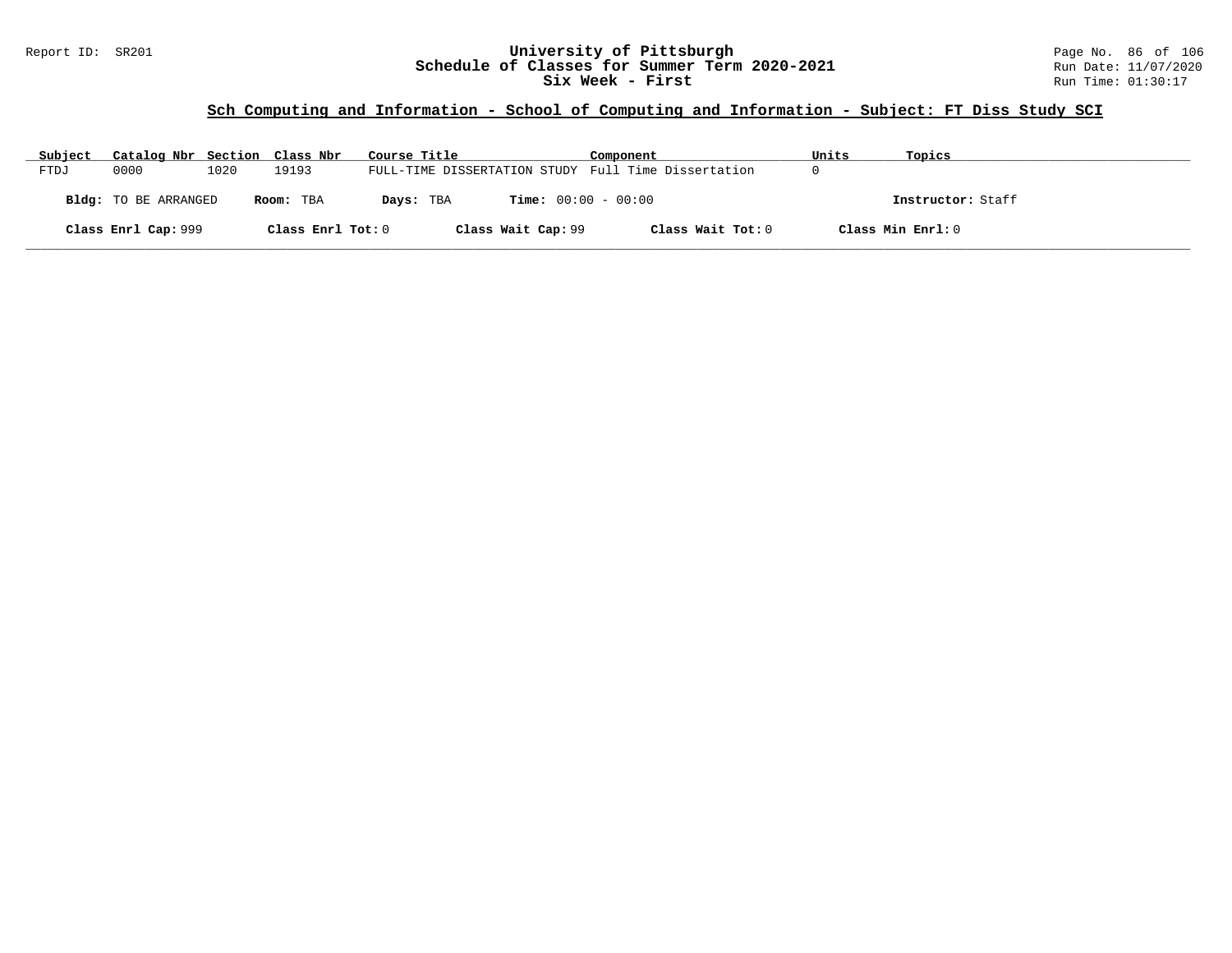#### Report ID: SR201 **University of Pittsburgh** Page No. 86 of 106 **Schedule of Classes for Summer Term 2020-2021** Run Date: 11/07/2020 **Six Week - First Run Time: 01:30:17**

# **Sch Computing and Information - School of Computing and Information - Subject: FT Diss Study SCI**

| Subject | Catalog Nbr Section Class Nbr |      |                   | Course Title                                        | Component         | Units | Topics            |
|---------|-------------------------------|------|-------------------|-----------------------------------------------------|-------------------|-------|-------------------|
| FTDJ    | 0000                          | 1020 | 19193             | FULL-TIME DISSERTATION STUDY Full Time Dissertation |                   |       |                   |
|         | <b>Bldg:</b> TO BE ARRANGED   |      | Room: TBA         | <b>Time:</b> $00:00 - 00:00$<br>Days: TBA           |                   |       | Instructor: Staff |
|         | Class Enrl Cap: 999           |      | Class Enrl Tot: 0 | Class Wait Cap: 99                                  | Class Wait Tot: 0 |       | Class Min Enrl: 0 |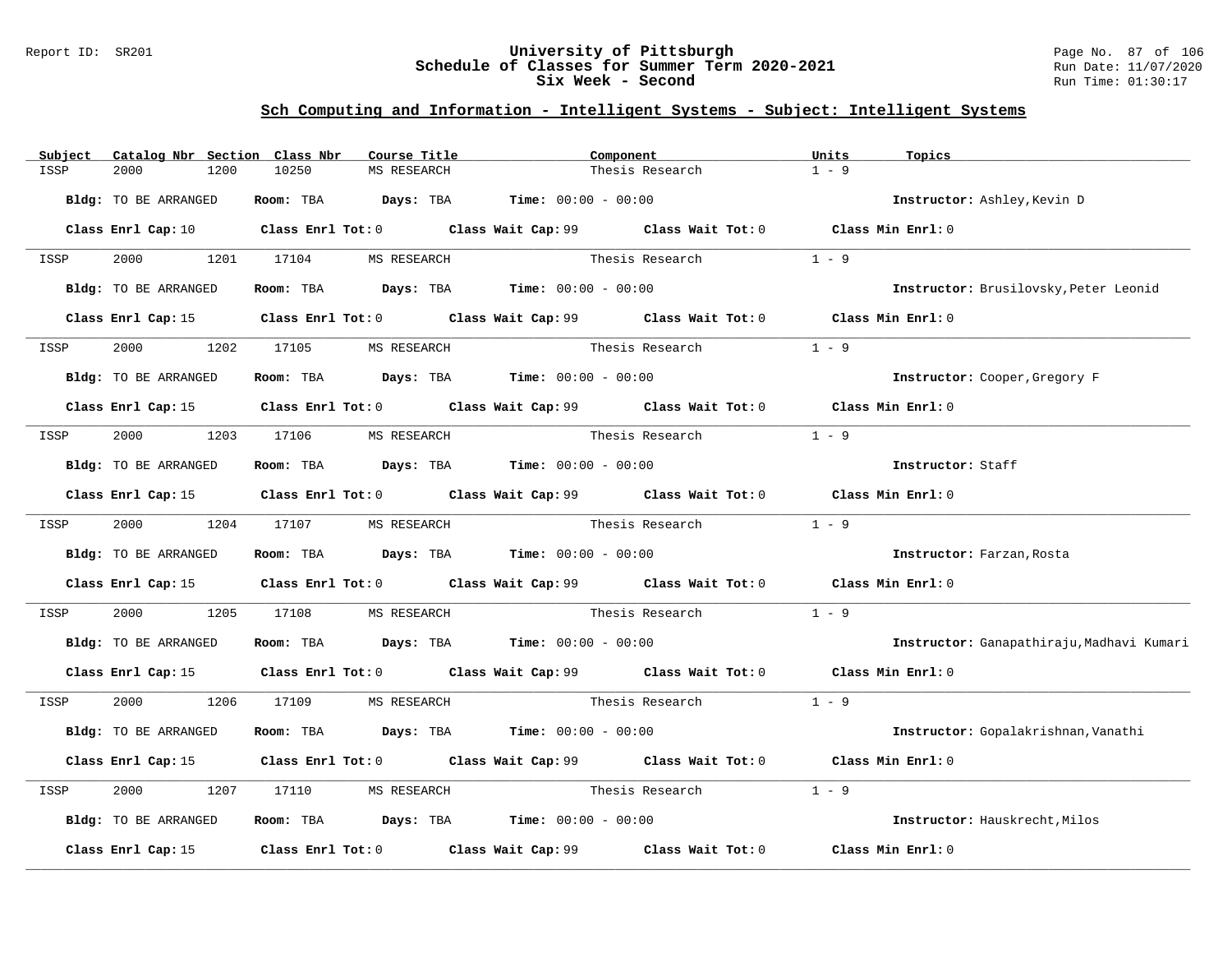### Report ID: SR201 **University of Pittsburgh** Page No. 87 of 106 **Schedule of Classes for Summer Term 2020-2021** Run Date: 11/07/2020 **Six Week - Second Run Time: 01:30:17**

| Subject |                             |      | Catalog Nbr Section Class Nbr | Course Title |                                             | Component                                                                                   | Units   | Topics                                    |
|---------|-----------------------------|------|-------------------------------|--------------|---------------------------------------------|---------------------------------------------------------------------------------------------|---------|-------------------------------------------|
| ISSP    | 2000                        | 1200 | 10250                         | MS RESEARCH  |                                             | Thesis Research                                                                             | $1 - 9$ |                                           |
|         | Bldg: TO BE ARRANGED        |      |                               |              | Room: TBA $Days:$ TBA $Time: 00:00 - 00:00$ |                                                                                             |         | Instructor: Ashley, Kevin D               |
|         |                             |      |                               |              |                                             | Class Enrl Cap: 10 Class Enrl Tot: 0 Class Wait Cap: 99 Class Wait Tot: 0 Class Min Enrl: 0 |         |                                           |
| ISSP    |                             |      | 2000 1201 17104 MS RESEARCH   |              |                                             | Thesis Research                                                                             | $1 - 9$ |                                           |
|         | Bldg: TO BE ARRANGED        |      |                               |              | Room: TBA $Days:$ TBA $Time: 00:00 - 00:00$ |                                                                                             |         | Instructor: Brusilovsky, Peter Leonid     |
|         |                             |      |                               |              |                                             | Class Enrl Cap: 15 Class Enrl Tot: 0 Class Wait Cap: 99 Class Wait Tot: 0 Class Min Enrl: 0 |         |                                           |
| ISSP    | 2000                        |      | 1202 17105 MS RESEARCH        |              |                                             | Thesis Research                                                                             | $1 - 9$ |                                           |
|         | <b>Bldg:</b> TO BE ARRANGED |      |                               |              | Room: TBA $Days:$ TBA $Time: 00:00 - 00:00$ |                                                                                             |         | Instructor: Cooper, Gregory F             |
|         |                             |      |                               |              |                                             | Class Enrl Cap: 15 Class Enrl Tot: 0 Class Wait Cap: 99 Class Wait Tot: 0 Class Min Enrl: 0 |         |                                           |
| ISSP    |                             |      | 2000 1203 17106 MS RESEARCH   |              | Thesis Research                             |                                                                                             | $1 - 9$ |                                           |
|         | Bldg: TO BE ARRANGED        |      |                               |              | Room: TBA $Days:$ TBA Time: $00:00 - 00:00$ |                                                                                             |         | Instructor: Staff                         |
|         |                             |      |                               |              |                                             | Class Enrl Cap: 15 Class Enrl Tot: 0 Class Wait Cap: 99 Class Wait Tot: 0 Class Min Enrl: 0 |         |                                           |
| ISSP    |                             |      | 2000 1204 17107 MS RESEARCH   |              |                                             | Thesis Research                                                                             | $1 - 9$ |                                           |
|         | Bldg: TO BE ARRANGED        |      |                               |              | Room: TBA $Days:$ TBA Time: $00:00 - 00:00$ |                                                                                             |         | Instructor: Farzan, Rosta                 |
|         |                             |      |                               |              |                                             | Class Enrl Cap: 15 Class Enrl Tot: 0 Class Wait Cap: 99 Class Wait Tot: 0 Class Min Enrl: 0 |         |                                           |
| ISSP    | 2000 - 100                  |      |                               |              |                                             | 1205 17108 MS RESEARCH Thesis Research                                                      | $1 - 9$ |                                           |
|         | Bldg: TO BE ARRANGED        |      |                               |              | Room: TBA $Days:$ TBA $Time: 00:00 - 00:00$ |                                                                                             |         | Instructor: Ganapathiraju, Madhavi Kumari |
|         |                             |      |                               |              |                                             | Class Enrl Cap: 15 Class Enrl Tot: 0 Class Wait Cap: 99 Class Wait Tot: 0 Class Min Enrl: 0 |         |                                           |
| ISSP    |                             |      | 2000 1206 17109 MS RESEARCH   |              |                                             | Thesis Research $1 - 9$                                                                     |         |                                           |
|         | Bldg: TO BE ARRANGED        |      |                               |              | Room: TBA $Days:$ TBA $Time: 00:00 - 00:00$ |                                                                                             |         | Instructor: Gopalakrishnan, Vanathi       |
|         |                             |      |                               |              |                                             | Class Enrl Cap: 15 Class Enrl Tot: 0 Class Wait Cap: 99 Class Wait Tot: 0 Class Min Enrl: 0 |         |                                           |
| ISSP    | 2000                        | 1207 | 17110                         | MS RESEARCH  | Thesis Research                             |                                                                                             | $1 - 9$ |                                           |
|         | Bldg: TO BE ARRANGED        |      |                               |              | Room: TBA $Days:$ TBA Time: $00:00 - 00:00$ |                                                                                             |         | Instructor: Hauskrecht, Milos             |
|         |                             |      |                               |              |                                             | Class Enrl Cap: 15 Class Enrl Tot: 0 Class Wait Cap: 99 Class Wait Tot: 0 Class Min Enrl: 0 |         |                                           |
|         |                             |      |                               |              |                                             |                                                                                             |         |                                           |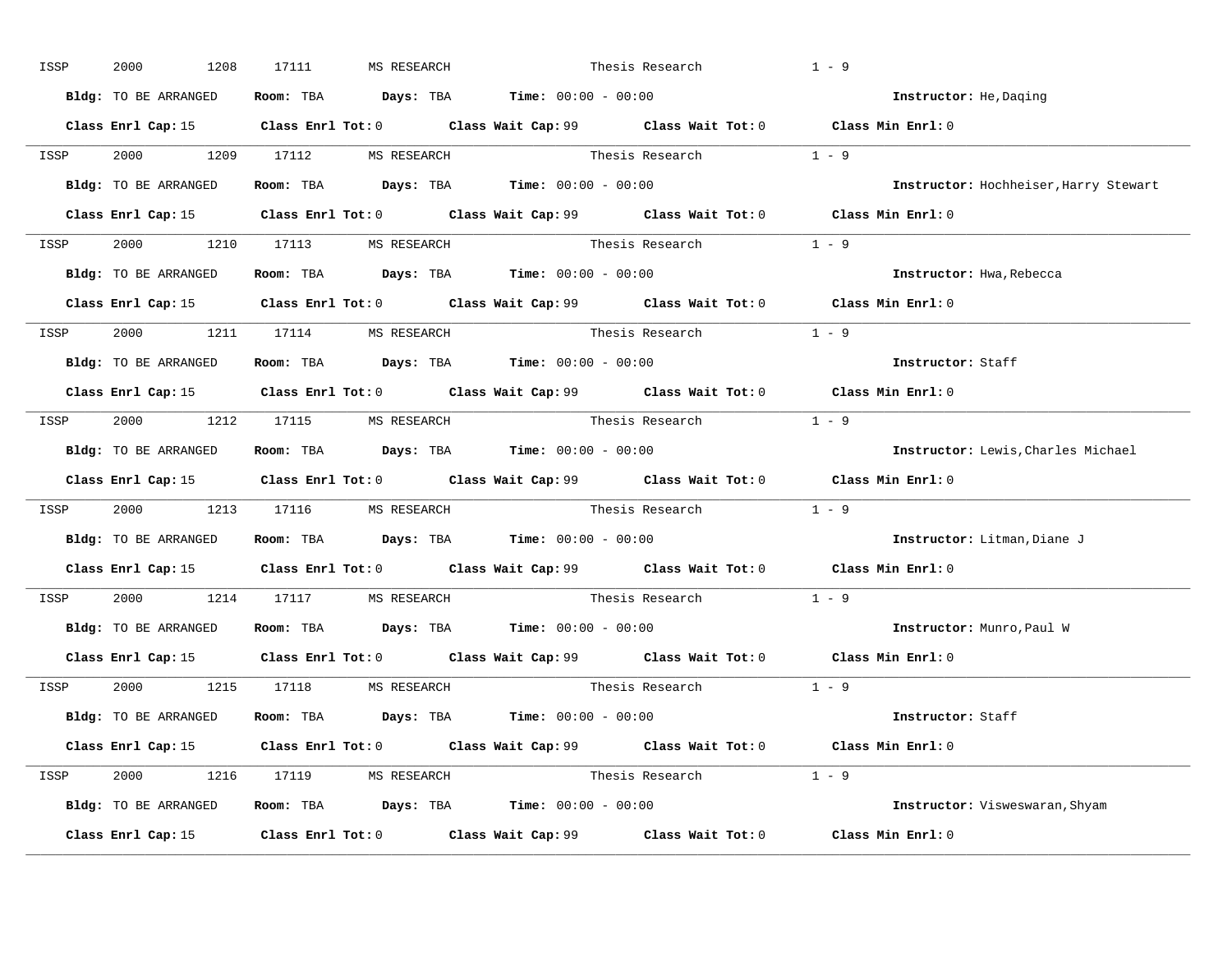| ISSP | 2000<br>1208         | 17111<br>MS RESEARCH                                                                  | Thesis Research                                                                                     | $1 - 9$                               |
|------|----------------------|---------------------------------------------------------------------------------------|-----------------------------------------------------------------------------------------------------|---------------------------------------|
|      | Bldg: TO BE ARRANGED | Room: TBA $\rule{1em}{0.15mm}$ Days: TBA $\rule{1.5mm}{0.15mm}$ Time: $00:00 - 00:00$ |                                                                                                     | Instructor: He, Daqing                |
|      |                      |                                                                                       | Class Enrl Cap: 15 Class Enrl Tot: 0 Class Wait Cap: 99 Class Wait Tot: 0 Class Min Enrl: 0         |                                       |
|      |                      |                                                                                       | ISSP 2000 1209 17112 MS RESEARCH Thesis Research 1 - 9                                              |                                       |
|      | Bldg: TO BE ARRANGED | Room: TBA $\rule{1em}{0.15mm}$ Days: TBA Time: $00:00 - 00:00$                        |                                                                                                     | Instructor: Hochheiser, Harry Stewart |
|      |                      |                                                                                       | Class Enrl Cap: 15 Class Enrl Tot: 0 Class Wait Cap: 99 Class Wait Tot: 0 Class Min Enrl: 0         |                                       |
|      |                      | ISSP 2000 1210 17113 MS RESEARCH                                                      | Thesis Research $1 - 9$                                                                             |                                       |
|      |                      | Bldg: TO BE ARRANGED Room: TBA Days: TBA Time: 00:00 - 00:00                          |                                                                                                     | Instructor: Hwa, Rebecca              |
|      |                      |                                                                                       | Class Enrl Cap: 15 Class Enrl Tot: 0 Class Wait Cap: 99 Class Wait Tot: 0 Class Min Enrl: 0         |                                       |
|      |                      | ISSP 2000 1211 17114 MS RESEARCH                                                      | Thesis Research 1 - 9                                                                               |                                       |
|      | Bldg: TO BE ARRANGED | Room: TBA $\rule{1em}{0.15mm}$ Days: TBA $\rule{1.5mm}{0.15mm}$ Time: $00:00 - 00:00$ |                                                                                                     | Instructor: Staff                     |
|      |                      |                                                                                       | Class Enrl Cap: 15 Class Enrl Tot: 0 Class Wait Cap: 99 Class Wait Tot: 0 Class Min Enrl: 0         |                                       |
|      |                      | ISSP 2000 1212 17115 MS RESEARCH                                                      | Thesis Research $1 - 9$                                                                             |                                       |
|      | Bldg: TO BE ARRANGED | Room: TBA $\rule{1em}{0.15mm}$ Days: TBA $\rule{1.5mm}{0.15mm}$ Time: $00:00 - 00:00$ |                                                                                                     | Instructor: Lewis, Charles Michael    |
|      |                      |                                                                                       | Class Enrl Cap: 15 Class Enrl Tot: 0 Class Wait Cap: 99 Class Wait Tot: 0 Class Min Enrl: 0         |                                       |
| ISSP |                      |                                                                                       | 2000 1213 17116 MS RESEARCH Thesis Research 1 - 9                                                   |                                       |
|      |                      | Bldg: TO BE ARRANGED Room: TBA Days: TBA Time: 00:00 - 00:00                          |                                                                                                     | Instructor: Litman, Diane J           |
|      |                      |                                                                                       | Class Enrl Cap: 15 Class Enrl Tot: 0 Class Wait Cap: 99 Class Wait Tot: 0 Class Min Enrl: 0         |                                       |
| ISSP |                      | 2000 1214 17117 MS RESEARCH                                                           | Thesis Research                                                                                     | $1 - 9$                               |
|      |                      | Bldg: TO BE ARRANGED Room: TBA Days: TBA Time: 00:00 - 00:00                          |                                                                                                     | Instructor: Munro, Paul W             |
|      | Class Enrl Cap: 15   |                                                                                       | Class Enrl Tot: 0 $\qquad$ Class Wait Cap: 99 $\qquad$ Class Wait Tot: 0 $\qquad$ Class Min Enrl: 0 |                                       |
|      |                      | ISSP 2000 1215 17118 MS RESEARCH                                                      | Thesis Research                                                                                     | $1 - 9$                               |
|      | Bldg: TO BE ARRANGED | Room: TBA $\rule{1em}{0.15mm}$ Days: TBA Time: $00:00 - 00:00$                        |                                                                                                     | Instructor: Staff                     |
|      |                      |                                                                                       | Class Enrl Cap: 15 Class Enrl Tot: 0 Class Wait Cap: 99 Class Wait Tot: 0 Class Min Enrl: 0         |                                       |
|      |                      | ISSP 2000 1216 17119 MS RESEARCH                                                      | Thesis Research $1 - 9$                                                                             |                                       |
|      |                      | Bldg: TO BE ARRANGED Room: TBA Days: TBA Time: 00:00 - 00:00                          |                                                                                                     | Instructor: Visweswaran, Shyam        |
|      |                      |                                                                                       | Class Enrl Cap: 15 Class Enrl Tot: 0 Class Wait Cap: 99 Class Wait Tot: 0                           | Class Min Enrl: 0                     |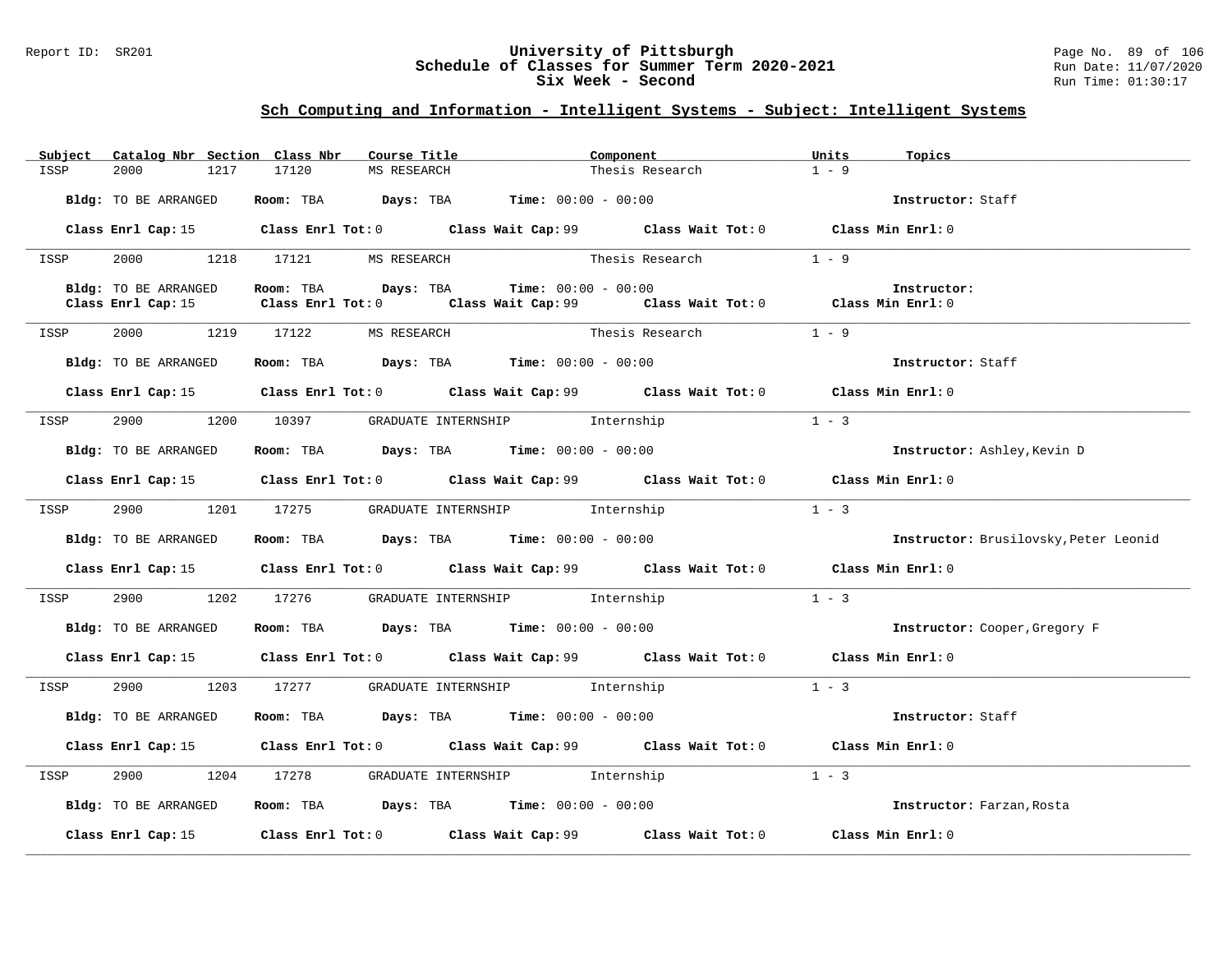### Report ID: SR201 **University of Pittsburgh** Page No. 89 of 106 **Schedule of Classes for Summer Term 2020-2021** Run Date: 11/07/2020 **Six Week - Second Run Time: 01:30:17**

| Subject | Catalog Nbr Section Class Nbr | Course Title                | Component                                                                                           | Units<br>Topics                       |  |
|---------|-------------------------------|-----------------------------|-----------------------------------------------------------------------------------------------------|---------------------------------------|--|
| ISSP    | 2000<br>1217                  | 17120<br>MS RESEARCH        | Thesis Research                                                                                     | $1 - 9$                               |  |
|         | Bldg: TO BE ARRANGED          |                             | Room: TBA $Days:$ TBA $Time: 00:00 - 00:00$                                                         | Instructor: Staff                     |  |
|         |                               |                             | Class Enrl Cap: 15 Class Enrl Tot: 0 Class Wait Cap: 99 Class Wait Tot: 0 Class Min Enrl: 0         |                                       |  |
| ISSP    |                               | 2000 1218 17121 MS RESEARCH | Thesis Research                                                                                     | $1 - 9$                               |  |
|         | Bldg: TO BE ARRANGED          | Room: TBA Days: TBA         | $Time: 00:00 - 00:00$                                                                               | Instructor:                           |  |
|         | Class Enrl Cap: 15            |                             | Class Enrl Tot: 0 $\qquad$ Class Wait Cap: 99 $\qquad$ Class Wait Tot: 0 $\qquad$ Class Min Enrl: 0 |                                       |  |
| ISSP    |                               | 2000 1219 17122 MS RESEARCH | Thesis Research $1 - 9$                                                                             |                                       |  |
|         | Bldg: TO BE ARRANGED          |                             | Room: TBA $Days:$ TBA $Time: 00:00 - 00:00$                                                         | Instructor: Staff                     |  |
|         |                               |                             | Class Enrl Cap: 15 Class Enrl Tot: 0 Class Wait Cap: 99 Class Wait Tot: 0 Class Min Enrl: 0         |                                       |  |
| ISSP    |                               |                             | 2900 1200 10397 GRADUATE INTERNSHIP Internship                                                      | $1 - 3$                               |  |
|         | Bldg: TO BE ARRANGED          |                             | Room: TBA $\rule{1em}{0.15mm}$ Days: TBA Time: $00:00 - 00:00$                                      | Instructor: Ashley, Kevin D           |  |
|         |                               |                             | Class Enrl Cap: 15 Class Enrl Tot: 0 Class Wait Cap: 99 Class Wait Tot: 0 Class Min Enrl: 0         |                                       |  |
| ISSP    | 2900                          |                             | 1201 17275 GRADUATE INTERNSHIP Internship                                                           | $1 - 3$                               |  |
|         | Bldg: TO BE ARRANGED          |                             | Room: TBA $\rule{1em}{0.15mm}$ Days: TBA $\rule{1.5mm}{0.15mm}$ Time: $00:00 - 00:00$               | Instructor: Brusilovsky, Peter Leonid |  |
|         |                               |                             | Class Enrl Cap: 15 Class Enrl Tot: 0 Class Wait Cap: 99 Class Wait Tot: 0 Class Min Enrl: 0         |                                       |  |
| ISSP    |                               |                             | 2900 1202 17276 GRADUATE INTERNSHIP Internship                                                      | $1 - 3$                               |  |
|         | Bldg: TO BE ARRANGED          |                             | Room: TBA $Days:$ TBA $Time: 00:00 - 00:00$                                                         | Instructor: Cooper, Gregory F         |  |
|         |                               |                             | Class Enrl Cap: 15 (Class Enrl Tot: 0 (Class Wait Cap: 99 (Class Wait Tot: 0 (Class Min Enrl: 0     |                                       |  |
| ISSP    |                               |                             | 2900 1203 17277 GRADUATE INTERNSHIP Internship                                                      | $1 - 3$                               |  |
|         | Bldg: TO BE ARRANGED          |                             | Room: TBA $\rule{1em}{0.15mm}$ Days: TBA $\rule{1.5mm}{0.15mm}$ Time: $00:00 - 00:00$               | Instructor: Staff                     |  |
|         |                               |                             | Class Enrl Cap: 15 Class Enrl Tot: 0 Class Wait Cap: 99 Class Wait Tot: 0 Class Min Enrl: 0         |                                       |  |
| ISSP    | 2900                          |                             | 1204 17278 GRADUATE INTERNSHIP Internship                                                           | $1 - 3$                               |  |
|         | Bldg: TO BE ARRANGED          |                             | Room: TBA $\rule{1em}{0.15mm}$ Days: TBA $\rule{1.5mm}{0.15mm}$ Time: $00:00 - 00:00$               | Instructor: Farzan, Rosta             |  |
|         |                               |                             | Class Enrl Cap: 15 (Class Enrl Tot: 0 (Class Wait Cap: 99 (Class Wait Tot: 0                        | Class Min Enrl: 0                     |  |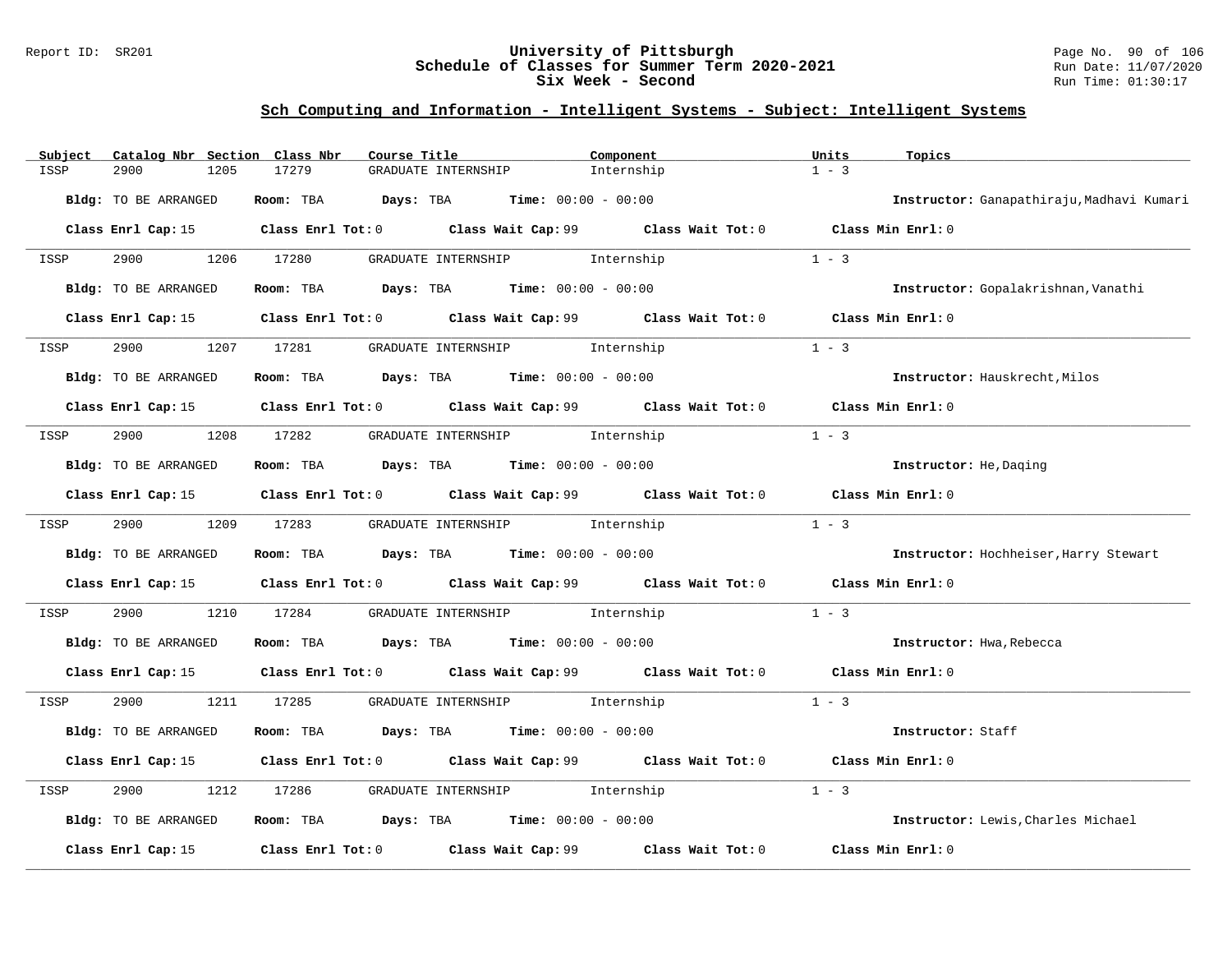### Report ID: SR201 **University of Pittsburgh** Page No. 90 of 106 **Schedule of Classes for Summer Term 2020-2021** Run Date: 11/07/2020 **Six Week - Second Run Time: 01:30:17**

| Subject | Catalog Nbr Section Class Nbr | Course Title                                                                                     |                                | Component  | Units<br>Topics                           |  |
|---------|-------------------------------|--------------------------------------------------------------------------------------------------|--------------------------------|------------|-------------------------------------------|--|
| ISSP    | 2900<br>1205                  | 17279<br>GRADUATE INTERNSHIP                                                                     |                                | Internship | $1 - 3$                                   |  |
|         | Bldg: TO BE ARRANGED          | Room: TBA $Days:$ TBA $Time: 00:00 - 00:00$                                                      |                                |            | Instructor: Ganapathiraju, Madhavi Kumari |  |
|         |                               | Class Enrl Cap: 15 Class Enrl Tot: 0 Class Wait Cap: 99 Class Wait Tot: 0 Class Min Enrl: 0      |                                |            |                                           |  |
| ISSP    | 2900 000                      | 1206 17280                                                                                       | GRADUATE INTERNSHIP 1nternship |            | $1 - 3$                                   |  |
|         | Bldg: TO BE ARRANGED          | Room: TBA $Days:$ TBA $Time: 00:00 - 00:00$                                                      |                                |            | Instructor: Gopalakrishnan, Vanathi       |  |
|         |                               | Class Enrl Cap: 15 (class Enrl Tot: 0 (class Wait Cap: 99 (class Wait Tot: 0 (class Min Enrl: 0) |                                |            |                                           |  |
| ISSP    | 2900                          | 1207 17281                                                                                       | GRADUATE INTERNSHIP 1nternship |            | $1 - 3$                                   |  |
|         | <b>Bldg:</b> TO BE ARRANGED   | Room: TBA $Days:$ TBA $Time: 00:00 - 00:00$                                                      |                                |            | Instructor: Hauskrecht, Milos             |  |
|         |                               | Class Enrl Cap: 15 Class Enrl Tot: 0 Class Wait Cap: 99 Class Wait Tot: 0 Class Min Enrl: 0      |                                |            |                                           |  |
| ISSP    | 2900                          | 1208 17282 GRADUATE INTERNSHIP 1nternship                                                        |                                |            | $1 - 3$                                   |  |
|         | Bldg: TO BE ARRANGED          | Room: TBA $Days:$ TBA $Time: 00:00 - 00:00$                                                      |                                |            | Instructor: He, Daging                    |  |
|         |                               | Class Enrl Cap: 15 Class Enrl Tot: 0 Class Wait Cap: 99 Class Wait Tot: 0 Class Min Enrl: 0      |                                |            |                                           |  |
| ISSP    | 2900 1209 17283               |                                                                                                  | GRADUATE INTERNSHIP 1nternship |            | $1 - 3$                                   |  |
|         | Bldg: TO BE ARRANGED          | Room: TBA $Days:$ TBA $Time: 00:00 - 00:00$                                                      |                                |            | Instructor: Hochheiser, Harry Stewart     |  |
|         |                               | Class Enrl Cap: 15 		 Class Enrl Tot: 0 		 Class Wait Cap: 99 		 Class Wait Tot: 0               |                                |            | Class Min Enrl: 0                         |  |
| ISSP    | 2900<br>1210                  | 17284                                                                                            | GRADUATE INTERNSHIP 1nternship |            | $1 - 3$                                   |  |
|         | Bldg: TO BE ARRANGED          | Room: TBA $Days:$ TBA $Time: 00:00 - 00:00$                                                      |                                |            | Instructor: Hwa, Rebecca                  |  |
|         |                               | Class Enrl Cap: 15 Class Enrl Tot: 0 Class Wait Cap: 99 Class Wait Tot: 0 Class Min Enrl: 0      |                                |            |                                           |  |
| ISSP    | 2900                          | 1211 17285                                                                                       | GRADUATE INTERNSHIP 1nternship |            | $1 - 3$                                   |  |
|         | Bldg: TO BE ARRANGED          | Room: TBA $Days:$ TBA $Time: 00:00 - 00:00$                                                      |                                |            | Instructor: Staff                         |  |
|         |                               | Class Enrl Cap: 15 Class Enrl Tot: 0 Class Wait Cap: 99 Class Wait Tot: 0                        |                                |            | Class Min Enrl: 0                         |  |
| ISSP    | 2900<br>1212                  | 17286                                                                                            | GRADUATE INTERNSHIP 1nternship |            | $1 - 3$                                   |  |
|         | Bldg: TO BE ARRANGED          | Room: TBA $Days: TBA$ Time: $00:00 - 00:00$                                                      |                                |            | Instructor: Lewis, Charles Michael        |  |
|         | Class Enrl Cap: 15            | Class Enrl Tot: $0$ Class Wait Cap: $99$ Class Wait Tot: $0$                                     |                                |            | Class Min Enrl: 0                         |  |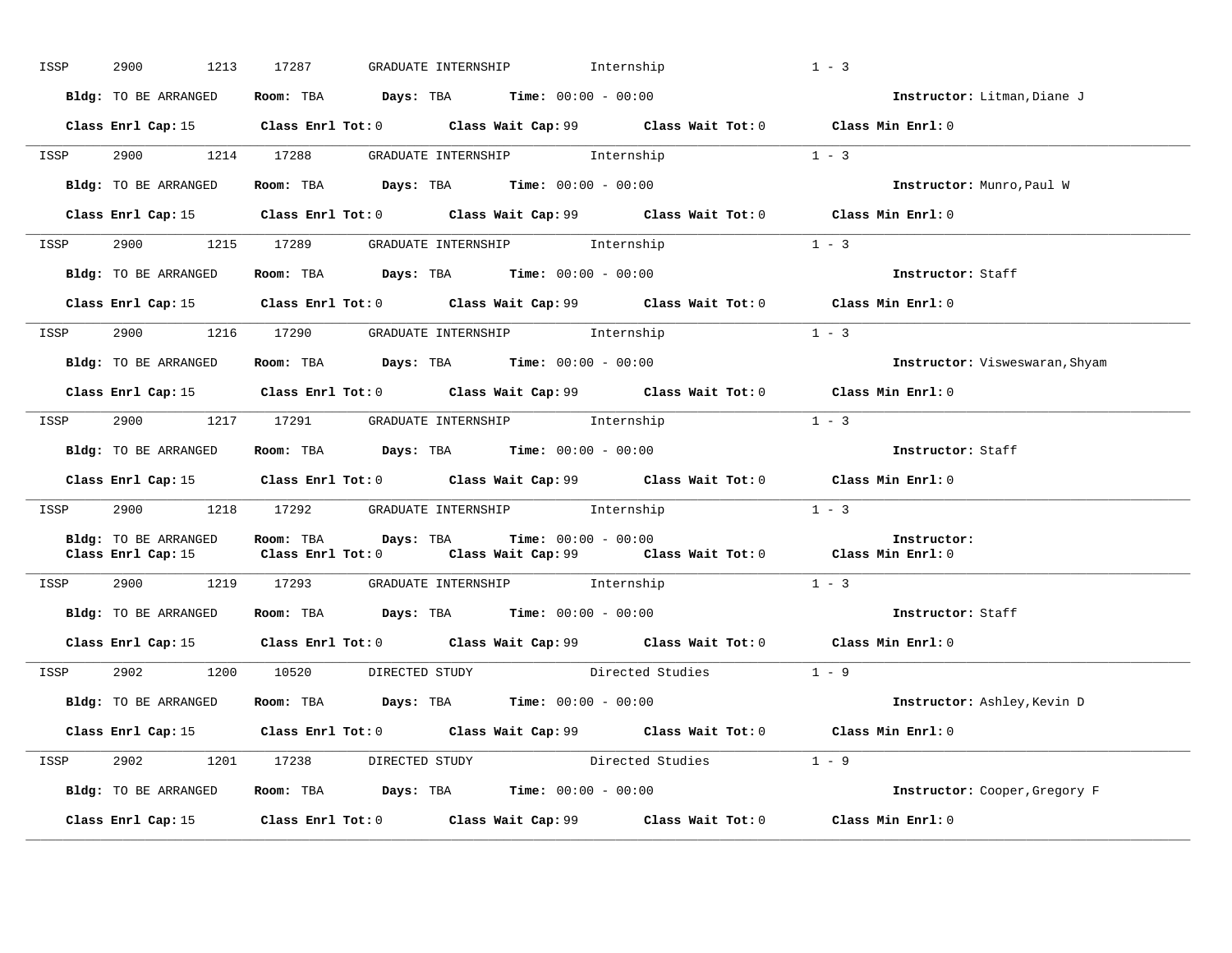| ISSP | 2900<br>1213         | GRADUATE INTERNSHIP 1nternship<br>17287                                                                                                     |                        | $1 - 3$                        |
|------|----------------------|---------------------------------------------------------------------------------------------------------------------------------------------|------------------------|--------------------------------|
|      | Bldg: TO BE ARRANGED | Room: TBA $Days:$ TBA $Time: 00:00 - 00:00$                                                                                                 |                        | Instructor: Litman, Diane J    |
|      |                      | Class Enrl Cap: 15 Class Enrl Tot: 0 Class Wait Cap: 99 Class Wait Tot: 0 Class Min Enrl: 0                                                 |                        |                                |
|      |                      | ISSP 2900 1214 17288 GRADUATE INTERNSHIP Internship                                                                                         | $1 - 3$                |                                |
|      |                      | Bldg: TO BE ARRANGED Room: TBA Days: TBA Time: 00:00 - 00:00                                                                                |                        | Instructor: Munro, Paul W      |
|      |                      | Class Enrl Cap: 15 Class Enrl Tot: 0 Class Wait Cap: 99 Class Wait Tot: 0 Class Min Enrl: 0                                                 |                        |                                |
|      |                      | ISSP 2900 1215 17289 GRADUATE INTERNSHIP Internship                                                                                         |                        | $1 - 3$                        |
|      | Bldg: TO BE ARRANGED | Room: TBA $Days:$ TBA $Time: 00:00 - 00:00$                                                                                                 |                        | Instructor: Staff              |
|      |                      | Class Enrl Cap: 15 Class Enrl Tot: 0 Class Wait Cap: 99 Class Wait Tot: 0 Class Min Enrl: 0                                                 |                        |                                |
| ISSP |                      | 2900 1216 17290 GRADUATE INTERNSHIP Internship                                                                                              |                        | $1 - 3$                        |
|      |                      | Bldg: TO BE ARRANGED ROOM: TBA Days: TBA Time: 00:00 - 00:00                                                                                |                        | Instructor: Visweswaran, Shyam |
|      |                      | Class Enrl Cap: 15 Class Enrl Tot: 0 Class Wait Cap: 99 Class Wait Tot: 0 Class Min Enrl: 0                                                 |                        |                                |
| ISSP |                      | 2900 1217 17291 GRADUATE INTERNSHIP Internship                                                                                              |                        | $1 - 3$                        |
|      | Bldg: TO BE ARRANGED | Room: TBA $\rule{1em}{0.15mm}$ Days: TBA $\rule{1.5mm}{0.15mm}$ Time: $00:00 - 00:00$                                                       |                        | Instructor: Staff              |
|      |                      | Class Enrl Cap: 15 Class Enrl Tot: 0 Class Wait Cap: 99 Class Wait Tot: 0 Class Min Enrl: 0                                                 |                        |                                |
|      |                      | ISSP 2900 1218 17292 GRADUATE INTERNSHIP Internship                                                                                         |                        | $1 - 3$                        |
|      | Bldg: TO BE ARRANGED | Room: TBA Days: TBA<br>$Time: 00:00 - 00:00$<br>Class Enrl Cap: 15 Class Enrl Tot: 0 Class Wait Cap: 99 Class Wait Tot: 0 Class Min Enrl: 0 |                        | Instructor:                    |
| ISSP |                      | 2900 1219 17293 GRADUATE INTERNSHIP Internship                                                                                              |                        | $1 - 3$                        |
|      |                      | Bldg: TO BE ARRANGED Room: TBA Days: TBA Time: 00:00 - 00:00                                                                                |                        | Instructor: Staff              |
|      |                      | Class Enrl Cap: 15 Class Enrl Tot: 0 Class Wait Cap: 99 Class Wait Tot: 0 Class Min Enrl: 0                                                 |                        |                                |
| ISSP |                      | 2902 1200 10520 DIRECTED STUDY Directed Studies 1 - 9                                                                                       |                        |                                |
|      |                      | Bldg: TO BE ARRANGED Room: TBA Days: TBA Time: 00:00 - 00:00                                                                                |                        | Instructor: Ashley, Kevin D    |
|      |                      | Class Enrl Cap: 15 Class Enrl Tot: 0 Class Wait Cap: 99 Class Wait Tot: 0 Class Min Enrl: 0                                                 |                        |                                |
|      |                      | ISSP 2902 1201 17238 DIRECTED STUDY                                                                                                         | Directed Studies 1 - 9 |                                |
|      | Bldg: TO BE ARRANGED | Room: TBA $Days:$ TBA $Time: 00:00 - 00:00$                                                                                                 |                        | Instructor: Cooper, Gregory F  |
|      |                      | Class Enrl Cap: 15 (class Enrl Tot: 0 ) (class Wait Cap: 99 (class Wait Tot: 0                                                              |                        | Class Min Enrl: 0              |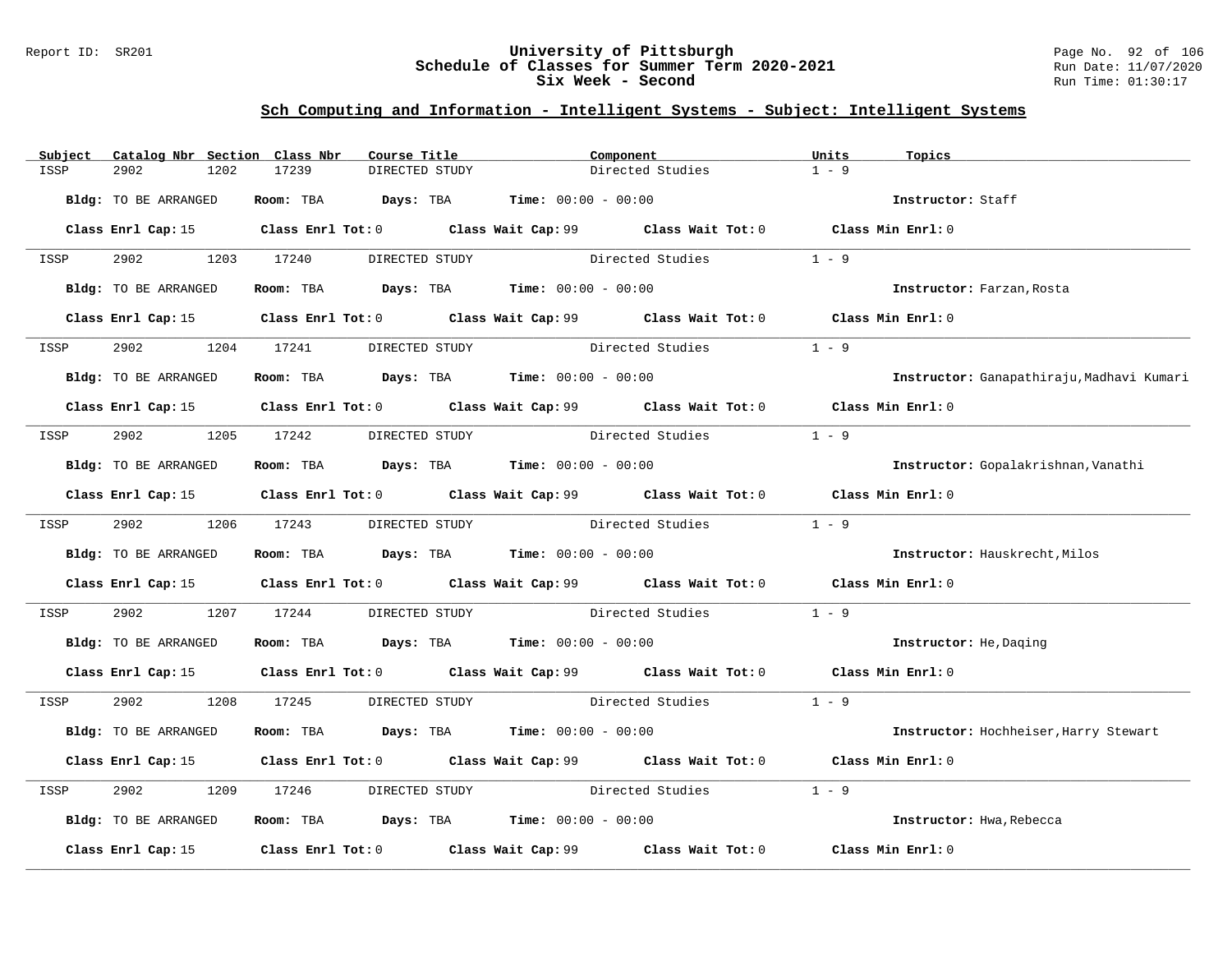### Report ID: SR201 **University of Pittsburgh** Page No. 92 of 106 **Schedule of Classes for Summer Term 2020-2021** Run Date: 11/07/2020 **Six Week - Second Run Time: 01:30:17**

| Subject | Catalog Nbr Section Class Nbr | Course Title                                                                                         |                | Component        |                                 | Units   | Topics                                    |
|---------|-------------------------------|------------------------------------------------------------------------------------------------------|----------------|------------------|---------------------------------|---------|-------------------------------------------|
| ISSP    | 2902<br>1202                  | 17239                                                                                                | DIRECTED STUDY |                  | Directed Studies                | $1 - 9$ |                                           |
|         | Bldg: TO BE ARRANGED          | Room: TBA $Days:$ TBA $Time: 00:00 - 00:00$                                                          |                |                  |                                 |         | Instructor: Staff                         |
|         |                               | Class Enrl Cap: 15 Class Enrl Tot: 0 Class Wait Cap: 99 Class Wait Tot: 0 Class Min Enrl: 0          |                |                  |                                 |         |                                           |
| ISSP    | 2902 1203 17240               |                                                                                                      | DIRECTED STUDY |                  | Directed Studies                | $1 - 9$ |                                           |
|         | Bldg: TO BE ARRANGED          | Room: TBA $Days: TBA$ Time: $00:00 - 00:00$                                                          |                |                  |                                 |         | Instructor: Farzan, Rosta                 |
|         |                               | Class Enrl Cap: 15 Class Enrl Tot: 0 Class Wait Cap: 99 Class Wait Tot: 0 Class Min Enrl: 0          |                |                  |                                 |         |                                           |
| ISSP    | 2902                          | 1204 17241                                                                                           | DIRECTED STUDY | Directed Studies |                                 | $1 - 9$ |                                           |
|         | Bldg: TO BE ARRANGED          | Room: TBA $Days:$ TBA $Time: 00:00 - 00:00$                                                          |                |                  |                                 |         | Instructor: Ganapathiraju, Madhavi Kumari |
|         |                               | Class Enrl Cap: 15 Class Enrl Tot: 0 Class Wait Cap: 99 Class Wait Tot: 0 Class Min Enrl: 0          |                |                  |                                 |         |                                           |
| ISSP    | 2902                          | 1205 17242                                                                                           | DIRECTED STUDY | Directed Studies |                                 | $1 - 9$ |                                           |
|         | Bldg: TO BE ARRANGED          | Room: TBA $Days:$ TBA $Time: 00:00 - 00:00$                                                          |                |                  |                                 |         | Instructor: Gopalakrishnan, Vanathi       |
|         |                               | Class Enrl Cap: 15 Class Enrl Tot: 0 Class Wait Cap: 99 Class Wait Tot: 0 Class Min Enrl: 0          |                |                  |                                 |         |                                           |
| ISSP    | 2902 1206 17243               |                                                                                                      | DIRECTED STUDY |                  | Directed Studies 1 - 9          |         |                                           |
|         | Bldg: TO BE ARRANGED          | Room: TBA $Days:$ TBA Time: $00:00 - 00:00$                                                          |                |                  |                                 |         | Instructor: Hauskrecht, Milos             |
|         |                               | Class Enrl Cap: 15 Class Enrl Tot: 0 Class Wait Cap: 99 Class Wait Tot: 0 Class Min Enrl: 0          |                |                  |                                 |         |                                           |
| ISSP    | 2902                          | 1207 17244                                                                                           |                |                  | DIRECTED STUDY Directed Studies | $1 - 9$ |                                           |
|         | Bldg: TO BE ARRANGED          | Room: TBA $Days:$ TBA $Time: 00:00 - 00:00$                                                          |                |                  |                                 |         | Instructor: He, Daging                    |
|         |                               | Class Enrl Cap: 15 Class Enrl Tot: 0 Class Wait Cap: 99 Class Wait Tot: 0 Class Min Enrl: 0          |                |                  |                                 |         |                                           |
| ISSP    | 2902                          | 1208 17245 DIRECTED STUDY Directed Studies 1 - 9                                                     |                |                  |                                 |         |                                           |
|         | Bldg: TO BE ARRANGED          | Room: TBA $Days:$ TBA $Time: 00:00 - 00:00$                                                          |                |                  |                                 |         | Instructor: Hochheiser, Harry Stewart     |
|         |                               | Class Enrl Cap: 15 Class Enrl Tot: 0 Class Wait Cap: 99 Class Wait Tot: 0 Class Min Enrl: 0          |                |                  |                                 |         |                                           |
| ISSP    | 2902<br>1209                  | 17246                                                                                                |                |                  | DIRECTED STUDY Directed Studies | $1 - 9$ |                                           |
|         | Bldg: TO BE ARRANGED          | Room: TBA $\rule{1em}{0.15mm}$ Days: TBA $\rule{1.15mm}]{0.15mm}$ Time: $00:00 - 00:00$              |                |                  |                                 |         | Instructor: Hwa, Rebecca                  |
|         |                               | Class Enrl Cap: 15 $\qquad$ Class Enrl Tot: 0 $\qquad$ Class Wait Cap: 99 $\qquad$ Class Wait Tot: 0 |                |                  |                                 |         | Class Min Enrl: 0                         |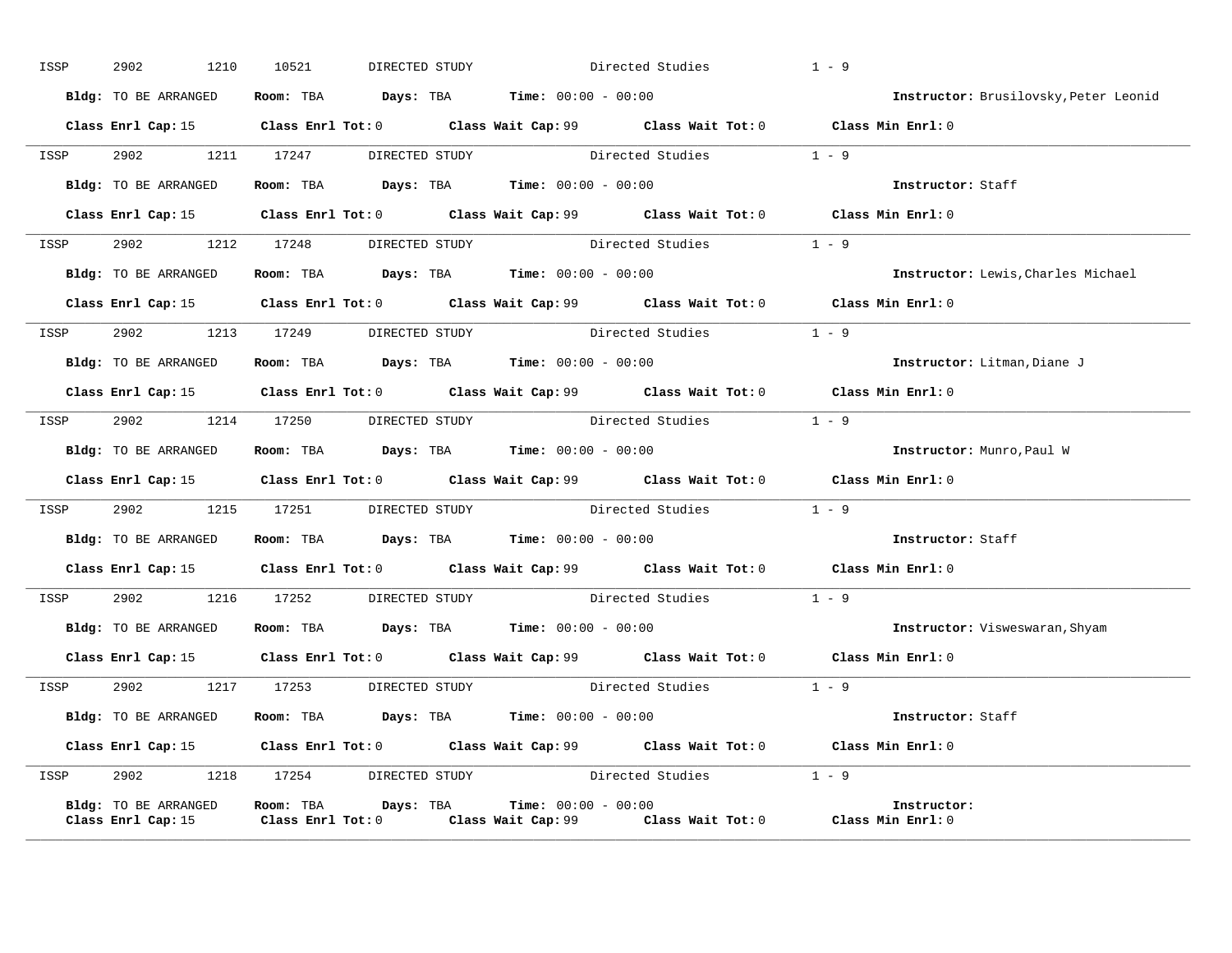| ISSP | 2902<br>1210         | 10521                                                                                   | DIRECTED STUDY Directed Studies                                                             | $1 - 9$                                                                                                 |
|------|----------------------|-----------------------------------------------------------------------------------------|---------------------------------------------------------------------------------------------|---------------------------------------------------------------------------------------------------------|
|      | Bldg: TO BE ARRANGED | Room: TBA $\rule{1em}{0.15mm}$ Days: TBA $\rule{1.15mm}]{0.15mm}$ Time: $0.000 - 0.000$ |                                                                                             | Instructor: Brusilovsky, Peter Leonid                                                                   |
|      |                      |                                                                                         | Class Enrl Cap: 15 Class Enrl Tot: 0 Class Wait Cap: 99 Class Wait Tot: 0 Class Min Enrl: 0 |                                                                                                         |
|      |                      |                                                                                         | ISSP 2902 1211 17247 DIRECTED STUDY Directed Studies 1 - 9                                  |                                                                                                         |
|      |                      | Bldg: TO BE ARRANGED Room: TBA Days: TBA Time: 00:00 - 00:00                            |                                                                                             | Instructor: Staff                                                                                       |
|      |                      |                                                                                         | Class Enrl Cap: 15 Class Enrl Tot: 0 Class Wait Cap: 99 Class Wait Tot: 0 Class Min Enrl: 0 |                                                                                                         |
|      |                      |                                                                                         | ISSP 2902 1212 17248 DIRECTED STUDY Directed Studies 1 - 9                                  |                                                                                                         |
|      | Bldg: TO BE ARRANGED | Room: TBA $Days:$ TBA $Time: 00:00 - 00:00$                                             |                                                                                             | Instructor: Lewis, Charles Michael                                                                      |
|      |                      |                                                                                         | Class Enrl Cap: 15 Class Enrl Tot: 0 Class Wait Cap: 99 Class Wait Tot: 0 Class Min Enrl: 0 |                                                                                                         |
|      |                      |                                                                                         | ISSP 2902 1213 17249 DIRECTED STUDY Directed Studies 1 - 9                                  |                                                                                                         |
|      |                      | Bldg: TO BE ARRANGED Room: TBA Days: TBA Time: 00:00 - 00:00                            |                                                                                             | Instructor: Litman, Diane J                                                                             |
|      |                      |                                                                                         | Class Enrl Cap: 15 Class Enrl Tot: 0 Class Wait Cap: 99 Class Wait Tot: 0 Class Min Enrl: 0 |                                                                                                         |
| ISSP |                      |                                                                                         | 2902 1214 17250 DIRECTED STUDY Directed Studies 1 - 9                                       |                                                                                                         |
|      |                      | Bldg: TO BE ARRANGED Room: TBA Days: TBA Time: 00:00 - 00:00                            |                                                                                             | Instructor: Munro, Paul W                                                                               |
|      |                      |                                                                                         | Class Enrl Cap: 15 Class Enrl Tot: 0 Class Wait Cap: 99 Class Wait Tot: 0 Class Min Enrl: 0 |                                                                                                         |
|      |                      |                                                                                         | ISSP 2902 1215 17251 DIRECTED STUDY Directed Studies 1 - 9                                  |                                                                                                         |
|      |                      | Bldg: TO BE ARRANGED Room: TBA Days: TBA Time: 00:00 - 00:00                            |                                                                                             | <b>Instructor:</b> Staff                                                                                |
|      |                      |                                                                                         | Class Enrl Cap: 15 Class Enrl Tot: 0 Class Wait Cap: 99 Class Wait Tot: 0 Class Min Enrl: 0 |                                                                                                         |
|      |                      |                                                                                         | ISSP 2902 1216 17252 DIRECTED STUDY Directed Studies 1 - 9                                  |                                                                                                         |
|      |                      |                                                                                         |                                                                                             | Bldg: TO BE ARRANGED Room: TBA Days: TBA Time: 00:00 - 00:00 000 100 100 Instructor: Visweswaran, Shyam |
|      |                      |                                                                                         | Class Enrl Cap: 15 Class Enrl Tot: 0 Class Wait Cap: 99 Class Wait Tot: 0 Class Min Enrl: 0 |                                                                                                         |
|      |                      |                                                                                         | ISSP 2902 1217 17253 DIRECTED STUDY Directed Studies 1 - 9                                  |                                                                                                         |
|      |                      | Bldg: TO BE ARRANGED Room: TBA Days: TBA Time: 00:00 - 00:00                            |                                                                                             | Instructor: Staff                                                                                       |
|      |                      |                                                                                         | Class Enrl Cap: 15 Class Enrl Tot: 0 Class Wait Cap: 99 Class Wait Tot: 0 Class Min Enrl: 0 |                                                                                                         |
| ISSP |                      |                                                                                         | 2902 1218 17254 DIRECTED STUDY Directed Studies 1 - 9                                       |                                                                                                         |
|      | Bldg: TO BE ARRANGED | <b>Room:</b> TBA $Days: TBA$ <b>Time:</b> $00:00 - 00:00$                               | Class Enrl Cap: 15 Class Enrl Tot: 0 Class Wait Cap: 99 Class Wait Tot: 0 Class Min Enrl: 0 | Instructor:                                                                                             |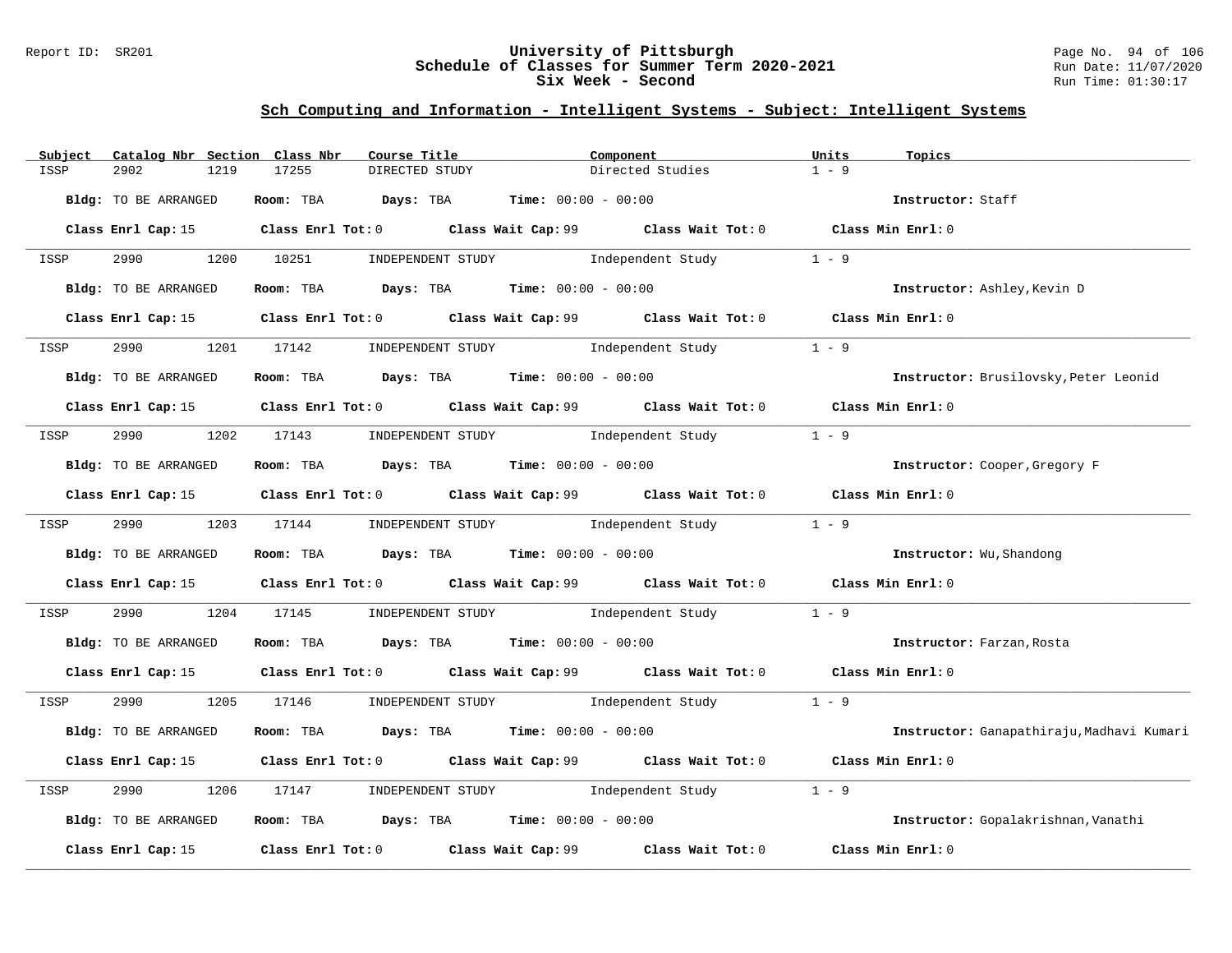### Report ID: SR201 **University of Pittsburgh** Page No. 94 of 106 **Schedule of Classes for Summer Term 2020-2021** Run Date: 11/07/2020 **Six Week - Second Run Time: 01:30:17**

| Catalog Nbr Section Class Nbr<br>Subject | Course Title                                                 | Component                                                                                            | Units<br>Topics                           |
|------------------------------------------|--------------------------------------------------------------|------------------------------------------------------------------------------------------------------|-------------------------------------------|
| 2902<br>1219<br>ISSP                     | 17255<br>DIRECTED STUDY                                      | Directed Studies                                                                                     | $1 - 9$                                   |
| Bldg: TO BE ARRANGED                     | Room: TBA $Days:$ TBA $Time: 00:00 - 00:00$                  |                                                                                                      | Instructor: Staff                         |
|                                          |                                                              | Class Enrl Cap: 15 Class Enrl Tot: 0 Class Wait Cap: 99 Class Wait Tot: 0 Class Min Enrl: 0          |                                           |
| ISSP                                     |                                                              | 2990 1200 10251 INDEPENDENT STUDY Independent Study                                                  | $1 - 9$                                   |
| Bldg: TO BE ARRANGED                     | Room: TBA $Days: TBA$ Time: $00:00 - 00:00$                  |                                                                                                      | Instructor: Ashley, Kevin D               |
|                                          |                                                              | Class Enrl Cap: 15 Class Enrl Tot: 0 Class Wait Cap: 99 Class Wait Tot: 0 Class Min Enrl: 0          |                                           |
| 2990<br>ISSP                             | 1201 17142 INDEPENDENT STUDY Independent Study               |                                                                                                      | $1 - 9$                                   |
| Bldg: TO BE ARRANGED                     | Room: TBA $Days:$ TBA $Time: 00:00 - 00:00$                  |                                                                                                      | Instructor: Brusilovsky, Peter Leonid     |
|                                          |                                                              | Class Enrl Cap: 15 Class Enrl Tot: 0 Class Wait Cap: 99 Class Wait Tot: 0 Class Min Enrl: 0          |                                           |
| ISSP                                     | 2990 1202 17143 INDEPENDENT STUDY Independent Study          |                                                                                                      | $1 - 9$                                   |
| Bldg: TO BE ARRANGED                     | Room: TBA $Days:$ TBA $Time: 00:00 - 00:00$                  |                                                                                                      | Instructor: Cooper, Gregory F             |
|                                          |                                                              | Class Enrl Cap: 15 Class Enrl Tot: 0 Class Wait Cap: 99 Class Wait Tot: 0 Class Min Enrl: 0          |                                           |
| ISSP                                     |                                                              | 2990 1203 17144 INDEPENDENT STUDY Independent Study 1 - 9                                            |                                           |
| Bldg: TO BE ARRANGED                     | <b>Room:</b> TBA <b>Days:</b> TBA <b>Time:</b> 00:00 - 00:00 |                                                                                                      | Instructor: Wu, Shandong                  |
|                                          |                                                              | Class Enrl Cap: 15 Class Enrl Tot: 0 Class Wait Cap: 99 Class Wait Tot: 0 Class Min Enrl: 0          |                                           |
| 2990<br>ISSP                             |                                                              | 1204 17145 INDEPENDENT STUDY Independent Study                                                       | $1 - 9$                                   |
| Bldg: TO BE ARRANGED                     | Room: TBA $Days:$ TBA $Time: 00:00 - 00:00$                  |                                                                                                      | Instructor: Farzan, Rosta                 |
|                                          |                                                              | Class Enrl Cap: 15 Class Enrl Tot: 0 Class Wait Cap: 99 Class Wait Tot: 0 Class Min Enrl: 0          |                                           |
| ISSP                                     |                                                              | 2990 1205 17146 INDEPENDENT STUDY Independent Study 1 - 9                                            |                                           |
| Bldg: TO BE ARRANGED                     | Room: TBA $Days:$ TBA $Time: 00:00 - 00:00$                  |                                                                                                      | Instructor: Ganapathiraju, Madhavi Kumari |
|                                          |                                                              | Class Enrl Cap: 15 Class Enrl Tot: 0 Class Wait Cap: 99 Class Wait Tot: 0 Class Min Enrl: 0          |                                           |
| 2990<br>1206<br>ISSP                     | 17147                                                        | INDEPENDENT STUDY The Independent Study                                                              | $1 - 9$                                   |
| Bldg: TO BE ARRANGED                     | Room: TBA $Days:$ TBA $Time: 00:00 - 00:00$                  |                                                                                                      | Instructor: Gopalakrishnan, Vanathi       |
|                                          |                                                              | Class Enrl Cap: 15 $\qquad$ Class Enrl Tot: 0 $\qquad$ Class Wait Cap: 99 $\qquad$ Class Wait Tot: 0 | Class Min Enrl: 0                         |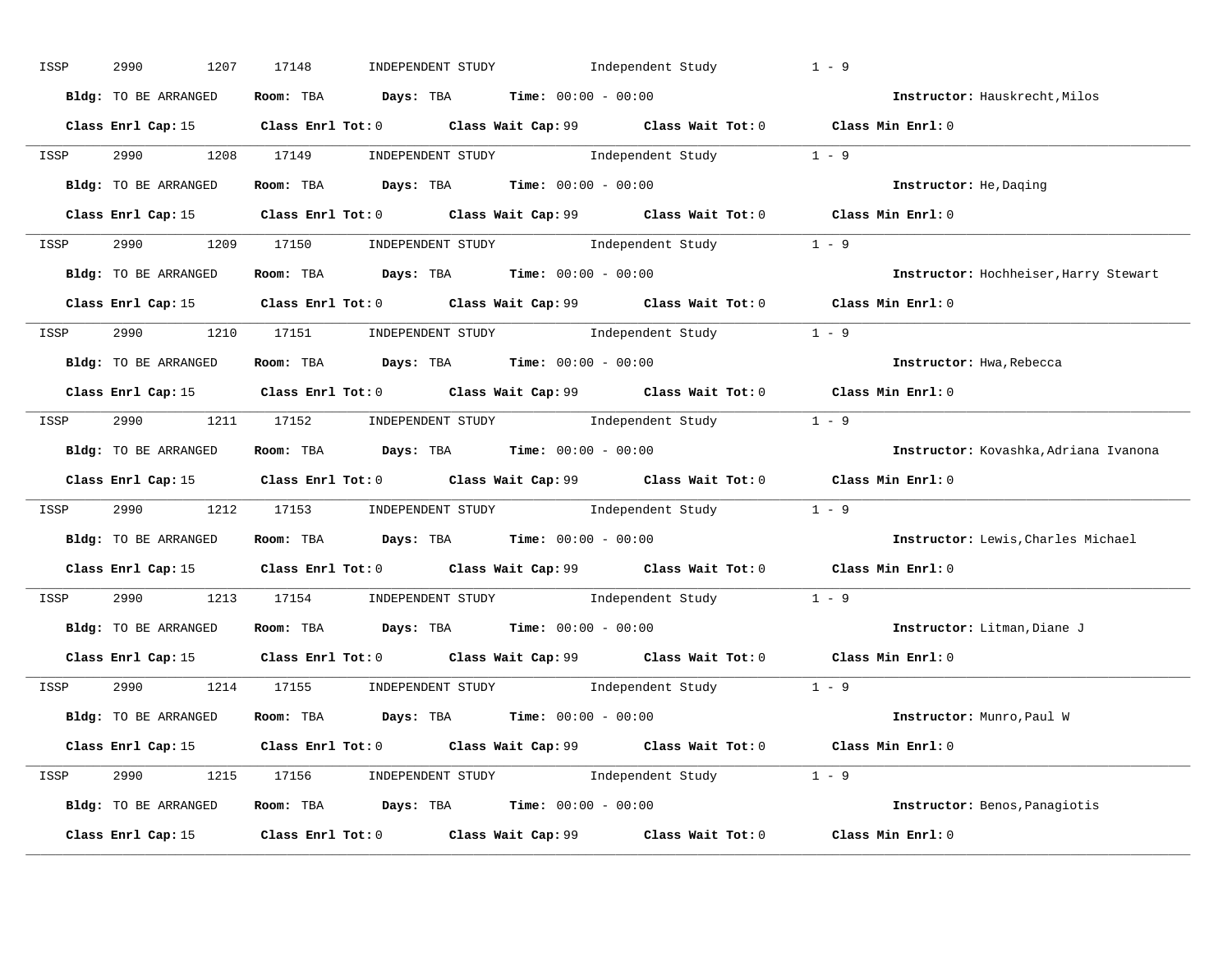| ISSP | 2990<br>1207         | INDEPENDENT STUDY 1ndependent Study<br>17148                                                        | $1 - 9$                               |
|------|----------------------|-----------------------------------------------------------------------------------------------------|---------------------------------------|
|      | Bldg: TO BE ARRANGED | Room: TBA $Days:$ TBA $Time: 00:00 - 00:00$                                                         | Instructor: Hauskrecht, Milos         |
|      |                      | Class Enrl Cap: 15 Class Enrl Tot: 0 Class Wait Cap: 99 Class Wait Tot: 0 Class Min Enrl: 0         |                                       |
|      |                      | ISSP 2990 1208 17149 INDEPENDENT STUDY Independent Study 1 - 9                                      |                                       |
|      | Bldg: TO BE ARRANGED | Room: TBA $Days: TBA$ Time: $00:00 - 00:00$                                                         | Instructor: He, Daging                |
|      |                      | Class Enrl Cap: 15 Class Enrl Tot: 0 Class Wait Cap: 99 Class Wait Tot: 0 Class Min Enrl: 0         |                                       |
|      |                      | ISSP 2990 1209 17150 INDEPENDENT STUDY Independent Study 1 - 9                                      |                                       |
|      |                      | Bldg: TO BE ARRANGED ROOM: TBA Days: TBA Time: 00:00 - 00:00                                        | Instructor: Hochheiser, Harry Stewart |
|      |                      | Class Enrl Cap: 15 Class Enrl Tot: 0 Class Wait Cap: 99 Class Wait Tot: 0 Class Min Enrl: 0         |                                       |
|      |                      | ISSP 2990 1210 17151 INDEPENDENT STUDY Independent Study 1 - 9                                      |                                       |
|      | Bldg: TO BE ARRANGED | Room: TBA $Days:$ TBA Time: $00:00 - 00:00$                                                         | Instructor: Hwa, Rebecca              |
|      |                      | Class Enrl Cap: 15 Class Enrl Tot: 0 Class Wait Cap: 99 Class Wait Tot: 0 Class Min Enrl: 0         |                                       |
|      |                      | ISSP 2990 1211 17152 INDEPENDENT STUDY Independent Study 1 - 9                                      |                                       |
|      | Bldg: TO BE ARRANGED | Room: TBA $Days:$ TBA $Time: 00:00 - 00:00$                                                         | Instructor: Kovashka, Adriana Ivanona |
|      |                      | Class Enrl Cap: 15 Class Enrl Tot: 0 Class Wait Cap: 99 Class Wait Tot: 0 Class Min Enrl: 0         |                                       |
| ISSP |                      | 2990 1212 17153 INDEPENDENT STUDY Independent Study 1 - 9                                           |                                       |
|      |                      | Bldg: TO BE ARRANGED Room: TBA Days: TBA Time: 00:00 - 00:00                                        | Instructor: Lewis, Charles Michael    |
|      |                      | Class Enrl Cap: 15 Class Enrl Tot: 0 Class Wait Cap: 99 Class Wait Tot: 0 Class Min Enrl: 0         |                                       |
| ISSP |                      | 2990 1213 17154 INDEPENDENT STUDY Independent Study 1 - 9                                           |                                       |
|      |                      | Bldg: TO BE ARRANGED ROOM: TBA Days: TBA Time: 00:00 - 00:00                                        | Instructor: Litman, Diane J           |
|      | Class Enrl Cap: 15   | Class Enrl Tot: 0 $\qquad$ Class Wait Cap: 99 $\qquad$ Class Wait Tot: 0 $\qquad$ Class Min Enrl: 0 |                                       |
|      |                      | ISSP 2990 1214 17155 INDEPENDENT STUDY Independent Study 1 - 9                                      |                                       |
|      | Bldg: TO BE ARRANGED | Room: TBA $Days: TBA$ Time: $00:00 - 00:00$                                                         | Instructor: Munro,Paul W              |
|      |                      | Class Enrl Cap: 15 Class Enrl Tot: 0 Class Wait Cap: 99 Class Wait Tot: 0 Class Min Enrl: 0         |                                       |
|      |                      | ISSP 2990 1215 17156 INDEPENDENT STUDY Independent Study 1 - 9                                      |                                       |
|      |                      | Bldg: TO BE ARRANGED Room: TBA Days: TBA Time: $00:00 - 00:00$                                      | Instructor: Benos, Panagiotis         |
|      |                      | Class Enrl Cap: 15 Class Enrl Tot: 0 Class Wait Cap: 99 Class Wait Tot: 0                           | Class Min Enrl: 0                     |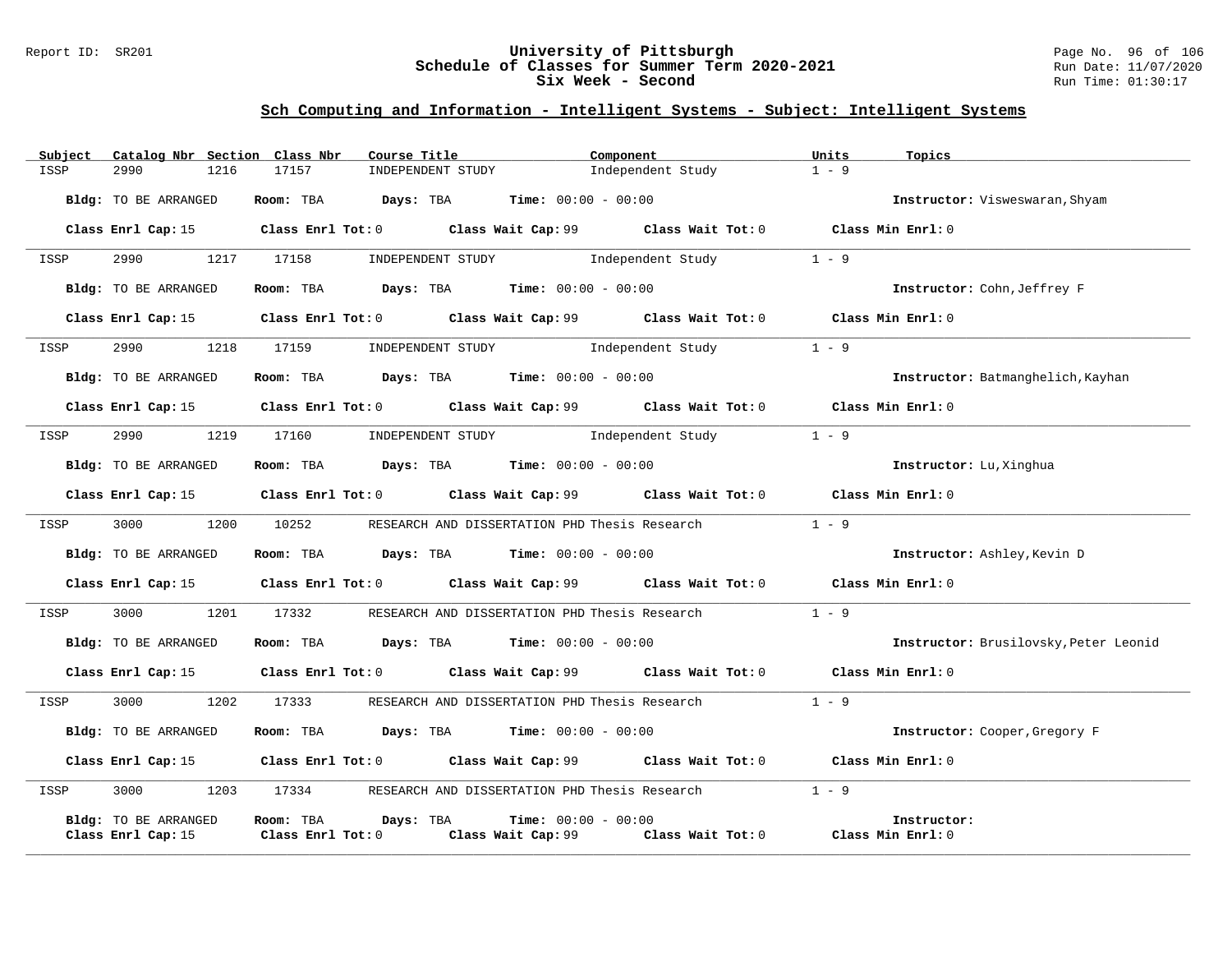### Report ID: SR201 **University of Pittsburgh** Page No. 96 of 106 **Schedule of Classes for Summer Term 2020-2021** Run Date: 11/07/2020 **Six Week - Second Run Time: 01:30:17**

| Subject | Catalog Nbr Section Class Nbr |                                                                                       | Course Title      | Component                                                                                   | Units             | Topics                                |
|---------|-------------------------------|---------------------------------------------------------------------------------------|-------------------|---------------------------------------------------------------------------------------------|-------------------|---------------------------------------|
| ISSP    | 2990<br>1216                  | 17157                                                                                 | INDEPENDENT STUDY | Independent Study                                                                           | $1 - 9$           |                                       |
|         | Bldg: TO BE ARRANGED          | Room: TBA $Days:$ TBA $Time: 00:00 - 00:00$                                           |                   |                                                                                             |                   | Instructor: Visweswaran, Shyam        |
|         |                               |                                                                                       |                   | Class Enrl Cap: 15 Class Enrl Tot: 0 Class Wait Cap: 99 Class Wait Tot: 0 Class Min Enrl: 0 |                   |                                       |
| ISSP    | 2990                          | 1217 17158                                                                            |                   | INDEPENDENT STUDY 1ndependent Study                                                         | $1 - 9$           |                                       |
|         | <b>Bldg:</b> TO BE ARRANGED   | Room: TBA $\rule{1em}{0.15mm}$ Days: TBA $\rule{1.5mm}{0.15mm}$ Time: $00:00 - 00:00$ |                   |                                                                                             |                   | Instructor: Cohn, Jeffrey F           |
|         |                               |                                                                                       |                   | Class Enrl Cap: 15 Class Enrl Tot: 0 Class Wait Cap: 99 Class Wait Tot: 0 Class Min Enrl: 0 |                   |                                       |
| ISSP    | 2990 — 100                    | 1218 17159                                                                            |                   | INDEPENDENT STUDY 1ndependent Study                                                         | $1 - 9$           |                                       |
|         | Bldg: TO BE ARRANGED          | Room: TBA $Days:$ TBA $Time: 00:00 - 00:00$                                           |                   |                                                                                             |                   | Instructor: Batmanghelich, Kayhan     |
|         | Class Enrl Cap: 15            |                                                                                       |                   | Class Enrl Tot: $0$ Class Wait Cap: $99$ Class Wait Tot: $0$ Class Min Enrl: $0$            |                   |                                       |
| ISSP    | 2990<br>1219                  | 17160                                                                                 |                   | INDEPENDENT STUDY 1ndependent Study                                                         | $1 - 9$           |                                       |
|         | Bldg: TO BE ARRANGED          | Room: TBA $\rule{1em}{0.15mm}$ Days: TBA $\rule{1.5mm}{0.15mm}$ Time: $00:00 - 00:00$ |                   |                                                                                             |                   | Instructor: Lu, Xinghua               |
|         |                               |                                                                                       |                   | Class Enrl Cap: 15 Class Enrl Tot: 0 Class Wait Cap: 99 Class Wait Tot: 0 Class Min Enrl: 0 |                   |                                       |
| ISSP    | 3000 000<br>1200              | 10252                                                                                 |                   | RESEARCH AND DISSERTATION PHD Thesis Research                                               | $1 - 9$           |                                       |
|         | Bldg: TO BE ARRANGED          | Room: TBA $Days: TBA$ Time: $00:00 - 00:00$                                           |                   |                                                                                             |                   | Instructor: Ashley, Kevin D           |
|         |                               |                                                                                       |                   | Class Enrl Cap: 15 Class Enrl Tot: 0 Class Wait Cap: 99 Class Wait Tot: 0 Class Min Enrl: 0 |                   |                                       |
| ISSP    | 3000 000                      | 1201 17332                                                                            |                   | RESEARCH AND DISSERTATION PHD Thesis Research                                               | $1 - 9$           |                                       |
|         | Bldg: TO BE ARRANGED          | Room: TBA $Days:$ TBA $Time: 00:00 - 00:00$                                           |                   |                                                                                             |                   | Instructor: Brusilovsky, Peter Leonid |
|         | Class Enrl Cap: 15            |                                                                                       |                   | Class Enrl Tot: 0 Class Wait Cap: 99 Class Wait Tot: 0                                      | Class Min Enrl: 0 |                                       |
| ISSP    | 3000<br>1202                  | 17333                                                                                 |                   | RESEARCH AND DISSERTATION PHD Thesis Research                                               | $1 - 9$           |                                       |
|         | Bldg: TO BE ARRANGED          | Room: TBA $\rule{1em}{0.15mm}$ Days: TBA $\rule{1.5mm}{0.15mm}$ Time: $00:00 - 00:00$ |                   |                                                                                             |                   | Instructor: Cooper, Gregory F         |
|         |                               |                                                                                       |                   | Class Enrl Cap: 15 Class Enrl Tot: 0 Class Wait Cap: 99 Class Wait Tot: 0 Class Min Enrl: 0 |                   |                                       |
| ISSP    | 3000 000<br>1203              |                                                                                       |                   | 17334 RESEARCH AND DISSERTATION PHD Thesis Research                                         | $1 - 9$           |                                       |
|         | Bldg: TO BE ARRANGED          | Room: TBA<br>Days: TBA                                                                |                   | <b>Time:</b> $00:00 - 00:00$                                                                |                   | Instructor:                           |
|         | Class Enrl Cap: 15            | Class Enrl Tot: 0                                                                     |                   | Class Wait Cap: 99 Class Wait Tot: 0 Class Min Enrl: 0                                      |                   |                                       |
|         |                               |                                                                                       |                   |                                                                                             |                   |                                       |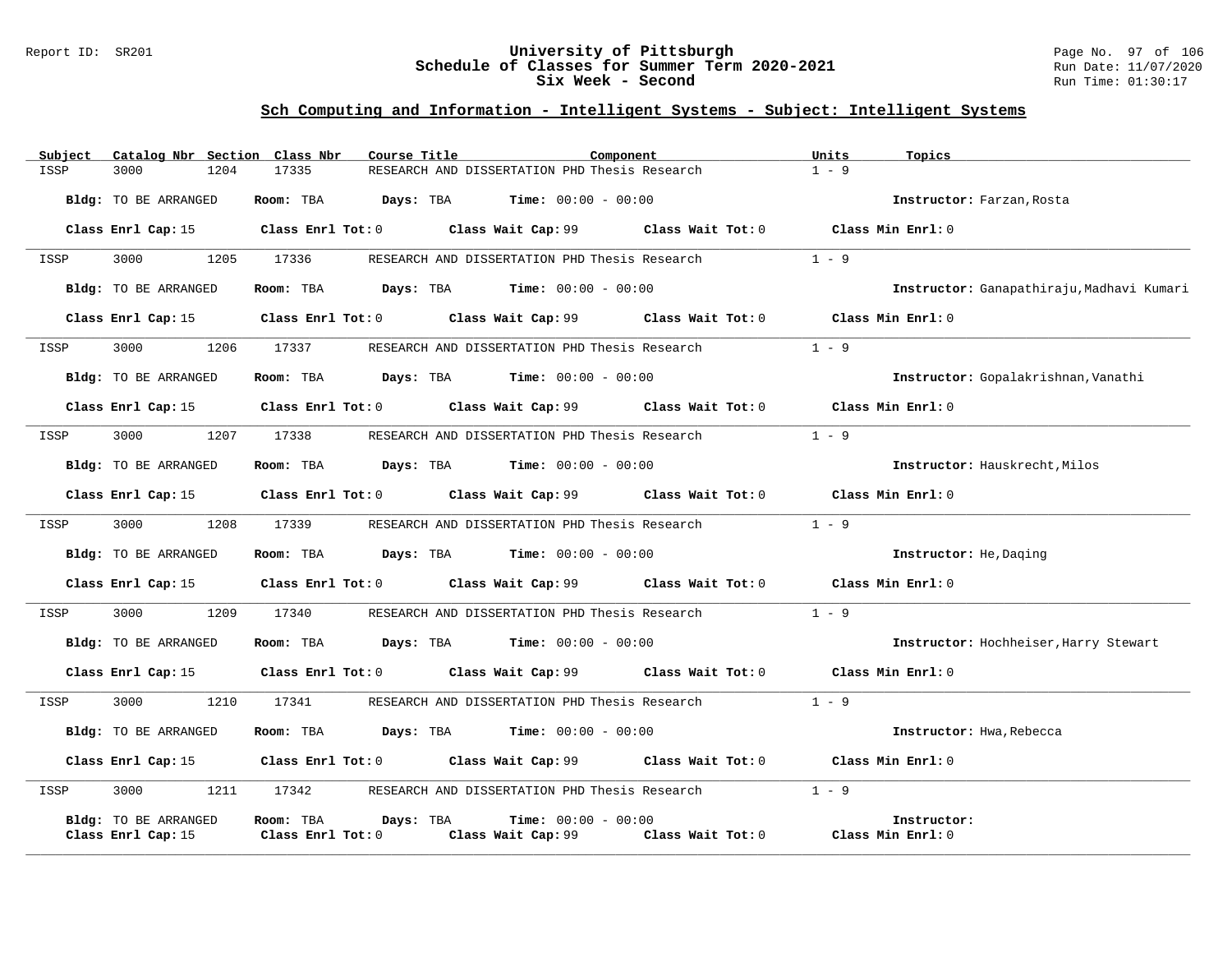### Report ID: SR201 **University of Pittsburgh** Page No. 97 of 106 **Schedule of Classes for Summer Term 2020-2021** Run Date: 11/07/2020 **Six Week - Second Run Time: 01:30:17**

| Subject | Catalog Nbr Section Class Nbr | Course Title           | Component                                                                                   |                   | Units<br>Topics                           |
|---------|-------------------------------|------------------------|---------------------------------------------------------------------------------------------|-------------------|-------------------------------------------|
| ISSP    | 3000<br>1204                  | 17335                  | RESEARCH AND DISSERTATION PHD Thesis Research                                               |                   | $1 - 9$                                   |
|         | Bldg: TO BE ARRANGED          | Room: TBA              | <b>Days:</b> TBA <b>Time:</b> $00:00 - 00:00$                                               |                   | Instructor: Farzan, Rosta                 |
|         |                               |                        | Class Enrl Cap: 15 Class Enrl Tot: 0 Class Wait Cap: 99 Class Wait Tot: 0 Class Min Enrl: 0 |                   |                                           |
| ISSP    | 3000<br>1205                  | 17336                  | RESEARCH AND DISSERTATION PHD Thesis Research                                               |                   | $1 - 9$                                   |
|         | Bldg: TO BE ARRANGED          | Room: TBA              | <b>Days:</b> TBA <b>Time:</b> $00:00 - 00:00$                                               |                   | Instructor: Ganapathiraju, Madhavi Kumari |
|         | Class Enrl Cap: 15            |                        | Class Enrl Tot: 0 Class Wait Cap: 99                                                        | Class Wait Tot: 0 | Class Min Enrl: 0                         |
| ISSP    | 3000<br>1206                  | 17337                  | RESEARCH AND DISSERTATION PHD Thesis Research                                               |                   | $1 - 9$                                   |
|         | Bldg: TO BE ARRANGED          | Room: TBA              | <b>Days:</b> TBA <b>Time:</b> $00:00 - 00:00$                                               |                   | Instructor: Gopalakrishnan, Vanathi       |
|         | Class Enrl Cap: 15            |                        | Class Enrl Tot: 0 Class Wait Cap: 99 Class Wait Tot: 0                                      |                   | Class Min Enrl: 0                         |
| ISSP    | 1207<br>3000                  | 17338                  | RESEARCH AND DISSERTATION PHD Thesis Research                                               |                   | $1 - 9$                                   |
|         | Bldg: TO BE ARRANGED          | Room: TBA              | $\texttt{DayS:}$ TBA $\texttt{Time:}$ 00:00 - 00:00                                         |                   | Instructor: Hauskrecht, Milos             |
|         | Class Enrl Cap: 15            |                        | Class Enrl Tot: 0 Class Wait Cap: 99 Class Wait Tot: 0 Class Min Enrl: 0                    |                   |                                           |
| ISSP    | 3000<br>1208                  | 17339                  | RESEARCH AND DISSERTATION PHD Thesis Research                                               |                   | $1 - 9$                                   |
|         | Bldg: TO BE ARRANGED          | Room: TBA              | <b>Days:</b> TBA <b>Time:</b> $00:00 - 00:00$                                               |                   | Instructor: He, Daging                    |
|         | Class Enrl Cap: 15            |                        | Class Enrl Tot: 0 Class Wait Cap: 99 Class Wait Tot: 0 Class Min Enrl: 0                    |                   |                                           |
| ISSP    | 1209<br>3000                  | 17340                  | RESEARCH AND DISSERTATION PHD Thesis Research                                               |                   | $1 - 9$                                   |
|         | Bldg: TO BE ARRANGED          | Room: TBA              | <b>Days:</b> TBA <b>Time:</b> $00:00 - 00:00$                                               |                   | Instructor: Hochheiser, Harry Stewart     |
|         | Class Enrl Cap: 15            |                        | Class Enrl Tot: 0 Class Wait Cap: 99 Class Wait Tot: 0                                      |                   | Class Min Enrl: 0                         |
| ISSP    | 3000<br>1210                  | 17341                  | RESEARCH AND DISSERTATION PHD Thesis Research                                               |                   | $1 - 9$                                   |
|         | Bldg: TO BE ARRANGED          |                        | Room: TBA $Days:$ TBA $Time: 00:00 - 00:00$                                                 |                   | Instructor: Hwa, Rebecca                  |
|         | Class Enrl Cap: 15            |                        | Class Enrl Tot: $0$ Class Wait Cap: $99$ Class Wait Tot: $0$ Class Min Enrl: $0$            |                   |                                           |
| ISSP    | 3000<br>1211                  | 17342                  | RESEARCH AND DISSERTATION PHD Thesis Research                                               |                   | $1 - 9$                                   |
|         | Bldg: TO BE ARRANGED          | Room: TBA<br>Days: TBA | <b>Time:</b> $00:00 - 00:00$                                                                |                   | Instructor:                               |
|         | Class Enrl Cap: 15            | Class Enrl Tot: 0      | Class Wait Cap: 99                                                                          | Class Wait Tot: 0 | Class Min Enrl: 0                         |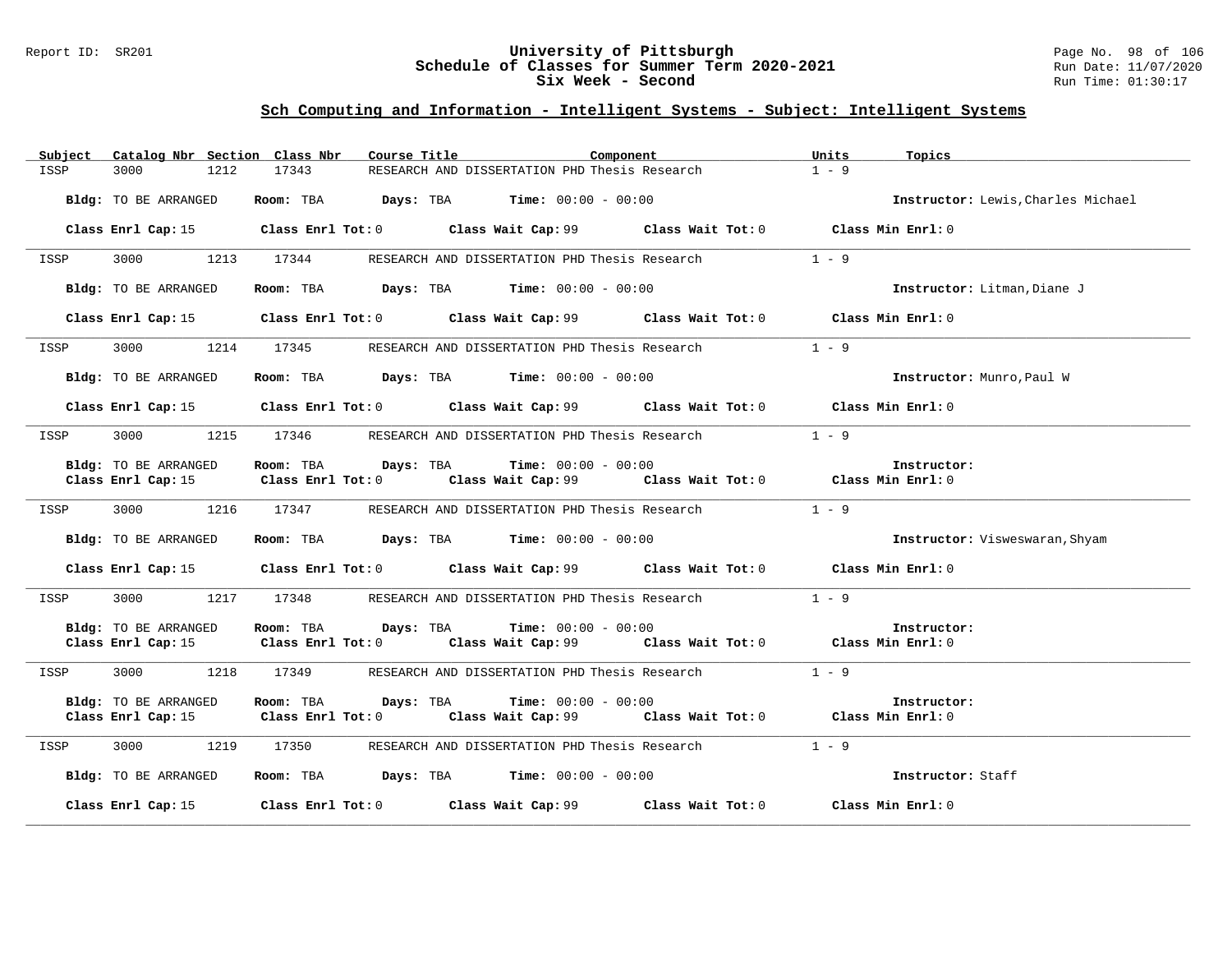### Report ID: SR201 **University of Pittsburgh** Page No. 98 of 106 **Schedule of Classes for Summer Term 2020-2021** Run Date: 11/07/2020 **Six Week - Second Run Time: 01:30:17**

| Subject<br>Catalog Nbr Section Class Nbr | Course Title<br>Component                                                                   | Units<br>Topics                    |
|------------------------------------------|---------------------------------------------------------------------------------------------|------------------------------------|
| 3000<br>1212<br>ISSP                     | 17343<br>RESEARCH AND DISSERTATION PHD Thesis Research                                      | $1 - 9$                            |
| Bldg: TO BE ARRANGED                     | Room: TBA $Days:$ TBA $Time: 00:00 - 00:00$                                                 | Instructor: Lewis, Charles Michael |
|                                          | Class Enrl Cap: 15 Class Enrl Tot: 0 Class Wait Cap: 99 Class Wait Tot: 0 Class Min Enrl: 0 |                                    |
| 3000<br>1213<br>ISSP                     | 17344<br>RESEARCH AND DISSERTATION PHD Thesis Research                                      | $1 - 9$                            |
| Bldg: TO BE ARRANGED                     | Room: TBA $Days: TBA$ Time: $00:00 - 00:00$                                                 | Instructor: Litman, Diane J        |
|                                          | Class Enrl Cap: 15 Class Enrl Tot: 0 Class Wait Cap: 99 Class Wait Tot: 0 Class Min Enrl: 0 |                                    |
| 3000<br>ISSP                             | 1214 17345<br>RESEARCH AND DISSERTATION PHD Thesis Research                                 | $1 - 9$                            |
| Bldg: TO BE ARRANGED                     | Room: TBA $Days:$ TBA $Time: 00:00 - 00:00$                                                 | Instructor: Munro, Paul W          |
|                                          | Class Enrl Cap: 15 Class Enrl Tot: 0 Class Wait Cap: 99 Class Wait Tot: 0 Class Min Enrl: 0 |                                    |
| 3000 000<br>ISSP                         | 1215 17346 RESEARCH AND DISSERTATION PHD Thesis Research                                    | $1 - 9$                            |
| Bldg: TO BE ARRANGED                     | Room: TBA $Days:$ TBA $Time: 00:00 - 00:00$                                                 | Instructor:                        |
|                                          | Class Enrl Cap: 15 Class Enrl Tot: 0 Class Wait Cap: 99 Class Wait Tot: 0 Class Min Enrl: 0 |                                    |
| 3000<br>ISSP                             | 1216 17347 RESEARCH AND DISSERTATION PHD Thesis Research                                    | $1 - 9$                            |
| Bldg: TO BE ARRANGED                     | Room: TBA $Days:$ TBA $Time: 00:00 - 00:00$                                                 | Instructor: Visweswaran, Shyam     |
|                                          | Class Enrl Cap: 15 Class Enrl Tot: 0 Class Wait Cap: 99 Class Wait Tot: 0 Class Min Enrl: 0 |                                    |
| 3000 000<br>ISSP                         | 1217 17348 RESEARCH AND DISSERTATION PHD Thesis Research                                    | $1 - 9$                            |
| Bldg: TO BE ARRANGED                     | Room: TBA Days: TBA<br><b>Time:</b> $00:00 - 00:00$                                         | Instructor:                        |
|                                          | Class Enrl Cap: 15 Class Enrl Tot: 0 Class Wait Cap: 99 Class Wait Tot: 0 Class Min Enrl: 0 |                                    |
| ISSP                                     | 3000 1218 17349 RESEARCH AND DISSERTATION PHD Thesis Research                               | $1 - 9$                            |
| Bldg: TO BE ARRANGED                     | Room: TBA<br>Davs: TBA<br>$Time: 00:00 - 00:00$                                             | Instructor:                        |
|                                          | Class Enrl Cap: 15 Class Enrl Tot: 0 Class Wait Cap: 99 Class Wait Tot: 0 Class Min Enrl: 0 |                                    |
| 3000<br>1219<br>ISSP                     | 17350<br>RESEARCH AND DISSERTATION PHD Thesis Research                                      | $1 - 9$                            |
| Bldg: TO BE ARRANGED                     | Room: TBA $Days:$ TBA $Time: 00:00 - 00:00$                                                 | Instructor: Staff                  |
| Class Enrl Cap: 15                       | Class Enrl Tot: $0$ Class Wait Cap: $99$ Class Wait Tot: $0$ Class Min Enrl: $0$            |                                    |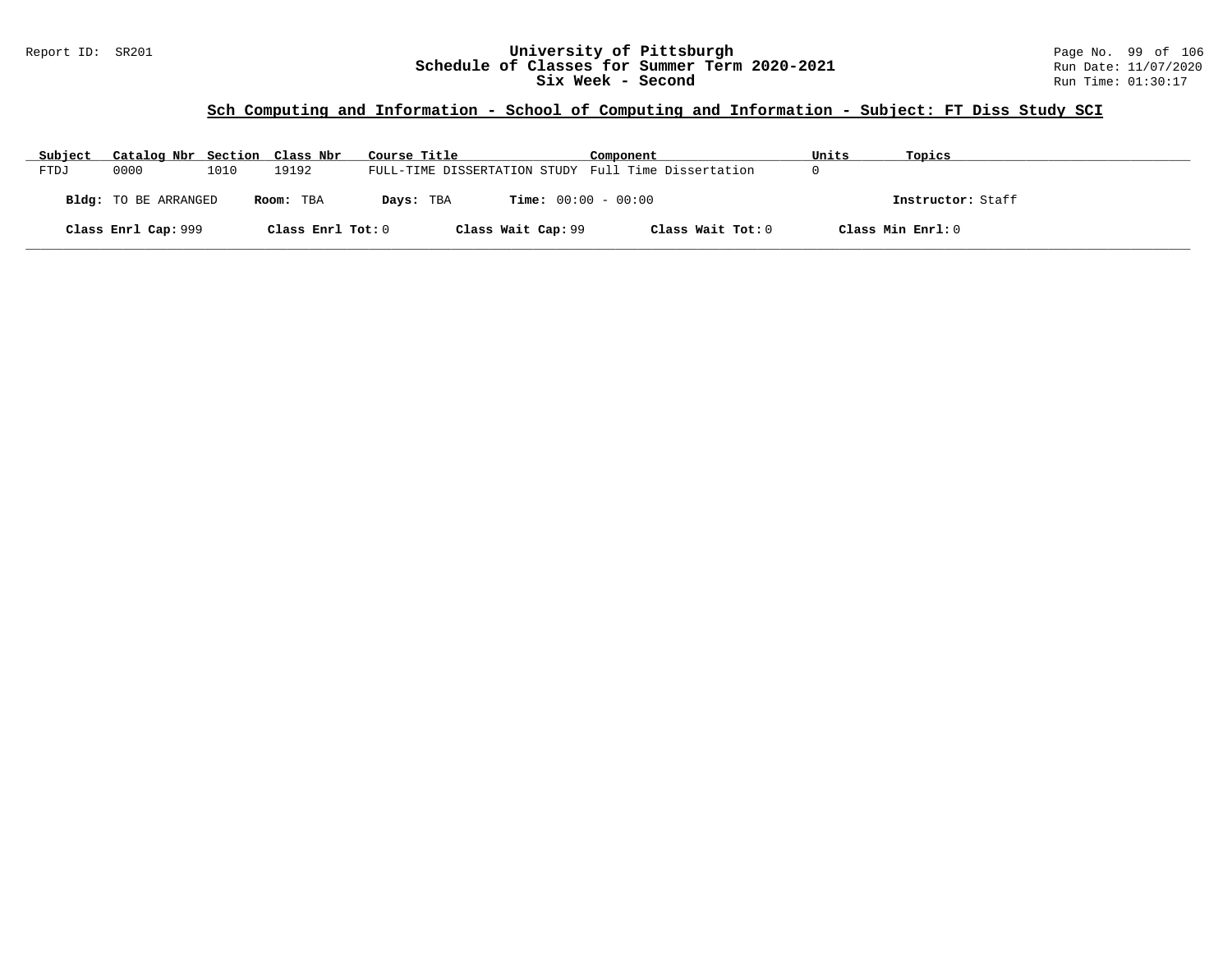### **Sch Computing and Information - School of Computing and Information - Subject: FT Diss Study SCI**

| Subject | Catalog Nbr Section Class Nbr |      |                   | Course Title                                        | Component                    | Units | Topics            |
|---------|-------------------------------|------|-------------------|-----------------------------------------------------|------------------------------|-------|-------------------|
| FTDJ    | 0000                          | 1010 | 19192             | FULL-TIME DISSERTATION STUDY Full Time Dissertation |                              |       |                   |
|         | Bldg: TO BE ARRANGED          |      | Room: TBA         | Days: TBA                                           | <b>Time:</b> $00:00 - 00:00$ |       | Instructor: Staff |
|         | Class Enrl Cap: 999           |      | Class Enrl Tot: 0 | Class Wait Cap: 99                                  | Class Wait Tot: 0            |       | Class Min Enrl: 0 |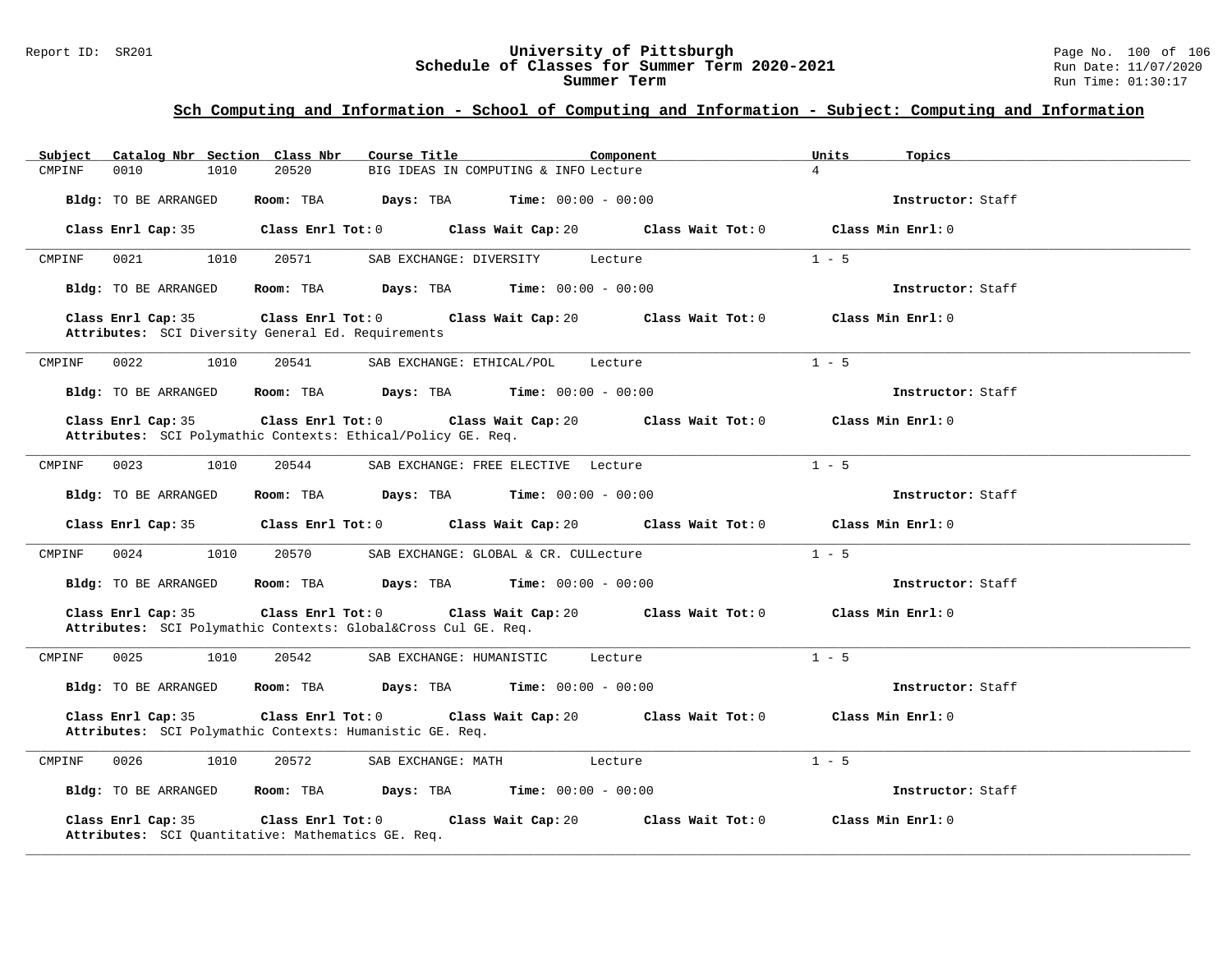#### Report ID: SR201 **University of Pittsburgh** Page No. 100 of 106 **Schedule of Classes for Summer Term 2020-2021** Run Date: 11/07/2020 **Summer Term** Run Time: 01:30:17

| Catalog Nbr Section Class Nbr<br>Subject | Course Title<br>Component                                                                                                    | Units<br>Topics   |
|------------------------------------------|------------------------------------------------------------------------------------------------------------------------------|-------------------|
| 0010<br>1010<br>CMPINF                   | 20520<br>BIG IDEAS IN COMPUTING & INFO Lecture                                                                               | $\overline{4}$    |
| Bldg: TO BE ARRANGED                     | Room: TBA<br>Days: TBA<br>$Time: 00:00 - 00:00$                                                                              | Instructor: Staff |
| Class Enrl Cap: 35                       | Class Wait Cap: 20 Class Wait Tot: 0<br>$Class$ $Enr1$ $Tot: 0$                                                              | Class Min Enrl: 0 |
| CMPINF<br>0021<br>1010                   | 20571<br>SAB EXCHANGE: DIVERSITY<br>Lecture                                                                                  | $1 - 5$           |
| Bldg: TO BE ARRANGED                     | Room: TBA<br><b>Days:</b> TBA <b>Time:</b> $00:00 - 00:00$                                                                   | Instructor: Staff |
| Class Enrl Cap: 35                       | Class Enrl Tot: 0<br>Class Wait Cap: 20 Class Wait Tot: 0<br>Attributes: SCI Diversity General Ed. Requirements              | Class Min Enrl: 0 |
| 0022<br>CMPINF<br>1010                   | 20541<br>SAB EXCHANGE: ETHICAL/POL<br>Lecture                                                                                | $1 - 5$           |
| Bldg: TO BE ARRANGED                     | Room: TBA $Days: TBA$ Time: $00:00 - 00:00$                                                                                  | Instructor: Staff |
| Class Enrl Cap: 35                       | Class Enrl Tot: 0<br>Class Wait Cap: 20<br>Class Wait Tot: 0<br>Attributes: SCI Polymathic Contexts: Ethical/Policy GE. Req. | Class Min Enrl: 0 |
| 0023<br>1010<br>CMPINF                   | 20544<br>SAB EXCHANGE: FREE ELECTIVE Lecture                                                                                 | $1 - 5$           |
| Bldg: TO BE ARRANGED                     | Room: TBA $Days: TBA$ Time: $00:00 - 00:00$                                                                                  | Instructor: Staff |
| Class Enrl Cap: 35                       | Class Wait Cap: 20<br>$Class$ $Enrl$ $Tot: 0$<br>Class Wait Tot: 0                                                           | Class Min Enrl: 0 |
| 1010<br>CMPINF<br>0024                   | 20570<br>SAB EXCHANGE: GLOBAL & CR. CULLecture                                                                               | $1 - 5$           |
| Bldg: TO BE ARRANGED                     | Room: TBA<br>$\texttt{Days:}$ TBA Time: $00:00 - 00:00$                                                                      | Instructor: Staff |
| Class Enrl Cap: 35                       | Class Enrl Tot: 0<br>Class Wait Cap: 20<br>Class Wait Tot: 0<br>Attributes: SCI Polymathic Contexts: Global⨯ Cul GE. Req.    | Class Min Enrl: 0 |
| 0025<br>1010<br>CMPINF                   | 20542<br>SAB EXCHANGE: HUMANISTIC<br>Lecture                                                                                 | $1 - 5$           |
| Bldg: TO BE ARRANGED                     | Room: TBA<br><b>Days:</b> TBA <b>Time:</b> $00:00 - 00:00$                                                                   | Instructor: Staff |
| Class Enrl Cap: 35                       | Class Enrl Tot: 0 Class Wait Cap: 20 Class Wait Tot: 0<br>Attributes: SCI Polymathic Contexts: Humanistic GE. Req.           | Class Min Enrl: 0 |
| 0026<br>1010<br>CMPINF                   | 20572<br>SAB EXCHANGE: MATH<br>Lecture                                                                                       | $1 - 5$           |
| Bldg: TO BE ARRANGED                     | <b>Room:</b> TBA $Days: TBA$ <b>Time:</b> $00:00 - 00:00$                                                                    | Instructor: Staff |
| Class Enrl Cap: 35                       | Class Enrl Tot: 0<br>Class Wait Cap: 20<br>Class Wait Tot: 0<br>Attributes: SCI Quantitative: Mathematics GE. Req.           | Class Min Enrl: 0 |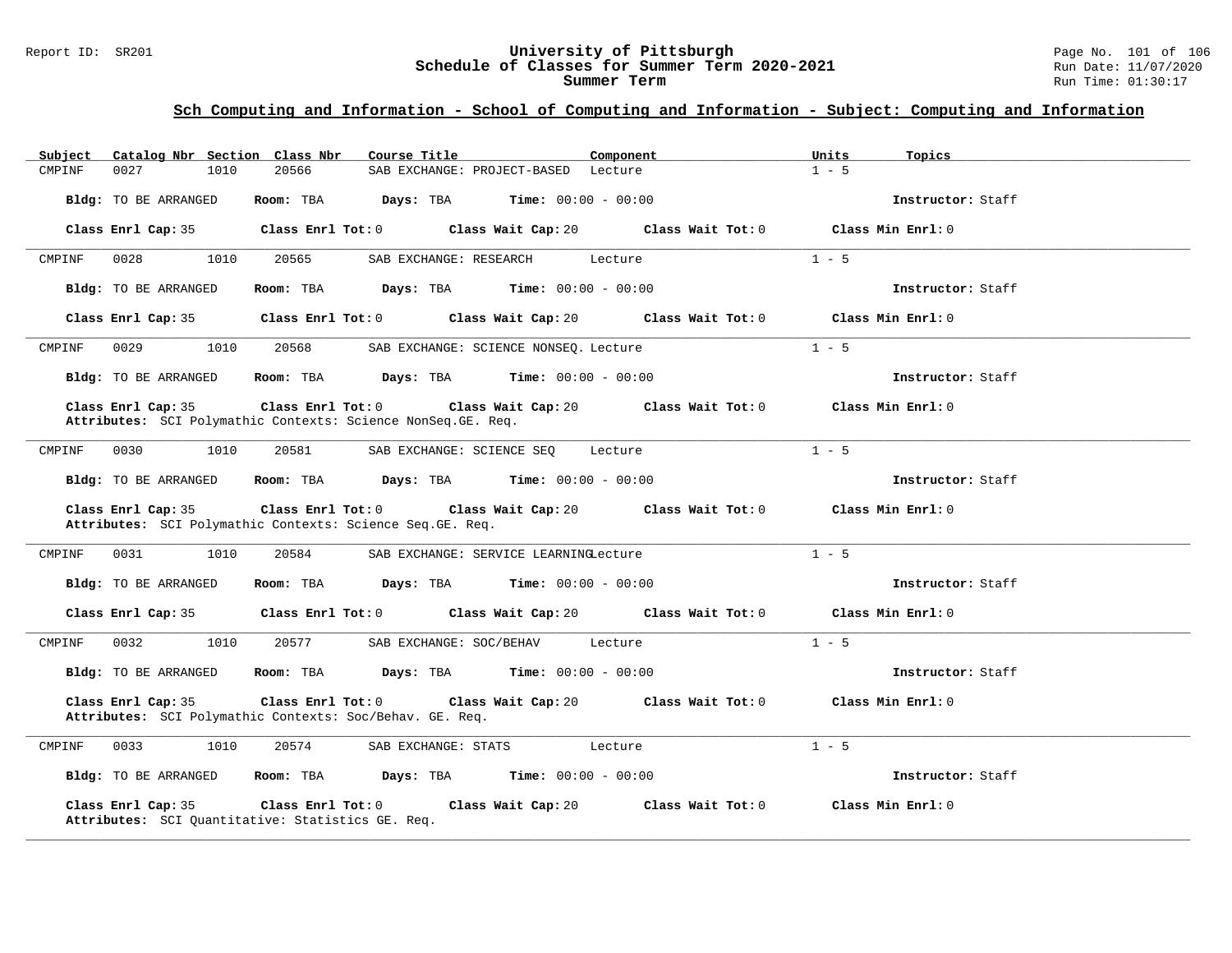#### Report ID: SR201 **University of Pittsburgh** Page No. 101 of 106 **Schedule of Classes for Summer Term 2020-2021** Run Date: 11/07/2020 **Summer Term** Run Time: 01:30:17

| Catalog Nbr Section Class Nbr<br>Subject                                            | Component<br>Course Title                                                                                                                                                                                                     | Units<br>Topics   |
|-------------------------------------------------------------------------------------|-------------------------------------------------------------------------------------------------------------------------------------------------------------------------------------------------------------------------------|-------------------|
| 20566<br>CMPINF<br>0027<br>1010                                                     | SAB EXCHANGE: PROJECT-BASED Lecture                                                                                                                                                                                           | $1 - 5$           |
| Bldg: TO BE ARRANGED                                                                | Room: TBA $Days:$ TBA $Time: 00:00 - 00:00$                                                                                                                                                                                   | Instructor: Staff |
|                                                                                     | Class Enrl Cap: 35 $\,$ Class Enrl Tot: 0 $\,$ Class Wait Cap: 20 $\,$ Class Wait Tot: 0 $\,$ Class Enrl Tot: 0 $\,$ Class Enrl Tot: 0 $\,$ Class Enrl Tot: 0 $\,$ Class Enrl Tot: 0 $\,$ Class Enrl Tot: 0 $\,$ Class Enrl T | Class Min Enrl: 0 |
| 0028<br>1010<br>20565<br>CMPINF                                                     | SAB EXCHANGE: RESEARCH<br>Lecture                                                                                                                                                                                             | $1 - 5$           |
| Bldg: TO BE ARRANGED                                                                | Room: TBA $Days:$ TBA $Time: 00:00 - 00:00$                                                                                                                                                                                   | Instructor: Staff |
|                                                                                     | Class Enrl Cap: 35 Class Enrl Tot: 0 Class Wait Cap: 20 Class Wait Tot: 0 Class Min Enrl: 0                                                                                                                                   |                   |
| 0029<br>1010<br>20568<br>CMPINF                                                     | SAB EXCHANGE: SCIENCE NONSEQ. Lecture                                                                                                                                                                                         | $1 - 5$           |
| Bldg: TO BE ARRANGED                                                                | Room: TBA $Days:$ TBA $Time: 00:00 - 00:00$                                                                                                                                                                                   | Instructor: Staff |
| Class Enrl Cap: 35<br>Attributes: SCI Polymathic Contexts: Science NonSeq. GE. Req. | Class Enrl Tot: 0 $\qquad$ Class Wait Cap: 20 $\qquad$ Class Wait Tot: 0 $\qquad$ Class Min Enrl: 0                                                                                                                           |                   |
| 0030<br>1010<br>20581<br>CMPINF                                                     | SAB EXCHANGE: SCIENCE SEO Lecture                                                                                                                                                                                             | $1 - 5$           |
| Bldg: TO BE ARRANGED                                                                | <b>Room:</b> TBA $\qquad \qquad$ Days: TBA $\qquad \qquad$ Time: $00:00 - 00:00$                                                                                                                                              | Instructor: Staff |
| Class Enrl Cap: 35<br>Attributes: SCI Polymathic Contexts: Science Seq. GE. Req.    | Class Enrl Tot: 0 Class Wait Cap: 20 Class Wait Tot: 0 Class Min Enrl: 0                                                                                                                                                      |                   |
| 0031<br>1010<br>20584<br>CMPINF                                                     | SAB EXCHANGE: SERVICE LEARNINGLecture                                                                                                                                                                                         | $1 - 5$           |
| Bldg: TO BE ARRANGED                                                                | Room: TBA $Days:$ TBA $Time: 00:00 - 00:00$                                                                                                                                                                                   | Instructor: Staff |
|                                                                                     | Class Enrl Cap: 35 Class Enrl Tot: 0 Class Wait Cap: 20 Class Wait Tot: 0 Class Min Enrl: 0                                                                                                                                   |                   |
| 0032<br>1010<br>CMPINF                                                              | 20577<br>SAB EXCHANGE: SOC/BEHAV Lecture                                                                                                                                                                                      | $1 - 5$           |
| Bldg: TO BE ARRANGED                                                                | Room: TBA $Days:$ TBA $Time: 00:00 - 00:00$                                                                                                                                                                                   | Instructor: Staff |
| Class Enrl Cap: 35<br>Attributes: SCI Polymathic Contexts: Soc/Behav. GE. Req.      | Class Enrl Tot: $0$ Class Wait Cap: $20$ Class Wait Tot: $0$ Class Min Enrl: $0$                                                                                                                                              |                   |
| CMPINF<br>0033<br>1010<br>20574                                                     | SAB EXCHANGE: STATS<br>Lecture                                                                                                                                                                                                | $1 - 5$           |
| Bldg: TO BE ARRANGED                                                                | Room: TBA $\rule{1em}{0.15mm}$ Days: TBA $\rule{1.5mm}{0.15mm}$ Time: $00:00 - 00:00$                                                                                                                                         | Instructor: Staff |
| Class Enrl Cap: 35<br>Attributes: SCI Quantitative: Statistics GE. Req.             | Class Enrl Tot: $0$ Class Wait Cap: $20$ Class Wait Tot: $0$                                                                                                                                                                  | Class Min Enrl: 0 |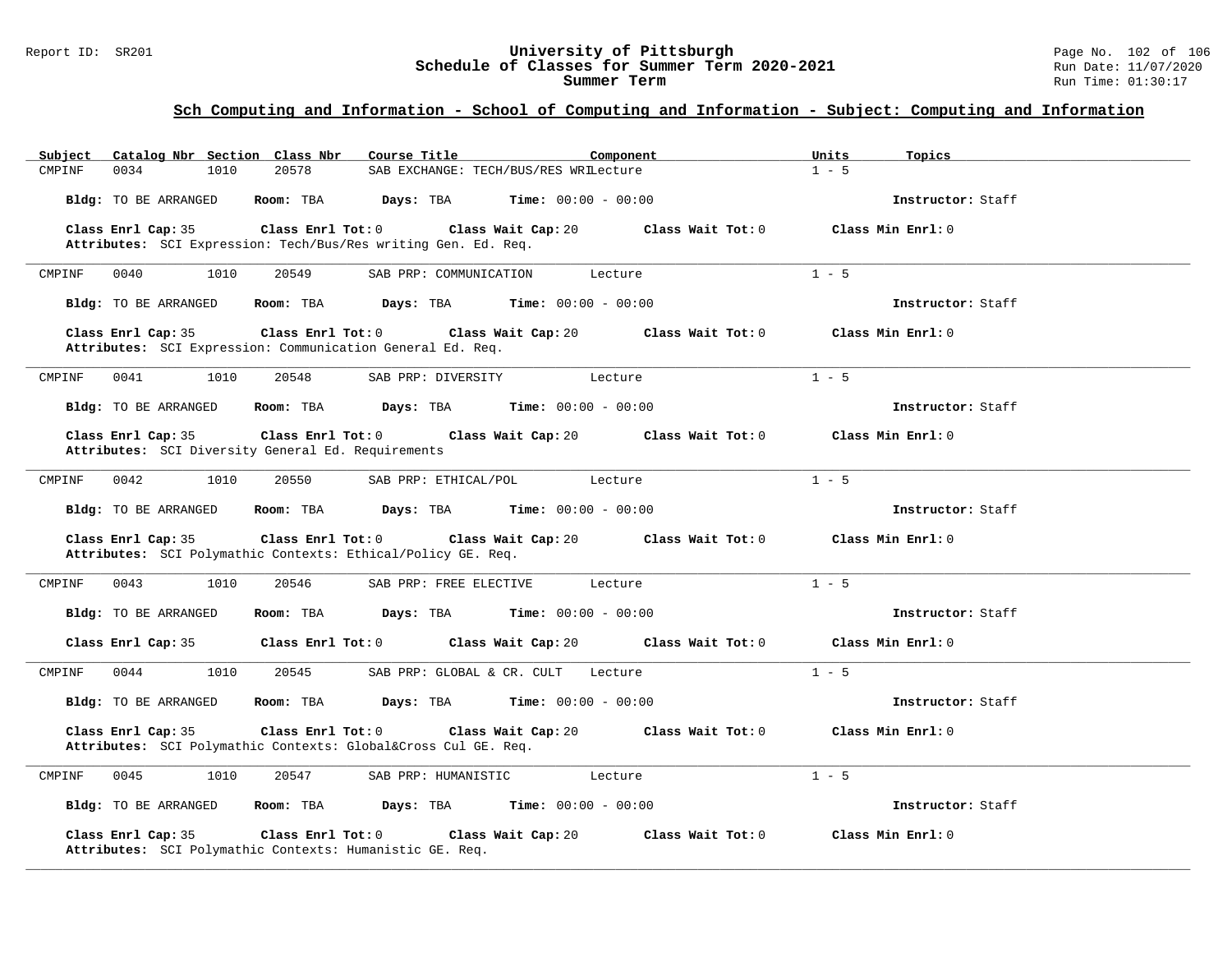#### Report ID: SR201 **University of Pittsburgh** Page No. 102 of 106 **Schedule of Classes for Summer Term 2020-2021** Run Date: 11/07/2020 **Summer Term** Run Time: 01:30:17

| Catalog Nbr Section Class Nbr<br>Subject                                                                  | Course Title<br>Component                           | Units<br>Topics   |
|-----------------------------------------------------------------------------------------------------------|-----------------------------------------------------|-------------------|
| 0034<br>20578<br>CMPINF<br>1010                                                                           | SAB EXCHANGE: TECH/BUS/RES WRILecture               | $1 - 5$           |
| Bldg: TO BE ARRANGED<br>Room: TBA                                                                         | Days: TBA<br><b>Time:</b> $00:00 - 00:00$           | Instructor: Staff |
| Class Enrl Cap: 35<br>Class Enrl Tot: 0<br>Attributes: SCI Expression: Tech/Bus/Res writing Gen. Ed. Req. | Class Wait Cap: 20<br>Class Wait Tot: 0             | Class Min Enrl: 0 |
|                                                                                                           |                                                     |                   |
| CMPINF<br>0040<br>1010<br>20549                                                                           | SAB PRP: COMMUNICATION<br>Lecture                   | $1 - 5$           |
| Bldg: TO BE ARRANGED<br>Room: TBA                                                                         | Time: $00:00 - 00:00$<br>Days: TBA                  | Instructor: Staff |
| Class Enrl Cap: 35<br>Class Enrl Tot: 0<br>Attributes: SCI Expression: Communication General Ed. Req.     | Class Wait Cap: 20<br>Class Wait Tot: 0             | Class Min Enrl: 0 |
| 0041<br>1010<br>20548<br>CMPINF                                                                           | SAB PRP: DIVERSITY<br>Lecture                       | $1 - 5$           |
| Bldg: TO BE ARRANGED<br>Room: TBA                                                                         | Days: TBA<br><b>Time:</b> $00:00 - 00:00$           | Instructor: Staff |
| $Class$ $Enr1$ $Tot: 0$<br>Class Enrl Cap: 35<br>Attributes: SCI Diversity General Ed. Requirements       | Class Wait Cap: 20<br>Class Wait Tot: 0             | Class Min Enrl: 0 |
| 0042<br>1010<br>20550<br>CMPINF                                                                           | SAB PRP: ETHICAL/POL<br>Lecture                     | $1 - 5$           |
| Bldg: TO BE ARRANGED<br>Room: TBA                                                                         | Days: TBA<br><b>Time:</b> $00:00 - 00:00$           | Instructor: Staff |
| Class Enrl Tot: 0<br>Class Enrl Cap: 35<br>Attributes: SCI Polymathic Contexts: Ethical/Policy GE. Req.   | Class Wait Cap: 20<br>Class Wait Tot: 0             | Class Min Enrl: 0 |
| CMPINF<br>0043<br>1010<br>20546                                                                           | SAB PRP: FREE ELECTIVE<br>Lecture                   | $1 - 5$           |
| Bldg: TO BE ARRANGED<br>Room: TBA                                                                         | Days: TBA<br><b>Time:</b> $00:00 - 00:00$           | Instructor: Staff |
| Class Enrl Cap: 35<br>Class Enrl Tot: 0                                                                   | Class Wait Cap: 20<br>Class Wait Tot: 0             | Class Min Enrl: 0 |
| 0044<br>1010<br>20545<br>CMPINF                                                                           | SAB PRP: GLOBAL & CR. CULT<br>Lecture               | $1 - 5$           |
| Bldg: TO BE ARRANGED<br>Room: TBA                                                                         | Days: TBA<br><b>Time:</b> $00:00 - 00:00$           | Instructor: Staff |
| Class Enrl Cap: 35<br>Class Enrl Tot: 0<br>Attributes: SCI Polymathic Contexts: Global⨯ Cul GE. Req.      | Class Wait Cap: 20<br>Class Wait Tot: 0             | Class Min Enrl: 0 |
| 0045<br>1010<br>20547<br>CMPINF                                                                           | SAB PRP: HUMANISTIC<br>Lecture                      | $1 - 5$           |
| Bldg: TO BE ARRANGED                                                                                      | Room: TBA Days: TBA<br><b>Time:</b> $00:00 - 00:00$ | Instructor: Staff |
| Class Enrl Cap: 35<br>Class Enrl Tot: 0<br>Attributes: SCI Polymathic Contexts: Humanistic GE. Req.       | Class Wait Cap: 20<br>Class Wait Tot: 0             | Class Min Enrl: 0 |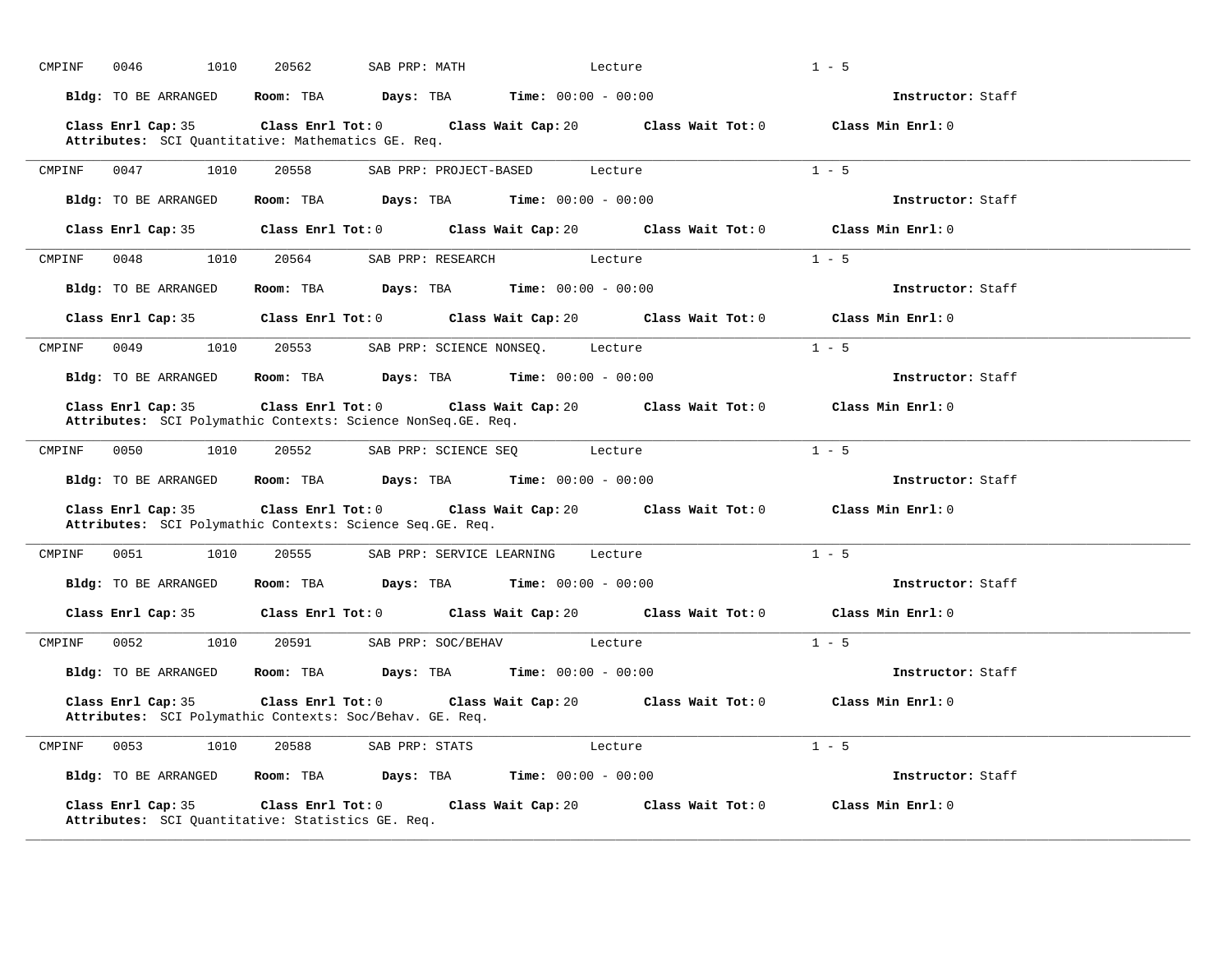| CMPINF | 1010<br>0046                                                                       | 20562                   | SAB PRP: MATH                                             |                              | Lecture                                                                          | $1 - 5$           |
|--------|------------------------------------------------------------------------------------|-------------------------|-----------------------------------------------------------|------------------------------|----------------------------------------------------------------------------------|-------------------|
|        | Bldg: TO BE ARRANGED                                                               | Room: TBA               | Days: TBA                                                 | $Time: 00:00 - 00:00$        |                                                                                  | Instructor: Staff |
|        | Class Enrl Cap: 35<br>Attributes: SCI Quantitative: Mathematics GE. Req.           | $Class$ $Enrl$ $Tot: 0$ |                                                           |                              | Class Wait Cap: 20 Class Wait Tot: 0 Class Min Enrl: 0                           |                   |
| CMPINF | 0047<br>1010                                                                       | 20558                   | SAB PRP: PROJECT-BASED                                    |                              | Lecture                                                                          | $1 - 5$           |
|        | Bldg: TO BE ARRANGED                                                               | Room: TBA               | $\texttt{Days:}$ TBA $\texttt{Time:}$ 00:00 - 00:00       |                              |                                                                                  | Instructor: Staff |
|        | Class Enrl Cap: 35                                                                 |                         |                                                           |                              | Class Enrl Tot: $0$ Class Wait Cap: $20$ Class Wait Tot: $0$ Class Min Enrl: $0$ |                   |
| CMPINF | 0048<br>1010                                                                       | 20564                   | SAB PRP: RESEARCH Lecture                                 |                              |                                                                                  | $1 - 5$           |
|        | Bldg: TO BE ARRANGED                                                               |                         | Room: TBA $Days: TBA$ Time: $00:00 - 00:00$               |                              |                                                                                  | Instructor: Staff |
|        | Class Enrl Cap: 35                                                                 |                         |                                                           |                              | Class Enrl Tot: 0 Class Wait Cap: 20 Class Wait Tot: 0                           | Class Min Enrl: 0 |
| CMPINF | 0049<br>1010                                                                       | 20553                   | SAB PRP: SCIENCE NONSEQ. Lecture                          |                              |                                                                                  | $1 - 5$           |
|        | Bldg: TO BE ARRANGED                                                               | Room: TBA               | <b>Days:</b> TBA <b>Time:</b> $00:00 - 00:00$             |                              |                                                                                  | Instructor: Staff |
|        | Class Enrl Cap: 35<br>Attributes: SCI Polymathic Contexts: Science NonSeq.GE. Req. | $Class$ $Enr1$ $Tot: 0$ |                                                           |                              | Class Wait Cap: 20 Class Wait Tot: 0 Class Min Enrl: 0                           |                   |
| CMPINF | 0050<br>1010                                                                       | 20552                   | SAB PRP: SCIENCE SEQ                                      | Lecture                      |                                                                                  | $1 - 5$           |
|        | Bldg: TO BE ARRANGED                                                               |                         | <b>Room:</b> TBA $Days: TBA$ <b>Time:</b> $00:00 - 00:00$ |                              |                                                                                  | Instructor: Staff |
|        | Class Enrl Cap: 35<br>Attributes: SCI Polymathic Contexts: Science Seq. GE. Req.   | Class Enrl Tot: 0       |                                                           |                              | Class Wait Cap: 20 Class Wait Tot: 0 Class Min Enrl: 0                           |                   |
| CMPINF | 0051<br>1010                                                                       | 20555                   | SAB PRP: SERVICE LEARNING                                 | Lecture                      |                                                                                  | $1 - 5$           |
|        | Bldg: TO BE ARRANGED                                                               | Room: TBA               | Days: TBA                                                 | <b>Time:</b> $00:00 - 00:00$ |                                                                                  | Instructor: Staff |
|        | Class Enrl Cap: 35                                                                 |                         |                                                           |                              | Class Enrl Tot: 0 Class Wait Cap: 20 Class Wait Tot: 0                           | Class Min Enrl: 0 |
| CMPINF | 0052<br>1010                                                                       | 20591                   | SAB PRP: SOC/BEHAV Lecture                                |                              |                                                                                  | $1 - 5$           |
|        | Bldg: TO BE ARRANGED                                                               | Room: TBA               | Days: TBA                                                 | <b>Time:</b> $00:00 - 00:00$ |                                                                                  | Instructor: Staff |
|        | Class Enrl Cap: 35<br>Attributes: SCI Polymathic Contexts: Soc/Behav. GE. Req.     | Class Enrl Tot: 0       |                                                           |                              | Class Wait Cap: 20 Class Wait Tot: 0 Class Min Enrl: 0                           |                   |
| CMPINF | 0053<br>1010                                                                       | 20588                   | SAB PRP: STATS                                            | Lecture                      |                                                                                  | $1 - 5$           |
|        | Bldg: TO BE ARRANGED                                                               | Room: TBA               | Days: TBA                                                 | <b>Time:</b> $00:00 - 00:00$ |                                                                                  | Instructor: Staff |
|        | Class Enrl Cap: 35<br>Attributes: SCI Ouantitative: Statistics GE. Req.            | Class Enrl Tot: 0       |                                                           |                              | Class Wait Cap: 20 Class Wait Tot: 0 Class Min Enrl: 0                           |                   |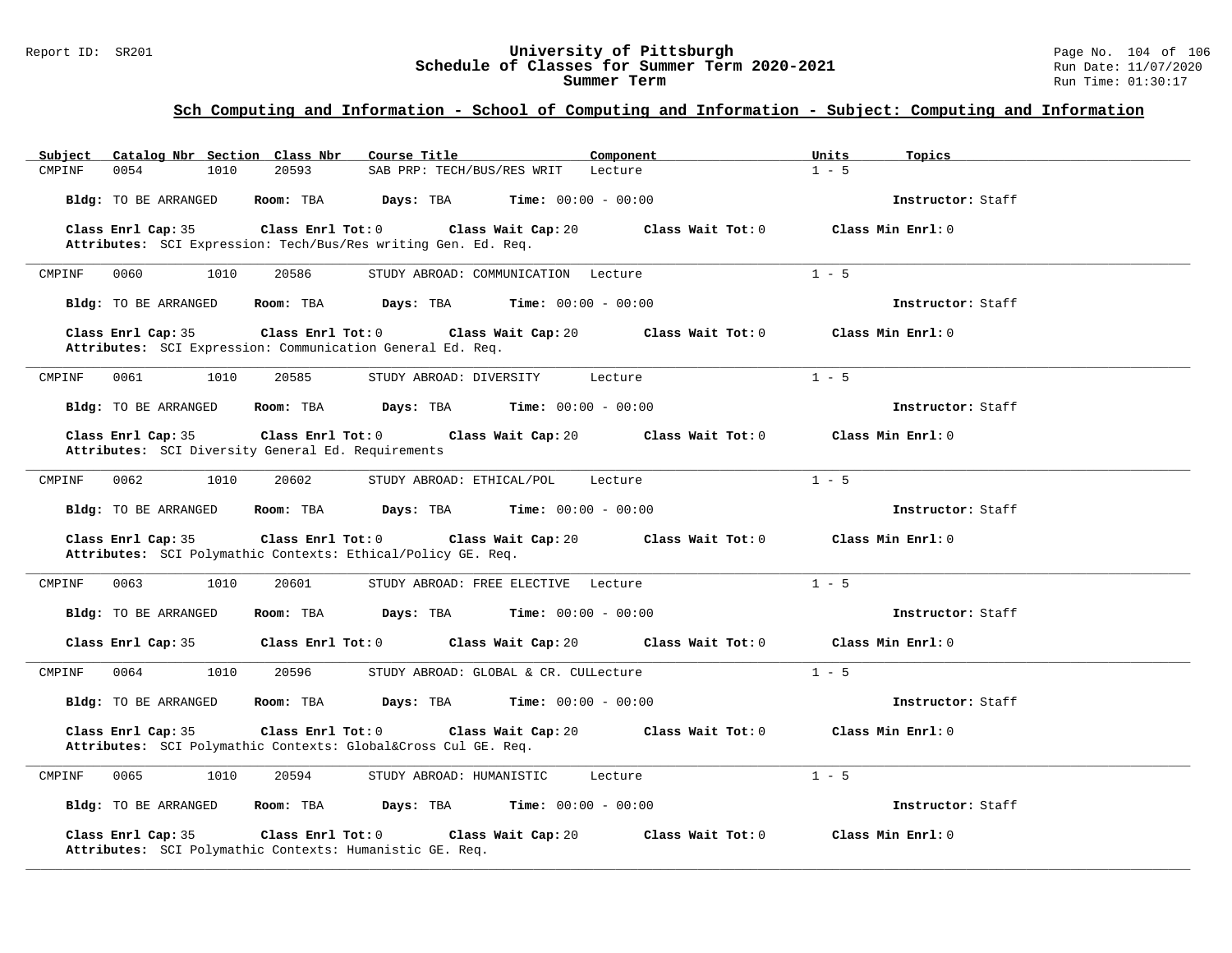#### Report ID: SR201 **University of Pittsburgh** Page No. 104 of 106 **Schedule of Classes for Summer Term 2020-2021** Run Date: 11/07/2020 **Summer Term** Run Time: 01:30:17

| Catalog Nbr Section Class Nbr<br>Subject                                                                | Course Title<br>Component                 | Units<br>Topics   |
|---------------------------------------------------------------------------------------------------------|-------------------------------------------|-------------------|
| 0054<br>1010<br>20593<br>CMPINF                                                                         | SAB PRP: TECH/BUS/RES WRIT<br>Lecture     | $1 - 5$           |
| Bldg: TO BE ARRANGED<br>Room: TBA                                                                       | Days: TBA<br><b>Time:</b> $00:00 - 00:00$ | Instructor: Staff |
| Class Enrl Cap: 35<br>Class Enrl Tot: 0                                                                 | Class Wait Tot: 0<br>Class Wait Cap: 20   | Class Min Enrl: 0 |
| Attributes: SCI Expression: Tech/Bus/Res writing Gen. Ed. Req.                                          |                                           |                   |
| 0060<br>1010<br>20586<br>CMPINF                                                                         | STUDY ABROAD: COMMUNICATION Lecture       | $1 - 5$           |
| Bldg: TO BE ARRANGED<br>Room: TBA                                                                       | Days: TBA<br><b>Time:</b> $00:00 - 00:00$ | Instructor: Staff |
| Class Enrl Cap: 35<br>Class Enrl Tot: 0<br>Attributes: SCI Expression: Communication General Ed. Req.   | Class Wait Cap: 20<br>Class Wait Tot: 0   | Class Min Enrl: 0 |
| 1010<br>20585<br>CMPINF<br>0061                                                                         | STUDY ABROAD: DIVERSITY<br>Lecture        | $1 - 5$           |
| Room: TBA<br>Bldg: TO BE ARRANGED                                                                       | Days: TBA<br><b>Time:</b> $00:00 - 00:00$ | Instructor: Staff |
| Class Enrl Cap: 35<br>Class Enrl Tot: 0<br>Attributes: SCI Diversity General Ed. Requirements           | Class Wait Cap: 20<br>Class Wait Tot: 0   | Class Min Enrl: 0 |
| 0062<br>1010<br>20602<br>CMPINF                                                                         | STUDY ABROAD: ETHICAL/POL<br>Lecture      | $1 - 5$           |
| Bldg: TO BE ARRANGED<br>Room: TBA                                                                       | Days: TBA<br><b>Time:</b> $00:00 - 00:00$ | Instructor: Staff |
| Class Enrl Tot: 0<br>Class Enrl Cap: 35<br>Attributes: SCI Polymathic Contexts: Ethical/Policy GE. Req. | Class Wait Cap: 20<br>Class Wait Tot: 0   | Class Min Enrl: 0 |
| 0063<br>1010<br>20601<br>CMPINF                                                                         | STUDY ABROAD: FREE ELECTIVE Lecture       | $1 - 5$           |
| Bldg: TO BE ARRANGED<br>Room: TBA                                                                       | Days: TBA<br><b>Time:</b> $00:00 - 00:00$ | Instructor: Staff |
| Class Enrl Tot: 0<br>Class Enrl Cap: 35                                                                 | Class Wait Cap: 20<br>Class Wait Tot: 0   | Class Min Enrl: 0 |
| 1010<br>CMPINF<br>0064<br>20596                                                                         | STUDY ABROAD: GLOBAL & CR. CULLecture     | $1 - 5$           |
| Bldg: TO BE ARRANGED<br>Room: TBA                                                                       | Days: TBA<br><b>Time:</b> $00:00 - 00:00$ | Instructor: Staff |
| Class Enrl Cap: 35<br>Class Enrl Tot: 0<br>Attributes: SCI Polymathic Contexts: Global⨯ Cul GE. Req.    | Class Wait Tot: 0<br>Class Wait Cap: 20   | Class Min Enrl: 0 |
| 0065<br>1010<br>20594<br>CMPINF                                                                         | STUDY ABROAD: HUMANISTIC<br>Lecture       | $1 - 5$           |
| Bldg: TO BE ARRANGED<br>Room: TBA                                                                       | Days: TBA<br><b>Time:</b> $00:00 - 00:00$ | Instructor: Staff |
| Class Enrl Cap: 35<br>Class Enrl Tot: 0<br>Attributes: SCI Polymathic Contexts: Humanistic GE. Req.     | Class Wait Cap: 20<br>Class Wait Tot: 0   | Class Min Enrl: 0 |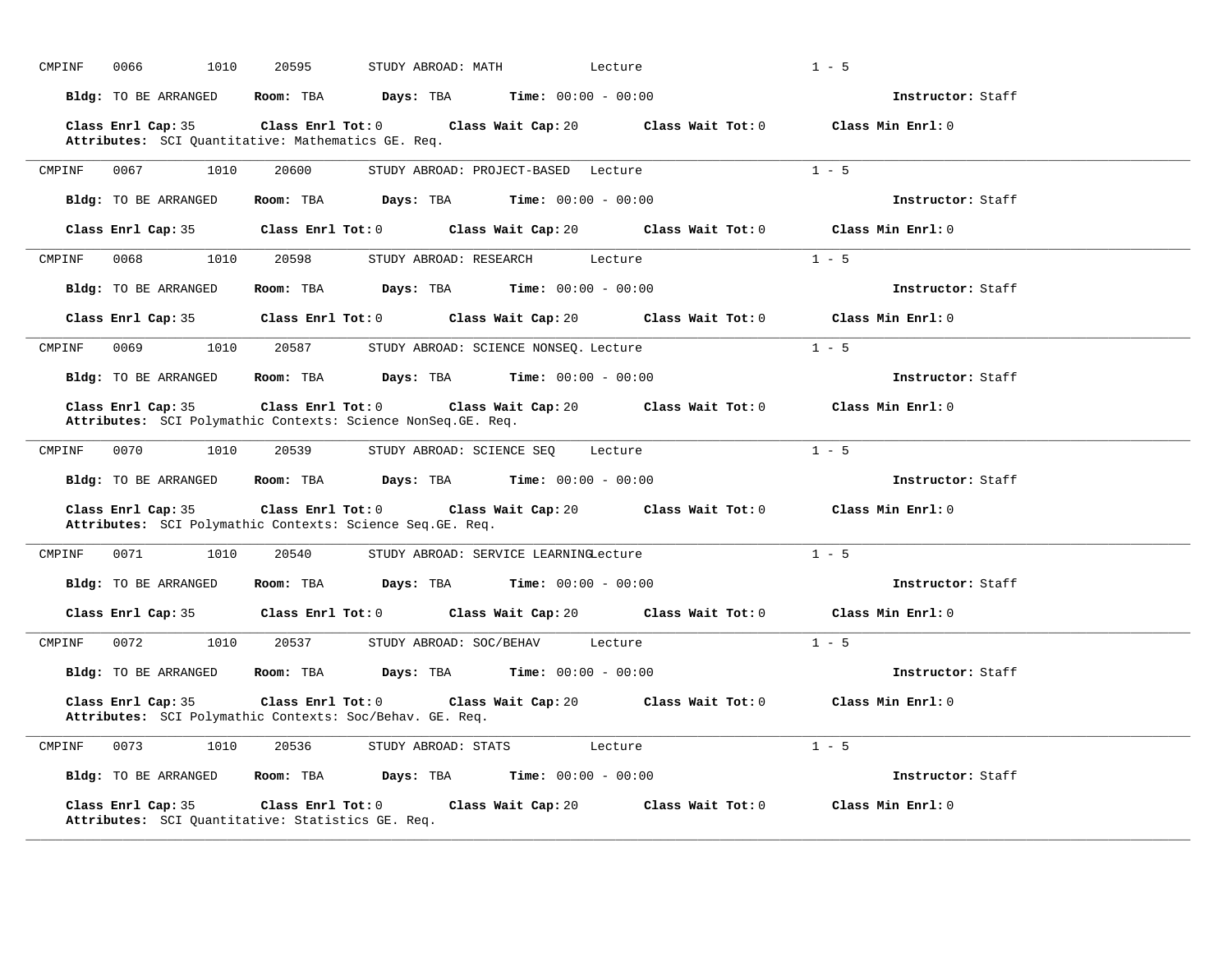| CMPINF | 0066<br>1010                | 20595<br>STUDY ABROAD: MATH                                                        |                                       | Lecture                                                | $1 - 5$            |
|--------|-----------------------------|------------------------------------------------------------------------------------|---------------------------------------|--------------------------------------------------------|--------------------|
|        | Bldg: TO BE ARRANGED        | Room: TBA<br>Days: TBA                                                             | $Time: 00:00 - 00:00$                 |                                                        | Instructor: Staff  |
|        | Class Enrl Cap: 35          | $Class$ $Enr1$ $Tot: 0$<br>Attributes: SCI Quantitative: Mathematics GE. Req.      |                                       | Class Wait Cap: 20 Class Wait Tot: 0 Class Min Enrl: 0 |                    |
| CMPINF | 0067<br>1010                | 20600                                                                              | STUDY ABROAD: PROJECT-BASED Lecture   |                                                        | $1 - 5$            |
|        | Bldg: TO BE ARRANGED        | Room: TBA<br>Days: TBA                                                             | <b>Time:</b> $00:00 - 00:00$          |                                                        | Instructor: Staff  |
|        | Class Enrl Cap: 35          | $Class$ $Enrl$ $Tot: 0$                                                            |                                       | Class Wait Cap: 20 Class Wait Tot: 0 Class Min Enrl: 0 |                    |
| CMPINF | 0068<br>1010                | 20598<br>STUDY ABROAD: RESEARCH                                                    | Lecture                               |                                                        | $1 - 5$            |
|        | <b>Bldg:</b> TO BE ARRANGED | Room: TBA<br>Days: TBA                                                             | $Time: 00:00 - 00:00$                 |                                                        | Instructor: Staff  |
|        | Class Enrl Cap: 35          | $Class$ $Enr1$ $Tot: 0$                                                            | Class Wait Cap: 20                    | Class Wait Tot: 0                                      | Class Min $Enr1:0$ |
| CMPINF | 0069<br>1010                | 20587                                                                              | STUDY ABROAD: SCIENCE NONSEQ. Lecture |                                                        | $1 - 5$            |
|        | Bldg: TO BE ARRANGED        | Room: TBA<br>Days: TBA                                                             | <b>Time:</b> $00:00 - 00:00$          |                                                        | Instructor: Staff  |
|        | Class Enrl Cap: 35          | Class Enrl Tot: 0<br>Attributes: SCI Polymathic Contexts: Science NonSeq. GE. Req. | Class Wait Cap: 20                    | Class Wait Tot: 0                                      | Class Min Enrl: 0  |
| CMPINF | 0070<br>1010                | 20539                                                                              | STUDY ABROAD: SCIENCE SEQ             | Lecture                                                | $1 - 5$            |
|        | Bldg: TO BE ARRANGED        | Room: TBA<br>Days: TBA                                                             | <b>Time:</b> $00:00 - 00:00$          |                                                        | Instructor: Staff  |
|        | Class Enrl Cap: 35          | Class Enrl Tot: 0<br>Attributes: SCI Polymathic Contexts: Science Seq. GE. Req.    | Class Wait Cap: 20                    | Class Wait Tot: 0                                      | Class Min Enrl: 0  |
| CMPINF | 0071<br>1010                | 20540                                                                              | STUDY ABROAD: SERVICE LEARNINGLecture |                                                        | $1 - 5$            |
|        | Bldg: TO BE ARRANGED        | Room: TBA<br>Days: TBA                                                             | <b>Time:</b> $00:00 - 00:00$          |                                                        | Instructor: Staff  |
|        | Class Enrl Cap: 35          | $Class$ $Enr1$ $Tot: 0$                                                            |                                       | Class Wait Cap: 20 Class Wait Tot: 0                   | Class Min Enrl: 0  |
| CMPINF | 0072<br>1010                | 20537<br>STUDY ABROAD: SOC/BEHAV                                                   | Lecture                               |                                                        | $1 - 5$            |
|        | Bldg: TO BE ARRANGED        | Room: TBA<br>Days: TBA                                                             | <b>Time:</b> $00:00 - 00:00$          |                                                        | Instructor: Staff  |
|        | Class Enrl Cap: 35          | Class Enrl Tot: 0<br>Attributes: SCI Polymathic Contexts: Soc/Behav. GE. Req.      |                                       | Class Wait Cap: 20 Class Wait Tot: 0 Class Min Enrl: 0 |                    |
| CMPINF | 0073<br>1010                | 20536<br>STUDY ABROAD: STATS                                                       | Lecture                               |                                                        | $1 - 5$            |
|        | Bldg: TO BE ARRANGED        | Room: TBA<br>Days: TBA                                                             | <b>Time:</b> $00:00 - 00:00$          |                                                        | Instructor: Staff  |
|        | Class Enrl Cap: 35          | Class Enrl Tot: 0<br>Attributes: SCI Quantitative: Statistics GE. Req.             | Class Wait Cap: 20                    | Class Wait Tot: 0                                      | Class Min Enrl: 0  |